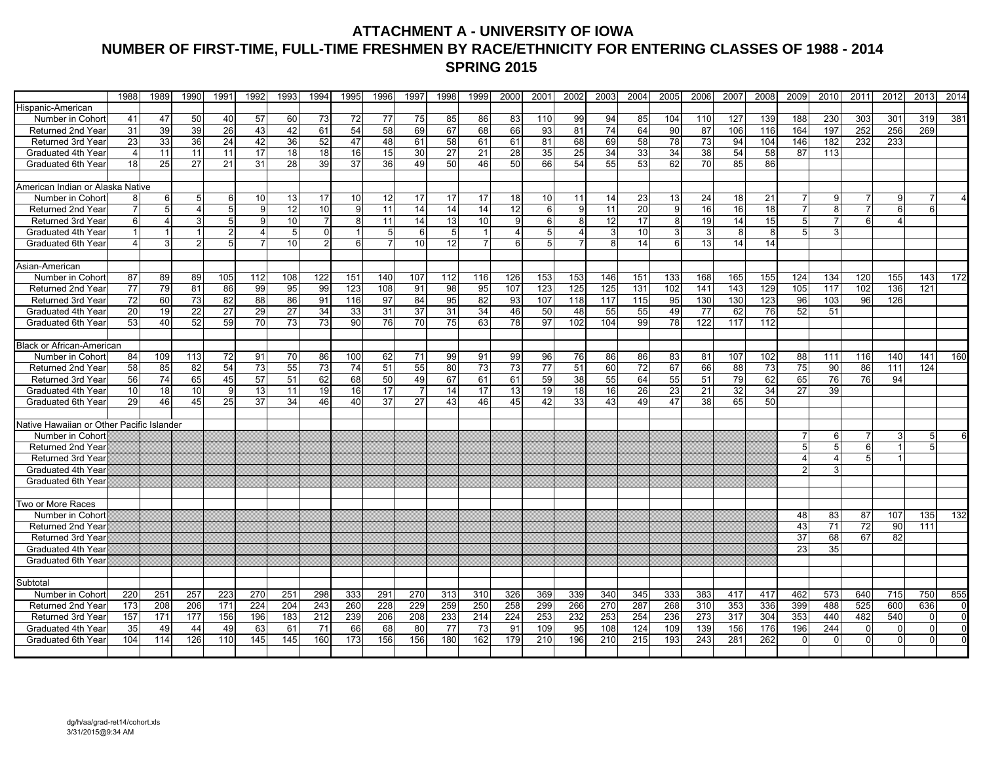### **ATTACHMENT A - UNIVERSITY OF IOWA NUMBER OF FIRST-TIME, FULL-TIME FRESHMEN BY RACE/ETHNICITY FOR ENTERING CLASSES OF 1988 - 2014 SPRING 2015**

|                                           | 1988           | 1989                 | 1990                  | 1991            | 1992            | 1993           | 1994           | 1995                 | 1996           | 1997            | 1998           | 1999           | 2000            | 2001           | 2002           | 2003             | 2004            | 2005     | 2006 | 2007 | 2008            | 2009               | 2010           | 2011           | 2012           | 2013     | 2014           |
|-------------------------------------------|----------------|----------------------|-----------------------|-----------------|-----------------|----------------|----------------|----------------------|----------------|-----------------|----------------|----------------|-----------------|----------------|----------------|------------------|-----------------|----------|------|------|-----------------|--------------------|----------------|----------------|----------------|----------|----------------|
| Hispanic-American                         |                |                      |                       |                 |                 |                |                |                      |                |                 |                |                |                 |                |                |                  |                 |          |      |      |                 |                    |                |                |                |          |                |
| Number in Cohort                          | 41             | 47                   | 50                    | 40              | 57              | 60             | 73             | 72                   | 77             | 75              | 85             | 86             | 83              | 110            | 99             | 94               | 85              | 104      | 110  | 127  | 139             | 188                | 230            | 303            | 301            | 319      | 381            |
| Returned 2nd Year                         | 31             | 39                   | 39                    | 26              | 43              | 42             | 61             | 54                   | 58             | 69              | 67             | 68             | 66              | 93             | 81             | 74               | 64              | 90       | 87   | 106  | 116             | 164                | 197            | 252            | 256            | 269      |                |
| Returned 3rd Year                         | 23             | 33                   | 36                    | $\overline{24}$ | 42              | 36             | 52             | 47                   | 48             | 61              | 58             | 61             | 61              | 81             | 68             | 69               | 58              | 78       | 73   | 94   | 104             | 146                | 182            | 232            | 233            |          |                |
| Graduated 4th Year                        | 4              | 11                   | 11                    | 11              | 17              | 18             | 18             | 16                   | 15             | 30              | 27             | 21             | 28              | 35             | 25             | 34               | 33              | 34       | 38   | 54   | 58              | 87                 | 113            |                |                |          |                |
| Graduated 6th Year                        | 18             | 25                   | 27                    | 21              | 31              | 28             | 39             | 37                   | 36             | 49              | 50             | 46             | 50              | 66             | 54             | 55               | 53              | 62       | 70   | 85   | 86              |                    |                |                |                |          |                |
|                                           |                |                      |                       |                 |                 |                |                |                      |                |                 |                |                |                 |                |                |                  |                 |          |      |      |                 |                    |                |                |                |          |                |
| American Indian or Alaska Native          |                |                      |                       |                 |                 |                |                |                      |                |                 |                |                |                 |                |                |                  |                 |          |      |      |                 |                    |                |                |                |          |                |
| Number in Cohort                          |                | 6                    | 5                     | 6               | 10              | 13             | 17             | 10                   | 12             | 17              | 17             | 17             | 18              | 10             | 11             | 14               | 23              | 13       | 24   | 18   | 21              |                    | 9              |                | 9              |          |                |
| Returned 2nd Year                         | $\overline{7}$ | 5                    | $\boldsymbol{\Delta}$ | 5               | 9               | 12             | 10             | 9                    | 11             | 14              | 14             | 14             | 12              | 6 <sup>1</sup> | 9              | 11               | 20              | 9        | 16   | 16   | 18              | $\overline{7}$     | 8              | $\overline{7}$ | 6              | 6        |                |
| Returned 3rd Year                         | 6              | $\overline{4}$       | 3                     | $5\overline{)}$ | 9               | 10             | $\overline{7}$ | 8                    | 11             | 14              | 13             | 10             | 9               | 6 <sup>1</sup> | 8              | 12               | 17              | 8        | 19   | 14   | 15              | 5 <sup>1</sup>     | $\overline{7}$ | 6              | $\overline{4}$ |          |                |
| Graduated 4th Year                        |                | $\blacktriangleleft$ |                       | $\overline{2}$  |                 | 5 <sub>5</sub> | $\Omega$       | $\blacktriangleleft$ | 5              | 6               | 5 <sub>5</sub> | 1              | $\overline{4}$  | 5 <sup>1</sup> | $\overline{4}$ | 3                | 10              | 3        | 3    | 8    | 8               | 5 <sup>1</sup>     | 3 <sup>1</sup> |                |                |          |                |
| Graduated 6th Year                        | 4              | $\mathbf{3}$         | 2                     | 5               | 7               | 10             | $\overline{2}$ | 6                    | $\overline{7}$ | 10 <sup>1</sup> | 12             | $\overline{7}$ | 6               | 5 <sup>1</sup> | $\overline{7}$ | 8                | 14              | $6 \mid$ | 13   | 14   | 14              |                    |                |                |                |          |                |
|                                           |                |                      |                       |                 |                 |                |                |                      |                |                 |                |                |                 |                |                |                  |                 |          |      |      |                 |                    |                |                |                |          |                |
| Asian-American                            |                |                      |                       |                 |                 |                |                |                      |                |                 |                |                |                 |                |                |                  |                 |          |      |      |                 |                    |                |                |                |          |                |
| Number in Cohort                          | 87             | 89                   | 89                    | 105             | 112             | 108            | 122            | 151                  | 140            | 107             | 112            | 116            | 126             | 153            | 153            | 146              | 151             | 133      | 168  | 165  | 155             | 124                | 134            | 120            | 155            | 143      | 172            |
| Returned 2nd Year                         | 77             | 79                   | 81                    | 86              | 99              | 95             | 99             | 123                  | 108            | 91              | 98             | 95             | 107             | 123            | 125            | $\overline{125}$ | 131             | 102      | 141  | 143  | 129             | 105                | 117            | 102            | 136            | 121      |                |
| Returned 3rd Year                         | 72             | 60                   | 73                    | 82              | 88              | 86             | 91             | 116                  | 97             | 84              | 95             | 82             | 93              | 107            | 118            | 117              | 115             | 95       | 130  | 130  | 123             | 96                 | 103            | 96             | 126            |          |                |
| Graduated 4th Year                        | 20             | 19                   | 22                    | 27              | 29              | 27             | 34             | 33                   | 31             | $\overline{37}$ | 31             | 34             | 46              | 50             | 48             | 55               | 55              | 49       | 77   | 62   | 76              | 52                 | 51             |                |                |          |                |
| Graduated 6th Year                        | 53             | 40                   | 52                    | 59              | $\overline{70}$ | 73             | 73             | 90                   | 76             | 70              | 75             | 63             | 78              | 97             | 102            | 104              | 99              | 78       | 122  | 117  | 112             |                    |                |                |                |          |                |
|                                           |                |                      |                       |                 |                 |                |                |                      |                |                 |                |                |                 |                |                |                  |                 |          |      |      |                 |                    |                |                |                |          |                |
| <b>Black or African-American</b>          |                |                      |                       |                 |                 |                |                |                      |                |                 |                |                |                 |                |                |                  |                 |          |      |      |                 |                    |                |                |                |          |                |
| Number in Cohort                          | 84             | 109                  | 113                   | 72              | 91              | 70             | 86             | 100                  | 62             | 71              | 99             | 91             | 99              | 96             | 76             | 86               | 86              | 83       | 81   | 107  | 102             | 88                 | 111            | 116            | 140            | 141      | 160            |
| Returned 2nd Year                         | 58             | 85                   | 82                    | 54              | $\overline{73}$ | 55             | 73             | 74                   | 51             | 55              | 80             | 73             | $\overline{73}$ | 77             | 51             | 60               | $\overline{72}$ | 67       | 66   | 88   | $\overline{73}$ | 75                 | 90             | 86             | 111            | 124      |                |
| Returned 3rd Year                         | 56             | 74                   | 65                    | 45              | 57              | 51             | 62             | 68                   | 50             | 49              | 67             | 61             | 61              | 59             | 38             | 55               | 64              | 55       | 51   | 79   | 62              | 65                 | 76             | 76             | 94             |          |                |
| Graduated 4th Year                        | 10             | 18                   | 10                    | 9               | 13              | 11             | 19             | 16                   | 17             | 7               | 14             | 17             | 13              | 19             | 18             | 16               | 26              | 23       | 21   | 32   | 34              | 27                 | 39             |                |                |          |                |
| Graduated 6th Year                        | 29             | 46                   | 45                    | 25              | 37              | 34             | 46             | 40                   | 37             | 27              | 43             | 46             | 45              | 42             | 33             | 43               | 49              | 47       | 38   | 65   | 50              |                    |                |                |                |          |                |
|                                           |                |                      |                       |                 |                 |                |                |                      |                |                 |                |                |                 |                |                |                  |                 |          |      |      |                 |                    |                |                |                |          |                |
| Native Hawaiian or Other Pacific Islander |                |                      |                       |                 |                 |                |                |                      |                |                 |                |                |                 |                |                |                  |                 |          |      |      |                 |                    |                |                |                |          |                |
| Number in Cohort                          |                |                      |                       |                 |                 |                |                |                      |                |                 |                |                |                 |                |                |                  |                 |          |      |      |                 |                    | 6              |                | 3              |          |                |
| Returned 2nd Year                         |                |                      |                       |                 |                 |                |                |                      |                |                 |                |                |                 |                |                |                  |                 |          |      |      |                 |                    | 5              | 6              |                |          |                |
| Returned 3rd Year                         |                |                      |                       |                 |                 |                |                |                      |                |                 |                |                |                 |                |                |                  |                 |          |      |      |                 | 4<br>$\mathcal{P}$ | $\overline{4}$ | 5              |                |          |                |
| Graduated 4th Year                        |                |                      |                       |                 |                 |                |                |                      |                |                 |                |                |                 |                |                |                  |                 |          |      |      |                 |                    | $\overline{3}$ |                |                |          |                |
| Graduated 6th Year                        |                |                      |                       |                 |                 |                |                |                      |                |                 |                |                |                 |                |                |                  |                 |          |      |      |                 |                    |                |                |                |          |                |
| Two or More Races                         |                |                      |                       |                 |                 |                |                |                      |                |                 |                |                |                 |                |                |                  |                 |          |      |      |                 |                    |                |                |                |          |                |
| Number in Cohor                           |                |                      |                       |                 |                 |                |                |                      |                |                 |                |                |                 |                |                |                  |                 |          |      |      |                 | 48                 | 83             | 87             | 107            | 135      | 132            |
| Returned 2nd Year                         |                |                      |                       |                 |                 |                |                |                      |                |                 |                |                |                 |                |                |                  |                 |          |      |      |                 | 43                 | 71             | 72             | 90             | 111      |                |
| Returned 3rd Year                         |                |                      |                       |                 |                 |                |                |                      |                |                 |                |                |                 |                |                |                  |                 |          |      |      |                 | 37                 | 68             | 67             | 82             |          |                |
| Graduated 4th Year                        |                |                      |                       |                 |                 |                |                |                      |                |                 |                |                |                 |                |                |                  |                 |          |      |      |                 | 23                 | 35             |                |                |          |                |
| Graduated 6th Year                        |                |                      |                       |                 |                 |                |                |                      |                |                 |                |                |                 |                |                |                  |                 |          |      |      |                 |                    |                |                |                |          |                |
|                                           |                |                      |                       |                 |                 |                |                |                      |                |                 |                |                |                 |                |                |                  |                 |          |      |      |                 |                    |                |                |                |          |                |
| Subtotal                                  |                |                      |                       |                 |                 |                |                |                      |                |                 |                |                |                 |                |                |                  |                 |          |      |      |                 |                    |                |                |                |          |                |
| Number in Cohort                          | 220            | 251                  | 257                   | 223             | 270             | 251            | 298            | 333                  | 291            | 270             | 313            | 310            | 326             | 369            | 339            | 340              | 345             | 333      | 383  | 417  | 417             | 462                | 573            | 640            | 715            | 750      | 855            |
| Returned 2nd Year                         | 173            | 208                  | 206                   | 171             | 224             | 204            | 243            | 260                  | 228            | 229             | 259            | 250            | 258             | 299            | 266            | 270              | 287             | 268      | 310  | 353  | 336             | 399                | 488            | 525            | 600            | 636      | $\overline{0}$ |
| Returned 3rd Year                         | 157            | 171                  | 177                   | 156             | 196             | 183            | 212            | 239                  | 206            | 208             | 233            | 214            | 224             | 253            | 232            | 253              | 254             | 236      | 273  | 317  | 304             | 353                | 440            | 482            | 540            | $\Omega$ | $\overline{0}$ |
| Graduated 4th Year                        | 35             | 49                   | 44                    | 49              | 63              | 61             | 71             | 66                   | 68             | 80              | 77             | 73             | 91              | 109            | 95             | 108              | 124             | 109      | 139  | 156  | 176             | 196                | 244            | $\Omega$       | $\overline{0}$ | $\Omega$ | $\overline{0}$ |
| Graduated 6th Year                        | 104            | 114                  | 126                   | 110             | 145             | 145            | 160            | 173                  | 156            | 156             | 180            | 162            | 179             | 210            | 196            | 210              | 215             | 193      | 243  | 281  | 262             | <sup>n</sup>       | $\Omega$       | $\Omega$       | $\overline{0}$ | $\Omega$ | $\overline{0}$ |
|                                           |                |                      |                       |                 |                 |                |                |                      |                |                 |                |                |                 |                |                |                  |                 |          |      |      |                 |                    |                |                |                |          |                |
|                                           |                |                      |                       |                 |                 |                |                |                      |                |                 |                |                |                 |                |                |                  |                 |          |      |      |                 |                    |                |                |                |          |                |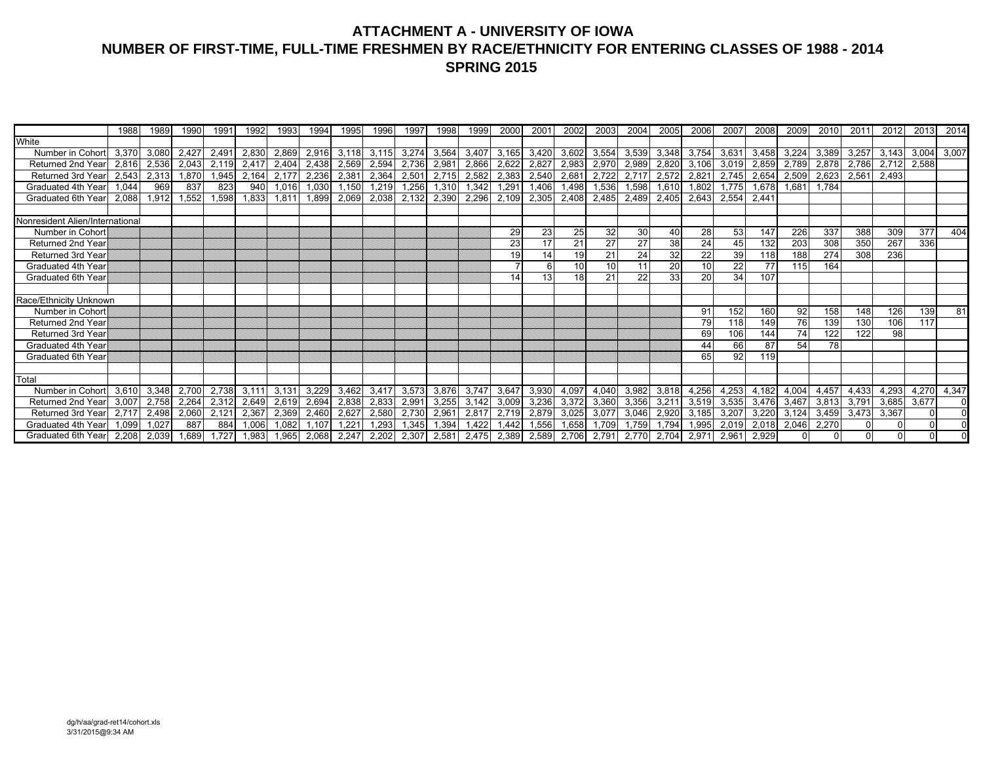## **ATTACHMENT A - UNIVERSITY OF IOWA NUMBER OF FIRST-TIME, FULL-TIME FRESHMEN BY RACE/ETHNICITY FOR ENTERING CLASSES OF 1988 - 2014 SPRING 2015**

|                                 | 1988  | 1989  | 1990  | 1991  | 1992  | 1993  | 1994  | 1995  | 1996  | 1997  | 1998  | 1999  | 2000           | $200^{\circ}$                             | 2002  | 2003  | 2004  | 2005  | 2006  | 200   | 2008  | 2009  | 2010  | 201'  | 2012     | 2013        | 2014  |
|---------------------------------|-------|-------|-------|-------|-------|-------|-------|-------|-------|-------|-------|-------|----------------|-------------------------------------------|-------|-------|-------|-------|-------|-------|-------|-------|-------|-------|----------|-------------|-------|
| White                           |       |       |       |       |       |       |       |       |       |       |       |       |                |                                           |       |       |       |       |       |       |       |       |       |       |          |             |       |
| Number in Cohort                | 3,370 | 3,080 | 2,427 | 2,491 | 2,830 | 2,869 | 2,916 | 3,118 | 3,115 | 3,274 | 3,564 | 3,407 | 3,165          | 3,420                                     | 3,602 | 3,554 | 3,539 | 3,348 | 3,754 | 3,631 | 3,458 | 3,224 | 3,389 | 3,257 | 3,143    | 3,004       | 3,007 |
| Returned 2nd Year               | 2,816 | 2,536 | 2,043 | 2,119 | 2,417 | 2,404 | 2,438 | 2,569 | 2,594 | 2,736 | 2,981 | 2,866 | 2,622          | 2,827                                     | 2,983 | 2,970 | 2,989 | 2,820 | 3,106 | 3,019 | 2,859 | 2,789 | 2,878 | 2,786 | 2,712    | 2,588       |       |
| Returned 3rd Year               | 2,543 | 2,313 | ,870  | 1,945 | 2,164 | 2,177 | 2,236 | 2,381 | 2,364 | 2,501 | 2,715 | 2,582 | 2,383          | 2,540                                     | 2,681 | 2,722 | 2,717 | 2,572 | 2,821 | 2,745 | 2,654 | 2,509 | 2,623 | 2,561 | 2,493    |             |       |
| Graduated 4th Year              | 1,044 | 969   | 837   | 823   | 940   | 1,016 | 030   | 1,150 | 1,219 | 1,256 | 1,310 | 1,342 | 1,291          | ,406                                      | 1,498 | 1,536 | 1,598 | 1,610 | 1,802 | 1,775 | 1,678 | 1,681 | 1,784 |       |          |             |       |
| Graduated 6th Year              | 2,088 | 1,912 | 1,552 | 1,598 | 1,833 | 1,811 | 1,899 | 2,069 | 2,038 | 2,132 | 2,390 | 2,296 | 2,109          | 2,305                                     | 2,408 | 2,485 | 2,489 | 2,405 | 2,643 | 2,554 | 2,441 |       |       |       |          |             |       |
|                                 |       |       |       |       |       |       |       |       |       |       |       |       |                |                                           |       |       |       |       |       |       |       |       |       |       |          |             |       |
| Nonresident Alien/International |       |       |       |       |       |       |       |       |       |       |       |       |                |                                           |       |       |       |       |       |       |       |       |       |       |          |             |       |
| Number in Cohort                |       |       |       |       |       |       |       |       |       |       |       |       | 29             | 23                                        | 25    | 32    | 30    | 40    | 28    | 53    | 147   | 226   | 337   | 388   | 309      | 377         | 404   |
| Returned 2nd Year               |       |       |       |       |       |       |       |       |       |       |       |       | 23             |                                           | 21    | 27    | 27    | 38    | 24    | 45    | 132   | 203   | 308   | 350   | 267      | 336         |       |
| Returned 3rd Year               |       |       |       |       |       |       |       |       |       |       |       |       | 19             | 14                                        | 19    | 21    | 24    | 32    | 22    | 39    | 118   | 188   | 274   | 308   | 236      |             |       |
| Graduated 4th Year              |       |       |       |       |       |       |       |       |       |       |       |       | $\overline{ }$ |                                           | 10    | 10    | 11    | 20    | 10    | 22    | 77    | 115   | 164   |       |          |             |       |
| Graduated 6th Year              |       |       |       |       |       |       |       |       |       |       |       |       | 14             |                                           | 18    | 21    | 22    | 33    | 20    | 34    | 107   |       |       |       |          |             |       |
|                                 |       |       |       |       |       |       |       |       |       |       |       |       |                |                                           |       |       |       |       |       |       |       |       |       |       |          |             |       |
| Race/Ethnicity Unknown          |       |       |       |       |       |       |       |       |       |       |       |       |                |                                           |       |       |       |       |       |       |       |       |       |       |          |             |       |
| Number in Cohort                |       |       |       |       |       |       |       |       |       |       |       |       |                |                                           |       |       |       |       | 91    | 152   | 160   | 92    | 158   | 148   | 126      | 139         | 81    |
| Returned 2nd Year               |       |       |       |       |       |       |       |       |       |       |       |       |                |                                           |       |       |       |       | 79    | 118   | 149   | 76    | 139   | 130   | 106      | 117         |       |
| Returned 3rd Year               |       |       |       |       |       |       |       |       |       |       |       |       |                |                                           |       |       |       |       | 69    | 106   | 144   | 74    | 122   | 122   | 98       |             |       |
| Graduated 4th Year              |       |       |       |       |       |       |       |       |       |       |       |       |                |                                           |       |       |       |       | 44    | 66    | 87    | 54    | 78    |       |          |             |       |
| Graduated 6th Year              |       |       |       |       |       |       |       |       |       |       |       |       |                |                                           |       |       |       |       | 65    | 92    | 119   |       |       |       |          |             |       |
|                                 |       |       |       |       |       |       |       |       |       |       |       |       |                |                                           |       |       |       |       |       |       |       |       |       |       |          |             |       |
| Total                           |       |       |       |       |       |       |       |       |       |       |       |       |                |                                           |       |       |       |       |       |       |       |       |       |       |          |             |       |
| Number in Cohort                | 3,610 | 3,348 | 2,700 | 2,738 | 3,11  | 3,131 | 3,229 | 3,462 | 3,417 | 3,573 | 3,876 | 3,747 | 3,647          | 3,930                                     | 4,097 | 4,040 | 3,982 | 3,818 | 4,256 | 4,253 | 4,182 | 4,004 | 4,45  | 4,433 | 4,293    | 4,270       | 4,347 |
| Returned 2nd Year               | 3,007 | 2,758 | 2,264 | 2,312 | 2,649 | 2,619 | 2,694 | 2,838 | 2,833 | 2,991 | 3,255 | 3,142 | 3,009          | 3,236                                     | 3,372 | 3,360 | 3,356 | 3,211 | 3,519 | 3,535 | 3,476 | 3,467 | 3,813 | 3.791 |          | 3,685 3,677 |       |
| Returned 3rd Year               | 2,717 | 2,498 | 2,060 | 2,121 | 2,367 | 2,369 | 2,460 | 2,627 | 2,580 | 2,730 | 2,961 | 2,817 | 2,719          | 2,879                                     | 3,025 | 3,077 | 3,046 | 2,920 | 3,185 | 3,207 | 3,220 | 3,124 | 3,459 | 3,473 | 3,367    |             |       |
| Graduated 4th Year              | 1.099 | 1,027 | 887   | 884   | 1.006 | 1,082 | 1.107 | 1,221 | 1,293 | 1,345 | 1,394 | 1,422 | 1.442          | 1,556                                     | 1,658 | 1,709 | 1,759 | 1,794 | 1,995 | 2,019 | 2,018 | 2,046 | 2,270 |       | 0        |             |       |
| Graduated 6th Yearl             | 2,208 | 2,039 | 1,689 | 1,727 | 1,983 | 1,965 | 2,068 |       |       |       |       |       |                | 2,247 2,202 2,307 2,581 2,475 2,389 2,589 | 2,706 | 2,791 | 2,770 | 2,704 | 2,971 | 2,961 | 2,929 |       |       |       | $\Omega$ |             |       |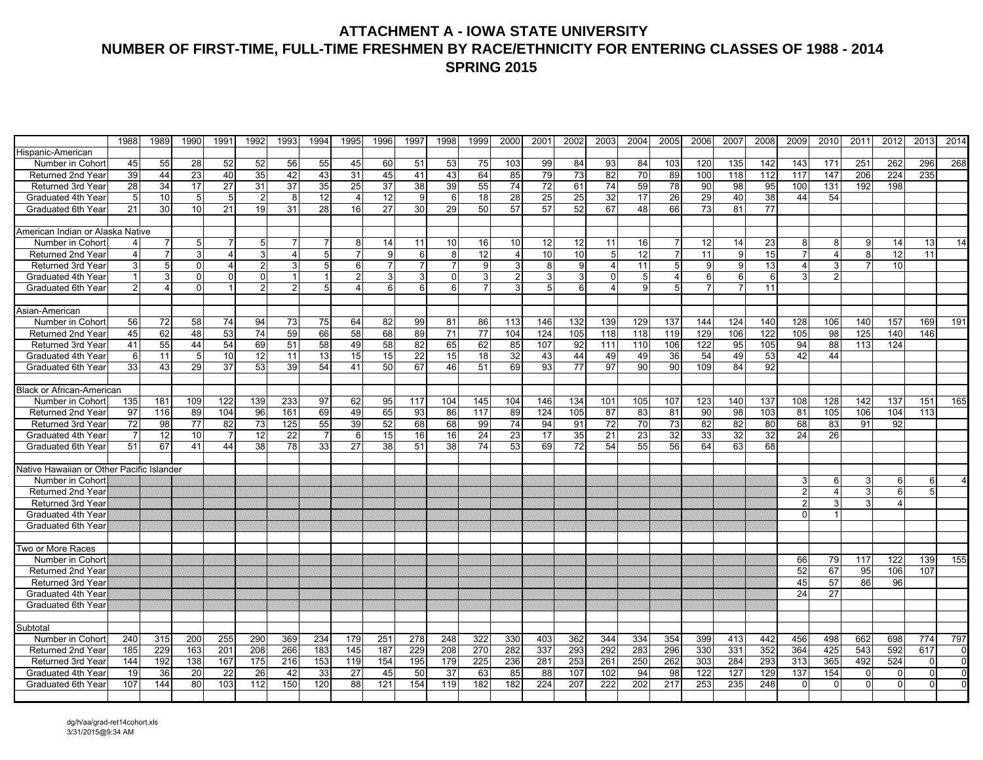### **ATTACHMENT A - IOWA STATE UNIVERSITY NUMBER OF FIRST-TIME, FULL-TIME FRESHMEN BY RACE/ETHNICITY FOR ENTERING CLASSES OF 1988 - 2014 SPRING 2015**

|                                           | 1988 | 1989            | 1990            | 1991           | 1992           | 1993           | 1994            | 1995           | 1996           | 1997           | 1998            | 1999            | 2000                    | 2001 | 2002 | 2003 | 2004      | 2005            | 2006 | 2007       | 2008       | 2009     | 2010           | 2011     | 2012                  | 2013         | 2014           |
|-------------------------------------------|------|-----------------|-----------------|----------------|----------------|----------------|-----------------|----------------|----------------|----------------|-----------------|-----------------|-------------------------|------|------|------|-----------|-----------------|------|------------|------------|----------|----------------|----------|-----------------------|--------------|----------------|
| Hispanic-American                         |      |                 |                 |                |                |                |                 |                |                |                |                 |                 |                         |      |      |      |           |                 |      |            |            |          |                |          |                       |              |                |
| Number in Cohort                          | 45   | 55              | 28              | 52             | 52             | 56             | 55              | 45             | 60             | 51             | 53              | 75              | 103                     | 99   | 84   | 93   | 84        | 103             | 120  | 135        | 142        | 143      | 171            | 251      | 262                   | 296          | 268            |
| Returned 2nd Year                         | 39   | 44              | $\overline{23}$ | 40             | 35             | 42             | 43              | 31             | 45             | 41             | 43              | 64              | 85                      | 79   | 73   | 82   | 70        | 89              | 100  | 118        | 112        | 117      | 147            | 206      | 224                   | 235          |                |
| Returned 3rd Year                         | 28   | 34              | 17              | 27             | 31             | 37             | 35              | 25             | 37             | 38             | 39              | 55              | 74                      | 72   | 61   | 74   | 59        | 78              | 90   | 98         | 95         | 100      | 131            | 192      | 198                   |              |                |
| Graduated 4th Year                        | 5    | 10              | 5               | 5              | $\overline{2}$ | 8              | 12 <sup>1</sup> | $\overline{4}$ | 12             | 9              | 6               | 18              | 28                      | 25   | 25   | 32   | 17        | 26              | 29   | 40         | 38         | 44       | 54             |          |                       |              |                |
| Graduated 6th Year                        | 21   | 30              | 10              | 21             | 19             | 31             | 28              | 16             | 27             | 30             | 29              | 50              | 57                      | 57   | 52   | 67   | 48        | 66              | 73   | 81         | 77         |          |                |          |                       |              |                |
|                                           |      |                 |                 |                |                |                |                 |                |                |                |                 |                 |                         |      |      |      |           |                 |      |            |            |          |                |          |                       |              |                |
| American Indian or Alaska Native          |      |                 |                 |                |                |                |                 |                |                |                |                 |                 |                         |      |      |      |           |                 |      |            |            |          |                |          |                       |              |                |
| Number in Cohort                          |      | 7               | 5               |                | 5              |                | 7               | 8              | 14             | 11             | 10              | 16 <sup>1</sup> | 10                      | 12   | 12   | 11   | 16        |                 | 12   | 14         | 23         |          | 8              | 9        | 14                    | 13           | 14             |
| Returned 2nd Year                         |      | $\overline{7}$  | 3               | 4              | 3              | $\overline{4}$ | 5 <sub>l</sub>  |                | 9              | 6              | 8               | 12              | $\overline{\mathbf{A}}$ | 10   | 10   | 5    | 12        |                 | 11   |            | 15         |          | $\overline{4}$ | 8        | 12                    | 11           |                |
| Returned 3rd Year                         |      | $5\overline{)}$ | $\Omega$        | 4              | $\overline{2}$ | 3              | 5 <sup>1</sup>  | 6              | $\overline{7}$ |                | $\overline{7}$  | 9               | 3                       | 8    | 9    |      | 11        | 5 <sub>5</sub>  | 9    |            | 13         |          |                |          | 10                    |              |                |
| Graduated 4th Year                        |      | 3               | $\Omega$        | $\Omega$       | $\Omega$       |                | -1              | $\overline{2}$ | 3 <sup>1</sup> | 3              | $\Omega$        | 3               | 2 <sub>l</sub>          |      | 3    |      | 5         | $\overline{a}$  | 6    |            | 6          |          |                |          |                       |              |                |
| Graduated 6th Year                        |      | 4               | $\Omega$        |                |                | 2              | 5 <sub>l</sub>  | 4              | 6              | 6 <sup>1</sup> | 6               |                 |                         |      | 6    |      | g         | 5 <sup>1</sup>  |      |            | 11         |          |                |          |                       |              |                |
|                                           |      |                 |                 |                |                |                |                 |                |                |                |                 |                 |                         |      |      |      |           |                 |      |            |            |          |                |          |                       |              |                |
| Asian-American                            |      |                 |                 |                |                |                |                 |                |                |                |                 |                 |                         |      |      |      |           |                 |      |            |            |          |                |          |                       |              |                |
| Number in Cohort                          | 56   | 72              | 58              | 74             | 94             | 73             | 75              | 64             | 82             | 99             | 81              | 86              | 113                     | 146  | 132  | 139  | 129       | 137             | 144  | 124        | 140        | 128      | 106            | 140      | 157                   | 169          | 191            |
| Returned 2nd Year                         | 45   | 62              | 48              | 53             | 74             | 59             | 66              | 58             | 68             | 89             | 71              | 77              | 104                     | 124  | 105  | 118  | 118       | 119             | 129  | 106        | 122        | 105      | 98             | 125      | 140                   | 146          |                |
| <b>Returned 3rd Year</b>                  | 41   | 55              | 44              | 54             | 69             | 51             | 58              | 49             | 58             | 82             | 65              | 62              | 85                      | 107  | 92   | 111  | 110       | 106             | 122  | 95         | 105        | 94       | 88             | 113      | 124                   |              |                |
| Graduated 4th Year                        | 6    | 11              | 5               | 10             | 12             | 11             | 13              | 15             | 15             | 22             | 15              | 18              | 32                      | 43   | 44   | 49   | 49        | 36              | 54   | 49         | 53         | 42       | 44             |          |                       |              |                |
| Graduated 6th Year                        | 33   | 43              | 29              | 37             | 53             | 39             | 54              | 41             | 50             | 67             | 46              | 51              | 69                      | 93   | 77   | 97   | 90        | 90              | 109  | 84         | 92         |          |                |          |                       |              |                |
|                                           |      |                 |                 |                |                |                |                 |                |                |                |                 |                 |                         |      |      |      |           |                 |      |            |            |          |                |          |                       |              |                |
| <b>Black or African-American</b>          |      |                 |                 |                |                |                |                 |                |                |                |                 |                 |                         |      |      |      |           |                 |      |            |            |          |                |          |                       |              |                |
| Number in Cohort                          | 135  | 181             | 109             | 122            | 139            | 233            | 97              | 62             | 95             | 117            | 104             | 145             | 104                     | 146  | 134  | 101  | 105       | 107             | 123  | 140        | 137        | 108      | 128            | 142      | 137                   | 151          | 165            |
| Returned 2nd Year                         | 97   | 116             | 89              | 104            | 96             | 161            | 69              | 49             | 65             | 93             | 86              | 117             | 89                      | 124  | 105  | 87   | 83        | 81              | 90   | 98         | 103        | 81       | 105            | 106      | 104                   | 113          |                |
| Returned 3rd Year                         | 72   | 98              | 77              | 82             | 73             | 125            | 55              | 39             | 52             | 68             | 68              | 99              | 74                      | 94   | 91   | 72   | 70        | 73              | 82   | 82         | 80         | 68       | 83             | 91       | 92                    |              |                |
| Graduated 4th Year                        |      | 12              | 10              | $\overline{7}$ | 12             | 22             | $\overline{7}$  | 6              | 15             | 16             | 16              | 24              | 23                      | 17   | 35   | 21   | 23        | 32              | 33   | 32         | 32         | 24       | 26             |          |                       |              |                |
| Graduated 6th Year                        | 51   | 67              | 41              | 44             | 38             | 78             | 33              | 27             | 38             | 51             | 38              | 74              | 53                      | 69   | 72   | 54   | 55        | 56              | 64   | 63         | 68         |          |                |          |                       |              |                |
|                                           |      |                 |                 |                |                |                |                 |                |                |                |                 |                 |                         |      |      |      |           |                 |      |            |            |          |                |          |                       |              |                |
| Native Hawaiian or Other Pacific Islander |      |                 |                 |                |                |                |                 |                |                |                |                 |                 |                         |      |      |      |           |                 |      |            |            |          |                |          |                       |              |                |
| Number in Cohort                          |      |                 |                 |                |                |                |                 |                |                |                |                 |                 |                         |      |      |      |           |                 |      |            |            |          | 6              | 3        | 6                     | 6            |                |
| Returned 2nd Year                         |      |                 |                 |                |                |                |                 |                |                |                |                 |                 |                         |      |      |      |           |                 |      |            |            |          | $\overline{4}$ | 3        | 6                     | 5            |                |
| Returned 3rd Year                         |      |                 |                 |                |                |                |                 |                |                |                |                 |                 |                         |      |      |      |           |                 |      |            |            |          |                |          | $\boldsymbol{\Delta}$ |              |                |
| Graduated 4th Year                        |      |                 |                 |                |                |                |                 |                |                |                |                 |                 |                         |      |      |      |           |                 |      |            |            |          |                |          |                       |              |                |
| Graduated 6th Year                        |      |                 |                 |                |                |                |                 |                |                |                |                 |                 |                         |      |      |      |           |                 |      |            |            |          |                |          |                       |              |                |
|                                           |      |                 |                 |                |                |                |                 |                |                |                |                 |                 |                         |      |      |      |           |                 |      |            |            |          |                |          |                       |              |                |
| Two or More Races                         |      |                 |                 |                |                |                |                 |                |                |                |                 |                 |                         |      |      |      |           |                 |      |            |            |          |                |          |                       |              |                |
| Number in Cohort                          |      |                 |                 |                |                |                |                 |                |                |                |                 |                 |                         |      |      |      |           |                 |      |            |            | 66       | 79             | 117      | 122                   | 139<br>107   | 155            |
| Returned 2nd Year                         |      |                 |                 |                |                |                |                 |                |                |                |                 |                 |                         |      |      |      |           |                 |      |            |            | 52       | 67<br>57       | 95       | 106<br>96             |              |                |
| Returned 3rd Year                         |      |                 |                 |                |                |                |                 |                |                |                |                 |                 |                         |      |      |      |           |                 |      |            |            | 45       |                | 86       |                       |              |                |
| Graduated 4th Year                        |      |                 |                 |                |                |                |                 |                |                |                |                 |                 |                         |      |      |      |           |                 |      |            |            | 24       | 27             |          |                       |              |                |
| Graduated 6th Year                        |      |                 |                 |                |                |                |                 |                |                |                |                 |                 |                         |      |      |      |           |                 |      |            |            |          |                |          |                       |              |                |
|                                           |      |                 |                 |                |                |                |                 |                |                |                |                 |                 |                         |      |      |      |           |                 |      |            |            |          |                |          |                       |              |                |
| Subtotal<br>Number in Cohort              |      | 315             | 200             | 255            | 290            | 369            | 234             | 179            | 251            | 278            | 248             | 322             | 330                     | 403  | 362  | 344  | 334       | 354             | 399  |            |            | 456      | 498            | 662      | 698                   | 774          | 797            |
|                                           | 240  |                 | 163             |                | 208            | 266            | 183             | 145            | 187            | 229            | 208             | 270             | 282                     | 337  | 293  |      | 283       | 296             | 330  | 413<br>331 | 442<br>352 | 364      | 425            | 543      | 592                   | 617          |                |
| <b>Returned 2nd Year</b>                  | 185  | 229             |                 | 201            |                |                |                 |                |                |                |                 |                 |                         |      |      | 292  |           |                 |      |            |            |          | 365            |          |                       |              | $\overline{0}$ |
| Returned 3rd Year                         | 144  | 192             | 138             | 167            | 175<br>26      | 216            | 153             | 119            | 154            | 195            | 179             | 225             | 236                     | 281  | 253  | 261  | 250<br>94 | 262             | 303  | 284        | 293        | 313      |                | 492      | 524                   | $\Omega$     | $\overline{0}$ |
| Graduated 4th Year                        | 19   | 36              | $\overline{20}$ | 22             |                | 42             | 33              | 27             | 45             | 50             | $\overline{37}$ | 63              | 85                      | 88   | 107  | 102  |           | $\overline{98}$ | 122  | 127        | 129        | 137      | 154            | $\Omega$ | $\Omega$              | $\Omega$     | $\overline{0}$ |
| Graduated 6th Year                        | 107  | 144             | 80              | 103            | 112            | 150            | 120             | 88             | 121            | 154            | 119             | 182             | 182                     | 224  | 207  | 222  | 202       | 217             | 253  | 235        | 248        | $\Omega$ | $\Omega$       | $\Omega$ | $\Omega$              | <sup>0</sup> | $\Omega$       |
|                                           |      |                 |                 |                |                |                |                 |                |                |                |                 |                 |                         |      |      |      |           |                 |      |            |            |          |                |          |                       |              |                |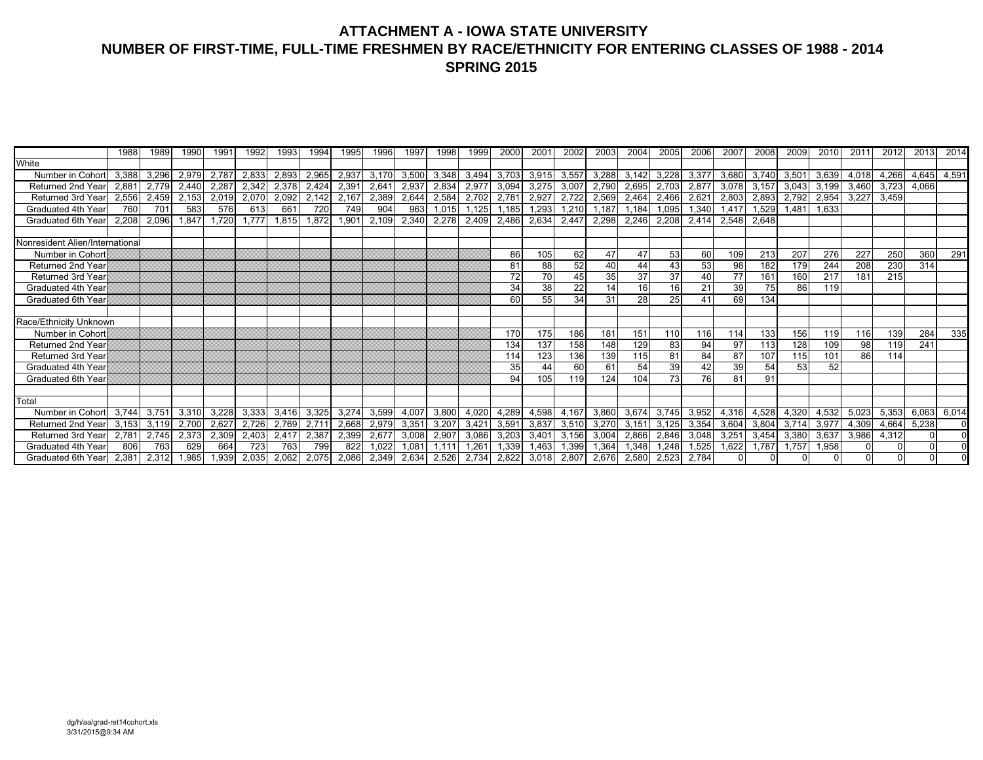### **ATTACHMENT A - IOWA STATE UNIVERSITY NUMBER OF FIRST-TIME, FULL-TIME FRESHMEN BY RACE/ETHNICITY FOR ENTERING CLASSES OF 1988 - 2014 SPRING 2015**

|                                 | 1988  | 1989  | 1990  | 199 <sup>7</sup> | 1992  | 1993  | 1994  | 1995  | 1996  | 1997  | 1998  | 1999          | <b>2000</b> | $200^{\circ}$ | 2002  | 2003  | 2004  | 2005  | 2006  | 200   | 2008  | 2009           | 2010  | 201'  | 2012     | 2013  | 2014     |
|---------------------------------|-------|-------|-------|------------------|-------|-------|-------|-------|-------|-------|-------|---------------|-------------|---------------|-------|-------|-------|-------|-------|-------|-------|----------------|-------|-------|----------|-------|----------|
| White                           |       |       |       |                  |       |       |       |       |       |       |       |               |             |               |       |       |       |       |       |       |       |                |       |       |          |       |          |
| Number in Cohort                | 3,388 | 3,296 | 2,979 | 2,787            | 2,833 | 2,893 | 2,965 | 2,937 | 3,170 | 3,500 | 3,348 | 3,494         | 3,703       | 3,915         | 3,557 | 3,288 | 3,142 | 3,228 | 3,377 | 3,680 | 3,740 | 3,501          | 3,639 | 4,018 | 4,266    | 4,645 | 4,591    |
| <b>Returned 2nd Year</b>        | 2,881 | 2,779 | 2,440 | 2,287            | 2,342 | 2,378 | 2,424 | 2,391 | 2,641 | 2,937 | 2,834 | 2,97          | 3,094       | 3,275         | 3,007 | 2,790 | 2,695 | 2,703 | 2,87  | 3,078 | 3,157 | 3,043          | 3,199 | 3,460 | 3,723    | 4,066 |          |
| Returned 3rd Year               | 2,556 | 2,459 | 2,153 | 2,019            | 2,070 | 2,092 | 2,142 | 2,167 | 2,389 | 2,644 | 2,584 | 2,702         | 2,78        | 2,927         | 2,722 | 2,569 | 2,464 | 2,466 | 2,62  | 2,803 | 2,893 | 2,792          | 2,954 | 3,227 | 3,459    |       |          |
| Graduated 4th Year              | 760   | 701   | 583   | 576              | 613   | 661   | 720   | 749   | 904   | 963   | 1,015 | ,125          | 1,185       | ,293          | 1,210 | 1,187 | 1,184 | 1.095 | 1,340 | 1,417 | 1,529 | $1,48^{\circ}$ | 1,633 |       |          |       |          |
| Graduated 6th Year              | 2.208 | 2,096 | 1.847 | 1,720            | 1.777 | 1,815 | 1,872 | 1,901 | 2,109 | 2,340 | 2,278 | 2,409         | 2,486       | 2,634         | 2,447 | 2,298 | 2,246 | 2,208 | 2,414 | 2,548 | 2,648 |                |       |       |          |       |          |
|                                 |       |       |       |                  |       |       |       |       |       |       |       |               |             |               |       |       |       |       |       |       |       |                |       |       |          |       |          |
| Nonresident Alien/International |       |       |       |                  |       |       |       |       |       |       |       |               |             |               |       |       |       |       |       |       |       |                |       |       |          |       |          |
| Number in Cohort                |       |       |       |                  |       |       |       |       |       |       |       |               | 86          | 105           | 62    | 47    | 47    | 53    | 60    | 109   | 213   | 207            | 276   | 227   | 250      | 360   | 291      |
| Returned 2nd Year               |       |       |       |                  |       |       |       |       |       |       |       |               | 81          | 88            | 52    | 40    | 44    | 43    | 53    | 98    | 182   | 179            | 244   | 208   | 230      | 314   |          |
| <b>Returned 3rd Year</b>        |       |       |       |                  |       |       |       |       |       |       |       |               | 72          | 70            | 45    | 35    | 37    | 37    | 40    | 77    | 161   | 160            | 217   | 181   | 215      |       |          |
| Graduated 4th Year              |       |       |       |                  |       |       |       |       |       |       |       |               | 34          | 38            | 22    | 14    | 16    | 16    | 21    | 39    | 75    | 86             | 119   |       |          |       |          |
| Graduated 6th Year              |       |       |       |                  |       |       |       |       |       |       |       |               | 60          | 55            | 34    | 31    | 28    | 25    |       | 69    | 134   |                |       |       |          |       |          |
|                                 |       |       |       |                  |       |       |       |       |       |       |       |               |             |               |       |       |       |       |       |       |       |                |       |       |          |       |          |
| Race/Ethnicity Unknown          |       |       |       |                  |       |       |       |       |       |       |       |               |             |               |       |       |       |       |       |       |       |                |       |       |          |       |          |
| Number in Cohort                |       |       |       |                  |       |       |       |       |       |       |       |               | 170         | 175           | 186   | 181   | 151   | 11C   | 116   | 114   | 133   | 156            | 119   | 116   | 139      | 284   | 335      |
| Returned 2nd Year               |       |       |       |                  |       |       |       |       |       |       |       |               | 134         | 137           | 158   | 148   | 129   | 83    | 94    | 97    | 113   | 128            | 109   | 98    | 119      | 241   |          |
| <b>Returned 3rd Year</b>        |       |       |       |                  |       |       |       |       |       |       |       |               | 114         | 123           | 136   | 139   | 115   | 81    | 84    | 87    | 107   | 115            | 101   | 86    | 114      |       |          |
| Graduated 4th Year              |       |       |       |                  |       |       |       |       |       |       |       |               | 35          | 44            | 60    | 61    | 54    | 39    | 42    | 39    | 54    | 53             | 52    |       |          |       |          |
| Graduated 6th Year              |       |       |       |                  |       |       |       |       |       |       |       |               | 94          | 105           | 119   | 124   | 104   | 73    | 76    | 81    | 91    |                |       |       |          |       |          |
|                                 |       |       |       |                  |       |       |       |       |       |       |       |               |             |               |       |       |       |       |       |       |       |                |       |       |          |       |          |
| Total                           |       |       |       |                  |       |       |       |       |       |       |       |               |             |               |       |       |       |       |       |       |       |                |       |       |          |       |          |
| Number in Cohort                | 3,744 | 3,751 | 3,310 | 3,228            | 3,333 | 3,416 | 3,325 | 3,274 | 3,599 | 4,007 | 3,800 | 4,020         | 4,289       | 4,598         | 4,167 | 3,860 | 3,674 | 3,745 | 3,952 | 4,316 | 4,528 | 4,320          | 4,532 | 5,023 | 5,353    | 6,063 | 6,014    |
| Returned 2nd Year               | 3.153 | 3,119 | 2,700 | 2,627            | 2,726 | 2,769 | 2,71' | 2,668 | 2,979 | 3,35' | 3,207 | 3,42'         | 3,591       | 3,837         | 3,510 | 3,270 | 3,151 | 3,125 | 3,354 | 3,604 | 3,804 | 3.714          | 3,97  | 4,309 | 4,664    | 5,238 | $\Omega$ |
| Returned 3rd Year               | 2.781 | 2,745 | 2,373 | 2,309            | 2,403 | 2,417 | 2,387 | 2,399 | 2,677 | 3,008 | 2,907 | 3,086         | 3,203       | 3,401         | 3,156 | 3,004 | 2,866 | 2,846 | 3,048 | 3,251 | 3,454 | 3,380          | 3,637 | 3,986 | 4,312    |       | $\Omega$ |
| Graduated 4th Year              | 806   | 763   | 629   | 664              | 723   | 763   | 799   | 822   | 1,022 | 0.081 |       | $.26^{\circ}$ | 1,339       | 1,463         | 1,399 | 1,364 | 1,348 | 1,248 | 1,525 | 1,622 | 1,787 | 1,757          | 1,958 |       |          |       |          |
| Graduated 6th Year              | 2,381 | 2,312 | .985  | 1,939            | 2,035 | 2,062 | 2,075 | 2,086 | 2,349 | 2,634 | 2,526 | 2,734         | 2,822       | 3,018         | 2,807 | 2,676 | 2,580 | 2,523 | 2,784 |       |       |                |       |       | $\Omega$ |       |          |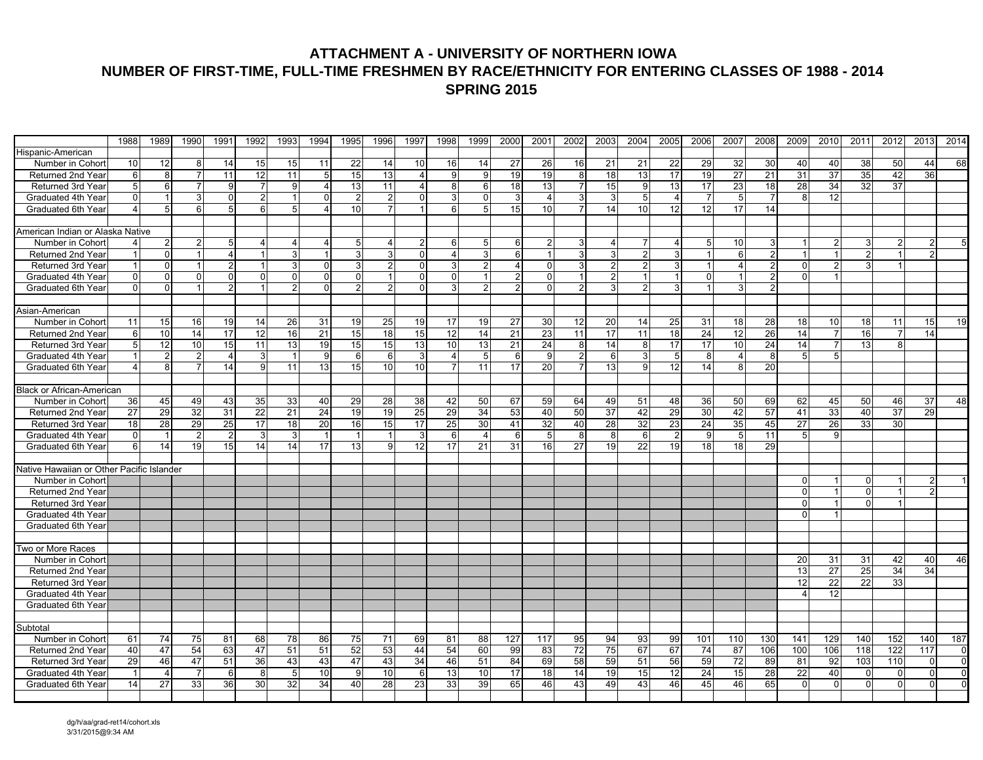### **ATTACHMENT A - UNIVERSITY OF NORTHERN IOWA NUMBER OF FIRST-TIME, FULL-TIME FRESHMEN BY RACE/ETHNICITY FOR ENTERING CLASSES OF 1988 - 2014 SPRING 2015**

|                                           | 1988                  | 1989            | 1990           | 1991            | 1992            | 1993           | 1994           | 1995            | 1996           | 1997     | 1998           | 1999                    | 2000            | 2001     | 2002            | 2003            | 2004             | 2005           | 2006            | 2007            | 2008            | 2009            | 2010            | 2011           | 2012                 | 2013     | 2014           |
|-------------------------------------------|-----------------------|-----------------|----------------|-----------------|-----------------|----------------|----------------|-----------------|----------------|----------|----------------|-------------------------|-----------------|----------|-----------------|-----------------|------------------|----------------|-----------------|-----------------|-----------------|-----------------|-----------------|----------------|----------------------|----------|----------------|
| Hispanic-American                         |                       |                 |                |                 |                 |                |                |                 |                |          |                |                         |                 |          |                 |                 |                  |                |                 |                 |                 |                 |                 |                |                      |          |                |
| Number in Cohort                          | 10                    | 12              | 8              | 14              | 15              | 15             | 11             | 22              | 14             | 10       | 16             | 14                      | 27              | 26       | 16              | 21              | 21               | 22             | 29              | 32              | 30              | 40              | 40              | 38             | 50                   | 44       | 68             |
| Returned 2nd Year                         | 6                     | 8               | $\overline{7}$ | 11              | 12              | 11             | 5 <sub>l</sub> | 15              | 13             |          | 9              | 9                       | 19              | 19       | 8               | 18              | 13               | 17             | 19              | $\overline{27}$ | $\overline{21}$ | 31              | 37              | 35             | 42                   | 36       |                |
| Returned 3rd Year                         | 5                     | 6               |                | 9               | 7               | 9              | $\overline{4}$ | 13              | 11             | 4        | 8              | 6                       | 18              | 13       |                 | 15              | 9                | 13             | 17              | $\overline{23}$ | 18              | 28              | 34              | 32             | $\overline{37}$      |          |                |
| Graduated 4th Year                        | $\Omega$              |                 | 3              | 0               | $\overline{2}$  |                | $\Omega$       | $\overline{2}$  | $\overline{2}$ |          | 3              |                         | 3               |          | 3               |                 | 5                |                | $\overline{7}$  |                 |                 |                 | 12              |                |                      |          |                |
| Graduated 6th Year                        |                       | 5               | 6              | 5 <sup>1</sup>  | 6               | 5 <sub>1</sub> | $\overline{4}$ | 10 <sup>1</sup> | $\overline{7}$ |          | 6              | 5                       | 15              | 10       |                 | 14              | 10               | 12             | 12              | 17              | 14              |                 |                 |                |                      |          |                |
|                                           |                       |                 |                |                 |                 |                |                |                 |                |          |                |                         |                 |          |                 |                 |                  |                |                 |                 |                 |                 |                 |                |                      |          |                |
| American Indian or Alaska Native          |                       |                 |                |                 |                 |                |                |                 |                |          |                |                         |                 |          |                 |                 |                  |                |                 |                 |                 |                 |                 |                |                      |          |                |
| Number in Cohort                          |                       |                 |                | 5               |                 |                | 4              | 5 <sub>l</sub>  | 4              | 2        | 6              | 5                       | 6               |          |                 | $\overline{4}$  |                  | 4              | 5               | 10              | 3               |                 |                 |                | $\overline{2}$       |          |                |
| Returned 2nd Year                         |                       | $\Omega$        |                | 4               | $\overline{1}$  | 3              | $\mathbf{1}$   | $\overline{3}$  | $\mathbf{a}$   | $\Omega$ | $\overline{4}$ | $\overline{\mathbf{3}}$ | 6               |          | 3               | $\overline{3}$  | $\mathfrak{p}$   | 3              | $\mathbf{1}$    | 6               | $\overline{2}$  |                 |                 | $\mathfrak{p}$ | $\overline{1}$       | 2        |                |
| Returned 3rd Year                         | $\overline{1}$        | $\Omega$        |                | $\overline{2}$  | $\overline{1}$  | 3              | $\Omega$       | 3 <sup>1</sup>  | $\overline{2}$ | $\Omega$ | $\overline{3}$ | $\mathcal{P}$           | $\overline{4}$  |          | 3               | $\overline{2}$  | $\overline{2}$   | २              | $\mathbf{1}$    |                 | $\overline{2}$  | $\Omega$        | $\mathcal{P}$   |                | $\blacktriangleleft$ |          |                |
| Graduated 4th Year                        | $\Omega$              | $\overline{0}$  | $\Omega$       | $\overline{0}$  | $\Omega$        | $\Omega$       | $\Omega$       | $\overline{0}$  | 1              | $\Omega$ | $\Omega$       |                         | $\overline{2}$  | $\Omega$ | $\vert$ 1       | 2 <sup>1</sup>  | $\overline{1}$   |                | $\Omega$        |                 | 2               | <sup>0</sup>    |                 |                |                      |          |                |
| Graduated 6th Year                        | $\Omega$              | $\Omega$        | 1              | $\overline{2}$  | $\overline{1}$  | $\overline{2}$ | $\mathbf{0}$   | 2 <sub>1</sub>  | $\overline{2}$ | $\Omega$ | $\overline{3}$ | $\mathcal{P}$           | $\overline{2}$  |          | $\mathcal{P}$   | $\overline{3}$  | $\overline{2}$   | 3 <sup>1</sup> |                 | 3               | 2               |                 |                 |                |                      |          |                |
|                                           |                       |                 |                |                 |                 |                |                |                 |                |          |                |                         |                 |          |                 |                 |                  |                |                 |                 |                 |                 |                 |                |                      |          |                |
| Asian-American                            |                       |                 |                |                 |                 |                |                |                 |                |          |                |                         |                 |          |                 |                 |                  |                |                 |                 |                 |                 |                 |                |                      |          |                |
| Number in Cohort                          | 11                    | 15              | 16             | 19              | 14              | 26             | 31             | 19              | 25             | 19       | 17             | 19                      | 27              | 30       | 12              | 20              | 14               | 25             | 31              | 18              | 28              | 18              | 10              | 18             | 11                   | 15       | 19             |
| Returned 2nd Year                         | 6                     | 10              | 14             | 17              | 12              | 16             | 21             | 15              | 18             | 15       | 12             | 14                      | 21              | 23       | 11              | 17              | 11               | 18             | 24              | 12              | $\overline{26}$ | 14              | $\overline{7}$  | 16             | $\overline{7}$       | 14       |                |
| Returned 3rd Year                         | 5                     | $\overline{12}$ | 10             | 15              | 11              | 13             | 19             | 15              | 15             | 13       | 10             | 13                      | $\overline{21}$ | 24       | 8               | 14              | 8                | 17             | 17              | 10              | $\overline{24}$ | 14              | $\overline{7}$  | 13             | 8                    |          |                |
| Graduated 4th Year                        | -1                    | 2               | $\overline{2}$ | $\overline{4}$  | 3               | $\mathbf{1}$   | 9              | 6               | 6              | 3        | 4              | 5 <sup>1</sup>          | 6               | 9        | $\overline{2}$  | 6               | 3                | -5             | 8               | Δ               | 8               | 5               | 5               |                |                      |          |                |
| Graduated 6th Year                        | $\boldsymbol{\Delta}$ | 8               | $\overline{7}$ | 14              | 9               | 11             | 13             | 15 <sup>1</sup> | 10             | 10       | $\overline{7}$ | 11                      | 17              | 20       | $\overline{7}$  | 13 <sup>1</sup> | 9                | 12             | 14              |                 | 20              |                 |                 |                |                      |          |                |
| <b>Black or African-American</b>          |                       |                 |                |                 |                 |                |                |                 |                |          |                |                         |                 |          |                 |                 |                  |                |                 |                 |                 |                 |                 |                |                      |          |                |
| Number in Cohort                          | 36                    | 45              | 49             | 43              | 35              | 33             | 40             | 29              | 28             | 38       | 42             | 50                      | 67              | 59       | 64              | 49              | 51               | 48             | 36              | 50              | 69              | 62              | 45              | 50             | 46                   | 37       | 48             |
| Returned 2nd Year                         | 27                    | 29              | 32             | 31              | $\overline{22}$ | 21             | 24             | 19              | 19             | 25       | 29             | 34                      | 53              | 40       | 50              | 37              | 42               | 29             | 30              | 42              | 57              | 41              | 33              | 40             | $\overline{37}$      | 29       |                |
| Returned 3rd Year                         | 18                    | 28              | 29             | 25              | 17              | 18             | 20             | 16 <sup>1</sup> | 15             | 17       | 25             | 30                      | 41              | 32       | 40              | 28              | 32               | 23             | 24              | 35              | 45              | 27              | 26              | 33             | 30                   |          |                |
| Graduated 4th Year                        | $\mathbf{0}$          | -1              | $\overline{2}$ | $\overline{2}$  | 3               | 3              | $\vert$ 1      | $\mathbf{1}$    |                | 3        | 6              | $\overline{4}$          | 6               | 5        | 8               | 8               | $6 \overline{6}$ | $\overline{2}$ | 9               | 5               | 11              | 5               | 9               |                |                      |          |                |
| Graduated 6th Year                        | 6                     | 14              | 19             | 15 <sup>1</sup> | 14              | 14             | 17             | 13 <sup>1</sup> | 9              | 12       | 17             | 21                      | 31              | 16       | 27              | 19 <sup>1</sup> | $\overline{22}$  | 19             | 18              | 18              | 29              |                 |                 |                |                      |          |                |
|                                           |                       |                 |                |                 |                 |                |                |                 |                |          |                |                         |                 |          |                 |                 |                  |                |                 |                 |                 |                 |                 |                |                      |          |                |
| Native Hawaiian or Other Pacific Islander |                       |                 |                |                 |                 |                |                |                 |                |          |                |                         |                 |          |                 |                 |                  |                |                 |                 |                 |                 |                 |                |                      |          |                |
| Number in Cohort                          |                       |                 |                |                 |                 |                |                |                 |                |          |                |                         |                 |          |                 |                 |                  |                |                 |                 |                 |                 |                 | U              |                      |          |                |
| Returned 2nd Year                         |                       |                 |                |                 |                 |                |                |                 |                |          |                |                         |                 |          |                 |                 |                  |                |                 |                 |                 |                 |                 | $\Omega$       |                      |          |                |
| Returned 3rd Year                         |                       |                 |                |                 |                 |                |                |                 |                |          |                |                         |                 |          |                 |                 |                  |                |                 |                 |                 |                 |                 | U              | 1                    |          |                |
| Graduated 4th Year                        |                       |                 |                |                 |                 |                |                |                 |                |          |                |                         |                 |          |                 |                 |                  |                |                 |                 |                 |                 |                 |                |                      |          |                |
| Graduated 6th Year                        |                       |                 |                |                 |                 |                |                |                 |                |          |                |                         |                 |          |                 |                 |                  |                |                 |                 |                 |                 |                 |                |                      |          |                |
|                                           |                       |                 |                |                 |                 |                |                |                 |                |          |                |                         |                 |          |                 |                 |                  |                |                 |                 |                 |                 |                 |                |                      |          |                |
| Two or More Races                         |                       |                 |                |                 |                 |                |                |                 |                |          |                |                         |                 |          |                 |                 |                  |                |                 |                 |                 |                 |                 |                |                      |          |                |
| Number in Cohort                          |                       |                 |                |                 |                 |                |                |                 |                |          |                |                         |                 |          |                 |                 |                  |                |                 |                 |                 | 20              | 31              | 31             | 42                   | 40       | 46             |
| <b>Returned 2nd Year</b>                  |                       |                 |                |                 |                 |                |                |                 |                |          |                |                         |                 |          |                 |                 |                  |                |                 |                 |                 | 13              | $\overline{27}$ | 25             | 34                   | 34       |                |
| Returned 3rd Year                         |                       |                 |                |                 |                 |                |                |                 |                |          |                |                         |                 |          |                 |                 |                  |                |                 |                 |                 | 12              | $\overline{22}$ | 22             | 33                   |          |                |
| Graduated 4th Year                        |                       |                 |                |                 |                 |                |                |                 |                |          |                |                         |                 |          |                 |                 |                  |                |                 |                 |                 |                 | 12              |                |                      |          |                |
| Graduated 6th Year                        |                       |                 |                |                 |                 |                |                |                 |                |          |                |                         |                 |          |                 |                 |                  |                |                 |                 |                 |                 |                 |                |                      |          |                |
|                                           |                       |                 |                |                 |                 |                |                |                 |                |          |                |                         |                 |          |                 |                 |                  |                |                 |                 |                 |                 |                 |                |                      |          |                |
| Subtotal                                  |                       |                 |                |                 |                 |                |                |                 |                |          |                |                         |                 |          |                 |                 |                  |                |                 |                 |                 |                 |                 |                |                      |          |                |
| Number in Cohort                          | 61                    | 74              | 75             | 81              | 68              | 78             | 86             | 75              | 71             | 69       | 81             | 88                      | 127             | 117      | 95              | 94              | 93               | 99             | 101             | 110             | 130             | 141             | 129             | 140            | 152                  | 140      | 187            |
| Returned 2nd Year                         | 40                    | 47              | 54             | 63              | 47              | 51             | 51             | 52              | 53             | 44       | 54             | 60                      | 99              | 83       | 72              | 75              | 67               | 67             | 74              | 87              | 106             | 100             | 106             | 118            | 122                  | 117      | $\overline{0}$ |
| Returned 3rd Year                         | 29                    | 46              | 47             | 51              | 36              | 43             | 43             | 47              | 43             | 34       | 46             | 51                      | 84              | 69       | 58              | 59              | 51               | 56             | 59              | 72              | 89              | 81              | 92              | 103            | 110                  | $\Omega$ | $\overline{0}$ |
| Graduated 4th Year                        |                       | 4               | $\overline{7}$ | 6               | 8               | 5              | 10             | 9               | 10             | 6        | 13             | 10                      | $\overline{17}$ | 18       | $\overline{14}$ | 19              | 15               | 12             | $\overline{24}$ | 15              | $\overline{28}$ | $\overline{22}$ | 40              | $\Omega$       | $\overline{0}$       | $\Omega$ | $\overline{0}$ |
| Graduated 6th Year                        | 14                    | 27              | 33             | 36              | 30              | 32             | 34             | 40              | 28             | 23       | 33             | 39                      | 65              | 46       | 43              | 49              | 43               | 46             | 45              | 46              | 65              | $\Omega$        | $\Omega$        | $\Omega$       | $\Omega$             | O        | $\Omega$       |
|                                           |                       |                 |                |                 |                 |                |                |                 |                |          |                |                         |                 |          |                 |                 |                  |                |                 |                 |                 |                 |                 |                |                      |          |                |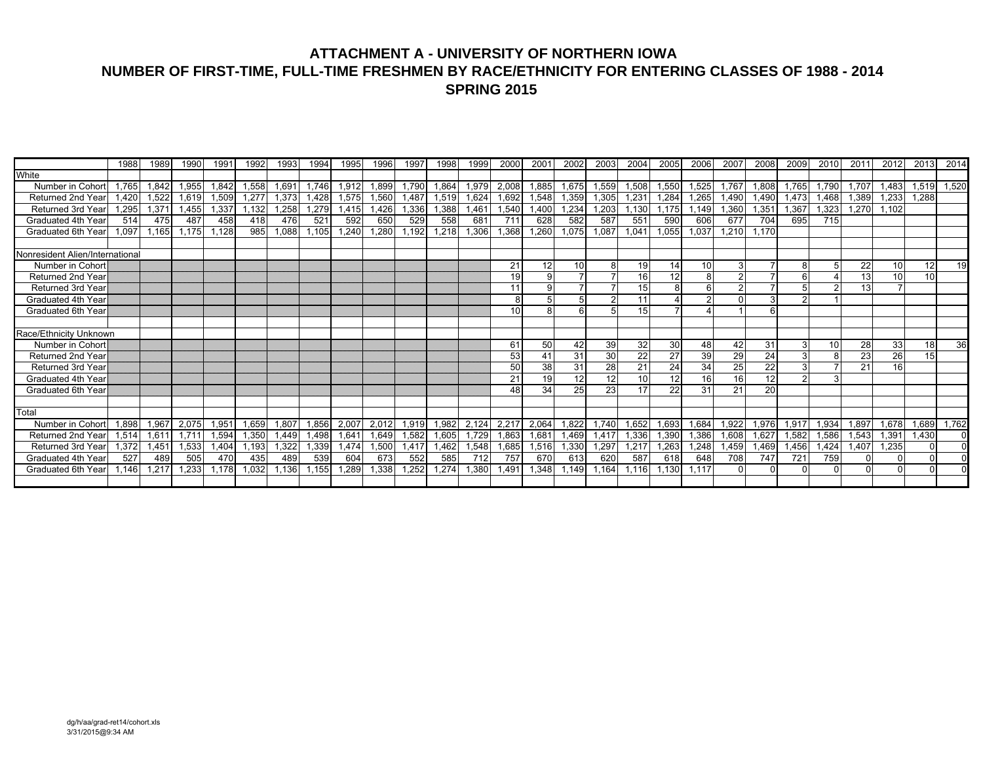## **ATTACHMENT A - UNIVERSITY OF NORTHERN IOWA NUMBER OF FIRST-TIME, FULL-TIME FRESHMEN BY RACE/ETHNICITY FOR ENTERING CLASSES OF 1988 - 2014 SPRING 2015**

|                                         | 1988  | 1989  | 1990  | 1991  | 1992  | 1993  | 1994  | 1995         | 1996  | 1997  | 1998  | 1999  | <b>2000</b> | 200 <sup>1</sup> | 2002     | 2003     | 2004     | 2005     | 2006     | 2007     | 2008            | 2009  | 2010         | 201'  | 2012            | 2013     | 2014           |
|-----------------------------------------|-------|-------|-------|-------|-------|-------|-------|--------------|-------|-------|-------|-------|-------------|------------------|----------|----------|----------|----------|----------|----------|-----------------|-------|--------------|-------|-----------------|----------|----------------|
| White                                   |       |       |       |       |       |       |       |              |       |       |       |       |             |                  |          |          |          |          |          |          |                 |       |              |       |                 |          |                |
| Number in Cohort                        | 1.765 | 1,842 | 1,955 | 1,842 | 1,558 | 1,691 | 1.746 | 1,912        | 1,899 | 1,790 | 1,864 | 1,979 | 2,008       | 1,885            | 1,675    | 1,559    | 1,508    | 1,550    | 1,525    | 1.767    | 1,808           | 1,765 | 1,790        | 1.707 | 1,483           | 1,519    | 1,520          |
| Returned 2nd Year                       | 1.420 | 1,522 | 1,619 | 1,509 | 1,277 | 1,373 | 1.428 | 1,575        | 1,560 | .487  | 1,519 | .624  | 1,692       | 1,548            | 1,359    | 1,305    | 1,23'    | 1,284    | 1,265    | A90, l   | 1.490           | 1,473 | 1,468        | 1.389 | 1,233           | 1.288    |                |
| Returned 3rd Year                       | 1.295 | 1,37' | 1.455 | 1,337 | .132  | 1,258 | 1.279 | 1.415        | 1.426 | 1,336 | 1.388 | .46'  | 1,540       | ,400             | 1,234    | 1,203    | 1.130    | .175     | 1.149    | .360     | 1,35            | 1,367 | 1.323        | 1.270 | 1,102           |          |                |
| Graduated 4th Year                      | 514   | 475   | 487   | 458   | 418   | 476   | 521   | 592          | 650   | 529   | 558   | 681   | 711         | 628              | 582      | 587      | 551      | 590      | 606      | 677      | 704             | 695   | 715          |       |                 |          |                |
| Graduated 6th Year                      | 1.097 | 1.165 | 1.175 | 1,128 | 985   | 088   | .105  | 240, ا       | ,280  | ,192  | ,218  | .306  | .368        | ,260             | 1,075    | ,087     | 1,041    | 0.055    | 1,037    | .210     | 1.170           |       |              |       |                 |          |                |
|                                         |       |       |       |       |       |       |       |              |       |       |       |       |             |                  |          |          |          |          |          |          |                 |       |              |       |                 |          |                |
| Nonresident Alien/International         |       |       |       |       |       |       |       |              |       |       |       |       |             |                  |          |          |          |          |          |          |                 |       |              |       |                 |          |                |
| Number in Cohort                        |       |       |       |       |       |       |       |              |       |       |       |       | 21          | 12               | 10       |          | 19       | 14       | 10       |          |                 |       |              | 22    | 10 <sup>1</sup> | 12       | 19             |
| <b>Returned 2nd Year</b>                |       |       |       |       |       |       |       |              |       |       |       |       | 19          |                  |          |          | 16       | 12       |          |          |                 |       |              | 13    | 10              | 10       |                |
| <b>Returned 3rd Year</b>                |       |       |       |       |       |       |       |              |       |       |       |       | 11          | a                |          |          | 15       |          |          |          |                 |       |              | 13    | $\overline{7}$  |          |                |
| Graduated 4th Year                      |       |       |       |       |       |       |       |              |       |       |       |       | 8           |                  | 5        |          | 11       |          |          |          |                 | ົ     |              |       |                 |          |                |
| Graduated 6th Year                      |       |       |       |       |       |       |       |              |       |       |       |       | 10          |                  | ี        |          | 15       |          |          |          |                 |       |              |       |                 |          |                |
|                                         |       |       |       |       |       |       |       |              |       |       |       |       |             |                  |          |          |          |          |          |          |                 |       |              |       |                 |          |                |
| Race/Ethnicity Unknown                  |       |       |       |       |       |       |       |              |       |       |       |       |             |                  |          |          |          |          |          |          |                 |       |              |       |                 |          |                |
| Number in Cohort                        |       |       |       |       |       |       |       |              |       |       |       |       | 61<br>53    | 50               | 42<br>31 | 39<br>30 | 32<br>22 | 30       | 48<br>39 | 42       | 31              | 3     | 10<br>8      | 28    | 33              | 18<br>15 | 36             |
| Returned 2nd Year                       |       |       |       |       |       |       |       |              |       |       |       |       |             | 41               |          |          |          | 27       |          | 29       | 24              | 31    |              | 23    | 26<br>16        |          |                |
| Returned 3rd Year<br>Graduated 4th Year |       |       |       |       |       |       |       |              |       |       |       |       | 50<br>21    | 38<br>19         | 31<br>12 | 28<br>12 | 21<br>10 | 24<br>12 | 34<br>16 | 25<br>16 | 22<br>12        |       | $\mathbf{B}$ | 21    |                 |          |                |
| Graduated 6th Year                      |       |       |       |       |       |       |       |              |       |       |       |       | 48          | 34               | 25       |          | 17       | 22       | 31       | 21       | $\overline{20}$ |       |              |       |                 |          |                |
|                                         |       |       |       |       |       |       |       |              |       |       |       |       |             |                  |          | 23       |          |          |          |          |                 |       |              |       |                 |          |                |
| Total                                   |       |       |       |       |       |       |       |              |       |       |       |       |             |                  |          |          |          |          |          |          |                 |       |              |       |                 |          |                |
| Number in Cohort                        | 1.898 | 1,967 | 2.075 | 1,951 | .659  | 1,807 | 1,856 | 2,007        | 2,012 | 1,919 | .982  | 2,124 | 2.217       | 2,064            | 1.822    | 1.740    | 1.652    | 1,693    | 1.684    | .922     | 1,976           | 1,917 | 1,934        | 1.897 | 1,678           | 1.689    | 1,762          |
| <b>Returned 2nd Year</b>                | 1.514 | 1,61' | 1.71  | 1,594 | 1,350 | .449  | .498  | 1,64         | 1,649 | .582  | 1,605 | .729  | 1,863       | 1,681            | 1,469    | 1,417    | 1,336    | 1,390    | 1,386    | .608     | 1,627           | 1,582 | 1,586        | 1,543 | 1,391           | 1.430    | $\overline{0}$ |
| Returned 3rd Year                       | .372  | 1,451 | 1,533 | .404  | .193  | .322  | .339  | <b>1.474</b> | ,500  | .41   | .462  | ,548  | .685        | .516             | 1,330    | ,297     | 1.217    | .263     | .248     | ,459     | .469            | A56.  | .424         | 1.407 | .235            |          | $\Omega$       |
| Graduated 4th Year                      | 527   | 489   | 505   | 470   | 435   | 489   | 539   | 604          | 673   | 552   | 585   | 712   | 757         | 670              | 613      | 620      | 587      | 618      | 648      | 708      | 747             | 721   | 759          |       | 0               |          | $\Omega$       |
| Graduated 6th Year                      | .146  | 1,217 | .233  | 1,178 | 1,032 | 1,136 | 1,155 | 1,289        | 1,338 | .252  | 1,274 | 380   | .491        | ,348             | 1,149    | 1,164    | 1,116    | .13C     | 1.117    |          |                 |       | $\Omega$     |       | $\Omega$        | $\cap$   | $\Omega$       |
|                                         |       |       |       |       |       |       |       |              |       |       |       |       |             |                  |          |          |          |          |          |          |                 |       |              |       |                 |          |                |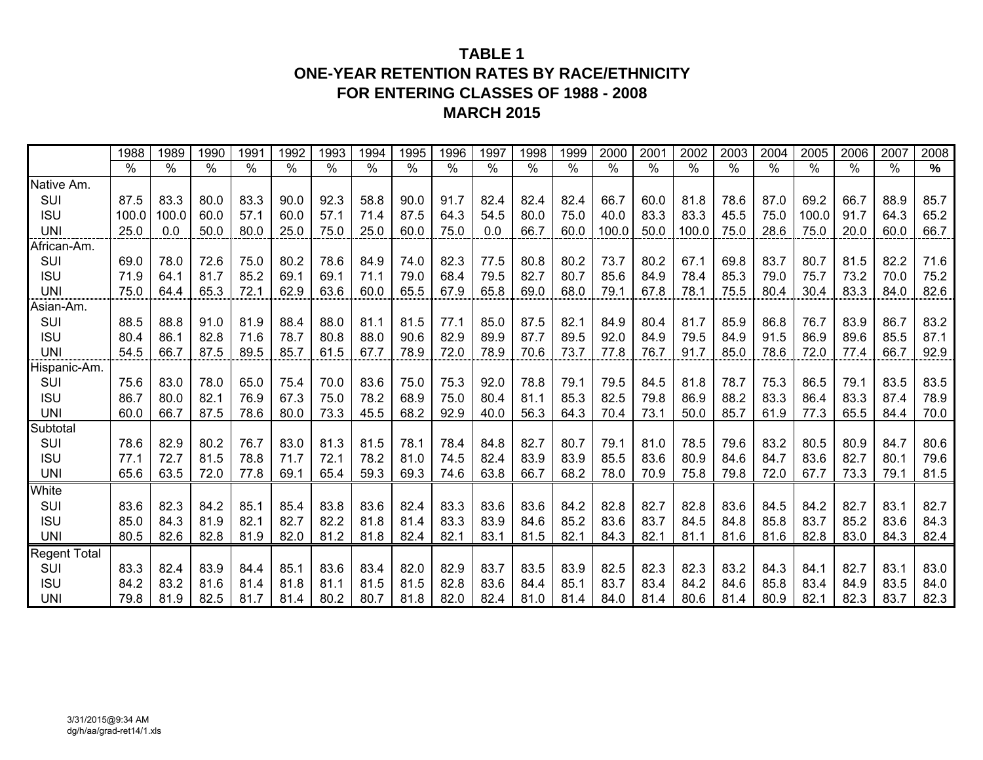## **TABLE 1ONE-YEAR RETENTION RATES BY RACE/ETHNICITY FOR ENTERING CLASSES OF 1988 - 2008 MARCH 2015**

|                     | 1988  | 1989  | 1990 | 1991 | 1992 | 1993 | 1994 | 1995 | 1996 | 1997 | 1998 | 1999 | 2000  | 2001 | 2002          | 2003 | 2004 | 2005          | 2006 | 2007 | 2008 |
|---------------------|-------|-------|------|------|------|------|------|------|------|------|------|------|-------|------|---------------|------|------|---------------|------|------|------|
|                     | %     | %     | %    | %    | %    | $\%$ | %    | %    | $\%$ | %    | %    | $\%$ | $\%$  | $\%$ | $\frac{0}{0}$ | $\%$ | $\%$ | $\frac{0}{0}$ | $\%$ | $\%$ | %    |
| Native Am.          |       |       |      |      |      |      |      |      |      |      |      |      |       |      |               |      |      |               |      |      |      |
| SUI                 | 87.5  | 83.3  | 80.0 | 83.3 | 90.0 | 92.3 | 58.8 | 90.0 | 91.7 | 82.4 | 82.4 | 82.4 | 66.7  | 60.0 | 81.8          | 78.6 | 87.0 | 69.2          | 66.7 | 88.9 | 85.7 |
| <b>ISU</b>          | 100.0 | 100.0 | 60.0 | 57.1 | 60.0 | 57.1 | 71.4 | 87.5 | 64.3 | 54.5 | 80.0 | 75.0 | 40.0  | 83.3 | 83.3          | 45.5 | 75.0 | 100.0         | 91.7 | 64.3 | 65.2 |
| <b>UNI</b>          | 25.0  | 0.0   | 50.0 | 80.0 | 25.0 | 75.0 | 25.0 | 60.0 | 75.0 | 0.0  | 66.7 | 60.0 | 100.0 | 50.0 | 100.0         | 75.0 | 28.6 | 75.0          | 20.0 | 60.0 | 66.7 |
| African-Am.         |       |       |      |      |      |      |      |      |      |      |      |      |       |      |               |      |      |               |      |      |      |
| SUI                 | 69.0  | 78.0  | 72.6 | 75.0 | 80.2 | 78.6 | 84.9 | 74.0 | 82.3 | 77.5 | 80.8 | 80.2 | 73.7  | 80.2 | 67.1          | 69.8 | 83.7 | 80.7          | 81.5 | 82.2 | 71.6 |
| <b>ISU</b>          | 71.9  | 64.1  | 81.7 | 85.2 | 69.1 | 69.1 | 71.1 | 79.0 | 68.4 | 79.5 | 82.7 | 80.7 | 85.6  | 84.9 | 78.4          | 85.3 | 79.0 | 75.7          | 73.2 | 70.0 | 75.2 |
| <b>UNI</b>          | 75.0  | 64.4  | 65.3 | 72.1 | 62.9 | 63.6 | 60.0 | 65.5 | 67.9 | 65.8 | 69.0 | 68.0 | 79.1  | 67.8 | 78.1          | 75.5 | 80.4 | 30.4          | 83.3 | 84.0 | 82.6 |
| Asian-Am.           |       |       |      |      |      |      |      |      |      |      |      |      |       |      |               |      |      |               |      |      |      |
| SUI                 | 88.5  | 88.8  | 91.0 | 81.9 | 88.4 | 88.0 | 81.1 | 81.5 | 77.1 | 85.0 | 87.5 | 82.1 | 84.9  | 80.4 | 81.7          | 85.9 | 86.8 | 76.7          | 83.9 | 86.7 | 83.2 |
| <b>ISU</b>          | 80.4  | 86.1  | 82.8 | 71.6 | 78.7 | 80.8 | 88.0 | 90.6 | 82.9 | 89.9 | 87.7 | 89.5 | 92.0  | 84.9 | 79.5          | 84.9 | 91.5 | 86.9          | 89.6 | 85.5 | 87.1 |
| <b>UNI</b>          | 54.5  | 66.7  | 87.5 | 89.5 | 85.7 | 61.5 | 67.7 | 78.9 | 72.0 | 78.9 | 70.6 | 73.7 | 77.8  | 76.7 | 91.7          | 85.0 | 78.6 | 72.0          | 77.4 | 66.7 | 92.9 |
| Hispanic-Am.        |       |       |      |      |      |      |      |      |      |      |      |      |       |      |               |      |      |               |      |      |      |
| SUI                 | 75.6  | 83.0  | 78.0 | 65.0 | 75.4 | 70.0 | 83.6 | 75.0 | 75.3 | 92.0 | 78.8 | 79.1 | 79.5  | 84.5 | 81.8          | 78.7 | 75.3 | 86.5          | 79.1 | 83.5 | 83.5 |
| <b>ISU</b>          | 86.7  | 80.0  | 82.1 | 76.9 | 67.3 | 75.0 | 78.2 | 68.9 | 75.0 | 80.4 | 81.1 | 85.3 | 82.5  | 79.8 | 86.9          | 88.2 | 83.3 | 86.4          | 83.3 | 87.4 | 78.9 |
| <b>UNI</b>          | 60.0  | 66.7  | 87.5 | 78.6 | 80.0 | 73.3 | 45.5 | 68.2 | 92.9 | 40.0 | 56.3 | 64.3 | 70.4  | 73.1 | 50.0          | 85.7 | 61.9 | 77.3          | 65.5 | 84.4 | 70.0 |
| Subtotal            |       |       |      |      |      |      |      |      |      |      |      |      |       |      |               |      |      |               |      |      |      |
| SUI                 | 78.6  | 82.9  | 80.2 | 76.7 | 83.0 | 81.3 | 81.5 | 78.1 | 78.4 | 84.8 | 82.7 | 80.7 | 79.1  | 81.0 | 78.5          | 79.6 | 83.2 | 80.5          | 80.9 | 84.7 | 80.6 |
| <b>ISU</b>          | 77.1  | 72.7  | 81.5 | 78.8 | 71.7 | 72.1 | 78.2 | 81.0 | 74.5 | 82.4 | 83.9 | 83.9 | 85.5  | 83.6 | 80.9          | 84.6 | 84.7 | 83.6          | 82.7 | 80.1 | 79.6 |
| <b>UNI</b>          | 65.6  | 63.5  | 72.0 | 77.8 | 69.1 | 65.4 | 59.3 | 69.3 | 74.6 | 63.8 | 66.7 | 68.2 | 78.0  | 70.9 | 75.8          | 79.8 | 72.0 | 67.7          | 73.3 | 79.1 | 81.5 |
| White               |       |       |      |      |      |      |      |      |      |      |      |      |       |      |               |      |      |               |      |      |      |
| SUI                 | 83.6  | 82.3  | 84.2 | 85.1 | 85.4 | 83.8 | 83.6 | 82.4 | 83.3 | 83.6 | 83.6 | 84.2 | 82.8  | 82.7 | 82.8          | 83.6 | 84.5 | 84.2          | 82.7 | 83.1 | 82.7 |
| <b>ISU</b>          | 85.0  | 84.3  | 81.9 | 82.1 | 82.7 | 82.2 | 81.8 | 81.4 | 83.3 | 83.9 | 84.6 | 85.2 | 83.6  | 83.7 | 84.5          | 84.8 | 85.8 | 83.7          | 85.2 | 83.6 | 84.3 |
| <b>UNI</b>          | 80.5  | 82.6  | 82.8 | 81.9 | 82.0 | 81.2 | 81.8 | 82.4 | 82.1 | 83.1 | 81.5 | 82.1 | 84.3  | 82.1 | 81.1          | 81.6 | 81.6 | 82.8          | 83.0 | 84.3 | 82.4 |
| <b>Regent Total</b> |       |       |      |      |      |      |      |      |      |      |      |      |       |      |               |      |      |               |      |      |      |
| SUI                 | 83.3  | 82.4  | 83.9 | 84.4 | 85.1 | 83.6 | 83.4 | 82.0 | 82.9 | 83.7 | 83.5 | 83.9 | 82.5  | 82.3 | 82.3          | 83.2 | 84.3 | 84.1          | 82.7 | 83.1 | 83.0 |
| <b>ISU</b>          | 84.2  | 83.2  | 81.6 | 81.4 | 81.8 | 81.1 | 81.5 | 81.5 | 82.8 | 83.6 | 84.4 | 85.1 | 83.7  | 83.4 | 84.2          | 84.6 | 85.8 | 83.4          | 84.9 | 83.5 | 84.0 |
| <b>UNI</b>          | 79.8  | 81.9  | 82.5 | 81.7 | 81.4 | 80.2 | 80.7 | 81.8 | 82.0 | 82.4 | 81.0 | 81.4 | 84.0  | 81.4 | 80.6          | 81.4 | 80.9 | 82.1          | 82.3 | 83.7 | 82.3 |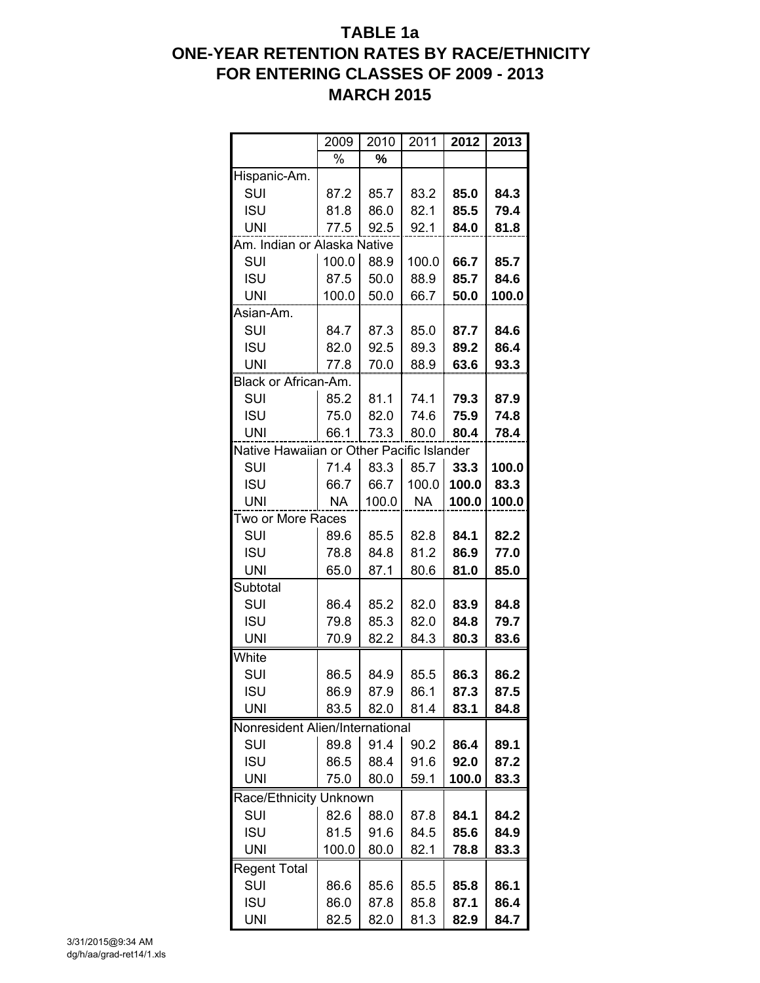# **TABLE 1a ONE-YEAR RETENTION RATES BY RACE/ETHNICITY FOR ENTERING CLASSES OF 2009 - 2013 MARCH 2015**

| 2011<br>2009<br>2010<br>2012                           | 2013  |
|--------------------------------------------------------|-------|
| %                                                      |       |
| %                                                      |       |
| Hispanic-Am.                                           |       |
| SUI<br>87.2<br>83.2<br>85.0<br>85.7                    | 84.3  |
| <b>ISU</b><br>81.8<br>86.0<br>82.1<br>85.5             | 79.4  |
| UNI<br>77.5<br>92.5<br>84.0<br>92.1                    | 81.8  |
| Am. Indian or Alaska Native                            |       |
| 66.7<br>SUI<br>100.0<br>88.9<br>100.0                  | 85.7  |
| <b>ISU</b><br>87.5<br>50.0<br>88.9<br>85.7             | 84.6  |
| 50.0<br>66.7<br>UNI<br>100.0<br>50.0                   | 100.0 |
| Asian-Am.                                              |       |
| SUI<br>84.7<br>87.3<br>85.0<br>87.7                    | 84.6  |
| <b>ISU</b><br>82.0<br>92.5<br>89.3<br>89.2             | 86.4  |
| 70.0<br>88.9<br>UNI<br>77.8<br>63.6                    | 93.3  |
| Black or African-Am.                                   |       |
| SUI<br>85.2<br>81.1<br>79.3<br>74.1                    | 87.9  |
| <b>ISU</b><br>82.0<br>74.6<br>75.9<br>75.0             | 74.8  |
| UNI<br>73.3<br>80.0<br>80.4<br>66.1                    | 78.4  |
| Native Hawaiian or Other Pacific Islander              |       |
|                                                        |       |
| 85.7<br>SUI<br>71.4<br>83.3<br>33.3                    | 100.0 |
| <b>ISU</b><br>66.7<br>66.7<br>100.0<br>100.0           | 83.3  |
| <b>UNI</b><br><b>NA</b><br>100.0<br><b>NA</b><br>100.0 | 100.0 |
| Two or More Races                                      |       |
| SUI<br>89.6<br>85.5<br>82.8<br>84.1                    | 82.2  |
| <b>ISU</b><br>78.8<br>84.8<br>81.2<br>86.9             | 77.0  |
| 65.0<br>UNI<br>87.1<br>80.6<br>81.0                    | 85.0  |
| Subtotal                                               |       |
| SUI<br>85.2<br>86.4<br>82.0<br>83.9                    | 84.8  |
| <b>ISU</b><br>79.8<br>85.3<br>84.8<br>82.0             | 79.7  |
| UNI<br>70.9<br>82.2<br>84.3<br>80.3                    | 83.6  |
| White                                                  |       |
| SUI<br>86.5<br>85.5<br>86.3<br>84.9                    | 86.2  |
| <b>ISU</b><br>86.9<br>87.9<br>86.1<br>87.3             | 87.5  |
| <b>UNI</b><br>83.5<br>82.0<br>81.4<br>83.1             | 84.8  |
| Nonresident Alien/International                        |       |
|                                                        |       |
| 91.4<br>SUI<br>89.8<br>90.2<br>86.4                    | 89.1  |
| <b>ISU</b><br>86.5<br>88.4<br>91.6<br>92.0             | 87.2  |
| <b>UNI</b><br>75.0<br>100.0<br>80.0<br>59.1            | 83.3  |
| Race/Ethnicity Unknown                                 |       |
| SUI<br>87.8<br>84.1<br>82.6<br>88.0                    | 84.2  |
| <b>ISU</b><br>81.5<br>91.6<br>84.5<br>85.6             | 84.9  |
| <b>UNI</b><br>100.0<br>82.1<br>78.8<br>80.0            | 83.3  |
| Regent Total                                           |       |
| SUI<br>85.5<br>86.6<br>85.6<br>85.8                    | 86.1  |
|                                                        |       |
| <b>ISU</b><br>86.0<br>87.8<br>85.8<br>87.1             | 86.4  |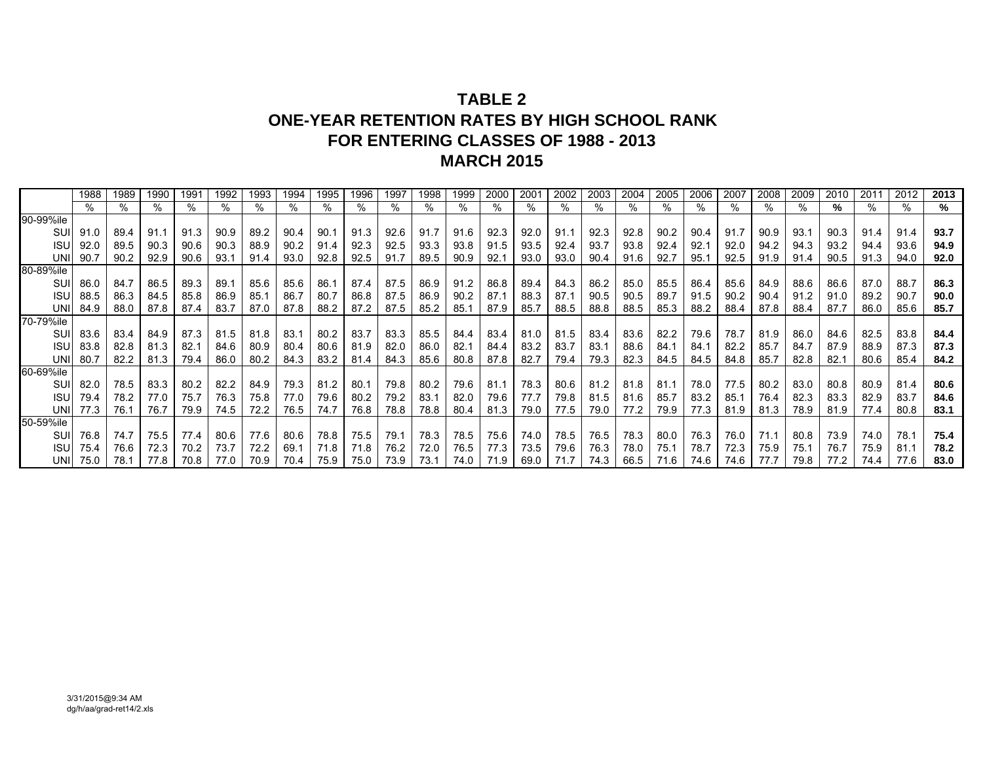# **TABLE 2ONE-YEAR RETENTION RATES BY HIGH SCHOOL RANK FOR ENTERING CLASSES OF 1988 - 2013MARCH 2015**

|            | 1988     | 1989 | 1990 | 1991 | 1992 | 1993 | 1994 | 1995 | 1996 | 1997 | 1998 | 1999 | 2000 | 200 <sup>7</sup> | 2002 | 2003 | 2004 | 2005 | 2006 | 2007 | 2008 | 2009 | 2010 | 201  | 2012 | 2013 |
|------------|----------|------|------|------|------|------|------|------|------|------|------|------|------|------------------|------|------|------|------|------|------|------|------|------|------|------|------|
|            |          | %    | %    |      | %    | %    |      | %    |      |      |      | ℅    |      |                  | %    | ℅    |      | %    | %    |      |      |      |      |      | %    | %    |
| 90-99%ile  |          |      |      |      |      |      |      |      |      |      |      |      |      |                  |      |      |      |      |      |      |      |      |      |      |      |      |
| SUI        | 91.0     | 89.4 | 91.1 | 91.3 | 90.9 | 89.2 | 90.4 | 90.7 | 91.3 | 92.6 | 91.7 | 91.6 | 92.3 | 92.0             | 91.1 | 92.3 | 92.8 | 90.2 | 90.4 | 91.7 | 90.9 | 93.7 | 90.3 | 91.4 | 91.4 | 93.7 |
| <b>ISU</b> | 92.0     | 89.5 | 90.3 | 90.6 | 90.3 | 88.9 | 90.2 | 91.4 | 92.3 | 92.5 | 93.3 | 93.8 | 91.5 | 93.5             | 92.4 | 93.7 | 93.8 | 92.4 | 92.1 | 92.0 | 94.2 | 94.3 | 93.2 | 94.4 | 93.6 | 94.9 |
| UNII       | 90.7     | 90.2 | 92.9 | 90.6 | 93.1 | 91.4 | 93.0 | 92.8 | 92.5 | 91.7 | 89.5 | 90.9 | 92.1 | 93.0             | 93.0 | 90.4 | 91.6 | 92.7 | 95.1 | 92.5 | 91.9 | 91.4 | 90.5 | 91.3 | 94.0 | 92.0 |
| 80-89%ile  |          |      |      |      |      |      |      |      |      |      |      |      |      |                  |      |      |      |      |      |      |      |      |      |      |      |      |
| SUI        | 86.0     | 84.7 | 86.5 | 89.3 | 89.1 | 85.6 | 85.6 | 86.7 | 87.4 | 87.5 | 86.9 | 91.2 | 86.8 | 89.4             | 84.3 | 86.2 | 85.0 | 85.5 | 86.4 | 85.6 | 84.9 | 88.6 | 86.6 | 87.0 | 88.7 | 86.3 |
| <b>ISU</b> | 88.5     | 86.3 | 84.5 | 85.8 | 86.9 | 85.1 | 86.7 | 80.7 | 86.8 | 87.5 | 86.9 | 90.2 | 87.7 | 88.3             | 87.1 | 90.5 | 90.5 | 89.7 | 91.5 | 90.2 | 90.4 | 91.2 | 91.0 | 89.2 | 90.7 | 90.0 |
| <b>UNI</b> | 84.9     | 88.0 | 87.8 | 87.4 | 83.7 | 87.0 | 87.8 | 88.2 | 87.2 | 87.5 | 85.2 | 85.1 | 87.9 | 85.7             | 88.5 | 88.8 | 88.5 | 85.3 | 88.2 | 88.4 | 87.8 | 88.4 | 87.7 | 86.0 | 85.6 | 85.7 |
| 70-79%ile  |          |      |      |      |      |      |      |      |      |      |      |      |      |                  |      |      |      |      |      |      |      |      |      |      |      |      |
| SUI        | 83.6     | 83.4 | 84.9 | 87.3 | 81.5 | 81.8 | 83.1 | 80.2 | 83.7 | 83.3 | 85.5 | 84.4 | 83.4 | 81.0             | 81.5 | 83.4 | 83.6 | 82.2 | 79.6 | 78.7 | 81.9 | 86.0 | 84.6 | 82.5 | 83.8 | 84.4 |
| <b>ISU</b> | 83.8     | 82.8 | 81.3 | 82.1 | 84.6 | 80.9 | 80.4 | 80.6 | 81.9 | 82.0 | 86.0 | 82.7 | 84.4 | 83.2             | 83.7 | 83.1 | 88.6 | 84.1 | 84.1 | 82.2 | 85.7 | 84.7 | 87.9 | 88.9 | 87.3 | 87.3 |
| UNI        | 80.7     | 82.2 | 81.3 | 79.4 | 86.0 | 80.2 | 84.3 | 83.2 | 81.4 | 84.3 | 85.6 | 80.8 | 87.8 | 82.7             | 79.4 | 79.3 | 82.3 | 84.5 | 84.5 | 84.8 | 85.7 | 82.8 | 82.1 | 80.6 | 85.4 | 84.2 |
| 60-69%ile  |          |      |      |      |      |      |      |      |      |      |      |      |      |                  |      |      |      |      |      |      |      |      |      |      |      |      |
| SUI        | 82.0     | 78.5 | 83.3 | 80.2 | 82.2 | 84.9 | 79.3 | 81.2 | 80.7 | 79.8 | 80.2 | 79.6 | 81.7 | 78.3             | 80.6 | 81.2 | 81.8 | 81.1 | 78.0 | 77.5 | 80.2 | 83.0 | 80.8 | 80.9 | 81.4 | 80.6 |
| <b>ISU</b> | 79.4     | 78.2 | 77.0 | 75.7 | 76.3 | 75.8 | 77.0 | 79.6 | 80.2 | 79.2 | 83.1 | 82.0 | 79.6 | 77.7             | 79.8 | 81.5 | 81.6 | 85.7 | 83.2 | 85.1 | 76.4 | 82.3 | 83.3 | 82.9 | 83.7 | 84.6 |
| UNI        | 77.3     | 76.1 | 76.7 | 79.9 | 74.5 | 72.2 | 76.5 | 74.7 | 76.8 | 78.8 | 78.8 | 80.4 | 81.3 | 79.0             | 77.5 | 79.0 | 77.2 | 79.9 | 77.3 | 81.9 | 81.3 | 78.9 | 81.9 | 77.4 | 80.8 | 83.1 |
| 50-59%ile  |          |      |      |      |      |      |      |      |      |      |      |      |      |                  |      |      |      |      |      |      |      |      |      |      |      |      |
| SUI        | 76.8     | 74.7 | 75.5 | 77.4 | 80.6 | 77.6 | 80.6 | 78.8 | 75.5 | 79.1 | 78.3 | 78.5 | 75.6 | 74.0             | 78.5 | 76.5 | 78.3 | 80.0 | 76.3 | 76.0 | 71.1 | 80.8 | 73.9 | 74.0 | 78.1 | 75.4 |
| <b>ISU</b> | 75.4     | 76.6 | 72.3 | 70.2 | 73.7 | 72.2 | 69.1 | 71.8 | 71.8 | 76.2 | 72.0 | 76.5 | 77.3 | 73.5             | 79.6 | 76.3 | 78.0 | 75.1 | 78.7 | 72.3 | 75.9 | 75.1 | 76.7 | 75.9 | 81.1 | 78.2 |
|            | UNI 75.0 | 78.1 | 77.8 | 70.8 | 77.0 | 70.9 | 70.4 | 75.9 | 75.0 | 73.9 | 73.1 | 74.0 | 71.9 | 69.0             |      | 74.3 | 66.5 | 71.6 | 74.6 | 74.6 | 77.7 | 79.8 |      | 74.4 | 77.6 | 83.0 |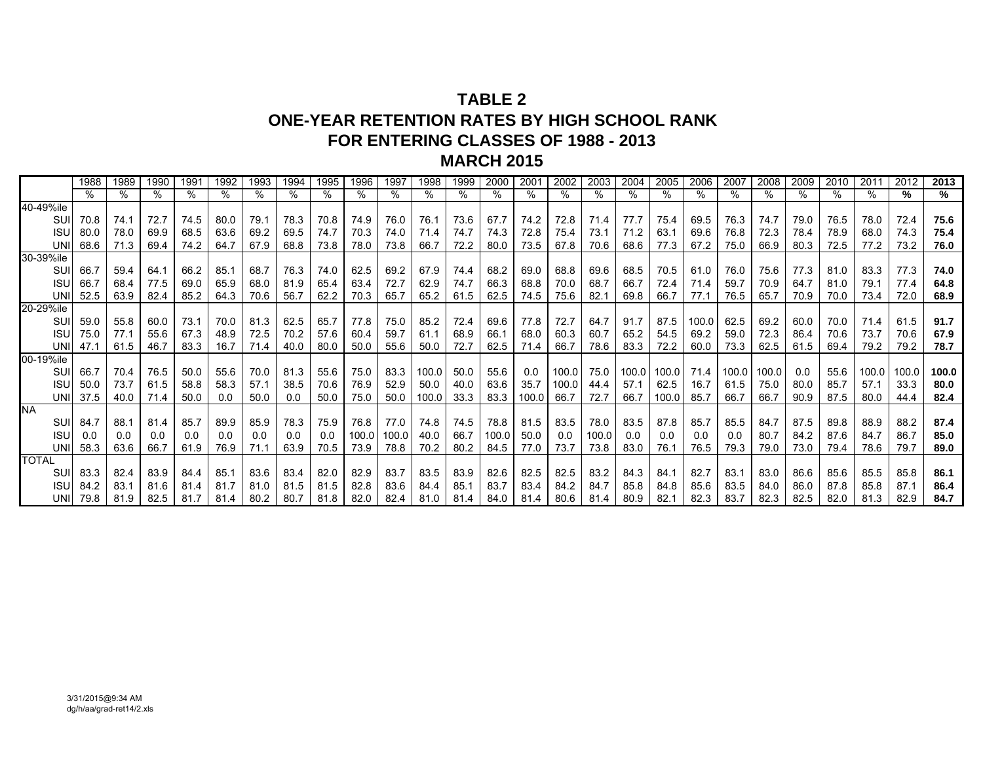## **TABLE 2ONE-YEAR RETENTION RATES BY HIGH SCHOOL RANKFOR ENTERING CLASSES OF 1988 - 2013MARCH 2015**

|              | 1988 | 1989 | 1990 | 1991 | 1992 | 1993 | 1994 | 1995 | 1996  | 1997  | 1998  | 1999 | 2000  | 2001  | 2002  | 2003  | 2004  | 2005  | 2006  | 2007  | 2008  | 2009 | 2010 | 201'  | 2012  | 2013  |
|--------------|------|------|------|------|------|------|------|------|-------|-------|-------|------|-------|-------|-------|-------|-------|-------|-------|-------|-------|------|------|-------|-------|-------|
|              |      | %    | ℅    |      | %    | ℅    |      | ℅    | %     | %     | $\%$  | %    | %     |       | %     | %     |       | %     | %     |       | %     | $\%$ | ℅    | %     | %     | %     |
| 40-49%ile    |      |      |      |      |      |      |      |      |       |       |       |      |       |       |       |       |       |       |       |       |       |      |      |       |       |       |
| SUI          | 70.8 | 74.1 | 72.7 | 74.5 | 80.0 | 79.1 | 78.3 | 70.8 | 74.9  | 76.0  | 76.1  | 73.6 | 67.7  | 74.2  | 72.8  | 71.4  | 77.7  | 75.4  | 69.5  | 76.3  | 74.7  | 79.0 | 76.5 | 78.0  | 72.4  | 75.6  |
| <b>ISU</b>   | 80.0 | 78.0 | 69.9 | 68.5 | 63.6 | 69.2 | 69.5 | 74.7 | 70.3  | 74.0  | 71.4  | 74.7 | 74.3  | 72.8  | 75.4  | 73.1  | 71.2  | 63.1  | 69.6  | 76.8  | 72.3  | 78.4 | 78.9 | 68.0  | 74.3  | 75.4  |
| <b>UNI</b>   | 68.6 | 71.3 | 69.4 | 74.2 | 64.7 | 67.9 | 68.8 | 73.8 | 78.0  | 73.8  | 66.7  | 72.2 | 80.0  | 73.5  | 67.8  | 70.6  | 68.6  | 77.3  | 67.2  | 75.0  | 66.9  | 80.3 | 72.5 | 77.2  | 73.2  | 76.0  |
| 30-39%ile    |      |      |      |      |      |      |      |      |       |       |       |      |       |       |       |       |       |       |       |       |       |      |      |       |       |       |
| SUI          | 66.7 | 59.4 | 64.1 | 66.2 | 85.1 | 68.7 | 76.3 | 74.0 | 62.5  | 69.2  | 67.9  | 74.4 | 68.2  | 69.0  | 68.8  | 69.6  | 68.5  | 70.5  | 61.0  | 76.0  | 75.6  | 77.3 | 81.0 | 83.3  | 77.3  | 74.0  |
| <b>ISU</b>   | 66.7 | 68.4 | 77.5 | 69.0 | 65.9 | 68.0 | 81.9 | 65.4 | 63.4  | 72.7  | 62.9  | 74.7 | 66.3  | 68.8  | 70.0  | 68.7  | 66.7  | 72.4  | 71.4  | 59.7  | 70.9  | 64.7 | 81.0 | 79.1  | 77.4  | 64.8  |
| <b>UNI</b>   | 52.5 | 63.9 | 82.4 | 85.2 | 64.3 | 70.6 | 56.7 | 62.2 | 70.3  | 65.7  | 65.2  | 61.5 | 62.5  | 74.5  | 75.6  | 82.1  | 69.8  | 66.7  | 77.1  | 76.5  | 65.7  | 70.9 | 70.0 | 73.4  | 72.0  | 68.9  |
| 20-29%ile    |      |      |      |      |      |      |      |      |       |       |       |      |       |       |       |       |       |       |       |       |       |      |      |       |       |       |
| SUI          | 59.0 | 55.8 | 60.0 | 73.1 | 70.0 | 81.3 | 62.5 | 65.7 | 77.8  | 75.0  | 85.2  | 72.4 | 69.6  | 77.8  | 72.7  | 64.7  | 91.7  | 87.5  | 100.0 | 62.5  | 69.2  | 60.0 | 70.0 | 71.4  | 61.5  | 91.7  |
| <b>ISU</b>   | 75.0 | 77.1 | 55.6 | 67.3 | 48.9 | 72.5 | 70.2 | 57.6 | 60.4  | 59.7  | 61.1  | 68.9 | 66.1  | 68.0  | 60.3  | 60.7  | 65.2  | 54.5  | 69.2  | 59.0  | 72.3  | 86.4 | 70.6 | 73.7  | 70.6  | 67.9  |
| <b>UNI</b>   | 47.1 | 61.5 | 46.7 | 83.3 | 16.7 | 71.4 | 40.0 | 80.0 | 50.0  | 55.6  | 50.0  | 72.7 | 62.5  | 71.4  | 66.7  | 78.6  | 83.3  | 72.2  | 60.0  | 73.3  | 62.5  | 61.5 | 69.4 | 79.2  | 79.2  | 78.7  |
| 00-19%ile    |      |      |      |      |      |      |      |      |       |       |       |      |       |       |       |       |       |       |       |       |       |      |      |       |       |       |
| SUI          | 66.7 | 70.4 | 76.5 | 50.0 | 55.6 | 70.0 | 81.3 | 55.6 | 75.0  | 83.3  | 100.0 | 50.0 | 55.6  | 0.0   | 100.0 | 75.0  | 100.0 | 100.0 | 71.4  | 100.0 | 100.0 | 0.0  | 55.6 | 100.0 | 100.0 | 100.0 |
| <b>ISU</b>   | 50.0 | 73.7 | 61.5 | 58.8 | 58.3 | 57.1 | 38.5 | 70.6 | 76.9  | 52.9  | 50.0  | 40.0 | 63.6  | 35.7  | 100.0 | 44.4  | 57.1  | 62.5  | 16.7  | 61.5  | 75.0  | 80.0 | 85.7 | 57.1  | 33.3  | 80.0  |
| <b>UNI</b>   | 37.5 | 40.0 | 71.4 | 50.0 | 0.0  | 50.0 | 0.0  | 50.0 | 75.0  | 50.0  | 100.0 | 33.3 | 83.3  | 100.0 | 66.7  | 72.7  | 66.7  | 100.0 | 85.7  | 66.7  | 66.7  | 90.9 | 87.5 | 80.0  | 44.4  | 82.4  |
| <b>NA</b>    |      |      |      |      |      |      |      |      |       |       |       |      |       |       |       |       |       |       |       |       |       |      |      |       |       |       |
| SUI          | 84.7 | 88.1 | 81.4 | 85.7 | 89.9 | 85.9 | 78.3 | 75.9 | 76.8  | 77.0  | 74.8  | 74.5 | 78.8  | 81.5  | 83.5  | 78.0  | 83.5  | 87.8  | 85.7  | 85.5  | 84.7  | 87.5 | 89.8 | 88.9  | 88.2  | 87.4  |
| <b>ISU</b>   | 0.0  | 0.0  | 0.0  | 0.0  | 0.0  | 0.0  | 0.0  | 0.0  | 100.0 | 100.0 | 40.0  | 66.7 | 100.0 | 50.0  | 0.0   | 100.0 | 0.0   | 0.0   | 0.0   | 0.0   | 80.7  | 84.2 | 87.6 | 84.7  | 86.7  | 85.0  |
| <b>UNI</b>   | 58.3 | 63.6 | 66.7 | 61.9 | 76.9 | 71.1 | 63.9 | 70.5 | 73.9  | 78.8  | 70.2  | 80.2 | 84.5  | 77.0  | 73.7  | 73.8  | 83.0  | 76.1  | 76.5  | 79.3  | 79.0  | 73.0 | 79.4 | 78.6  | 79.7  | 89.0  |
| <b>TOTAL</b> |      |      |      |      |      |      |      |      |       |       |       |      |       |       |       |       |       |       |       |       |       |      |      |       |       |       |
| SUI          | 83.3 | 82.4 | 83.9 | 84.4 | 85.1 | 83.6 | 83.4 | 82.0 | 82.9  | 83.7  | 83.5  | 83.9 | 82.6  | 82.5  | 82.5  | 83.2  | 84.3  | 84.1  | 82.7  | 83.1  | 83.0  | 86.6 | 85.6 | 85.5  | 85.8  | 86.1  |
| <b>ISU</b>   | 84.2 | 83.1 | 81.6 | 81.4 | 81.7 | 81.0 | 81.5 | 81.5 | 82.8  | 83.6  | 84.4  | 85.1 | 83.7  | 83.4  | 84.2  | 84.7  | 85.8  | 84.8  | 85.6  | 83.5  | 84.0  | 86.0 | 87.8 | 85.8  | 87.1  | 86.4  |
| UNI          | 79.8 | 81.9 | 82.5 | 81.7 | 81.4 | 80.2 | 80.7 | 81.8 | 82.0  | 82.4  | 81.0  | 81.4 | 84.0  | 81.4  | 80.6  | 81.4  | 80.9  | 82.7  | 82.3  | 83.7  | 82.3  | 82.5 | 82.0 | 81.3  | 82.9  | 84.7  |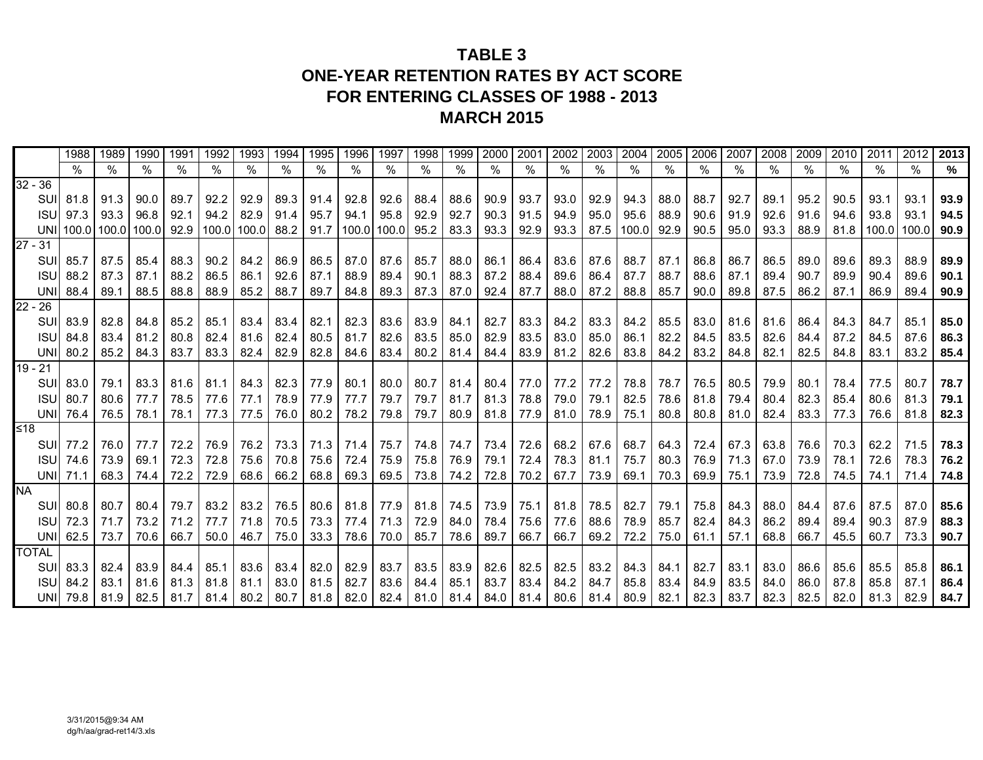# **TABLE 3ONE-YEAR RETENTION RATES BY ACT SCORE FOR ENTERING CLASSES OF 1988 - 2013 MARCH 2015**

|              | 1988                                   | 1989 | 1990 | 1991      | 1992           | 1993                      | 1994 | 1995           | 1996 | 1997           | 1998                                                                | 1999           | 2000           | 2001      | 2002           | 2003           | 2004                                              | 2005 | 2006                | 2007 | 2008                     | 2009      | 2010      | 2011 | 2012                                                                                                                         | 2013 |
|--------------|----------------------------------------|------|------|-----------|----------------|---------------------------|------|----------------|------|----------------|---------------------------------------------------------------------|----------------|----------------|-----------|----------------|----------------|---------------------------------------------------|------|---------------------|------|--------------------------|-----------|-----------|------|------------------------------------------------------------------------------------------------------------------------------|------|
|              | $\%$                                   | %    | %    | $\%$      | %              | $\%$                      | %    | %              | %    | %              | %                                                                   | $\%$           | $\%$           | $\%$      | $\%$           | %              | %                                                 | %    | %                   | $\%$ | $\overline{\frac{9}{6}}$ | $\%$      | $\%$      | %    | %                                                                                                                            | $\%$ |
| $32 - 36$    |                                        |      |      |           |                |                           |      |                |      |                |                                                                     |                |                |           |                |                |                                                   |      |                     |      |                          |           |           |      |                                                                                                                              |      |
|              | SUI 81.8                               | 91.3 | 90.0 | 89.7      | 92.2           | 92.9                      | 89.3 | 91.4           | 92.8 | 92.6           |                                                                     | 88.4 88.6      | 90.9           | 93.7      | 93.0           | 92.9           | 94.3                                              | 88.0 | 88.7                | 92.7 | 89.1                     | 95.2      | 90.5      | 93.1 | 93.1                                                                                                                         | 93.9 |
|              | <b>ISU</b> 97.3                        | 93.3 | 96.8 | 92.1      |                | $94.2$ 82.9               | 91.4 | 95.7           | 94.1 | 95.8           | 92.9                                                                | 92.7           | 90.3           | 91.5      | 94.9           | 95.0           | 95.6                                              | 88.9 | 90.6 91.9           |      | 92.6                     | 91.6      | 94.6      | 93.8 | 93.1                                                                                                                         | 94.5 |
|              | UNI 100.0 100.0 100.0 92.9 100.0 100.0 |      |      |           |                |                           |      |                |      |                | 88.2 91.7 100.0 100.0 95.2 83.3 93.3                                |                |                |           |                |                | $92.9$   93.3   87.5   100.0   92.9   90.5   95.0 |      |                     |      | 93.3                     | 88.9      |           |      | 81.8   100.0   100.0                                                                                                         | 90.9 |
| $27 - 31$    |                                        |      |      |           |                |                           |      |                |      |                |                                                                     |                |                |           |                |                |                                                   |      |                     |      |                          |           |           |      |                                                                                                                              |      |
|              | SUI 85.7                               | 87.5 | 85.4 | 88.3      | 90.2           | 84.2                      | 86.9 | 86.5           | 87.0 | 87.6           | 85.7                                                                | 88.0 86.1      |                | 86.4      |                | 83.6 87.6      | 88.7                                              | 87.1 | 86.8 86.7           |      | 86.5                     | 89.0      | 89.6      | 89.3 | 88.9                                                                                                                         | 89.9 |
|              | <b>ISU</b> 88.2                        | 87.3 | 87.1 | 88.2      | 86.5           | 86.1                      | 92.6 | 87.1           | 88.9 | 89.4           | 90.1                                                                | 88.3 87.2      |                | 88.4      | 89.6           | 86.4           | 87.7                                              | 88.7 | 88.6                | 87.1 | 89.4                     | 90.7      | 89.9      | 90.4 | 89.6                                                                                                                         | 90.1 |
|              | <b>UNI</b> 88.4                        | 89.1 | 88.5 | 88.8      |                | 88.9 85.2                 | 88.7 | 89.7           | 84.8 | 89.3           | 87.3                                                                |                | 87.0 92.4      | 87.7      |                | 88.0 87.2      | 88.8                                              | 85.7 |                     |      | $90.0$ 89.8 87.5         | 86.2      | 87.1      | 86.9 | 89.4                                                                                                                         | 90.9 |
| $22 - 26$    |                                        |      |      |           |                |                           |      |                |      |                |                                                                     |                |                |           |                |                |                                                   |      |                     |      |                          |           |           |      |                                                                                                                              |      |
|              | SUI 83.9                               | 82.8 | 84.8 | 85.2      | 85.1           | 83.4                      |      | 83.4 82.1      | 82.3 | 83.6           |                                                                     | 83.9 84.1 82.7 |                | 83.3      |                | 84.2 83.3      | 84.2                                              |      | 85.5 83.0 81.6      |      | 81.6                     | 86.4      | 84.3      | 84.7 | 85.1                                                                                                                         | 85.0 |
|              | <b>ISU</b> 84.8                        | 83.4 | 81.2 | 80.8      | 82.4           | 81.6                      | 82.4 | 80.5           | 81.7 | 82.6           |                                                                     | 83.5 85.0      | 82.9           | 83.5      | 83.0           | 85.0           | 86.1                                              | 82.2 | 84.5                | 83.5 | 82.6                     | 84.4      | 87.2      | 84.5 | 87.6                                                                                                                         | 86.3 |
|              | UNI 80.2                               | 85.2 | 84.3 | 83.7      | 83.3           | 82.4                      | 82.9 | 82.8           | 84.6 | 83.4           |                                                                     |                | 80.2 81.4 84.4 | 83.9      | 81.2           | 82.6           | 83.8                                              | 84.2 | 83.2                | 84.8 | 82.1                     | 82.5      | 84.8      | 83.1 | 83.2                                                                                                                         | 85.4 |
| $19 - 21$    |                                        |      |      |           |                |                           |      |                |      |                |                                                                     |                |                |           |                |                |                                                   |      |                     |      |                          |           |           |      |                                                                                                                              |      |
|              | SUI 83.0                               | 79.1 |      |           |                | 83.3   81.6   81.1   84.3 |      | 82.3 77.9 80.1 |      |                | 80.0   80.7   81.4   80.4   77.0   77.2   77.2                      |                |                |           |                |                |                                                   |      | 78.8 78.7 76.5 80.5 |      | 79.9                     | 80.1      | 78.4      | 77.5 | 80.7                                                                                                                         | 78.7 |
|              | <b>ISU</b> 80.7                        | 80.6 | 77.7 |           | 78.5 77.6 77.1 |                           |      | 78.9 77.9      | 77.7 | 79.7           | 79.7                                                                | 81.7           |                | 81.3 78.8 |                | 79.0 79.1      | 82.5                                              |      | 78.6 81.8           | 79.4 | 80.4                     | 82.3      | 85.4      | 80.6 | 81.3                                                                                                                         | 79.1 |
|              | UNI 76.4                               | 76.5 | 78.1 |           | 78.1 77.3 77.5 |                           |      | 76.0 80.2      |      | 78.2 79.8 79.7 |                                                                     |                |                |           |                |                | 80.9 81.8 77.9 81.0 78.9 75.1                     |      | 80.8 80.8 81.0 82.4 |      |                          | 83.3      | 77.3      | 76.6 | 81.8                                                                                                                         | 82.3 |
| ≤18          |                                        |      |      |           |                |                           |      |                |      |                |                                                                     |                |                |           |                |                |                                                   |      |                     |      |                          |           |           |      |                                                                                                                              |      |
|              | SUI <b>I</b> 77.2                      | 76.0 | 77.7 |           |                | 72.2   76.9   76.2        |      | 73.3 71.3 71.4 |      |                | 75.7 74.8 74.7 73.4                                                 |                |                | 72.6      |                | 68.2 67.6      |                                                   |      | 68.7 64.3 72.4 67.3 |      | 63.8                     | 76.6      | 70.3      | 62.2 | 71.5                                                                                                                         | 78.3 |
|              | <b>ISU</b> 74.6                        | 73.9 | 69.1 | 72.3      | 72.8           | 75.6                      |      | 70.8 75.6      | 72.4 | 75.9           |                                                                     |                | 75.8 76.9 79.1 |           | 72.4 78.3 81.1 |                | 75.7                                              |      | 80.3 76.9 71.3      |      | 67.0                     | 73.9      | 78.1      | 72.6 | 78.3                                                                                                                         | 76.2 |
|              | UNI 71.1                               | 68.3 |      |           |                | 74.4 72.2 72.9 68.6       | 66.2 | 68.8           | 69.3 | 69.5           |                                                                     |                |                |           |                |                | 73.8   74.2   72.8   70.2   67.7   73.9   69.1    |      | 70.3 69.9 75.1      |      |                          | 73.9 72.8 | 74.5 74.1 |      | 71.4                                                                                                                         | 74.8 |
| <b>NA</b>    |                                        |      |      |           |                |                           |      |                |      |                |                                                                     |                |                |           |                |                |                                                   |      |                     |      |                          |           |           |      |                                                                                                                              |      |
|              | SUI 80.8                               | 80.7 |      | 80.4 79.7 |                | $83.2$ 83.2               |      |                |      |                | 76.5   80.6   81.8   77.9   81.8   74.5   73.9   75.1   81.8   78.5 |                |                |           |                |                |                                                   |      | 82.7 79.1 75.8 84.3 |      | 88.0                     | 84.4      | 87.6      | 87.5 | 87.0                                                                                                                         | 85.6 |
|              | <b>ISU</b> 72.3                        | 71.7 | 73.2 | 71.2      | 77.7           | 71.8                      |      | 70.5 73.3      | 77.4 | 71.3           | 72.9                                                                |                | 84.0 78.4      |           |                | 75.6 77.6 88.6 | 78.9                                              | 85.7 | 82.4                | 84.3 | 86.2                     | 89.4      | 89.4      | 90.3 | 87.9                                                                                                                         | 88.3 |
|              | UNI $\mid$ 62.5                        | 73.7 | 70.6 | 66.7      |                | $50.0$ 46.7               | 75.0 | 33.3           |      | 78.6 70.0 85.7 |                                                                     |                | 78.6 89.7      | 66.7      |                |                | 66.7 69.2 72.2                                    |      | 75.0 61.1 57.1      |      | 68.8                     | 66.7      | 45.5 60.7 |      | 73.3                                                                                                                         | 90.7 |
| <b>TOTAL</b> |                                        |      |      |           |                |                           |      |                |      |                |                                                                     |                |                |           |                |                |                                                   |      |                     |      |                          |           |           |      |                                                                                                                              |      |
|              | SUI 83.3                               | 82.4 | 83.9 | 84.4      |                | 85.1 83.6                 |      | 83.4 82.0 82.9 |      |                | 83.7 83.5 83.9 82.6                                                 |                |                |           |                |                | 82.5   82.5   83.2   84.3   84.1   82.7   83.1    |      |                     |      | 83.0                     | 86.6      | 85.6      | 85.5 | 85.8                                                                                                                         | 86.1 |
|              | <b>ISU</b> 84.2                        | 83.1 |      |           |                | 81.6 81.3 81.8 81.1       |      | 83.0 81.5      | 82.7 |                | $83.6$ 84.4 85.1 83.7                                               |                |                |           |                | 83.4 84.2 84.7 |                                                   |      | 85.8 83.4 84.9 83.5 |      | 84.0                     | 86.0      | 87.8      | 85.8 | 87.1                                                                                                                         | 86.4 |
|              | UNI 79.8                               |      |      |           |                |                           |      |                |      |                |                                                                     |                |                |           |                |                |                                                   |      |                     |      |                          |           |           |      | 81.9 82.5 81.7 81.4 80.2 80.7 81.8 82.0 82.4 81.0 81.4 84.0 81.4 80.6 81.4 80.9 82.1 82.3 83.7 82.3 82.5 82.0 81.3 82.9 84.7 |      |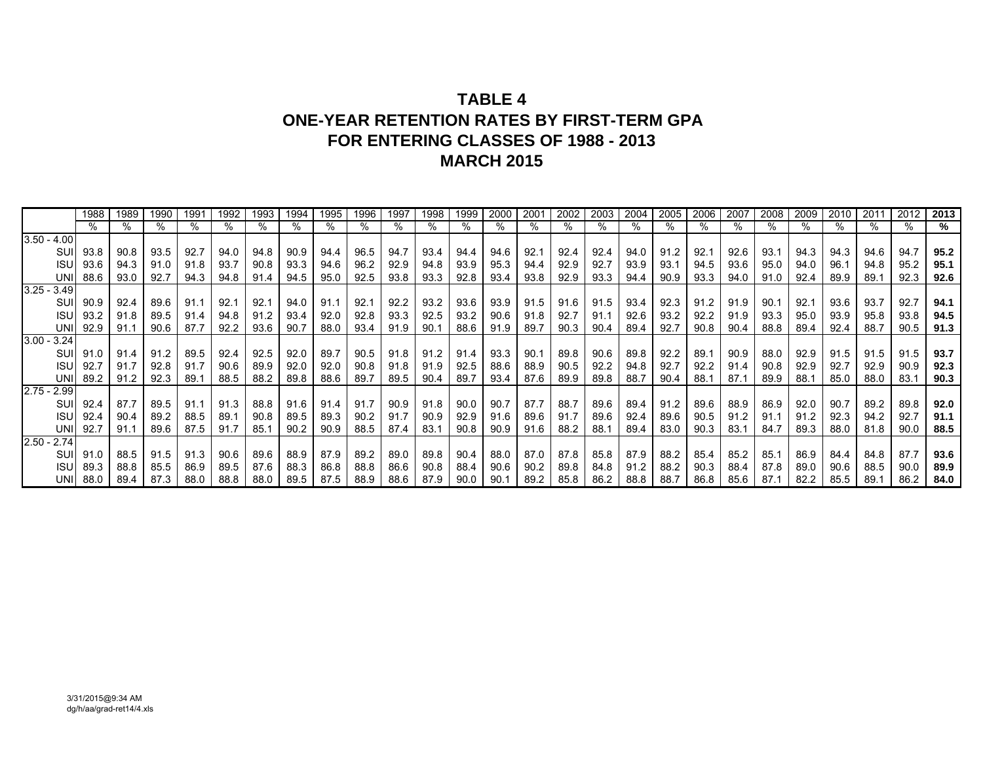# **TABLE 4ONE-YEAR RETENTION RATES BY FIRST-TERM GPAFOR ENTERING CLASSES OF 1988 - 2013MARCH 2015**

|               | 1988 | 1989 | 1990 | 1991 | 1992 | 1993 | 1994 | 1995 | 1996 | 1997 | 1998 | 1999 | 2000 | 2001 | 2002 | 2003 | 2004 | 2005 | 2006 | 2007 | 2008 | 2009 | 2010 | 2011 | 2012 | 2013 |
|---------------|------|------|------|------|------|------|------|------|------|------|------|------|------|------|------|------|------|------|------|------|------|------|------|------|------|------|
|               |      | ℅    | %    |      |      |      | %    |      | %    |      |      |      | %    |      |      | %    | %    |      | %    | %    |      |      | $\%$ | %    |      | ℅    |
| $3.50 - 4.00$ |      |      |      |      |      |      |      |      |      |      |      |      |      |      |      |      |      |      |      |      |      |      |      |      |      |      |
| SUI           | 93.8 | 90.8 | 93.5 | 92.7 | 94.0 | 94.8 | 90.9 | 94.4 | 96.5 | 94.7 | 93.4 | 94.4 | 94.6 | 92.1 | 92.4 | 92.4 | 94.0 | 91.2 | 92.1 | 92.6 | 93.7 | 94.3 | 94.3 | 94.6 | 94.7 | 95.2 |
| ISU           | 93.6 | 94.3 | 91.0 | 91.8 | 93.7 | 90.8 | 93.3 | 94.6 | 96.2 | 92.9 | 94.8 | 93.9 | 95.3 | 94.4 | 92.9 | 92.7 | 93.9 | 93.1 | 94.5 | 93.6 | 95.0 | 94.0 | 96.1 | 94.8 | 95.2 | 95.1 |
| <b>UNI</b>    | 88.6 | 93.0 | 92.7 | 94.3 | 94.8 | 91.4 | 94.5 | 95.0 | 92.5 | 93.8 | 93.3 | 92.8 | 93.4 | 93.8 | 92.9 | 93.3 | 94.4 | 90.9 | 93.3 | 94.0 | 91.0 | 92.4 | 89.9 | 89.1 | 92.3 | 92.6 |
| $3.25 - 3.49$ |      |      |      |      |      |      |      |      |      |      |      |      |      |      |      |      |      |      |      |      |      |      |      |      |      |      |
| SUI           | 90.9 | 92.4 | 89.6 | 91.1 | 92.1 | 92.1 | 94.0 | 91.1 | 92.1 | 92.2 | 93.2 | 93.6 | 93.9 | 91.5 | 91.6 | 91.5 | 93.4 | 92.3 | 91.2 | 91.9 | .90  | 92.1 | 93.6 | 93.7 | 92.7 | 94.1 |
| ISU           | 93.2 | 91.8 | 89.5 | 91.4 | 94.8 | 91.2 | 93.4 | 92.0 | 92.8 | 93.3 | 92.5 | 93.2 | 90.6 | 91.8 | 92.7 | 91.1 | 92.6 | 93.2 | 92.2 | 91.9 | 93.3 | 95.0 | 93.9 | 95.8 | 93.8 | 94.5 |
| UNI           | 92.9 | 91.1 | 90.6 | 87.7 | 92.2 | 93.6 | 90.7 | 88.0 | 93.4 | 91.9 | 90.1 | 88.6 | 91.9 | 89.7 | 90.3 | 90.4 | 89.4 | 92.7 | 90.8 | 90.4 | 88.8 | 89.4 | 92.4 | 88.7 | 90.5 | 91.3 |
| $3.00 - 3.24$ |      |      |      |      |      |      |      |      |      |      |      |      |      |      |      |      |      |      |      |      |      |      |      |      |      |      |
| SUI           | 91.0 | 91.4 | 91.2 | 89.5 | 92.4 | 92.5 | 92.0 | 89.7 | 90.5 | 91.8 | 91.2 | 91.4 | 93.3 | 90.1 | 89.8 | 90.6 | 89.8 | 92.2 | 89.1 | 90.9 | 88.0 | 92.9 | 91.5 | 91.5 | 91.5 | 93.7 |
| <b>ISU</b>    | 92.7 | 91.7 | 92.8 | 91.7 | 90.6 | 89.9 | 92.0 | 92.0 | 90.8 | 91.8 | 91.9 | 92.5 | 88.6 | 88.9 | 90.5 | 92.2 | 94.8 | 92.7 | 92.2 | 91.4 | 90.8 | 92.9 | 92.7 | 92.9 | 90.9 | 92.3 |
| <b>UNI</b>    | 89.2 | 91.2 | 92.3 | 89.1 | 88.5 | 88.2 | 89.8 | 88.6 | 89.7 | 89.5 | 90.4 | 89.7 | 93.4 | 87.6 | 89.9 | 89.8 | 88.7 | 90.4 | 88.1 | 87.1 | 89.9 | 88.1 | 85.0 | 88.0 | 83.1 | 90.3 |
| $2.75 - 2.99$ |      |      |      |      |      |      |      |      |      |      |      |      |      |      |      |      |      |      |      |      |      |      |      |      |      |      |
| SUI           | 92.4 | 87.7 | 89.5 | 91.1 | 91.3 | 88.8 | 91.6 | 91.4 | 91.7 | 90.9 | 91.8 | 90.0 | 90.7 | 87.7 | 88.7 | 89.6 | 89.4 | 91.2 | 89.6 | 88.9 | 86.9 | 92.0 | 90.7 | 89.2 | 89.8 | 92.0 |
| <b>ISU</b>    | 92.4 | 90.4 | 89.2 | 88.5 | 89.1 | 90.8 | 89.5 | 89.3 | 90.2 | 91.7 | 90.9 | 92.9 | 91.6 | 89.6 | 91.7 | 89.6 | 92.4 | 89.6 | 90.5 | 91.2 | 91.1 | 91.2 | 92.3 | 94.2 | 92.7 | 91.1 |
| UNI           | 92.7 | 91.1 | 89.6 | 87.5 | 91.7 | 85.1 | 90.2 | 90.9 | 88.5 | 87.4 | 83.1 | 90.8 | 90.9 | 91.6 | 88.2 | 88.1 | 89.4 | 83.0 | 90.3 | 83.1 | 84.7 | 89.3 | 88.0 | 81.8 | 90.0 | 88.5 |
| $2.50 - 2.74$ |      |      |      |      |      |      |      |      |      |      |      |      |      |      |      |      |      |      |      |      |      |      |      |      |      |      |
| SUI           | 91.0 | 88.5 | 91.5 | 91.3 | 90.6 | 89.6 | 88.9 | 87.9 | 89.2 | 89.0 | 89.8 | 90.4 | 88.0 | 87.0 | 87.8 | 85.8 | 87.9 | 88.2 | 85.4 | 85.2 | 85.7 | 86.9 | 84.4 | 84.8 | 87.7 | 93.6 |
| <b>ISU</b>    | 89.3 | 88.8 | 85.5 | 86.9 | 89.5 | 87.6 | 88.3 | 86.8 | 88.8 | 86.6 | 90.8 | 88.4 | 90.6 | 90.2 | 89.8 | 84.8 | 91.2 | 88.2 | 90.3 | 88.4 | 87.8 | 89.0 | 90.6 | 88.5 | 90.0 | 89.9 |
| UNII          | 88.0 | 89.4 | 87.3 | 88.0 | 88.8 | 88.0 | 89.5 | 87.5 | 88.9 | 88.6 | 87.9 | 90.0 | 90.1 | 89.2 | 85.8 | 86.2 | 88.8 | 88.7 | 86.8 | 85.6 | 87.1 | 82.2 | 85.5 | 89.1 | 86.2 | 84.0 |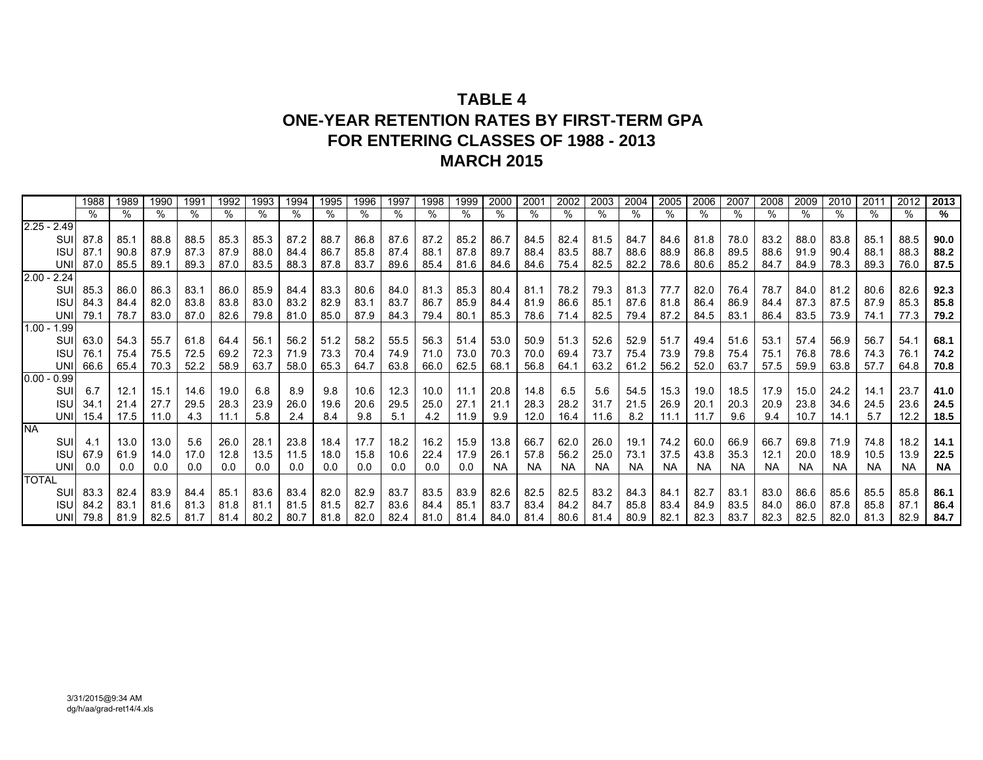# **TABLE 4ONE-YEAR RETENTION RATES BY FIRST-TERM GPAFOR ENTERING CLASSES OF 1988 - 2013MARCH 2015**

|                  | 1988 | 1989 | 1990 | 1991 | 1992 | 1993 | 1994 | 1995 | 1996 | 1997 | 1998 | 1999 | 2000      | 2001      | 2002      | 2003 | 2004      | 2005 | 2006      | 2007      | 2008 | 2009      | 2010 | 2011      | 2012      | 2013      |
|------------------|------|------|------|------|------|------|------|------|------|------|------|------|-----------|-----------|-----------|------|-----------|------|-----------|-----------|------|-----------|------|-----------|-----------|-----------|
|                  |      | %    |      |      | $\%$ | %    | %    | $\%$ | %    | %    |      | %    | ℅         |           |           | %    | ℅         |      | %         |           |      | %         |      | ℅         |           | %         |
| $2.25 - 2.49$    |      |      |      |      |      |      |      |      |      |      |      |      |           |           |           |      |           |      |           |           |      |           |      |           |           |           |
| SUI              | 87.8 | 85.1 | 88.8 | 88.5 | 85.3 | 85.3 | 87.2 | 88.7 | 86.8 | 87.6 | 87.2 | 85.2 | 86.7      | 84.5      | 82.4      | 81.5 | 84.7      | 84.6 | 81.8      | 78.0      | 83.2 | 88.0      | 83.8 | 85.1      | 88.5      | 90.0      |
| <b>ISU</b>       | 87.1 | 90.8 | 87.9 | 87.3 | 87.9 | 88.0 | 84.4 | 86.7 | 85.8 | 87.4 | 88.1 | 87.8 | 89.7      | 88.4      | 83.5      | 88.7 | 88.6      | 88.9 | 86.8      | 89.5      | 88.6 | 91.9      | 90.4 | 88.1      | 88.3      | 88.2      |
| <b>UN</b>        | 87.0 | 85.5 | 89.1 | 89.3 | 87.0 | 83.5 | 88.3 | 87.8 | 83.7 | 89.6 | 85.4 | 81.6 | 84.6      | 84.6      | 75.4      | 82.5 | 82.2      | 78.6 | 80.6      | 85.2      | 84.7 | 84.9      | 78.3 | 89.3      | 76.0      | 87.5      |
| $2.00 - 2.24$    |      |      |      |      |      |      |      |      |      |      |      |      |           |           |           |      |           |      |           |           |      |           |      |           |           |           |
| SUI              | 85.3 | 86.0 | 86.3 | 83.1 | 86.0 | 85.9 | 84.4 | 83.3 | 80.6 | 84.0 | 81.3 | 85.3 | 80.4      | 81.1      | 78.2      | 79.3 | 81.3      | 77.7 | 82.0      | 76.4      | 78.7 | 84.0      | 81.2 | 80.6      | 82.6      | 92.3      |
| <b>ISU</b>       | 84.3 | 84.4 | 82.0 | 83.8 | 83.8 | 83.0 | 83.2 | 82.9 | 83.1 | 83.7 | 86.7 | 85.9 | 84.4      | 81.9      | 86.6      | 85.1 | 87.6      | 81.8 | 86.4      | 86.9      | 84.4 | 87.3      | 87.5 | 87.9      | 85.3      | 85.8      |
| UNI              | 79.1 | 78.7 | 83.0 | 87.0 | 82.6 | 79.8 | 81.0 | 85.0 | 87.9 | 84.3 | 79.4 | 80.1 | 85.3      | 78.6      | 71.4      | 82.5 | 79.4      | 87.2 | 84.5      | 83.1      | 86.4 | 83.5      | 73.9 | 74.1      | 77.3      | 79.2      |
| $1.00 -$<br>1.99 |      |      |      |      |      |      |      |      |      |      |      |      |           |           |           |      |           |      |           |           |      |           |      |           |           |           |
| SUII             | 63.0 | 54.3 | 55.7 | 61.8 | 64.4 | 56.1 | 56.2 | 51.2 | 58.2 | 55.5 | 56.3 | 51.4 | 53.0      | 50.9      | 51.3      | 52.6 | 52.9      | 51.7 | 49.4      | 51.6      | 53.1 | 57.4      | 56.9 | 56.7      | 54.1      | 68.1      |
| ISU              | 76.7 | 75.4 | 75.5 | 72.5 | 69.2 | 72.3 | 71.9 | 73.3 | 70.4 | 74.9 | 71.0 | 73.0 | 70.3      | 70.0      | 69.4      | 73.7 | 75.4      | 73.9 | 79.8      | 75.4      | 75.1 | 76.8      | 78.6 | 74.3      | 76.1      | 74.2      |
| UNI              | 66.6 | 65.4 | 70.3 | 52.2 | 58.9 | 63.7 | 58.0 | 65.3 | 64.7 | 63.8 | 66.0 | 62.5 | 68.1      | 56.8      | 64.1      | 63.2 | 61.2      | 56.2 | 52.0      | 63.7      | 57.5 | 59.9      | 63.8 | 57.7      | 64.8      | 70.8      |
| $0.00 - 0.99$    |      |      |      |      |      |      |      |      |      |      |      |      |           |           |           |      |           |      |           |           |      |           |      |           |           |           |
| SUI              | 6.7  | 12.1 | 15.1 | 14.6 | 19.0 | 6.8  | 8.9  | 9.8  | 10.6 | 12.3 | 10.0 | 11.1 | 20.8      | 14.8      | 6.5       | 5.6  | 54.5      | 15.3 | 19.0      | 18.5      | 17.9 | 15.0      | 24.2 | 14.1      | 23.7      | 41.0      |
| <b>ISU</b>       | 34.1 | 21.4 | 27.7 | 29.5 | 28.3 | 23.9 | 26.0 | 19.6 | 20.6 | 29.5 | 25.0 | 27.1 | 21.1      | 28.3      | 28.2      | 31.7 | 21.5      | 26.9 | 20.1      | 20.3      | 20.9 | 23.8      | 34.6 | 24.5      | 23.6      | 24.5      |
| UNII             | 15.4 | 17.5 | 11.0 | 4.3  | 11.1 | 5.8  | 2.4  | 8.4  | 9.8  | 5.1  | 4.2  | 11.9 | 9.9       | 12.0      | 16.4      | 11.6 | 8.2       | 11.1 | 11.7      | 9.6       | 9.4  | 10.7      | 14.1 | 5.7       | 12.2      | 18.5      |
| <b>NA</b>        |      |      |      |      |      |      |      |      |      |      |      |      |           |           |           |      |           |      |           |           |      |           |      |           |           |           |
| SUI              | 4.1  | 13.0 | 13.0 | 5.6  | 26.0 | 28.1 | 23.8 | 18.4 | 17.7 | 18.2 | 16.2 | 15.9 | 13.8      | 66.7      | 62.0      | 26.0 | 19.1      | 74.2 | 60.0      | 66.9      | 66.7 | 69.8      | 71.9 | 74.8      | 18.2      | 14.1      |
| <b>ISU</b>       | 67.9 | 61.9 | 14.0 | 17.0 | 12.8 | 13.5 | 11.5 | 18.0 | 15.8 | 10.6 | 22.4 | 17.9 | 26.1      | 57.8      | 56.2      | 25.0 | 73.1      | 37.5 | 43.8      | 35.3      | 12.1 | 20.0      | 18.9 | 10.5      | 13.9      | 22.5      |
| <b>UNI</b>       | 0.0  | 0.0  | 0.0  | 0.0  | 0.0  | 0.0  | 0.0  | 0.0  | 0.0  | 0.0  | 0.0  | 0.0  | <b>NA</b> | <b>NA</b> | <b>NA</b> | NA.  | <b>NA</b> | NA.  | <b>NA</b> | <b>NA</b> | NA.  | <b>NA</b> | NA.  | <b>NA</b> | <b>NA</b> | <b>NA</b> |
| <b>TOTAL</b>     |      |      |      |      |      |      |      |      |      |      |      |      |           |           |           |      |           |      |           |           |      |           |      |           |           |           |
| SUI              | 83.3 | 82.4 | 83.9 | 84.4 | 85.1 | 83.6 | 83.4 | 82.0 | 82.9 | 83.7 | 83.5 | 83.9 | 82.6      | 82.5      | 82.5      | 83.2 | 84.3      | 84.1 | 82.7      | 83.1      | 83.0 | 86.6      | 85.6 | 85.5      | 85.8      | 86.1      |
| ISL              | 84.2 | 83.1 | 81.6 | 81.3 | 81.8 | 81.1 | 81.5 | 81.5 | 82.7 | 83.6 | 84.4 | 85.1 | 83.7      | 83.4      | 84.2      | 84.7 | 85.8      | 83.4 | 84.9      | 83.5      | 84.0 | 86.0      | 87.8 | 85.8      | 87.1      | 86.4      |
| <b>UNI</b>       | 79.8 | 81.9 | 82.5 | 81.7 | 81.4 | 80.2 | 80.7 | 81.8 | 82.0 | 82.4 | 81.0 | 81.4 | 84.0      | 81.4      | 80.6      | 81.4 | 80.9      | 82.1 | 82.3      | 83.7      | 82.3 | 82.5      | 82.0 | 81.3      | 82.9      | 84.7      |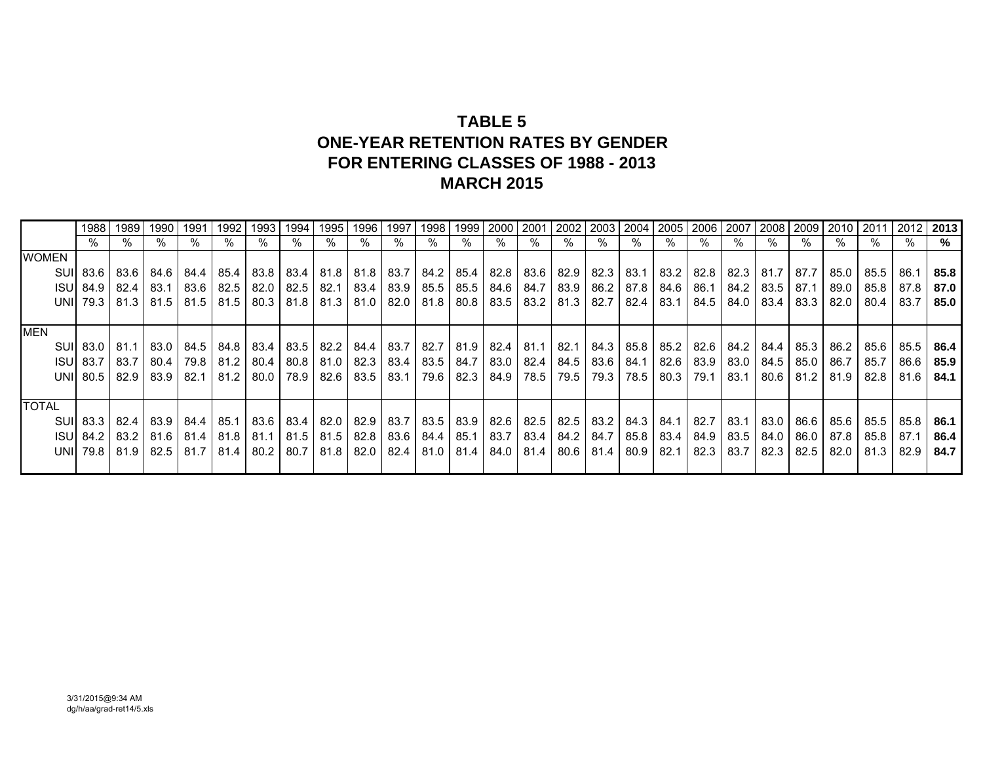# **TABLE 5 ONE-YEAR RETENTION RATES BY GENDERFOR ENTERING CLASSES OF 1988 - 2013MARCH 2015**

|              | 1988             | 1989   | 1990        | 1991   | 1992 | 1993                             | 1994 | 1995 | 1996 | 1997 | 1998                                    | 1999 | 2000 2001 |                    |                    | 2002   2003   2004   2005                                           |      |      | 2006 2007          |             | 2008 2009 2010            |      | 2011   | 2012 | 2013 |
|--------------|------------------|--------|-------------|--------|------|----------------------------------|------|------|------|------|-----------------------------------------|------|-----------|--------------------|--------------------|---------------------------------------------------------------------|------|------|--------------------|-------------|---------------------------|------|--------|------|------|
|              |                  |        | ℅           | ℅      |      | $\%$                             | %    | %    | $\%$ | %    | %                                       |      | $\%$      | %                  | %                  | $\%$                                                                | %    | $\%$ | %                  |             |                           |      | ℅      | %    | %    |
| <b>WOMEN</b> |                  |        |             |        |      |                                  |      |      |      |      |                                         |      |           |                    |                    |                                                                     |      |      |                    |             |                           |      |        |      |      |
|              | SUI 83.6         | 83.6   | 84.6 I      | 84.4   |      | 85.4   83.8   83.4   81.8        |      |      |      |      |                                         |      |           |                    |                    | 81.8   83.7   84.2   85.4   82.8   83.6   82.9   82.3   83.1   83.2 |      | 82.8 |                    |             | 82.3 81.7 87.7            | 85.0 | 85.5   | 86.1 | 85.8 |
|              | <b>ISU 84.9</b>  | 82.4   | 83.1        | 83.6   |      | 82.5 82.0 82.5                   |      | 82.1 |      |      | 83.4 83.9 85.5                          |      |           |                    |                    | 85.5   84.6   84.7   83.9   86.2   87.8   84.6                      |      | 86.1 |                    |             | 84.2 83.5 87.1            | 89.0 | 85.8   | 87.8 | 87.0 |
|              | UNI 79.3         | 81.3   | 81.5        | 81.5   |      | $81.5$   80.3   81.8   81.3      |      |      |      |      | $81.0$   82.0   81.8                    |      |           |                    |                    | 80.8   83.5   83.2   81.3   82.7   82.4                             | 83.1 | 84.5 |                    | 84.0   83.4 | 83.3                      | 82.0 | 80.4   | 83.7 | 85.0 |
|              |                  |        |             |        |      |                                  |      |      |      |      |                                         |      |           |                    |                    |                                                                     |      |      |                    |             |                           |      |        |      |      |
| <b>MEN</b>   |                  |        |             |        |      |                                  |      |      |      |      |                                         |      |           |                    |                    |                                                                     |      |      |                    |             |                           |      |        |      |      |
|              | SUI 83.0         | 81.1 I | 83.0 L      |        |      | 84.5   84.8   83.4   83.5   82.2 |      |      |      |      | 84.4   83.7   82.7                      |      |           |                    |                    | 81.9   82.4   81.1   82.1   84.3   85.8   85.2                      |      |      | 82.6   84.2   84.4 |             | 85.3                      | 86.2 | 85.6   | 85.5 | 86.4 |
|              | <b>ISUI 83.7</b> | 83.7   | 80.4 I      | 79.8   |      | 81.2   80.4                      | 80.8 | 81.0 |      |      | 82.3 83.4 83.5                          |      |           | 84.7 83.0 82.4     | 84.5   83.6   84.1 |                                                                     | 82.6 |      | 83.9 83.0 84.5     |             | 85.0                      | 86.7 | 85.7   | 86.6 | 85.9 |
|              | UNI 80.5         | 82.9   | 83.9 I      | 82.1   |      | 81.2   80.0   78.9               |      | 82.6 |      |      | 83.5 83.1 79.6                          |      |           | 82.3   84.9   78.5 |                    | 79.5   79.3   78.5                                                  | 80.3 | 79.1 | 83.1               |             | 80.6   81.2   81.9        |      | 82.8   | 81.6 | 84.1 |
|              |                  |        |             |        |      |                                  |      |      |      |      |                                         |      |           |                    |                    |                                                                     |      |      |                    |             |                           |      |        |      |      |
| <b>TOTAL</b> |                  |        |             |        |      |                                  |      |      |      |      |                                         |      |           |                    |                    |                                                                     |      |      |                    |             |                           |      |        |      |      |
|              | SUI 83.3         | 82.4 I | 83.91       | 84.4 I |      | 85.1 83.6 83.4 82.0              |      |      |      |      | 82.9 83.7 83.5                          |      |           |                    |                    | 83.9   82.6   82.5   82.5   83.2   84.3   84.1                      |      |      |                    |             | 82.7   83.1   83.0   86.6 | 85.6 | 85.5 I | 85.8 | 86.1 |
|              | ISUI 84.2        |        | 83.2   81.6 | 81.4   |      | 81.8 81.1                        | 81.5 | 81.5 |      |      | $82.8$ 83.6 84.4                        |      |           |                    |                    | 85.1   83.7   83.4   84.2   84.7   85.8   83.4                      |      |      | 84.9 83.5 84.0     |             | 86.0                      | 87.8 | 85.8   | 87.1 | 86.4 |
|              | UNI 79.8         | 81.9 I | 82.5        | 81.7   | 81.4 | 80.2                             | 80.7 | 81.8 |      |      | 82.0   82.4   81.0   81.4   84.0   81.4 |      |           |                    |                    | 80.6   81.4   80.9                                                  | 82.1 | 82.3 | 83.7               | 82.3        | 82.5                      | 82.0 | 81.3   | 82.9 | 84.7 |
|              |                  |        |             |        |      |                                  |      |      |      |      |                                         |      |           |                    |                    |                                                                     |      |      |                    |             |                           |      |        |      |      |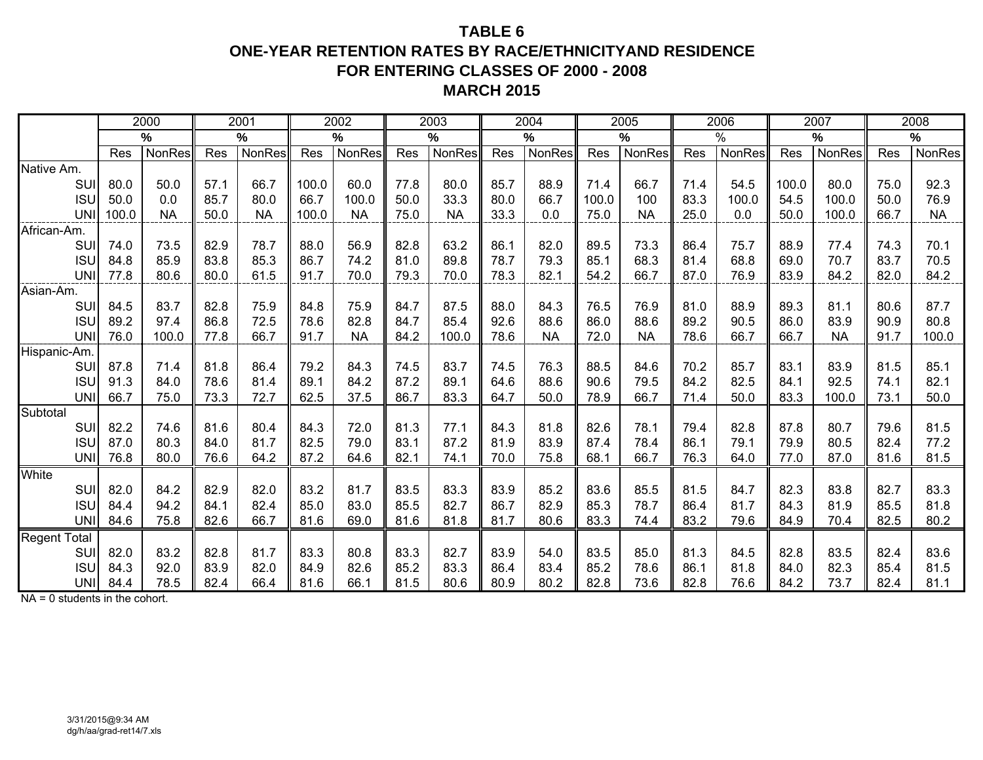## **TABLE 6ONE-YEAR RETENTION RATES BY RACE/ETHNICITYAND RESIDENCEFOR ENTERING CLASSES OF 2000 - 2008 MARCH 2015**

|                     |       | 2000      |      | 2001      |       | 2002          |      | 2003      |      | 2004      |       | 2005      |      | 2006   |       | 2007          |      | 2008      |
|---------------------|-------|-----------|------|-----------|-------|---------------|------|-----------|------|-----------|-------|-----------|------|--------|-------|---------------|------|-----------|
|                     |       | $\%$      |      | $\%$      |       | $\%$          |      | $\%$      |      | $\%$      |       | $\%$      |      | $\%$   |       | $\%$          |      | %         |
|                     | Res   | NonRes    | Res  | NonRes    | Res   | <b>NonRes</b> | Res  | NonRes    | Res  | NonRes    | Res   | NonRes    | Res  | NonRes | Res   | <b>NonRes</b> | Res  | NonRes    |
| Native Am.          |       |           |      |           |       |               |      |           |      |           |       |           |      |        |       |               |      |           |
| SUI                 | 80.0  | 50.0      | 57.1 | 66.7      | 100.0 | 60.0          | 77.8 | 80.0      | 85.7 | 88.9      | 71.4  | 66.7      | 71.4 | 54.5   | 100.0 | 80.0          | 75.0 | 92.3      |
| <b>ISU</b>          | 50.0  | 0.0       | 85.7 | 80.0      | 66.7  | 100.0         | 50.0 | 33.3      | 80.0 | 66.7      | 100.0 | 100       | 83.3 | 100.0  | 54.5  | 100.0         | 50.0 | 76.9      |
| UNI                 | 100.0 | <b>NA</b> | 50.0 | <b>NA</b> | 100.0 | <b>NA</b>     | 75.0 | <b>NA</b> | 33.3 | 0.0       | 75.0  | <b>NA</b> | 25.0 | 0.0    | 50.0  | 100.0         | 66.7 | <b>NA</b> |
| African-Am.         |       |           |      |           |       |               |      |           |      |           |       |           |      |        |       |               |      |           |
| SUI                 | 74.0  | 73.5      | 82.9 | 78.7      | 88.0  | 56.9          | 82.8 | 63.2      | 86.1 | 82.0      | 89.5  | 73.3      | 86.4 | 75.7   | 88.9  | 77.4          | 74.3 | 70.1      |
| <b>ISU</b>          | 84.8  | 85.9      | 83.8 | 85.3      | 86.7  | 74.2          | 81.0 | 89.8      | 78.7 | 79.3      | 85.1  | 68.3      | 81.4 | 68.8   | 69.0  | 70.7          | 83.7 | 70.5      |
| <b>UNI</b>          | 77.8  | 80.6      | 80.0 | 61.5      | 91.7  | 70.0          | 79.3 | 70.0      | 78.3 | 82.1      | 54.2  | 66.7      | 87.0 | 76.9   | 83.9  | 84.2          | 82.0 | 84.2      |
| Asian-Am.           |       |           |      |           |       |               |      |           |      |           |       |           |      |        |       |               |      |           |
| SUI                 | 84.5  | 83.7      | 82.8 | 75.9      | 84.8  | 75.9          | 84.7 | 87.5      | 88.0 | 84.3      | 76.5  | 76.9      | 81.0 | 88.9   | 89.3  | 81.1          | 80.6 | 87.7      |
| <b>ISU</b>          | 89.2  | 97.4      | 86.8 | 72.5      | 78.6  | 82.8          | 84.7 | 85.4      | 92.6 | 88.6      | 86.0  | 88.6      | 89.2 | 90.5   | 86.0  | 83.9          | 90.9 | 80.8      |
| <b>UNI</b>          | 76.0  | 100.0     | 77.8 | 66.7      | 91.7  | <b>NA</b>     | 84.2 | 100.0     | 78.6 | <b>NA</b> | 72.0  | <b>NA</b> | 78.6 | 66.7   | 66.7  | <b>NA</b>     | 91.7 | 100.0     |
| Hispanic-Am.        |       |           |      |           |       |               |      |           |      |           |       |           |      |        |       |               |      |           |
| SUI                 | 87.8  | 71.4      | 81.8 | 86.4      | 79.2  | 84.3          | 74.5 | 83.7      | 74.5 | 76.3      | 88.5  | 84.6      | 70.2 | 85.7   | 83.1  | 83.9          | 81.5 | 85.1      |
| <b>ISU</b>          | 91.3  | 84.0      | 78.6 | 81.4      | 89.1  | 84.2          | 87.2 | 89.1      | 64.6 | 88.6      | 90.6  | 79.5      | 84.2 | 82.5   | 84.1  | 92.5          | 74.1 | 82.1      |
| <b>UNI</b>          | 66.7  | 75.0      | 73.3 | 72.7      | 62.5  | 37.5          | 86.7 | 83.3      | 64.7 | 50.0      | 78.9  | 66.7      | 71.4 | 50.0   | 83.3  | 100.0         | 73.1 | 50.0      |
| Subtotal            |       |           |      |           |       |               |      |           |      |           |       |           |      |        |       |               |      |           |
| SUI                 | 82.2  | 74.6      | 81.6 | 80.4      | 84.3  | 72.0          | 81.3 | 77.1      | 84.3 | 81.8      | 82.6  | 78.1      | 79.4 | 82.8   | 87.8  | 80.7          | 79.6 | 81.5      |
| <b>ISU</b>          | 87.0  | 80.3      | 84.0 | 81.7      | 82.5  | 79.0          | 83.1 | 87.2      | 81.9 | 83.9      | 87.4  | 78.4      | 86.1 | 79.1   | 79.9  | 80.5          | 82.4 | 77.2      |
| <b>UNI</b>          | 76.8  | 80.0      | 76.6 | 64.2      | 87.2  | 64.6          | 82.1 | 74.1      | 70.0 | 75.8      | 68.1  | 66.7      | 76.3 | 64.0   | 77.0  | 87.0          | 81.6 | 81.5      |
| White               |       |           |      |           |       |               |      |           |      |           |       |           |      |        |       |               |      |           |
| <b>SUI</b>          | 82.0  | 84.2      | 82.9 | 82.0      | 83.2  | 81.7          | 83.5 | 83.3      | 83.9 | 85.2      | 83.6  | 85.5      | 81.5 | 84.7   | 82.3  | 83.8          | 82.7 | 83.3      |
| <b>ISU</b>          | 84.4  | 94.2      | 84.1 | 82.4      | 85.0  | 83.0          | 85.5 | 82.7      | 86.7 | 82.9      | 85.3  | 78.7      | 86.4 | 81.7   | 84.3  | 81.9          | 85.5 | 81.8      |
| <b>UNI</b>          | 84.6  | 75.8      | 82.6 | 66.7      | 81.6  | 69.0          | 81.6 | 81.8      | 81.7 | 80.6      | 83.3  | 74.4      | 83.2 | 79.6   | 84.9  | 70.4          | 82.5 | 80.2      |
| <b>Regent Total</b> |       |           |      |           |       |               |      |           |      |           |       |           |      |        |       |               |      |           |
| SUI                 | 82.0  | 83.2      | 82.8 | 81.7      | 83.3  | 80.8          | 83.3 | 82.7      | 83.9 | 54.0      | 83.5  | 85.0      | 81.3 | 84.5   | 82.8  | 83.5          | 82.4 | 83.6      |
| <b>ISU</b>          | 84.3  | 92.0      | 83.9 | 82.0      | 84.9  | 82.6          | 85.2 | 83.3      | 86.4 | 83.4      | 85.2  | 78.6      | 86.1 | 81.8   | 84.0  | 82.3          | 85.4 | 81.5      |
| <b>UNI</b>          | 84.4  | 78.5      | 82.4 | 66.4      | 81.6  | 66.1          | 81.5 | 80.6      | 80.9 | 80.2      | 82.8  | 73.6      | 82.8 | 76.6   | 84.2  | 73.7          | 82.4 | 81.1      |

NA = 0 students in the cohort.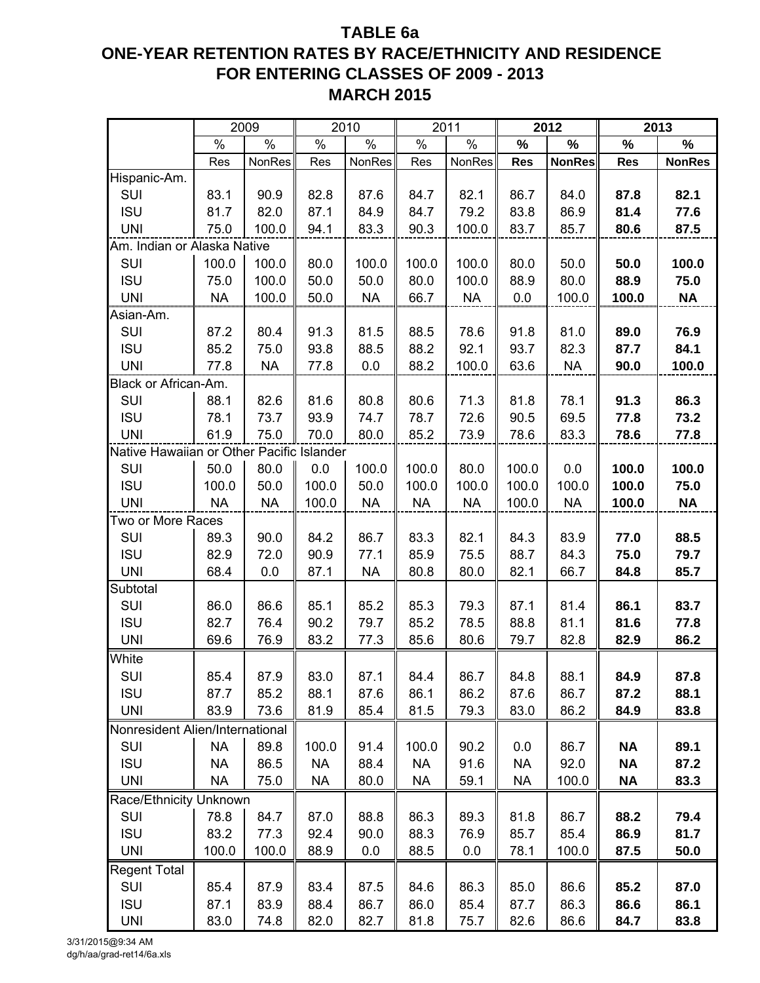# **TABLE 6a ONE-YEAR RETENTION RATES BY RACE/ETHNICITY AND RESIDENCE FOR ENTERING CLASSES OF 2009 - 2013 MARCH 2015**

|                                           |           | 2009          |           | 2010          |               | 2011          |            | 2012          |            | 2013          |
|-------------------------------------------|-----------|---------------|-----------|---------------|---------------|---------------|------------|---------------|------------|---------------|
|                                           | %         | $\frac{1}{6}$ | $\%$      | $\frac{8}{6}$ | $\frac{1}{2}$ | $\frac{1}{2}$ | $\%$       | $\%$          | $\%$       | $\frac{0}{0}$ |
|                                           | Res       | NonRes        | Res       | NonRes        | Res           | NonRes        | <b>Res</b> | <b>NonRes</b> | <b>Res</b> | <b>NonRes</b> |
| Hispanic-Am.                              |           |               |           |               |               |               |            |               |            |               |
| SUI                                       | 83.1      | 90.9          | 82.8      | 87.6          | 84.7          | 82.1          | 86.7       | 84.0          | 87.8       | 82.1          |
| <b>ISU</b>                                | 81.7      | 82.0          | 87.1      | 84.9          | 84.7          | 79.2          | 83.8       | 86.9          | 81.4       | 77.6          |
| <b>UNI</b>                                | 75.0      | 100.0         | 94.1      | 83.3          | 90.3          | 100.0         | 83.7       | 85.7          | 80.6       | 87.5          |
| Am. Indian or Alaska Native               |           |               |           |               |               |               |            |               |            |               |
| SUI                                       | 100.0     | 100.0         | 80.0      | 100.0         | 100.0         | 100.0         | 80.0       | 50.0          | 50.0       | 100.0         |
| <b>ISU</b>                                | 75.0      | 100.0         | 50.0      | 50.0          | 80.0          | 100.0         | 88.9       | 80.0          | 88.9       | 75.0          |
| <b>UNI</b>                                | <b>NA</b> | 100.0         | 50.0      | <b>NA</b>     | 66.7          | <b>NA</b>     | 0.0        | 100.0         | 100.0      | <b>NA</b>     |
| Asian-Am.                                 |           |               |           |               |               |               |            |               |            |               |
| SUI                                       | 87.2      | 80.4          | 91.3      | 81.5          | 88.5          | 78.6          | 91.8       | 81.0          | 89.0       | 76.9          |
| <b>ISU</b>                                | 85.2      | 75.0          | 93.8      | 88.5          | 88.2          | 92.1          | 93.7       | 82.3          | 87.7       | 84.1          |
| <b>UNI</b>                                | 77.8      | <b>NA</b>     | 77.8      | 0.0           | 88.2          | 100.0         | 63.6       | <b>NA</b>     | 90.0       | 100.0         |
| Black or African-Am.                      |           |               |           |               |               |               |            |               |            |               |
| SUI                                       | 88.1      | 82.6          | 81.6      | 80.8          | 80.6          | 71.3          | 81.8       | 78.1          | 91.3       | 86.3          |
| <b>ISU</b>                                | 78.1      | 73.7          | 93.9      | 74.7          | 78.7          | 72.6          | 90.5       | 69.5          | 77.8       | 73.2          |
| <b>UNI</b>                                | 61.9      | 75.0          | 70.0      | 80.0          | 85.2          | 73.9          | 78.6       | 83.3          | 78.6       | 77.8          |
| Native Hawaiian or Other Pacific Islander |           |               |           |               |               |               |            |               |            |               |
| SUI                                       | 50.0      | 80.0          | 0.0       | 100.0         | 100.0         | 80.0          | 100.0      | 0.0           | 100.0      | 100.0         |
| <b>ISU</b>                                | 100.0     | 50.0          | 100.0     | 50.0          | 100.0         | 100.0         | 100.0      | 100.0         | 100.0      | 75.0          |
| <b>UNI</b>                                | <b>NA</b> | <b>NA</b>     | 100.0     | <b>NA</b>     | <b>NA</b>     | <b>NA</b>     | 100.0      | <b>NA</b>     | 100.0      | <b>NA</b>     |
| Two or More Races                         |           |               |           |               |               |               |            |               |            |               |
| SUI                                       | 89.3      | 90.0          | 84.2      | 86.7          | 83.3          | 82.1          | 84.3       | 83.9          | 77.0       | 88.5          |
| <b>ISU</b>                                | 82.9      | 72.0          | 90.9      | 77.1          | 85.9          | 75.5          | 88.7       | 84.3          | 75.0       | 79.7          |
| <b>UNI</b>                                | 68.4      | 0.0           | 87.1      | <b>NA</b>     | 80.8          | 80.0          | 82.1       | 66.7          | 84.8       | 85.7          |
| Subtotal                                  |           |               |           |               |               |               |            |               |            |               |
| SUI                                       | 86.0      | 86.6          | 85.1      | 85.2          | 85.3          | 79.3          | 87.1       | 81.4          | 86.1       | 83.7          |
| <b>ISU</b>                                | 82.7      | 76.4          | 90.2      | 79.7          | 85.2          | 78.5          | 88.8       | 81.1          | 81.6       | 77.8          |
| <b>UNI</b>                                | 69.6      | 76.9          | 83.2      | 77.3          | 85.6          | 80.6          | 79.7       | 82.8          | 82.9       | 86.2          |
| White                                     |           |               |           |               |               |               |            |               |            |               |
| SUI                                       | 85.4      | 87.9          | 83.0      | 87.1          | 84.4          | 86.7          | 84.8       | 88.1          | 84.9       | 87.8          |
| <b>ISU</b>                                | 87.7      | 85.2          | 88.1      | 87.6          | 86.1          | 86.2          | 87.6       | 86.7          | 87.2       | 88.1          |
| <b>UNI</b>                                | 83.9      | 73.6          | 81.9      | 85.4          | 81.5          | 79.3          | 83.0       | 86.2          | 84.9       | 83.8          |
| Nonresident Alien/International           |           |               |           |               |               |               |            |               |            |               |
| SUI                                       | <b>NA</b> | 89.8          | 100.0     | 91.4          | 100.0         | 90.2          | 0.0        | 86.7          | <b>NA</b>  | 89.1          |
| <b>ISU</b>                                | <b>NA</b> | 86.5          | <b>NA</b> | 88.4          | <b>NA</b>     | 91.6          | NA         | 92.0          | <b>NA</b>  | 87.2          |
| <b>UNI</b>                                | <b>NA</b> | 75.0          | <b>NA</b> | 80.0          | <b>NA</b>     | 59.1          | <b>NA</b>  | 100.0         | <b>NA</b>  | 83.3          |
| Race/Ethnicity Unknown                    |           |               |           |               |               |               |            |               |            |               |
| SUI                                       | 78.8      | 84.7          | 87.0      | 88.8          | 86.3          | 89.3          | 81.8       | 86.7          | 88.2       | 79.4          |
| <b>ISU</b>                                | 83.2      | 77.3          | 92.4      | 90.0          | 88.3          | 76.9          | 85.7       | 85.4          | 86.9       | 81.7          |
| <b>UNI</b>                                | 100.0     | 100.0         | 88.9      | 0.0           | 88.5          | 0.0           | 78.1       | 100.0         | 87.5       | 50.0          |
| <b>Regent Total</b>                       |           |               |           |               |               |               |            |               |            |               |
| SUI                                       | 85.4      | 87.9          | 83.4      | 87.5          | 84.6          | 86.3          | 85.0       | 86.6          | 85.2       | 87.0          |
| <b>ISU</b>                                | 87.1      | 83.9          | 88.4      | 86.7          | 86.0          | 85.4          | 87.7       | 86.3          | 86.6       | 86.1          |
| <b>UNI</b>                                | 83.0      | 74.8          | 82.0      | 82.7          | 81.8          | 75.7          | 82.6       | 86.6          | 84.7       | 83.8          |

3/31/2015@9:34 AM dg/h/aa/grad-ret14/6a.xls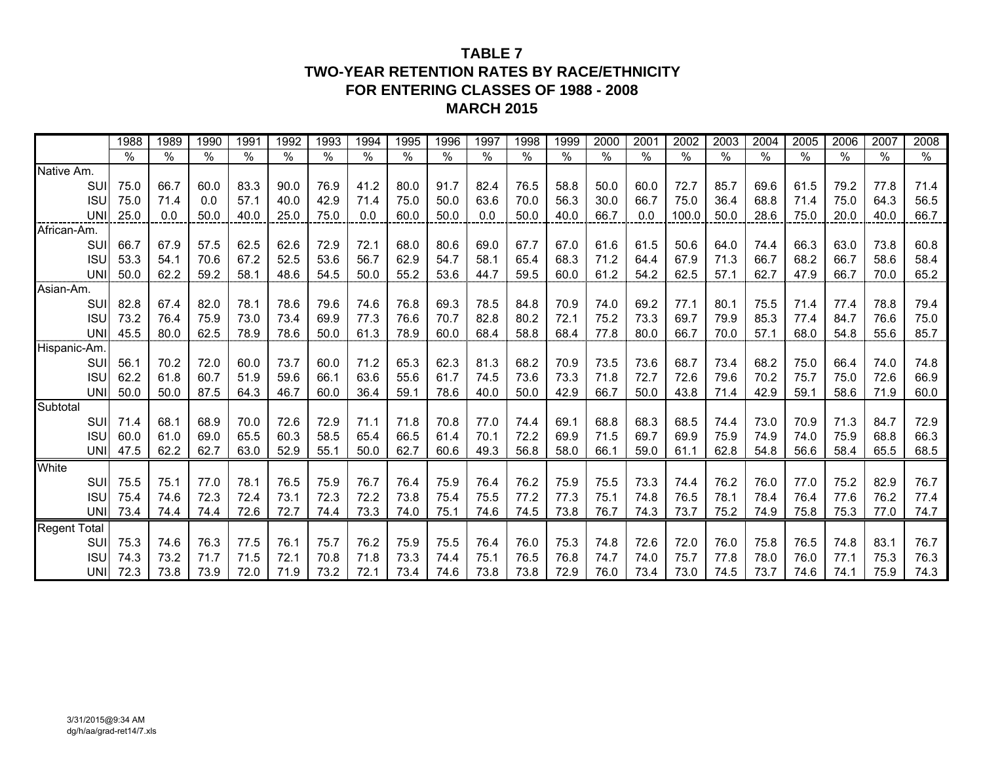## **TABLE 7TWO-YEAR RETENTION RATES BY RACE/ETHNICITY FOR ENTERING CLASSES OF 1988 - 2008MARCH 2015**

|                     | 1988 | 1989 | 1990 | 1991          | 1992 | 1993 | 1994 | 1995 | 1996 | 1997 | 1998 | 1999 | 2000 | 2001 | 2002  | 2003 | 2004 | 2005 | 2006 | 2007 | 2008 |
|---------------------|------|------|------|---------------|------|------|------|------|------|------|------|------|------|------|-------|------|------|------|------|------|------|
|                     | $\%$ | %    | $\%$ | $\frac{0}{0}$ | %    | $\%$ | %    | %    | $\%$ | $\%$ | $\%$ | $\%$ | $\%$ | $\%$ | $\%$  | $\%$ | $\%$ | $\%$ | %    | $\%$ | $\%$ |
| Native Am.          |      |      |      |               |      |      |      |      |      |      |      |      |      |      |       |      |      |      |      |      |      |
| SUI                 | 75.0 | 66.7 | 60.0 | 83.3          | 90.0 | 76.9 | 41.2 | 80.0 | 91.7 | 82.4 | 76.5 | 58.8 | 50.0 | 60.0 | 72.7  | 85.7 | 69.6 | 61.5 | 79.2 | 77.8 | 71.4 |
| <b>ISU</b>          | 75.0 | 71.4 | 0.0  | 57.1          | 40.0 | 42.9 | 71.4 | 75.0 | 50.0 | 63.6 | 70.0 | 56.3 | 30.0 | 66.7 | 75.0  | 36.4 | 68.8 | 71.4 | 75.0 | 64.3 | 56.5 |
| <b>UNI</b>          | 25.0 | 0.0  | 50.0 | 40.0          | 25.0 | 75.0 | 0.0  | 60.0 | 50.0 | 0.0  | 50.0 | 40.0 | 66.7 | 0.0  | 100.0 | 50.0 | 28.6 | 75.0 | 20.0 | 40.0 | 66.7 |
| African-Am.         |      |      |      |               |      |      |      |      |      |      |      |      |      |      |       |      |      |      |      |      |      |
| SUI                 | 66.7 | 67.9 | 57.5 | 62.5          | 62.6 | 72.9 | 72.1 | 68.0 | 80.6 | 69.0 | 67.7 | 67.0 | 61.6 | 61.5 | 50.6  | 64.0 | 74.4 | 66.3 | 63.0 | 73.8 | 60.8 |
| <b>ISU</b>          | 53.3 | 54.1 | 70.6 | 67.2          | 52.5 | 53.6 | 56.7 | 62.9 | 54.7 | 58.1 | 65.4 | 68.3 | 71.2 | 64.4 | 67.9  | 71.3 | 66.7 | 68.2 | 66.7 | 58.6 | 58.4 |
| <b>UNI</b>          | 50.0 | 62.2 | 59.2 | 58.1          | 48.6 | 54.5 | 50.0 | 55.2 | 53.6 | 44.7 | 59.5 | 60.0 | 61.2 | 54.2 | 62.5  | 57.1 | 62.7 | 47.9 | 66.7 | 70.0 | 65.2 |
| Asian-Am.           |      |      |      |               |      |      |      |      |      |      |      |      |      |      |       |      |      |      |      |      |      |
| SUI                 | 82.8 | 67.4 | 82.0 | 78.1          | 78.6 | 79.6 | 74.6 | 76.8 | 69.3 | 78.5 | 84.8 | 70.9 | 74.0 | 69.2 | 77.1  | 80.1 | 75.5 | 71.4 | 77.4 | 78.8 | 79.4 |
| <b>ISU</b>          | 73.2 | 76.4 | 75.9 | 73.0          | 73.4 | 69.9 | 77.3 | 76.6 | 70.7 | 82.8 | 80.2 | 72.1 | 75.2 | 73.3 | 69.7  | 79.9 | 85.3 | 77.4 | 84.7 | 76.6 | 75.0 |
| <b>UNI</b>          | 45.5 | 80.0 | 62.5 | 78.9          | 78.6 | 50.0 | 61.3 | 78.9 | 60.0 | 68.4 | 58.8 | 68.4 | 77.8 | 80.0 | 66.7  | 70.0 | 57.1 | 68.0 | 54.8 | 55.6 | 85.7 |
| Hispanic-Am.        |      |      |      |               |      |      |      |      |      |      |      |      |      |      |       |      |      |      |      |      |      |
| SUI                 | 56.1 | 70.2 | 72.0 | 60.0          | 73.7 | 60.0 | 71.2 | 65.3 | 62.3 | 81.3 | 68.2 | 70.9 | 73.5 | 73.6 | 68.7  | 73.4 | 68.2 | 75.0 | 66.4 | 74.0 | 74.8 |
| <b>ISU</b>          | 62.2 | 61.8 | 60.7 | 51.9          | 59.6 | 66.1 | 63.6 | 55.6 | 61.7 | 74.5 | 73.6 | 73.3 | 71.8 | 72.7 | 72.6  | 79.6 | 70.2 | 75.7 | 75.0 | 72.6 | 66.9 |
| <b>UNI</b>          | 50.0 | 50.0 | 87.5 | 64.3          | 46.7 | 60.0 | 36.4 | 59.1 | 78.6 | 40.0 | 50.0 | 42.9 | 66.7 | 50.0 | 43.8  | 71.4 | 42.9 | 59.1 | 58.6 | 71.9 | 60.0 |
| Subtotal            |      |      |      |               |      |      |      |      |      |      |      |      |      |      |       |      |      |      |      |      |      |
| SUI                 | 71.4 | 68.1 | 68.9 | 70.0          | 72.6 | 72.9 | 71.1 | 71.8 | 70.8 | 77.0 | 74.4 | 69.1 | 68.8 | 68.3 | 68.5  | 74.4 | 73.0 | 70.9 | 71.3 | 84.7 | 72.9 |
| <b>ISU</b>          | 60.0 | 61.0 | 69.0 | 65.5          | 60.3 | 58.5 | 65.4 | 66.5 | 61.4 | 70.1 | 72.2 | 69.9 | 71.5 | 69.7 | 69.9  | 75.9 | 74.9 | 74.0 | 75.9 | 68.8 | 66.3 |
| UNII                | 47.5 | 62.2 | 62.7 | 63.0          | 52.9 | 55.1 | 50.0 | 62.7 | 60.6 | 49.3 | 56.8 | 58.0 | 66.1 | 59.0 | 61.1  | 62.8 | 54.8 | 56.6 | 58.4 | 65.5 | 68.5 |
| White               |      |      |      |               |      |      |      |      |      |      |      |      |      |      |       |      |      |      |      |      |      |
| SUI                 | 75.5 | 75.1 | 77.0 | 78.1          | 76.5 | 75.9 | 76.7 | 76.4 | 75.9 | 76.4 | 76.2 | 75.9 | 75.5 | 73.3 | 74.4  | 76.2 | 76.0 | 77.0 | 75.2 | 82.9 | 76.7 |
| <b>ISU</b>          | 75.4 | 74.6 | 72.3 | 72.4          | 73.1 | 72.3 | 72.2 | 73.8 | 75.4 | 75.5 | 77.2 | 77.3 | 75.1 | 74.8 | 76.5  | 78.1 | 78.4 | 76.4 | 77.6 | 76.2 | 77.4 |
| UNII                | 73.4 | 74.4 | 74.4 | 72.6          | 72.7 | 74.4 | 73.3 | 74.0 | 75.1 | 74.6 | 74.5 | 73.8 | 76.7 | 74.3 | 73.7  | 75.2 | 74.9 | 75.8 | 75.3 | 77.0 | 74.7 |
| <b>Regent Total</b> |      |      |      |               |      |      |      |      |      |      |      |      |      |      |       |      |      |      |      |      |      |
| SUI                 | 75.3 | 74.6 | 76.3 | 77.5          | 76.1 | 75.7 | 76.2 | 75.9 | 75.5 | 76.4 | 76.0 | 75.3 | 74.8 | 72.6 | 72.0  | 76.0 | 75.8 | 76.5 | 74.8 | 83.1 | 76.7 |
| <b>ISU</b>          | 74.3 | 73.2 | 71.7 | 71.5          | 72.1 | 70.8 | 71.8 | 73.3 | 74.4 | 75.1 | 76.5 | 76.8 | 74.7 | 74.0 | 75.7  | 77.8 | 78.0 | 76.0 | 77.1 | 75.3 | 76.3 |
| UNII                | 72.3 | 73.8 | 73.9 | 72.0          | 71.9 | 73.2 | 72.1 | 73.4 | 74.6 | 73.8 | 73.8 | 72.9 | 76.0 | 73.4 | 73.0  | 74.5 | 73.7 | 74.6 | 74.1 | 75.9 | 74.3 |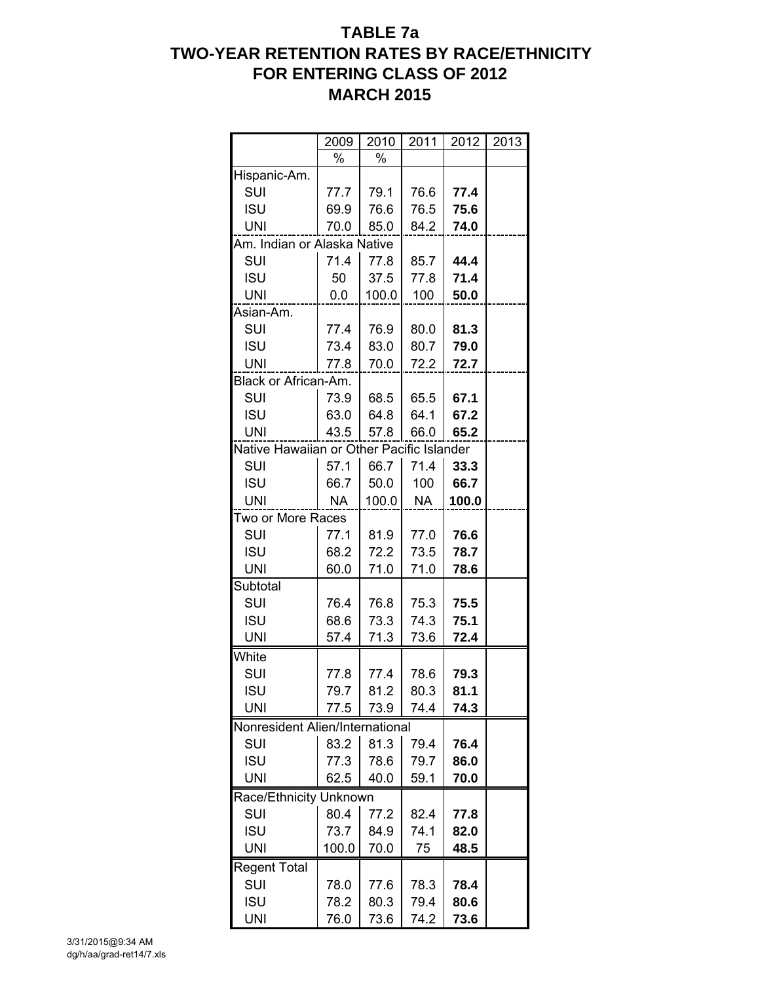# **TABLE 7a TWO-YEAR RETENTION RATES BY RACE/ETHNICITY FOR ENTERING CLASS OF 2012 MARCH 2015**

|                                           | 2009  | 2010  | 2011 | 2012  | 2013 |
|-------------------------------------------|-------|-------|------|-------|------|
|                                           | %     | $\%$  |      |       |      |
| Hispanic-Am.                              |       |       |      |       |      |
| SUI                                       | 77.7  | 79.1  | 76.6 | 77.4  |      |
| <b>ISU</b>                                | 69.9  | 76.6  | 76.5 | 75.6  |      |
| UNI                                       | 70.0  | 85.0  | 84.2 | 74.0  |      |
| Am. Indian or Alaska Native               |       |       |      |       |      |
| SUI                                       | 71.4  | 77.8  | 85.7 | 44.4  |      |
| <b>ISU</b>                                | 50    | 37.5  | 77.8 | 71.4  |      |
| <b>UNI</b>                                | 0.0   | 100.0 | 100  | 50.0  |      |
| Asian-Am.                                 |       |       |      |       |      |
| SUI                                       | 77.4  | 76.9  | 80.0 | 81.3  |      |
| <b>ISU</b>                                | 73.4  | 83.0  | 80.7 | 79.0  |      |
| UNI                                       | 77.8  | 70.0  | 72.2 | 72.7  |      |
| Black or African-Am.                      |       |       |      |       |      |
| SUI                                       | 73.9  | 68.5  | 65.5 | 67.1  |      |
| <b>ISU</b>                                | 63.0  | 64.8  | 64.1 | 67.2  |      |
| <b>UNI</b>                                | 43.5  | 57.8  | 66.0 | 65.2  |      |
| Native Hawaiian or Other Pacific Islander |       |       |      |       |      |
| SUI                                       | 57.1  | 66.7  | 71.4 | 33.3  |      |
| <b>ISU</b>                                | 66.7  | 50.0  | 100  | 66.7  |      |
| UNI                                       | NА    | 100.0 | NA   | 100.0 |      |
| Two or More Races                         |       |       |      |       |      |
| SUI                                       | 77.1  | 81.9  | 77.0 | 76.6  |      |
| <b>ISU</b>                                | 68.2  | 72.2  | 73.5 | 78.7  |      |
| UNI                                       | 60.0  | 71.0  | 71.0 | 78.6  |      |
| Subtotal                                  |       |       |      |       |      |
| SUI                                       | 76.4  | 76.8  | 75.3 | 75.5  |      |
| <b>ISU</b>                                | 68.6  | 73.3  | 74.3 | 75.1  |      |
| <b>UNI</b>                                | 57.4  | 71.3  | 73.6 | 72.4  |      |
| White                                     |       |       |      |       |      |
| SUI                                       | 77.8  | 77.4  | 78.6 | 79.3  |      |
| <b>ISU</b>                                | 79.7  | 81.2  | 80.3 | 81.1  |      |
| <b>UNI</b>                                | 77.5  | 73.9  | 74.4 | 74.3  |      |
| Nonresident Alien/International           |       |       |      |       |      |
| SUI                                       | 83.2  | 81.3  | 79.4 | 76.4  |      |
| <b>ISU</b>                                | 77.3  | 78.6  | 79.7 | 86.0  |      |
| <b>UNI</b>                                | 62.5  | 40.0  | 59.1 | 70.0  |      |
| Race/Ethnicity Unknown                    |       |       |      |       |      |
| SUI                                       | 80.4  | 77.2  | 82.4 | 77.8  |      |
| <b>ISU</b>                                | 73.7  | 84.9  | 74.1 | 82.0  |      |
| UNI                                       | 100.0 | 70.0  | 75   | 48.5  |      |
| <b>Regent Total</b>                       |       |       |      |       |      |
| SUI                                       | 78.0  | 77.6  | 78.3 | 78.4  |      |
| <b>ISU</b>                                | 78.2  | 80.3  | 79.4 | 80.6  |      |
|                                           |       |       |      |       |      |
| <b>UNI</b>                                | 76.0  | 73.6  | 74.2 | 73.6  |      |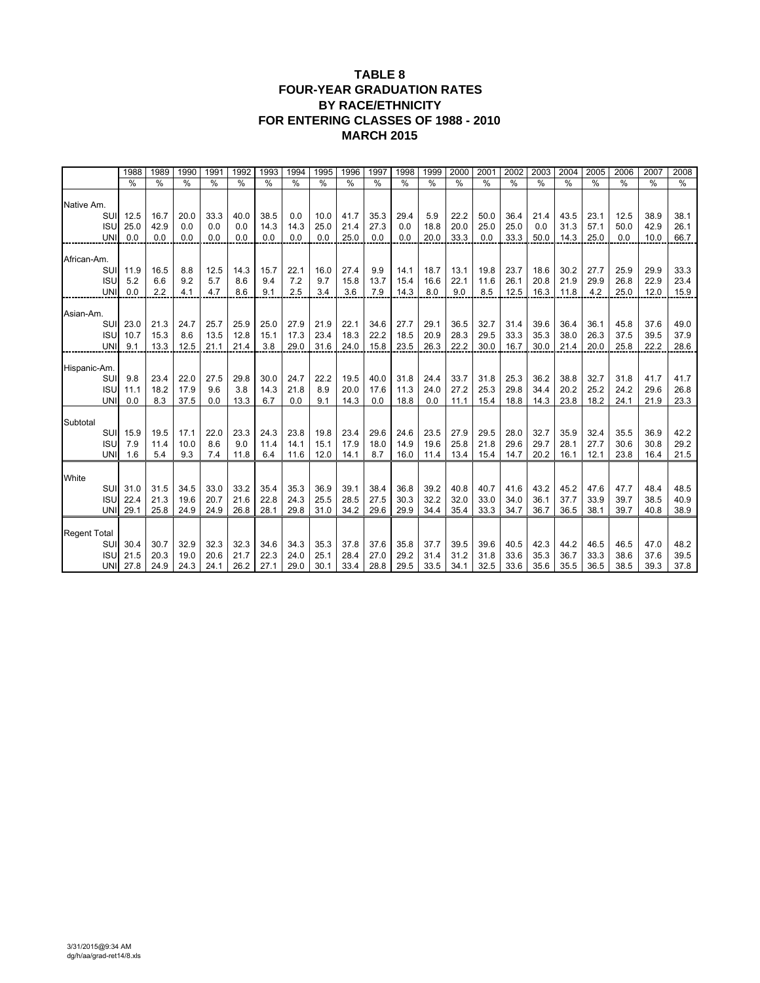#### **TABLE 8 FOUR-YEAR GRADUATION RATES BY RACE/ETHNICITY FOR ENTERING CLASSES OF 1988 - 2010 MARCH 2015**

|                     | 1988          | 1989          | 1990          | 1991        | 1992          | 1993          | 1994          | 1995          | 1996          | 1997          | 1998         | 1999          | 2000          | 2001          | 2002          | 2003          | 2004          | 2005          | 2006          | 2007          | 2008          |
|---------------------|---------------|---------------|---------------|-------------|---------------|---------------|---------------|---------------|---------------|---------------|--------------|---------------|---------------|---------------|---------------|---------------|---------------|---------------|---------------|---------------|---------------|
|                     | $\frac{0}{0}$ | $\frac{0}{0}$ | $\frac{0}{0}$ | $\%$        | $\frac{0}{0}$ | $\frac{0}{0}$ | $\frac{0}{0}$ | $\frac{0}{0}$ | $\frac{0}{0}$ | $\frac{0}{0}$ | %            | $\frac{0}{0}$ | $\frac{0}{0}$ | $\frac{0}{0}$ | $\frac{0}{0}$ | $\frac{0}{0}$ | $\frac{0}{0}$ | $\frac{0}{0}$ | $\frac{0}{0}$ | $\frac{0}{0}$ | $\frac{0}{0}$ |
|                     |               |               |               |             |               |               |               |               |               |               |              |               |               |               |               |               |               |               |               |               |               |
| Native Am.          |               |               |               |             |               |               |               |               |               |               |              |               |               |               |               |               |               |               |               |               |               |
| SUI                 | 12.5          | 16.7          | 20.0          | 33.3        | 40.0          | 38.5          | 0.0           | 10.0          | 41.7          | 35.3          | 29.4         | 5.9           | 22.2          | 50.0          | 36.4          | 21.4          | 43.5          | 23.1          | 12.5          | 38.9          | 38.1          |
| <b>ISU</b>          | 25.0          | 42.9          | 0.0           | 0.0         | 0.0           | 14.3          | 14.3          | 25.0          | 21.4          | 27.3          | 0.0          | 18.8          | 20.0          | 25.0          | 25.0          | 0.0           | 31.3          | 57.1          | 50.0          | 42.9          | 26.1          |
| <b>UNI</b>          | 0.0           | 0.0           | 0.0           | 0.0         | 0.0           | 0.0           | 0.0           | 0.0           | 25.0          | 0.0           | 0.0          | 20.0          | 33.3          | 0.0           | 33.3          | 50.0          | 14.3          | 25.0          | 0.0           | 10.0          | 66.7          |
| African-Am.         |               |               |               |             |               |               |               |               |               |               |              |               |               |               |               |               |               |               |               |               |               |
| SUI                 | 11.9          | 16.5          | 8.8           | 12.5        | 14.3          | 15.7          | 22.1          | 16.0          | 27.4          | 9.9           | 14.1         | 18.7          | 13.1          | 19.8          | 23.7          | 18.6          | 30.2          | 27.7          | 25.9          | 29.9          | 33.3          |
| <b>ISU</b>          | 5.2           | 6.6           | 9.2           | 5.7         | 8.6           | 9.4           | 7.2           | 9.7           | 15.8          | 13.7          | 15.4         | 16.6          | 22.1          | 11.6          | 26.1          | 20.8          | 21.9          | 29.9          | 26.8          | 22.9          | 23.4          |
| <b>UNI</b>          | 0.0           | 2.2           | 4.1           | 4.7         | 8.6           | 9.1           | 2.5           | 3.4           | 3.6           | 7.9           | 14.3         | 8.0           | 9.0           | 8.5           | 12.5          | 16.3          | 11.8          | 4.2           | 25.0          | 12.0          | 15.9          |
|                     |               |               |               |             |               |               |               |               |               |               |              |               |               |               |               |               |               |               |               |               |               |
| Asian-Am.           |               |               |               |             |               |               |               |               |               |               |              |               |               |               |               |               |               |               |               |               |               |
| SUI                 | 23.0          | 21.3          | 24.7          | 25.7        | 25.9          | 25.0          | 27.9          | 21.9          | 22.1          | 34.6          | 27.7         | 29.1          | 36.5          | 32.7          | 31.4          | 39.6          | 36.4          | 36.1          | 45.8          | 37.6          | 49.0          |
| <b>ISU</b>          | 10.7          | 15.3          | 8.6           | 13.5        | 12.8          | 15.1          | 17.3          | 23.4          | 18.3          | 22.2          | 18.5         | 20.9          | 28.3          | 29.5          | 33.3          | 35.3          | 38.0          | 26.3          | 37.5          | 39.5          | 37.9          |
| <b>UNI</b>          | 9.1           | 13.3          | 12.5          | 21.1        | 21.4          | 3.8           | 29.0          | 31.6          | 24.0          | 15.8          | 23.5         | 26.3          | 22.2          | 30.0          | 16.7          | 30.0          | 21.4          | 20.0          | 25.8          | 22.2          | 28.6          |
|                     |               |               |               |             |               |               |               |               |               |               |              |               |               |               |               |               |               |               |               |               |               |
| Hispanic-Am.        |               |               |               |             |               |               |               |               |               |               |              |               |               |               |               |               |               |               |               |               |               |
| SUI                 | 9.8           | 23.4          | 22.0          | 27.5        | 29.8          | 30.0          | 24.7          | 22.2          | 19.5          | 40.0          | 31.8         | 24.4          | 33.7          | 31.8          | 25.3          | 36.2          | 38.8          | 32.7          | 31.8          | 41.7          | 41.7          |
| <b>ISU</b>          | 11.1          | 18.2          | 17.9          | 9.6         | 3.8           | 14.3          | 21.8          | 8.9           | 20.0          | 17.6          | 11.3         | 24.0          | 27.2          | 25.3          | 29.8          | 34.4          | 20.2          | 25.2          | 24.2          | 29.6          | 26.8          |
| <b>UNI</b>          | 0.0           | 8.3           | 37.5          | 0.0         | 13.3          | 6.7           | 0.0           | 9.1           | 14.3          | 0.0           | 18.8         | 0.0           | 11.1          | 15.4          | 18.8          | 14.3          | 23.8          | 18.2          | 24.1          | 21.9          | 23.3          |
|                     |               |               |               |             |               |               |               |               |               |               |              |               |               |               |               |               |               |               |               |               |               |
| Subtotal<br>SUI     | 15.9          | 19.5          |               |             |               |               |               |               |               |               |              |               |               |               |               | 32.7          |               | 32.4          |               | 36.9          | 42.2          |
| <b>ISU</b>          | 7.9           | 11.4          | 17.1<br>10.0  | 22.0<br>8.6 | 23.3<br>9.0   | 24.3<br>11.4  | 23.8<br>14.1  | 19.8<br>15.1  | 23.4<br>17.9  | 29.6<br>18.0  | 24.6<br>14.9 | 23.5<br>19.6  | 27.9<br>25.8  | 29.5<br>21.8  | 28.0<br>29.6  | 29.7          | 35.9<br>28.1  | 27.7          | 35.5<br>30.6  | 30.8          | 29.2          |
| <b>UNI</b>          | 1.6           | 5.4           | 9.3           | 7.4         | 11.8          | 6.4           | 11.6          | 12.0          | 14.1          | 8.7           | 16.0         | 11.4          | 13.4          | 15.4          | 14.7          | 20.2          | 16.1          | 12.1          | 23.8          | 16.4          | 21.5          |
|                     |               |               |               |             |               |               |               |               |               |               |              |               |               |               |               |               |               |               |               |               |               |
| White               |               |               |               |             |               |               |               |               |               |               |              |               |               |               |               |               |               |               |               |               |               |
| SUI                 | 31.0          | 31.5          | 34.5          | 33.0        | 33.2          | 35.4          | 35.3          | 36.9          | 39.1          | 38.4          | 36.8         | 39.2          | 40.8          | 40.7          | 41.6          | 43.2          | 45.2          | 47.6          | 47.7          | 48.4          | 48.5          |
| <b>ISU</b>          | 22.4          | 21.3          | 19.6          | 20.7        | 21.6          | 22.8          | 24.3          | 25.5          | 28.5          | 27.5          | 30.3         | 32.2          | 32.0          | 33.0          | 34.0          | 36.1          | 37.7          | 33.9          | 39.7          | 38.5          | 40.9          |
| <b>UNI</b>          | 29.1          | 25.8          | 24.9          | 24.9        | 26.8          | 28.1          | 29.8          | 31.0          | 34.2          | 29.6          | 29.9         | 34.4          | 35.4          | 33.3          | 34.7          | 36.7          | 36.5          | 38.1          | 39.7          | 40.8          | 38.9          |
|                     |               |               |               |             |               |               |               |               |               |               |              |               |               |               |               |               |               |               |               |               |               |
| <b>Regent Total</b> |               |               |               |             |               |               |               |               |               |               |              |               |               |               |               |               |               |               |               |               |               |
| SUI                 | 30.4          | 30.7          | 32.9          | 32.3        | 32.3          | 34.6          | 34.3          | 35.3          | 37.8          | 37.6          | 35.8         | 37.7          | 39.5          | 39.6          | 40.5          | 42.3          | 44.2          | 46.5          | 46.5          | 47.0          | 48.2          |
| <b>ISU</b>          | 21.5          | 20.3          | 19.0          | 20.6        | 21.7          | 22.3          | 24.0          | 25.1          | 28.4          | 27.0          | 29.2         | 31.4          | 31.2          | 31.8          | 33.6          | 35.3          | 36.7          | 33.3          | 38.6          | 37.6          | 39.5          |
|                     | UNI 27.8      | 24.9          | 24.3          | 24.1        | 26.2          | 27.1          | 29.0          | 30.1          | 33.4          | 28.8          | 29.5         | 33.5          | 34.1          | 32.5          | 33.6          | 35.6          | 35.5          | 36.5          | 38.5          | 39.3          | 37.8          |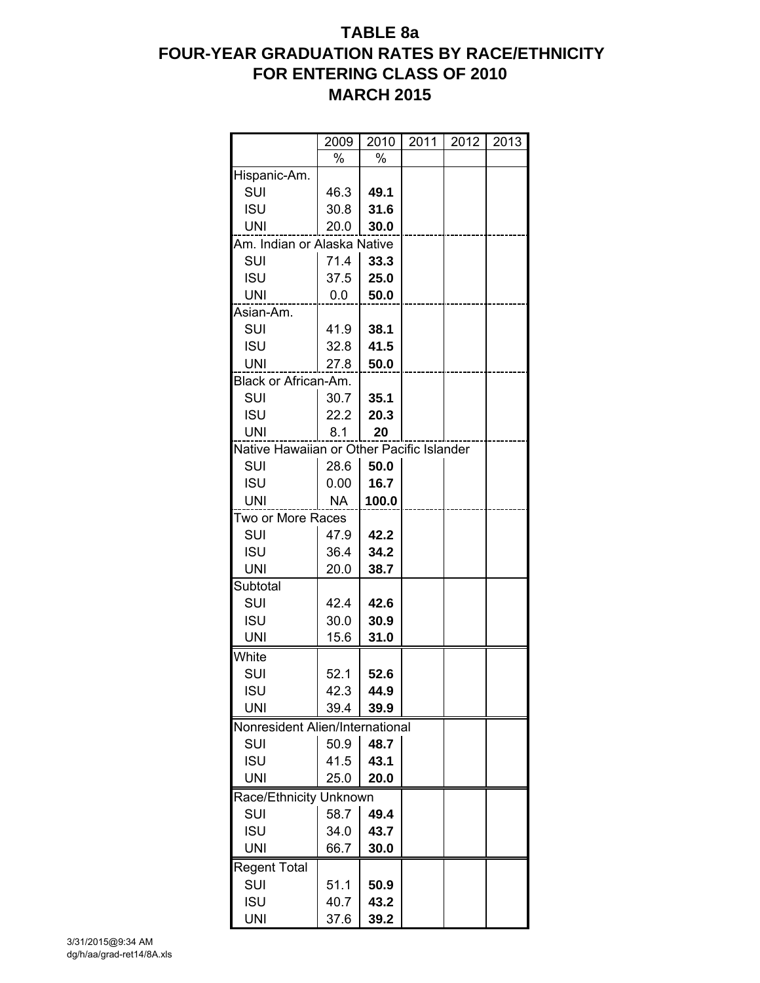# **TABLE 8a FOUR-YEAR GRADUATION RATES BY RACE/ETHNICITY FOR ENTERING CLASS OF 2010 MARCH 2015**

|                                           | 2009      | 2010  | 2011 | 2012 | 2013 |
|-------------------------------------------|-----------|-------|------|------|------|
|                                           | $\%$      | %     |      |      |      |
| Hispanic-Am.                              |           |       |      |      |      |
| SUI                                       | 46.3      | 49.1  |      |      |      |
| <b>ISU</b>                                | 30.8      | 31.6  |      |      |      |
| <b>UNI</b>                                | 20.0      | 30.0  |      |      |      |
| Am. Indian or Alaska Native               |           |       |      |      |      |
| SUI                                       | 71.4      | 33.3  |      |      |      |
| <b>ISU</b>                                | 37.5      | 25.0  |      |      |      |
| <b>UNI</b>                                | 0.0       | 50.0  |      |      |      |
| Asian-Am.                                 |           |       |      |      |      |
| SUI                                       | 41.9      | 38.1  |      |      |      |
| <b>ISU</b>                                | 32.8      | 41.5  |      |      |      |
| <b>UNI</b>                                | 27.8      | 50.0  |      |      |      |
| Black or African-Am.                      |           |       |      |      |      |
| SUI                                       | 30.7      | 35.1  |      |      |      |
| <b>ISU</b>                                | 22.2      | 20.3  |      |      |      |
| <b>UNI</b>                                | 8.1       | 20    |      |      |      |
| Native Hawaiian or Other Pacific Islander |           |       |      |      |      |
| SUI                                       | 28.6      | 50.0  |      |      |      |
| <b>ISU</b>                                | 0.00      | 16.7  |      |      |      |
| <b>UNI</b>                                | <b>NA</b> | 100.0 |      |      |      |
| Two or More Races                         |           |       |      |      |      |
| SUI                                       | 47.9      | 42.2  |      |      |      |
| <b>ISU</b>                                | 36.4      | 34.2  |      |      |      |
| <b>UNI</b>                                | 20.0      | 38.7  |      |      |      |
| Subtotal                                  |           |       |      |      |      |
| SUI                                       | 42.4      | 42.6  |      |      |      |
| <b>ISU</b>                                | 30.0      | 30.9  |      |      |      |
| <b>UNI</b>                                | 15.6      | 31.0  |      |      |      |
| White                                     |           |       |      |      |      |
| SUI                                       | 52.1      | 52.6  |      |      |      |
| <b>ISU</b>                                | 42.3      | 44.9  |      |      |      |
| <b>UNI</b>                                | 39.4      | 39.9  |      |      |      |
| Nonresident Alien/International           |           |       |      |      |      |
| SUI                                       | 50.9      | 48.7  |      |      |      |
| <b>ISU</b>                                | 41.5      | 43.1  |      |      |      |
| <b>UNI</b>                                | 25.0      | 20.0  |      |      |      |
| Race/Ethnicity Unknown                    |           |       |      |      |      |
| SUI                                       | 58.7      | 49.4  |      |      |      |
| <b>ISU</b>                                | 34.0      | 43.7  |      |      |      |
| <b>UNI</b>                                | 66.7      | 30.0  |      |      |      |
| <b>Regent Total</b>                       |           |       |      |      |      |
| SUI                                       | 51.1      | 50.9  |      |      |      |
| <b>ISU</b>                                | 40.7      | 43.2  |      |      |      |
| UNI                                       | 37.6      | 39.2  |      |      |      |
|                                           |           |       |      |      |      |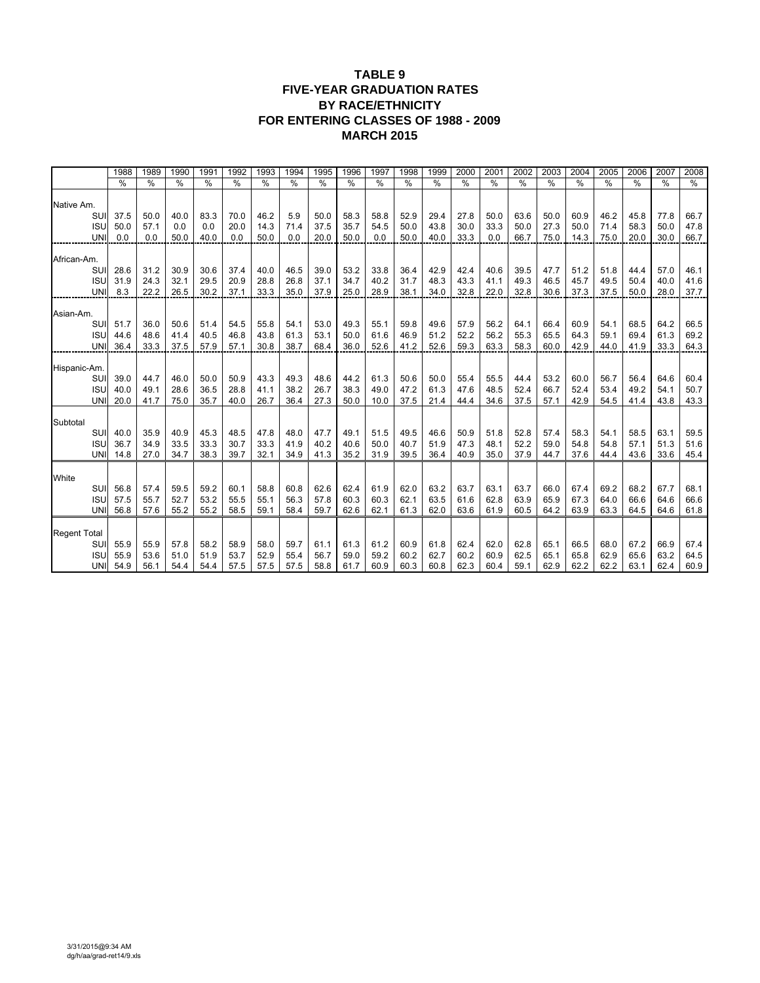#### **TABLE 9 FIVE-YEAR GRADUATION RATES BY RACE/ETHNICITY FOR ENTERING CLASSES OF 1988 - 2009 MARCH 2015**

|                     |                          | 1988          | 1989          | 1990         | 1991          | 1992          | 1993         | 1994         | 1995          | 1996         | 1997          | 1998         | 1999          | 2000          | 2001          | 2002         | 2003          | 2004          | 2005          | 2006          | 2007         | 2008          |
|---------------------|--------------------------|---------------|---------------|--------------|---------------|---------------|--------------|--------------|---------------|--------------|---------------|--------------|---------------|---------------|---------------|--------------|---------------|---------------|---------------|---------------|--------------|---------------|
|                     |                          | $\frac{0}{0}$ | $\frac{0}{0}$ | %            | $\frac{0}{0}$ | $\frac{0}{0}$ | %            | %            | $\frac{0}{0}$ | %            | $\frac{0}{0}$ | %            | $\frac{0}{0}$ | $\frac{0}{0}$ | $\frac{0}{0}$ | %            | $\frac{0}{0}$ | $\frac{0}{0}$ | $\frac{0}{0}$ | $\frac{0}{0}$ | %            | $\frac{0}{0}$ |
|                     |                          |               |               |              |               |               |              |              |               |              |               |              |               |               |               |              |               |               |               |               |              |               |
| Native Am.          | SUI                      | 37.5          | 50.0          | 40.0         | 83.3          | 70.0          | 46.2         | 5.9          | 50.0          | 58.3         | 58.8          | 52.9         | 29.4          | 27.8          | 50.0          | 63.6         | 50.0          | 60.9          | 46.2          | 45.8          | 77.8         | 66.7          |
|                     | <b>ISU</b>               | 50.0          | 57.1          | 0.0          | 0.0           | 20.0          | 14.3         | 71.4         | 37.5          | 35.7         | 54.5          | 50.0         | 43.8          | 30.0          | 33.3          | 50.0         | 27.3          | 50.0          | 71.4          | 58.3          | 50.0         | 47.8          |
|                     | <b>UNI</b>               | 0.0           | 0.0           | 50.0         | 40.0          | 0.0           | 50.0         | 0.0          | 20.0          | 50.0         | 0.0           | 50.0         | 40.0          | 33.3          | 0.0           | 66.7         | 75.0          | 14.3          | 75.0          | 20.0          | 30.0         | 66.7          |
|                     |                          |               |               |              |               |               |              |              |               |              |               |              |               |               |               |              |               |               |               |               |              |               |
| African-Am.         |                          |               |               |              |               |               |              |              |               |              |               |              |               |               |               |              |               |               |               |               |              |               |
|                     | SUI                      | 28.6          | 31.2          | 30.9         | 30.6          | 37.4          | 40.0         | 46.5         | 39.0          | 53.2         | 33.8          | 36.4         | 42.9          | 42.4          | 40.6          | 39.5         | 47.7          | 51.2          | 51.8          | 44.4          | 57.0         | 46.1          |
|                     | <b>ISU</b>               | 31.9          | 24.3          | 32.1         | 29.5          | 20.9          | 28.8         | 26.8         | 37.1          | 34.7         | 40.2          | 31.7         | 48.3          | 43.3          | 41.1          | 49.3         | 46.5          | 45.7          | 49.5          | 50.4          | 40.0         | 41.6          |
|                     | <b>UNI</b>               | 8.3           | 22.2          | 26.5         | 30.2          | 37.1          | 33.3         | 35.0         | 37.9          | 25.0         | 28.9          | 38.1         | 34.0          | 32.8          | 22.0          | 32.8         | 30.6          | 37.3          | 37.5          | 50.0          | 28.0         | 37.7          |
|                     |                          |               |               |              |               |               |              |              |               |              |               |              |               |               |               |              |               |               |               |               |              |               |
| Asian-Am.           | SUI                      | 51.7          | 36.0          | 50.6         | 51.4          | 54.5          | 55.8         | 54.1         | 53.0          | 49.3         | 55.1          | 59.8         | 49.6          | 57.9          | 56.2          | 64.1         | 66.4          | 60.9          | 54.1          | 68.5          | 64.2         | 66.5          |
|                     | <b>ISU</b>               | 44.6          | 48.6          | 41.4         | 40.5          | 46.8          | 43.8         | 61.3         | 53.1          | 50.0         | 61.6          | 46.9         | 51.2          | 52.2          | 56.2          | 55.3         | 65.5          | 64.3          | 59.1          | 69.4          | 61.3         | 69.2          |
|                     | <b>UNI</b>               | 36.4          | 33.3          | 37.5         | 57.9          | 57.1          | 30.8         | 38.7         | 68.4          | 36.0         | 52.6          | 41.2         | 52.6          | 59.3          | 63.3          | 58.3         | 60.0          | 42.9          | 44.0          | 41.9          | 33.3         | 64.3          |
|                     |                          |               |               |              |               |               |              |              |               |              |               |              |               |               |               |              |               |               |               |               |              |               |
| Hispanic-Am         |                          |               |               |              |               |               |              |              |               |              |               |              |               |               |               |              |               |               |               |               |              |               |
|                     | SUI                      | 39.0          | 44.7          | 46.0         | 50.0          | 50.9          | 43.3         | 49.3         | 48.6          | 44.2         | 61.3          | 50.6         | 50.0          | 55.4          | 55.5          | 44.4         | 53.2          | 60.0          | 56.7          | 56.4          | 64.6         | 60.4          |
|                     | <b>ISU</b>               | 40.0          | 49.1          | 28.6         | 36.5          | 28.8          | 41.1         | 38.2         | 26.7          | 38.3         | 49.0          | 47.2         | 61.3          | 47.6          | 48.5          | 52.4         | 66.7          | 52.4          | 53.4          | 49.2          | 54.1         | 50.7          |
|                     | <b>UNI</b>               | 20.0          | 41.7          | 75.0         | 35.7          | 40.0          | 26.7         | 36.4         | 27.3          | 50.0         | 10.0          | 37.5         | 21.4          | 44.4          | 34.6          | 37.5         | 57.1          | 42.9          | 54.5          | 41.4          | 43.8         | 43.3          |
|                     |                          |               |               |              |               |               |              |              |               |              |               |              |               |               |               |              |               |               |               |               |              |               |
| Subtotal            | SUI                      | 40.0          | 35.9          | 40.9         | 45.3          | 48.5          | 47.8         | 48.0         | 47.7          | 49.1         | 51.5          | 49.5         | 46.6          | 50.9          | 51.8          | 52.8         | 57.4          | 58.3          | 54.1          | 58.5          | 63.1         | 59.5          |
|                     | <b>ISU</b>               | 36.7          | 34.9          | 33.5         | 33.3          | 30.7          | 33.3         | 41.9         | 40.2          | 40.6         | 50.0          | 40.7         | 51.9          | 47.3          | 48.1          | 52.2         | 59.0          | 54.8          | 54.8          | 57.1          | 51.3         | 51.6          |
|                     | <b>UNI</b>               | 14.8          | 27.0          | 34.7         | 38.3          | 39.7          | 32.1         | 34.9         | 41.3          | 35.2         | 31.9          | 39.5         | 36.4          | 40.9          | 35.0          | 37.9         | 44.7          | 37.6          | 44.4          | 43.6          | 33.6         | 45.4          |
|                     |                          |               |               |              |               |               |              |              |               |              |               |              |               |               |               |              |               |               |               |               |              |               |
| White               |                          |               |               |              |               |               |              |              |               |              |               |              |               |               |               |              |               |               |               |               |              |               |
|                     | SUI                      | 56.8          | 57.4          | 59.5         | 59.2          | 60.1          | 58.8         | 60.8         | 62.6          | 62.4         | 61.9          | 62.0         | 63.2          | 63.7          | 63.1          | 63.7         | 66.0          | 67.4          | 69.2          | 68.2          | 67.7         | 68.1          |
|                     | <b>ISU</b>               | 57.5          | 55.7          | 52.7         | 53.2          | 55.5          | 55.1         | 56.3         | 57.8          | 60.3         | 60.3          | 62.1         | 63.5          | 61.6          | 62.8          | 63.9         | 65.9          | 67.3          | 64.0          | 66.6          | 64.6         | 66.6          |
|                     | <b>UNI</b>               | 56.8          | 57.6          | 55.2         | 55.2          | 58.5          | 59.1         | 58.4         | 59.7          | 62.6         | 62.1          | 61.3         | 62.0          | 63.6          | 61.9          | 60.5         | 64.2          | 63.9          | 63.3          | 64.5          | 64.6         | 61.8          |
|                     |                          |               |               |              |               |               |              |              |               |              |               |              |               |               |               |              |               |               |               |               |              |               |
| <b>Regent Total</b> |                          |               |               |              |               |               |              |              |               |              |               |              |               |               |               |              |               |               |               |               |              |               |
|                     | SUI                      | 55.9          | 55.9          | 57.8         | 58.2          | 58.9          | 58.0         | 59.7         | 61.1          | 61.3         | 61.2          | 60.9         | 61.8          | 62.4          | 62.0          | 62.8         | 65.1          | 66.5          | 68.0          | 67.2          | 66.9         | 67.4          |
|                     | <b>ISU</b><br><b>UNI</b> | 55.9<br>54.9  | 53.6<br>56.1  | 51.0<br>54.4 | 51.9<br>54.4  | 53.7<br>57.5  | 52.9<br>57.5 | 55.4<br>57.5 | 56.7<br>58.8  | 59.0<br>61.7 | 59.2<br>60.9  | 60.2<br>60.3 | 62.7<br>60.8  | 60.2<br>62.3  | 60.9<br>60.4  | 62.5<br>59.1 | 65.1<br>62.9  | 65.8<br>62.2  | 62.9<br>62.2  | 65.6<br>63.1  | 63.2<br>62.4 | 64.5<br>60.9  |
|                     |                          |               |               |              |               |               |              |              |               |              |               |              |               |               |               |              |               |               |               |               |              |               |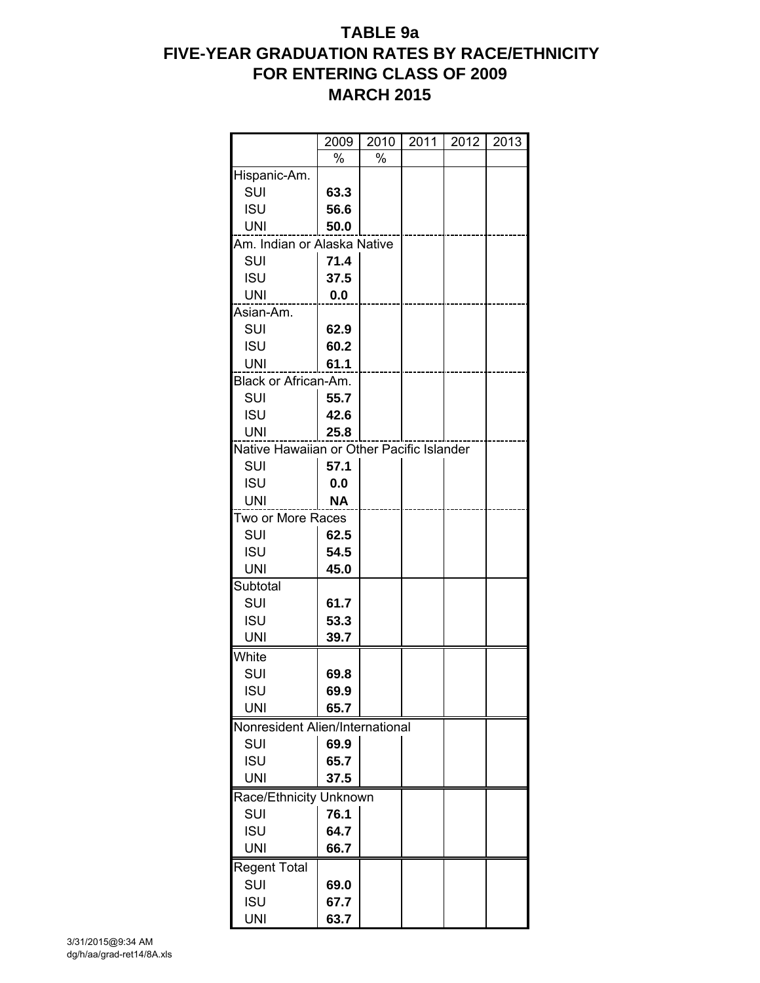# **TABLE 9a FIVE-YEAR GRADUATION RATES BY RACE/ETHNICITY FOR ENTERING CLASS OF 2009 MARCH 2015**

|                                           | 2009      | 2010 | 2011 | 2012 | 2013 |
|-------------------------------------------|-----------|------|------|------|------|
|                                           | %         | %    |      |      |      |
| Hispanic-Am.                              |           |      |      |      |      |
| SUI                                       | 63.3      |      |      |      |      |
| <b>ISU</b>                                | 56.6      |      |      |      |      |
| <b>UNI</b>                                | 50.0      |      |      |      |      |
| Am. Indian or Alaska Native               |           |      |      |      |      |
| <b>SUI</b>                                | 71.4      |      |      |      |      |
| <b>ISU</b>                                | 37.5      |      |      |      |      |
| <b>UNI</b>                                | 0.0       |      |      |      |      |
| Asian-Am.                                 |           |      |      |      |      |
| SUI                                       | 62.9      |      |      |      |      |
| <b>ISU</b>                                | 60.2      |      |      |      |      |
| UNI                                       | 61.1      |      |      |      |      |
| Black or African-Am.                      |           |      |      |      |      |
| SUI                                       | 55.7      |      |      |      |      |
| <b>ISU</b>                                | 42.6      |      |      |      |      |
| <b>UNI</b>                                | 25.8      |      |      |      |      |
| Native Hawaiian or Other Pacific Islander |           |      |      |      |      |
| SUI                                       | 57.1      |      |      |      |      |
| <b>ISU</b>                                | 0.0       |      |      |      |      |
| <b>UNI</b>                                | <b>NA</b> |      |      |      |      |
| Two or More Races                         |           |      |      |      |      |
| SUI                                       | 62.5      |      |      |      |      |
| <b>ISU</b>                                | 54.5      |      |      |      |      |
| <b>UNI</b>                                | 45.0      |      |      |      |      |
| Subtotal                                  |           |      |      |      |      |
| SUI                                       | 61.7      |      |      |      |      |
| <b>ISU</b>                                | 53.3      |      |      |      |      |
| <b>UNI</b>                                | 39.7      |      |      |      |      |
| White                                     |           |      |      |      |      |
| SUI                                       | 69.8      |      |      |      |      |
| <b>ISU</b>                                | 69.9      |      |      |      |      |
| <b>UNI</b>                                | 65.7      |      |      |      |      |
| Nonresident Alien/International           |           |      |      |      |      |
| SUI                                       | 69.9      |      |      |      |      |
| <b>ISU</b>                                | 65.7      |      |      |      |      |
| <b>UNI</b>                                | 37.5      |      |      |      |      |
| Race/Ethnicity Unknown                    |           |      |      |      |      |
| SUI                                       | 76.1      |      |      |      |      |
| <b>ISU</b>                                | 64.7      |      |      |      |      |
| <b>UNI</b>                                | 66.7      |      |      |      |      |
| <b>Regent Total</b>                       |           |      |      |      |      |
| SUI                                       | 69.0      |      |      |      |      |
| <b>ISU</b>                                | 67.7      |      |      |      |      |
| <b>UNI</b>                                | 63.7      |      |      |      |      |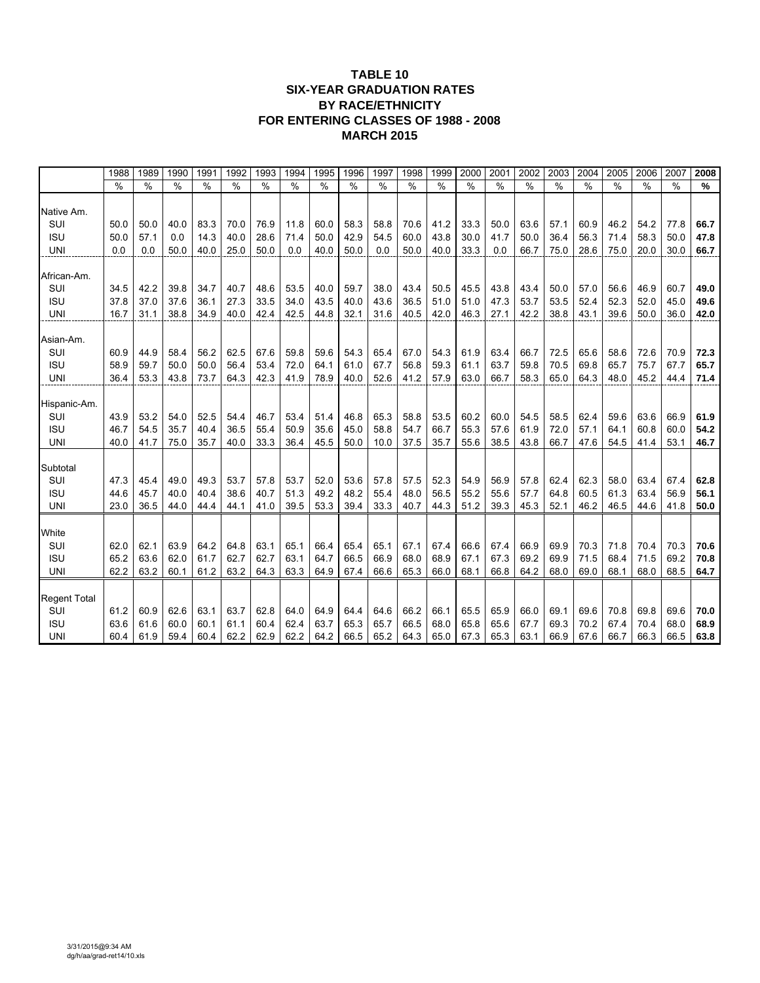#### **TABLE 10 SIX-YEAR GRADUATION RATES BY RACE/ETHNICITY FOR ENTERING CLASSES OF 1988 - 2008 MARCH 2015**

|                     | 1988          | 1989          | 1990          | 1991          | 1992          | 1993 | 1994          | 1995          | 1996          | 1997          | 1998          | 1999          | 2000 | 2001          | 2002          | 2003          | 2004          | 2005          | 2006          | 2007 | 2008          |
|---------------------|---------------|---------------|---------------|---------------|---------------|------|---------------|---------------|---------------|---------------|---------------|---------------|------|---------------|---------------|---------------|---------------|---------------|---------------|------|---------------|
|                     | $\frac{0}{0}$ | $\frac{0}{0}$ | $\frac{0}{0}$ | $\frac{0}{0}$ | $\frac{0}{0}$ | %    | $\frac{0}{0}$ | $\frac{0}{0}$ | $\frac{0}{0}$ | $\frac{0}{0}$ | $\frac{0}{0}$ | $\frac{0}{0}$ | $\%$ | $\frac{0}{0}$ | $\frac{0}{0}$ | $\frac{0}{0}$ | $\frac{0}{0}$ | $\frac{0}{0}$ | $\frac{0}{0}$ | $\%$ | $\frac{9}{6}$ |
|                     |               |               |               |               |               |      |               |               |               |               |               |               |      |               |               |               |               |               |               |      |               |
| Native Am.          |               |               |               |               |               |      |               |               |               |               |               |               |      |               |               |               |               |               |               |      |               |
| SUI                 | 50.0          | 50.0          | 40.0          | 83.3          | 70.0          | 76.9 | 11.8          | 60.0          | 58.3          | 58.8          | 70.6          | 41.2          | 33.3 | 50.0          | 63.6          | 57.1          | 60.9          | 46.2          | 54.2          | 77.8 | 66.7          |
| <b>ISU</b>          | 50.0          | 57.1          | 0.0           | 14.3          | 40.0          | 28.6 | 71.4          | 50.0          | 42.9          | 54.5          | 60.0          | 43.8          | 30.0 | 41.7          | 50.0          | 36.4          | 56.3          | 71.4          | 58.3          | 50.0 | 47.8          |
| <b>UNI</b>          | 0.0           | 0.0           | 50.0          | 40.0          | 25.0          | 50.0 | 0.0           | 40.0          | 50.0          | 0.0           | 50.0          | 40.0          | 33.3 | 0.0           | 66.7          | 75.0          | 28.6          | 75.0          | 20.0          | 30.0 | 66.7          |
| African-Am.         |               |               |               |               |               |      |               |               |               |               |               |               |      |               |               |               |               |               |               |      |               |
| SUI                 | 34.5          | 42.2          | 39.8          | 34.7          | 40.7          | 48.6 | 53.5          | 40.0          | 59.7          | 38.0          | 43.4          | 50.5          | 45.5 | 43.8          | 43.4          | 50.0          | 57.0          | 56.6          | 46.9          | 60.7 | 49.0          |
| <b>ISU</b>          | 37.8          | 37.0          | 37.6          | 36.1          | 27.3          | 33.5 | 34.0          | 43.5          | 40.0          | 43.6          | 36.5          | 51.0          | 51.0 | 47.3          | 53.7          | 53.5          | 52.4          | 52.3          | 52.0          | 45.0 | 49.6          |
| UNI                 | 16.7          | 31.1          | 38.8          | 34.9          | 40.0          | 42.4 | 42.5          | 44.8          | 32.1          | 31.6          | 40.5          | 42.0          | 46.3 | 27.1          | 42.2          | 38.8          | 43.1          | 39.6          | 50.0          | 36.0 | 42.0          |
|                     |               |               |               |               |               |      |               |               |               |               |               |               |      |               |               |               |               |               |               |      |               |
| Asian-Am.           |               |               |               |               |               |      |               |               |               |               |               |               |      |               |               |               |               |               |               |      |               |
| SUI                 | 60.9          | 44.9          | 58.4          | 56.2          | 62.5          | 67.6 | 59.8          | 59.6          | 54.3          | 65.4          | 67.0          | 54.3          | 61.9 | 63.4          | 66.7          | 72.5          | 65.6          | 58.6          | 72.6          | 70.9 | 72.3          |
| <b>ISU</b>          | 58.9          | 59.7          | 50.0          | 50.0          | 56.4          | 53.4 | 72.0          | 64.1          | 61.0          | 67.7          | 56.8          | 59.3          | 61.1 | 63.7          | 59.8          | 70.5          | 69.8          | 65.7          | 75.7          | 67.7 | 65.7          |
| <b>UNI</b>          | 36.4          | 53.3          | 43.8          | 73.7          | 64.3          | 42.3 | 41.9          | 78.9          | 40.0          | 52.6          | 41.2          | 57.9          | 63.0 | 66.7          | 58.3          | 65.0          | 64.3          | 48.0          | 45.2          | 44.4 | 71.4          |
|                     |               |               |               |               |               |      |               |               |               |               |               |               |      |               |               |               |               |               |               |      |               |
| Hispanic-Am.        |               |               |               |               |               |      |               |               |               |               |               |               |      |               |               |               |               |               |               |      |               |
| SUI                 | 43.9          | 53.2          | 54.0          | 52.5          | 54.4          | 46.7 | 53.4          | 51.4          | 46.8          | 65.3          | 58.8          | 53.5          | 60.2 | 60.0          | 54.5          | 58.5          | 62.4          | 59.6          | 63.6          | 66.9 | 61.9          |
| <b>ISU</b>          | 46.7          | 54.5          | 35.7          | 40.4          | 36.5          | 55.4 | 50.9          | 35.6          | 45.0          | 58.8          | 54.7          | 66.7          | 55.3 | 57.6          | 61.9          | 72.0          | 57.1          | 64.1          | 60.8          | 60.0 | 54.2          |
| UNI                 | 40.0          | 41.7          | 75.0          | 35.7          | 40.0          | 33.3 | 36.4          | 45.5          | 50.0          | 10.0          | 37.5          | 35.7          | 55.6 | 38.5          | 43.8          | 66.7          | 47.6          | 54.5          | 41.4          | 53.1 | 46.7          |
|                     |               |               |               |               |               |      |               |               |               |               |               |               |      |               |               |               |               |               |               |      |               |
| Subtotal<br>SUI     | 47.3          | 45.4          | 49.0          | 49.3          | 53.7          | 57.8 | 53.7          | 52.0          | 53.6          | 57.8          | 57.5          | 52.3          | 54.9 | 56.9          | 57.8          | 62.4          | 62.3          | 58.0          | 63.4          | 67.4 | 62.8          |
| <b>ISU</b>          | 44.6          | 45.7          | 40.0          | 40.4          | 38.6          | 40.7 | 51.3          | 49.2          | 48.2          | 55.4          | 48.0          | 56.5          | 55.2 | 55.6          | 57.7          | 64.8          | 60.5          | 61.3          | 63.4          | 56.9 | 56.1          |
| <b>UNI</b>          | 23.0          | 36.5          | 44.0          | 44.4          | 44.1          | 41.0 | 39.5          | 53.3          | 39.4          | 33.3          | 40.7          | 44.3          | 51.2 | 39.3          | 45.3          | 52.1          | 46.2          | 46.5          | 44.6          | 41.8 | 50.0          |
|                     |               |               |               |               |               |      |               |               |               |               |               |               |      |               |               |               |               |               |               |      |               |
| White               |               |               |               |               |               |      |               |               |               |               |               |               |      |               |               |               |               |               |               |      |               |
| SUI                 | 62.0          | 62.1          | 63.9          | 64.2          | 64.8          | 63.1 | 65.1          | 66.4          | 65.4          | 65.1          | 67.1          | 67.4          | 66.6 | 67.4          | 66.9          | 69.9          | 70.3          | 71.8          | 70.4          | 70.3 | 70.6          |
| <b>ISU</b>          | 65.2          | 63.6          | 62.0          | 61.7          | 62.7          | 62.7 | 63.1          | 64.7          | 66.5          | 66.9          | 68.0          | 68.9          | 67.1 | 67.3          | 69.2          | 69.9          | 71.5          | 68.4          | 71.5          | 69.2 | 70.8          |
| <b>UNI</b>          | 62.2          | 63.2          | 60.1          | 61.2          | 63.2          | 64.3 | 63.3          | 64.9          | 67.4          | 66.6          | 65.3          | 66.0          | 68.1 | 66.8          | 64.2          | 68.0          | 69.0          | 68.1          | 68.0          | 68.5 | 64.7          |
|                     |               |               |               |               |               |      |               |               |               |               |               |               |      |               |               |               |               |               |               |      |               |
| <b>Regent Total</b> |               |               |               |               |               |      |               |               |               |               |               |               |      |               |               |               |               |               |               |      |               |
| SUI                 | 61.2          | 60.9          | 62.6          | 63.1          | 63.7          | 62.8 | 64.0          | 64.9          | 64.4          | 64.6          | 66.2          | 66.1          | 65.5 | 65.9          | 66.0          | 69.1          | 69.6          | 70.8          | 69.8          | 69.6 | 70.0          |
| <b>ISU</b>          | 63.6          | 61.6          | 60.0          | 60.1          | 61.1          | 60.4 | 62.4          | 63.7          | 65.3          | 65.7          | 66.5          | 68.0          | 65.8 | 65.6          | 67.7          | 69.3          | 70.2          | 67.4          | 70.4          | 68.0 | 68.9          |
| <b>UNI</b>          | 60.4          | 61.9          | 59.4          | 60.4          | 62.2          | 62.9 | 62.2          | 64.2          | 66.5          | 65.2          | 64.3          | 65.0          | 67.3 | 65.3          | 63.1          | 66.9          | 67.6          | 66.7          | 66.3          | 66.5 | 63.8          |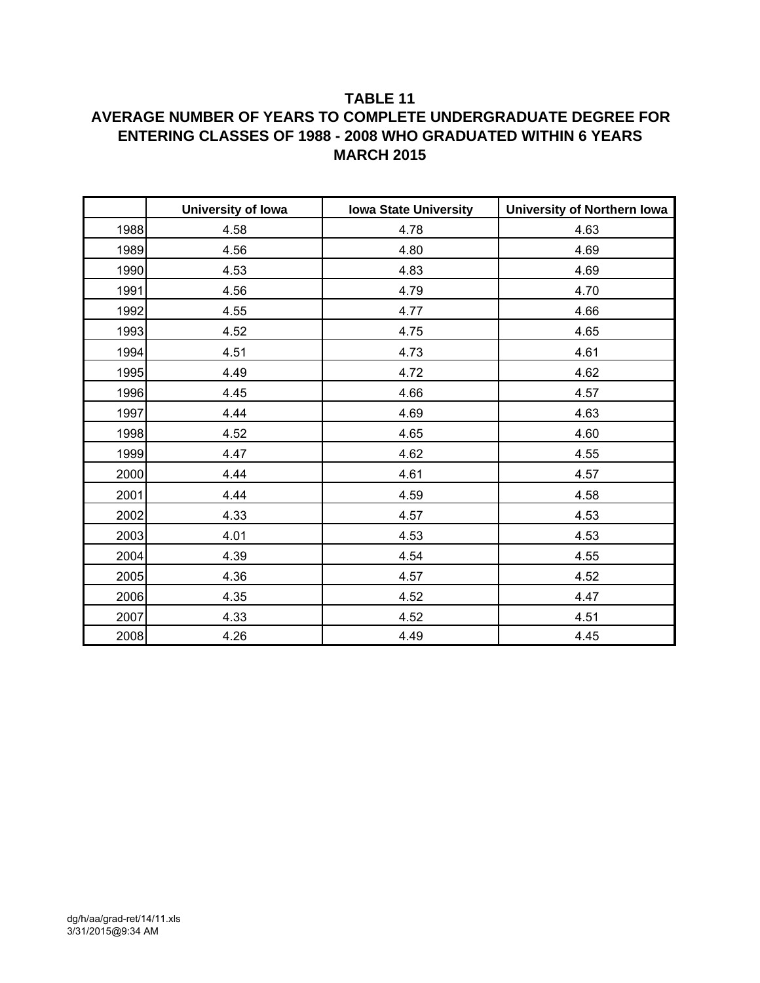### **TABLE 11**

## **AVERAGE NUMBER OF YEARS TO COMPLETE UNDERGRADUATE DEGREE FOR ENTERING CLASSES OF 1988 - 2008 WHO GRADUATED WITHIN 6 YEARS MARCH 2015**

|      | University of Iowa | <b>Iowa State University</b> | <b>University of Northern Iowa</b> |
|------|--------------------|------------------------------|------------------------------------|
| 1988 | 4.58               | 4.78                         | 4.63                               |
| 1989 | 4.56               | 4.80                         | 4.69                               |
| 1990 | 4.53               | 4.83                         | 4.69                               |
| 1991 | 4.56               | 4.79                         | 4.70                               |
| 1992 | 4.55               | 4.77                         | 4.66                               |
| 1993 | 4.52               | 4.75                         | 4.65                               |
| 1994 | 4.51               | 4.73                         | 4.61                               |
| 1995 | 4.49               | 4.72                         | 4.62                               |
| 1996 | 4.45               | 4.66                         | 4.57                               |
| 1997 | 4.44               | 4.69                         | 4.63                               |
| 1998 | 4.52               | 4.65                         | 4.60                               |
| 1999 | 4.47               | 4.62                         | 4.55                               |
| 2000 | 4.44               | 4.61                         | 4.57                               |
| 2001 | 4.44               | 4.59                         | 4.58                               |
| 2002 | 4.33               | 4.57                         | 4.53                               |
| 2003 | 4.01               | 4.53                         | 4.53                               |
| 2004 | 4.39               | 4.54                         | 4.55                               |
| 2005 | 4.36               | 4.57                         | 4.52                               |
| 2006 | 4.35               | 4.52                         | 4.47                               |
| 2007 | 4.33               | 4.52                         | 4.51                               |
| 2008 | 4.26               | 4.49                         | 4.45                               |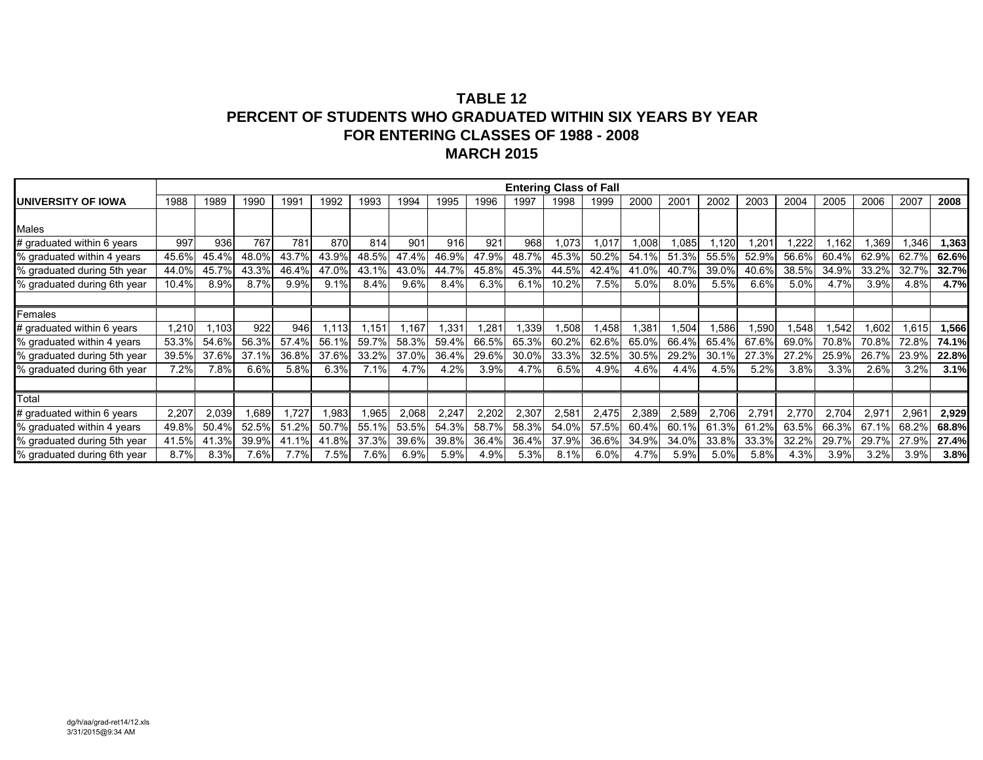|                             |       |       |       |       |       |       |                 |       |       | <b>Entering Class of Fall</b> |       |       |        |       |       |                  |       |       |       |       |       |
|-----------------------------|-------|-------|-------|-------|-------|-------|-----------------|-------|-------|-------------------------------|-------|-------|--------|-------|-------|------------------|-------|-------|-------|-------|-------|
| UNIVERSITY OF IOWA          | 1988  | 1989  | 1990  | 1991  | 1992  | 1993  | 1994            | 1995  | 1996  | 1997                          | 1998  | 1999  | 2000   | 2001  | 2002  | 2003             | 2004  | 2005  | 2006  | 2007  | 2008  |
|                             |       |       |       |       |       |       |                 |       |       |                               |       |       |        |       |       |                  |       |       |       |       |       |
| Males                       |       |       |       |       |       |       |                 |       |       |                               |       |       |        |       |       |                  |       |       |       |       |       |
| # graduated within 6 years  | 997   | 936   | 767   | 781   | 870   | 814   | 90 <sup>o</sup> | 916   | 921   | 968                           | ,073  | 017.ا | 800, I | 1,085 | .120  | .20 <sup>4</sup> | 1,222 | .162  | .369  | 1,346 | 1,363 |
| % graduated within 4 years  | 45.6% | 45.4% | 48.0% | 43.7% | 43.9% | 48.5% | 47.4%           | 46.9% | 47.9% | 48.7%                         | 45.3% | 50.2% | 54.1%  | 51.3% | 55.5% | 52.9%            | 56.6% | 60.4% | 62.9% | 62.7% | 62.6% |
| % graduated during 5th year | 44.0% | 45.7% | 43.3% | 46.4% | 47.0% | 43.1% | 43.0%           | 44.7% | 45.8% | 45.3%                         | 44.5% | 42.4% | 41.0%  | 40.7% | 39.0% | 40.6%            | 38.5% | 34.9% | 33.2% | 32.7% | 32.7% |
| % graduated during 6th year | 10.4% | 8.9%  | 8.7%  | 9.9%  | 9.1%  | 8.4%  | 9.6%            | 8.4%  | 6.3%  | 6.1%                          | 10.2% | 7.5%  | 5.0%   | 8.0%  | 5.5%  | 6.6%             | 5.0%  | 4.7%  | 3.9%  | 4.8%  | 4.7%  |
|                             |       |       |       |       |       |       |                 |       |       |                               |       |       |        |       |       |                  |       |       |       |       |       |
| Females                     |       |       |       |       |       |       |                 |       |       |                               |       |       |        |       |       |                  |       |       |       |       |       |
| # graduated within 6 years  | 1,210 | .103  | 922   | 946   | 1.113 | .151  | .167            | .331  | .281  | .339                          | .508  | .458  | 381.ا  | 1,504 | .586  | .590             | 1,548 | .542  | 1,602 | 1,615 | 1,566 |
| % graduated within 4 years  | 53.3% | 54.6% | 56.3% | 57.4% | 56.1% | 59.7% | 58.3%           | 59.4% | 66.5% | 65.3%                         | 60.2% | 62.6% | 65.0%  | 66.4% | 65.4% | 67.6%            | 69.0% | 70.8% | 70.8% | 72.8% | 74.1% |
| % graduated during 5th year | 39.5% | 37.6% | 37.1% | 36.8% | 37.6% | 33.2% | 37.0%           | 36.4% | 29.6% | 30.0%                         | 33.3% | 32.5% | 30.5%  | 29.2% | 30.1% | 27.3%            | 27.2% | 25.9% | 26.7% | 23.9% | 22.8% |
| % graduated during 6th year | 7.2%  | 7.8%  | 6.6%  | 5.8%  | 6.3%  | 7.1%  | 4.7%            | 4.2%  | 3.9%  | 4.7%                          | 6.5%  | 4.9%  | 4.6%   | 4.4%  | 4.5%  | 5.2%             | 3.8%  | 3.3%  | 2.6%  | 3.2%  | 3.1%  |
|                             |       |       |       |       |       |       |                 |       |       |                               |       |       |        |       |       |                  |       |       |       |       |       |
| Total                       |       |       |       |       |       |       |                 |       |       |                               |       |       |        |       |       |                  |       |       |       |       |       |
| # graduated within 6 years  | 2,207 | 2,039 | 1,689 | ,727  | .983  | .965  | 2,068           | 2,247 | 2,202 | 2,307                         | 2,581 | 2,475 | 2,389  | 2,589 | 2,706 | 2,79'            | 2,770 | 2,704 | 2,971 | 2,961 | 2,929 |
| % graduated within 4 years  | 49.8% | 50.4% | 52.5% | 51.2% | 50.7% | 55.1% | 53.5%           | 54.3% | 58.7% | 58.3%                         | 54.0% | 57.5% | 60.4%  | 60.1% | 61.3% | 61.2%            | 63.5% | 66.3% | 67.1% | 68.2% | 68.8% |
| % graduated during 5th year | 41.5% | 41.3% | 39.9% | 41.1% | 41.8% | 37.3% | 39.6%           | 39.8% | 36.4% | 36.4%                         | 37.9% | 36.6% | 34.9%  | 34.0% | 33.8% | 33.3%            | 32.2% | 29.7% | 29.7% | 27.9% | 27.4% |
| % graduated during 6th year | 8.7%  | 8.3%  | 7.6%  | 7.7%  | 7.5%  | 7.6%  | 6.9%            | 5.9%  | 4.9%  | 5.3%                          | 8.1%  | 6.0%  | 4.7%   | 5.9%  | 5.0%  | 5.8%             | 4.3%  | 3.9%  | 3.2%  | 3.9%  | 3.8%  |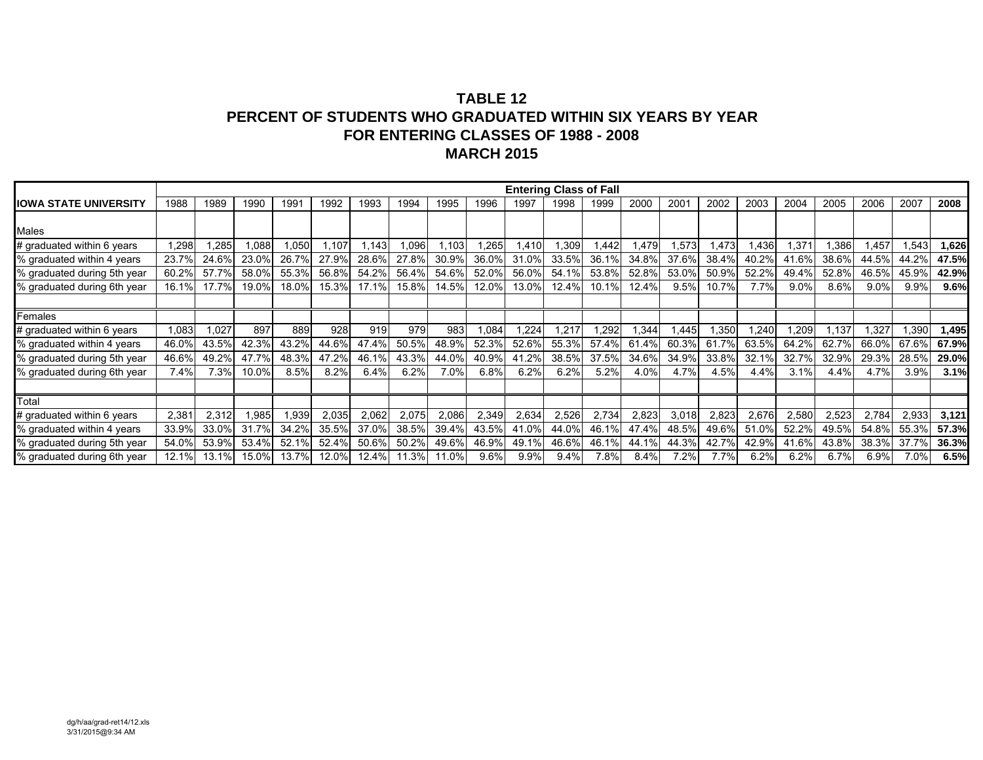|                              |       |       |       |       |       |       |       |       |       | <b>Entering Class of Fall</b> |       |       |       |         |       |       |       |       |       |       |       |
|------------------------------|-------|-------|-------|-------|-------|-------|-------|-------|-------|-------------------------------|-------|-------|-------|---------|-------|-------|-------|-------|-------|-------|-------|
| <b>IOWA STATE UNIVERSITY</b> | 1988  | 1989  | 1990  | 1991  | 1992  | 1993  | 1994  | 1995  | 1996  | 1997                          | 1998  | 1999  | 2000  | 2001    | 2002  | 2003  | 2004  | 2005  | 2006  | 2007  | 2008  |
|                              |       |       |       |       |       |       |       |       |       |                               |       |       |       |         |       |       |       |       |       |       |       |
| Males                        |       |       |       |       |       |       |       |       |       |                               |       |       |       |         |       |       |       |       |       |       |       |
| # graduated within 6 years   | ,298  | ,285  | 0.088 | 1,050 | .107  | .143  | ,096  | .103  | .265  | ,410                          | ,309  | .442  | .479  | ,573    | 1,473 | l,436 | 1,37' | ,386  | 1,457 | 1,543 | 1,626 |
| % graduated within 4 years   | 23.7% | 24.6% | 23.0% | 26.7% | 27.9% | 28.6% | 27.8% | 30.9% | 36.0% | 31.0%                         | 33.5% | 36.1% | 34.8% | 37.6%   | 38.4% | 40.2% | 41.6% | 38.6% | 44.5% | 44.2% | 47.5% |
| % graduated during 5th year  | 60.2% | 57.7% | 58.0% | 55.3% | 56.8% | 54.2% | 56.4% | 54.6% | 52.0% | 56.0%                         | 54.1% | 53.8% | 52.8% | 53.0%   | 50.9% | 52.2% | 49.4% | 52.8% | 46.5% | 45.9% | 42.9% |
| % graduated during 6th year  | 16.1% | 17.7% | 19.0% | 18.0% | 15.3% | 17.1% | 15.8% | 14.5% | 12.0% | 13.0%                         | 12.4% | 10.1% | 12.4% | 9.5%    | 10.7% | 7.7%  | 9.0%  | 8.6%  | 9.0%  | 9.9%  | 9.6%  |
|                              |       |       |       |       |       |       |       |       |       |                               |       |       |       |         |       |       |       |       |       |       |       |
| Females                      |       |       |       |       |       |       |       |       |       |                               |       |       |       |         |       |       |       |       |       |       |       |
| # graduated within 6 years   | 1,083 | 1,027 | 897   | 889   | 928   | 919   | 979   | 983   | .084  | ,224                          | .217  | ,292  | ,344  | ,445    | 1,350 | 1,240 | .209  | 1,137 | 1,327 | 1,390 | 1,495 |
| % graduated within 4 years   | 46.0% | 43.5% | 42.3% | 43.2% | 44.6% | 47.4% | 50.5% | 48.9% | 52.3% | 52.6%                         | 55.3% | 57.4% | 61.4% | 60.3%   | 61.7% | 63.5% | 64.2% | 62.7% | 66.0% | 67.6% | 67.9% |
| % graduated during 5th year  | 46.6% | 49.2% | 47.7% | 48.3% | 47.2% | 46.1% | 43.3% | 44.0% | 40.9% | 41.2%                         | 38.5% | 37.5% | 34.6% | 34.9%   | 33.8% | 32.1% | 32.7% | 32.9% | 29.3% | 28.5% | 29.0% |
| % graduated during 6th year  | 7.4%  | 7.3%  | 10.0% | 8.5%  | 8.2%  | 6.4%  | 6.2%  | 7.0%  | 6.8%  | 6.2%                          | 6.2%  | 5.2%  | 4.0%  | 4.7%    | 4.5%  | 4.4%  | 3.1%  | 4.4%  | 4.7%  | 3.9%  | 3.1%  |
|                              |       |       |       |       |       |       |       |       |       |                               |       |       |       |         |       |       |       |       |       |       |       |
| Total                        |       |       |       |       |       |       |       |       |       |                               |       |       |       |         |       |       |       |       |       |       |       |
| # graduated within 6 years   | 2,381 | 2,312 | .985  | 1,939 | 2,035 | 2,062 | 2,075 | 2,086 | 2,349 | 2,634                         | 2,526 | 2,734 | 2,823 | 3,018   | 2,823 | 2,676 | 2,580 | 2,523 | 2,784 | 2,933 | 3,121 |
| % graduated within 4 years   | 33.9% | 33.0% | 31.7% | 34.2% | 35.5% | 37.0% | 38.5% | 39.4% | 43.5% | 41.0%                         | 44.0% | 46.1% | 47.4% | 48.5%   | 49.6% | 51.0% | 52.2% | 49.5% | 54.8% | 55.3% | 57.3% |
| % graduated during 5th year  | 54.0% | 53.9% | 53.4% | 52.1% | 52.4% | 50.6% | 50.2% | 49.6% | 46.9% | 49.1%                         | 46.6% | 46.1% | 44.1% | 44.3%   | 42.7% | 42.9% | 41.6% | 43.8% | 38.3% | 37.7% | 36.3% |
| % graduated during 6th year  | 12.1% | 13.1% | 15.0% | 13.7% | 12.0% | 12.4% | 11.3% | 11.0% | 9.6%  | 9.9%                          | 9.4%  | 7.8%  | 8.4%  | $7.2\%$ | 7.7%  | 6.2%  | 6.2%  | 6.7%  | 6.9%  | 7.0%  | 6.5%  |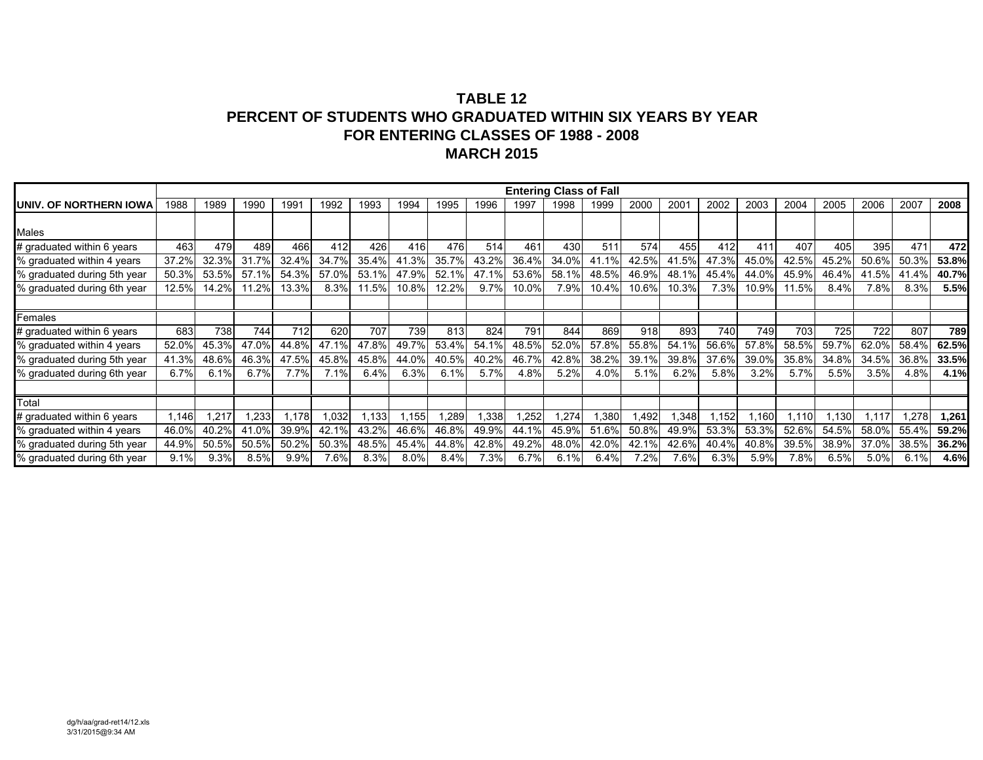|                             |       |       |       |       |       |       |       |       |       | <b>Entering Class of Fall</b> |       |       |       |       |       |       |       |       |       |       |       |
|-----------------------------|-------|-------|-------|-------|-------|-------|-------|-------|-------|-------------------------------|-------|-------|-------|-------|-------|-------|-------|-------|-------|-------|-------|
| UNIV. OF NORTHERN IOWA      | 1988  | 1989  | 1990  | 1991  | 1992  | 1993  | 1994  | 1995  | 1996  | 1997                          | 1998  | 1999  | 2000  | 2001  | 2002  | 2003  | 2004  | 2005  | 2006  | 2007  | 2008  |
|                             |       |       |       |       |       |       |       |       |       |                               |       |       |       |       |       |       |       |       |       |       |       |
| Males                       |       |       |       |       |       |       |       |       |       |                               |       |       |       |       |       |       |       |       |       |       |       |
| # graduated within 6 years  | 463   | 479   | 489   | 466   | 412   | 426   | 416   | 476   | 514   | 461                           | 430   | 511   | 574   | 455   | 412   | 411   | 407   | 405   | 395   | 471   | 472   |
| % graduated within 4 years  | 37.2% | 32.3% | 31.7% | 32.4% | 34.7% | 35.4% | 41.3% | 35.7% | 43.2% | 36.4%                         | 34.0% | 41.1% | 42.5% | 41.5% | 47.3% | 45.0% | 42.5% | 45.2% | 50.6% | 50.3% | 53.8% |
| % graduated during 5th year | 50.3% | 53.5% | 57.1% | 54.3% | 57.0% | 53.1% | 47.9% | 52.1% | 47.1% | 53.6%                         | 58.1% | 48.5% | 46.9% | 48.1% | 45.4% | 44.0% | 45.9% | 46.4% | 41.5% | 41.4% | 40.7% |
| % graduated during 6th year | 12.5% | 14.2% | 11.2% | 13.3% | 8.3%  | 11.5% | 10.8% | 12.2% | 9.7%  | 10.0%                         | 7.9%  | 10.4% | 10.6% | 10.3% | 7.3%  | 10.9% | 11.5% | 8.4%  | 7.8%  | 8.3%  | 5.5%  |
|                             |       |       |       |       |       |       |       |       |       |                               |       |       |       |       |       |       |       |       |       |       |       |
| Females                     |       |       |       |       |       |       |       |       |       |                               |       |       |       |       |       |       |       |       |       |       |       |
| # graduated within 6 years  | 683   | 738   | 744   | 712   | 620   | 707   | 739   | 813   | 824   | 791                           | 844   | 869   | 918   | 893   | 740   | 749   | 703   | 725   | 722   | 807   | 789   |
| % graduated within 4 years  | 52.0% | 45.3% | 47.0% | 44.8% | 47.1% | 47.8% | 49.7% | 53.4% | 54.1% | 48.5%                         | 52.0% | 57.8% | 55.8% | 54.1% | 56.6% | 57.8% | 58.5% | 59.7% | 62.0% | 58.4% | 62.5% |
| % graduated during 5th year | 41.3% | 48.6% | 46.3% | 47.5% | 45.8% | 45.8% | 44.0% | 40.5% | 40.2% | 46.7%                         | 42.8% | 38.2% | 39.1% | 39.8% | 37.6% | 39.0% | 35.8% | 34.8% | 34.5% | 36.8% | 33.5% |
| % graduated during 6th year | 6.7%  | 6.1%  | 6.7%  | 7.7%  | 7.1%  | 6.4%  | 6.3%  | 6.1%  | 5.7%  | 4.8%                          | 5.2%  | 4.0%  | 5.1%  | 6.2%  | 5.8%  | 3.2%  | 5.7%  | 5.5%  | 3.5%  | 4.8%  | 4.1%  |
|                             |       |       |       |       |       |       |       |       |       |                               |       |       |       |       |       |       |       |       |       |       |       |
| Total                       |       |       |       |       |       |       |       |       |       |                               |       |       |       |       |       |       |       |       |       |       |       |
| # graduated within 6 years  | 1,146 | ,217  | ,233  | ,178  | .032  | ,133  | ,155  | ,289  | ,338  | ,252                          | ,274  | ,380  | ,492  | ,348  | ,152  | .160  | .110  | ,130  | 1,117 | 1,278 | 1,261 |
| % graduated within 4 years  | 46.0% | 40.2% | 41.0% | 39.9% | 42.1% | 43.2% | 46.6% | 46.8% | 49.9% | 44.1%                         | 45.9% | 51.6% | 50.8% | 49.9% | 53.3% | 53.3% | 52.6% | 54.5% | 58.0% | 55.4% | 59.2% |
| % graduated during 5th year | 44.9% | 50.5% | 50.5% | 50.2% | 50.3% | 48.5% | 45.4% | 44.8% | 42.8% | 49.2%                         | 48.0% | 42.0% | 42.1% | 42.6% | 40.4% | 40.8% | 39.5% | 38.9% | 37.0% | 38.5% | 36.2% |
| % graduated during 6th year | 9.1%  | 9.3%  | 8.5%  | 9.9%  | 7.6%  | 8.3%  | 8.0%  | 8.4%  | 7.3%  | 6.7%                          | 6.1%  | 6.4%  | 7.2%  | 7.6%  | 6.3%  | 5.9%  | 7.8%  | 6.5%  | 5.0%  | 6.1%  | 4.6%  |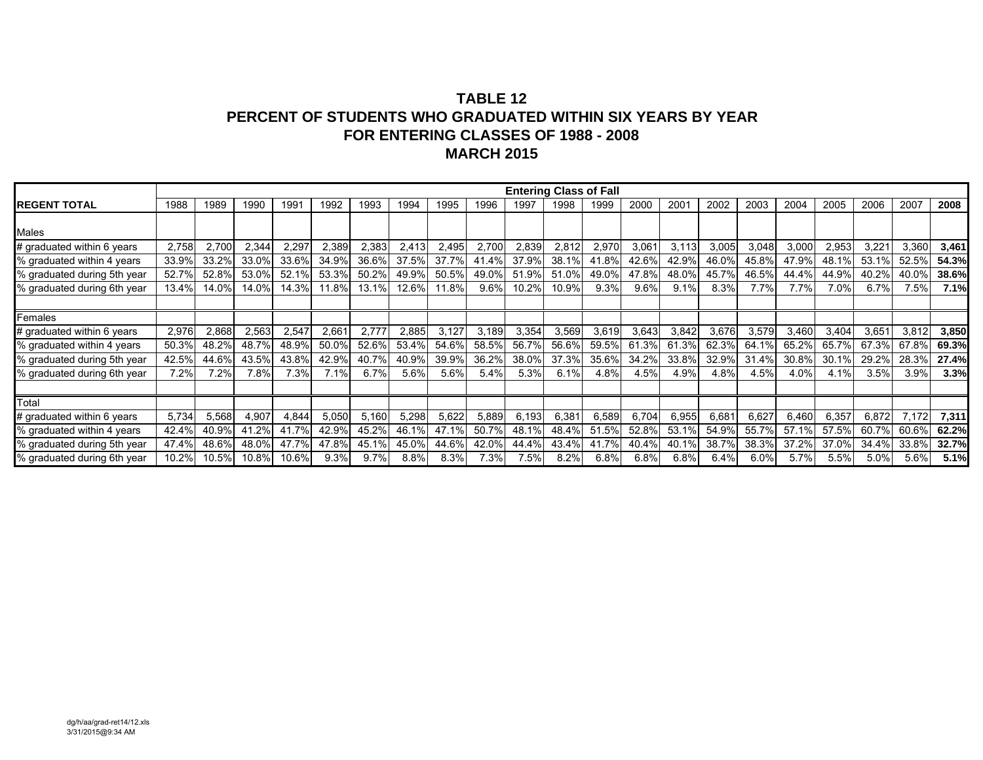|                             |       |       |       |       |       |       |       |       |       | <b>Entering Class of Fall</b> |       |       |       |       |       |       |       |       |       |       |       |
|-----------------------------|-------|-------|-------|-------|-------|-------|-------|-------|-------|-------------------------------|-------|-------|-------|-------|-------|-------|-------|-------|-------|-------|-------|
| <b>REGENT TOTAL</b>         | 1988  | 1989  | 1990  | 1991  | 1992  | 1993  | 1994  | 1995  | 1996  | 1997                          | 1998  | 1999  | 2000  | 2001  | 2002  | 2003  | 2004  | 2005  | 2006  | 2007  | 2008  |
|                             |       |       |       |       |       |       |       |       |       |                               |       |       |       |       |       |       |       |       |       |       |       |
| Males                       |       |       |       |       |       |       |       |       |       |                               |       |       |       |       |       |       |       |       |       |       |       |
| # graduated within 6 years  | 2,758 | 2,700 | 2,344 | 2,297 | 2,389 | 2,383 | 2,413 | 2,495 | 2,700 | 2,839                         | 2,812 | 2,970 | 3,061 | 3,113 | 3,005 | 3,048 | 3,000 | 2,953 | 3,22' | 3,360 | 3,461 |
| % graduated within 4 years  | 33.9% | 33.2% | 33.0% | 33.6% | 34.9% | 36.6% | 37.5% | 37.7% | 41.4% | 37.9%                         | 38.1% | 41.8% | 42.6% | 42.9% | 46.0% | 45.8% | 47.9% | 48.1% | 53.1% | 52.5% | 54.3% |
| % graduated during 5th year | 52.7% | 52.8% | 53.0% | 52.1% | 53.3% | 50.2% | 49.9% | 50.5% | 49.0% | 51.9%                         | 51.0% | 49.0% | 47.8% | 48.0% | 45.7% | 46.5% | 44.4% | 44.9% | 40.2% | 40.0% | 38.6% |
| % graduated during 6th year | 13.4% | 14.0% | 14.0% | 14.3% | 11.8% | 13.1% | 12.6% | 11.8% | 9.6%  | 10.2%                         | 10.9% | 9.3%  | 9.6%  | 9.1%  | 8.3%  | 7.7%  | 7.7%  | 7.0%  | 6.7%  | 7.5%  | 7.1%  |
|                             |       |       |       |       |       |       |       |       |       |                               |       |       |       |       |       |       |       |       |       |       |       |
| Females                     |       |       |       |       |       |       |       |       |       |                               |       |       |       |       |       |       |       |       |       |       |       |
| # graduated within 6 years  | 2,976 | 2,868 | 2,563 | 2,547 | 2,661 | 2,777 | 2,885 | 3,127 | 3.189 | 3,354                         | 3,569 | 3,619 | 3,643 | 3,842 | 3,676 | 3,579 | 3,460 | 3,404 | 3,651 | 3,812 | 3,850 |
| % graduated within 4 years  | 50.3% | 48.2% | 48.7% | 48.9% | 50.0% | 52.6% | 53.4% | 54.6% | 58.5% | 56.7%                         | 56.6% | 59.5% | 61.3% | 61.3% | 62.3% | 64.1% | 65.2% | 65.7% | 67.3% | 67.8% | 69.3% |
| % graduated during 5th year | 42.5% | 44.6% | 43.5% | 43.8% | 42.9% | 40.7% | 40.9% | 39.9% | 36.2% | 38.0%                         | 37.3% | 35.6% | 34.2% | 33.8% | 32.9% | 31.4% | 30.8% | 30.1% | 29.2% | 28.3% | 27.4% |
| % graduated during 6th year | 7.2%  | 7.2%  | 7.8%  | 7.3%  | 7.1%  | 6.7%  | 5.6%  | 5.6%  | 5.4%  | 5.3%                          | 6.1%  | 4.8%  | 4.5%  | 4.9%  | 4.8%  | 4.5%  | 4.0%  | 4.1%  | 3.5%  | 3.9%  | 3.3%  |
|                             |       |       |       |       |       |       |       |       |       |                               |       |       |       |       |       |       |       |       |       |       |       |
| Total                       |       |       |       |       |       |       |       |       |       |                               |       |       |       |       |       |       |       |       |       |       |       |
| # graduated within 6 years  | 5,734 | 5,568 | 4,907 | 4,844 | 5,050 | 5,160 | 5,298 | 5,622 | 5,889 | 6,193                         | 6,381 | 6,589 | 6,704 | 6,955 | 6,681 | 6,627 | 6,460 | 6,357 | 6,872 | 7,172 | 7,311 |
| % graduated within 4 years  | 42.4% | 40.9% | 41.2% | 41.7% | 42.9% | 45.2% | 46.1% | 47.1% | 50.7% | 48.1%                         | 48.4% | 51.5% | 52.8% | 53.1% | 54.9% | 55.7% | 57.1% | 57.5% | 60.7% | 60.6% | 62.2% |
| % graduated during 5th year | 47.4% | 48.6% | 48.0% | 47.7% | 47.8% | 45.1% | 45.0% | 44.6% | 42.0% | 44.4%                         | 43.4% | 41.7% | 40.4% | 40.1% | 38.7% | 38.3% | 37.2% | 37.0% | 34.4% | 33.8% | 32.7% |
| % graduated during 6th year | 10.2% | 10.5% | 10.8% | 10.6% | 9.3%  | 9.7%  | 8.8%  | 8.3%  | 7.3%  | 7.5%                          | 8.2%  | 6.8%  | 6.8%  | 6.8%  | 6.4%  | 6.0%  | 5.7%  | 5.5%  | 5.0%  | 5.6%  | 5.1%  |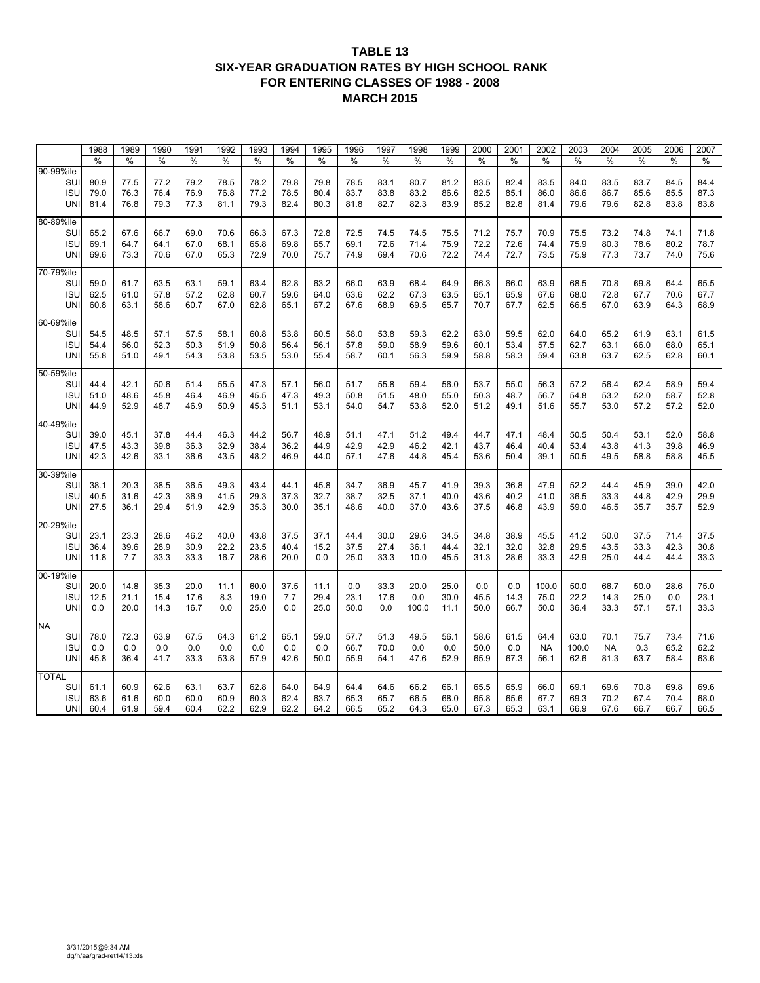#### **TABLE 13 SIX-YEAR GRADUATION RATES BY HIGH SCHOOL RANK FOR ENTERING CLASSES OF 1988 - 2008 MARCH 2015**

|                                                 | 1988                 | 1989                 | 1990                 | 1991                 | 1992                 | 1993                 | 1994                 | 1995                 | 1996                 | 1997                 | 1998                 | 1999                 | 2000                 | 2001                 | 2002                      | 2003                  | 2004                      | 2005                 | 2006                 | 2007                 |
|-------------------------------------------------|----------------------|----------------------|----------------------|----------------------|----------------------|----------------------|----------------------|----------------------|----------------------|----------------------|----------------------|----------------------|----------------------|----------------------|---------------------------|-----------------------|---------------------------|----------------------|----------------------|----------------------|
|                                                 | %                    | %                    | $\%$                 | %                    | %                    | %                    | %                    | %                    | %                    | %                    | %                    | %                    | $\%$                 | %                    | %                         | $\%$                  | %                         | %                    | %                    | %                    |
| 90-99%ile                                       |                      |                      |                      |                      |                      |                      |                      |                      |                      |                      |                      |                      |                      |                      |                           |                       |                           |                      |                      |                      |
| SUI<br><b>ISU</b><br><b>UNI</b>                 | 80.9<br>79.0<br>81.4 | 77.5<br>76.3<br>76.8 | 77.2<br>76.4<br>79.3 | 79.2<br>76.9<br>77.3 | 78.5<br>76.8<br>81.1 | 78.2<br>77.2<br>79.3 | 79.8<br>78.5<br>82.4 | 79.8<br>80.4<br>80.3 | 78.5<br>83.7<br>81.8 | 83.1<br>83.8<br>82.7 | 80.7<br>83.2<br>82.3 | 81.2<br>86.6<br>83.9 | 83.5<br>82.5<br>85.2 | 82.4<br>85.1<br>82.8 | 83.5<br>86.0<br>81.4      | 84.0<br>86.6<br>79.6  | 83.5<br>86.7<br>79.6      | 83.7<br>85.6<br>82.8 | 84.5<br>85.5<br>83.8 | 84.4<br>87.3<br>83.8 |
| 80-89%ile<br>SUI<br><b>ISU</b><br><b>UNI</b>    | 65.2<br>69.1<br>69.6 | 67.6<br>64.7<br>73.3 | 66.7<br>64.1<br>70.6 | 69.0<br>67.0<br>67.0 | 70.6<br>68.1<br>65.3 | 66.3<br>65.8<br>72.9 | 67.3<br>69.8<br>70.0 | 72.8<br>65.7<br>75.7 | 72.5<br>69.1<br>74.9 | 74.5<br>72.6<br>69.4 | 74.5<br>71.4<br>70.6 | 75.5<br>75.9<br>72.2 | 71.2<br>72.2<br>74.4 | 75.7<br>72.6<br>72.7 | 70.9<br>74.4<br>73.5      | 75.5<br>75.9<br>75.9  | 73.2<br>80.3<br>77.3      | 74.8<br>78.6<br>73.7 | 74.1<br>80.2<br>74.0 | 71.8<br>78.7<br>75.6 |
| 70-79%ile<br>SUI<br><b>ISU</b><br><b>UNI</b>    | 59.0<br>62.5<br>60.8 | 61.7<br>61.0<br>63.1 | 63.5<br>57.8<br>58.6 | 63.1<br>57.2<br>60.7 | 59.1<br>62.8<br>67.0 | 63.4<br>60.7<br>62.8 | 62.8<br>59.6<br>65.1 | 63.2<br>64.0<br>67.2 | 66.0<br>63.6<br>67.6 | 63.9<br>62.2<br>68.9 | 68.4<br>67.3<br>69.5 | 64.9<br>63.5<br>65.7 | 66.3<br>65.1<br>70.7 | 66.0<br>65.9<br>67.7 | 63.9<br>67.6<br>62.5      | 68.5<br>68.0<br>66.5  | 70.8<br>72.8<br>67.0      | 69.8<br>67.7<br>63.9 | 64.4<br>70.6<br>64.3 | 65.5<br>67.7<br>68.9 |
| 60-69%ile<br>SUI<br><b>ISU</b><br><b>UNI</b>    | 54.5<br>54.4<br>55.8 | 48.5<br>56.0<br>51.0 | 57.1<br>52.3<br>49.1 | 57.5<br>50.3<br>54.3 | 58.1<br>51.9<br>53.8 | 60.8<br>50.8<br>53.5 | 53.8<br>56.4<br>53.0 | 60.5<br>56.1<br>55.4 | 58.0<br>57.8<br>58.7 | 53.8<br>59.0<br>60.1 | 59.3<br>58.9<br>56.3 | 62.2<br>59.6<br>59.9 | 63.0<br>60.1<br>58.8 | 59.5<br>53.4<br>58.3 | 62.0<br>57.5<br>59.4      | 64.0<br>62.7<br>63.8  | 65.2<br>63.1<br>63.7      | 61.9<br>66.0<br>62.5 | 63.1<br>68.0<br>62.8 | 61.5<br>65.1<br>60.1 |
| 50-59%ile<br>SUI<br><b>ISU</b><br><b>UNI</b>    | 44.4<br>51.0<br>44.9 | 42.1<br>48.6<br>52.9 | 50.6<br>45.8<br>48.7 | 51.4<br>46.4<br>46.9 | 55.5<br>46.9<br>50.9 | 47.3<br>45.5<br>45.3 | 57.1<br>47.3<br>51.1 | 56.0<br>49.3<br>53.1 | 51.7<br>50.8<br>54.0 | 55.8<br>51.5<br>54.7 | 59.4<br>48.0<br>53.8 | 56.0<br>55.0<br>52.0 | 53.7<br>50.3<br>51.2 | 55.0<br>48.7<br>49.1 | 56.3<br>56.7<br>51.6      | 57.2<br>54.8<br>55.7  | 56.4<br>53.2<br>53.0      | 62.4<br>52.0<br>57.2 | 58.9<br>58.7<br>57.2 | 59.4<br>52.8<br>52.0 |
| 40-49%ile<br>SUI<br><b>ISU</b><br>UNI           | 39.0<br>47.5<br>42.3 | 45.1<br>43.3<br>42.6 | 37.8<br>39.8<br>33.1 | 44.4<br>36.3<br>36.6 | 46.3<br>32.9<br>43.5 | 44.2<br>38.4<br>48.2 | 56.7<br>36.2<br>46.9 | 48.9<br>44.9<br>44.0 | 51.1<br>42.9<br>57.1 | 47.1<br>42.9<br>47.6 | 51.2<br>46.2<br>44.8 | 49.4<br>42.1<br>45.4 | 44.7<br>43.7<br>53.6 | 47.1<br>46.4<br>50.4 | 48.4<br>40.4<br>39.1      | 50.5<br>53.4<br>50.5  | 50.4<br>43.8<br>49.5      | 53.1<br>41.3<br>58.8 | 52.0<br>39.8<br>58.8 | 58.8<br>46.9<br>45.5 |
| 30-39%ile<br>SUI<br><b>ISU</b><br><b>UNI</b>    | 38.1<br>40.5<br>27.5 | 20.3<br>31.6<br>36.1 | 38.5<br>42.3<br>29.4 | 36.5<br>36.9<br>51.9 | 49.3<br>41.5<br>42.9 | 43.4<br>29.3<br>35.3 | 44.1<br>37.3<br>30.0 | 45.8<br>32.7<br>35.1 | 34.7<br>38.7<br>48.6 | 36.9<br>32.5<br>40.0 | 45.7<br>37.1<br>37.0 | 41.9<br>40.0<br>43.6 | 39.3<br>43.6<br>37.5 | 36.8<br>40.2<br>46.8 | 47.9<br>41.0<br>43.9      | 52.2<br>36.5<br>59.0  | 44.4<br>33.3<br>46.5      | 45.9<br>44.8<br>35.7 | 39.0<br>42.9<br>35.7 | 42.0<br>29.9<br>52.9 |
| 20-29%ile<br>SUI<br><b>ISU</b><br>UNI           | 23.1<br>36.4<br>11.8 | 23.3<br>39.6<br>7.7  | 28.6<br>28.9<br>33.3 | 46.2<br>30.9<br>33.3 | 40.0<br>22.2<br>16.7 | 43.8<br>23.5<br>28.6 | 37.5<br>40.4<br>20.0 | 37.1<br>15.2<br>0.0  | 44.4<br>37.5<br>25.0 | 30.0<br>27.4<br>33.3 | 29.6<br>36.1<br>10.0 | 34.5<br>44.4<br>45.5 | 34.8<br>32.1<br>31.3 | 38.9<br>32.0<br>28.6 | 45.5<br>32.8<br>33.3      | 41.2<br>29.5<br>42.9  | 50.0<br>43.5<br>25.0      | 37.5<br>33.3<br>44.4 | 71.4<br>42.3<br>44.4 | 37.5<br>30.8<br>33.3 |
| 00-19%ile<br>SUI<br><b>ISU</b><br>UNI           | 20.0<br>12.5<br>0.0  | 14.8<br>21.1<br>20.0 | 35.3<br>15.4<br>14.3 | 20.0<br>17.6<br>16.7 | 11.1<br>8.3<br>0.0   | 60.0<br>19.0<br>25.0 | 37.5<br>7.7<br>0.0   | 11.1<br>29.4<br>25.0 | 0.0<br>23.1<br>50.0  | 33.3<br>17.6<br>0.0  | 20.0<br>0.0<br>100.0 | 25.0<br>30.0<br>11.1 | 0.0<br>45.5<br>50.0  | 0.0<br>14.3<br>66.7  | 100.0<br>75.0<br>50.0     | 50.0<br>22.2<br>36.4  | 66.7<br>14.3<br>33.3      | 50.0<br>25.0<br>57.1 | 28.6<br>0.0<br>57.1  | 75.0<br>23.1<br>33.3 |
| <b>NA</b><br>SUI<br><b>ISU</b><br><b>UNI</b>    | 78.0<br>0.0<br>45.8  | 72.3<br>0.0<br>36.4  | 63.9<br>0.0<br>41.7  | 67.5<br>0.0<br>33.3  | 64.3<br>0.0<br>53.8  | 61.2<br>0.0<br>57.9  | 65.1<br>0.0<br>42.6  | 59.0<br>0.0<br>50.0  | 57.7<br>66.7<br>55.9 | 51.3<br>70.0<br>54.1 | 49.5<br>0.0<br>47.6  | 56.1<br>0.0<br>52.9  | 58.6<br>50.0<br>65.9 | 61.5<br>0.0<br>67.3  | 64.4<br><b>NA</b><br>56.1 | 63.0<br>100.0<br>62.6 | 70.1<br><b>NA</b><br>81.3 | 75.7<br>0.3<br>63.7  | 73.4<br>65.2<br>58.4 | 71.6<br>62.2<br>63.6 |
| <b>TOTAL</b><br>SUI<br><b>ISU</b><br><b>UNI</b> | 61.1<br>63.6<br>60.4 | 60.9<br>61.6<br>61.9 | 62.6<br>60.0<br>59.4 | 63.1<br>60.0<br>60.4 | 63.7<br>60.9<br>62.2 | 62.8<br>60.3<br>62.9 | 64.0<br>62.4<br>62.2 | 64.9<br>63.7<br>64.2 | 64.4<br>65.3<br>66.5 | 64.6<br>65.7<br>65.2 | 66.2<br>66.5<br>64.3 | 66.1<br>68.0<br>65.0 | 65.5<br>65.8<br>67.3 | 65.9<br>65.6<br>65.3 | 66.0<br>67.7<br>63.1      | 69.1<br>69.3<br>66.9  | 69.6<br>70.2<br>67.6      | 70.8<br>67.4<br>66.7 | 69.8<br>70.4<br>66.7 | 69.6<br>68.0<br>66.5 |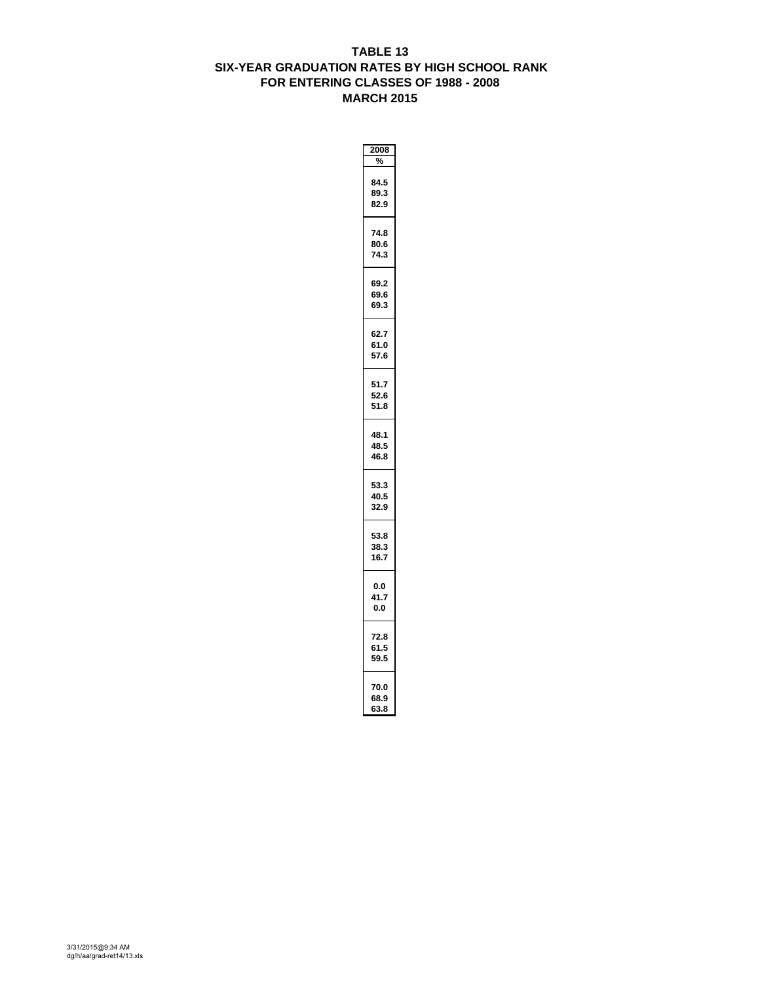#### **TABLE 13 SIX-YEAR GRADUATION RATES BY HIGH SCHOOL RANK FOR ENTERING CLASSES OF 1988 - 2008 MARCH 2015**

| 2008                 |  |
|----------------------|--|
| %                    |  |
| 84.5<br>89.3<br>82.9 |  |
| 74.8<br>80.6<br>74.3 |  |
| 69.2<br>69.6<br>69.3 |  |
| 62.7<br>61.0<br>57.6 |  |
| 51.7<br>52.6<br>51.8 |  |
| 48.1<br>48.5<br>46.8 |  |
| 53.3<br>40.5<br>32.9 |  |
| 53.8<br>38.3<br>16.7 |  |
| 0.0<br>41.7<br>0.0   |  |
| 72.8<br>61.5<br>59.5 |  |
| 70.0<br>68.9<br>63.8 |  |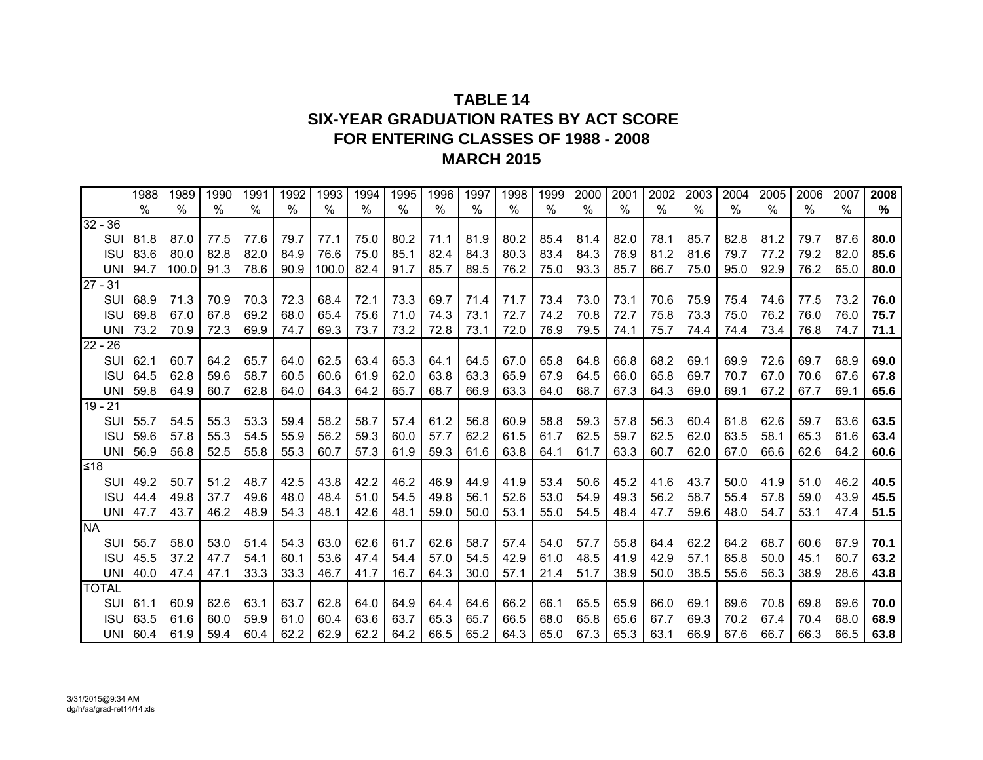## **TABLE 14SIX-YEAR GRADUATION RATES BY ACT SCOREFOR ENTERING CLASSES OF 1988 - 2008 MARCH 2015**

|              | 1988 | 1989  | 1990          | 1991 | 1992          | 1993  | 1994 | 1995 | 1996 | 1997 | 1998 | 1999 | 2000 | 2001 | 2002 | 2003 | 2004          | 2005 | 2006 | 2007 | 2008 |
|--------------|------|-------|---------------|------|---------------|-------|------|------|------|------|------|------|------|------|------|------|---------------|------|------|------|------|
|              | $\%$ | $\%$  | $\frac{1}{2}$ | $\%$ | $\frac{0}{0}$ | %     | $\%$ | $\%$ | %    | $\%$ | %    | $\%$ | $\%$ | $\%$ | $\%$ | $\%$ | $\frac{0}{0}$ | %    | $\%$ | $\%$ | %    |
| $32 - 36$    |      |       |               |      |               |       |      |      |      |      |      |      |      |      |      |      |               |      |      |      |      |
| SUI          | 81.8 | 87.0  | 77.5          | 77.6 | 79.7          | 77.1  | 75.0 | 80.2 | 71.1 | 81.9 | 80.2 | 85.4 | 81.4 | 82.0 | 78.1 | 85.7 | 82.8          | 81.2 | 79.7 | 87.6 | 80.0 |
| <b>ISU</b>   | 83.6 | 80.0  | 82.8          | 82.0 | 84.9          | 76.6  | 75.0 | 85.1 | 82.4 | 84.3 | 80.3 | 83.4 | 84.3 | 76.9 | 81.2 | 81.6 | 79.7          | 77.2 | 79.2 | 82.0 | 85.6 |
| <b>UNI</b>   | 94.7 | 100.0 | 91.3          | 78.6 | 90.9          | 100.0 | 82.4 | 91.7 | 85.7 | 89.5 | 76.2 | 75.0 | 93.3 | 85.7 | 66.7 | 75.0 | 95.0          | 92.9 | 76.2 | 65.0 | 80.0 |
| $27 - 31$    |      |       |               |      |               |       |      |      |      |      |      |      |      |      |      |      |               |      |      |      |      |
| <b>SUI</b>   | 68.9 | 71.3  | 70.9          | 70.3 | 72.3          | 68.4  | 72.1 | 73.3 | 69.7 | 71.4 | 71.7 | 73.4 | 73.0 | 73.1 | 70.6 | 75.9 | 75.4          | 74.6 | 77.5 | 73.2 | 76.0 |
| <b>ISU</b>   | 69.8 | 67.0  | 67.8          | 69.2 | 68.0          | 65.4  | 75.6 | 71.0 | 74.3 | 73.1 | 72.7 | 74.2 | 70.8 | 72.7 | 75.8 | 73.3 | 75.0          | 76.2 | 76.0 | 76.0 | 75.7 |
| <b>UNI</b>   | 73.2 | 70.9  | 72.3          | 69.9 | 74.7          | 69.3  | 73.7 | 73.2 | 72.8 | 73.1 | 72.0 | 76.9 | 79.5 | 74.1 | 75.7 | 74.4 | 74.4          | 73.4 | 76.8 | 74.7 | 71.1 |
| $22 - 26$    |      |       |               |      |               |       |      |      |      |      |      |      |      |      |      |      |               |      |      |      |      |
| SUI          | 62.1 | 60.7  | 64.2          | 65.7 | 64.0          | 62.5  | 63.4 | 65.3 | 64.1 | 64.5 | 67.0 | 65.8 | 64.8 | 66.8 | 68.2 | 69.1 | 69.9          | 72.6 | 69.7 | 68.9 | 69.0 |
| <b>ISU</b>   | 64.5 | 62.8  | 59.6          | 58.7 | 60.5          | 60.6  | 61.9 | 62.0 | 63.8 | 63.3 | 65.9 | 67.9 | 64.5 | 66.0 | 65.8 | 69.7 | 70.7          | 67.0 | 70.6 | 67.6 | 67.8 |
| <b>UNI</b>   | 59.8 | 64.9  | 60.7          | 62.8 | 64.0          | 64.3  | 64.2 | 65.7 | 68.7 | 66.9 | 63.3 | 64.0 | 68.7 | 67.3 | 64.3 | 69.0 | 69.1          | 67.2 | 67.7 | 69.1 | 65.6 |
| $19 - 21$    |      |       |               |      |               |       |      |      |      |      |      |      |      |      |      |      |               |      |      |      |      |
| SUI          | 55.7 | 54.5  | 55.3          | 53.3 | 59.4          | 58.2  | 58.7 | 57.4 | 61.2 | 56.8 | 60.9 | 58.8 | 59.3 | 57.8 | 56.3 | 60.4 | 61.8          | 62.6 | 59.7 | 63.6 | 63.5 |
| <b>ISU</b>   | 59.6 | 57.8  | 55.3          | 54.5 | 55.9          | 56.2  | 59.3 | 60.0 | 57.7 | 62.2 | 61.5 | 61.7 | 62.5 | 59.7 | 62.5 | 62.0 | 63.5          | 58.1 | 65.3 | 61.6 | 63.4 |
| <b>UNI</b>   | 56.9 | 56.8  | 52.5          | 55.8 | 55.3          | 60.7  | 57.3 | 61.9 | 59.3 | 61.6 | 63.8 | 64.1 | 61.7 | 63.3 | 60.7 | 62.0 | 67.0          | 66.6 | 62.6 | 64.2 | 60.6 |
| ≤18          |      |       |               |      |               |       |      |      |      |      |      |      |      |      |      |      |               |      |      |      |      |
| SUI          | 49.2 | 50.7  | 51.2          | 48.7 | 42.5          | 43.8  | 42.2 | 46.2 | 46.9 | 44.9 | 41.9 | 53.4 | 50.6 | 45.2 | 41.6 | 43.7 | 50.0          | 41.9 | 51.0 | 46.2 | 40.5 |
| <b>ISU</b>   | 44.4 | 49.8  | 37.7          | 49.6 | 48.0          | 48.4  | 51.0 | 54.5 | 49.8 | 56.1 | 52.6 | 53.0 | 54.9 | 49.3 | 56.2 | 58.7 | 55.4          | 57.8 | 59.0 | 43.9 | 45.5 |
| <b>UNI</b>   | 47.7 | 43.7  | 46.2          | 48.9 | 54.3          | 48.1  | 42.6 | 48.1 | 59.0 | 50.0 | 53.1 | 55.0 | 54.5 | 48.4 | 47.7 | 59.6 | 48.0          | 54.7 | 53.1 | 47.4 | 51.5 |
| <b>NA</b>    |      |       |               |      |               |       |      |      |      |      |      |      |      |      |      |      |               |      |      |      |      |
| <b>SUI</b>   | 55.7 | 58.0  | 53.0          | 51.4 | 54.3          | 63.0  | 62.6 | 61.7 | 62.6 | 58.7 | 57.4 | 54.0 | 57.7 | 55.8 | 64.4 | 62.2 | 64.2          | 68.7 | 60.6 | 67.9 | 70.1 |
| <b>ISU</b>   | 45.5 | 37.2  | 47.7          | 54.1 | 60.1          | 53.6  | 47.4 | 54.4 | 57.0 | 54.5 | 42.9 | 61.0 | 48.5 | 41.9 | 42.9 | 57.1 | 65.8          | 50.0 | 45.1 | 60.7 | 63.2 |
| <b>UNI</b>   | 40.0 | 47.4  | 47.1          | 33.3 | 33.3          | 46.7  | 41.7 | 16.7 | 64.3 | 30.0 | 57.1 | 21.4 | 51.7 | 38.9 | 50.0 | 38.5 | 55.6          | 56.3 | 38.9 | 28.6 | 43.8 |
| <b>TOTAL</b> |      |       |               |      |               |       |      |      |      |      |      |      |      |      |      |      |               |      |      |      |      |
| SUI          | 61.1 | 60.9  | 62.6          | 63.1 | 63.7          | 62.8  | 64.0 | 64.9 | 64.4 | 64.6 | 66.2 | 66.1 | 65.5 | 65.9 | 66.0 | 69.1 | 69.6          | 70.8 | 69.8 | 69.6 | 70.0 |
| <b>ISU</b>   | 63.5 | 61.6  | 60.0          | 59.9 | 61.0          | 60.4  | 63.6 | 63.7 | 65.3 | 65.7 | 66.5 | 68.0 | 65.8 | 65.6 | 67.7 | 69.3 | 70.2          | 67.4 | 70.4 | 68.0 | 68.9 |
| UNI          | 60.4 | 61.9  | 59.4          | 60.4 | 62.2          | 62.9  | 62.2 | 64.2 | 66.5 | 65.2 | 64.3 | 65.0 | 67.3 | 65.3 | 63.1 | 66.9 | 67.6          | 66.7 | 66.3 | 66.5 | 63.8 |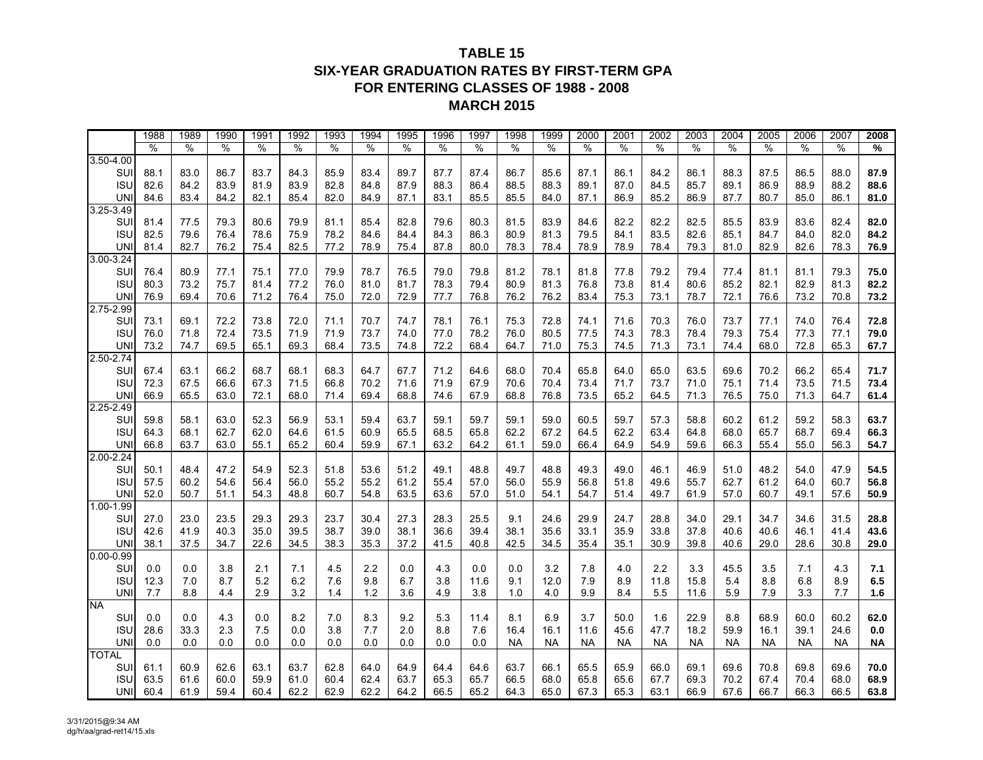### **TABLE 15SIX-YEAR GRADUATION RATES BY FIRST-TERM GPAFOR ENTERING CLASSES OF 1988 - 2008 MARCH 2015**

|               | 1988 | 1989 | 1990 | 1991 | 1992 | 1993 | 1994 | 1995 | 1996 | 1997 | 1998      | 1999      | 2000      | 2001      | 2002      | 2003      | 2004      | 2005      | 2006      | 2007      | 2008      |
|---------------|------|------|------|------|------|------|------|------|------|------|-----------|-----------|-----------|-----------|-----------|-----------|-----------|-----------|-----------|-----------|-----------|
|               | %    | %    | $\%$ | %    | %    | $\%$ | %    | %    | $\%$ | %    | %         | $\%$      | $\%$      | %         | %         | $\%$      | %         | %         | $\%$      | %         | %         |
| $3.50 - 4.00$ |      |      |      |      |      |      |      |      |      |      |           |           |           |           |           |           |           |           |           |           |           |
| SUI           | 88.1 | 83.0 | 86.7 | 83.7 | 84.3 | 85.9 | 83.4 | 89.7 | 87.7 | 87.4 | 86.7      | 85.6      | 87.1      | 86.1      | 84.2      | 86.1      | 88.3      | 87.5      | 86.5      | 88.0      | 87.9      |
| <b>ISU</b>    | 82.6 | 84.2 | 83.9 | 81.9 | 83.9 | 82.8 | 84.8 | 87.9 | 88.3 | 86.4 | 88.5      | 88.3      | 89.1      | 87.0      | 84.5      | 85.7      | 89.1      | 86.9      | 88.9      | 88.2      | 88.6      |
| <b>UN</b>     | 84.6 | 83.4 | 84.2 | 82.1 | 85.4 | 82.0 | 84.9 | 87.1 | 83.1 | 85.5 | 85.5      | 84.0      | 87.1      | 86.9      | 85.2      | 86.9      | 87.7      | 80.7      | 85.0      | 86.1      | 81.0      |
| $3.25 - 3.49$ |      |      |      |      |      |      |      |      |      |      |           |           |           |           |           |           |           |           |           |           |           |
| SUI           | 81.4 | 77.5 | 79.3 | 80.6 | 79.9 | 81.1 | 85.4 | 82.8 | 79.6 | 80.3 | 81.5      | 83.9      | 84.6      | 82.2      | 82.2      | 82.5      | 85.5      | 83.9      | 83.6      | 82.4      | 82.0      |
| <b>ISU</b>    | 82.5 | 79.6 | 76.4 | 78.6 | 75.9 | 78.2 | 84.6 | 84.4 | 84.3 | 86.3 | 80.9      | 81.3      | 79.5      | 84.1      | 83.5      | 82.6      | 85.1      | 84.7      | 84.0      | 82.0      | 84.2      |
| <b>UN</b>     | 81.4 | 82.7 | 76.2 | 75.4 | 82.5 | 77.2 | 78.9 | 75.4 | 87.8 | 80.0 | 78.3      | 78.4      | 78.9      | 78.9      | 78.4      | 79.3      | 81.0      | 82.9      | 82.6      | 78.3      | 76.9      |
| $3.00 - 3.24$ |      |      |      |      |      |      |      |      |      |      |           |           |           |           |           |           |           |           |           |           |           |
| SUI           | 76.4 | 80.9 | 77.1 | 75.1 | 77.0 | 79.9 | 78.7 | 76.5 | 79.0 | 79.8 | 81.2      | 78.1      | 81.8      | 77.8      | 79.2      | 79.4      | 77.4      | 81.1      | 81.1      | 79.3      | 75.0      |
| <b>ISU</b>    | 80.3 | 73.2 | 75.7 | 81.4 | 77.2 | 76.0 | 81.0 | 81.7 | 78.3 | 79.4 | 80.9      | 81.3      | 76.8      | 73.8      | 81.4      | 80.6      | 85.2      | 82.1      | 82.9      | 81.3      | 82.2      |
| <b>UN</b>     | 76.9 | 69.4 | 70.6 | 71.2 | 76.4 | 75.0 | 72.0 | 72.9 | 77.7 | 76.8 | 76.2      | 76.2      | 83.4      | 75.3      | 73.1      | 78.7      | 72.1      | 76.6      | 73.2      | 70.8      | 73.2      |
| 2.75-2.99     |      |      |      |      |      |      |      |      |      |      |           |           |           |           |           |           |           |           |           |           |           |
| SUI           | 73.1 | 69.1 | 72.2 | 73.8 | 72.0 | 71.1 | 70.7 | 74.7 | 78.1 | 76.1 | 75.3      | 72.8      | 74.1      | 71.6      | 70.3      | 76.0      | 73.7      | 77.1      | 74.0      | 76.4      | 72.8      |
| <b>ISU</b>    | 76.0 | 71.8 | 72.4 | 73.5 | 71.9 | 71.9 | 73.7 | 74.0 | 77.0 | 78.2 | 76.0      | 80.5      | 77.5      | 74.3      | 78.3      | 78.4      | 79.3      | 75.4      | 77.3      | 77.1      | 79.0      |
| <b>UN</b>     | 73.2 | 74.7 | 69.5 | 65.1 | 69.3 | 68.4 | 73.5 | 74.8 | 72.2 | 68.4 | 64.7      | 71.0      | 75.3      | 74.5      | 71.3      | 73.1      | 74.4      | 68.0      | 72.8      | 65.3      | 67.7      |
| $2.50 - 2.74$ |      |      |      |      |      |      |      |      |      |      |           |           |           |           |           |           |           |           |           |           |           |
| SUI           | 67.4 | 63.1 | 66.2 | 68.7 | 68.1 | 68.3 | 64.7 | 67.7 | 71.2 | 64.6 | 68.0      | 70.4      | 65.8      | 64.0      | 65.0      | 63.5      | 69.6      | 70.2      | 66.2      | 65.4      | 71.7      |
| <b>ISU</b>    | 72.3 | 67.5 | 66.6 | 67.3 | 71.5 | 66.8 | 70.2 | 71.6 | 71.9 | 67.9 | 70.6      | 70.4      | 73.4      | 71.7      | 73.7      | 71.0      | 75.1      | 71.4      | 73.5      | 71.5      | 73.4      |
| UNI           | 66.9 | 65.5 | 63.0 | 72.1 | 68.0 | 71.4 | 69.4 | 68.8 | 74.6 | 67.9 | 68.8      | 76.8      | 73.5      | 65.2      | 64.5      | 71.3      | 76.5      | 75.0      | 71.3      | 64.7      | 61.4      |
| 2.25-2.49     |      |      |      |      |      |      |      |      |      |      |           |           |           |           |           |           |           |           |           |           |           |
| SUI           | 59.8 | 58.1 | 63.0 | 52.3 | 56.9 | 53.1 | 59.4 | 63.7 | 59.1 | 59.7 | 59.1      | 59.0      | 60.5      | 59.7      | 57.3      | 58.8      | 60.2      | 61.2      | 59.2      | 58.3      | 63.7      |
| <b>ISU</b>    | 64.3 | 68.1 | 62.7 | 62.0 | 64.6 | 61.5 | 60.9 | 65.5 | 68.5 | 65.8 | 62.2      | 67.2      | 64.5      | 62.2      | 63.4      | 64.8      | 68.0      | 65.7      | 68.7      | 69.4      | 66.3      |
| <b>UN</b>     | 66.8 | 63.7 | 63.0 | 55.1 | 65.2 | 60.4 | 59.9 | 67.1 | 63.2 | 64.2 | 61.1      | 59.0      | 66.4      | 64.9      | 54.9      | 59.6      | 66.3      | 55.4      | 55.0      | 56.3      | 54.7      |
| 2.00-2.24     |      |      |      |      |      |      |      |      |      |      |           |           |           |           |           |           |           |           |           |           |           |
| SUI           | 50.1 | 48.4 | 47.2 | 54.9 | 52.3 | 51.8 | 53.6 | 51.2 | 49.1 | 48.8 | 49.7      | 48.8      | 49.3      | 49.0      | 46.1      | 46.9      | 51.0      | 48.2      | 54.0      | 47.9      | 54.5      |
| <b>ISU</b>    | 57.5 | 60.2 | 54.6 | 56.4 | 56.0 | 55.2 | 55.2 | 61.2 | 55.4 | 57.0 | 56.0      | 55.9      | 56.8      | 51.8      | 49.6      | 55.7      | 62.7      | 61.2      | 64.0      | 60.7      | 56.8      |
| <b>UNI</b>    | 52.0 | 50.7 | 51.1 | 54.3 | 48.8 | 60.7 | 54.8 | 63.5 | 63.6 | 57.0 | 51.0      | 54.1      | 54.7      | 51.4      | 49.7      | 61.9      | 57.0      | 60.7      | 49.1      | 57.6      | 50.9      |
| $1.00 - 1.99$ |      |      |      |      |      |      |      |      |      |      |           |           |           |           |           |           |           |           |           |           |           |
| SUI           | 27.0 | 23.0 | 23.5 | 29.3 | 29.3 | 23.7 | 30.4 | 27.3 | 28.3 | 25.5 | 9.1       | 24.6      | 29.9      | 24.7      | 28.8      | 34.0      | 29.1      | 34.7      | 34.6      | 31.5      | 28.8      |
| <b>ISU</b>    | 42.6 | 41.9 | 40.3 | 35.0 | 39.5 | 38.7 | 39.0 | 38.1 | 36.6 | 39.4 | 38.1      | 35.6      | 33.1      | 35.9      | 33.8      | 37.8      | 40.6      | 40.6      | 46.1      | 41.4      | 43.6      |
| <b>UN</b>     | 38.1 | 37.5 | 34.7 | 22.6 | 34.5 | 38.3 | 35.3 | 37.2 | 41.5 | 40.8 | 42.5      | 34.5      | 35.4      | 35.1      | 30.9      | 39.8      | 40.6      | 29.0      | 28.6      | 30.8      | 29.0      |
| $0.00 - 0.99$ |      |      |      |      |      |      |      |      |      |      |           |           |           |           |           |           |           |           |           |           |           |
| SUI           | 0.0  | 0.0  | 3.8  | 2.1  | 7.1  | 4.5  | 2.2  | 0.0  | 4.3  | 0.0  | 0.0       | 3.2       | 7.8       | 4.0       | 2.2       | 3.3       | 45.5      | 3.5       | 7.1       | 4.3       | 7.1       |
| <b>ISU</b>    | 12.3 | 7.0  | 8.7  | 5.2  | 6.2  | 7.6  | 9.8  | 6.7  | 3.8  | 11.6 | 9.1       | 12.0      | 7.9       | 8.9       | 11.8      | 15.8      | 5.4       | 8.8       | 6.8       | 8.9       | 6.5       |
| <b>UNI</b>    | 7.7  | 8.8  | 4.4  | 2.9  | 3.2  | 1.4  | 1.2  | 3.6  | 4.9  | 3.8  | 1.0       | 4.0       | 9.9       | 8.4       | 5.5       | 11.6      | 5.9       | 7.9       | 3.3       | 7.7       | 1.6       |
| <b>NA</b>     |      |      |      |      |      |      |      |      |      |      |           |           |           |           |           |           |           |           |           |           |           |
| SUI           | 0.0  | 0.0  | 4.3  | 0.0  | 8.2  | 7.0  | 8.3  | 9.2  | 5.3  | 11.4 | 8.1       | 6.9       | 3.7       | 50.0      | 1.6       | 22.9      | 8.8       | 68.9      | 60.0      | 60.2      | 62.0      |
| <b>ISU</b>    | 28.6 | 33.3 | 2.3  | 7.5  | 0.0  | 3.8  | 7.7  | 2.0  | 8.8  | 7.6  | 16.4      | 16.1      | 11.6      | 45.6      | 47.7      | 18.2      | 59.9      | 16.1      | 39.1      | 24.6      | $0.0\,$   |
| <b>UNI</b>    | 0.0  | 0.0  | 0.0  | 0.0  | 0.0  | 0.0  | 0.0  | 0.0  | 0.0  | 0.0  | <b>NA</b> | <b>NA</b> | <b>NA</b> | <b>NA</b> | <b>NA</b> | <b>NA</b> | <b>NA</b> | <b>NA</b> | <b>NA</b> | <b>NA</b> | <b>NA</b> |
| <b>TOTAL</b>  |      |      |      |      |      |      |      |      |      |      |           |           |           |           |           |           |           |           |           |           |           |
| SUI           | 61.1 | 60.9 | 62.6 | 63.1 | 63.7 | 62.8 | 64.0 | 64.9 | 64.4 | 64.6 | 63.7      | 66.1      | 65.5      | 65.9      | 66.0      | 69.1      | 69.6      | 70.8      | 69.8      | 69.6      | 70.0      |
| <b>ISU</b>    | 63.5 | 61.6 | 60.0 | 59.9 | 61.0 | 60.4 | 62.4 | 63.7 | 65.3 | 65.7 | 66.5      | 68.0      | 65.8      | 65.6      | 67.7      | 69.3      | 70.2      | 67.4      | 70.4      | 68.0      | 68.9      |
| <b>UNI</b>    | 60.4 | 61.9 | 59.4 | 60.4 | 62.2 | 62.9 | 62.2 | 64.2 | 66.5 | 65.2 | 64.3      | 65.0      | 67.3      | 65.3      | 63.1      | 66.9      | 67.6      | 66.7      | 66.3      | 66.5      | 63.8      |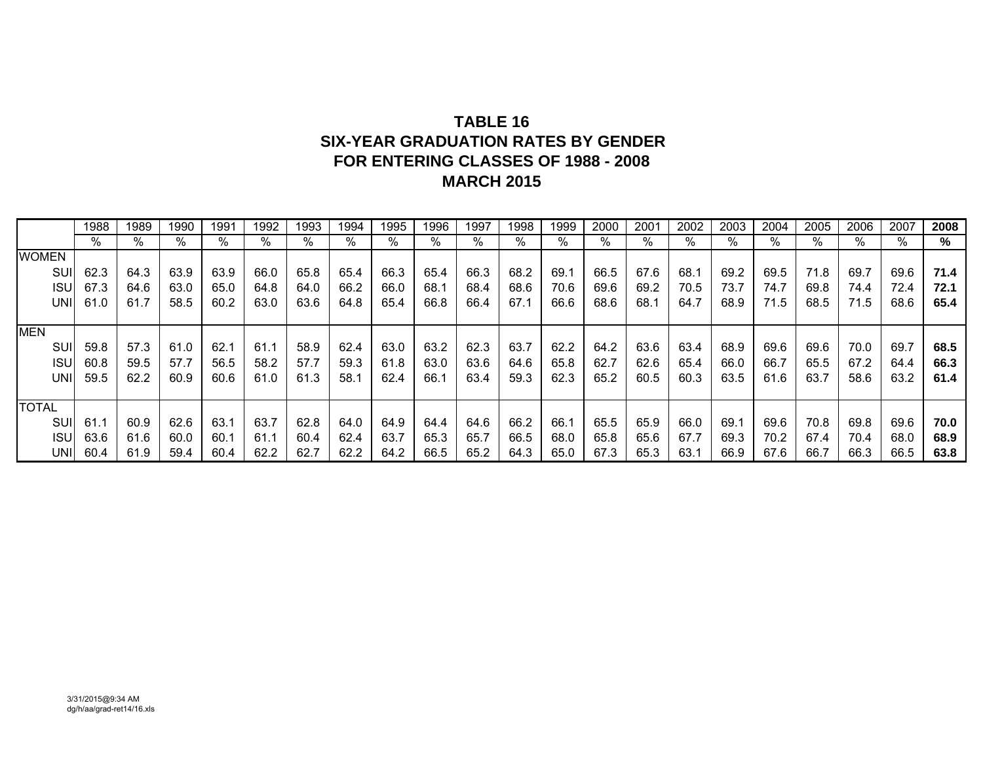## **TABLE 16 SIX-YEAR GRADUATION RATES BY GENDERFOR ENTERING CLASSES OF 1988 - 2008 MARCH 2015**

|              | 1988 | 1989 | 1990 | 1991 | 1992 | 1993 | 1994 | 1995 | 1996 | 1997 | 1998 | 1999 | 2000 | 2001 | 2002 | 2003 | 2004 | 2005 | 2006 | 2007 | 2008 |
|--------------|------|------|------|------|------|------|------|------|------|------|------|------|------|------|------|------|------|------|------|------|------|
|              | $\%$ | $\%$ | %    | %    | %    | $\%$ | %    | %    | $\%$ | %    | %    | %    | %    | %    | %    | %    | %    | %    | %    | %    | %    |
| <b>WOMEN</b> |      |      |      |      |      |      |      |      |      |      |      |      |      |      |      |      |      |      |      |      |      |
| SUI          | 62.3 | 64.3 | 63.9 | 63.9 | 66.0 | 65.8 | 65.4 | 66.3 | 65.4 | 66.3 | 68.2 | 69.7 | 66.5 | 67.6 | 68.1 | 69.2 | 69.5 | 71.8 | 69.7 | 69.6 | 71.4 |
| <b>ISU</b>   | 67.3 | 64.6 | 63.0 | 65.0 | 64.8 | 64.0 | 66.2 | 66.0 | 68.1 | 68.4 | 68.6 | 70.6 | 69.6 | 69.2 | 70.5 | 73.7 | 74.7 | 69.8 | 74.4 | 72.4 | 72.1 |
| UNII         | 61.0 | 61.7 | 58.5 | 60.2 | 63.0 | 63.6 | 64.8 | 65.4 | 66.8 | 66.4 | 67.1 | 66.6 | 68.6 | 68.1 | 64.7 | 68.9 | 71.5 | 68.5 | 71.5 | 68.6 | 65.4 |
|              |      |      |      |      |      |      |      |      |      |      |      |      |      |      |      |      |      |      |      |      |      |
| <b>MEN</b>   |      |      |      |      |      |      |      |      |      |      |      |      |      |      |      |      |      |      |      |      |      |
| SUI          | 59.8 | 57.3 | 61.0 | 62.1 | 61.1 | 58.9 | 62.4 | 63.0 | 63.2 | 62.3 | 63.7 | 62.2 | 64.2 | 63.6 | 63.4 | 68.9 | 69.6 | 69.6 | 70.0 | 69.7 | 68.5 |
| <b>ISU</b>   | 60.8 | 59.5 | 57.7 | 56.5 | 58.2 | 57.7 | 59.3 | 61.8 | 63.0 | 63.6 | 64.6 | 65.8 | 62.7 | 62.6 | 65.4 | 66.0 | 66.7 | 65.5 | 67.2 | 64.4 | 66.3 |
| UNII         | 59.5 | 62.2 | 60.9 | 60.6 | 61.0 | 61.3 | 58.1 | 62.4 | 66.1 | 63.4 | 59.3 | 62.3 | 65.2 | 60.5 | 60.3 | 63.5 | 61.6 | 63.7 | 58.6 | 63.2 | 61.4 |
|              |      |      |      |      |      |      |      |      |      |      |      |      |      |      |      |      |      |      |      |      |      |
| <b>TOTAL</b> |      |      |      |      |      |      |      |      |      |      |      |      |      |      |      |      |      |      |      |      |      |
| SUI          | 61.1 | 60.9 | 62.6 | 63.1 | 63.7 | 62.8 | 64.0 | 64.9 | 64.4 | 64.6 | 66.2 | 66.1 | 65.5 | 65.9 | 66.0 | 69.1 | 69.6 | 70.8 | 69.8 | 69.6 | 70.0 |
| <b>ISU</b>   | 63.6 | 61.6 | 60.0 | 60.1 | 61.1 | 60.4 | 62.4 | 63.7 | 65.3 | 65.7 | 66.5 | 68.0 | 65.8 | 65.6 | 67.7 | 69.3 | 70.2 | 67.4 | 70.4 | 68.0 | 68.9 |
| UNII         | 60.4 | 61.9 | 59.4 | 60.4 | 62.2 | 62.7 | 62.2 | 64.2 | 66.5 | 65.2 | 64.3 | 65.0 | 67.3 | 65.3 | 63.1 | 66.9 | 67.6 | 66.7 | 66.3 | 66.5 | 63.8 |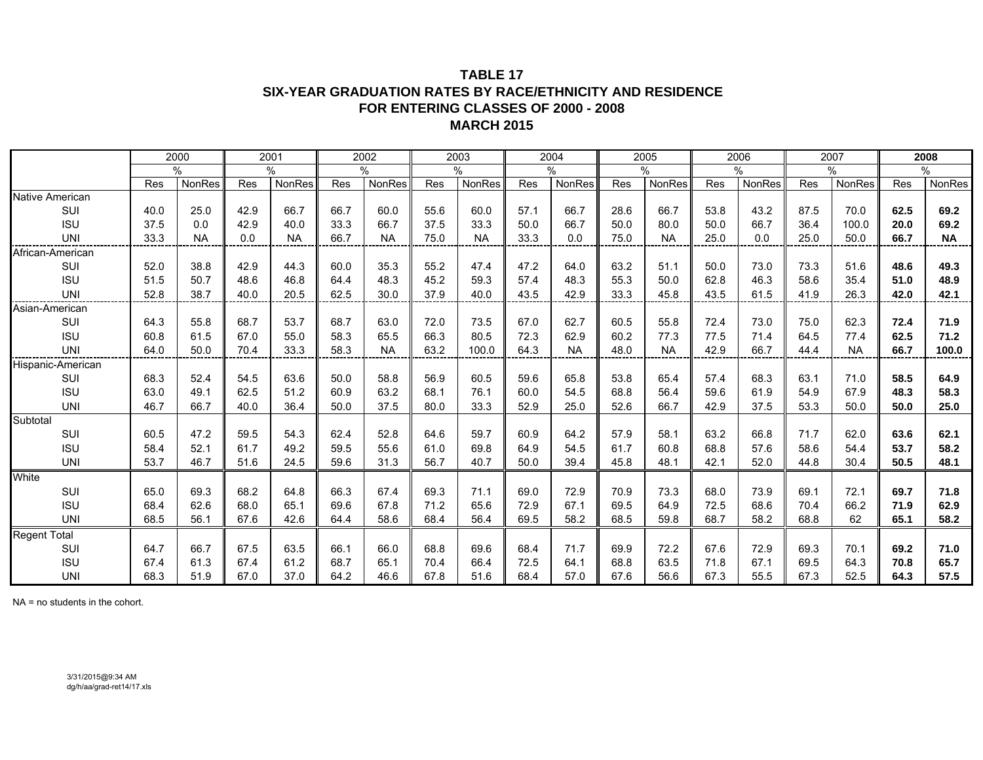#### **TABLE 17 SIX-YEAR GRADUATION RATES BY RACE/ETHNICITY AND RESIDENCE FOR ENTERING CLASSES OF 2000 - 2008 MARCH 2015**

|                     |      | 2000      |      | 2001      |            | 2002      |      | 2003      |      | 2004      |      | 2005          |            | 2006   |      | 2007      |      | 2008      |
|---------------------|------|-----------|------|-----------|------------|-----------|------|-----------|------|-----------|------|---------------|------------|--------|------|-----------|------|-----------|
|                     |      | $\%$      |      | $\%$      |            | $\%$      |      | $\%$      |      | $\%$      |      | $\%$          |            | $\%$   |      | $\%$      |      | $\%$      |
|                     | Res  | NonRes    | Res  | NonRes    | <b>Res</b> | NonRes    | Res  | NonRes    | Res  | NonRes    | Res  | <b>NonRes</b> | <b>Res</b> | NonRes | Res  | NonRes    | Res  | NonRes    |
| Native American     |      |           |      |           |            |           |      |           |      |           |      |               |            |        |      |           |      |           |
| SUI                 | 40.0 | 25.0      | 42.9 | 66.7      | 66.7       | 60.0      | 55.6 | 60.0      | 57.1 | 66.7      | 28.6 | 66.7          | 53.8       | 43.2   | 87.5 | 70.0      | 62.5 | 69.2      |
| <b>ISU</b>          | 37.5 | 0.0       | 42.9 | 40.0      | 33.3       | 66.7      | 37.5 | 33.3      | 50.0 | 66.7      | 50.0 | 80.0          | 50.0       | 66.7   | 36.4 | 100.0     | 20.0 | 69.2      |
| <b>UNI</b>          | 33.3 | <b>NA</b> | 0.0  | <b>NA</b> | 66.7       | <b>NA</b> | 75.0 | <b>NA</b> | 33.3 | 0.0       | 75.0 | <b>NA</b>     | 25.0       | 0.0    | 25.0 | 50.0      | 66.7 | <b>NA</b> |
| African-American    |      |           |      |           |            |           |      |           |      |           |      |               |            |        |      |           |      |           |
| SUI                 | 52.0 | 38.8      | 42.9 | 44.3      | 60.0       | 35.3      | 55.2 | 47.4      | 47.2 | 64.0      | 63.2 | 51.1          | 50.0       | 73.0   | 73.3 | 51.6      | 48.6 | 49.3      |
| <b>ISU</b>          | 51.5 | 50.7      | 48.6 | 46.8      | 64.4       | 48.3      | 45.2 | 59.3      | 57.4 | 48.3      | 55.3 | 50.0          | 62.8       | 46.3   | 58.6 | 35.4      | 51.0 | 48.9      |
| <b>UNI</b>          | 52.8 | 38.7      | 40.0 | 20.5      | 62.5       | 30.0      | 37.9 | 40.0      | 43.5 | 42.9      | 33.3 | 45.8          | 43.5       | 61.5   | 41.9 | 26.3      | 42.0 | 42.1      |
| Asian-American      |      |           |      |           |            |           |      |           |      |           |      |               |            |        |      |           |      |           |
| SUI                 | 64.3 | 55.8      | 68.7 | 53.7      | 68.7       | 63.0      | 72.0 | 73.5      | 67.0 | 62.7      | 60.5 | 55.8          | 72.4       | 73.0   | 75.0 | 62.3      | 72.4 | 71.9      |
| <b>ISU</b>          | 60.8 | 61.5      | 67.0 | 55.0      | 58.3       | 65.5      | 66.3 | 80.5      | 72.3 | 62.9      | 60.2 | 77.3          | 77.5       | 71.4   | 64.5 | 77.4      | 62.5 | 71.2      |
| UNI                 | 64.0 | 50.0      | 70.4 | 33.3      | 58.3       | <b>NA</b> | 63.2 | 100.0     | 64.3 | <b>NA</b> | 48.0 | <b>NA</b>     | 42.9       | 66.7   | 44.4 | <b>NA</b> | 66.7 | 100.0     |
| Hispanic-American   |      |           |      |           |            |           |      |           |      |           |      |               |            |        |      |           |      |           |
| SUI                 | 68.3 | 52.4      | 54.5 | 63.6      | 50.0       | 58.8      | 56.9 | 60.5      | 59.6 | 65.8      | 53.8 | 65.4          | 57.4       | 68.3   | 63.1 | 71.0      | 58.5 | 64.9      |
| <b>ISU</b>          | 63.0 | 49.1      | 62.5 | 51.2      | 60.9       | 63.2      | 68.1 | 76.1      | 60.0 | 54.5      | 68.8 | 56.4          | 59.6       | 61.9   | 54.9 | 67.9      | 48.3 | 58.3      |
| <b>UNI</b>          | 46.7 | 66.7      | 40.0 | 36.4      | 50.0       | 37.5      | 80.0 | 33.3      | 52.9 | 25.0      | 52.6 | 66.7          | 42.9       | 37.5   | 53.3 | 50.0      | 50.0 | 25.0      |
| Subtotal            |      |           |      |           |            |           |      |           |      |           |      |               |            |        |      |           |      |           |
| SUI                 | 60.5 | 47.2      | 59.5 | 54.3      | 62.4       | 52.8      | 64.6 | 59.7      | 60.9 | 64.2      | 57.9 | 58.1          | 63.2       | 66.8   | 71.7 | 62.0      | 63.6 | 62.1      |
| <b>ISU</b>          | 58.4 | 52.1      | 61.7 | 49.2      | 59.5       | 55.6      | 61.0 | 69.8      | 64.9 | 54.5      | 61.7 | 60.8          | 68.8       | 57.6   | 58.6 | 54.4      | 53.7 | 58.2      |
| <b>UNI</b>          | 53.7 | 46.7      | 51.6 | 24.5      | 59.6       | 31.3      | 56.7 | 40.7      | 50.0 | 39.4      | 45.8 | 48.1          | 42.1       | 52.0   | 44.8 | 30.4      | 50.5 | 48.1      |
| White               |      |           |      |           |            |           |      |           |      |           |      |               |            |        |      |           |      |           |
| SUI                 | 65.0 | 69.3      | 68.2 | 64.8      | 66.3       | 67.4      | 69.3 | 71.1      | 69.0 | 72.9      | 70.9 | 73.3          | 68.0       | 73.9   | 69.1 | 72.1      | 69.7 | 71.8      |
| <b>ISU</b>          | 68.4 | 62.6      | 68.0 | 65.1      | 69.6       | 67.8      | 71.2 | 65.6      | 72.9 | 67.1      | 69.5 | 64.9          | 72.5       | 68.6   | 70.4 | 66.2      | 71.9 | 62.9      |
| <b>UNI</b>          | 68.5 | 56.1      | 67.6 | 42.6      | 64.4       | 58.6      | 68.4 | 56.4      | 69.5 | 58.2      | 68.5 | 59.8          | 68.7       | 58.2   | 68.8 | 62        | 65.1 | 58.2      |
| <b>Regent Total</b> |      |           |      |           |            |           |      |           |      |           |      |               |            |        |      |           |      |           |
| SUI                 | 64.7 | 66.7      | 67.5 | 63.5      | 66.1       | 66.0      | 68.8 | 69.6      | 68.4 | 71.7      | 69.9 | 72.2          | 67.6       | 72.9   | 69.3 | 70.1      | 69.2 | 71.0      |
| <b>ISU</b>          | 67.4 | 61.3      | 67.4 | 61.2      | 68.7       | 65.1      | 70.4 | 66.4      | 72.5 | 64.1      | 68.8 | 63.5          | 71.8       | 67.1   | 69.5 | 64.3      | 70.8 | 65.7      |
| <b>UNI</b>          | 68.3 | 51.9      | 67.0 | 37.0      | 64.2       | 46.6      | 67.8 | 51.6      | 68.4 | 57.0      | 67.6 | 56.6          | 67.3       | 55.5   | 67.3 | 52.5      | 64.3 | 57.5      |

NA = no students in the cohort.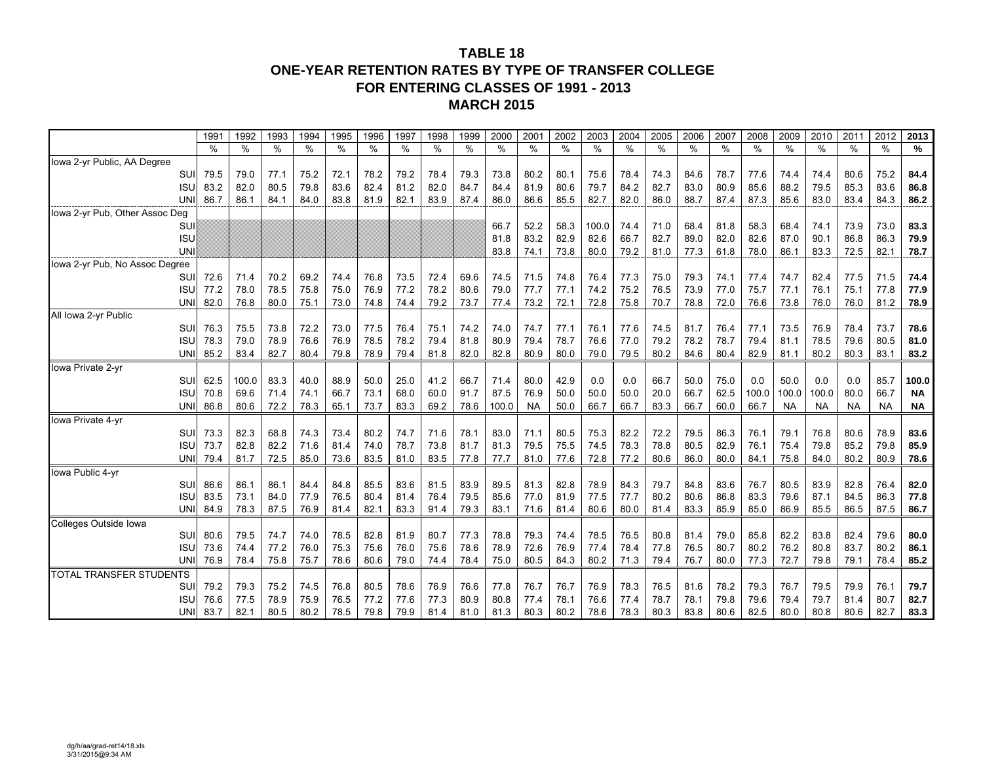### **TABLE 18ONE-YEAR RETENTION RATES BY TYPE OF TRANSFER COLLEGE FOR ENTERING CLASSES OF 1991 - 2013 MARCH 2015**

|                                | 1991          | 1992  | 1993 | 1994 | 1995 | 1996 | 1997 | 1998 | 1999 | 2000  | 2001      | 2002 | 2003  | 2004 | 2005 | 2006 | 2007 | 2008  | 2009      | 2010      | 2011      | 2012      | 2013      |
|--------------------------------|---------------|-------|------|------|------|------|------|------|------|-------|-----------|------|-------|------|------|------|------|-------|-----------|-----------|-----------|-----------|-----------|
|                                | $\frac{0}{0}$ | %     | %    | %    | %    | %    | %    | %    | %    | $\%$  | %         | %    | %     | %    | %    | $\%$ | %    | %     | %         | %         | %         | $\%$      | %         |
| Iowa 2-yr Public, AA Degree    |               |       |      |      |      |      |      |      |      |       |           |      |       |      |      |      |      |       |           |           |           |           |           |
| SUI                            | 79.5          | 79.0  | 77.1 | 75.2 | 72.1 | 78.2 | 79.2 | 78.4 | 79.3 | 73.8  | 80.2      | 80.1 | 75.6  | 78.4 | 74.3 | 84.6 | 78.7 | 77.6  | 74.4      | 74.4      | 80.6      | 75.2      | 84.4      |
| <b>ISU</b>                     | 83.2          | 82.0  | 80.5 | 79.8 | 83.6 | 82.4 | 81.2 | 82.0 | 84.7 | 84.4  | 81.9      | 80.6 | 79.7  | 84.2 | 82.7 | 83.0 | 80.9 | 85.6  | 88.2      | 79.5      | 85.3      | 83.6      | 86.8      |
| UNI                            | 86.7          | 86.1  | 84.1 | 84.0 | 83.8 | 81.9 | 82.1 | 83.9 | 87.4 | 86.0  | 86.6      | 85.5 | 82.7  | 82.0 | 86.0 | 88.7 | 87.4 | 87.3  | 85.6      | 83.0      | 83.4      | 84.3      | 86.2      |
| Iowa 2-yr Pub, Other Assoc Deg |               |       |      |      |      |      |      |      |      |       |           |      |       |      |      |      |      |       |           |           |           |           |           |
| <b>SUI</b>                     |               |       |      |      |      |      |      |      |      | 66.7  | 52.2      | 58.3 | 100.0 | 74.4 | 71.0 | 68.4 | 81.8 | 58.3  | 68.4      | 74.1      | 73.9      | 73.0      | 83.3      |
| <b>ISU</b>                     |               |       |      |      |      |      |      |      |      | 81.8  | 83.2      | 82.9 | 82.6  | 66.7 | 82.7 | 89.0 | 82.0 | 82.6  | 87.0      | 90.1      | 86.8      | 86.3      | 79.9      |
| <b>UNI</b>                     |               |       |      |      |      |      |      |      |      | 83.8  | 74.1      | 73.8 | 80.0  | 79.2 | 81.0 | 77.3 | 61.8 | 78.0  | 86.1      | 83.3      | 72.5      | 82.1      | 78.7      |
| lowa 2-yr Pub, No Assoc Degree |               |       |      |      |      |      |      |      |      |       |           |      |       |      |      |      |      |       |           |           |           |           |           |
| <b>SU</b>                      | 72.6          | 71.4  | 70.2 | 69.2 | 74.4 | 76.8 | 73.5 | 72.4 | 69.6 | 74.5  | 71.5      | 74.8 | 76.4  | 77.3 | 75.0 | 79.3 | 74.1 | 77.4  | 74.7      | 82.4      | 77.5      | 71.5      | 74.4      |
| <b>ISU</b>                     | 77.2          | 78.0  | 78.5 | 75.8 | 75.0 | 76.9 | 77.2 | 78.2 | 80.6 | 79.0  | 77.7      | 77.1 | 74.2  | 75.2 | 76.5 | 73.9 | 77.0 | 75.7  | 77.1      | 76.1      | 75.1      | 77.8      | 77.9      |
| UNI                            | 82.0          | 76.8  | 80.0 | 75.1 | 73.0 | 74.8 | 74.4 | 79.2 | 73.7 | 77.4  | 73.2      | 72.1 | 72.8  | 75.8 | 70.7 | 78.8 | 72.0 | 76.6  | 73.8      | 76.0      | 76.0      | 81.2      | 78.9      |
| All Iowa 2-yr Public           |               |       |      |      |      |      |      |      |      |       |           |      |       |      |      |      |      |       |           |           |           |           |           |
| <b>SU</b>                      | 76.3          | 75.5  | 73.8 | 72.2 | 73.0 | 77.5 | 76.4 | 75.1 | 74.2 | 74.0  | 74.7      | 77.1 | 76.1  | 77.6 | 74.5 | 81.7 | 76.4 | 77.1  | 73.5      | 76.9      | 78.4      | 73.7      | 78.6      |
| isl                            | 78.3          | 79.0  | 78.9 | 76.6 | 76.9 | 78.5 | 78.2 | 79.4 | 81.8 | 80.9  | 79.4      | 78.7 | 76.6  | 77.0 | 79.2 | 78.2 | 78.7 | 79.4  | 81.1      | 78.5      | 79.6      | 80.5      | 81.0      |
| UNI                            | 85.2          | 83.4  | 82.7 | 80.4 | 79.8 | 78.9 | 79.4 | 81.8 | 82.0 | 82.8  | 80.9      | 80.0 | 79.0  | 79.5 | 80.2 | 84.6 | 80.4 | 82.9  | 81.1      | 80.2      | 80.3      | 83.1      | 83.2      |
| Iowa Private 2-yr              |               |       |      |      |      |      |      |      |      |       |           |      |       |      |      |      |      |       |           |           |           |           |           |
| <b>SU</b>                      | 62.5          | 100.0 | 83.3 | 40.0 | 88.9 | 50.0 | 25.0 | 41.2 | 66.7 | 71.4  | 80.0      | 42.9 | 0.0   | 0.0  | 66.7 | 50.0 | 75.0 | 0.0   | 50.0      | 0.0       | 0.0       | 85.7      | 100.0     |
| ISL                            | 70.8          | 69.6  | 71.4 | 74.1 | 66.7 | 73.1 | 68.0 | 60.0 | 91.7 | 87.5  | 76.9      | 50.0 | 50.0  | 50.0 | 20.0 | 66.7 | 62.5 | 100.0 | 100.0     | 100.0     | 80.0      | 66.7      | ΝA        |
| <b>UN</b>                      | 86.8          | 80.6  | 72.2 | 78.3 | 65.1 | 73.7 | 83.3 | 69.2 | 78.6 | 100.0 | <b>NA</b> | 50.0 | 66.7  | 66.7 | 83.3 | 66.7 | 60.0 | 66.7  | <b>NA</b> | <b>NA</b> | <b>NA</b> | <b>NA</b> | <b>NA</b> |
| Iowa Private 4-yr              |               |       |      |      |      |      |      |      |      |       |           |      |       |      |      |      |      |       |           |           |           |           |           |
| SUI                            | 73.3          | 82.3  | 68.8 | 74.3 | 73.4 | 80.2 | 74.7 | 71.6 | 78.1 | 83.0  | 71.1      | 80.5 | 75.3  | 82.2 | 72.2 | 79.5 | 86.3 | 76.1  | 79.1      | 76.8      | 80.6      | 78.9      | 83.6      |
| ISL                            | 73.7          | 82.8  | 82.2 | 71.6 | 81.4 | 74.0 | 78.7 | 73.8 | 81.7 | 81.3  | 79.5      | 75.5 | 74.5  | 78.3 | 78.8 | 80.5 | 82.9 | 76.1  | 75.4      | 79.8      | 85.2      | 79.8      | 85.9      |
| UNI                            | 79.4          | 81.7  | 72.5 | 85.0 | 73.6 | 83.5 | 81.0 | 83.5 | 77.8 | 77.7  | 81.0      | 77.6 | 72.8  | 77.2 | 80.6 | 86.0 | 80.0 | 84.1  | 75.8      | 84.0      | 80.2      | 80.9      | 78.6      |
| Iowa Public 4-yr               |               |       |      |      |      |      |      |      |      |       |           |      |       |      |      |      |      |       |           |           |           |           |           |
| SUI                            | 86.6          | 86.1  | 86.1 | 84.4 | 84.8 | 85.5 | 83.6 | 81.5 | 83.9 | 89.5  | 81.3      | 82.8 | 78.9  | 84.3 | 79.7 | 84.8 | 83.6 | 76.7  | 80.5      | 83.9      | 82.8      | 76.4      | 82.0      |
| <b>ISU</b>                     | 83.5          | 73.1  | 84.0 | 77.9 | 76.5 | 80.4 | 81.4 | 76.4 | 79.5 | 85.6  | 77.0      | 81.9 | 77.5  | 77.7 | 80.2 | 80.6 | 86.8 | 83.3  | 79.6      | 87.1      | 84.5      | 86.3      | 77.8      |
| UNI                            | 84.9          | 78.3  | 87.5 | 76.9 | 81.4 | 82.1 | 83.3 | 91.4 | 79.3 | 83.1  | 71.6      | 81.4 | 80.6  | 80.0 | 81.4 | 83.3 | 85.9 | 85.0  | 86.9      | 85.5      | 86.5      | 87.5      | 86.7      |
| Colleges Outside Iowa          |               |       |      |      |      |      |      |      |      |       |           |      |       |      |      |      |      |       |           |           |           |           |           |
| SUI                            | 80.6          | 79.5  | 74.7 | 74.0 | 78.5 | 82.8 | 81.9 | 80.7 | 77.3 | 78.8  | 79.3      | 74.4 | 78.5  | 76.5 | 80.8 | 81.4 | 79.0 | 85.8  | 82.2      | 83.8      | 82.4      | 79.6      | 80.0      |
| <b>ISU</b>                     | 73.6          | 74.4  | 77.2 | 76.0 | 75.3 | 75.6 | 76.0 | 75.6 | 78.6 | 78.9  | 72.6      | 76.9 | 77.4  | 78.4 | 77.8 | 76.5 | 80.7 | 80.2  | 76.2      | 80.8      | 83.7      | 80.2      | 86.1      |
| <b>UNI</b>                     | 76.9          | 78.4  | 75.8 | 75.7 | 78.6 | 80.6 | 79.0 | 74.4 | 78.4 | 75.0  | 80.5      | 84.3 | 80.2  | 71.3 | 79.4 | 76.7 | 80.0 | 77.3  | 72.7      | 79.8      | 79.1      | 78.4      | 85.2      |
| <b>TOTAL TRANSFER STUDENTS</b> |               |       |      |      |      |      |      |      |      |       |           |      |       |      |      |      |      |       |           |           |           |           |           |
| SUI                            | 79.2          | 79.3  | 75.2 | 74.5 | 76.8 | 80.5 | 78.6 | 76.9 | 76.6 | 77.8  | 76.7      | 76.7 | 76.9  | 78.3 | 76.5 | 81.6 | 78.2 | 79.3  | 76.7      | 79.5      | 79.9      | 76.1      | 79.7      |
| <b>ISU</b>                     | 76.6          | 77.5  | 78.9 | 75.9 | 76.5 | 77.2 | 77.6 | 77.3 | 80.9 | 80.8  | 77.4      | 78.1 | 76.6  | 77.4 | 78.7 | 78.1 | 79.8 | 79.6  | 79.4      | 79.7      | 81.4      | 80.7      | 82.7      |
| UNI                            | 83.7          | 82.1  | 80.5 | 80.2 | 78.5 | 79.8 | 79.9 | 81.4 | 81.0 | 81.3  | 80.3      | 80.2 | 78.6  | 78.3 | 80.3 | 83.8 | 80.6 | 82.5  | 80.0      | 80.8      | 80.6      | 82.7      | 83.3      |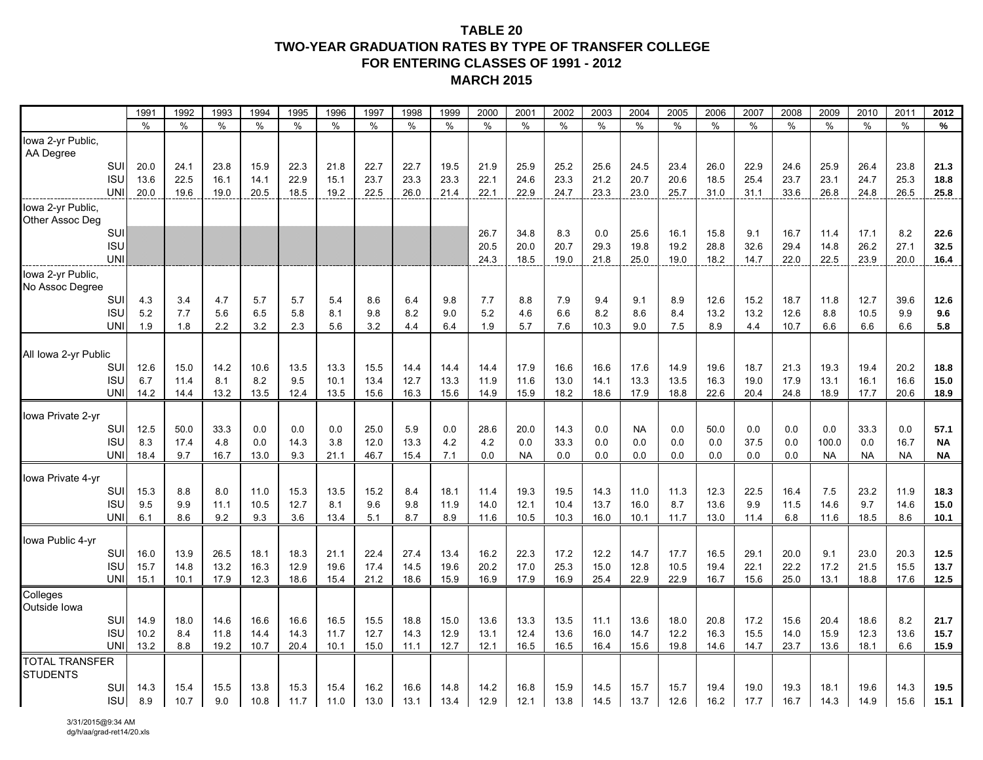#### **TABLE 20 TWO-YEAR GRADUATION RATES BY TYPE OF TRANSFER COLLEGEFOR ENTERING CLASSES OF 1991 - 2012 MARCH 2015**

|                                |                   | 1991         | 1992         | 1993         | 1994         | 1995         | 1996         | 1997         | 1998         | 1999         | 2000         | 2001         | 2002         | 2003         | 2004             | 2005         | 2006          | 2007         | 2008         | 2009         | 2010          | 2011         | 2012              |
|--------------------------------|-------------------|--------------|--------------|--------------|--------------|--------------|--------------|--------------|--------------|--------------|--------------|--------------|--------------|--------------|------------------|--------------|---------------|--------------|--------------|--------------|---------------|--------------|-------------------|
|                                |                   | $\%$         | $\%$         | $\%$         | $\%$         | $\%$         | $\%$         | $\%$         | $\%$         | $\%$         | $\%$         | $\%$         | $\%$         | $\%$         | $\frac{0}{0}$    | $\%$         | $\frac{0}{0}$ | $\%$         | $\%$         | $\%$         | $\frac{0}{0}$ | $\%$         | $\%$              |
| Iowa 2-yr Public,<br>AA Degree |                   |              |              |              |              |              |              |              |              |              |              |              |              |              |                  |              |               |              |              |              |               |              |                   |
|                                | <b>SUI</b>        | 20.0         | 24.1         | 23.8         | 15.9         | 22.3         | 21.8         | 22.7         | 22.7         | 19.5         | 21.9         | 25.9         | 25.2         | 25.6         | 24.5             | 23.4         | 26.0          | 22.9         | 24.6         | 25.9         | 26.4          | 23.8         | 21.3              |
|                                | <b>ISL</b>        | 13.6         | 22.5         | 16.1         | 14.1         | 22.9         | 15.1         | 23.7         | 23.3         | 23.3         | 22.1         | 24.6         | 23.3         | 21.2         | 20.7             | 20.6         | 18.5          | 25.4         | 23.7         | 23.1         | 24.7          | 25.3         | 18.8              |
|                                | UNI               | 20.0         | 19.6         | 19.0         | 20.5         | 18.5         | 19.2         | 22.5         | 26.0         | 21.4         | 22.1         | 22.9         | 24.7         | 23.3         | 23.0             | 25.7         | 31.0          | 31.1         | 33.6         | 26.8         | 24.8          | 26.5         | 25.8              |
| Iowa 2-yr Public,              |                   |              |              |              |              |              |              |              |              |              |              |              |              |              |                  |              |               |              |              |              |               |              |                   |
| Other Assoc Deg                | <b>SUI</b>        |              |              |              |              |              |              |              |              |              | 26.7         | 34.8         | 8.3          | 0.0          | 25.6             | 16.1         | 15.8          | 9.1          | 16.7         | 11.4         | 17.1          | 8.2          | 22.6              |
|                                | <b>ISU</b>        |              |              |              |              |              |              |              |              |              | 20.5         | 20.0         | 20.7         | 29.3         | 19.8             | 19.2         | 28.8          | 32.6         | 29.4         | 14.8         | 26.2          | 27.1         | 32.5              |
|                                | <b>UNI</b>        |              |              |              |              |              |              |              |              |              | 24.3         | 18.5         | 19.0         | 21.8         | 25.0             | 19.0         | 18.2          | 14.7         | 22.0         | 22.5         | 23.9          | 20.0         | 16.4              |
| Iowa 2-yr Public,              |                   |              |              |              |              |              |              |              |              |              |              |              |              |              |                  |              |               |              |              |              |               |              |                   |
| No Assoc Degree                |                   |              |              |              |              |              |              |              |              |              |              |              |              |              |                  |              |               |              |              |              |               |              |                   |
|                                | SUI               | 4.3          | 3.4          | 4.7          | 5.7          | 5.7          | 5.4          | 8.6          | 6.4          | 9.8          | 7.7          | 8.8          | 7.9          | 9.4          | 9.1              | 8.9          | 12.6          | 15.2         | 18.7         | 11.8         | 12.7          | 39.6         | 12.6              |
|                                | <b>ISU</b>        | 5.2          | 7.7          | 5.6          | 6.5          | 5.8          | 8.1          | 9.8          | 8.2          | 9.0          | 5.2          | 4.6          | 6.6          | 8.2          | 8.6              | 8.4          | 13.2          | 13.2         | 12.6         | 8.8          | 10.5          | 9.9          | 9.6               |
|                                | UNI               | 1.9          | 1.8          | 2.2          | 3.2          | 2.3          | 5.6          | 3.2          | 4.4          | 6.4          | 1.9          | 5.7          | 7.6          | 10.3         | 9.0              | 7.5          | 8.9           | 4.4          | 10.7         | 6.6          | 6.6           | 6.6          | 5.8               |
|                                |                   |              |              |              |              |              |              |              |              |              |              |              |              |              |                  |              |               |              |              |              |               |              |                   |
| All Iowa 2-yr Public           | SUI               | 12.6         | 15.0         | 14.2         | 10.6         | 13.5         | 13.3         | 15.5         | 14.4         | 14.4         | 14.4         | 17.9         | 16.6         | 16.6         | 17.6             | 14.9         | 19.6          | 18.7         | 21.3         | 19.3         | 19.4          | 20.2         | 18.8              |
|                                | <b>ISU</b>        | 6.7          | 11.4         | 8.1          | 8.2          | 9.5          | 10.1         | 13.4         | 12.7         | 13.3         | 11.9         | 11.6         | 13.0         | 14.1         | 13.3             | 13.5         | 16.3          | 19.0         | 17.9         | 13.1         | 16.1          | 16.6         | 15.0              |
|                                | <b>UNI</b>        | 14.2         | 14.4         | 13.2         | 13.5         | 12.4         | 13.5         | 15.6         | 16.3         | 15.6         | 14.9         | 15.9         | 18.2         | 18.6         | 17.9             | 18.8         | 22.6          | 20.4         | 24.8         | 18.9         | 17.7          | 20.6         | 18.9              |
|                                |                   |              |              |              |              |              |              |              |              |              |              |              |              |              |                  |              |               |              |              |              |               |              |                   |
| Iowa Private 2-yr              |                   |              |              |              |              |              |              |              |              |              |              |              |              |              |                  |              |               |              |              |              |               |              |                   |
|                                | SUI<br><b>ISU</b> | 12.5<br>8.3  | 50.0<br>17.4 | 33.3<br>4.8  | 0.0<br>0.0   | 0.0<br>14.3  | 0.0<br>3.8   | 25.0<br>12.0 | 5.9<br>13.3  | 0.0<br>4.2   | 28.6<br>4.2  | 20.0<br>0.0  | 14.3<br>33.3 | 0.0<br>0.0   | <b>NA</b><br>0.0 | 0.0<br>0.0   | 50.0<br>0.0   | 0.0<br>37.5  | 0.0<br>0.0   | 0.0<br>100.0 | 33.3<br>0.0   | 0.0<br>16.7  | 57.1<br><b>NA</b> |
|                                | <b>UNI</b>        | 18.4         | 9.7          | 16.7         | 13.0         | 9.3          | 21.1         | 46.7         | 15.4         | 7.1          | 0.0          | <b>NA</b>    | 0.0          | 0.0          | 0.0              | 0.0          | 0.0           | 0.0          | 0.0          | <b>NA</b>    | <b>NA</b>     | <b>NA</b>    | <b>NA</b>         |
|                                |                   |              |              |              |              |              |              |              |              |              |              |              |              |              |                  |              |               |              |              |              |               |              |                   |
| Iowa Private 4-yr              |                   |              |              |              |              |              |              |              |              |              |              |              |              |              |                  |              |               |              |              |              |               |              |                   |
|                                | SUI<br><b>ISU</b> | 15.3         | 8.8<br>9.9   | 8.0          | 11.0         | 15.3         | 13.5         | 15.2<br>9.6  | 8.4          | 18.1         | 11.4         | 19.3         | 19.5<br>10.4 | 14.3         | 11.0             | 11.3<br>8.7  | 12.3          | 22.5<br>9.9  | 16.4         | 7.5<br>14.6  | 23.2<br>9.7   | 11.9<br>14.6 | 18.3<br>15.0      |
|                                | UNI               | 9.5<br>6.1   | 8.6          | 11.1<br>9.2  | 10.5<br>9.3  | 12.7<br>3.6  | 8.1<br>13.4  | 5.1          | 9.8<br>8.7   | 11.9<br>8.9  | 14.0<br>11.6 | 12.1<br>10.5 | 10.3         | 13.7<br>16.0 | 16.0<br>10.1     | 11.7         | 13.6<br>13.0  | 11.4         | 11.5<br>6.8  | 11.6         | 18.5          | 8.6          | 10.1              |
|                                |                   |              |              |              |              |              |              |              |              |              |              |              |              |              |                  |              |               |              |              |              |               |              |                   |
| Iowa Public 4-yr               |                   |              |              |              |              |              |              |              |              |              |              |              |              |              |                  |              |               |              |              |              |               |              |                   |
|                                | SUI               | 16.0         | 13.9         | 26.5         | 18.1         | 18.3         | 21.1         | 22.4         | 27.4         | 13.4         | 16.2         | 22.3         | 17.2         | 12.2         | 14.7             | 17.7         | 16.5          | 29.1         | 20.0         | 9.1          | 23.0          | 20.3         | 12.5              |
|                                | <b>ISU</b><br>UNI | 15.7<br>15.1 | 14.8<br>10.1 | 13.2<br>17.9 | 16.3<br>12.3 | 12.9<br>18.6 | 19.6<br>15.4 | 17.4<br>21.2 | 14.5<br>18.6 | 19.6<br>15.9 | 20.2<br>16.9 | 17.0<br>17.9 | 25.3<br>16.9 | 15.0<br>25.4 | 12.8<br>22.9     | 10.5<br>22.9 | 19.4<br>16.7  | 22.1<br>15.6 | 22.2<br>25.0 | 17.2<br>13.1 | 21.5<br>18.8  | 15.5<br>17.6 | 13.7<br>12.5      |
| Colleges                       |                   |              |              |              |              |              |              |              |              |              |              |              |              |              |                  |              |               |              |              |              |               |              |                   |
| Outside lowa                   |                   |              |              |              |              |              |              |              |              |              |              |              |              |              |                  |              |               |              |              |              |               |              |                   |
|                                | SUI<br><b>ISL</b> | 14.9<br>10.2 | 18.0<br>8.4  | 14.6<br>11.8 | 16.6<br>14.4 | 16.6<br>14.3 | 16.5<br>11.7 | 15.5<br>12.7 | 18.8<br>14.3 | 15.0<br>12.9 | 13.6<br>13.1 | 13.3<br>12.4 | 13.5<br>13.6 | 11.1<br>16.0 | 13.6<br>14.7     | 18.0<br>12.2 | 20.8<br>16.3  | 17.2<br>15.5 | 15.6<br>14.0 | 20.4<br>15.9 | 18.6<br>12.3  | 8.2<br>13.6  | 21.7<br>15.7      |
|                                | <b>UNI</b>        | 13.2         | 8.8          | 19.2         | 10.7         | 20.4         | 10.1         | 15.0         | 11.1         | 12.7         | 12.1         | 16.5         | 16.5         | 16.4         | 15.6             | 19.8         | 14.6          | 14.7         | 23.7         | 13.6         | 18.1          | 6.6          | 15.9              |
| <b>TOTAL TRANSFER</b>          |                   |              |              |              |              |              |              |              |              |              |              |              |              |              |                  |              |               |              |              |              |               |              |                   |
| <b>STUDENTS</b>                |                   |              |              |              |              |              |              |              |              |              |              |              |              |              |                  |              |               |              |              |              |               |              |                   |
|                                | SUI               | 14.3         | 15.4         | 15.5         | 13.8         | 15.3         | 15.4         | 16.2         | 16.6         | 14.8         | 14.2         | 16.8         | 15.9         | 14.5         | 15.7             | 15.7         | 19.4          | 19.0         | 19.3         | 18.1         | 19.6          | 14.3         | 19.5              |
|                                | <b>ISU</b>        | 8.9          | 10.7         | 9.0          | 10.8         | 11.7         | 11.0         | 13.0         | 13.1         | 13.4         | 12.9         | 12.1         | 13.8         | 14.5         | 13.7             | 12.6         | 16.2          | 17.7         | 16.7         | 14.3         | 14.9          | 15.6         | 15.1              |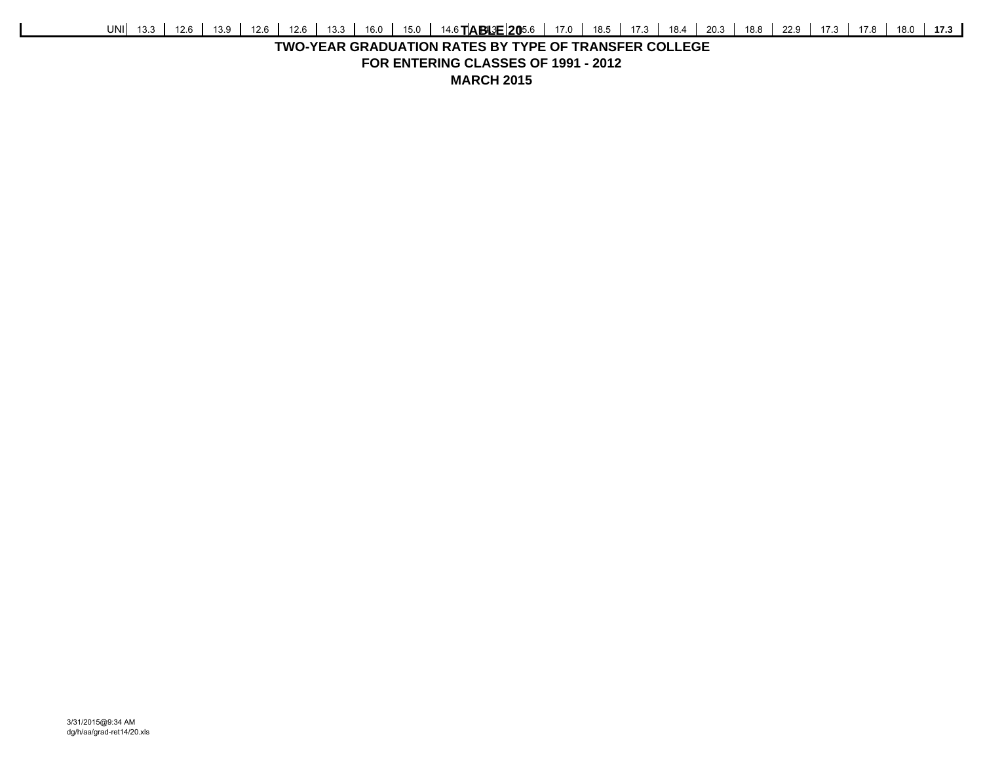## **TWO-YEAR GRADUATION RATES BY TYPE OF TRANSFER COLLEGEFOR ENTERING CLASSES OF 1991 - 2012 MARCH 2015**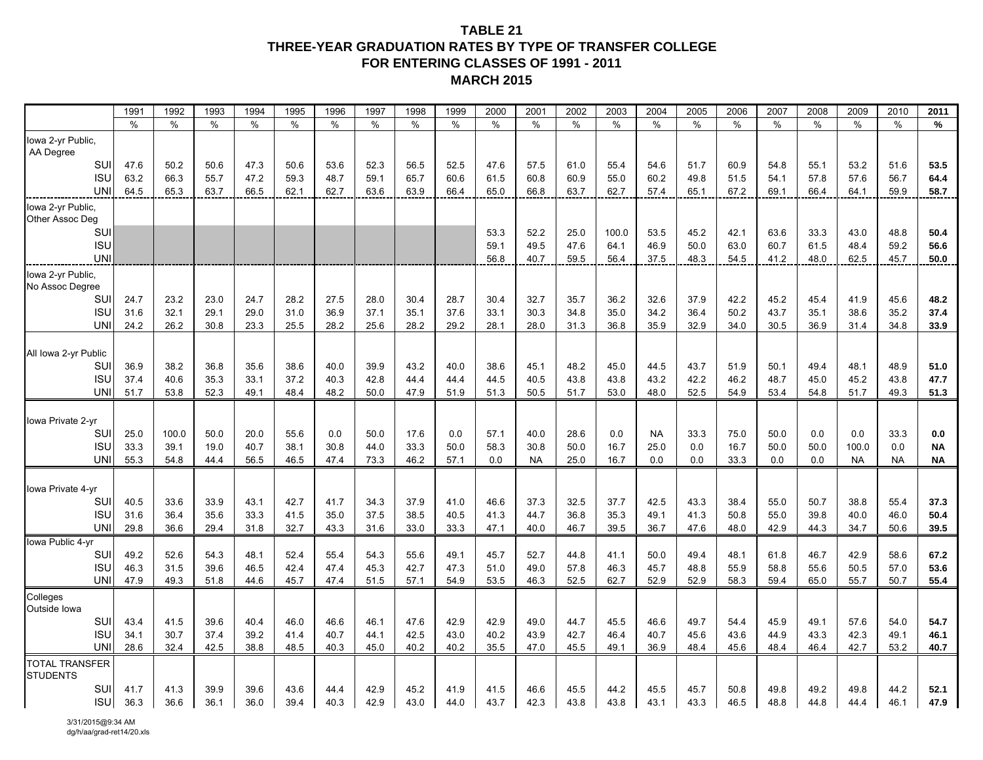## **TABLE 21THREE-YEAR GRADUATION RATES BY TYPE OF TRANSFER COLLEGEFOR ENTERING CLASSES OF 1991 - 2011 MARCH 2015**

|                                          | 1991         | 1992         | 1993         | 1994         | 1995         | 1996         | 1997         | 1998         | 1999         | 2000         | 2001         | 2002         | 2003         | 2004         | 2005         | 2006         | 2007         | 2008         | 2009         | 2010         | 2011         |
|------------------------------------------|--------------|--------------|--------------|--------------|--------------|--------------|--------------|--------------|--------------|--------------|--------------|--------------|--------------|--------------|--------------|--------------|--------------|--------------|--------------|--------------|--------------|
|                                          | $\%$         | $\%$         | $\%$         | $\%$         | $\%$         | $\%$         | $\%$         | $\%$         | $\%$         | $\%$         | $\%$         | $\%$         | $\%$         | $\%$         | $\%$         | $\%$         | $\%$         | $\%$         | $\%$         | $\%$         | $\%$         |
| Iowa 2-yr Public,<br>AA Degree           |              |              |              |              |              |              |              |              |              |              |              |              |              |              |              |              |              |              |              |              |              |
| SUI                                      | 47.6         | 50.2         | 50.6         | 47.3         | 50.6         | 53.6         | 52.3         | 56.5         | 52.5         | 47.6         | 57.5         | 61.0         | 55.4         | 54.6         | 51.7         | 60.9         | 54.8         | 55.1         | 53.2         | 51.6         | 53.5         |
| <b>ISL</b>                               | 63.2         | 66.3         | 55.7         | 47.2         | 59.3         | 48.7         | 59.1         | 65.7         | 60.6         | 61.5         | 60.8         | 60.9         | 55.0         | 60.2         | 49.8         | 51.5         | 54.1         | 57.8         | 57.6         | 56.7         | 64.4         |
| <b>UN</b>                                | 64.5         | 65.3         | 63.7         | 66.5         | 62.1         | 62.7         | 63.6         | 63.9         | 66.4         | 65.0         | 66.8         | 63.7         | 62.7         | 57.4         | 65.1         | 67.2         | 69.1         | 66.4         | 64.1         | 59.9         | 58.7         |
| Iowa 2-yr Public,                        |              |              |              |              |              |              |              |              |              |              |              |              |              |              |              |              |              |              |              |              |              |
| Other Assoc Deg<br>SUI                   |              |              |              |              |              |              |              |              |              | 53.3         | 52.2         | 25.0         | 100.0        | 53.5         | 45.2         | 42.1         | 63.6         | 33.3         | 43.0         | 48.8         | 50.4         |
| <b>ISU</b>                               |              |              |              |              |              |              |              |              |              | 59.1         | 49.5         | 47.6         | 64.1         | 46.9         | 50.0         | 63.0         | 60.7         | 61.5         | 48.4         | 59.2         | 56.6         |
| <b>UN</b>                                |              |              |              |              |              |              |              |              |              | 56.8         | 40.7         | 59.5         | 56.4         | 37.5         | 48.3         | 54.5         | 41.2         | 48.0         | 62.5         | 45.7         | 50.0         |
| Iowa 2-yr Public,                        |              |              |              |              |              |              |              |              |              |              |              |              |              |              |              |              |              |              |              |              |              |
| No Assoc Degree                          |              |              |              |              |              |              |              |              |              |              |              |              |              |              |              |              |              |              |              |              |              |
| SU                                       | 24.7         | 23.2         | 23.0         | 24.7         | 28.2         | 27.5         | 28.0         | 30.4         | 28.7         | 30.4         | 32.7         | 35.7         | 36.2         | 32.6         | 37.9         | 42.2         | 45.2         | 45.4         | 41.9         | 45.6         | 48.2         |
| <b>ISL</b>                               | 31.6         | 32.1         | 29.1         | 29.0         | 31.0         | 36.9         | 37.1         | 35.1         | 37.6         | 33.1         | 30.3         | 34.8         | 35.0         | 34.2         | 36.4         | 50.2         | 43.7         | 35.1         | 38.6         | 35.2         | 37.4         |
| <b>UN</b>                                | 24.2         | 26.2         | 30.8         | 23.3         | 25.5         | 28.2         | 25.6         | 28.2         | 29.2         | 28.1         | 28.0         | 31.3         | 36.8         | 35.9         | 32.9         | 34.0         | 30.5         | 36.9         | 31.4         | 34.8         | 33.9         |
|                                          |              |              |              |              |              |              |              |              |              |              |              |              |              |              |              |              |              |              |              |              |              |
| All Iowa 2-yr Public                     |              |              |              |              |              |              |              |              |              |              |              |              |              |              |              |              |              |              |              |              |              |
| SU<br><b>ISL</b>                         | 36.9<br>37.4 | 38.2<br>40.6 | 36.8<br>35.3 | 35.6<br>33.1 | 38.6<br>37.2 | 40.0<br>40.3 | 39.9<br>42.8 | 43.2<br>44.4 | 40.0<br>44.4 | 38.6<br>44.5 | 45.1<br>40.5 | 48.2<br>43.8 | 45.0<br>43.8 | 44.5<br>43.2 | 43.7<br>42.2 | 51.9<br>46.2 | 50.1<br>48.7 | 49.4<br>45.0 | 48.1<br>45.2 | 48.9<br>43.8 | 51.0<br>47.7 |
| <b>UNI</b>                               | 51.7         | 53.8         | 52.3         | 49.1         | 48.4         | 48.2         | 50.0         | 47.9         | 51.9         | 51.3         | 50.5         | 51.7         | 53.0         | 48.0         | 52.5         | 54.9         | 53.4         | 54.8         | 51.7         | 49.3         | 51.3         |
|                                          |              |              |              |              |              |              |              |              |              |              |              |              |              |              |              |              |              |              |              |              |              |
| Iowa Private 2-yr                        |              |              |              |              |              |              |              |              |              |              |              |              |              |              |              |              |              |              |              |              |              |
| SU                                       | 25.0         | 100.0        | 50.0         | 20.0         | 55.6         | 0.0          | 50.0         | 17.6         | 0.0          | 57.1         | 40.0         | 28.6         | 0.0          | <b>NA</b>    | 33.3         | 75.0         | 50.0         | 0.0          | 0.0          | 33.3         | 0.0          |
| <b>ISL</b>                               | 33.3         | 39.1         | 19.0         | 40.7         | 38.1         | 30.8         | 44.0         | 33.3         | 50.0         | 58.3         | 30.8         | 50.0         | 16.7         | 25.0         | 0.0          | 16.7         | 50.0         | 50.0         | 100.0        | 0.0          | <b>NA</b>    |
| <b>UNI</b>                               | 55.3         | 54.8         | 44.4         | 56.5         | 46.5         | 47.4         | 73.3         | 46.2         | 57.1         | 0.0          | <b>NA</b>    | 25.0         | 16.7         | 0.0          | 0.0          | 33.3         | 0.0          | 0.0          | <b>NA</b>    | <b>NA</b>    | <b>NA</b>    |
|                                          |              |              |              |              |              |              |              |              |              |              |              |              |              |              |              |              |              |              |              |              |              |
| Iowa Private 4-yr                        |              |              |              |              |              |              |              |              |              |              |              |              |              |              |              |              |              |              |              |              |              |
| SU                                       | 40.5         | 33.6         | 33.9         | 43.1         | 42.7         | 41.7         | 34.3         | 37.9         | 41.0         | 46.6         | 37.3         | 32.5         | 37.7         | 42.5         | 43.3         | 38.4         | 55.0         | 50.7         | 38.8         | 55.4         | 37.3         |
| <b>ISL</b><br><b>UN</b>                  | 31.6<br>29.8 | 36.4<br>36.6 | 35.6<br>29.4 | 33.3<br>31.8 | 41.5<br>32.7 | 35.0<br>43.3 | 37.5<br>31.6 | 38.5<br>33.0 | 40.5<br>33.3 | 41.3<br>47.1 | 44.7<br>40.0 | 36.8<br>46.7 | 35.3<br>39.5 | 49.1<br>36.7 | 41.3<br>47.6 | 50.8<br>48.0 | 55.0<br>42.9 | 39.8<br>44.3 | 40.0<br>34.7 | 46.0<br>50.6 | 50.4<br>39.5 |
| Iowa Public 4-yr                         |              |              |              |              |              |              |              |              |              |              |              |              |              |              |              |              |              |              |              |              |              |
| SUI                                      | 49.2         | 52.6         | 54.3         | 48.1         | 52.4         | 55.4         | 54.3         | 55.6         | 49.1         | 45.7         | 52.7         | 44.8         | 41.1         | 50.0         | 49.4         | 48.1         | 61.8         | 46.7         | 42.9         | 58.6         | 67.2         |
| <b>ISU</b>                               | 46.3         | 31.5         | 39.6         | 46.5         | 42.4         | 47.4         | 45.3         | 42.7         | 47.3         | 51.0         | 49.0         | 57.8         | 46.3         | 45.7         | 48.8         | 55.9         | 58.8         | 55.6         | 50.5         | 57.0         | 53.6         |
| <b>UNI</b>                               | 47.9         | 49.3         | 51.8         | 44.6         | 45.7         | 47.4         | 51.5         | 57.1         | 54.9         | 53.5         | 46.3         | 52.5         | 62.7         | 52.9         | 52.9         | 58.3         | 59.4         | 65.0         | 55.7         | 50.7         | 55.4         |
| Colleges<br>Outside lowa                 |              |              |              |              |              |              |              |              |              |              |              |              |              |              |              |              |              |              |              |              |              |
| SUI                                      | 43.4         | 41.5         | 39.6         | 40.4         | 46.0         | 46.6         | 46.1         | 47.6         | 42.9         | 42.9         | 49.0         | 44.7         | 45.5         | 46.6         | 49.7         | 54.4         | 45.9         | 49.1         | 57.6         | 54.0         | 54.7         |
| <b>ISL</b>                               | 34.1         | 30.7         | 37.4         | 39.2         | 41.4         | 40.7         | 44.1         | 42.5         | 43.0         | 40.2         | 43.9         | 42.7         | 46.4         | 40.7         | 45.6         | 43.6         | 44.9         | 43.3         | 42.3         | 49.1         | 46.1         |
| UNI                                      | 28.6         | 32.4         | 42.5         | 38.8         | 48.5         | 40.3         | 45.0         | 40.2         | 40.2         | 35.5         | 47.0         | 45.5         | 49.1         | 36.9         | 48.4         | 45.6         | 48.4         | 46.4         | 42.7         | 53.2         | 40.7         |
| <b>TOTAL TRANSFER</b><br><b>STUDENTS</b> |              |              |              |              |              |              |              |              |              |              |              |              |              |              |              |              |              |              |              |              |              |
| SUI                                      | 41.7         | 41.3         | 39.9         | 39.6         | 43.6         | 44.4         | 42.9         | 45.2         | 41.9         | 41.5         | 46.6         | 45.5         | 44.2         | 45.5         | 45.7         | 50.8         | 49.8         | 49.2         | 49.8         | 44.2         | 52.1         |
| <b>ISU</b>                               | 36.3         | 36.6         | 36.1         | 36.0         | 39.4         | 40.3         | 42.9         | 43.0         | 44.0         | 43.7         | 42.3         | 43.8         | 43.8         | 43.1         | 43.3         | 46.5         | 48.8         | 44.8         | 44.4         | 46.1         | 47.9         |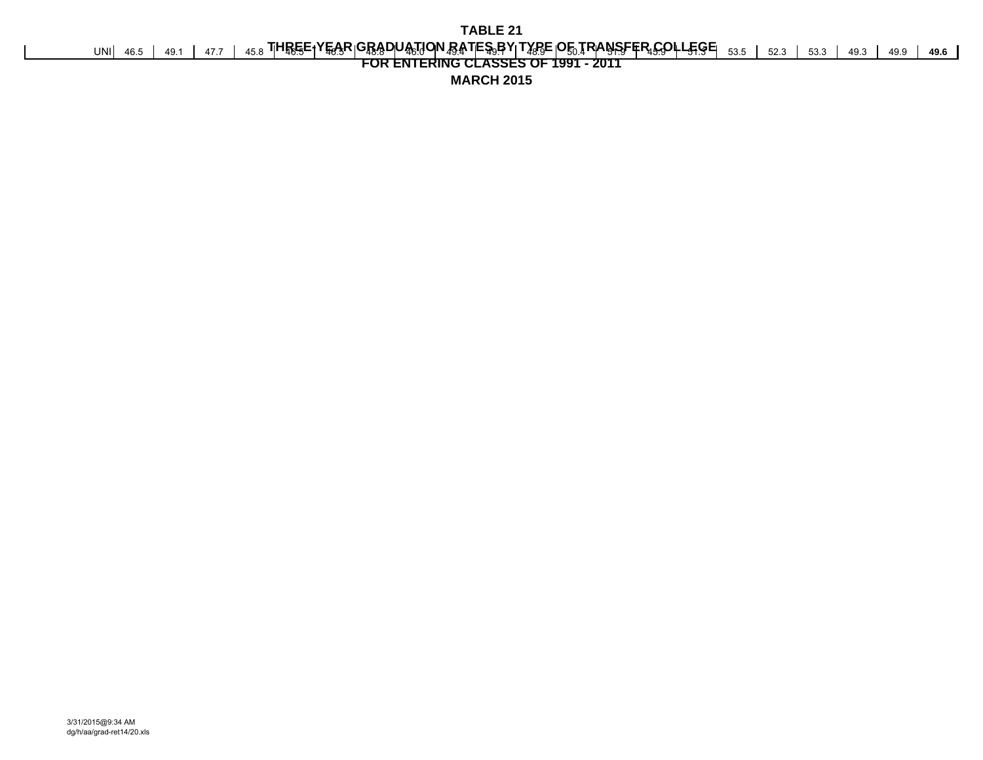UNI 46.5 | 49.1 | 47.7 | 45.8 **THREE+YEAR|GRADUATJON RATES,BY|TXPE|OE,TRANSFFR,COLLEGE**| <sub>53.5</sub> | 52.3 | 53.3 | 49.3 | 49.9 | 49.6

# **FOR ENTERING CLASSES OF 1991 - 2011**

**MARCH 2015**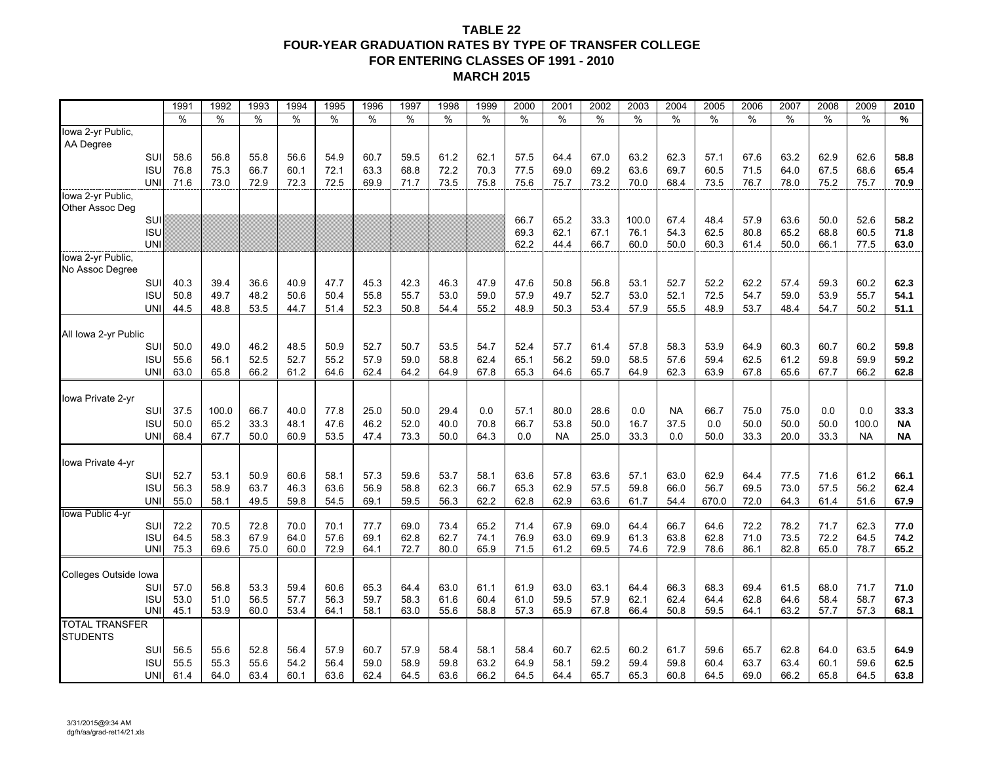## **TABLE 22 FOUR-YEAR GRADUATION RATES BY TYPE OF TRANSFER COLLEGE FOR ENTERING CLASSES OF 1991 - 2010 MARCH 2015**

|                       |                   | 1991         | 1992         | 1993         | 1994         | 1995         | 1996         | 1997         | 1998         | 1999         | 2000         | 2001         | 2002         | 2003         | 2004         | 2005         | 2006         | 2007         | 2008         | 2009         | 2010         |
|-----------------------|-------------------|--------------|--------------|--------------|--------------|--------------|--------------|--------------|--------------|--------------|--------------|--------------|--------------|--------------|--------------|--------------|--------------|--------------|--------------|--------------|--------------|
|                       |                   | %            | $\%$         | %            | %            | $\%$         | $\%$         | $\%$         | %            | $\%$         | %            | %            | %            | $\%$         | $\%$         | %            | $\%$         | $\%$         | $\%$         | $\%$         | %            |
| lowa 2-yr Public,     |                   |              |              |              |              |              |              |              |              |              |              |              |              |              |              |              |              |              |              |              |              |
| AA Degree             |                   |              |              |              |              |              |              |              |              |              |              |              |              |              |              |              |              |              |              |              |              |
|                       | SUI               | 58.6         | 56.8         | 55.8         | 56.6         | 54.9         | 60.7         | 59.5         | 61.2         | 62.1         | 57.5         | 64.4         | 67.0         | 63.2         | 62.3         | 57.1         | 67.6         | 63.2         | 62.9         | 62.6         | 58.8         |
|                       | <b>ISL</b><br>UNI | 76.8<br>71.6 | 75.3         | 66.7         | 60.1<br>72.3 | 72.1         | 63.3         | 68.8         | 72.2<br>73.5 | 70.3<br>75.8 | 77.5         | 69.0<br>75.7 | 69.2<br>73.2 | 63.6         | 69.7         | 60.5<br>73.5 | 71.5         | 64.0<br>78.0 | 67.5<br>75.2 | 68.6<br>75.7 | 65.4         |
| lowa 2-yr Public,     |                   |              | 73.0         | 72.9         |              | 72.5         | 69.9         | 71.7         |              |              | 75.6         |              |              | 70.0         | 68.4         |              | 76.7         |              |              |              | 70.9         |
| Other Assoc Deg       |                   |              |              |              |              |              |              |              |              |              |              |              |              |              |              |              |              |              |              |              |              |
|                       | SUI               |              |              |              |              |              |              |              |              |              | 66.7         | 65.2         | 33.3         | 100.0        | 67.4         | 48.4         | 57.9         | 63.6         | 50.0         | 52.6         | 58.2         |
|                       | <b>ISU</b>        |              |              |              |              |              |              |              |              |              | 69.3         | 62.1         | 67.1         | 76.1         | 54.3         | 62.5         | 80.8         | 65.2         | 68.8         | 60.5         | 71.8         |
|                       | <b>UNI</b>        |              |              |              |              |              |              |              |              |              | 62.2         | 44.4         | 66.7         | 60.0         | 50.0         | 60.3         | 61.4         | 50.0         | 66.1         | 77.5         | 63.0         |
| Iowa 2-yr Public,     |                   |              |              |              |              |              |              |              |              |              |              |              |              |              |              |              |              |              |              |              |              |
| No Assoc Degree       |                   |              |              |              |              |              |              |              |              |              |              |              |              |              |              |              |              |              |              |              |              |
|                       | SU                | 40.3         | 39.4         | 36.6         | 40.9         | 47.7         | 45.3         | 42.3         | 46.3         | 47.9         | 47.6         | 50.8         | 56.8         | 53.1         | 52.7         | 52.2         | 62.2         | 57.4         | 59.3         | 60.2         | 62.3         |
|                       | <b>ISL</b>        | 50.8         | 49.7         | 48.2         | 50.6         | 50.4         | 55.8         | 55.7         | 53.0         | 59.0         | 57.9         | 49.7         | 52.7         | 53.0         | 52.1         | 72.5         | 54.7         | 59.0         | 53.9         | 55.7         | 54.1         |
|                       | <b>UN</b>         | 44.5         | 48.8         | 53.5         | 44.7         | 51.4         | 52.3         | 50.8         | 54.4         | 55.2         | 48.9         | 50.3         | 53.4         | 57.9         | 55.5         | 48.9         | 53.7         | 48.4         | 54.7         | 50.2         | 51.1         |
|                       |                   |              |              |              |              |              |              |              |              |              |              |              |              |              |              |              |              |              |              |              |              |
| All Iowa 2-yr Public  |                   |              |              |              |              |              |              |              |              |              |              |              |              |              |              |              |              |              |              |              |              |
|                       | SUI<br><b>ISL</b> | 50.0<br>55.6 | 49.0<br>56.1 | 46.2<br>52.5 | 48.5<br>52.7 | 50.9<br>55.2 | 52.7<br>57.9 | 50.7<br>59.0 | 53.5<br>58.8 | 54.7<br>62.4 | 52.4<br>65.1 | 57.7<br>56.2 | 61.4<br>59.0 | 57.8<br>58.5 | 58.3<br>57.6 | 53.9<br>59.4 | 64.9<br>62.5 | 60.3<br>61.2 | 60.7<br>59.8 | 60.2<br>59.9 | 59.8<br>59.2 |
|                       | <b>UNI</b>        | 63.0         | 65.8         | 66.2         | 61.2         | 64.6         | 62.4         | 64.2         | 64.9         | 67.8         | 65.3         | 64.6         | 65.7         | 64.9         | 62.3         | 63.9         | 67.8         | 65.6         | 67.7         | 66.2         | 62.8         |
|                       |                   |              |              |              |              |              |              |              |              |              |              |              |              |              |              |              |              |              |              |              |              |
| Iowa Private 2-yr     |                   |              |              |              |              |              |              |              |              |              |              |              |              |              |              |              |              |              |              |              |              |
|                       | SUI               | 37.5         | 100.0        | 66.7         | 40.0         | 77.8         | 25.0         | 50.0         | 29.4         | 0.0          | 57.1         | 80.0         | 28.6         | 0.0          | NA           | 66.7         | 75.0         | 75.0         | 0.0          | 0.0          | 33.3         |
|                       | <b>ISL</b>        | 50.0         | 65.2         | 33.3         | 48.1         | 47.6         | 46.2         | 52.0         | 40.0         | 70.8         | 66.7         | 53.8         | 50.0         | 16.7         | 37.5         | 0.0          | 50.0         | 50.0         | 50.0         | 100.0        | <b>NA</b>    |
|                       | UNI               | 68.4         | 67.7         | 50.0         | 60.9         | 53.5         | 47.4         | 73.3         | 50.0         | 64.3         | 0.0          | <b>NA</b>    | 25.0         | 33.3         | 0.0          | 50.0         | 33.3         | 20.0         | 33.3         | <b>NA</b>    | <b>NA</b>    |
|                       |                   |              |              |              |              |              |              |              |              |              |              |              |              |              |              |              |              |              |              |              |              |
| Iowa Private 4-vr     |                   |              |              |              |              |              |              |              |              |              |              |              |              |              |              |              |              |              |              |              |              |
|                       | SUI               | 52.7         | 53.1         | 50.9         | 60.6         | 58.1         | 57.3         | 59.6         | 53.7         | 58.1         | 63.6         | 57.8         | 63.6         | 57.1         | 63.0         | 62.9         | 64.4         | 77.5         | 71.6         | 61.2         | 66.1         |
|                       | <b>ISU</b>        | 56.3         | 58.9         | 63.7         | 46.3         | 63.6         | 56.9         | 58.8         | 62.3         | 66.7         | 65.3         | 62.9         | 57.5         | 59.8         | 66.0         | 56.7         | 69.5         | 73.0         | 57.5         | 56.2         | 62.4         |
|                       | <b>UNI</b>        | 55.0         | 58.1         | 49.5         | 59.8         | 54.5         | 69.1         | 59.5         | 56.3         | 62.2         | 62.8         | 62.9         | 63.6         | 61.7         | 54.4         | 670.0        | 72.0         | 64.3         | 61.4         | 51.6         | 67.9         |
| Iowa Public 4-yr      | SU                | 72.2         | 70.5         | 72.8         | 70.0         | 70.1         | 77.7         | 69.0         | 73.4         | 65.2         | 71.4         | 67.9         | 69.0         | 64.4         | 66.7         | 64.6         | 72.2         | 78.2         | 71.7         | 62.3         | 77.0         |
|                       | <b>ISU</b>        | 64.5         | 58.3         | 67.9         | 64.0         | 57.6         | 69.1         | 62.8         | 62.7         | 74.1         | 76.9         | 63.0         | 69.9         | 61.3         | 63.8         | 62.8         | 71.0         | 73.5         | 72.2         | 64.5         | 74.2         |
|                       | <b>UNI</b>        | 75.3         | 69.6         | 75.0         | 60.0         | 72.9         | 64.1         | 72.7         | 80.0         | 65.9         | 71.5         | 61.2         | 69.5         | 74.6         | 72.9         | 78.6         | 86.1         | 82.8         | 65.0         | 78.7         | 65.2         |
|                       |                   |              |              |              |              |              |              |              |              |              |              |              |              |              |              |              |              |              |              |              |              |
| Colleges Outside Iowa |                   |              |              |              |              |              |              |              |              |              |              |              |              |              |              |              |              |              |              |              |              |
|                       | SU                | 57.0         | 56.8         | 53.3         | 59.4         | 60.6         | 65.3         | 64.4         | 63.0         | 61.1         | 61.9         | 63.0         | 63.1         | 64.4         | 66.3         | 68.3         | 69.4         | 61.5         | 68.0         | 71.7         | 71.0         |
|                       | <b>ISL</b>        | 53.0         | 51.0         | 56.5         | 57.7         | 56.3         | 59.7         | 58.3         | 61.6         | 60.4         | 61.0         | 59.5         | 57.9         | 62.1         | 62.4         | 64.4         | 62.8         | 64.6         | 58.4         | 58.7         | 67.3         |
|                       | UNI               | 45.1         | 53.9         | 60.0         | 53.4         | 64.1         | 58.1         | 63.0         | 55.6         | 58.8         | 57.3         | 65.9         | 67.8         | 66.4         | 50.8         | 59.5         | 64.1         | 63.2         | 57.7         | 57.3         | 68.1         |
| <b>TOTAL TRANSFER</b> |                   |              |              |              |              |              |              |              |              |              |              |              |              |              |              |              |              |              |              |              |              |
| <b>STUDENTS</b>       | SUI               |              |              |              |              |              |              |              |              |              |              |              |              |              |              |              |              |              |              |              |              |
|                       | ISU               | 56.5<br>55.5 | 55.6<br>55.3 | 52.8<br>55.6 | 56.4<br>54.2 | 57.9<br>56.4 | 60.7<br>59.0 | 57.9<br>58.9 | 58.4<br>59.8 | 58.1<br>63.2 | 58.4<br>64.9 | 60.7<br>58.1 | 62.5<br>59.2 | 60.2<br>59.4 | 61.7<br>59.8 | 59.6<br>60.4 | 65.7<br>63.7 | 62.8<br>63.4 | 64.0<br>60.1 | 63.5<br>59.6 | 64.9<br>62.5 |
|                       | <b>UNI</b>        | 61.4         | 64.0         | 63.4         | 60.1         | 63.6         | 62.4         | 64.5         | 63.6         | 66.2         | 64.5         | 64.4         | 65.7         | 65.3         | 60.8         | 64.5         | 69.0         | 66.2         | 65.8         | 64.5         | 63.8         |
|                       |                   |              |              |              |              |              |              |              |              |              |              |              |              |              |              |              |              |              |              |              |              |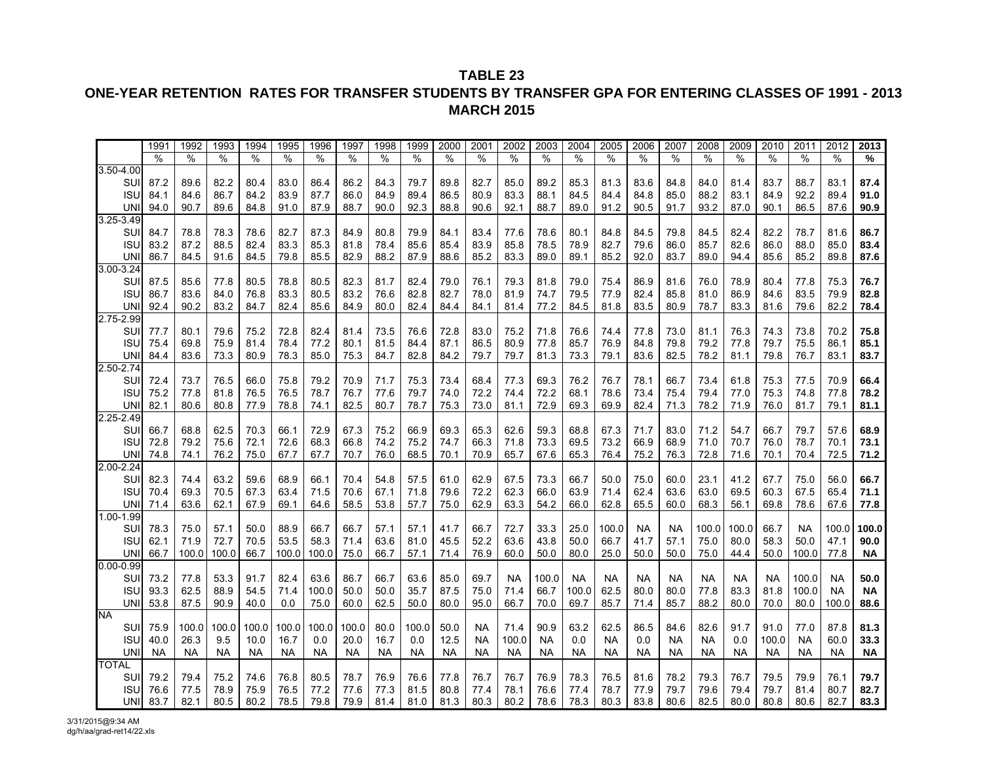## **ONE-YEAR RETENTION RATES FOR TRANSFER STUDENTS BY TRANSFER GPA FOR ENTERING CLASSES OF 1991 - 2013 MARCH 2015**

|               | 1991      | 1992      | 1993      | 1994      | 1995      | 1996      | 1997      | 1998      | 1999      | 2000      | 2001      | 2002      | 2003      | 2004      | 2005      | 2006      | 2007      | 2008      | 2009      | 2010      | 2011      | 2012          | 2013      |
|---------------|-----------|-----------|-----------|-----------|-----------|-----------|-----------|-----------|-----------|-----------|-----------|-----------|-----------|-----------|-----------|-----------|-----------|-----------|-----------|-----------|-----------|---------------|-----------|
|               | $\%$      | %         | $\%$      | %         | %         | %         | %         | %         | %         | %         | $\%$      | %         | %         | $\%$      | $\%$      | %         | %         | %         | %         | %         | %         | $\frac{0}{0}$ | %         |
| $3.50 - 4.00$ |           |           |           |           |           |           |           |           |           |           |           |           |           |           |           |           |           |           |           |           |           |               |           |
| SUI           | 87.2      | 89.6      | 82.2      | 80.4      | 83.0      | 86.4      | 86.2      | 84.3      | 79.7      | 89.8      | 82.7      | 85.0      | 89.2      | 85.3      | 81.3      | 83.6      | 84.8      | 84.0      | 81.4      | 83.7      | 88.7      | 83.1          | 87.4      |
| <b>ISU</b>    | 84.1      | 84.6      | 86.7      | 84.2      | 83.9      | 87.7      | 86.0      | 84.9      | 89.4      | 86.5      | 80.9      | 83.3      | 88.1      | 84.5      | 84.4      | 84.8      | 85.0      | 88.2      | 83.1      | 84.9      | 92.2      | 89.4          | 91.0      |
| <b>UNI</b>    | 94.0      | 90.7      | 89.6      | 84.8      | 91.0      | 87.9      | 88.7      | 90.0      | 92.3      | 88.8      | 90.6      | 92.1      | 88.7      | 89.0      | 91.2      | 90.5      | 91.7      | 93.2      | 87.0      | 90.1      | 86.5      | 87.6          | 90.9      |
| $3.25 - 3.49$ |           |           |           |           |           |           |           |           |           |           |           |           |           |           |           |           |           |           |           |           |           |               |           |
| SUI           | 84.7      | 78.8      | 78.3      | 78.6      | 82.7      | 87.3      | 84.9      | 80.8      | 79.9      | 84.1      | 83.4      | 77.6      | 78.6      | 80.1      | 84.8      | 84.5      | 79.8      | 84.5      | 82.4      | 82.2      | 78.7      | 81.6          | 86.7      |
| <b>ISU</b>    | 83.2      | 87.2      | 88.5      | 82.4      | 83.3      | 85.3      | 81.8      | 78.4      | 85.6      | 85.4      | 83.9      | 85.8      | 78.5      | 78.9      | 82.7      | 79.6      | 86.0      | 85.7      | 82.6      | 86.0      | 88.0      | 85.0          | 83.4      |
| <b>UNI</b>    | 86.7      | 84.5      | 91.6      | 84.5      | 79.8      | 85.5      | 82.9      | 88.2      | 87.9      | 88.6      | 85.2      | 83.3      | 89.0      | 89.1      | 85.2      | 92.0      | 83.7      | 89.0      | 94.4      | 85.6      | 85.2      | 89.8          | 87.6      |
| $3.00 - 3.24$ |           |           |           |           |           |           |           |           |           |           |           |           |           |           |           |           |           |           |           |           |           |               |           |
| SUI           | 87.5      | 85.6      | 77.8      | 80.5      | 78.8      | 80.5      | 82.3      | 81.7      | 82.4      | 79.0      | 76.1      | 79.3      | 81.8      | 79.0      | 75.4      | 86.9      | 81.6      | 76.0      | 78.9      | 80.4      | 77.8      | 75.3          | 76.7      |
| <b>ISU</b>    | 86.7      | 83.6      | 84.0      | 76.8      | 83.3      | 80.5      | 83.2      | 76.6      | 82.8      | 82.7      | 78.0      | 81.9      | 74.7      | 79.5      | 77.9      | 82.4      | 85.8      | 81.0      | 86.9      | 84.6      | 83.5      | 79.9          | 82.8      |
| <b>UNI</b>    | 92.4      | 90.2      | 83.2      | 84.7      | 82.4      | 85.6      | 84.9      | 80.0      | 82.4      | 84.4      | 84.1      | 81.4      | 77.2      | 84.5      | 81.8      | 83.5      | 80.9      | 78.7      | 83.3      | 81.6      | 79.6      | 82.2          | 78.4      |
| 2.75-2.99     |           |           |           |           |           |           |           |           |           |           |           |           |           |           |           |           |           |           |           |           |           |               |           |
| SUI           | 77.7      | 80.1      | 79.6      | 75.2      | 72.8      | 82.4      | 81.4      | 73.5      | 76.6      | 72.8      | 83.0      | 75.2      | 71.8      | 76.6      | 74.4      | 77.8      | 73.0      | 81.1      | 76.3      | 74.3      | 73.8      | 70.2          | 75.8      |
| <b>ISU</b>    | 75.4      | 69.8      | 75.9      | 81.4      | 78.4      | 77.2      | 80.1      | 81.5      | 84.4      | 87.1      | 86.5      | 80.9      | 77.8      | 85.7      | 76.9      | 84.8      | 79.8      | 79.2      | 77.8      | 79.7      | 75.5      | 86.1          | 85.1      |
| <b>UNI</b>    | 84.4      | 83.6      | 73.3      | 80.9      | 78.3      | 85.0      | 75.3      | 84.7      | 82.8      | 84.2      | 79.7      | 79.7      | 81.3      | 73.3      | 79.1      | 83.6      | 82.5      | 78.2      | 81.1      | 79.8      | 76.7      | 83.1          | 83.7      |
| $2.50 - 2.74$ |           |           |           |           |           |           |           |           |           |           |           |           |           |           |           |           |           |           |           |           |           |               |           |
| SUI           | 72.4      | 73.7      | 76.5      | 66.0      | 75.8      | 79.2      | 70.9      | 71.7      | 75.3      | 73.4      | 68.4      | 77.3      | 69.3      | 76.2      | 76.7      | 78.1      | 66.7      | 73.4      | 61.8      | 75.3      | 77.5      | 70.9          | 66.4      |
| <b>ISU</b>    | 75.2      | 77.8      | 81.8      | 76.5      | 76.5      | 78.7      | 76.7      | 77.6      | 79.7      | 74.0      | 72.2      | 74.4      | 72.2      | 68.1      | 78.6      | 73.4      | 75.4      | 79.4      | 77.0      | 75.3      | 74.8      | 77.8          | 78.2      |
| <b>UNI</b>    | 82.1      | 80.6      | 80.8      | 77.9      | 78.8      | 74.1      | 82.5      | 80.7      | 78.7      | 75.3      | 73.0      | 81.1      | 72.9      | 69.3      | 69.9      | 82.4      | 71.3      | 78.2      | 71.9      | 76.0      | 81.7      | 79.1          | 81.1      |
| $2.25 - 2.49$ |           |           |           |           |           |           |           |           |           |           |           |           |           |           |           |           |           |           |           |           |           |               |           |
| SUI           | 66.7      | 68.8      | 62.5      | 70.3      | 66.1      | 72.9      | 67.3      | 75.2      | 66.9      | 69.3      | 65.3      | 62.6      | 59.3      | 68.8      | 67.3      | 71.7      | 83.0      | 71.2      | 54.7      | 66.7      | 79.7      | 57.6          | 68.9      |
| <b>ISU</b>    | 72.8      | 79.2      | 75.6      | 72.1      | 72.6      | 68.3      | 66.8      | 74.2      | 75.2      | 74.7      | 66.3      | 71.8      | 73.3      | 69.5      | 73.2      | 66.9      | 68.9      | 71.0      | 70.7      | 76.0      | 78.7      | 70.1          | 73.1      |
| <b>UNI</b>    | 74.8      | 74.1      | 76.2      | 75.0      | 67.7      | 67.7      | 70.7      | 76.0      | 68.5      | 70.1      | 70.9      | 65.7      | 67.6      | 65.3      | 76.4      | 75.2      | 76.3      | 72.8      | 71.6      | 70.1      | 70.4      | 72.5          | 71.2      |
| 2.00-2.24     |           |           |           |           |           |           |           |           |           |           |           |           |           |           |           |           |           |           |           |           |           |               |           |
| SUI           | 82.3      | 74.4      | 63.2      | 59.6      | 68.9      | 66.1      | 70.4      | 54.8      | 57.5      | 61.0      | 62.9      | 67.5      | 73.3      | 66.7      | 50.0      | 75.0      | 60.0      | 23.1      | 41.2      | 67.7      | 75.0      | 56.0          | 66.7      |
| <b>ISU</b>    | 70.4      | 69.3      | 70.5      | 67.3      | 63.4      | 71.5      | 70.6      | 67.1      | 71.8      | 79.6      | 72.2      | 62.3      | 66.0      | 63.9      | 71.4      | 62.4      | 63.6      | 63.0      | 69.5      | 60.3      | 67.5      | 65.4          | 71.1      |
| <b>UNI</b>    | 71.4      | 63.6      | 62.1      | 67.9      | 69.1      | 64.6      | 58.5      | 53.8      | 57.7      | 75.0      | 62.9      | 63.3      | 54.2      | 66.0      | 62.8      | 65.5      | 60.0      | 68.3      | 56.1      | 69.8      | 78.6      | 67.6          | 77.8      |
| $1.00 - 1.99$ |           |           |           |           |           |           |           |           |           |           |           |           |           |           |           |           |           |           |           |           |           |               |           |
| SUI           | 78.3      | 75.0      | 57.1      | 50.0      | 88.9      | 66.7      | 66.7      | 57.1      | 57.1      | 41.7      | 66.7      | 72.7      | 33.3      | 25.0      | 100.0     | <b>NA</b> | <b>NA</b> | 100.0     | 100.0     | 66.7      | <b>NA</b> | 100.0         | 100.0     |
| <b>ISU</b>    | 62.1      | 71.9      | 72.7      | 70.5      | 53.5      | 58.3      | 71.4      | 63.6      | 81.0      | 45.5      | 52.2      | 63.6      | 43.8      | 50.0      | 66.7      | 41.7      | 57.1      | 75.0      | 80.0      | 58.3      | 50.0      | 47.1          | 90.0      |
| <b>UNI</b>    | 66.7      | 100.0     | 100.0     | 66.7      | 100.0     | 100.0     | 75.0      | 66.7      | 57.1      | 71.4      | 76.9      | 60.0      | 50.0      | 80.0      | 25.0      | 50.0      | 50.0      | 75.0      | 44.4      | 50.0      | 100.0     | 77.8          | <b>NA</b> |
| $0.00 - 0.99$ |           |           |           |           |           |           |           |           |           |           |           |           |           |           |           |           |           |           |           |           |           |               |           |
| SUI           | 73.2      | 77.8      | 53.3      | 91.7      | 82.4      | 63.6      | 86.7      | 66.7      | 63.6      | 85.0      | 69.7      | <b>NA</b> | 100.0     | <b>NA</b> | <b>NA</b> | <b>NA</b> | <b>NA</b> | <b>NA</b> | <b>NA</b> | <b>NA</b> | 100.0     | <b>NA</b>     | 50.0      |
| <b>ISU</b>    | 93.3      | 62.5      | 88.9      | 54.5      | 71.4      | 100.0     | 50.0      | 50.0      | 35.7      | 87.5      | 75.0      | 71.4      | 66.7      | 100.0     | 62.5      | 80.0      | 80.0      | 77.8      | 83.3      | 81.8      | 100.0     | <b>NA</b>     | <b>NA</b> |
| UNI           | 53.8      | 87.5      | 90.9      | 40.0      | 0.0       | 75.0      | 60.0      | 62.5      | 50.0      | 80.0      | 95.0      | 66.7      | 70.0      | 69.7      | 85.7      | 71.4      | 85.7      | 88.2      | 80.0      | 70.0      | 80.0      | 100.0         | 88.6      |
| <b>NA</b>     |           |           |           |           |           |           |           |           |           |           |           |           |           |           |           |           |           |           |           |           |           |               |           |
| SUI           | 75.9      | 100.0     | 100.0     | 100.0     | 100.0     | 100.0     | 100.0     | 80.0      | 100.0     | 50.0      | <b>NA</b> | 71.4      | 90.9      | 63.2      | 62.5      | 86.5      | 84.6      | 82.6      | 91.7      | 91.0      | 77.0      | 87.8          | 81.3      |
| <b>ISU</b>    | 40.0      | 26.3      | 9.5       | 10.0      | 16.7      | 0.0       | 20.0      | 16.7      | 0.0       | 12.5      | <b>NA</b> | 100.0     | <b>NA</b> | 0.0       | <b>NA</b> | 0.0       | <b>NA</b> | <b>NA</b> | 0.0       | 100.0     | <b>NA</b> | 60.0          | 33.3      |
| <b>UNI</b>    | <b>NA</b> | <b>NA</b> | <b>NA</b> | <b>NA</b> | <b>NA</b> | <b>NA</b> | <b>NA</b> | <b>NA</b> | <b>NA</b> | <b>NA</b> | <b>NA</b> | <b>NA</b> | NA        | <b>NA</b> | <b>NA</b> | <b>NA</b> | <b>NA</b> | <b>NA</b> | NA        | <b>NA</b> | NA        | <b>NA</b>     | ΝA        |
| <b>TOTAL</b>  |           |           |           |           |           |           |           |           |           |           |           |           |           |           |           |           |           |           |           |           |           |               |           |
| SUI           | 79.2      | 79.4      | 75.2      | 74.6      | 76.8      | 80.5      | 78.7      | 76.9      | 76.6      | 77.8      | 76.7      | 76.7      | 76.9      | 78.3      | 76.5      | 81.6      | 78.2      | 79.3      | 76.7      | 79.5      | 79.9      | 76.1          | 79.7      |
| <b>ISU</b>    | 76.6      | 77.5      | 78.9      | 75.9      | 76.5      | 77.2      | 77.6      | 77.3      | 81.5      | 80.8      | 77.4      | 78.1      | 76.6      | 77.4      | 78.7      | 77.9      | 79.7      | 79.6      | 79.4      | 79.7      | 81.4      | 80.7          | 82.7      |
| <b>UNI</b>    | 83.7      | 82.1      | 80.5      | 80.2      | 78.5      | 79.8      | 79.9      | 81.4      | 81.0      | 81.3      | 80.3      | 80.2      | 78.6      | 78.3      | 80.3      | 83.8      | 80.6      | 82.5      | 80.0      | 80.8      | 80.6      | 82.7          | 83.3      |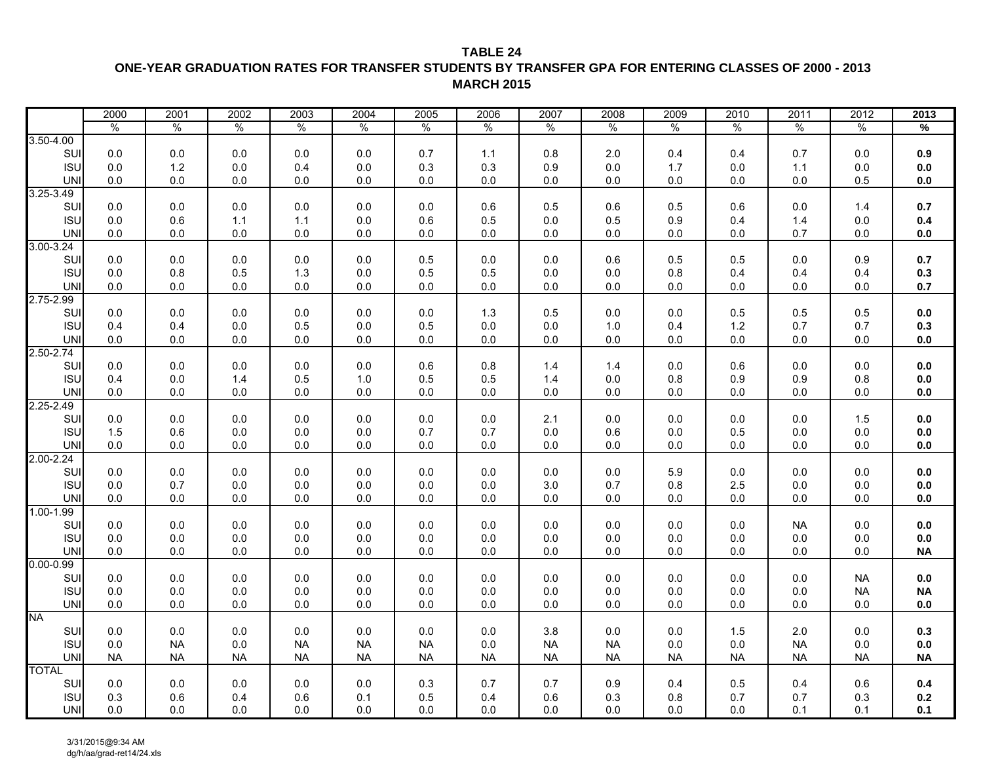## **TABLE 24ONE-YEAR GRADUATION RATES FOR TRANSFER STUDENTS BY TRANSFER GPA FOR ENTERING CLASSES OF 2000 - 2013 MARCH 2015**

|               | 2000      | 2001      | 2002      | 2003      | 2004      | 2005          | 2006      | 2007      | 2008      | 2009          | 2010          | 2011      | 2012      | 2013      |
|---------------|-----------|-----------|-----------|-----------|-----------|---------------|-----------|-----------|-----------|---------------|---------------|-----------|-----------|-----------|
|               | $\%$      | $\%$      | $\%$      | $\%$      | $\%$      | $\frac{0}{0}$ | $\%$      | $\%$      | $\%$      | $\frac{0}{0}$ | $\frac{0}{0}$ | $\%$      | $\%$      | $\%$      |
| $3.50 - 4.00$ |           |           |           |           |           |               |           |           |           |               |               |           |           |           |
| SUI           | 0.0       | $0.0\,$   | 0.0       | $0.0\,$   | 0.0       | 0.7           | 1.1       | $0.8\,$   | 2.0       | 0.4           | 0.4           | 0.7       | 0.0       | 0.9       |
| <b>ISU</b>    | 0.0       | $1.2$     | 0.0       | 0.4       | 0.0       | 0.3           | 0.3       | 0.9       | 0.0       | 1.7           | 0.0           | 1.1       | 0.0       | 0.0       |
| <b>UNI</b>    | 0.0       | $0.0\,$   | 0.0       | $0.0\,$   | 0.0       | $0.0\,$       | 0.0       | $0.0\,$   | 0.0       | $0.0\,$       | 0.0           | $0.0\,$   | 0.5       | $0.0\,$   |
| 3.25-3.49     |           |           |           |           |           |               |           |           |           |               |               |           |           |           |
| SUI           | 0.0       | 0.0       | 0.0       | 0.0       | 0.0       | $0.0\,$       | 0.6       | 0.5       | 0.6       | 0.5           | 0.6           | 0.0       | 1.4       | 0.7       |
| <b>ISU</b>    | 0.0       | 0.6       | $1.1$     | $1.1$     | 0.0       | 0.6           | 0.5       | $0.0\,$   | 0.5       | 0.9           | 0.4           | 1.4       | 0.0       | 0.4       |
| <b>UNI</b>    | 0.0       | $0.0\,$   | 0.0       | $0.0\,$   | 0.0       | $0.0\,$       | 0.0       | $0.0\,$   | 0.0       | $0.0\,$       | 0.0           | 0.7       | 0.0       | $0.0\,$   |
| $3.00 - 3.24$ |           |           |           |           |           |               |           |           |           |               |               |           |           |           |
| SUI           | 0.0       | 0.0       | 0.0       | 0.0       | 0.0       | 0.5           | 0.0       | 0.0       | 0.6       | 0.5           | 0.5           | 0.0       | 0.9       | 0.7       |
| <b>ISU</b>    | 0.0       | 0.8       | 0.5       | 1.3       | 0.0       | 0.5           | 0.5       | $0.0\,$   | 0.0       | 0.8           | 0.4           | 0.4       | 0.4       | 0.3       |
| <b>UNI</b>    | 0.0       | $0.0\,$   | 0.0       | $0.0\,$   | 0.0       | $0.0\,$       | 0.0       | $0.0\,$   | 0.0       | $0.0\,$       | 0.0           | $0.0\,$   | 0.0       | $0.7\,$   |
| $2.75 - 2.99$ |           |           |           |           |           |               |           |           |           |               |               |           |           |           |
| SUI           | 0.0       | $0.0\,$   | $0.0\,$   | $0.0\,$   | $0.0\,$   | $0.0\,$       | 1.3       | $0.5\,$   | 0.0       | $0.0\,$       | 0.5           | 0.5       | 0.5       | 0.0       |
| <b>ISU</b>    | 0.4       | 0.4       | 0.0       | 0.5       | 0.0       | 0.5           | 0.0       | 0.0       | 1.0       | 0.4           | 1.2           | 0.7       | 0.7       | 0.3       |
| <b>UNI</b>    | 0.0       | $0.0\,$   | 0.0       | $0.0\,$   | 0.0       | $0.0\,$       | 0.0       | $0.0\,$   | 0.0       | $0.0\,$       | 0.0           | $0.0\,$   | 0.0       | $0.0\,$   |
| $2.50 - 2.74$ |           |           |           |           |           |               |           |           |           |               |               |           |           |           |
| SUI           | 0.0       | $0.0\,$   | $0.0\,$   | $0.0\,$   | 0.0       | $0.6\,$       | 0.8       | 1.4       | 1.4       | $0.0\,$       | 0.6           | $0.0\,$   | $0.0\,$   | $0.0\,$   |
| <b>ISU</b>    | 0.4       | $0.0\,$   | 1.4       | 0.5       | 1.0       | 0.5           | 0.5       | $1.4$     | 0.0       | $0.8\,$       | 0.9           | $0.9\,$   | $0.8\,$   | $0.0\,$   |
| <b>UNI</b>    | 0.0       | $0.0\,$   | 0.0       | $0.0\,$   | 0.0       | $0.0\,$       | 0.0       | $0.0\,$   | 0.0       | $0.0\,$       | 0.0           | $0.0\,$   | 0.0       | $0.0\,$   |
| 2.25-2.49     |           |           |           |           |           |               |           |           |           |               |               |           |           |           |
| SUI           | 0.0       | 0.0       | 0.0       | 0.0       | 0.0       | 0.0           | 0.0       | 2.1       | 0.0       | 0.0           | 0.0           | 0.0       | 1.5       | 0.0       |
| <b>ISU</b>    | 1.5       | 0.6       | 0.0       | $0.0\,$   | 0.0       | 0.7           | 0.7       | $0.0\,$   | 0.6       | $0.0\,$       | 0.5           | $0.0\,$   | $0.0\,$   | $0.0\,$   |
| <b>UNI</b>    | 0.0       | $0.0\,$   | $0.0\,$   | $0.0\,$   | $0.0\,$   | $0.0\,$       | $0.0\,$   | $0.0\,$   | $0.0\,$   | $0.0\,$       | $0.0\,$       | $0.0\,$   | $0.0\,$   | 0.0       |
| 2.00-2.24     |           |           |           |           |           |               |           |           |           |               |               |           |           |           |
| SUI           | 0.0       | 0.0       | 0.0       | 0.0       | 0.0       | 0.0           | 0.0       | 0.0       | 0.0       | 5.9           | 0.0           | 0.0       | 0.0       | 0.0       |
| <b>ISU</b>    | 0.0       | 0.7       | 0.0       | $0.0\,$   | 0.0       | $0.0\,$       | 0.0       | 3.0       | 0.7       | 0.8           | 2.5           | $0.0\,$   | 0.0       | $0.0\,$   |
| <b>UNI</b>    | 0.0       | $0.0\,$   | 0.0       | $0.0\,$   | 0.0       | $0.0\,$       | 0.0       | $0.0\,$   | 0.0       | $0.0\,$       | 0.0           | $0.0\,$   | 0.0       | $0.0\,$   |
| $1.00 - 1.99$ |           |           |           |           |           |               |           |           |           |               |               |           |           |           |
| SUI           | 0.0       | $0.0\,$   | $0.0\,$   | 0.0       | $0.0\,$   | $0.0\,$       | $0.0\,$   | $0.0\,$   | $0.0\,$   | $0.0\,$       | $0.0\,$       | <b>NA</b> | $0.0\,$   | 0.0       |
| <b>ISU</b>    | 0.0       | $0.0\,$   | 0.0       | $0.0\,$   | 0.0       | $0.0\,$       | 0.0       | $0.0\,$   | 0.0       | $0.0\,$       | 0.0           | $0.0\,$   | 0.0       | $0.0\,$   |
| <b>UNI</b>    | 0.0       | $0.0\,$   | 0.0       | $0.0\,$   | 0.0       | $0.0\,$       | 0.0       | $0.0\,$   | 0.0       | $0.0\,$       | 0.0           | $0.0\,$   | 0.0       | <b>NA</b> |
| $0.00 - 0.99$ |           |           |           |           |           |               |           |           |           |               |               |           |           |           |
| SUI           | 0.0       | $0.0\,$   | 0.0       | $0.0\,$   | 0.0       | $0.0\,$       | 0.0       | $0.0\,$   | 0.0       | $0.0\,$       | 0.0           | $0.0\,$   | <b>NA</b> | $0.0\,$   |
| <b>ISU</b>    | 0.0       | $0.0\,$   | 0.0       | $0.0\,$   | 0.0       | $0.0\,$       | 0.0       | $0.0\,$   | 0.0       | $0.0\,$       | 0.0           | $0.0\,$   | <b>NA</b> | <b>NA</b> |
| <b>UNI</b>    | 0.0       | $0.0\,$   | 0.0       | $0.0\,$   | 0.0       | $0.0\,$       | 0.0       | $0.0\,$   | 0.0       | $0.0\,$       | 0.0           | $0.0\,$   | 0.0       | $0.0\,$   |
| <b>NA</b>     |           |           |           |           |           |               |           |           |           |               |               |           |           |           |
| SUI           | 0.0       | $0.0\,$   | 0.0       | $0.0\,$   | 0.0       | $0.0\,$       | $0.0\,$   | 3.8       | 0.0       | $0.0\,$       | 1.5           | $2.0\,$   | $0.0\,$   | 0.3       |
| <b>ISU</b>    | 0.0       | <b>NA</b> | 0.0       | <b>NA</b> | <b>NA</b> | <b>NA</b>     | 0.0       | <b>NA</b> | <b>NA</b> | $0.0\,$       | $0.0\,$       | <b>NA</b> | $0.0\,$   | $0.0\,$   |
| <b>UNI</b>    | <b>NA</b> | <b>NA</b> | <b>NA</b> | <b>NA</b> | <b>NA</b> | <b>NA</b>     | <b>NA</b> | $\sf NA$  | <b>NA</b> | <b>NA</b>     | <b>NA</b>     | <b>NA</b> | <b>NA</b> | <b>NA</b> |
| <b>TOTAL</b>  |           |           |           |           |           |               |           |           |           |               |               |           |           |           |
| SUI           | 0.0       | $0.0\,$   | 0.0       | 0.0       | 0.0       | 0.3           | 0.7       | 0.7       | 0.9       | 0.4           | 0.5           | 0.4       | 0.6       | 0.4       |
| <b>ISU</b>    | 0.3       | 0.6       | 0.4       | 0.6       | 0.1       | 0.5           | 0.4       | $0.6\,$   | 0.3       | $0.8\,$       | 0.7           | 0.7       | 0.3       | 0.2       |
| UNI           | 0.0       | $0.0\,$   | 0.0       | $0.0\,$   | 0.0       | $0.0\,$       | 0.0       | $0.0\,$   | 0.0       | $0.0\,$       | 0.0           | 0.1       | 0.1       | 0.1       |
|               |           |           |           |           |           |               |           |           |           |               |               |           |           |           |

3/31/2015@9:34 AM dg/h/aa/grad-ret14/24.xls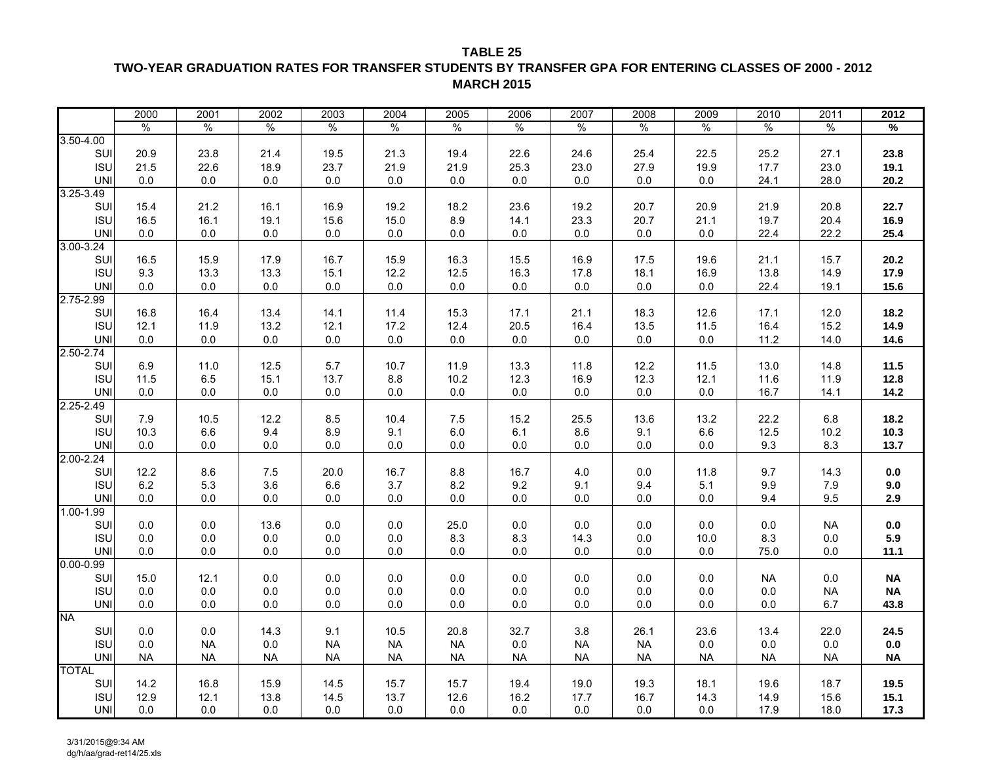## **TWO-YEAR GRADUATION RATES FOR TRANSFER STUDENTS BY TRANSFER GPA FOR ENTERING CLASSES OF 2000 - 2012 MARCH 2015**

|                             | 2000        | 2001          | 2002          | 2003       | 2004          | 2005          | 2006        | 2007      | 2008        | 2009        | 2010          | 2011          | 2012         |
|-----------------------------|-------------|---------------|---------------|------------|---------------|---------------|-------------|-----------|-------------|-------------|---------------|---------------|--------------|
|                             | $\%$        | $\frac{1}{6}$ | $\frac{0}{0}$ | $\%$       | $\frac{1}{2}$ | $\frac{1}{2}$ | $\%$        | $\%$      | $\%$        | $\%$        | $\frac{0}{0}$ | $\frac{0}{0}$ | %            |
| $3.50 - 4.00$               |             |               |               |            |               |               |             |           |             |             |               |               |              |
| SUI                         | 20.9        | 23.8          | 21.4          | 19.5       | 21.3          | 19.4          | 22.6        | 24.6      | 25.4        | 22.5        | 25.2          | 27.1          | 23.8         |
| <b>ISU</b>                  | 21.5        | 22.6          | 18.9          | 23.7       | 21.9          | 21.9          | 25.3        | 23.0      | 27.9        | 19.9        | 17.7          | 23.0          | 19.1         |
| <b>UNI</b>                  | 0.0         | 0.0           | 0.0           | 0.0        | 0.0           | 0.0           | 0.0         | 0.0       | 0.0         | 0.0         | 24.1          | 28.0          | 20.2         |
| $3.25 - 3.49$               |             |               |               |            |               |               |             |           |             |             |               |               |              |
| SUI                         | 15.4        | 21.2          | 16.1          | 16.9       | 19.2          | 18.2          | 23.6        | 19.2      | 20.7        | 20.9        | 21.9          | 20.8          | 22.7         |
| <b>ISU</b>                  | 16.5        | 16.1          | 19.1          | 15.6       | 15.0          | 8.9           | 14.1        | 23.3      | 20.7        | 21.1        | 19.7          | 20.4          | 16.9         |
| <b>UNI</b>                  | 0.0         | 0.0           | 0.0           | 0.0        | 0.0           | 0.0           | 0.0         | 0.0       | 0.0         | 0.0         | 22.4          | 22.2          | 25.4         |
| $3.00 - 3.24$               |             |               |               |            |               |               |             |           |             |             |               |               |              |
| SUI                         | 16.5        | 15.9          | 17.9          | 16.7       | 15.9          | 16.3          | 15.5        | 16.9      | 17.5        | 19.6        | 21.1          | 15.7          | 20.2         |
| <b>ISU</b>                  | 9.3         | 13.3          | 13.3          | 15.1       | 12.2          | 12.5          | 16.3        | 17.8      | 18.1        | 16.9        | 13.8          | 14.9          | 17.9         |
| <b>UNI</b>                  | 0.0         | 0.0           | 0.0           | 0.0        | 0.0           | 0.0           | $0.0\,$     | 0.0       | 0.0         | $0.0\,$     | 22.4          | 19.1          | 15.6         |
| $2.75 - 2.99$               |             |               |               |            |               |               |             |           |             |             |               |               |              |
| SUI                         | 16.8        | 16.4          | 13.4          | 14.1       | 11.4          | 15.3          | 17.1        | 21.1      | 18.3        | 12.6        | 17.1          | 12.0          | 18.2         |
| <b>ISU</b>                  | 12.1        | 11.9          | 13.2          | 12.1       | 17.2          | 12.4          | 20.5        | 16.4      | 13.5        | 11.5        | 16.4          | 15.2          | 14.9         |
| <b>UNI</b>                  | 0.0         | 0.0           | $0.0\,$       | $0.0\,$    | 0.0           | $0.0\,$       | $0.0\,$     | 0.0       | 0.0         | 0.0         | 11.2          | 14.0          | 14.6         |
| $2.50 - 2.74$               |             |               |               |            |               |               |             |           |             |             |               |               |              |
| SUI                         | 6.9         | 11.0          | 12.5          | 5.7        | 10.7          | 11.9          | 13.3        | 11.8      | 12.2        | 11.5        | 13.0          | 14.8          | 11.5         |
| <b>ISU</b>                  | 11.5        | 6.5           | 15.1          | 13.7       | 8.8           | 10.2          | 12.3        | 16.9      | 12.3        | 12.1        | 11.6          | 11.9          | 12.8         |
| <b>UNI</b><br>2.25-2.49     | 0.0         | 0.0           | 0.0           | 0.0        | 0.0           | 0.0           | 0.0         | 0.0       | 0.0         | 0.0         | 16.7          | 14.1          | 14.2         |
|                             |             |               |               |            |               |               |             |           |             |             |               |               |              |
| SUI<br><b>ISU</b>           | 7.9<br>10.3 | 10.5<br>6.6   | 12.2<br>9.4   | 8.5<br>8.9 | 10.4<br>9.1   | 7.5<br>6.0    | 15.2<br>6.1 | 25.5      | 13.6<br>9.1 | 13.2<br>6.6 | 22.2<br>12.5  | 6.8<br>10.2   | 18.2<br>10.3 |
|                             |             |               |               |            |               |               |             | 8.6       |             |             | 9.3           |               |              |
| <b>UNI</b><br>$2.00 - 2.24$ | 0.0         | 0.0           | 0.0           | 0.0        | 0.0           | 0.0           | 0.0         | 0.0       | 0.0         | 0.0         |               | 8.3           | 13.7         |
| SUI                         | 12.2        | 8.6           | 7.5           | 20.0       | 16.7          | 8.8           | 16.7        | 4.0       | 0.0         | 11.8        | 9.7           | 14.3          | $0.0\,$      |
| <b>ISU</b>                  | $6.2\,$     | 5.3           | 3.6           | $6.6\,$    | 3.7           | 8.2           | 9.2         | 9.1       | 9.4         | 5.1         | 9.9           | 7.9           | 9.0          |
| <b>UNI</b>                  | 0.0         | 0.0           | $0.0\,$       | 0.0        | 0.0           | 0.0           | $0.0\,$     | 0.0       | 0.0         | $0.0\,$     | 9.4           | 9.5           | 2.9          |
| $1.00 - 1.99$               |             |               |               |            |               |               |             |           |             |             |               |               |              |
| SUI                         | 0.0         | 0.0           | 13.6          | 0.0        | 0.0           | 25.0          | 0.0         | 0.0       | 0.0         | 0.0         | 0.0           | <b>NA</b>     | $0.0\,$      |
| <b>ISU</b>                  | 0.0         | 0.0           | 0.0           | 0.0        | 0.0           | 8.3           | 8.3         | 14.3      | 0.0         | 10.0        | 8.3           | 0.0           | 5.9          |
| <b>UNI</b>                  | 0.0         | 0.0           | 0.0           | 0.0        | 0.0           | 0.0           | 0.0         | 0.0       | 0.0         | $0.0\,$     | 75.0          | 0.0           | 11.1         |
| $0.00 - 0.99$               |             |               |               |            |               |               |             |           |             |             |               |               |              |
| SUI                         | 15.0        | 12.1          | 0.0           | 0.0        | 0.0           | $0.0\,$       | $0.0\,$     | 0.0       | 0.0         | $0.0\,$     | NA            | 0.0           | <b>NA</b>    |
| <b>ISU</b>                  | 0.0         | 0.0           | 0.0           | 0.0        | 0.0           | 0.0           | 0.0         | 0.0       | 0.0         | 0.0         | 0.0           | NA            | <b>NA</b>    |
| <b>UNI</b>                  | 0.0         | 0.0           | 0.0           | 0.0        | 0.0           | 0.0           | 0.0         | 0.0       | 0.0         | 0.0         | 0.0           | 6.7           | 43.8         |
| <b>NA</b>                   |             |               |               |            |               |               |             |           |             |             |               |               |              |
| SUI                         | 0.0         | 0.0           | 14.3          | 9.1        | 10.5          | 20.8          | 32.7        | 3.8       | 26.1        | 23.6        | 13.4          | 22.0          | 24.5         |
| <b>ISU</b>                  | 0.0         | NA.           | 0.0           | <b>NA</b>  | <b>NA</b>     | <b>NA</b>     | 0.0         | NA        | <b>NA</b>   | 0.0         | 0.0           | 0.0           | 0.0          |
| <b>UNI</b>                  | <b>NA</b>   | <b>NA</b>     | <b>NA</b>     | <b>NA</b>  | <b>NA</b>     | <b>NA</b>     | <b>NA</b>   | <b>NA</b> | <b>NA</b>   | <b>NA</b>   | <b>NA</b>     | <b>NA</b>     | <b>NA</b>    |
| <b>TOTAL</b>                |             |               |               |            |               |               |             |           |             |             |               |               |              |
| SUI                         | 14.2        | 16.8          | 15.9          | 14.5       | 15.7          | 15.7          | 19.4        | 19.0      | 19.3        | 18.1        | 19.6          | 18.7          | 19.5         |
| <b>ISU</b>                  | 12.9        | 12.1          | 13.8          | 14.5       | 13.7          | 12.6          | 16.2        | 17.7      | 16.7        | 14.3        | 14.9          | 15.6          | 15.1         |
| <b>UNI</b>                  | 0.0         | 0.0           | $0.0\,$       | 0.0        | 0.0           | $0.0\,$       | 0.0         | 0.0       | $0.0\,$     | 0.0         | 17.9          | 18.0          | 17.3         |

3/31/2015@9:34 AM dg/h/aa/grad-ret14/25.xls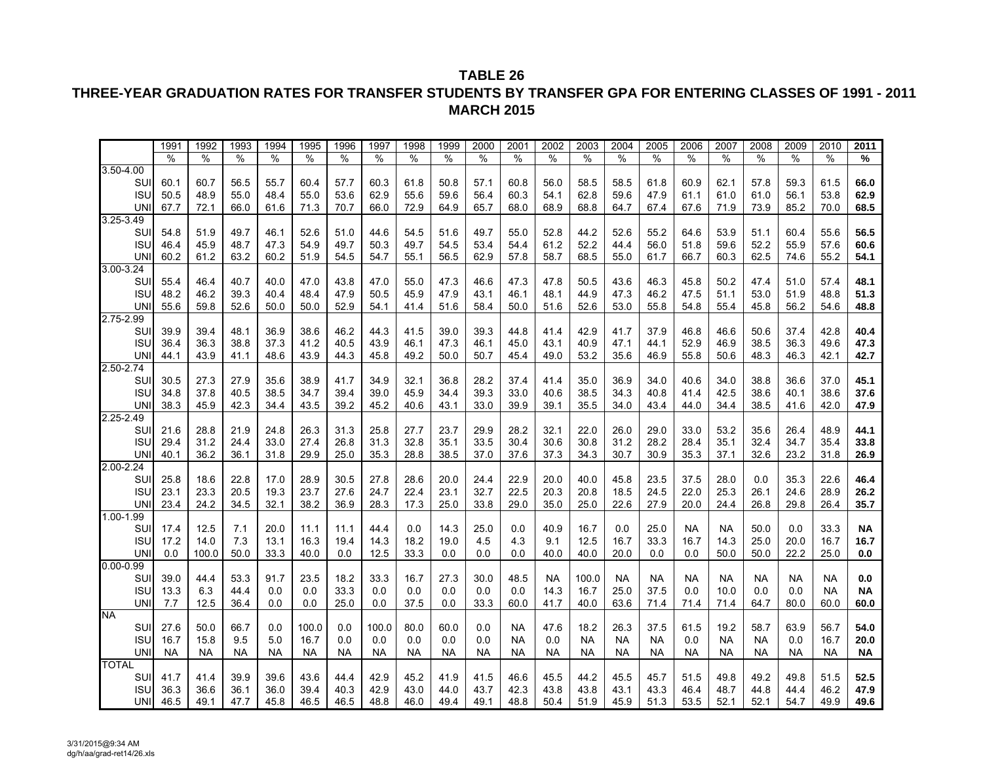## **THREE-YEAR GRADUATION RATES FOR TRANSFER STUDENTS BY TRANSFER GPA FOR ENTERING CLASSES OF 1991 - 2011 MARCH 2015**

|               | 1991      | 1992      | 1993 | 1994      | 1995  | 1996      | 1997      | 1998      | 1999      | 2000      | 2001      | 2002      | 2003      | 2004      | 2005      | 2006      | 2007      | 2008      | 2009      | 2010      | 2011      |
|---------------|-----------|-----------|------|-----------|-------|-----------|-----------|-----------|-----------|-----------|-----------|-----------|-----------|-----------|-----------|-----------|-----------|-----------|-----------|-----------|-----------|
|               | %         | $\%$      | %    | %         | %     | %         | $\%$      | $\%$      | %         | %         | $\%$      | $\%$      | %         | ℅         | %         | $\%$      | $\%$      | %         | $\%$      | %         | %         |
| $3.50 - 4.00$ |           |           |      |           |       |           |           |           |           |           |           |           |           |           |           |           |           |           |           |           |           |
| SUI           | 60.1      | 60.7      | 56.5 | 55.7      | 60.4  | 57.7      | 60.3      | 61.8      | 50.8      | 57.1      | 60.8      | 56.0      | 58.5      | 58.5      | 61.8      | 60.9      | 62.1      | 57.8      | 59.3      | 61.5      | 66.0      |
| <b>ISU</b>    | 50.5      | 48.9      | 55.0 | 48.4      | 55.0  | 53.6      | 62.9      | 55.6      | 59.6      | 56.4      | 60.3      | 54.1      | 62.8      | 59.6      | 47.9      | 61.1      | 61.0      | 61.0      | 56.1      | 53.8      | 62.9      |
| <b>UNI</b>    | 67.7      | 72.1      | 66.0 | 61.6      | 71.3  | 70.7      | 66.0      | 72.9      | 64.9      | 65.7      | 68.0      | 68.9      | 68.8      | 64.7      | 67.4      | 67.6      | 71.9      | 73.9      | 85.2      | 70.0      | 68.5      |
| 3.25-3.49     |           |           |      |           |       |           |           |           |           |           |           |           |           |           |           |           |           |           |           |           |           |
| SUI           | 54.8      | 51.9      | 49.7 | 46.1      | 52.6  | 51.0      | 44.6      | 54.5      | 51.6      | 49.7      | 55.0      | 52.8      | 44.2      | 52.6      | 55.2      | 64.6      | 53.9      | 51.1      | 60.4      | 55.6      | 56.5      |
| <b>ISU</b>    | 46.4      | 45.9      | 48.7 | 47.3      | 54.9  | 49.7      | 50.3      | 49.7      | 54.5      | 53.4      | 54.4      | 61.2      | 52.2      | 44.4      | 56.0      | 51.8      | 59.6      | 52.2      | 55.9      | 57.6      | 60.6      |
| <b>UNI</b>    | 60.2      | 61.2      | 63.2 | 60.2      | 51.9  | 54.5      | 54.7      | 55.1      | 56.5      | 62.9      | 57.8      | 58.7      | 68.5      | 55.0      | 61.7      | 66.7      | 60.3      | 62.5      | 74.6      | 55.2      | 54.1      |
| $3.00 - 3.24$ |           |           |      |           |       |           |           |           |           |           |           |           |           |           |           |           |           |           |           |           |           |
| SUI           | 55.4      | 46.4      | 40.7 | 40.0      | 47.0  | 43.8      | 47.0      | 55.0      | 47.3      | 46.6      | 47.3      | 47.8      | 50.5      | 43.6      | 46.3      | 45.8      | 50.2      | 47.4      | 51.0      | 57.4      | 48.1      |
| <b>ISU</b>    | 48.2      | 46.2      | 39.3 | 40.4      | 48.4  | 47.9      | 50.5      | 45.9      | 47.9      | 43.1      | 46.1      | 48.1      | 44.9      | 47.3      | 46.2      | 47.5      | 51.1      | 53.0      | 51.9      | 48.8      | 51.3      |
| <b>UNI</b>    | 55.6      | 59.8      | 52.6 | 50.0      | 50.0  | 52.9      | 54.1      | 41.4      | 51.6      | 58.4      | 50.0      | 51.6      | 52.6      | 53.0      | 55.8      | 54.8      | 55.4      | 45.8      | 56.2      | 54.6      | 48.8      |
| 2.75-2.99     |           |           |      |           |       |           |           |           |           |           |           |           |           |           |           |           |           |           |           |           |           |
| SUI           | 39.9      | 39.4      | 48.1 | 36.9      | 38.6  | 46.2      | 44.3      | 41.5      | 39.0      | 39.3      | 44.8      | 41.4      | 42.9      | 41.7      | 37.9      | 46.8      | 46.6      | 50.6      | 37.4      | 42.8      | 40.4      |
| <b>ISU</b>    | 36.4      | 36.3      | 38.8 | 37.3      | 41.2  | 40.5      | 43.9      | 46.1      | 47.3      | 46.1      | 45.0      | 43.1      | 40.9      | 47.1      | 44.1      | 52.9      | 46.9      | 38.5      | 36.3      | 49.6      | 47.3      |
| UNI           | 44.1      | 43.9      | 41.1 | 48.6      | 43.9  | 44.3      | 45.8      | 49.2      | 50.0      | 50.7      | 45.4      | 49.0      | 53.2      | 35.6      | 46.9      | 55.8      | 50.6      | 48.3      | 46.3      | 42.1      | 42.7      |
| 2.50-2.74     |           |           |      |           |       |           |           |           |           |           |           |           |           |           |           |           |           |           |           |           |           |
| SUI           | 30.5      | 27.3      | 27.9 | 35.6      | 38.9  | 41.7      | 34.9      | 32.1      | 36.8      | 28.2      | 37.4      | 41.4      | 35.0      | 36.9      | 34.0      | 40.6      | 34.0      | 38.8      | 36.6      | 37.0      | 45.1      |
| <b>ISU</b>    | 34.8      | 37.8      | 40.5 | 38.5      | 34.7  | 39.4      | 39.0      | 45.9      | 34.4      | 39.3      | 33.0      | 40.6      | 38.5      | 34.3      | 40.8      | 41.4      | 42.5      | 38.6      | 40.1      | 38.6      | 37.6      |
| <b>UNI</b>    | 38.3      | 45.9      | 42.3 | 34.4      | 43.5  | 39.2      | 45.2      | 40.6      | 43.1      | 33.0      | 39.9      | 39.1      | 35.5      | 34.0      | 43.4      | 44.0      | 34.4      | 38.5      | 41.6      | 42.0      | 47.9      |
| $2.25 - 2.49$ |           |           |      |           |       |           |           |           |           |           |           |           |           |           |           |           |           |           |           |           |           |
| SUI           | 21.6      | 28.8      | 21.9 | 24.8      | 26.3  | 31.3      | 25.8      | 27.7      | 23.7      | 29.9      | 28.2      | 32.1      | 22.0      | 26.0      | 29.0      | 33.0      | 53.2      | 35.6      | 26.4      | 48.9      | 44.1      |
| <b>ISU</b>    | 29.4      | 31.2      | 24.4 | 33.0      | 27.4  | 26.8      | 31.3      | 32.8      | 35.1      | 33.5      | 30.4      | 30.6      | 30.8      | 31.2      | 28.2      | 28.4      | 35.1      | 32.4      | 34.7      | 35.4      | 33.8      |
| UNI           | 40.1      | 36.2      | 36.1 | 31.8      | 29.9  | 25.0      | 35.3      | 28.8      | 38.5      | 37.0      | 37.6      | 37.3      | 34.3      | 30.7      | 30.9      | 35.3      | 37.1      | 32.6      | 23.2      | 31.8      | 26.9      |
| $2.00 - 2.24$ |           |           |      |           |       |           |           |           |           |           |           |           |           |           |           |           |           |           |           |           |           |
| SUI           | 25.8      | 18.6      | 22.8 | 17.0      | 28.9  | 30.5      | 27.8      | 28.6      | 20.0      | 24.4      | 22.9      | 20.0      | 40.0      | 45.8      | 23.5      | 37.5      | 28.0      | 0.0       | 35.3      | 22.6      | 46.4      |
| <b>ISU</b>    | 23.1      | 23.3      | 20.5 | 19.3      | 23.7  | 27.6      | 24.7      | 22.4      | 23.1      | 32.7      | 22.5      | 20.3      | 20.8      | 18.5      | 24.5      | 22.0      | 25.3      | 26.1      | 24.6      | 28.9      | 26.2      |
| <b>UNI</b>    | 23.4      | 24.2      | 34.5 | 32.1      | 38.2  | 36.9      | 28.3      | 17.3      | 25.0      | 33.8      | 29.0      | 35.0      | 25.0      | 22.6      | 27.9      | 20.0      | 24.4      | 26.8      | 29.8      | 26.4      | 35.7      |
| 1.00-1.99     |           |           |      |           |       |           |           |           |           |           |           |           |           |           |           |           |           |           |           |           |           |
| SUI           | 17.4      | 12.5      | 7.1  | 20.0      | 11.1  | 11.1      | 44.4      | 0.0       | 14.3      | 25.0      | 0.0       | 40.9      | 16.7      | 0.0       | 25.0      | <b>NA</b> | <b>NA</b> | 50.0      | 0.0       | 33.3      | <b>NA</b> |
| <b>ISL</b>    | 17.2      | 14.0      | 7.3  | 13.1      | 16.3  | 19.4      | 14.3      | 18.2      | 19.0      | 4.5       | 4.3       | 9.1       | 12.5      | 16.7      | 33.3      | 16.7      | 14.3      | 25.0      | 20.0      | 16.7      | 16.7      |
| UNI           | 0.0       | 100.0     | 50.0 | 33.3      | 40.0  | 0.0       | 12.5      | 33.3      | 0.0       | 0.0       | 0.0       | 40.0      | 40.0      | 20.0      | 0.0       | 0.0       | 50.0      | 50.0      | 22.2      | 25.0      | 0.0       |
| $0.00 - 0.99$ |           |           |      |           |       |           |           |           |           |           |           |           |           |           |           |           |           |           |           |           |           |
| SUI           | 39.0      | 44.4      | 53.3 | 91.7      | 23.5  | 18.2      | 33.3      | 16.7      | 27.3      | 30.0      | 48.5      | <b>NA</b> | 100.0     | <b>NA</b> | <b>NA</b> | <b>NA</b> | <b>NA</b> | <b>NA</b> | <b>NA</b> | <b>NA</b> | 0.0       |
| <b>ISU</b>    | 13.3      | 6.3       | 44.4 | 0.0       | 0.0   | 33.3      | 0.0       | 0.0       | 0.0       | 0.0       | 0.0       | 14.3      | 16.7      | 25.0      | 37.5      | 0.0       | 10.0      | 0.0       | 0.0       | <b>NA</b> | <b>NA</b> |
| <b>UNI</b>    | 7.7       | 12.5      | 36.4 | 0.0       | 0.0   | 25.0      | 0.0       | 37.5      | 0.0       | 33.3      | 60.0      | 41.7      | 40.0      | 63.6      | 71.4      | 71.4      | 71.4      | 64.7      | 80.0      | 60.0      | 60.0      |
| <b>NA</b>     |           |           |      |           |       |           |           |           |           |           |           |           |           |           |           |           |           |           |           |           |           |
| SUI           | 27.6      | 50.0      | 66.7 | 0.0       | 100.0 | 0.0       | 100.0     | 80.0      | 60.0      | 0.0       | <b>NA</b> | 47.6      | 18.2      | 26.3      | 37.5      | 61.5      | 19.2      | 58.7      | 63.9      | 56.7      | 54.0      |
| <b>ISU</b>    | 16.7      | 15.8      | 9.5  | 5.0       | 16.7  | 0.0       | 0.0       | 0.0       | 0.0       | 0.0       | NA        | 0.0       | <b>NA</b> | <b>NA</b> | <b>NA</b> | 0.0       | <b>NA</b> | <b>NA</b> | 0.0       | 16.7      | 20.0      |
| <b>UNI</b>    | <b>NA</b> | <b>NA</b> | NA   | <b>NA</b> | NA.   | <b>NA</b> | <b>NA</b> | <b>NA</b> | <b>NA</b> | <b>NA</b> | NA        | <b>NA</b> | <b>NA</b> | <b>NA</b> | NA        | <b>NA</b> | <b>NA</b> | ΝA        | <b>NA</b> | <b>NA</b> | <b>NA</b> |
| <b>TOTAL</b>  |           |           |      |           |       |           |           |           |           |           |           |           |           |           |           |           |           |           |           |           |           |
| SUI           | 41.7      | 41.4      | 39.9 | 39.6      | 43.6  | 44.4      | 42.9      | 45.2      | 41.9      | 41.5      | 46.6      | 45.5      | 44.2      | 45.5      | 45.7      | 51.5      | 49.8      | 49.2      | 49.8      | 51.5      | 52.5      |
| <b>ISU</b>    | 36.3      | 36.6      | 36.1 | 36.0      | 39.4  | 40.3      | 42.9      | 43.0      | 44.0      | 43.7      | 42.3      | 43.8      | 43.8      | 43.1      | 43.3      | 46.4      | 48.7      | 44.8      | 44.4      | 46.2      | 47.9      |
| <b>UNI</b>    | 46.5      | 49.1      | 47.7 | 45.8      | 46.5  | 46.5      | 48.8      | 46.0      | 49.4      | 49.1      | 48.8      | 50.4      | 51.9      | 45.9      | 51.3      | 53.5      | 52.1      | 52.1      | 54.7      | 49.9      | 49.6      |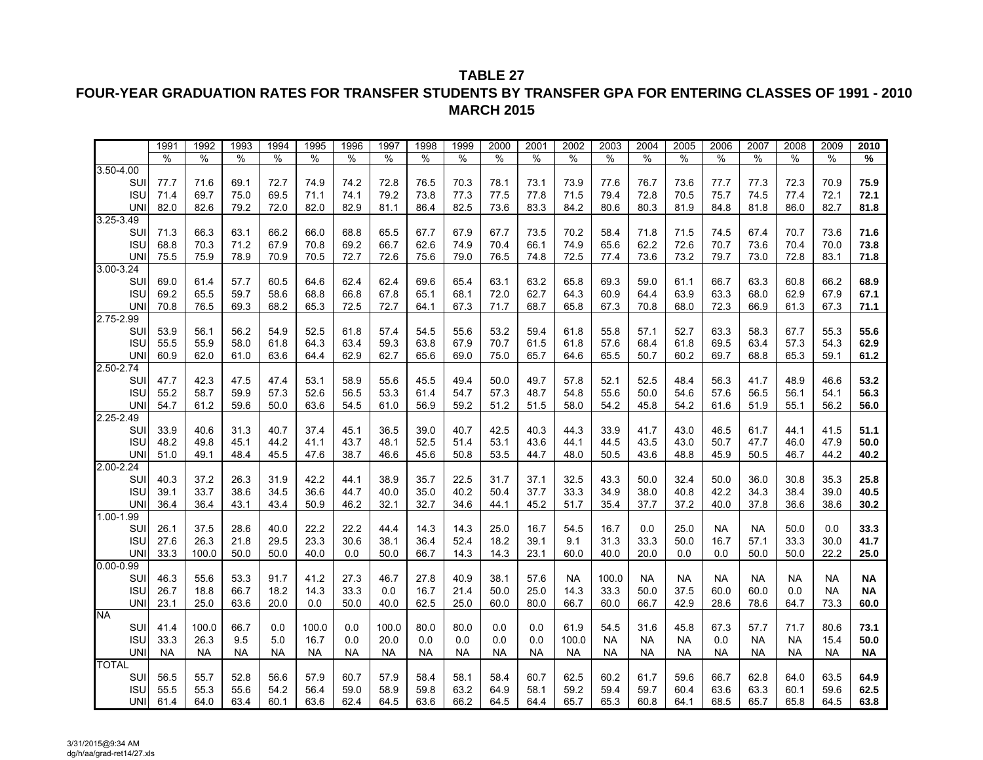## **FOUR-YEAR GRADUATION RATES FOR TRANSFER STUDENTS BY TRANSFER GPA FOR ENTERING CLASSES OF 1991 - 2010 MARCH 2015**

|               | 1991      | 1992          | 1993      | 1994      | 1995      | 1996          | 1997      | 1998      | 1999      | 2000      | 2001      | 2002      | 2003          | 2004      | 2005      | 2006      | 2007      | 2008      | 2009          | 2010      |
|---------------|-----------|---------------|-----------|-----------|-----------|---------------|-----------|-----------|-----------|-----------|-----------|-----------|---------------|-----------|-----------|-----------|-----------|-----------|---------------|-----------|
|               | $\%$      | $\frac{0}{0}$ | $\%$      | %         | %         | $\frac{0}{0}$ | %         | %         | $\%$      | $\%$      | %         | %         | $\frac{0}{0}$ | $\%$      | $\%$      | $\%$      | $\%$      | $\%$      | $\frac{0}{0}$ | %         |
| $3.50 - 4.00$ |           |               |           |           |           |               |           |           |           |           |           |           |               |           |           |           |           |           |               |           |
| SUI           | 77.7      | 71.6          | 69.1      | 72.7      | 74.9      | 74.2          | 72.8      | 76.5      | 70.3      | 78.1      | 73.1      | 73.9      | 77.6          | 76.7      | 73.6      | 77.7      | 77.3      | 72.3      | 70.9          | 75.9      |
| <b>ISU</b>    | 71.4      | 69.7          | 75.0      | 69.5      | 71.1      | 74.1          | 79.2      | 73.8      | 77.3      | 77.5      | 77.8      | 71.5      | 79.4          | 72.8      | 70.5      | 75.7      | 74.5      | 77.4      | 72.1          | 72.1      |
| <b>UNI</b>    | 82.0      | 82.6          | 79.2      | 72.0      | 82.0      | 82.9          | 81.1      | 86.4      | 82.5      | 73.6      | 83.3      | 84.2      | 80.6          | 80.3      | 81.9      | 84.8      | 81.8      | 86.0      | 82.7          | 81.8      |
| $3.25 - 3.49$ |           |               |           |           |           |               |           |           |           |           |           |           |               |           |           |           |           |           |               |           |
| SUI           | 71.3      | 66.3          | 63.1      | 66.2      | 66.0      | 68.8          | 65.5      | 67.7      | 67.9      | 67.7      | 73.5      | 70.2      | 58.4          | 71.8      | 71.5      | 74.5      | 67.4      | 70.7      | 73.6          | 71.6      |
| <b>ISU</b>    | 68.8      | 70.3          | 71.2      | 67.9      | 70.8      | 69.2          | 66.7      | 62.6      | 74.9      | 70.4      | 66.1      | 74.9      | 65.6          | 62.2      | 72.6      | 70.7      | 73.6      | 70.4      | 70.0          | 73.8      |
| <b>UNI</b>    | 75.5      | 75.9          | 78.9      | 70.9      | 70.5      | 72.7          | 72.6      | 75.6      | 79.0      | 76.5      | 74.8      | 72.5      | 77.4          | 73.6      | 73.2      | 79.7      | 73.0      | 72.8      | 83.1          | 71.8      |
| $3.00 - 3.24$ |           |               |           |           |           |               |           |           |           |           |           |           |               |           |           |           |           |           |               |           |
| SUI           | 69.0      | 61.4          | 57.7      | 60.5      | 64.6      | 62.4          | 62.4      | 69.6      | 65.4      | 63.1      | 63.2      | 65.8      | 69.3          | 59.0      | 61.1      | 66.7      | 63.3      | 60.8      | 66.2          | 68.9      |
| <b>ISU</b>    | 69.2      | 65.5          | 59.7      | 58.6      | 68.8      | 66.8          | 67.8      | 65.1      | 68.1      | 72.0      | 62.7      | 64.3      | 60.9          | 64.4      | 63.9      | 63.3      | 68.0      | 62.9      | 67.9          | 67.1      |
| <b>UNI</b>    | 70.8      | 76.5          | 69.3      | 68.2      | 65.3      | 72.5          | 72.7      | 64.1      | 67.3      | 71.7      | 68.7      | 65.8      | 67.3          | 70.8      | 68.0      | 72.3      | 66.9      | 61.3      | 67.3          | 71.1      |
| 2.75-2.99     |           |               |           |           |           |               |           |           |           |           |           |           |               |           |           |           |           |           |               |           |
| SUI           | 53.9      | 56.1          | 56.2      | 54.9      | 52.5      | 61.8          | 57.4      | 54.5      | 55.6      | 53.2      | 59.4      | 61.8      | 55.8          | 57.1      | 52.7      | 63.3      | 58.3      | 67.7      | 55.3          | 55.6      |
| <b>ISU</b>    | 55.5      | 55.9          | 58.0      | 61.8      | 64.3      | 63.4          | 59.3      | 63.8      | 67.9      | 70.7      | 61.5      | 61.8      | 57.6          | 68.4      | 61.8      | 69.5      | 63.4      | 57.3      | 54.3          | 62.9      |
| UNI           | 60.9      | 62.0          | 61.0      | 63.6      | 64.4      | 62.9          | 62.7      | 65.6      | 69.0      | 75.0      | 65.7      | 64.6      | 65.5          | 50.7      | 60.2      | 69.7      | 68.8      | 65.3      | 59.1          | 61.2      |
| 2.50-2.74     |           |               |           |           |           |               |           |           |           |           |           |           |               |           |           |           |           |           |               |           |
| SUI           | 47.7      | 42.3          | 47.5      | 47.4      | 53.1      | 58.9          | 55.6      | 45.5      | 49.4      | 50.0      | 49.7      | 57.8      | 52.1          | 52.5      | 48.4      | 56.3      | 41.7      | 48.9      | 46.6          | 53.2      |
| <b>ISU</b>    | 55.2      | 58.7          | 59.9      | 57.3      | 52.6      | 56.5          | 53.3      | 61.4      | 54.7      | 57.3      | 48.7      | 54.8      | 55.6          | 50.0      | 54.6      | 57.6      | 56.5      | 56.1      | 54.1          | 56.3      |
| <b>UNI</b>    | 54.7      | 61.2          | 59.6      | 50.0      | 63.6      | 54.5          | 61.0      | 56.9      | 59.2      | 51.2      | 51.5      | 58.0      | 54.2          | 45.8      | 54.2      | 61.6      | 51.9      | 55.1      | 56.2          | 56.0      |
| 2.25-2.49     |           |               |           |           |           |               |           |           |           |           |           |           |               |           |           |           |           |           |               |           |
| SUI           | 33.9      | 40.6          | 31.3      | 40.7      | 37.4      | 45.1          | 36.5      | 39.0      | 40.7      | 42.5      | 40.3      | 44.3      | 33.9          | 41.7      | 43.0      | 46.5      | 61.7      | 44.1      | 41.5          | 51.1      |
| <b>ISU</b>    | 48.2      | 49.8          | 45.1      | 44.2      | 41.1      | 43.7          | 48.1      | 52.5      | 51.4      | 53.1      | 43.6      | 44.1      | 44.5          | 43.5      | 43.0      | 50.7      | 47.7      | 46.0      | 47.9          | $50.0$    |
| UNI           | 51.0      | 49.1          | 48.4      | 45.5      | 47.6      | 38.7          | 46.6      | 45.6      | 50.8      | 53.5      | 44.7      | 48.0      | 50.5          | 43.6      | 48.8      | 45.9      | 50.5      | 46.7      | 44.2          | 40.2      |
| $2.00 - 2.24$ |           |               |           |           |           |               |           |           |           |           |           |           |               |           |           |           |           |           |               |           |
| SUI           | 40.3      | 37.2          | 26.3      | 31.9      | 42.2      | 44.1          | 38.9      | 35.7      | 22.5      | 31.7      | 37.1      | 32.5      | 43.3          | 50.0      | 32.4      | 50.0      | 36.0      | 30.8      | 35.3          | 25.8      |
| <b>ISU</b>    | 39.1      | 33.7          | 38.6      | 34.5      | 36.6      | 44.7          | 40.0      | 35.0      | 40.2      | 50.4      | 37.7      | 33.3      | 34.9          | 38.0      | 40.8      | 42.2      | 34.3      | 38.4      | 39.0          | 40.5      |
| <b>UNI</b>    | 36.4      | 36.4          | 43.1      | 43.4      | 50.9      | 46.2          | 32.1      | 32.7      | 34.6      | 44.1      | 45.2      | 51.7      | 35.4          | 37.7      | 37.2      | 40.0      | 37.8      | 36.6      | 38.6          | 30.2      |
| $1.00 - 1.99$ |           |               |           |           |           |               |           |           |           |           |           |           |               |           |           |           |           |           |               |           |
| SUI           | 26.1      | 37.5          | 28.6      | 40.0      | 22.2      | 22.2          | 44.4      | 14.3      | 14.3      | 25.0      | 16.7      | 54.5      | 16.7          | 0.0       | 25.0      | <b>NA</b> | <b>NA</b> | 50.0      | 0.0           | 33.3      |
| <b>ISU</b>    | 27.6      | 26.3          | 21.8      | 29.5      | 23.3      | 30.6          | 38.1      | 36.4      | 52.4      | 18.2      | 39.1      | 9.1       | 31.3          | 33.3      | 50.0      | 16.7      | 57.1      | 33.3      | 30.0          | 41.7      |
| UNI           | 33.3      | 100.0         | 50.0      | 50.0      | 40.0      | 0.0           | 50.0      | 66.7      | 14.3      | 14.3      | 23.1      | 60.0      | 40.0          | 20.0      | 0.0       | 0.0       | 50.0      | 50.0      | 22.2          | $25.0\,$  |
| $0.00 - 0.99$ |           |               |           |           |           |               |           |           |           |           |           |           |               |           |           |           |           |           |               |           |
| SUI           | 46.3      | 55.6          | 53.3      | 91.7      | 41.2      | 27.3          | 46.7      | 27.8      | 40.9      | 38.1      | 57.6      | <b>NA</b> | 100.0         | <b>NA</b> | <b>NA</b> | <b>NA</b> | <b>NA</b> | <b>NA</b> | <b>NA</b>     | $\sf NA$  |
| <b>ISU</b>    | 26.7      | 18.8          | 66.7      | 18.2      | 14.3      | 33.3          | 0.0       | 16.7      | 21.4      | 50.0      | 25.0      | 14.3      | 33.3          | 50.0      | 37.5      | 60.0      | 60.0      | 0.0       | <b>NA</b>     | <b>NA</b> |
| <b>UNI</b>    | 23.1      | 25.0          | 63.6      | 20.0      | 0.0       | 50.0          | 40.0      | 62.5      | 25.0      | 60.0      | 80.0      | 66.7      | 60.0          | 66.7      | 42.9      | 28.6      | 78.6      | 64.7      | 73.3          | 60.0      |
| <b>NA</b>     |           |               |           |           |           |               |           |           |           |           |           |           |               |           |           |           |           |           |               |           |
| SUI           | 41.4      | 100.0         | 66.7      | 0.0       | 100.0     | 0.0           | 100.0     | 80.0      | 80.0      | 0.0       | 0.0       | 61.9      | 54.5          | 31.6      | 45.8      | 67.3      | 57.7      | 71.7      | 80.6          | 73.1      |
| <b>ISU</b>    | 33.3      | 26.3          | 9.5       | 5.0       | 16.7      | 0.0           | 20.0      | 0.0       | 0.0       | 0.0       | 0.0       | 100.0     | <b>NA</b>     | <b>NA</b> | <b>NA</b> | 0.0       | <b>NA</b> | <b>NA</b> | 15.4          | 50.0      |
| <b>UNI</b>    | <b>NA</b> | <b>NA</b>     | <b>NA</b> | <b>NA</b> | <b>NA</b> | <b>NA</b>     | <b>NA</b> | <b>NA</b> | <b>NA</b> | <b>NA</b> | <b>NA</b> | <b>NA</b> | <b>NA</b>     | <b>NA</b> | <b>NA</b> | <b>NA</b> | <b>NA</b> | <b>NA</b> | <b>NA</b>     | <b>NA</b> |
| <b>TOTAL</b>  |           |               |           |           |           |               |           |           |           |           |           |           |               |           |           |           |           |           |               |           |
| SUI           | 56.5      | 55.7          | 52.8      | 56.6      | 57.9      | 60.7          | 57.9      | 58.4      | 58.1      | 58.4      | 60.7      | 62.5      | 60.2          | 61.7      | 59.6      | 66.7      | 62.8      | 64.0      | 63.5          | 64.9      |
| <b>ISU</b>    | 55.5      | 55.3          | 55.6      | 54.2      | 56.4      | 59.0          | 58.9      | 59.8      | 63.2      | 64.9      | 58.1      | 59.2      | 59.4          | 59.7      | 60.4      | 63.6      | 63.3      | 60.1      | 59.6          | 62.5      |
| <b>UNI</b>    | 61.4      | 64.0          | 63.4      | 60.1      | 63.6      | 62.4          | 64.5      | 63.6      | 66.2      | 64.5      | 64.4      | 65.7      | 65.3          | 60.8      | 64.1      | 68.5      | 65.7      | 65.8      | 64.5          | 63.8      |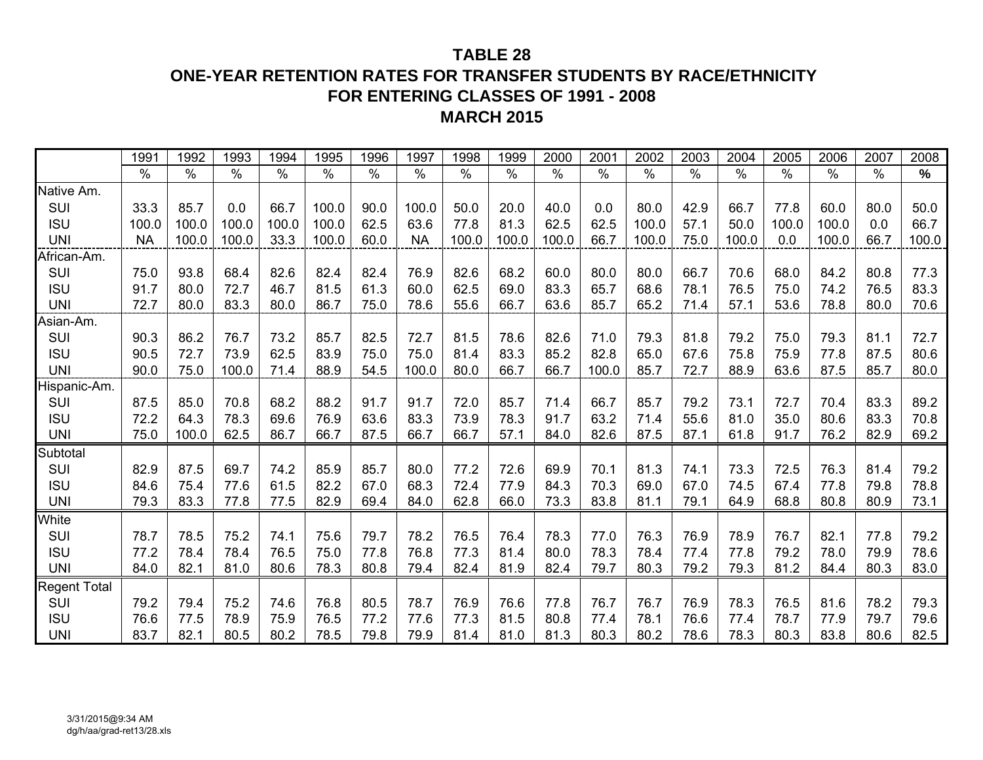# **ONE-YEAR RETENTION RATES FOR TRANSFER STUDENTS BY RACE/ETHNICITY FOR ENTERING CLASSES OF 1991 - 2008MARCH 2015**

|                     | 1991      | 1992          | 1993  | 1994          | 1995          | 1996 | 1997      | 1998  | 1999  | 2000  | 2001  | 2002          | 2003                     | 2004          | 2005  | 2006  | 2007 | 2008          |
|---------------------|-----------|---------------|-------|---------------|---------------|------|-----------|-------|-------|-------|-------|---------------|--------------------------|---------------|-------|-------|------|---------------|
|                     | $\%$      | $\frac{0}{0}$ | $\%$  | $\frac{1}{2}$ | $\frac{0}{0}$ | $\%$ | $\%$      | $\%$  | $\%$  | $\%$  | $\%$  | $\frac{0}{0}$ | $\overline{\frac{9}{6}}$ | $\frac{0}{0}$ | $\%$  | $\%$  | $\%$ | $\frac{0}{0}$ |
| Native Am.          |           |               |       |               |               |      |           |       |       |       |       |               |                          |               |       |       |      |               |
| SUI                 | 33.3      | 85.7          | 0.0   | 66.7          | 100.0         | 90.0 | 100.0     | 50.0  | 20.0  | 40.0  | 0.0   | 80.0          | 42.9                     | 66.7          | 77.8  | 60.0  | 80.0 | 50.0          |
| <b>ISU</b>          | 100.0     | 100.0         | 100.0 | 100.0         | 100.0         | 62.5 | 63.6      | 77.8  | 81.3  | 62.5  | 62.5  | 100.0         | 57.1                     | 50.0          | 100.0 | 100.0 | 0.0  | 66.7          |
| <b>UNI</b>          | <b>NA</b> | 100.0         | 100.0 | 33.3          | 100.0         | 60.0 | <b>NA</b> | 100.0 | 100.0 | 100.0 | 66.7  | 100.0         | 75.0                     | 100.0         | 0.0   | 100.0 | 66.7 | 100.0         |
| African-Am.         |           |               |       |               |               |      |           |       |       |       |       |               |                          |               |       |       |      |               |
| SUI                 | 75.0      | 93.8          | 68.4  | 82.6          | 82.4          | 82.4 | 76.9      | 82.6  | 68.2  | 60.0  | 80.0  | 80.0          | 66.7                     | 70.6          | 68.0  | 84.2  | 80.8 | 77.3          |
| <b>ISU</b>          | 91.7      | 80.0          | 72.7  | 46.7          | 81.5          | 61.3 | 60.0      | 62.5  | 69.0  | 83.3  | 65.7  | 68.6          | 78.1                     | 76.5          | 75.0  | 74.2  | 76.5 | 83.3          |
| <b>UNI</b>          | 72.7      | 80.0          | 83.3  | 80.0          | 86.7          | 75.0 | 78.6      | 55.6  | 66.7  | 63.6  | 85.7  | 65.2          | 71.4                     | 57.1          | 53.6  | 78.8  | 80.0 | 70.6          |
| Asian-Am.           |           |               |       |               |               |      |           |       |       |       |       |               |                          |               |       |       |      |               |
| SUI                 | 90.3      | 86.2          | 76.7  | 73.2          | 85.7          | 82.5 | 72.7      | 81.5  | 78.6  | 82.6  | 71.0  | 79.3          | 81.8                     | 79.2          | 75.0  | 79.3  | 81.1 | 72.7          |
| <b>ISU</b>          | 90.5      | 72.7          | 73.9  | 62.5          | 83.9          | 75.0 | 75.0      | 81.4  | 83.3  | 85.2  | 82.8  | 65.0          | 67.6                     | 75.8          | 75.9  | 77.8  | 87.5 | 80.6          |
| <b>UNI</b>          | 90.0      | 75.0          | 100.0 | 71.4          | 88.9          | 54.5 | 100.0     | 80.0  | 66.7  | 66.7  | 100.0 | 85.7          | 72.7                     | 88.9          | 63.6  | 87.5  | 85.7 | 80.0          |
| Hispanic-Am.        |           |               |       |               |               |      |           |       |       |       |       |               |                          |               |       |       |      |               |
| SUI                 | 87.5      | 85.0          | 70.8  | 68.2          | 88.2          | 91.7 | 91.7      | 72.0  | 85.7  | 71.4  | 66.7  | 85.7          | 79.2                     | 73.1          | 72.7  | 70.4  | 83.3 | 89.2          |
| <b>ISU</b>          | 72.2      | 64.3          | 78.3  | 69.6          | 76.9          | 63.6 | 83.3      | 73.9  | 78.3  | 91.7  | 63.2  | 71.4          | 55.6                     | 81.0          | 35.0  | 80.6  | 83.3 | 70.8          |
| <b>UNI</b>          | 75.0      | 100.0         | 62.5  | 86.7          | 66.7          | 87.5 | 66.7      | 66.7  | 57.1  | 84.0  | 82.6  | 87.5          | 87.1                     | 61.8          | 91.7  | 76.2  | 82.9 | 69.2          |
| Subtotal            |           |               |       |               |               |      |           |       |       |       |       |               |                          |               |       |       |      |               |
| SUI                 | 82.9      | 87.5          | 69.7  | 74.2          | 85.9          | 85.7 | 80.0      | 77.2  | 72.6  | 69.9  | 70.1  | 81.3          | 74.1                     | 73.3          | 72.5  | 76.3  | 81.4 | 79.2          |
| <b>ISU</b>          | 84.6      | 75.4          | 77.6  | 61.5          | 82.2          | 67.0 | 68.3      | 72.4  | 77.9  | 84.3  | 70.3  | 69.0          | 67.0                     | 74.5          | 67.4  | 77.8  | 79.8 | 78.8          |
| <b>UNI</b>          | 79.3      | 83.3          | 77.8  | 77.5          | 82.9          | 69.4 | 84.0      | 62.8  | 66.0  | 73.3  | 83.8  | 81.1          | 79.1                     | 64.9          | 68.8  | 80.8  | 80.9 | 73.1          |
| White               |           |               |       |               |               |      |           |       |       |       |       |               |                          |               |       |       |      |               |
| SUI                 | 78.7      | 78.5          | 75.2  | 74.1          | 75.6          | 79.7 | 78.2      | 76.5  | 76.4  | 78.3  | 77.0  | 76.3          | 76.9                     | 78.9          | 76.7  | 82.1  | 77.8 | 79.2          |
| <b>ISU</b>          | 77.2      | 78.4          | 78.4  | 76.5          | 75.0          | 77.8 | 76.8      | 77.3  | 81.4  | 80.0  | 78.3  | 78.4          | 77.4                     | 77.8          | 79.2  | 78.0  | 79.9 | 78.6          |
| <b>UNI</b>          | 84.0      | 82.1          | 81.0  | 80.6          | 78.3          | 80.8 | 79.4      | 82.4  | 81.9  | 82.4  | 79.7  | 80.3          | 79.2                     | 79.3          | 81.2  | 84.4  | 80.3 | 83.0          |
| <b>Regent Total</b> |           |               |       |               |               |      |           |       |       |       |       |               |                          |               |       |       |      |               |
| SUI                 | 79.2      | 79.4          | 75.2  | 74.6          | 76.8          | 80.5 | 78.7      | 76.9  | 76.6  | 77.8  | 76.7  | 76.7          | 76.9                     | 78.3          | 76.5  | 81.6  | 78.2 | 79.3          |
| <b>ISU</b>          | 76.6      | 77.5          | 78.9  | 75.9          | 76.5          | 77.2 | 77.6      | 77.3  | 81.5  | 80.8  | 77.4  | 78.1          | 76.6                     | 77.4          | 78.7  | 77.9  | 79.7 | 79.6          |
| <b>UNI</b>          | 83.7      | 82.1          | 80.5  | 80.2          | 78.5          | 79.8 | 79.9      | 81.4  | 81.0  | 81.3  | 80.3  | 80.2          | 78.6                     | 78.3          | 80.3  | 83.8  | 80.6 | 82.5          |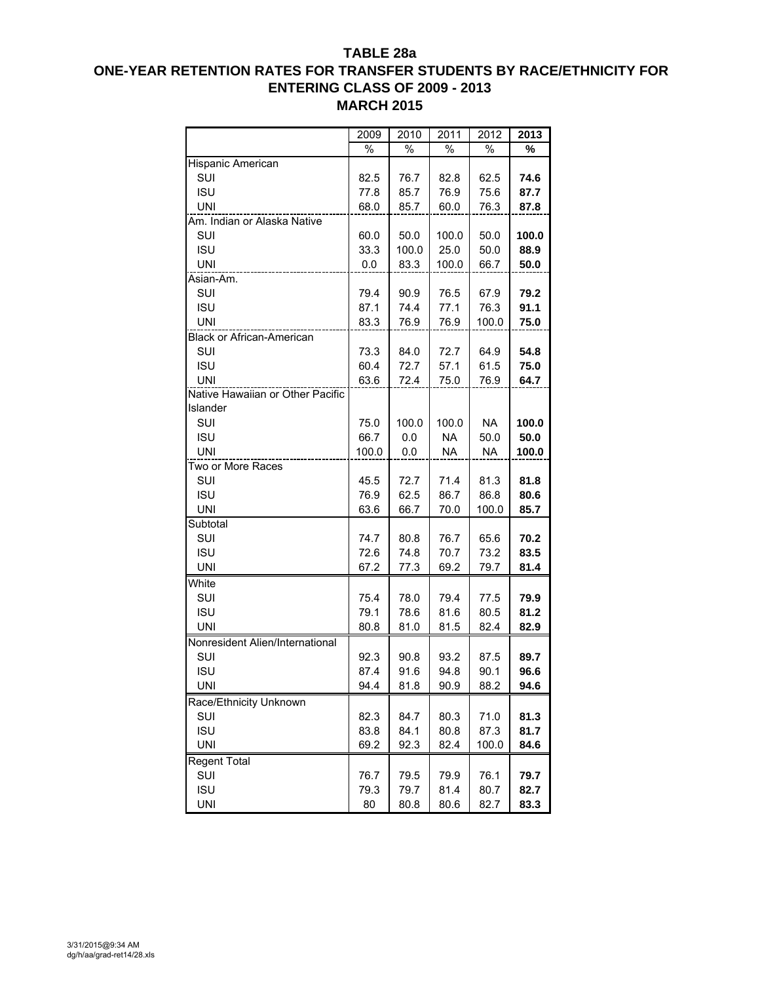## **TABLE 28a**

## **ONE-YEAR RETENTION RATES FOR TRANSFER STUDENTS BY RACE/ETHNICITY FOR ENTERING CLASS OF 2009 - 2013 MARCH 2015**

|                                  | 2009  | 2010  | 2011  | 2012      | 2013  |
|----------------------------------|-------|-------|-------|-----------|-------|
|                                  | %     | %     | %     | %         | %     |
| Hispanic American                |       |       |       |           |       |
| SUI                              | 82.5  | 76.7  | 82.8  | 62.5      | 74.6  |
| <b>ISU</b>                       | 77.8  | 85.7  | 76.9  | 75.6      | 87.7  |
| <b>UNI</b>                       | 68.0  | 85.7  | 60.0  | 76.3      | 87.8  |
| Am. Indian or Alaska Native      |       |       |       |           |       |
| SUI                              | 60.0  | 50.0  | 100.0 | 50.0      | 100.0 |
| <b>ISU</b>                       | 33.3  | 100.0 | 25.0  | 50.0      | 88.9  |
| <b>UNI</b>                       | 0.0   | 83.3  | 100.0 | 66.7      | 50.0  |
| Asian-Am.                        |       |       |       |           |       |
| SUI                              | 79.4  | 90.9  | 76.5  | 67.9      | 79.2  |
| <b>ISU</b>                       | 87.1  | 74.4  | 77.1  | 76.3      | 91.1  |
| UNI                              | 83.3  | 76.9  | 76.9  | 100.0     | 75.0  |
| <b>Black or African-American</b> |       |       |       |           |       |
| SUI                              | 73.3  | 84.0  | 72.7  | 64.9      | 54.8  |
| <b>ISU</b>                       | 60.4  | 72.7  | 57.1  | 61.5      | 75.0  |
| <b>UNI</b>                       | 63.6  | 72.4  | 75.0  | 76.9      | 64.7  |
| Native Hawaiian or Other Pacific |       |       |       |           |       |
| Islander                         |       |       |       |           |       |
| SUI                              | 75.0  | 100.0 | 100.0 | <b>NA</b> | 100.0 |
| <b>ISU</b>                       | 66.7  | 0.0   | NA    | 50.0      | 50.0  |
| <b>UNI</b>                       | 100.0 | 0.0   | NA    | NA        | 100.0 |
| Two or More Races                |       |       |       |           |       |
| SUI                              | 45.5  | 72.7  | 71.4  | 81.3      | 81.8  |
| <b>ISU</b>                       | 76.9  | 62.5  | 86.7  | 86.8      | 80.6  |
| <b>UNI</b>                       | 63.6  | 66.7  | 70.0  | 100.0     | 85.7  |
| Subtotal                         |       |       |       |           |       |
| SUI                              | 74.7  | 80.8  | 76.7  | 65.6      | 70.2  |
| <b>ISU</b>                       | 72.6  | 74.8  | 70.7  | 73.2      | 83.5  |
| <b>UNI</b>                       | 67.2  | 77.3  | 69.2  | 79.7      | 81.4  |
| White                            |       |       |       |           |       |
| SUI                              | 75.4  | 78.0  | 79.4  | 77.5      | 79.9  |
| <b>ISU</b>                       | 79.1  | 78.6  | 81.6  | 80.5      | 81.2  |
| <b>UNI</b>                       | 80.8  | 81.0  | 81.5  | 82.4      | 82.9  |
| Nonresident Alien/International  |       |       |       |           |       |
| SUI                              | 92.3  | 90.8  | 93.2  | 87.5      | 89.7  |
| <b>ISU</b>                       | 87.4  | 91.6  | 94.8  | 90.1      | 96.6  |
| <b>UNI</b>                       | 94.4  | 81.8  | 90.9  | 88.2      | 94.6  |
| Race/Ethnicity Unknown           |       |       |       |           |       |
| SUI                              | 82.3  | 84.7  | 80.3  | 71.0      | 81.3  |
| <b>ISU</b>                       | 83.8  | 84.1  | 80.8  | 87.3      | 81.7  |
| <b>UNI</b>                       | 69.2  | 92.3  | 82.4  | 100.0     | 84.6  |
| <b>Regent Total</b>              |       |       |       |           |       |
| SUI                              | 76.7  | 79.5  | 79.9  | 76.1      | 79.7  |
| <b>ISU</b>                       | 79.3  | 79.7  | 81.4  | 80.7      | 82.7  |
| <b>UNI</b>                       | 80    | 80.8  | 80.6  | 82.7      | 83.3  |
|                                  |       |       |       |           |       |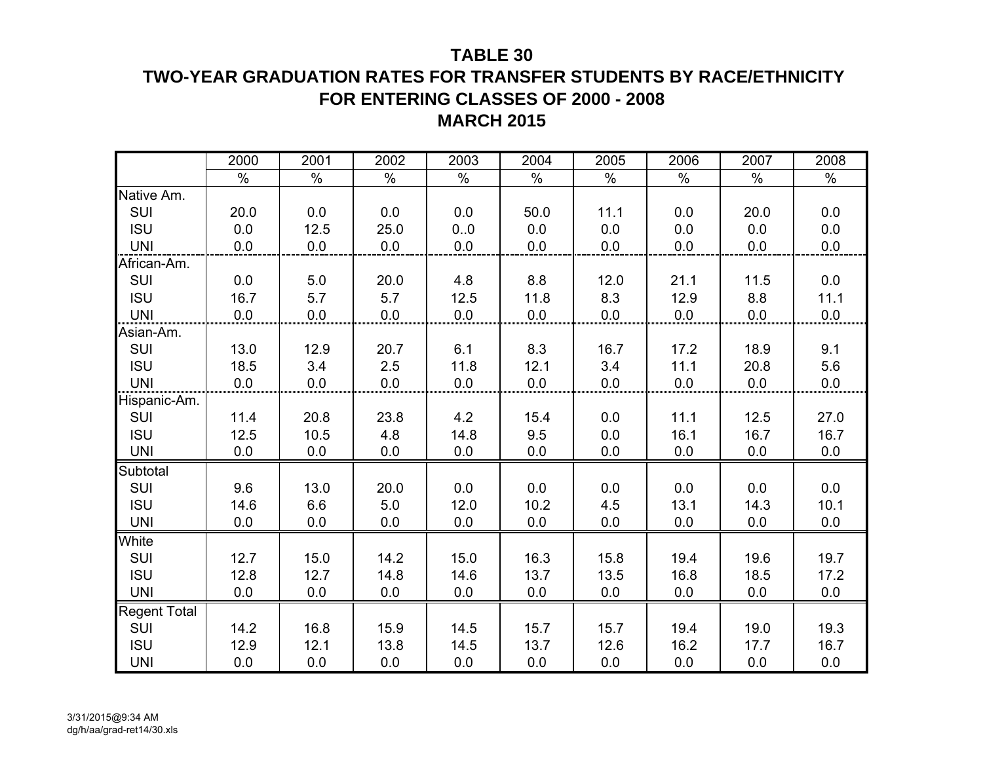# **TWO-YEAR GRADUATION RATES FOR TRANSFER STUDENTS BY RACE/ETHNICITY FOR ENTERING CLASSES OF 2000 - 2008 MARCH 2015**

|                     | 2000    | 2001 | 2002 | 2003 | 2004 | 2005 | 2006 | 2007 | 2008 |
|---------------------|---------|------|------|------|------|------|------|------|------|
|                     | $\%$    | $\%$ | $\%$ | $\%$ | $\%$ | $\%$ | $\%$ | $\%$ | $\%$ |
| Native Am.          |         |      |      |      |      |      |      |      |      |
| SUI                 | 20.0    | 0.0  | 0.0  | 0.0  | 50.0 | 11.1 | 0.0  | 20.0 | 0.0  |
| <b>ISU</b>          | 0.0     | 12.5 | 25.0 | 0.0  | 0.0  | 0.0  | 0.0  | 0.0  | 0.0  |
| <b>UNI</b>          | 0.0     | 0.0  | 0.0  | 0.0  | 0.0  | 0.0  | 0.0  | 0.0  | 0.0  |
| African-Am.         |         |      |      |      |      |      |      |      |      |
| SUI                 | $0.0\,$ | 5.0  | 20.0 | 4.8  | 8.8  | 12.0 | 21.1 | 11.5 | 0.0  |
| <b>ISU</b>          | 16.7    | 5.7  | 5.7  | 12.5 | 11.8 | 8.3  | 12.9 | 8.8  | 11.1 |
| <b>UNI</b>          | 0.0     | 0.0  | 0.0  | 0.0  | 0.0  | 0.0  | 0.0  | 0.0  | 0.0  |
| Asian-Am.           |         |      |      |      |      |      |      |      |      |
| SUI                 | 13.0    | 12.9 | 20.7 | 6.1  | 8.3  | 16.7 | 17.2 | 18.9 | 9.1  |
| <b>ISU</b>          | 18.5    | 3.4  | 2.5  | 11.8 | 12.1 | 3.4  | 11.1 | 20.8 | 5.6  |
| <b>UNI</b>          | 0.0     | 0.0  | 0.0  | 0.0  | 0.0  | 0.0  | 0.0  | 0.0  | 0.0  |
| Hispanic-Am.        |         |      |      |      |      |      |      |      |      |
| SUI                 | 11.4    | 20.8 | 23.8 | 4.2  | 15.4 | 0.0  | 11.1 | 12.5 | 27.0 |
| <b>ISU</b>          | 12.5    | 10.5 | 4.8  | 14.8 | 9.5  | 0.0  | 16.1 | 16.7 | 16.7 |
| <b>UNI</b>          | 0.0     | 0.0  | 0.0  | 0.0  | 0.0  | 0.0  | 0.0  | 0.0  | 0.0  |
| Subtotal            |         |      |      |      |      |      |      |      |      |
| SUI                 | 9.6     | 13.0 | 20.0 | 0.0  | 0.0  | 0.0  | 0.0  | 0.0  | 0.0  |
| <b>ISU</b>          | 14.6    | 6.6  | 5.0  | 12.0 | 10.2 | 4.5  | 13.1 | 14.3 | 10.1 |
| <b>UNI</b>          | 0.0     | 0.0  | 0.0  | 0.0  | 0.0  | 0.0  | 0.0  | 0.0  | 0.0  |
| White               |         |      |      |      |      |      |      |      |      |
| SUI                 | 12.7    | 15.0 | 14.2 | 15.0 | 16.3 | 15.8 | 19.4 | 19.6 | 19.7 |
| <b>ISU</b>          | 12.8    | 12.7 | 14.8 | 14.6 | 13.7 | 13.5 | 16.8 | 18.5 | 17.2 |
| <b>UNI</b>          | 0.0     | 0.0  | 0.0  | 0.0  | 0.0  | 0.0  | 0.0  | 0.0  | 0.0  |
| <b>Regent Total</b> |         |      |      |      |      |      |      |      |      |
| SUI                 | 14.2    | 16.8 | 15.9 | 14.5 | 15.7 | 15.7 | 19.4 | 19.0 | 19.3 |
| <b>ISU</b>          | 12.9    | 12.1 | 13.8 | 14.5 | 13.7 | 12.6 | 16.2 | 17.7 | 16.7 |
| <b>UNI</b>          | 0.0     | 0.0  | 0.0  | 0.0  | 0.0  | 0.0  | 0.0  | 0.0  | 0.0  |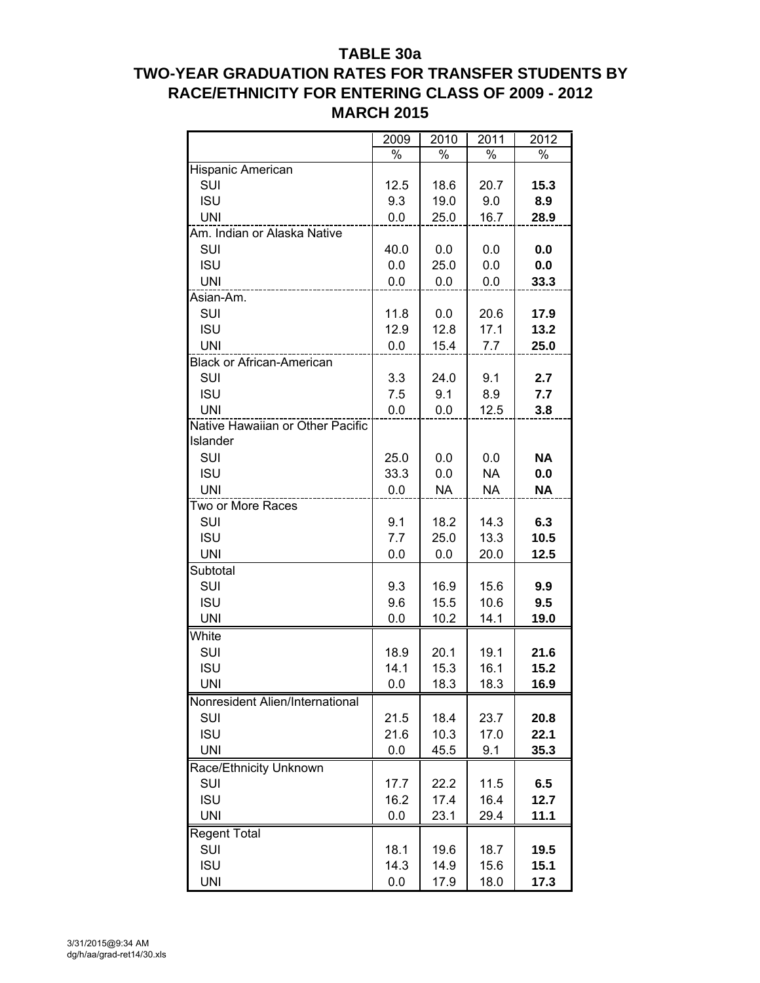## **TABLE 30a**

# **TWO-YEAR GRADUATION RATES FOR TRANSFER STUDENTS BY RACE/ETHNICITY FOR ENTERING CLASS OF 2009 - 2012 MARCH 2015**

| %<br>%<br>Hispanic American<br><b>SUI</b><br>12.5<br>20.7<br>15.3<br>18.6<br><b>ISU</b><br>9.3<br>8.9<br>19.0<br>9.0<br><b>UNI</b><br>0.0<br>25.0<br>16.7<br>28.9<br>Am. Indian or Alaska Native<br>SUI<br>40.0<br>0.0<br>0.0<br>0.0<br><b>ISU</b><br>0.0<br>25.0<br>0.0<br>0.0<br><b>UNI</b><br>0.0<br>0.0<br>0.0<br>33.3<br>Asian-Am.<br>SUI<br>11.8<br>0.0<br>20.6<br>17.9<br><b>ISU</b><br>12.9<br>12.8<br>17.1<br>13.2<br><b>UNI</b><br>0.0<br>15.4<br>7.7<br>25.0<br><b>Black or African-American</b><br>SUI<br>3.3<br>2.7<br>24.0<br>9.1<br><b>ISU</b><br>7.7<br>7.5<br>9.1<br>8.9<br><b>UNI</b><br>3.8<br>0.0<br>0.0<br>12.5<br>Native Hawaiian or Other Pacific<br>Islander<br>SUI<br><b>NA</b><br>25.0<br>0.0<br>0.0<br><b>ISU</b><br>33.3<br>0.0<br><b>NA</b><br>0.0<br><b>UNI</b><br>0.0<br><b>NA</b><br><b>NA</b><br><b>NA</b><br>Two or More Races<br>6.3<br>SUI<br>9.1<br>18.2<br>14.3<br><b>ISU</b><br>7.7<br>25.0<br>13.3<br>10.5<br><b>UNI</b><br>0.0<br>0.0<br>20.0<br>12.5<br>Subtotal<br><b>SUI</b><br>9.3<br>16.9<br>15.6<br>9.9<br><b>ISU</b><br>10.6<br>9.5<br>9.6<br>15.5<br><b>UNI</b><br>0.0<br>10.2<br>14.1<br>19.0<br>White<br>SUI<br>18.9<br>20.1<br>19.1<br>21.6<br><b>ISU</b><br>14.1<br>15.3<br>16.1<br>15.2<br>18.3<br>18.3<br>16.9<br>UNI<br>0.0<br>Nonresident Alien/International<br><b>SUI</b><br>21.5<br>18.4<br>23.7<br>20.8<br><b>ISU</b><br>21.6<br>10.3<br>17.0<br>22.1<br><b>UNI</b><br>0.0<br>45.5<br>9.1<br>35.3<br>Race/Ethnicity Unknown<br>SUI<br>6.5<br>11.5<br>17.7<br>22.2<br><b>ISU</b><br>17.4<br>16.2<br>16.4<br>12.7<br><b>UNI</b><br>0.0<br>23.1<br>29.4<br>11.1<br>Regent Total<br><b>SUI</b><br>18.1<br>18.7<br>19.5<br>19.6<br><b>ISU</b><br>14.3<br>14.9<br>15.6<br>15.1 |            | 2009 | 2010 | 2011 | 2012 |
|---------------------------------------------------------------------------------------------------------------------------------------------------------------------------------------------------------------------------------------------------------------------------------------------------------------------------------------------------------------------------------------------------------------------------------------------------------------------------------------------------------------------------------------------------------------------------------------------------------------------------------------------------------------------------------------------------------------------------------------------------------------------------------------------------------------------------------------------------------------------------------------------------------------------------------------------------------------------------------------------------------------------------------------------------------------------------------------------------------------------------------------------------------------------------------------------------------------------------------------------------------------------------------------------------------------------------------------------------------------------------------------------------------------------------------------------------------------------------------------------------------------------------------------------------------------------------------------------------------------------------------------------------------------------------------------------------------------------------------------|------------|------|------|------|------|
|                                                                                                                                                                                                                                                                                                                                                                                                                                                                                                                                                                                                                                                                                                                                                                                                                                                                                                                                                                                                                                                                                                                                                                                                                                                                                                                                                                                                                                                                                                                                                                                                                                                                                                                                       |            |      | $\%$ |      | $\%$ |
|                                                                                                                                                                                                                                                                                                                                                                                                                                                                                                                                                                                                                                                                                                                                                                                                                                                                                                                                                                                                                                                                                                                                                                                                                                                                                                                                                                                                                                                                                                                                                                                                                                                                                                                                       |            |      |      |      |      |
|                                                                                                                                                                                                                                                                                                                                                                                                                                                                                                                                                                                                                                                                                                                                                                                                                                                                                                                                                                                                                                                                                                                                                                                                                                                                                                                                                                                                                                                                                                                                                                                                                                                                                                                                       |            |      |      |      |      |
|                                                                                                                                                                                                                                                                                                                                                                                                                                                                                                                                                                                                                                                                                                                                                                                                                                                                                                                                                                                                                                                                                                                                                                                                                                                                                                                                                                                                                                                                                                                                                                                                                                                                                                                                       |            |      |      |      |      |
|                                                                                                                                                                                                                                                                                                                                                                                                                                                                                                                                                                                                                                                                                                                                                                                                                                                                                                                                                                                                                                                                                                                                                                                                                                                                                                                                                                                                                                                                                                                                                                                                                                                                                                                                       |            |      |      |      |      |
|                                                                                                                                                                                                                                                                                                                                                                                                                                                                                                                                                                                                                                                                                                                                                                                                                                                                                                                                                                                                                                                                                                                                                                                                                                                                                                                                                                                                                                                                                                                                                                                                                                                                                                                                       |            |      |      |      |      |
|                                                                                                                                                                                                                                                                                                                                                                                                                                                                                                                                                                                                                                                                                                                                                                                                                                                                                                                                                                                                                                                                                                                                                                                                                                                                                                                                                                                                                                                                                                                                                                                                                                                                                                                                       |            |      |      |      |      |
|                                                                                                                                                                                                                                                                                                                                                                                                                                                                                                                                                                                                                                                                                                                                                                                                                                                                                                                                                                                                                                                                                                                                                                                                                                                                                                                                                                                                                                                                                                                                                                                                                                                                                                                                       |            |      |      |      |      |
|                                                                                                                                                                                                                                                                                                                                                                                                                                                                                                                                                                                                                                                                                                                                                                                                                                                                                                                                                                                                                                                                                                                                                                                                                                                                                                                                                                                                                                                                                                                                                                                                                                                                                                                                       |            |      |      |      |      |
|                                                                                                                                                                                                                                                                                                                                                                                                                                                                                                                                                                                                                                                                                                                                                                                                                                                                                                                                                                                                                                                                                                                                                                                                                                                                                                                                                                                                                                                                                                                                                                                                                                                                                                                                       |            |      |      |      |      |
|                                                                                                                                                                                                                                                                                                                                                                                                                                                                                                                                                                                                                                                                                                                                                                                                                                                                                                                                                                                                                                                                                                                                                                                                                                                                                                                                                                                                                                                                                                                                                                                                                                                                                                                                       |            |      |      |      |      |
|                                                                                                                                                                                                                                                                                                                                                                                                                                                                                                                                                                                                                                                                                                                                                                                                                                                                                                                                                                                                                                                                                                                                                                                                                                                                                                                                                                                                                                                                                                                                                                                                                                                                                                                                       |            |      |      |      |      |
|                                                                                                                                                                                                                                                                                                                                                                                                                                                                                                                                                                                                                                                                                                                                                                                                                                                                                                                                                                                                                                                                                                                                                                                                                                                                                                                                                                                                                                                                                                                                                                                                                                                                                                                                       |            |      |      |      |      |
|                                                                                                                                                                                                                                                                                                                                                                                                                                                                                                                                                                                                                                                                                                                                                                                                                                                                                                                                                                                                                                                                                                                                                                                                                                                                                                                                                                                                                                                                                                                                                                                                                                                                                                                                       |            |      |      |      |      |
|                                                                                                                                                                                                                                                                                                                                                                                                                                                                                                                                                                                                                                                                                                                                                                                                                                                                                                                                                                                                                                                                                                                                                                                                                                                                                                                                                                                                                                                                                                                                                                                                                                                                                                                                       |            |      |      |      |      |
|                                                                                                                                                                                                                                                                                                                                                                                                                                                                                                                                                                                                                                                                                                                                                                                                                                                                                                                                                                                                                                                                                                                                                                                                                                                                                                                                                                                                                                                                                                                                                                                                                                                                                                                                       |            |      |      |      |      |
|                                                                                                                                                                                                                                                                                                                                                                                                                                                                                                                                                                                                                                                                                                                                                                                                                                                                                                                                                                                                                                                                                                                                                                                                                                                                                                                                                                                                                                                                                                                                                                                                                                                                                                                                       |            |      |      |      |      |
|                                                                                                                                                                                                                                                                                                                                                                                                                                                                                                                                                                                                                                                                                                                                                                                                                                                                                                                                                                                                                                                                                                                                                                                                                                                                                                                                                                                                                                                                                                                                                                                                                                                                                                                                       |            |      |      |      |      |
|                                                                                                                                                                                                                                                                                                                                                                                                                                                                                                                                                                                                                                                                                                                                                                                                                                                                                                                                                                                                                                                                                                                                                                                                                                                                                                                                                                                                                                                                                                                                                                                                                                                                                                                                       |            |      |      |      |      |
|                                                                                                                                                                                                                                                                                                                                                                                                                                                                                                                                                                                                                                                                                                                                                                                                                                                                                                                                                                                                                                                                                                                                                                                                                                                                                                                                                                                                                                                                                                                                                                                                                                                                                                                                       |            |      |      |      |      |
|                                                                                                                                                                                                                                                                                                                                                                                                                                                                                                                                                                                                                                                                                                                                                                                                                                                                                                                                                                                                                                                                                                                                                                                                                                                                                                                                                                                                                                                                                                                                                                                                                                                                                                                                       |            |      |      |      |      |
|                                                                                                                                                                                                                                                                                                                                                                                                                                                                                                                                                                                                                                                                                                                                                                                                                                                                                                                                                                                                                                                                                                                                                                                                                                                                                                                                                                                                                                                                                                                                                                                                                                                                                                                                       |            |      |      |      |      |
|                                                                                                                                                                                                                                                                                                                                                                                                                                                                                                                                                                                                                                                                                                                                                                                                                                                                                                                                                                                                                                                                                                                                                                                                                                                                                                                                                                                                                                                                                                                                                                                                                                                                                                                                       |            |      |      |      |      |
|                                                                                                                                                                                                                                                                                                                                                                                                                                                                                                                                                                                                                                                                                                                                                                                                                                                                                                                                                                                                                                                                                                                                                                                                                                                                                                                                                                                                                                                                                                                                                                                                                                                                                                                                       |            |      |      |      |      |
|                                                                                                                                                                                                                                                                                                                                                                                                                                                                                                                                                                                                                                                                                                                                                                                                                                                                                                                                                                                                                                                                                                                                                                                                                                                                                                                                                                                                                                                                                                                                                                                                                                                                                                                                       |            |      |      |      |      |
|                                                                                                                                                                                                                                                                                                                                                                                                                                                                                                                                                                                                                                                                                                                                                                                                                                                                                                                                                                                                                                                                                                                                                                                                                                                                                                                                                                                                                                                                                                                                                                                                                                                                                                                                       |            |      |      |      |      |
|                                                                                                                                                                                                                                                                                                                                                                                                                                                                                                                                                                                                                                                                                                                                                                                                                                                                                                                                                                                                                                                                                                                                                                                                                                                                                                                                                                                                                                                                                                                                                                                                                                                                                                                                       |            |      |      |      |      |
|                                                                                                                                                                                                                                                                                                                                                                                                                                                                                                                                                                                                                                                                                                                                                                                                                                                                                                                                                                                                                                                                                                                                                                                                                                                                                                                                                                                                                                                                                                                                                                                                                                                                                                                                       |            |      |      |      |      |
|                                                                                                                                                                                                                                                                                                                                                                                                                                                                                                                                                                                                                                                                                                                                                                                                                                                                                                                                                                                                                                                                                                                                                                                                                                                                                                                                                                                                                                                                                                                                                                                                                                                                                                                                       |            |      |      |      |      |
|                                                                                                                                                                                                                                                                                                                                                                                                                                                                                                                                                                                                                                                                                                                                                                                                                                                                                                                                                                                                                                                                                                                                                                                                                                                                                                                                                                                                                                                                                                                                                                                                                                                                                                                                       |            |      |      |      |      |
|                                                                                                                                                                                                                                                                                                                                                                                                                                                                                                                                                                                                                                                                                                                                                                                                                                                                                                                                                                                                                                                                                                                                                                                                                                                                                                                                                                                                                                                                                                                                                                                                                                                                                                                                       |            |      |      |      |      |
|                                                                                                                                                                                                                                                                                                                                                                                                                                                                                                                                                                                                                                                                                                                                                                                                                                                                                                                                                                                                                                                                                                                                                                                                                                                                                                                                                                                                                                                                                                                                                                                                                                                                                                                                       |            |      |      |      |      |
|                                                                                                                                                                                                                                                                                                                                                                                                                                                                                                                                                                                                                                                                                                                                                                                                                                                                                                                                                                                                                                                                                                                                                                                                                                                                                                                                                                                                                                                                                                                                                                                                                                                                                                                                       |            |      |      |      |      |
|                                                                                                                                                                                                                                                                                                                                                                                                                                                                                                                                                                                                                                                                                                                                                                                                                                                                                                                                                                                                                                                                                                                                                                                                                                                                                                                                                                                                                                                                                                                                                                                                                                                                                                                                       |            |      |      |      |      |
|                                                                                                                                                                                                                                                                                                                                                                                                                                                                                                                                                                                                                                                                                                                                                                                                                                                                                                                                                                                                                                                                                                                                                                                                                                                                                                                                                                                                                                                                                                                                                                                                                                                                                                                                       |            |      |      |      |      |
|                                                                                                                                                                                                                                                                                                                                                                                                                                                                                                                                                                                                                                                                                                                                                                                                                                                                                                                                                                                                                                                                                                                                                                                                                                                                                                                                                                                                                                                                                                                                                                                                                                                                                                                                       |            |      |      |      |      |
|                                                                                                                                                                                                                                                                                                                                                                                                                                                                                                                                                                                                                                                                                                                                                                                                                                                                                                                                                                                                                                                                                                                                                                                                                                                                                                                                                                                                                                                                                                                                                                                                                                                                                                                                       |            |      |      |      |      |
|                                                                                                                                                                                                                                                                                                                                                                                                                                                                                                                                                                                                                                                                                                                                                                                                                                                                                                                                                                                                                                                                                                                                                                                                                                                                                                                                                                                                                                                                                                                                                                                                                                                                                                                                       |            |      |      |      |      |
|                                                                                                                                                                                                                                                                                                                                                                                                                                                                                                                                                                                                                                                                                                                                                                                                                                                                                                                                                                                                                                                                                                                                                                                                                                                                                                                                                                                                                                                                                                                                                                                                                                                                                                                                       |            |      |      |      |      |
|                                                                                                                                                                                                                                                                                                                                                                                                                                                                                                                                                                                                                                                                                                                                                                                                                                                                                                                                                                                                                                                                                                                                                                                                                                                                                                                                                                                                                                                                                                                                                                                                                                                                                                                                       |            |      |      |      |      |
|                                                                                                                                                                                                                                                                                                                                                                                                                                                                                                                                                                                                                                                                                                                                                                                                                                                                                                                                                                                                                                                                                                                                                                                                                                                                                                                                                                                                                                                                                                                                                                                                                                                                                                                                       |            |      |      |      |      |
|                                                                                                                                                                                                                                                                                                                                                                                                                                                                                                                                                                                                                                                                                                                                                                                                                                                                                                                                                                                                                                                                                                                                                                                                                                                                                                                                                                                                                                                                                                                                                                                                                                                                                                                                       |            |      |      |      |      |
|                                                                                                                                                                                                                                                                                                                                                                                                                                                                                                                                                                                                                                                                                                                                                                                                                                                                                                                                                                                                                                                                                                                                                                                                                                                                                                                                                                                                                                                                                                                                                                                                                                                                                                                                       |            |      |      |      |      |
|                                                                                                                                                                                                                                                                                                                                                                                                                                                                                                                                                                                                                                                                                                                                                                                                                                                                                                                                                                                                                                                                                                                                                                                                                                                                                                                                                                                                                                                                                                                                                                                                                                                                                                                                       |            |      |      |      |      |
|                                                                                                                                                                                                                                                                                                                                                                                                                                                                                                                                                                                                                                                                                                                                                                                                                                                                                                                                                                                                                                                                                                                                                                                                                                                                                                                                                                                                                                                                                                                                                                                                                                                                                                                                       |            |      |      |      |      |
|                                                                                                                                                                                                                                                                                                                                                                                                                                                                                                                                                                                                                                                                                                                                                                                                                                                                                                                                                                                                                                                                                                                                                                                                                                                                                                                                                                                                                                                                                                                                                                                                                                                                                                                                       | <b>UNI</b> | 0.0  | 17.9 | 18.0 | 17.3 |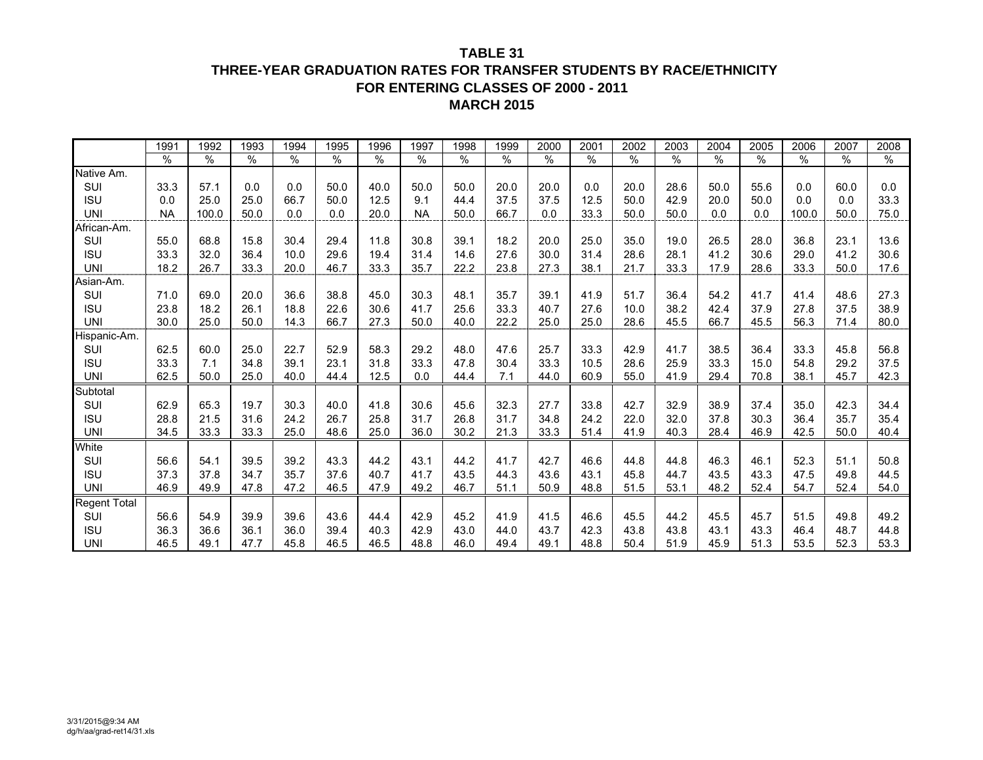## **THREE-YEAR GRADUATION RATES FOR TRANSFER STUDENTS BY RACE/ETHNICITY FOR ENTERING CLASSES OF 2000 - 2011MARCH 2015**

|              | 1991      | 1992  | 1993          | 1994 | 1995 | 1996          | 1997      | 1998 | 1999 | 2000 | 2001 | 2002 | 2003 | 2004 | 2005 | 2006  | 2007 | 2008 |
|--------------|-----------|-------|---------------|------|------|---------------|-----------|------|------|------|------|------|------|------|------|-------|------|------|
|              | $\%$      | $\%$  | $\frac{0}{0}$ | $\%$ | $\%$ | $\frac{0}{0}$ | $\%$      | $\%$ | %    | $\%$ | $\%$ | $\%$ | $\%$ | %    | $\%$ | $\%$  | $\%$ | %    |
| Native Am.   |           |       |               |      |      |               |           |      |      |      |      |      |      |      |      |       |      |      |
| <b>SUI</b>   | 33.3      | 57.1  | 0.0           | 0.0  | 50.0 | 40.0          | 50.0      | 50.0 | 20.0 | 20.0 | 0.0  | 20.0 | 28.6 | 50.0 | 55.6 | 0.0   | 60.0 | 0.0  |
| <b>ISU</b>   | 0.0       | 25.0  | 25.0          | 66.7 | 50.0 | 12.5          | 9.1       | 44.4 | 37.5 | 37.5 | 12.5 | 50.0 | 42.9 | 20.0 | 50.0 | 0.0   | 0.0  | 33.3 |
| <b>UNI</b>   | <b>NA</b> | 100.0 | 50.0          | 0.0  | 0.0  | 20.0          | <b>NA</b> | 50.0 | 66.7 | 0.0  | 33.3 | 50.0 | 50.0 | 0.0  | 0.0  | 100.0 | 50.0 | 75.0 |
| African-Am.  |           |       |               |      |      |               |           |      |      |      |      |      |      |      |      |       |      |      |
| SUI          | 55.0      | 68.8  | 15.8          | 30.4 | 29.4 | 11.8          | 30.8      | 39.1 | 18.2 | 20.0 | 25.0 | 35.0 | 19.0 | 26.5 | 28.0 | 36.8  | 23.1 | 13.6 |
| <b>ISU</b>   | 33.3      | 32.0  | 36.4          | 10.0 | 29.6 | 19.4          | 31.4      | 14.6 | 27.6 | 30.0 | 31.4 | 28.6 | 28.1 | 41.2 | 30.6 | 29.0  | 41.2 | 30.6 |
| <b>UNI</b>   | 18.2      | 26.7  | 33.3          | 20.0 | 46.7 | 33.3          | 35.7      | 22.2 | 23.8 | 27.3 | 38.1 | 21.7 | 33.3 | 17.9 | 28.6 | 33.3  | 50.0 | 17.6 |
| Asian-Am.    |           |       |               |      |      |               |           |      |      |      |      |      |      |      |      |       |      |      |
| SUI          | 71.0      | 69.0  | 20.0          | 36.6 | 38.8 | 45.0          | 30.3      | 48.1 | 35.7 | 39.1 | 41.9 | 51.7 | 36.4 | 54.2 | 41.7 | 41.4  | 48.6 | 27.3 |
| <b>ISU</b>   | 23.8      | 18.2  | 26.1          | 18.8 | 22.6 | 30.6          | 41.7      | 25.6 | 33.3 | 40.7 | 27.6 | 10.0 | 38.2 | 42.4 | 37.9 | 27.8  | 37.5 | 38.9 |
| <b>UNI</b>   | 30.0      | 25.0  | 50.0          | 14.3 | 66.7 | 27.3          | 50.0      | 40.0 | 22.2 | 25.0 | 25.0 | 28.6 | 45.5 | 66.7 | 45.5 | 56.3  | 71.4 | 80.0 |
| Hispanic-Am. |           |       |               |      |      |               |           |      |      |      |      |      |      |      |      |       |      |      |
| SUI          | 62.5      | 60.0  | 25.0          | 22.7 | 52.9 | 58.3          | 29.2      | 48.0 | 47.6 | 25.7 | 33.3 | 42.9 | 41.7 | 38.5 | 36.4 | 33.3  | 45.8 | 56.8 |
| <b>ISU</b>   | 33.3      | 7.1   | 34.8          | 39.1 | 23.1 | 31.8          | 33.3      | 47.8 | 30.4 | 33.3 | 10.5 | 28.6 | 25.9 | 33.3 | 15.0 | 54.8  | 29.2 | 37.5 |
| <b>UNI</b>   | 62.5      | 50.0  | 25.0          | 40.0 | 44.4 | 12.5          | 0.0       | 44.4 | 7.1  | 44.0 | 60.9 | 55.0 | 41.9 | 29.4 | 70.8 | 38.1  | 45.7 | 42.3 |
| Subtotal     |           |       |               |      |      |               |           |      |      |      |      |      |      |      |      |       |      |      |
| SUI          | 62.9      | 65.3  | 19.7          | 30.3 | 40.0 | 41.8          | 30.6      | 45.6 | 32.3 | 27.7 | 33.8 | 42.7 | 32.9 | 38.9 | 37.4 | 35.0  | 42.3 | 34.4 |
| <b>ISU</b>   | 28.8      | 21.5  | 31.6          | 24.2 | 26.7 | 25.8          | 31.7      | 26.8 | 31.7 | 34.8 | 24.2 | 22.0 | 32.0 | 37.8 | 30.3 | 36.4  | 35.7 | 35.4 |
| <b>UNI</b>   | 34.5      | 33.3  | 33.3          | 25.0 | 48.6 | 25.0          | 36.0      | 30.2 | 21.3 | 33.3 | 51.4 | 41.9 | 40.3 | 28.4 | 46.9 | 42.5  | 50.0 | 40.4 |
| White        |           |       |               |      |      |               |           |      |      |      |      |      |      |      |      |       |      |      |
| SUI          | 56.6      | 54.1  | 39.5          | 39.2 | 43.3 | 44.2          | 43.1      | 44.2 | 41.7 | 42.7 | 46.6 | 44.8 | 44.8 | 46.3 | 46.1 | 52.3  | 51.1 | 50.8 |
| <b>ISU</b>   | 37.3      | 37.8  | 34.7          | 35.7 | 37.6 | 40.7          | 41.7      | 43.5 | 44.3 | 43.6 | 43.1 | 45.8 | 44.7 | 43.5 | 43.3 | 47.5  | 49.8 | 44.5 |
| <b>UNI</b>   | 46.9      | 49.9  | 47.8          | 47.2 | 46.5 | 47.9          | 49.2      | 46.7 | 51.1 | 50.9 | 48.8 | 51.5 | 53.1 | 48.2 | 52.4 | 54.7  | 52.4 | 54.0 |
| Regent Total |           |       |               |      |      |               |           |      |      |      |      |      |      |      |      |       |      |      |
| SUI          | 56.6      | 54.9  | 39.9          | 39.6 | 43.6 | 44.4          | 42.9      | 45.2 | 41.9 | 41.5 | 46.6 | 45.5 | 44.2 | 45.5 | 45.7 | 51.5  | 49.8 | 49.2 |
| <b>ISU</b>   | 36.3      | 36.6  | 36.1          | 36.0 | 39.4 | 40.3          | 42.9      | 43.0 | 44.0 | 43.7 | 42.3 | 43.8 | 43.8 | 43.1 | 43.3 | 46.4  | 48.7 | 44.8 |
| <b>UNI</b>   | 46.5      | 49.1  | 47.7          | 45.8 | 46.5 | 46.5          | 48.8      | 46.0 | 49.4 | 49.1 | 48.8 | 50.4 | 51.9 | 45.9 | 51.3 | 53.5  | 52.3 | 53.3 |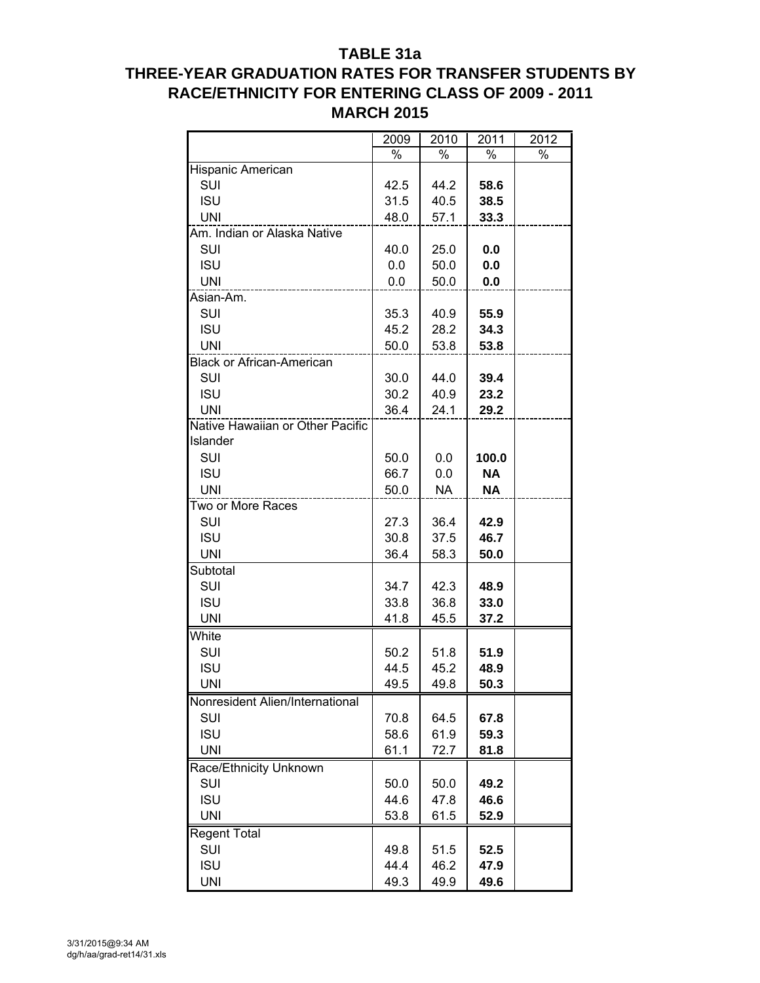## **TABLE 31a**

# **THREE-YEAR GRADUATION RATES FOR TRANSFER STUDENTS BY RACE/ETHNICITY FOR ENTERING CLASS OF 2009 - 2011 MARCH 2015**

|                                  | 2009 | 2010      | 2011      | 2012 |
|----------------------------------|------|-----------|-----------|------|
|                                  | $\%$ | %         | %         | $\%$ |
| Hispanic American                |      |           |           |      |
| SUI                              | 42.5 | 44.2      | 58.6      |      |
| <b>ISU</b>                       | 31.5 | 40.5      | 38.5      |      |
| <b>UNI</b>                       | 48.0 | 57.1      | 33.3      |      |
| Am. Indian or Alaska Native      |      |           |           |      |
| SUI                              | 40.0 | 25.0      | 0.0       |      |
| <b>ISU</b>                       | 0.0  | 50.0      | 0.0       |      |
| <b>UNI</b>                       | 0.0  | 50.0      | 0.0       |      |
| Asian-Am.                        |      |           |           |      |
| SUI                              | 35.3 | 40.9      | 55.9      |      |
| <b>ISU</b>                       | 45.2 | 28.2      | 34.3      |      |
| <b>UNI</b>                       | 50.0 | 53.8      | 53.8      |      |
| <b>Black or African-American</b> |      |           |           |      |
| SUI                              | 30.0 | 44.0      | 39.4      |      |
| <b>ISU</b>                       | 30.2 | 40.9      | 23.2      |      |
| UNI                              | 36.4 | 24.1      | 29.2      |      |
| Native Hawaiian or Other Pacific |      |           |           |      |
| Islander                         |      |           |           |      |
| SUI                              | 50.0 | 0.0       | 100.0     |      |
| <b>ISU</b>                       | 66.7 | 0.0       | <b>NA</b> |      |
| <b>UNI</b>                       | 50.0 | <b>NA</b> | <b>NA</b> |      |
| Two or More Races                |      |           |           |      |
| SUI                              | 27.3 | 36.4      | 42.9      |      |
| <b>ISU</b>                       | 30.8 | 37.5      | 46.7      |      |
| <b>UNI</b>                       | 36.4 | 58.3      | 50.0      |      |
| Subtotal                         |      |           |           |      |
| SUI                              | 34.7 | 42.3      | 48.9      |      |
| <b>ISU</b>                       | 33.8 | 36.8      | 33.0      |      |
| <b>UNI</b>                       | 41.8 | 45.5      | 37.2      |      |
| White                            |      |           |           |      |
| SUI                              | 50.2 | 51.8      | 51.9      |      |
| <b>ISU</b>                       | 44.5 | 45.2      | 48.9      |      |
| <b>UNI</b>                       | 49.5 | 49.8      | 50.3      |      |
| Nonresident Alien/International  |      |           |           |      |
| SUI                              | 70.8 | 64.5      | 67.8      |      |
| <b>ISU</b>                       | 58.6 | 61.9      | 59.3      |      |
| <b>UNI</b>                       | 61.1 | 72.7      | 81.8      |      |
| Race/Ethnicity Unknown           |      |           |           |      |
| SUI                              | 50.0 | 50.0      | 49.2      |      |
| <b>ISU</b>                       | 44.6 | 47.8      | 46.6      |      |
| <b>UNI</b>                       | 53.8 | 61.5      | 52.9      |      |
| <b>Regent Total</b>              |      |           |           |      |
| SUI                              | 49.8 | 51.5      | 52.5      |      |
| <b>ISU</b>                       | 44.4 | 46.2      | 47.9      |      |
| <b>UNI</b>                       | 49.3 | 49.9      | 49.6      |      |
|                                  |      |           |           |      |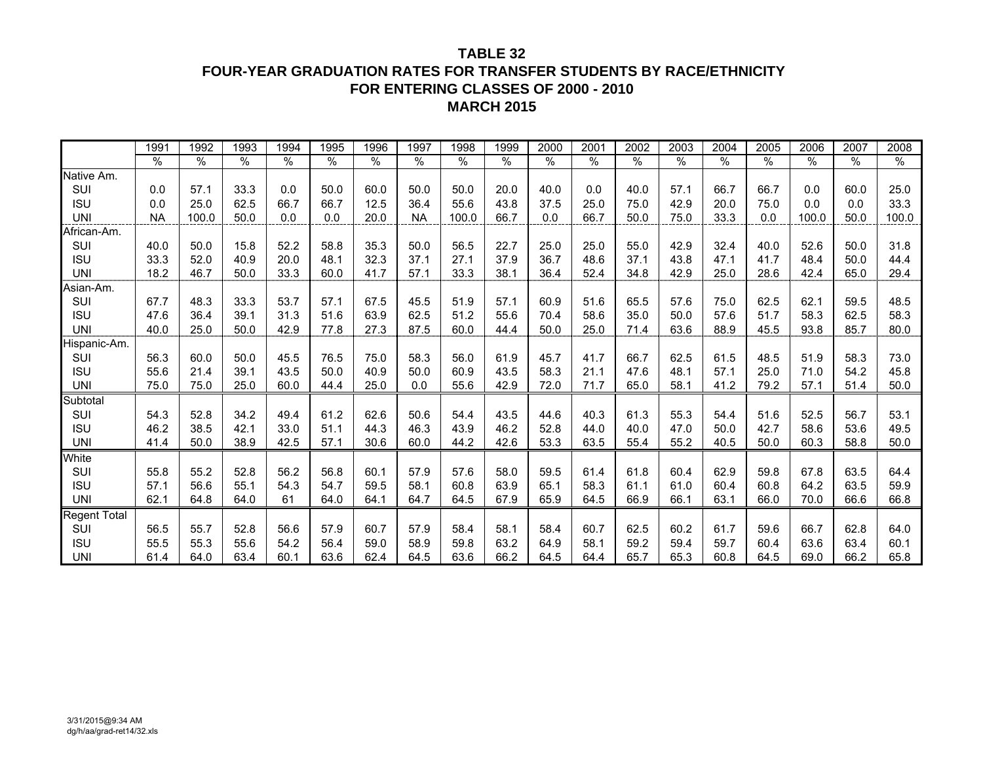## **TABLE 32FOUR-YEAR GRADUATION RATES FOR TRANSFER STUDENTS BY RACE/ETHNICITY FOR ENTERING CLASSES OF 2000 - 2010 MARCH 2015**

|                     | 1991      | 1992  | 1993          | 1994 | 1995 | 1996 | 1997      | 1998  | 1999 | 2000 | 2001          | 2002 | 2003          | 2004          | 2005 | 2006  | 2007 | 2008  |
|---------------------|-----------|-------|---------------|------|------|------|-----------|-------|------|------|---------------|------|---------------|---------------|------|-------|------|-------|
|                     | %         | $\%$  | $\frac{0}{0}$ | $\%$ | $\%$ | %    | $\%$      | $\%$  | %    | $\%$ | $\frac{0}{0}$ | %    | $\frac{1}{2}$ | $\frac{1}{2}$ | $\%$ | $\%$  | $\%$ | $\%$  |
| Native Am.          |           |       |               |      |      |      |           |       |      |      |               |      |               |               |      |       |      |       |
| SUI                 | 0.0       | 57.1  | 33.3          | 0.0  | 50.0 | 60.0 | 50.0      | 50.0  | 20.0 | 40.0 | 0.0           | 40.0 | 57.1          | 66.7          | 66.7 | 0.0   | 60.0 | 25.0  |
| <b>ISU</b>          | 0.0       | 25.0  | 62.5          | 66.7 | 66.7 | 12.5 | 36.4      | 55.6  | 43.8 | 37.5 | 25.0          | 75.0 | 42.9          | 20.0          | 75.0 | 0.0   | 0.0  | 33.3  |
| <b>UNI</b>          | <b>NA</b> | 100.0 | 50.0          | 0.0  | 0.0  | 20.0 | <b>NA</b> | 100.0 | 66.7 | 0.0  | 66.7          | 50.0 | 75.0          | 33.3          | 0.0  | 100.0 | 50.0 | 100.0 |
| African-Am.         |           |       |               |      |      |      |           |       |      |      |               |      |               |               |      |       |      |       |
| SUI                 | 40.0      | 50.0  | 15.8          | 52.2 | 58.8 | 35.3 | 50.0      | 56.5  | 22.7 | 25.0 | 25.0          | 55.0 | 42.9          | 32.4          | 40.0 | 52.6  | 50.0 | 31.8  |
| <b>ISU</b>          | 33.3      | 52.0  | 40.9          | 20.0 | 48.1 | 32.3 | 37.1      | 27.1  | 37.9 | 36.7 | 48.6          | 37.1 | 43.8          | 47.1          | 41.7 | 48.4  | 50.0 | 44.4  |
| <b>UNI</b>          | 18.2      | 46.7  | 50.0          | 33.3 | 60.0 | 41.7 | 57.1      | 33.3  | 38.1 | 36.4 | 52.4          | 34.8 | 42.9          | 25.0          | 28.6 | 42.4  | 65.0 | 29.4  |
| Asian-Am.           |           |       |               |      |      |      |           |       |      |      |               |      |               |               |      |       |      |       |
| SUI                 | 67.7      | 48.3  | 33.3          | 53.7 | 57.1 | 67.5 | 45.5      | 51.9  | 57.1 | 60.9 | 51.6          | 65.5 | 57.6          | 75.0          | 62.5 | 62.1  | 59.5 | 48.5  |
| <b>ISU</b>          | 47.6      | 36.4  | 39.1          | 31.3 | 51.6 | 63.9 | 62.5      | 51.2  | 55.6 | 70.4 | 58.6          | 35.0 | 50.0          | 57.6          | 51.7 | 58.3  | 62.5 | 58.3  |
| <b>UNI</b>          | 40.0      | 25.0  | 50.0          | 42.9 | 77.8 | 27.3 | 87.5      | 60.0  | 44.4 | 50.0 | 25.0          | 71.4 | 63.6          | 88.9          | 45.5 | 93.8  | 85.7 | 80.0  |
| Hispanic-Am.        |           |       |               |      |      |      |           |       |      |      |               |      |               |               |      |       |      |       |
| SUI                 | 56.3      | 60.0  | 50.0          | 45.5 | 76.5 | 75.0 | 58.3      | 56.0  | 61.9 | 45.7 | 41.7          | 66.7 | 62.5          | 61.5          | 48.5 | 51.9  | 58.3 | 73.0  |
| <b>ISU</b>          | 55.6      | 21.4  | 39.1          | 43.5 | 50.0 | 40.9 | 50.0      | 60.9  | 43.5 | 58.3 | 21.1          | 47.6 | 48.1          | 57.1          | 25.0 | 71.0  | 54.2 | 45.8  |
| <b>UNI</b>          | 75.0      | 75.0  | 25.0          | 60.0 | 44.4 | 25.0 | 0.0       | 55.6  | 42.9 | 72.0 | 71.7          | 65.0 | 58.1          | 41.2          | 79.2 | 57.1  | 51.4 | 50.0  |
| Subtotal            |           |       |               |      |      |      |           |       |      |      |               |      |               |               |      |       |      |       |
| SUI                 | 54.3      | 52.8  | 34.2          | 49.4 | 61.2 | 62.6 | 50.6      | 54.4  | 43.5 | 44.6 | 40.3          | 61.3 | 55.3          | 54.4          | 51.6 | 52.5  | 56.7 | 53.1  |
| <b>ISU</b>          | 46.2      | 38.5  | 42.1          | 33.0 | 51.1 | 44.3 | 46.3      | 43.9  | 46.2 | 52.8 | 44.0          | 40.0 | 47.0          | 50.0          | 42.7 | 58.6  | 53.6 | 49.5  |
| <b>UNI</b>          | 41.4      | 50.0  | 38.9          | 42.5 | 57.1 | 30.6 | 60.0      | 44.2  | 42.6 | 53.3 | 63.5          | 55.4 | 55.2          | 40.5          | 50.0 | 60.3  | 58.8 | 50.0  |
| White               |           |       |               |      |      |      |           |       |      |      |               |      |               |               |      |       |      |       |
| SUI                 | 55.8      | 55.2  | 52.8          | 56.2 | 56.8 | 60.1 | 57.9      | 57.6  | 58.0 | 59.5 | 61.4          | 61.8 | 60.4          | 62.9          | 59.8 | 67.8  | 63.5 | 64.4  |
| <b>ISU</b>          | 57.1      | 56.6  | 55.1          | 54.3 | 54.7 | 59.5 | 58.1      | 60.8  | 63.9 | 65.1 | 58.3          | 61.1 | 61.0          | 60.4          | 60.8 | 64.2  | 63.5 | 59.9  |
| <b>UNI</b>          | 62.1      | 64.8  | 64.0          | 61   | 64.0 | 64.1 | 64.7      | 64.5  | 67.9 | 65.9 | 64.5          | 66.9 | 66.1          | 63.1          | 66.0 | 70.0  | 66.6 | 66.8  |
| <b>Regent Total</b> |           |       |               |      |      |      |           |       |      |      |               |      |               |               |      |       |      |       |
| SUI                 | 56.5      | 55.7  | 52.8          | 56.6 | 57.9 | 60.7 | 57.9      | 58.4  | 58.1 | 58.4 | 60.7          | 62.5 | 60.2          | 61.7          | 59.6 | 66.7  | 62.8 | 64.0  |
| <b>ISU</b>          | 55.5      | 55.3  | 55.6          | 54.2 | 56.4 | 59.0 | 58.9      | 59.8  | 63.2 | 64.9 | 58.1          | 59.2 | 59.4          | 59.7          | 60.4 | 63.6  | 63.4 | 60.1  |
| <b>UNI</b>          | 61.4      | 64.0  | 63.4          | 60.1 | 63.6 | 62.4 | 64.5      | 63.6  | 66.2 | 64.5 | 64.4          | 65.7 | 65.3          | 60.8          | 64.5 | 69.0  | 66.2 | 65.8  |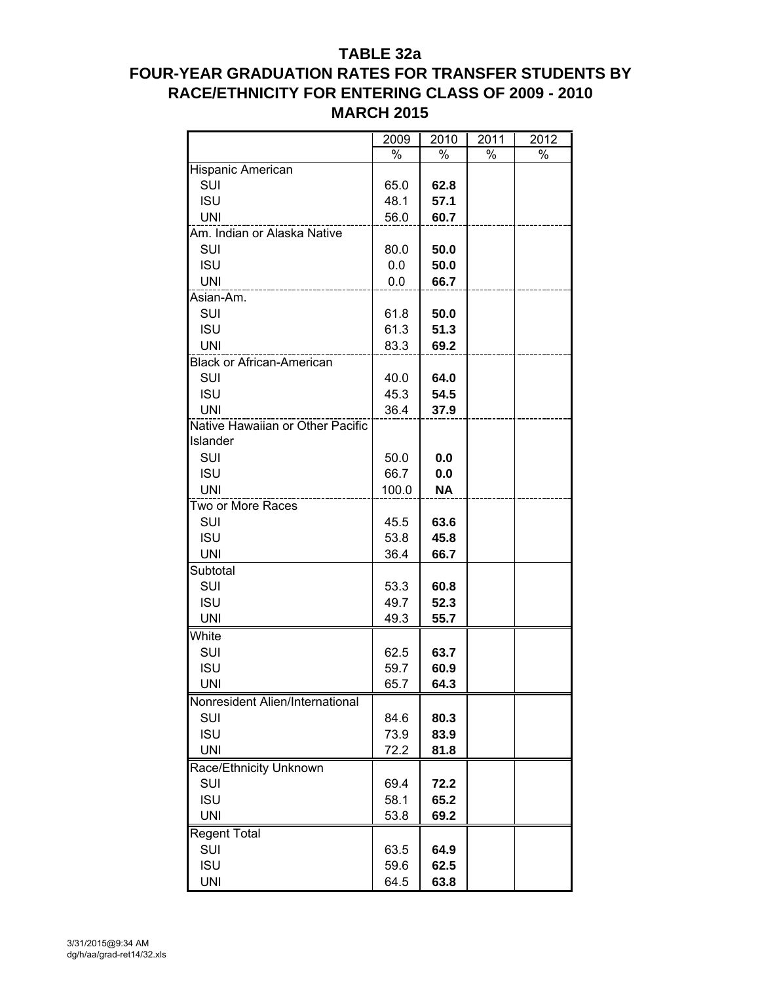## **TABLE 32a**

# **FOUR-YEAR GRADUATION RATES FOR TRANSFER STUDENTS BY RACE/ETHNICITY FOR ENTERING CLASS OF 2009 - 2010 MARCH 2015**

|                                  | 2009  | 2010      | 2011 | 2012 |
|----------------------------------|-------|-----------|------|------|
|                                  | %     | %         | %    | %    |
| Hispanic American                |       |           |      |      |
| SUI                              | 65.0  | 62.8      |      |      |
| <b>ISU</b>                       | 48.1  | 57.1      |      |      |
| <b>UNI</b>                       | 56.0  | 60.7      |      |      |
| Am. Indian or Alaska Native      |       |           |      |      |
| SUI                              | 80.0  | 50.0      |      |      |
| <b>ISU</b>                       | 0.0   | 50.0      |      |      |
| <b>UNI</b>                       | 0.0   | 66.7      |      |      |
| Asian-Am.                        |       |           |      |      |
| SUI                              | 61.8  | 50.0      |      |      |
| <b>ISU</b>                       | 61.3  | 51.3      |      |      |
| UNI                              | 83.3  | 69.2      |      |      |
| <b>Black or African-American</b> |       |           |      |      |
| SUI                              | 40.0  | 64.0      |      |      |
| <b>ISU</b>                       | 45.3  | 54.5      |      |      |
| <b>UNI</b>                       | 36.4  | 37.9      |      |      |
| Native Hawaiian or Other Pacific |       |           |      |      |
| Islander                         |       |           |      |      |
| SUI                              | 50.0  | 0.0       |      |      |
| <b>ISU</b>                       | 66.7  | 0.0       |      |      |
| <b>UNI</b>                       | 100.0 | <b>NA</b> |      |      |
| Two or More Races                |       |           |      |      |
| SUI                              | 45.5  | 63.6      |      |      |
| <b>ISU</b>                       | 53.8  | 45.8      |      |      |
| <b>UNI</b>                       | 36.4  | 66.7      |      |      |
| Subtotal                         |       |           |      |      |
| SUI                              | 53.3  | 60.8      |      |      |
| <b>ISU</b>                       | 49.7  | 52.3      |      |      |
| <b>UNI</b>                       | 49.3  | 55.7      |      |      |
| White                            |       |           |      |      |
| SUI                              | 62.5  | 63.7      |      |      |
| <b>ISU</b>                       | 59.7  | 60.9      |      |      |
| UNI                              | 65.7  | 64.3      |      |      |
| Nonresident Alien/International  |       |           |      |      |
| SUI                              | 84.6  | 80.3      |      |      |
| <b>ISU</b>                       | 73.9  | 83.9      |      |      |
| <b>UNI</b>                       | 72.2  | 81.8      |      |      |
| Race/Ethnicity Unknown           |       |           |      |      |
| SUI                              | 69.4  | 72.2      |      |      |
| <b>ISU</b>                       | 58.1  | 65.2      |      |      |
| <b>UNI</b>                       | 53.8  | 69.2      |      |      |
|                                  |       |           |      |      |
| <b>Regent Total</b><br>SUI       | 63.5  | 64.9      |      |      |
|                                  |       |           |      |      |
| <b>ISU</b>                       | 59.6  | 62.5      |      |      |
| <b>UNI</b>                       | 64.5  | 63.8      |      |      |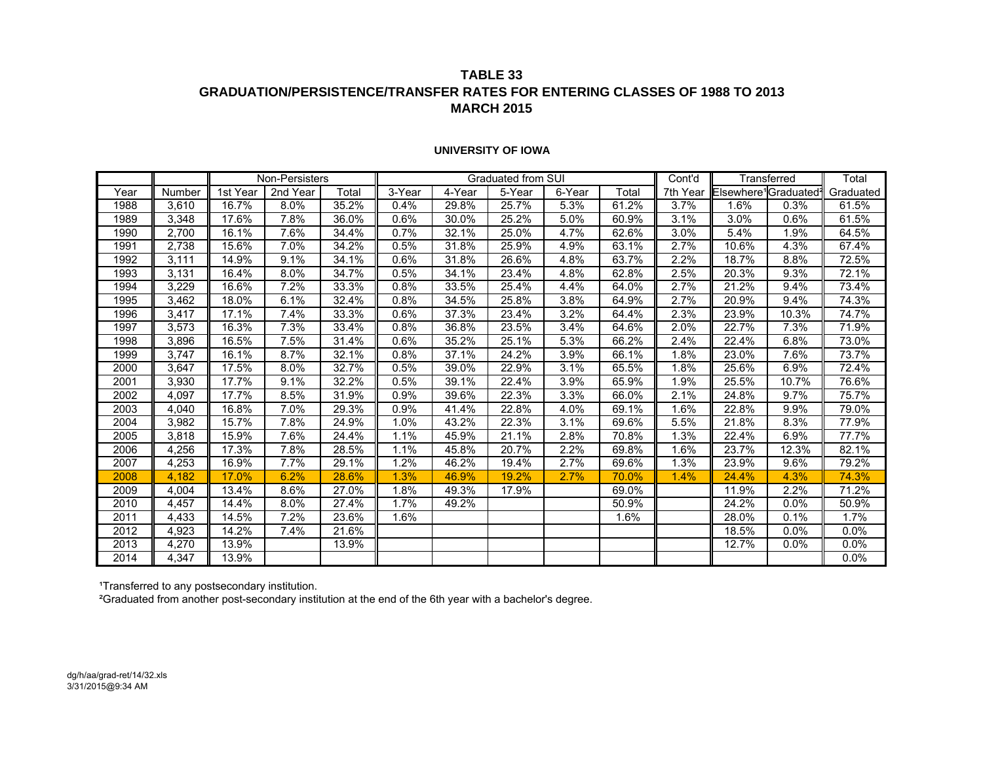## **TABLE 33 GRADUATION/PERSISTENCE/TRANSFER RATES FOR ENTERING CLASSES OF 1988 TO 2013 MARCH 2015**

|      |        |          | Non-Persisters |       |          |        | Graduated from SUI |        |       | Cont'd   |                                  | Transferred | Total     |
|------|--------|----------|----------------|-------|----------|--------|--------------------|--------|-------|----------|----------------------------------|-------------|-----------|
| Year | Number | 1st Year | 2nd Year       | Total | $3-Year$ | 4-Year | 5-Year             | 6-Year | Total | 7th Year | Elsewhere <sup>1</sup> Graduated |             | Graduated |
| 1988 | 3,610  | 16.7%    | 8.0%           | 35.2% | 0.4%     | 29.8%  | 25.7%              | 5.3%   | 61.2% | 3.7%     | 1.6%                             | 0.3%        | 61.5%     |
| 1989 | 3,348  | 17.6%    | 7.8%           | 36.0% | 0.6%     | 30.0%  | 25.2%              | 5.0%   | 60.9% | 3.1%     | 3.0%                             | 0.6%        | 61.5%     |
| 1990 | 2,700  | 16.1%    | 7.6%           | 34.4% | 0.7%     | 32.1%  | 25.0%              | 4.7%   | 62.6% | 3.0%     | 5.4%                             | 1.9%        | 64.5%     |
| 1991 | 2,738  | 15.6%    | 7.0%           | 34.2% | 0.5%     | 31.8%  | 25.9%              | 4.9%   | 63.1% | 2.7%     | 10.6%                            | 4.3%        | 67.4%     |
| 1992 | 3,111  | 14.9%    | 9.1%           | 34.1% | 0.6%     | 31.8%  | 26.6%              | 4.8%   | 63.7% | 2.2%     | 18.7%                            | 8.8%        | 72.5%     |
| 1993 | 3,131  | 16.4%    | 8.0%           | 34.7% | 0.5%     | 34.1%  | 23.4%              | 4.8%   | 62.8% | 2.5%     | 20.3%                            | 9.3%        | 72.1%     |
| 1994 | 3,229  | 16.6%    | 7.2%           | 33.3% | 0.8%     | 33.5%  | 25.4%              | 4.4%   | 64.0% | 2.7%     | 21.2%                            | 9.4%        | 73.4%     |
| 1995 | 3,462  | 18.0%    | 6.1%           | 32.4% | 0.8%     | 34.5%  | 25.8%              | 3.8%   | 64.9% | 2.7%     | 20.9%                            | 9.4%        | 74.3%     |
| 1996 | 3,417  | 17.1%    | 7.4%           | 33.3% | 0.6%     | 37.3%  | 23.4%              | 3.2%   | 64.4% | 2.3%     | 23.9%                            | 10.3%       | 74.7%     |
| 1997 | 3,573  | 16.3%    | 7.3%           | 33.4% | 0.8%     | 36.8%  | 23.5%              | 3.4%   | 64.6% | 2.0%     | 22.7%                            | 7.3%        | 71.9%     |
| 1998 | 3,896  | 16.5%    | 7.5%           | 31.4% | 0.6%     | 35.2%  | 25.1%              | 5.3%   | 66.2% | 2.4%     | 22.4%                            | 6.8%        | 73.0%     |
| 1999 | 3,747  | 16.1%    | 8.7%           | 32.1% | 0.8%     | 37.1%  | 24.2%              | 3.9%   | 66.1% | 1.8%     | 23.0%                            | 7.6%        | 73.7%     |
| 2000 | 3,647  | 17.5%    | 8.0%           | 32.7% | 0.5%     | 39.0%  | 22.9%              | 3.1%   | 65.5% | 1.8%     | 25.6%                            | 6.9%        | 72.4%     |
| 2001 | 3,930  | 17.7%    | 9.1%           | 32.2% | 0.5%     | 39.1%  | 22.4%              | 3.9%   | 65.9% | 1.9%     | 25.5%                            | 10.7%       | 76.6%     |
| 2002 | 4,097  | 17.7%    | 8.5%           | 31.9% | 0.9%     | 39.6%  | 22.3%              | 3.3%   | 66.0% | 2.1%     | 24.8%                            | 9.7%        | 75.7%     |
| 2003 | 4,040  | 16.8%    | 7.0%           | 29.3% | 0.9%     | 41.4%  | 22.8%              | 4.0%   | 69.1% | 1.6%     | 22.8%                            | 9.9%        | 79.0%     |
| 2004 | 3,982  | 15.7%    | 7.8%           | 24.9% | 1.0%     | 43.2%  | 22.3%              | 3.1%   | 69.6% | 5.5%     | 21.8%                            | 8.3%        | 77.9%     |
| 2005 | 3,818  | 15.9%    | 7.6%           | 24.4% | 1.1%     | 45.9%  | 21.1%              | 2.8%   | 70.8% | 1.3%     | 22.4%                            | 6.9%        | 77.7%     |
| 2006 | 4,256  | 17.3%    | 7.8%           | 28.5% | 1.1%     | 45.8%  | 20.7%              | 2.2%   | 69.8% | 1.6%     | 23.7%                            | 12.3%       | 82.1%     |
| 2007 | 4,253  | 16.9%    | 7.7%           | 29.1% | 1.2%     | 46.2%  | 19.4%              | 2.7%   | 69.6% | 1.3%     | 23.9%                            | 9.6%        | 79.2%     |
| 2008 | 4,182  | 17.0%    | 6.2%           | 28.6% | 1.3%     | 46.9%  | 19.2%              | 2.7%   | 70.0% | 1.4%     | 24.4%                            | 4.3%        | 74.3%     |
| 2009 | 4,004  | 13.4%    | 8.6%           | 27.0% | 1.8%     | 49.3%  | 17.9%              |        | 69.0% |          | 11.9%                            | 2.2%        | 71.2%     |
| 2010 | 4,457  | 14.4%    | 8.0%           | 27.4% | 1.7%     | 49.2%  |                    |        | 50.9% |          | 24.2%                            | 0.0%        | 50.9%     |
| 2011 | 4,433  | 14.5%    | 7.2%           | 23.6% | 1.6%     |        |                    |        | 1.6%  |          | 28.0%                            | 0.1%        | 1.7%      |
| 2012 | 4,923  | 14.2%    | 7.4%           | 21.6% |          |        |                    |        |       |          | 18.5%                            | 0.0%        | 0.0%      |
| 2013 | 4,270  | 13.9%    |                | 13.9% |          |        |                    |        |       |          | 12.7%                            | 0.0%        | 0.0%      |
| 2014 | 4,347  | 13.9%    |                |       |          |        |                    |        |       |          |                                  |             | 0.0%      |

#### **UNIVERSITY OF IOWA**

¹Transferred to any postsecondary institution.

²Graduated from another post-secondary institution at the end of the 6th year with a bachelor's degree.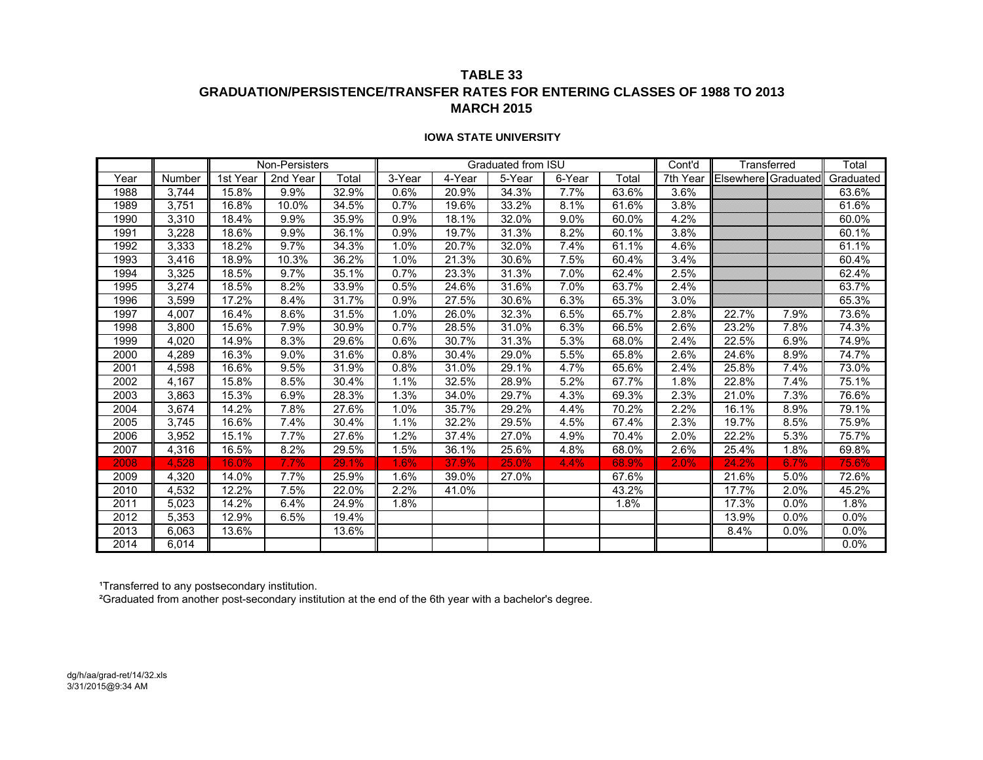## **TABLE 33 GRADUATION/PERSISTENCE/TRANSFER RATES FOR ENTERING CLASSES OF 1988 TO 2013 MARCH 2015**

#### **IOWA STATE UNIVERSITY**

|      |        |          | Non-Persisters |       |        |        | Graduated from ISU |        |       | Cont'd   |                     | Transferred | Total     |
|------|--------|----------|----------------|-------|--------|--------|--------------------|--------|-------|----------|---------------------|-------------|-----------|
| Year | Number | 1st Year | 2nd Year       | Total | 3-Year | 4-Year | 5-Year             | 6-Year | Total | 7th Year | Elsewhere Graduated |             | Graduated |
| 1988 | 3,744  | 15.8%    | 9.9%           | 32.9% | 0.6%   | 20.9%  | 34.3%              | 7.7%   | 63.6% | 3.6%     |                     |             | 63.6%     |
| 1989 | 3,751  | 16.8%    | 10.0%          | 34.5% | 0.7%   | 19.6%  | 33.2%              | 8.1%   | 61.6% | 3.8%     |                     |             | 61.6%     |
| 1990 | 3,310  | 18.4%    | 9.9%           | 35.9% | 0.9%   | 18.1%  | 32.0%              | 9.0%   | 60.0% | 4.2%     |                     |             | 60.0%     |
| 1991 | 3,228  | 18.6%    | 9.9%           | 36.1% | 0.9%   | 19.7%  | 31.3%              | 8.2%   | 60.1% | 3.8%     |                     |             | 60.1%     |
| 1992 | 3,333  | 18.2%    | 9.7%           | 34.3% | 1.0%   | 20.7%  | 32.0%              | 7.4%   | 61.1% | 4.6%     |                     |             | 61.1%     |
| 1993 | 3,416  | 18.9%    | 10.3%          | 36.2% | 1.0%   | 21.3%  | 30.6%              | 7.5%   | 60.4% | 3.4%     |                     |             | 60.4%     |
| 1994 | 3,325  | 18.5%    | 9.7%           | 35.1% | 0.7%   | 23.3%  | 31.3%              | 7.0%   | 62.4% | 2.5%     |                     |             | 62.4%     |
| 1995 | 3,274  | 18.5%    | 8.2%           | 33.9% | 0.5%   | 24.6%  | 31.6%              | 7.0%   | 63.7% | 2.4%     |                     |             | 63.7%     |
| 1996 | 3,599  | 17.2%    | 8.4%           | 31.7% | 0.9%   | 27.5%  | 30.6%              | 6.3%   | 65.3% | 3.0%     |                     |             | 65.3%     |
| 1997 | 4,007  | 16.4%    | 8.6%           | 31.5% | 1.0%   | 26.0%  | 32.3%              | 6.5%   | 65.7% | 2.8%     | 22.7%               | 7.9%        | 73.6%     |
| 1998 | 3,800  | 15.6%    | 7.9%           | 30.9% | 0.7%   | 28.5%  | 31.0%              | 6.3%   | 66.5% | 2.6%     | 23.2%               | 7.8%        | 74.3%     |
| 1999 | 4,020  | 14.9%    | 8.3%           | 29.6% | 0.6%   | 30.7%  | 31.3%              | 5.3%   | 68.0% | 2.4%     | 22.5%               | 6.9%        | 74.9%     |
| 2000 | 4,289  | 16.3%    | 9.0%           | 31.6% | 0.8%   | 30.4%  | 29.0%              | 5.5%   | 65.8% | 2.6%     | 24.6%               | 8.9%        | 74.7%     |
| 2001 | 4,598  | 16.6%    | 9.5%           | 31.9% | 0.8%   | 31.0%  | 29.1%              | 4.7%   | 65.6% | 2.4%     | 25.8%               | 7.4%        | 73.0%     |
| 2002 | 4.167  | 15.8%    | 8.5%           | 30.4% | 1.1%   | 32.5%  | 28.9%              | 5.2%   | 67.7% | 1.8%     | 22.8%               | 7.4%        | 75.1%     |
| 2003 | 3,863  | 15.3%    | 6.9%           | 28.3% | 1.3%   | 34.0%  | 29.7%              | 4.3%   | 69.3% | 2.3%     | 21.0%               | 7.3%        | 76.6%     |
| 2004 | 3,674  | 14.2%    | 7.8%           | 27.6% | 1.0%   | 35.7%  | 29.2%              | 4.4%   | 70.2% | 2.2%     | 16.1%               | 8.9%        | 79.1%     |
| 2005 | 3,745  | 16.6%    | 7.4%           | 30.4% | 1.1%   | 32.2%  | 29.5%              | 4.5%   | 67.4% | 2.3%     | 19.7%               | 8.5%        | 75.9%     |
| 2006 | 3,952  | 15.1%    | 7.7%           | 27.6% | 1.2%   | 37.4%  | 27.0%              | 4.9%   | 70.4% | 2.0%     | 22.2%               | 5.3%        | 75.7%     |
| 2007 | 4,316  | 16.5%    | 8.2%           | 29.5% | 1.5%   | 36.1%  | 25.6%              | 4.8%   | 68.0% | 2.6%     | 25.4%               | 1.8%        | 69.8%     |
| 2008 | 4,528  | 16.0%    | 7.7%           | 29.1% | 1.6%   | 37.9%  | 25.0%              | 4.4%   | 68.9% | 2.0%     | 24.2%               | 6.7%        | 75.6%     |
| 2009 | 4,320  | 14.0%    | 7.7%           | 25.9% | 1.6%   | 39.0%  | 27.0%              |        | 67.6% |          | 21.6%               | 5.0%        | 72.6%     |
| 2010 | 4,532  | 12.2%    | 7.5%           | 22.0% | 2.2%   | 41.0%  |                    |        | 43.2% |          | 17.7%               | 2.0%        | 45.2%     |
| 2011 | 5,023  | 14.2%    | 6.4%           | 24.9% | 1.8%   |        |                    |        | 1.8%  |          | 17.3%               | 0.0%        | 1.8%      |
| 2012 | 5,353  | 12.9%    | 6.5%           | 19.4% |        |        |                    |        |       |          | 13.9%               | 0.0%        | 0.0%      |
| 2013 | 6,063  | 13.6%    |                | 13.6% |        |        |                    |        |       |          | 8.4%                | 0.0%        | 0.0%      |
| 2014 | 6,014  |          |                |       |        |        |                    |        |       |          |                     |             | 0.0%      |

¹Transferred to any postsecondary institution.

²Graduated from another post-secondary institution at the end of the 6th year with a bachelor's degree.

dg/h/aa/grad-ret/14/32.xls 3/31/2015@9:34 AM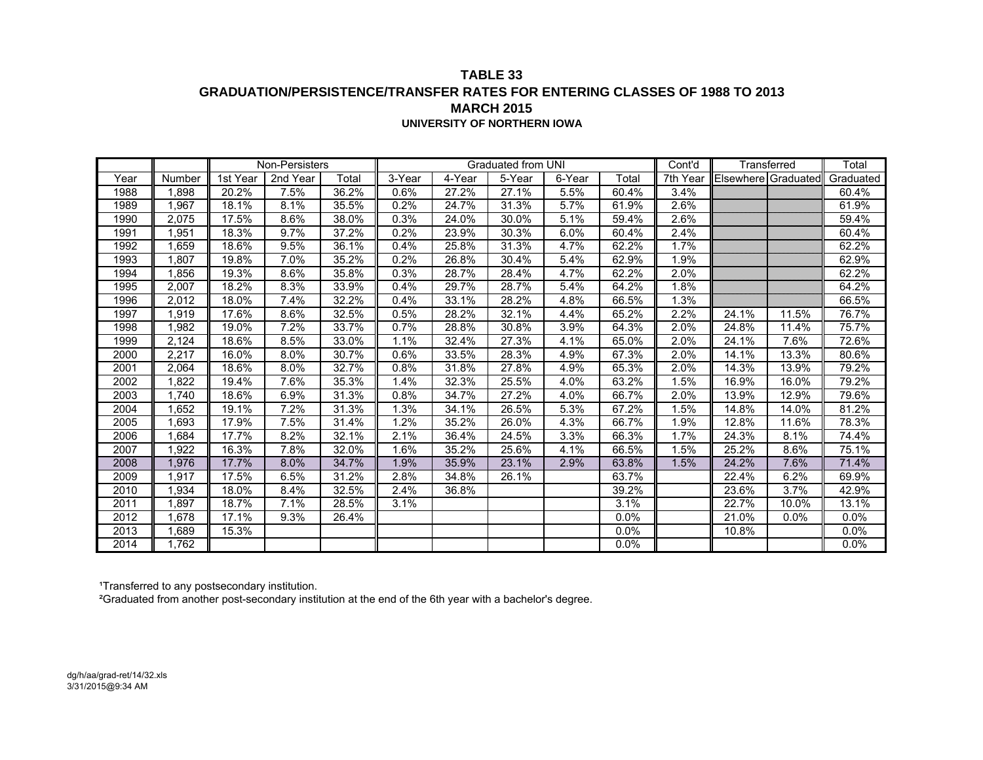## **TABLE 33 GRADUATION/PERSISTENCE/TRANSFER RATES FOR ENTERING CLASSES OF 1988 TO 2013 MARCH 2015UNIVERSITY OF NORTHERN IOWA**

|      |        |          | Non-Persisters |       |        |        | Graduated from UNI   |        |       | Cont'd   |                     | Transferred | Total     |
|------|--------|----------|----------------|-------|--------|--------|----------------------|--------|-------|----------|---------------------|-------------|-----------|
| Year | Number | 1st Year | 2nd Year       | Total | 3-Year | 4-Year | $\overline{5}$ -Year | 6-Year | Total | 7th Year | Elsewhere Graduated |             | Graduated |
| 1988 | 1,898  | 20.2%    | 7.5%           | 36.2% | 0.6%   | 27.2%  | 27.1%                | 5.5%   | 60.4% | 3.4%     |                     |             | 60.4%     |
| 1989 | 1,967  | 18.1%    | 8.1%           | 35.5% | 0.2%   | 24.7%  | 31.3%                | 5.7%   | 61.9% | 2.6%     |                     |             | 61.9%     |
| 1990 | 2,075  | 17.5%    | 8.6%           | 38.0% | 0.3%   | 24.0%  | 30.0%                | 5.1%   | 59.4% | 2.6%     |                     |             | 59.4%     |
| 1991 | 1,951  | 18.3%    | 9.7%           | 37.2% | 0.2%   | 23.9%  | 30.3%                | 6.0%   | 60.4% | 2.4%     |                     |             | 60.4%     |
| 1992 | 1,659  | 18.6%    | 9.5%           | 36.1% | 0.4%   | 25.8%  | 31.3%                | 4.7%   | 62.2% | 1.7%     |                     |             | 62.2%     |
| 1993 | 1,807  | 19.8%    | 7.0%           | 35.2% | 0.2%   | 26.8%  | 30.4%                | 5.4%   | 62.9% | 1.9%     |                     |             | 62.9%     |
| 1994 | 1.856  | 19.3%    | 8.6%           | 35.8% | 0.3%   | 28.7%  | 28.4%                | 4.7%   | 62.2% | 2.0%     |                     |             | 62.2%     |
| 1995 | 2,007  | 18.2%    | 8.3%           | 33.9% | 0.4%   | 29.7%  | 28.7%                | 5.4%   | 64.2% | 1.8%     |                     |             | 64.2%     |
| 1996 | 2,012  | 18.0%    | 7.4%           | 32.2% | 0.4%   | 33.1%  | 28.2%                | 4.8%   | 66.5% | 1.3%     |                     |             | 66.5%     |
| 1997 | 1,919  | 17.6%    | 8.6%           | 32.5% | 0.5%   | 28.2%  | 32.1%                | 4.4%   | 65.2% | 2.2%     | 24.1%               | 11.5%       | 76.7%     |
| 1998 | 1,982  | 19.0%    | 7.2%           | 33.7% | 0.7%   | 28.8%  | 30.8%                | 3.9%   | 64.3% | 2.0%     | 24.8%               | 11.4%       | 75.7%     |
| 1999 | 2,124  | 18.6%    | 8.5%           | 33.0% | 1.1%   | 32.4%  | 27.3%                | 4.1%   | 65.0% | 2.0%     | 24.1%               | 7.6%        | 72.6%     |
| 2000 | 2,217  | 16.0%    | 8.0%           | 30.7% | 0.6%   | 33.5%  | 28.3%                | 4.9%   | 67.3% | 2.0%     | 14.1%               | 13.3%       | 80.6%     |
| 2001 | 2,064  | 18.6%    | 8.0%           | 32.7% | 0.8%   | 31.8%  | 27.8%                | 4.9%   | 65.3% | 2.0%     | 14.3%               | 13.9%       | 79.2%     |
| 2002 | 1,822  | 19.4%    | 7.6%           | 35.3% | 1.4%   | 32.3%  | 25.5%                | 4.0%   | 63.2% | 1.5%     | 16.9%               | 16.0%       | 79.2%     |
| 2003 | 1,740  | 18.6%    | 6.9%           | 31.3% | 0.8%   | 34.7%  | 27.2%                | 4.0%   | 66.7% | 2.0%     | 13.9%               | 12.9%       | 79.6%     |
| 2004 | 1,652  | 19.1%    | 7.2%           | 31.3% | 1.3%   | 34.1%  | 26.5%                | 5.3%   | 67.2% | 1.5%     | 14.8%               | 14.0%       | 81.2%     |
| 2005 | 1,693  | 17.9%    | 7.5%           | 31.4% | 1.2%   | 35.2%  | 26.0%                | 4.3%   | 66.7% | 1.9%     | 12.8%               | 11.6%       | 78.3%     |
| 2006 | 1,684  | 17.7%    | 8.2%           | 32.1% | 2.1%   | 36.4%  | 24.5%                | 3.3%   | 66.3% | 1.7%     | 24.3%               | 8.1%        | 74.4%     |
| 2007 | 1,922  | 16.3%    | 7.8%           | 32.0% | 1.6%   | 35.2%  | 25.6%                | 4.1%   | 66.5% | 1.5%     | 25.2%               | 8.6%        | 75.1%     |
| 2008 | 1,976  | 17.7%    | 8.0%           | 34.7% | 1.9%   | 35.9%  | 23.1%                | 2.9%   | 63.8% | 1.5%     | 24.2%               | 7.6%        | 71.4%     |
| 2009 | 1,917  | 17.5%    | 6.5%           | 31.2% | 2.8%   | 34.8%  | 26.1%                |        | 63.7% |          | 22.4%               | 6.2%        | 69.9%     |
| 2010 | 1,934  | 18.0%    | 8.4%           | 32.5% | 2.4%   | 36.8%  |                      |        | 39.2% |          | 23.6%               | 3.7%        | 42.9%     |
| 2011 | 1.897  | 18.7%    | 7.1%           | 28.5% | 3.1%   |        |                      |        | 3.1%  |          | 22.7%               | 10.0%       | 13.1%     |
| 2012 | 1,678  | 17.1%    | 9.3%           | 26.4% |        |        |                      |        | 0.0%  |          | 21.0%               | 0.0%        | 0.0%      |
| 2013 | 1,689  | 15.3%    |                |       |        |        |                      |        | 0.0%  |          | 10.8%               |             | 0.0%      |
| 2014 | 1,762  |          |                |       |        |        |                      |        | 0.0%  |          |                     |             | 0.0%      |

¹Transferred to any postsecondary institution.

²Graduated from another post-secondary institution at the end of the 6th year with a bachelor's degree.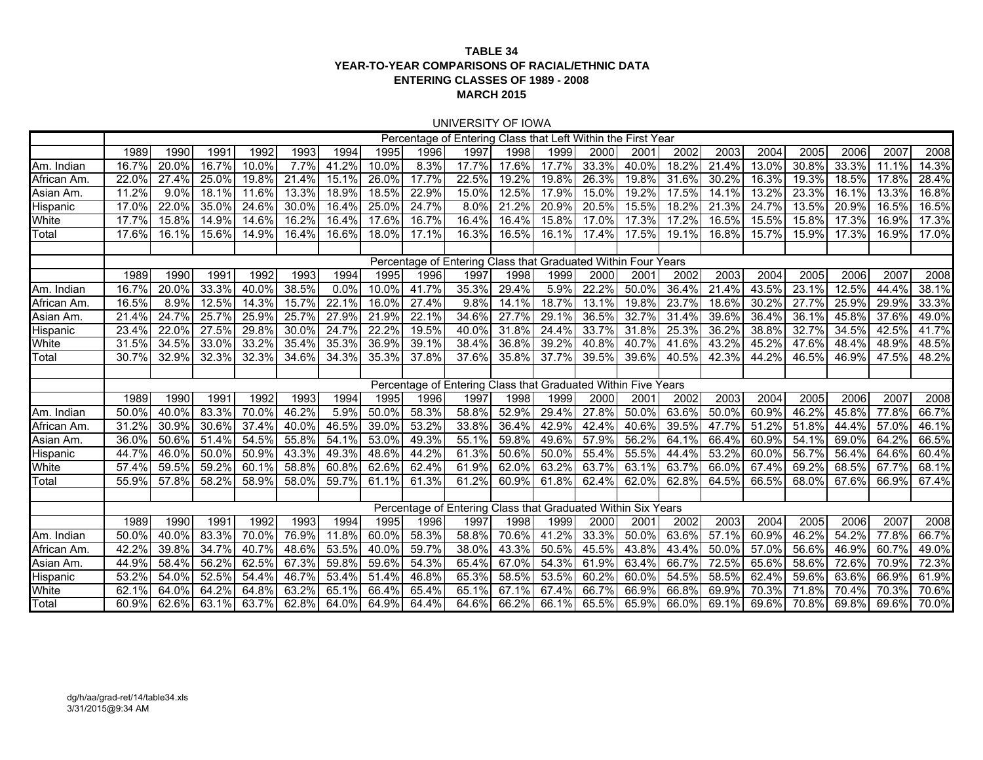### **TABLE 34 YEAR-TO-YEAR COMPARISONS OF RACIAL/ETHNIC DATAENTERING CLASSES OF 1989 - 2008 MARCH 2015**

#### UNIVERSITY OF IOWA

|                 |       |       |       |          |       |       |          |       | Percentage of Entering Class that Left Within the First Year  |       |       |       |             |       |          |          |          |       |       |       |
|-----------------|-------|-------|-------|----------|-------|-------|----------|-------|---------------------------------------------------------------|-------|-------|-------|-------------|-------|----------|----------|----------|-------|-------|-------|
|                 | 1989  | 1990  | 1991  | 1992     | 1993  | 1994  | 1995     | 1996  | 1997                                                          | 1998  | 1999  | 2000  | 2001        | 2002  | 2003     | 2004     | 2005     | 2006  | 2007  | 2008  |
| Am. Indian      | 16.7% | 20.0% | 16.7% | 10.0%    | 7.7%  | 41.2% | 10.0%    | 8.3%  | 17.7%                                                         | 17.6% | 17.7% | 33.3% | 40.0%       | 18.2% | 21.4%    | 13.0%    | 30.8%    | 33.3% | 11.1% | 14.3% |
| African Am      | 22.0% | 27.4% | 25.0% | 19.8%    | 21.4% | 15.1% | 26.0%    | 17.7% | 22.5%                                                         | 19.2% | 19.8% | 26.3% | 19.8%       | 31.6% | 30.2%    | 16.3%    | 19.3%    | 18.5% | 17.8% | 28.4% |
| Asian Am.       | 11.2% | 9.0%  | 18.1% | 11.6%    | 13.3% | 18.9% | 18.5%    | 22.9% | 15.0%                                                         | 12.5% | 17.9% | 15.0% | 19.2%       | 17.5% | 14.1%    | $13.2\%$ | 23.3%    | 16.1% | 13.3% | 16.8% |
| <b>Hispanic</b> | 17.0% | 22.0% | 35.0% | $24.6\%$ | 30.0% | 16.4% | 25.0%    | 24.7% | 8.0%                                                          | 21.2% | 20.9% | 20.5% | 15.5%       | 18.2% | 21.3%    | 24.7%    | $13.5\%$ | 20.9% | 16.5% | 16.5% |
| White           | 17.7% | 15.8% | 14.9% | 14.6%    | 16.2% | 16.4% | 17.6%    | 16.7% | 16.4%                                                         | 16.4% | 15.8% | 17.0% | 17.3%       | 17.2% | $16.5\%$ | 15.5%    | 15.8%    | 17.3% | 16.9% | 17.3% |
| Total           | 17.6% | 16.1% | 15.6% | 14.9%    | 16.4% | 16.6% | 18.0%    | 17.1% | 16.3%                                                         | 16.5% | 16.1% | 17.4% | 17.5%       | 19.1% | 16.8%    | 15.7%    | 15.9%    | 17.3% | 16.9% | 17.0% |
|                 |       |       |       |          |       |       |          |       |                                                               |       |       |       |             |       |          |          |          |       |       |       |
|                 |       |       |       |          |       |       |          |       | Percentage of Entering Class that Graduated Within Four Years |       |       |       |             |       |          |          |          |       |       |       |
|                 | 1989  | 1990  | 1991  | 1992     | 1993  | 1994  | 1995     | 1996  | 1997                                                          | 1998  | 1999  | 2000  | 2001        | 2002  | 2003     | 2004     | 2005     | 2006  | 2007  | 2008  |
| Am. Indian      | 16.7% | 20.0% | 33.3% | 40.0%    | 38.5% | 0.0%  | $10.0\%$ | 41.7% | 35.3%                                                         | 29.4% | 5.9%  | 22.2% | 50.0%       | 36.4% | 21.4%    | $43.5\%$ | 23.1%    | 12.5% | 44.4% | 38.1% |
| African Am      | 16.5% | 8.9%  | 12.5% | 14.3%    | 15.7% | 22.1% | 16.0%    | 27.4% | 9.8%                                                          | 14.1% | 18.7% | 13.1% | 19.8%       | 23.7% | 18.6%    | 30.2%    | 27.7%    | 25.9% | 29.9% | 33.3% |
| Asian Am.       | 21.4% | 24.7% | 25.7% | 25.9%    | 25.7% | 27.9% | 21.9%    | 22.1% | 34.6%                                                         | 27.7% | 29.1% | 36.5% | 32.7%       | 31.4% | 39.6%    | 36.4%    | 36.1%    | 45.8% | 37.6% | 49.0% |
| <b>Hispanic</b> | 23.4% | 22.0% | 27.5% | 29.8%    | 30.0% | 24.7% | 22.2%    | 19.5% | 40.0%                                                         | 31.8% | 24.4% | 33.7% | 31.8%       | 25.3% | 36.2%    | 38.8%    | 32.7%    | 34.5% | 42.5% | 41.7% |
| White           | 31.5% | 34.5% | 33.0% | 33.2%    | 35.4% | 35.3% | 36.9%    | 39.1% | 38.4%                                                         | 36.8% | 39.2% | 40.8% | 40.7%       | 41.6% | 43.2%    | 45.2%    | 47.6%    | 48.4% | 48.9% | 48.5% |
| Total           | 30.7% | 32.9% | 32.3% | 32.3%    | 34.6% | 34.3% | 35.3%    | 37.8% | 37.6%                                                         | 35.8% | 37.7% | 39.5% | 39.6%       | 40.5% | 42.3%    | 44.2%    | 46.5%    | 46.9% | 47.5% | 48.2% |
|                 |       |       |       |          |       |       |          |       |                                                               |       |       |       |             |       |          |          |          |       |       |       |
|                 |       |       |       |          |       |       |          |       | Percentage of Entering Class that Graduated Within Five Years |       |       |       |             |       |          |          |          |       |       |       |
|                 | 1989  | 1990  | 1991  | 1992     | 1993  | 1994  | 1995     | 1996  | 1997                                                          | 1998  | 1999  | 2000  | 2001        | 2002  | 2003     | 2004     | 2005     | 2006  | 2007  | 2008  |
| Am. Indian      | 50.0% | 40.0% | 83.3% | 70.0%    | 46.2% | 5.9%  | $50.0\%$ | 58.3% | 58.8%                                                         | 52.9% | 29.4% | 27.8% | 50.0%       | 63.6% | 50.0%    | 60.9%    | 46.2%    | 45.8% | 77.8% | 66.7% |
| African Am      | 31.2% | 30.9% | 30.6% | 37.4%    | 40.0% | 46.5% | 39.0%    | 53.2% | 33.8%                                                         | 36.4% | 42.9% | 42.4% | 40.6%       | 39.5% | 47.7%    | 51.2%    | 51.8%    | 44.4% | 57.0% | 46.1% |
| Asian Am        | 36.0% | 50.6% | 51.4% | 54.5%    | 55.8% | 54.1% | 53.0%    | 49.3% | 55.1%                                                         | 59.8% | 49.6% | 57.9% | 56.2%       | 64.1% | 66.4%    | $60.9\%$ | 54.1%    | 69.0% | 64.2% | 66.5% |
| <b>Hispanic</b> | 44.7% | 46.0% | 50.0% | 50.9%    | 43.3% | 49.3% | 48.6%    | 44.2% | 61.3%                                                         | 50.6% | 50.0% | 55.4% | 55.5%       | 44.4% | 53.2%    | 60.0%    | 56.7%    | 56.4% | 64.6% | 60.4% |
| White           | 57.4% | 59.5% | 59.2% | 60.1%    | 58.8% | 60.8% | 62.6%    | 62.4% | 61.9%                                                         | 62.0% | 63.2% | 63.7% | 63.1%       | 63.7% | 66.0%    | 67.4%    | 69.2%    | 68.5% | 67.7% | 68.1% |
| Total           | 55.9% | 57.8% | 58.2% | 58.9%    | 58.0% | 59.7% | 61.1%    | 61.3% | 61.2%                                                         | 60.9% | 61.8% | 62.4% | 62.0%       | 62.8% | 64.5%    | 66.5%    | 68.0%    | 67.6% | 66.9% | 67.4% |
|                 |       |       |       |          |       |       |          |       |                                                               |       |       |       |             |       |          |          |          |       |       |       |
|                 |       |       |       |          |       |       |          |       | Percentage of Entering Class that Graduated Within Six Years  |       |       |       |             |       |          |          |          |       |       |       |
|                 | 1989  | 1990  | 1991  | 1992     | 1993  | 1994  | 1995     | 1996  | 1997                                                          | 1998  | 1999  | 2000  | 2001        | 2002  | 2003     | 2004     | 2005     | 2006  | 2007  | 2008  |
| Am. Indian      | 50.0% | 40.0% | 83.3% | 70.0%    | 76.9% | 11.8% | 60.0%    | 58.3% | 58.8%                                                         | 70.6% | 41.2% | 33.3% | 50.0%       | 63.6% | 57.1%    | 60.9%    | 46.2%    | 54.2% | 77.8% | 66.7% |
| African Am      | 42.2% | 39.8% | 34.7% | 40.7%    | 48.6% | 53.5% | 40.0%    | 59.7% | 38.0%                                                         | 43.3% | 50.5% | 45.5% | 43.8%       | 43.4% | 50.0%    | 57.0%    | 56.6%    | 46.9% | 60.7% | 49.0% |
| Asian Am.       | 44.9% | 58.4% | 56.2% | 62.5%    | 67.3% | 59.8% | 59.6%    | 54.3% | 65.4%                                                         | 67.0% | 54.3% | 61.9% | 63.4%       | 66.7% | 72.5%    | 65.6%    | 58.6%    | 72.6% | 70.9% | 72.3% |
| Hispanic        | 53.2% | 54.0% | 52.5% | 54.4%    | 46.7% | 53.4% | 51.4%    | 46.8% | 65.3%                                                         | 58.5% | 53.5% | 60.2% | 60.0%       | 54.5% | 58.5%    | 62.4%    | 59.6%    | 63.6% | 66.9% | 61.9% |
| White           | 62.1% | 64.0% | 64.2% | 64.8%    | 63.2% | 65.1% | 66.4%    | 65.4% | 65.1%                                                         | 67.1% | 67.4% | 66.7% | 66.9%       | 66.8% | 69.9%    | 70.3%    | 71.8%    | 70.4% | 70.3% | 70.6% |
| Total           | 60.9% | 62.6% | 63.1% | 63.7%    | 62.8% | 64.0% | 64.9%    | 64.4% | 64.6%                                                         | 66.2% | 66.1% |       | 65.5% 65.9% | 66.0% | 69.1%    | 69.6%    | 70.8%    | 69.8% | 69.6% | 70.0% |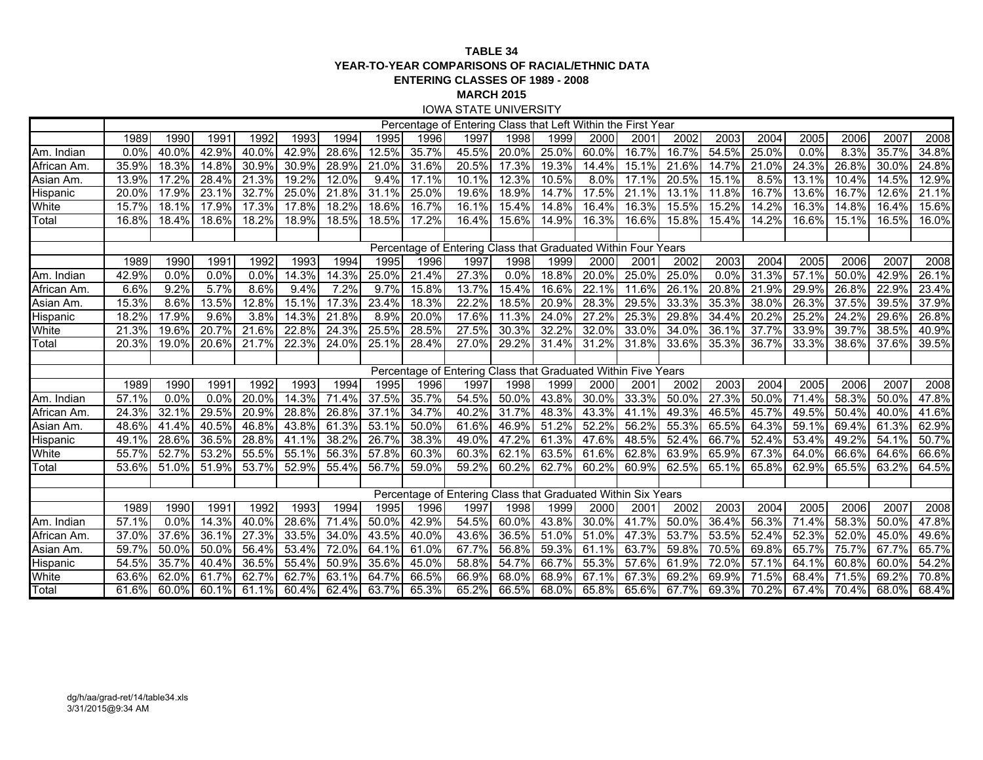#### **TABLE 34 YEAR-TO-YEAR COMPARISONS OF RACIAL/ETHNIC DATAENTERING CLASSES OF 1989 - 2008 MARCH 2015** IOWA STATE UNIVERSITY

|                 |       |       |       |          |       |       |          |          | Percentage of Entering Class that Left Within the First Year  |          |       |       |       |             |       |             |       |       |       |       |
|-----------------|-------|-------|-------|----------|-------|-------|----------|----------|---------------------------------------------------------------|----------|-------|-------|-------|-------------|-------|-------------|-------|-------|-------|-------|
|                 | 1989  | 1990  | 1991  | 1992     | 1993  | 1994  | 1995     | 1996     | 1997                                                          | 1998     | 1999  | 2000  | 2001  | 2002        | 2003  | 2004        | 2005  | 2006  | 2007  | 2008  |
| Am. Indian      | 0.0%  | 40.0% | 42.9% | $40.0\%$ | 42.9% | 28.6% | 12.5%    | 35.7%    | 45.5%                                                         | 20.0%    | 25.0% | 60.0% | 16.7% | 16.7%       | 54.5% | 25.0%       | 0.0%  | 8.3%  | 35.7% | 34.8% |
| African Am.     | 35.9% | 18.3% | 14.8% | 30.9%    | 30.9% | 28.9% | 21.0%    | 31.6%    | 20.5%                                                         | 17.3%    | 19.3% | 14.4% | 15.1% | 21.6%       | 14.7% | 21.0%       | 24.3% | 26.8% | 30.0% | 24.8% |
| Asian Am.       | 13.9% | 17.2% | 28.4% | 21.3%    | 19.2% | 12.0% | 9.4%     | 17.1%    | 10.1%                                                         | 12.3%    | 10.5% | 8.0%  | 17.1% | 20.5%       | 15.1% | 8.5%        | 13.1% | 10.4% | 14.5% | 12.9% |
| <b>Hispanic</b> | 20.0% | 17.9% | 23.1% | 32.7%    | 25.0% | 21.8% | $31.1\%$ | 25.0%    | 19.6%                                                         | 18.9%    | 14.7% | 17.5% | 21.1% | 13.1%       | 11.8% | 16.7%       | 13.6% | 16.7% | 12.6% | 21.1% |
| White           | 15.7% | 18.1% | 17.9% | 17.3%    | 17.8% | 18.2% | 18.6%    | 16.7%    | 16.1%                                                         | 15.4%    | 14.8% | 16.4% | 16.3% | 15.5%       | 15.2% | 14.2%       | 16.3% | 14.8% | 16.4% | 15.6% |
| Total           | 16.8% | 18.4% | 18.6% | 18.2%    | 18.9% | 18.5% | 18.5%    | 17.2%    | 16.4%                                                         | 15.6%    | 14.9% | 16.3% | 16.6% | 15.8%       | 15.4% | $14.2\%$    | 16.6% | 15.1% | 16.5% | 16.0% |
|                 |       |       |       |          |       |       |          |          |                                                               |          |       |       |       |             |       |             |       |       |       |       |
|                 |       |       |       |          |       |       |          |          | Percentage of Entering Class that Graduated Within Four Years |          |       |       |       |             |       |             |       |       |       |       |
|                 | 1989  | 1990  | 1991  | 1992     | 1993  | 1994  | 1995     | 1996     | 1997                                                          | 1998     | 1999  | 2000  | 2001  | 2002        | 2003  | 2004        | 2005  | 2006  | 2007  | 2008  |
| Am. Indian      | 42.9% | 0.0%  | 0.0%  | 0.0%     | 14.3% | 14.3% | 25.0%    | 21.4%    | 27.3%                                                         | 0.0%     | 18.8% | 20.0% | 25.0% | 25.0%       | 0.0%  | 31.3%       | 57.1% | 50.0% | 42.9% | 26.1% |
| African Am.     | 6.6%  | 9.2%  | 5.7%  | 8.6%     | 9.4%  | 7.2%  | 9.7%     | 15.8%    | 13.7%                                                         | 15.4%    | 16.6% | 22.1% | 11.6% | 26.1%       | 20.8% | 21.9%       | 29.9% | 26.8% | 22.9% | 23.4% |
| Asian Am.       | 15.3% | 8.6%  | 13.5% | 12.8%    | 15.1% | 17.3% | 23.4%    | 18.3%    | 22.2%                                                         | 18.5%    | 20.9% | 28.3% | 29.5% | 33.3%       | 35.3% | 38.0%       | 26.3% | 37.5% | 39.5% | 37.9% |
| Hispanic        | 18.2% | 17.9% | 9.6%  | 3.8%     | 14.3% | 21.8% | 8.9%     | 20.0%    | 17.6%                                                         | 11.3%    | 24.0% | 27.2% | 25.3% | 29.8%       | 34.4% | 20.2%       | 25.2% | 24.2% | 29.6% | 26.8% |
| White           | 21.3% | 19.6% | 20.7% | 21.6%    | 22.8% | 24.3% | 25.5%    | 28.5%    | 27.5%                                                         | 30.3%    | 32.2% | 32.0% | 33.0% | 34.0%       | 36.1% | 37.7%       | 33.9% | 39.7% | 38.5% | 40.9% |
| Total           | 20.3% | 19.0% | 20.6% | 21.7%    | 22.3% | 24.0% | 25.1%    | 28.4%    | 27.0%                                                         | 29.2%    | 31.4% | 31.2% | 31.8% | 33.6%       | 35.3% | 36.7%       | 33.3% | 38.6% | 37.6% | 39.5% |
|                 |       |       |       |          |       |       |          |          |                                                               |          |       |       |       |             |       |             |       |       |       |       |
|                 |       |       |       |          |       |       |          |          | Percentage of Entering Class that Graduated Within Five Years |          |       |       |       |             |       |             |       |       |       |       |
|                 | 1989  | 1990  | 1991  | 1992     | 1993  | 1994  | 1995     | 1996     | 1997                                                          | 1998     | 1999  | 2000  | 2001  | 2002        | 2003  | 2004        | 2005  | 2006  | 2007  | 2008  |
| Am. Indian      | 57.1% | 0.0%  | 0.0%  | 20.0%    | 14.3% | 71.4% | 37.5%    | 35.7%    | 54.5%                                                         | 50.0%    | 43.8% | 30.0% | 33.3% | 50.0%       | 27.3% | 50.0%       | 71.4% | 58.3% | 50.0% | 47.8% |
| African Am      | 24.3% | 32.1% | 29.5% | 20.9%    | 28.8% | 26.8% | 37.1%    | 34.7%    | 40.2%                                                         | 31.7%    | 48.3% | 43.3% | 41.1% | 49.3%       | 46.5% | 45.7%       | 49.5% | 50.4% | 40.0% | 41.6% |
| Asian Am.       | 48.6% | 41.4% | 40.5% | 46.8%    | 43.8% | 61.3% | 53.1%    | 50.0%    | 61.6%                                                         | 46.9%    | 51.2% | 52.2% | 56.2% | 55.3%       | 65.5% | 64.3%       | 59.1% | 69.4% | 61.3% | 62.9% |
| Hispanic        | 49.1% | 28.6% | 36.5% | 28.8%    | 41.1% | 38.2% | 26.7%    | 38.3%    | 49.0%                                                         | 47.2%    | 61.3% | 47.6% | 48.5% | 52.4%       | 66.7% | 52.4%       | 53.4% | 49.2% | 54.1% | 50.7% |
| White           | 55.7% | 52.7% | 53.2% | 55.5%    | 55.1% | 56.3% | 57.8%    | 60.3%    | 60.3%                                                         | 62.1%    | 63.5% | 61.6% | 62.8% | 63.9%       | 65.9% | 67.3%       | 64.0% | 66.6% | 64.6% | 66.6% |
| Total           | 53.6% | 51.0% | 51.9% | 53.7%    | 52.9% | 55.4% | 56.7%    | 59.0%    | 59.2%                                                         | 60.2%    | 62.7% | 60.2% | 60.9% | 62.5%       | 65.1% | 65.8%       | 62.9% | 65.5% | 63.2% | 64.5% |
|                 |       |       |       |          |       |       |          |          |                                                               |          |       |       |       |             |       |             |       |       |       |       |
|                 |       |       |       |          |       |       |          |          | Percentage of Entering Class that Graduated Within Six Years  |          |       |       |       |             |       |             |       |       |       |       |
|                 | 1989  | 1990  | 1991  | 1992     | 1993  | 1994  | 1995     | 1996     | 1997                                                          | 1998     | 1999  | 2000  | 2001  | 2002        | 2003  | 2004        | 2005  | 2006  | 2007  | 2008  |
| Am. Indian      | 57.1% | 0.0%  | 14.3% | 40.0%    | 28.6% | 71.4% | 50.0%    | 42.9%    | 54.5%                                                         | $60.0\%$ | 43.8% | 30.0% | 41.7% | 50.0%       | 36.4% | 56.3%       | 71.4% | 58.3% | 50.0% | 47.8% |
| African Am.     | 37.0% | 37.6% | 36.1% | 27.3%    | 33.5% | 34.0% | 43.5%    | $40.0\%$ | 43.6%                                                         | 36.5%    | 51.0% | 51.0% | 47.3% | 53.7%       | 53.5% | 52.4%       | 52.3% | 52.0% | 45.0% | 49.6% |
| Asian Am.       | 59.7% | 50.0% | 50.0% | 56.4%    | 53.4% | 72.0% | 64.1%    | 61.0%    | 67.7%                                                         | 56.8%    | 59.3% | 61.1% | 63.7% | 59.8%       | 70.5% | 69.8%       | 65.7% | 75.7% | 67.7% | 65.7% |
| Hispanic        | 54.5% | 35.7% | 40.4% | 36.5%    | 55.4% | 50.9% | 35.6%    | 45.0%    | 58.8%                                                         | 54.7%    | 66.7% | 55.3% | 57.6% | 61.9%       | 72.0% | 57.1%       | 64.1% | 60.8% | 60.0% | 54.2% |
| White           | 63.6% | 62.0% | 61.7% | 62.7%    | 62.7% | 63.1% | 64.7%    | 66.5%    | 66.9%                                                         | 68.0%    | 68.9% | 67.1% | 67.3% | 69.2%       | 69.9% | 71.5%       | 68.4% | 71.5% | 69.2% | 70.8% |
| Total           | 61.6% | 60.0% | 60.1% | 61.1%    | 60.4% | 62.4% | 63.7%    | 65.3%    | 65.2%                                                         | 66.5%    | 68.0% | 65.8% |       | 65.6% 67.7% |       | 69.3% 70.2% | 67.4% | 70.4% | 68.0% | 68.4% |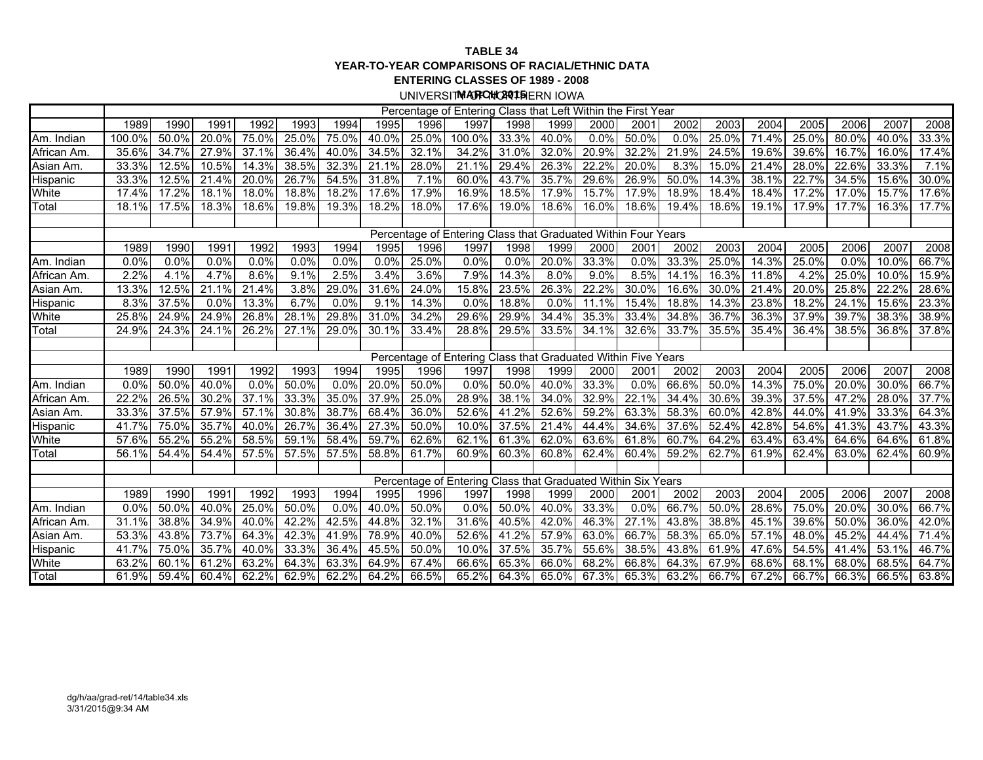#### **TABLE 34 YEAR-TO-YEAR COMPARISONS OF RACIAL/ETHNIC DATAENTERING CLASSES OF 1989 - 2008**

UNIVERSIT**MARCHO2O15**IERN IOWA

|                 |        |          |       |       |       |          |       |       | Percentage of Entering Class that Left Within the First Year  |       |       |       |         |       |          |          |       |       |       |       |
|-----------------|--------|----------|-------|-------|-------|----------|-------|-------|---------------------------------------------------------------|-------|-------|-------|---------|-------|----------|----------|-------|-------|-------|-------|
|                 | 1989   | 1990     | 1991  | 1992  | 1993  | 1994     | 1995  | 1996  | 1997                                                          | 1998  | 1999  | 2000  | 2001    | 2002  | 2003     | 2004     | 2005  | 2006  | 2007  | 2008  |
| Am. Indian      | 100.0% | 50.0%    | 20.0% | 75.0% | 25.0% | 75.0%    | 40.0% | 25.0% | $100.0\%$                                                     | 33.3% | 40.0% | 0.0%  | 50.0%   | 0.0%  | 25.0%    | 71.4%    | 25.0% | 80.0% | 40.0% | 33.3% |
| African Am.     | 35.6%  | 34.7%    | 27.9% | 37.1% | 36.4% | $40.0\%$ | 34.5% | 32.1% | 34.2%                                                         | 31.0% | 32.0% | 20.9% | 32.2%   | 21.9% | 24.5%    | 19.6%    | 39.6% | 16.7% | 16.0% | 17.4% |
| Asian Am.       | 33.3%  | 12.5%    | 10.5% | 14.3% | 38.5% | 32.3%    | 21.1% | 28.0% | 21.1%                                                         | 29.4% | 26.3% | 22.2% | 20.0%   | 8.3%  | 15.0%    | 21.4%    | 28.0% | 22.6% | 33.3% | 7.1%  |
| <b>Hispanic</b> | 33.3%  | $12.5\%$ | 21.4% | 20.0% | 26.7% | 54.5%    | 31.8% | 7.1%  | 60.0%                                                         | 43.7% | 35.7% | 29.6% | 26.9%   | 50.0% | 14.3%    | 38.1%    | 22.7% | 34.5% | 15.6% | 30.0% |
| White           | 17.4%  | 17.2%    | 18.1% | 18.0% | 18.8% | 18.2%    | 17.6% | 17.9% | 16.9%                                                         | 18.5% | 17.9% | 15.7% | 17.9%   | 18.9% | 18.4%    | 18.4%    | 17.2% | 17.0% | 15.7% | 17.6% |
| Total           | 18.1%  | 17.5%    | 18.3% | 18.6% | 19.8% | 19.3%    | 18.2% | 18.0% | 17.6%                                                         | 19.0% | 18.6% | 16.0% | 18.6%   | 19.4% | 18.6%    | 19.1%    | 17.9% | 17.7% | 16.3% | 17.7% |
|                 |        |          |       |       |       |          |       |       |                                                               |       |       |       |         |       |          |          |       |       |       |       |
|                 |        |          |       |       |       |          |       |       | Percentage of Entering Class that Graduated Within Four Years |       |       |       |         |       |          |          |       |       |       |       |
|                 | 1989   | 1990     | 1991  | 1992  | 1993  | 1994     | 1995  | 1996  | 1997                                                          | 1998  | 1999  | 2000  | 2001    | 2002  | 2003     | 2004     | 2005  | 2006  | 2007  | 2008  |
| Am. Indian      | 0.0%   | 0.0%     | 0.0%  | 0.0%  | 0.0%  | 0.0%     | 0.0%  | 25.0% | 0.0%                                                          | 0.0%  | 20.0% | 33.3% | 0.0%    | 33.3% | 25.0%    | $14.3\%$ | 25.0% | 0.0%  | 10.0% | 66.7% |
| African Am.     | 2.2%   | 4.1%     | 4.7%  | 8.6%  | 9.1%  | 2.5%     | 3.4%  | 3.6%  | 7.9%                                                          | 14.3% | 8.0%  | 9.0%  | 8.5%    | 14.1% | 16.3%    | 11.8%    | 4.2%  | 25.0% | 10.0% | 15.9% |
| Asian Am.       | 13.3%  | 12.5%    | 21.1% | 21.4% | 3.8%  | 29.0%    | 31.6% | 24.0% | 15.8%                                                         | 23.5% | 26.3% | 22.2% | 30.0%   | 16.6% | 30.0%    | 21.4%    | 20.0% | 25.8% | 22.2% | 28.6% |
| Hispanic        | 8.3%   | 37.5%    | 0.0%  | 13.3% | 6.7%  | 0.0%     | 9.1%  | 14.3% | 0.0%                                                          | 18.8% | 0.0%  | 11.1% | 15.4%   | 18.8% | 14.3%    | 23.8%    | 18.2% | 24.1% | 15.6% | 23.3% |
| White           | 25.8%  | 24.9%    | 24.9% | 26.8% | 28.1% | 29.8%    | 31.0% | 34.2% | 29.6%                                                         | 29.9% | 34.4% | 35.3% | 33.4%   | 34.8% | 36.7%    | 36.3%    | 37.9% | 39.7% | 38.3% | 38.9% |
| Total           | 24.9%  | $24.3\%$ | 24.1% | 26.2% | 27.1% | 29.0%    | 30.1% | 33.4% | 28.8%                                                         | 29.5% | 33.5% | 34.1% | 32.6%   | 33.7% | 35.5%    | 35.4%    | 36.4% | 38.5% | 36.8% | 37.8% |
|                 |        |          |       |       |       |          |       |       |                                                               |       |       |       |         |       |          |          |       |       |       |       |
|                 |        |          |       |       |       |          |       |       | Percentage of Entering Class that Graduated Within Five Years |       |       |       |         |       |          |          |       |       |       |       |
|                 | 1989   | 1990     | 1991  | 1992  | 1993  | 1994     | 1995  | 1996  | 1997                                                          | 1998  | 1999  | 2000  | 2001    | 2002  | 2003     | 2004     | 2005  | 2006  | 2007  | 2008  |
| Am. Indian      | 0.0%   | 50.0%    | 40.0% | 0.0%  | 50.0% | 0.0%     | 20.0% | 50.0% | 0.0%                                                          | 50.0% | 40.0% | 33.3% | $0.0\%$ | 66.6% | $50.0\%$ | 14.3%    | 75.0% | 20.0% | 30.0% | 66.7% |
| African Am.     | 22.2%  | 26.5%    | 30.2% | 37.1% | 33.3% | 35.0%    | 37.9% | 25.0% | 28.9%                                                         | 38.1% | 34.0% | 32.9% | 22.1%   | 34.4% | 30.6%    | 39.3%    | 37.5% | 47.2% | 28.0% | 37.7% |
| Asian Am.       | 33.3%  | 37.5%    | 57.9% | 57.1% | 30.8% | 38.7%    | 68.4% | 36.0% | 52.6%                                                         | 41.2% | 52.6% | 59.2% | 63.3%   | 58.3% | 60.0%    | 42.8%    | 44.0% | 41.9% | 33.3% | 64.3% |
| Hispanic        | 41.7%  | 75.0%    | 35.7% | 40.0% | 26.7% | 36.4%    | 27.3% | 50.0% | 10.0%                                                         | 37.5% | 21.4% | 44.4% | 34.6%   | 37.6% | 52.4%    | 42.8%    | 54.6% | 41.3% | 43.7% | 43.3% |
| White           | 57.6%  | 55.2%    | 55.2% | 58.5% | 59.1% | 58.4%    | 59.7% | 62.6% | 62.1%                                                         | 61.3% | 62.0% | 63.6% | 61.8%   | 60.7% | 64.2%    | 63.4%    | 63.4% | 64.6% | 64.6% | 61.8% |
| Total           | 56.1%  | 54.4%    | 54.4% | 57.5% | 57.5% | 57.5%    | 58.8% | 61.7% | 60.9%                                                         | 60.3% | 60.8% | 62.4% | 60.4%   | 59.2% | 62.7%    | 61.9%    | 62.4% | 63.0% | 62.4% | 60.9% |
|                 |        |          |       |       |       |          |       |       |                                                               |       |       |       |         |       |          |          |       |       |       |       |
|                 |        |          |       |       |       |          |       |       | Percentage of Entering Class that Graduated Within Six Years  |       |       |       |         |       |          |          |       |       |       |       |
|                 | 1989   | 1990     | 1991  | 1992  | 1993  | 1994     | 1995  | 1996  | 1997                                                          | 1998  | 1999  | 2000  | 2001    | 2002  | 2003     | 2004     | 2005  | 2006  | 2007  | 2008  |
| Am. Indian      | 0.0%   | 50.0%    | 40.0% | 25.0% | 50.0% | 0.0%     | 40.0% | 50.0% | 0.0%                                                          | 50.0% | 40.0% | 33.3% | 0.0%    | 66.7% | 50.0%    | 28.6%    | 75.0% | 20.0% | 30.0% | 66.7% |
| African Am.     | 31.1%  | 38.8%    | 34.9% | 40.0% | 42.2% | 42.5%    | 44.8% | 32.1% | 31.6%                                                         | 40.5% | 42.0% | 46.3% | 27.1%   | 43.8% | 38.8%    | 45.1%    | 39.6% | 50.0% | 36.0% | 42.0% |
| Asian Am.       | 53.3%  | 43.8%    | 73.7% | 64.3% | 42.3% | 41.9%    | 78.9% | 40.0% | 52.6%                                                         | 41.2% | 57.9% | 63.0% | 66.7%   | 58.3% | 65.0%    | 57.1%    | 48.0% | 45.2% | 44.4% | 71.4% |
| <b>Hispanic</b> | 41.7%  | 75.0%    | 35.7% | 40.0% | 33.3% | 36.4%    | 45.5% | 50.0% | 10.0%                                                         | 37.5% | 35.7% | 55.6% | 38.5%   | 43.8% | 61.9%    | 47.6%    | 54.5% | 41.4% | 53.1% | 46.7% |
| White           | 63.2%  | 60.1%    | 61.2% | 63.2% | 64.3% | 63.3%    | 64.9% | 67.4% | 66.6%                                                         | 65.3% | 66.0% | 68.2% | 66.8%   | 64.3% | 67.9%    | 68.6%    | 68.1% | 68.0% | 68.5% | 64.7% |
| Total           | 61.9%  | 59.4%    | 60.4% | 62.2% | 62.9% | 62.2%    | 64.2% | 66.5% | 65.2%                                                         | 64.3% | 65.0% | 67.3% | 65.3%   | 63.2% | 66.7%    | 67.2%    | 66.7% | 66.3% | 66.5% | 63.8% |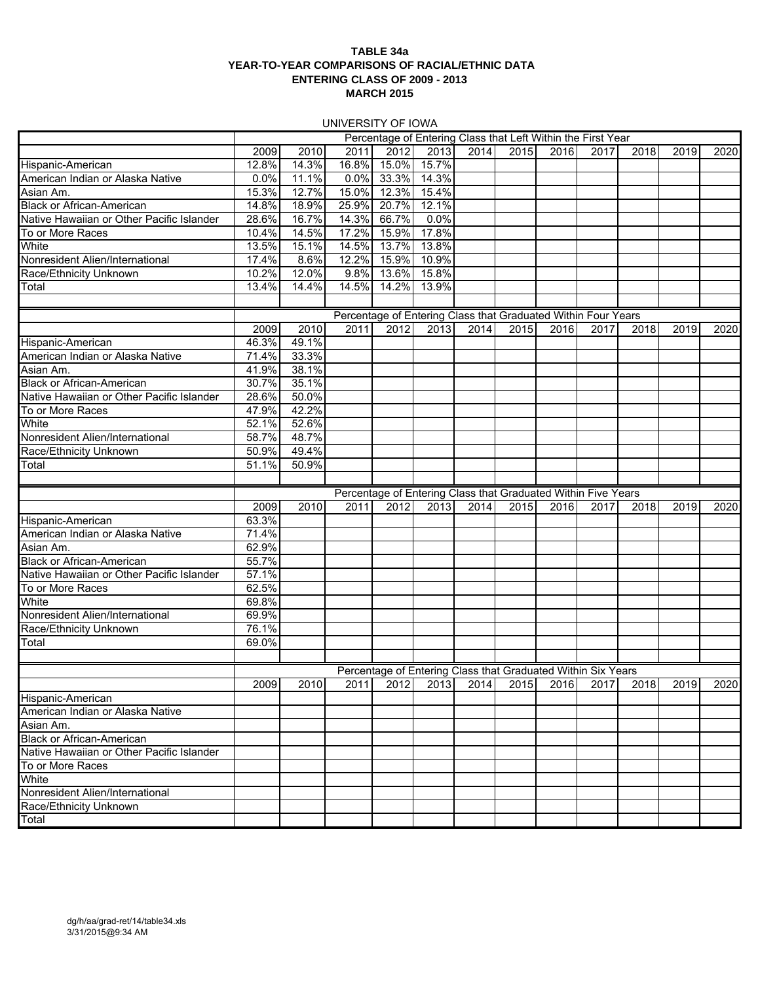### **TABLE 34a YEAR-TO-YEAR COMPARISONS OF RACIAL/ETHNIC DATA ENTERING CLASS OF 2009 - 2013 MARCH 2015**

UNIVERSITY OF IOWA

|                                           |       |                |       |       | Percentage of Entering Class that Left Within the First Year          |      |      |      |      |                                         |      |      |
|-------------------------------------------|-------|----------------|-------|-------|-----------------------------------------------------------------------|------|------|------|------|-----------------------------------------|------|------|
|                                           | 2009  | 2010           | 2011  | 2012  | 2013                                                                  | 2014 | 2015 | 2016 | 2017 | 2018                                    | 2019 | 2020 |
| Hispanic-American                         | 12.8% | 14.3%          | 16.8% | 15.0% | 15.7%                                                                 |      |      |      |      |                                         |      |      |
| American Indian or Alaska Native          | 0.0%  | 11.1%          | 0.0%  | 33.3% | 14.3%                                                                 |      |      |      |      |                                         |      |      |
| Asian Am.                                 | 15.3% | 12.7%          | 15.0% | 12.3% | 15.4%                                                                 |      |      |      |      |                                         |      |      |
| <b>Black or African-American</b>          | 14.8% | 18.9%          | 25.9% | 20.7% | 12.1%                                                                 |      |      |      |      |                                         |      |      |
| Native Hawaiian or Other Pacific Islander | 28.6% | 16.7%          | 14.3% | 66.7% | 0.0%                                                                  |      |      |      |      |                                         |      |      |
| To or More Races                          | 10.4% | 14.5%          | 17.2% | 15.9% | 17.8%                                                                 |      |      |      |      |                                         |      |      |
| White                                     | 13.5% | 15.1%          | 14.5% | 13.7% | 13.8%                                                                 |      |      |      |      |                                         |      |      |
| Nonresident Alien/International           | 17.4% | 8.6%           | 12.2% | 15.9% | 10.9%                                                                 |      |      |      |      |                                         |      |      |
| Race/Ethnicity Unknown                    | 10.2% | 12.0%          | 9.8%  | 13.6% | 15.8%                                                                 |      |      |      |      |                                         |      |      |
| Total                                     | 13.4% | 14.4%          | 14.5% | 14.2% | 13.9%                                                                 |      |      |      |      |                                         |      |      |
|                                           |       |                |       |       |                                                                       |      |      |      |      |                                         |      |      |
|                                           |       |                |       |       |                                                                       |      |      |      |      |                                         |      |      |
|                                           | 2009  | 2010           | 2011  | 2012  | Percentage of Entering Class that Graduated Within Four Years<br>2013 | 2014 | 2015 | 2016 | 2017 | 2018                                    | 2019 | 2020 |
| Hispanic-American                         | 46.3% | 49.1%          |       |       |                                                                       |      |      |      |      |                                         |      |      |
| American Indian or Alaska Native          | 71.4% | 33.3%          |       |       |                                                                       |      |      |      |      |                                         |      |      |
| Asian Am.                                 | 41.9% | 38.1%          |       |       |                                                                       |      |      |      |      |                                         |      |      |
| <b>Black or African-American</b>          | 30.7% | 35.1%          |       |       |                                                                       |      |      |      |      |                                         |      |      |
| Native Hawaiian or Other Pacific Islander | 28.6% | 50.0%          |       |       |                                                                       |      |      |      |      |                                         |      |      |
|                                           | 47.9% | 42.2%          |       |       |                                                                       |      |      |      |      |                                         |      |      |
| To or More Races<br>White                 | 52.1% | 52.6%          |       |       |                                                                       |      |      |      |      |                                         |      |      |
| Nonresident Alien/International           | 58.7% | 48.7%          |       |       |                                                                       |      |      |      |      |                                         |      |      |
|                                           | 50.9% |                |       |       |                                                                       |      |      |      |      |                                         |      |      |
| Race/Ethnicity Unknown                    | 51.1% | 49.4%<br>50.9% |       |       |                                                                       |      |      |      |      |                                         |      |      |
| Total                                     |       |                |       |       |                                                                       |      |      |      |      |                                         |      |      |
|                                           |       |                |       |       |                                                                       |      |      |      |      |                                         |      |      |
|                                           | 2009  | 2010           | 2011  | 2012  | Percentage of Entering Class that Graduated Within Five Years<br>2013 | 2014 | 2015 | 2016 | 2017 | 2018I                                   | 2019 | 2020 |
| Hispanic-American                         | 63.3% |                |       |       |                                                                       |      |      |      |      |                                         |      |      |
| American Indian or Alaska Native          | 71.4% |                |       |       |                                                                       |      |      |      |      |                                         |      |      |
| Asian Am.                                 | 62.9% |                |       |       |                                                                       |      |      |      |      |                                         |      |      |
| <b>Black or African-American</b>          | 55.7% |                |       |       |                                                                       |      |      |      |      |                                         |      |      |
| Native Hawaiian or Other Pacific Islander | 57.1% |                |       |       |                                                                       |      |      |      |      |                                         |      |      |
| To or More Races                          | 62.5% |                |       |       |                                                                       |      |      |      |      |                                         |      |      |
| White                                     | 69.8% |                |       |       |                                                                       |      |      |      |      |                                         |      |      |
| Nonresident Alien/International           | 69.9% |                |       |       |                                                                       |      |      |      |      |                                         |      |      |
| Race/Ethnicity Unknown                    | 76.1% |                |       |       |                                                                       |      |      |      |      |                                         |      |      |
| Total                                     | 69.0% |                |       |       |                                                                       |      |      |      |      |                                         |      |      |
|                                           |       |                |       |       |                                                                       |      |      |      |      |                                         |      |      |
|                                           |       |                |       |       | Percentage of Entering Class that Graduated Within Six Years          |      |      |      |      |                                         |      |      |
|                                           | 2009  | 2010           |       |       |                                                                       |      |      |      |      | 2011 2012 2013 2014 2015 2016 2017 2018 | 2019 | 2020 |
| Hispanic-American                         |       |                |       |       |                                                                       |      |      |      |      |                                         |      |      |
| American Indian or Alaska Native          |       |                |       |       |                                                                       |      |      |      |      |                                         |      |      |
| Asian Am.                                 |       |                |       |       |                                                                       |      |      |      |      |                                         |      |      |
| <b>Black or African-American</b>          |       |                |       |       |                                                                       |      |      |      |      |                                         |      |      |
| Native Hawaiian or Other Pacific Islander |       |                |       |       |                                                                       |      |      |      |      |                                         |      |      |
| To or More Races                          |       |                |       |       |                                                                       |      |      |      |      |                                         |      |      |
| White                                     |       |                |       |       |                                                                       |      |      |      |      |                                         |      |      |
| Nonresident Alien/International           |       |                |       |       |                                                                       |      |      |      |      |                                         |      |      |
| Race/Ethnicity Unknown                    |       |                |       |       |                                                                       |      |      |      |      |                                         |      |      |
| Total                                     |       |                |       |       |                                                                       |      |      |      |      |                                         |      |      |
|                                           |       |                |       |       |                                                                       |      |      |      |      |                                         |      |      |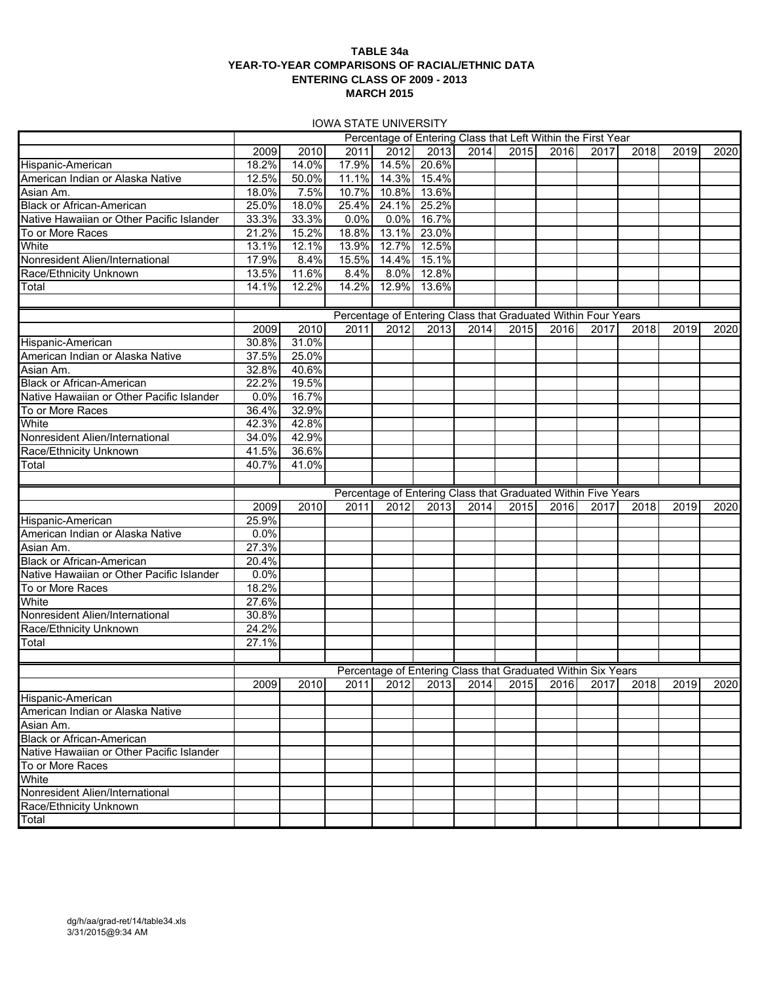### **TABLE 34a YEAR-TO-YEAR COMPARISONS OF RACIAL/ETHNIC DATA ENTERING CLASS OF 2009 - 2013 MARCH 2015**

IOWA STATE UNIVERSITY

|                                           |       |       |       |       | Percentage of Entering Class that Left Within the First Year  |      |      |      |      |                                                   |      |      |
|-------------------------------------------|-------|-------|-------|-------|---------------------------------------------------------------|------|------|------|------|---------------------------------------------------|------|------|
|                                           | 2009  | 2010  | 2011  | 2012  | 2013                                                          | 2014 | 2015 | 2016 | 2017 | 2018                                              | 2019 | 2020 |
| Hispanic-American                         | 18.2% | 14.0% | 17.9% | 14.5% | 20.6%                                                         |      |      |      |      |                                                   |      |      |
| American Indian or Alaska Native          | 12.5% | 50.0% | 11.1% | 14.3% | 15.4%                                                         |      |      |      |      |                                                   |      |      |
| Asian Am.                                 | 18.0% | 7.5%  | 10.7% | 10.8% | 13.6%                                                         |      |      |      |      |                                                   |      |      |
| <b>Black or African-American</b>          | 25.0% | 18.0% | 25.4% | 24.1% | 25.2%                                                         |      |      |      |      |                                                   |      |      |
| Native Hawaiian or Other Pacific Islander | 33.3% | 33.3% | 0.0%  | 0.0%  | 16.7%                                                         |      |      |      |      |                                                   |      |      |
| To or More Races                          | 21.2% | 15.2% | 18.8% | 13.1% | 23.0%                                                         |      |      |      |      |                                                   |      |      |
| White                                     | 13.1% | 12.1% | 13.9% | 12.7% | 12.5%                                                         |      |      |      |      |                                                   |      |      |
| Nonresident Alien/International           | 17.9% | 8.4%  | 15.5% | 14.4% | 15.1%                                                         |      |      |      |      |                                                   |      |      |
| Race/Ethnicity Unknown                    | 13.5% | 11.6% | 8.4%  | 8.0%  | 12.8%                                                         |      |      |      |      |                                                   |      |      |
| Total                                     | 14.1% | 12.2% | 14.2% |       | 12.9% 13.6%                                                   |      |      |      |      |                                                   |      |      |
|                                           |       |       |       |       |                                                               |      |      |      |      |                                                   |      |      |
|                                           |       |       |       |       | Percentage of Entering Class that Graduated Within Four Years |      |      |      |      |                                                   |      |      |
|                                           | 2009  | 2010  | 2011  | 2012  | 2013                                                          | 2014 | 2015 | 2016 | 2017 | 2018                                              | 2019 | 2020 |
| Hispanic-American                         | 30.8% | 31.0% |       |       |                                                               |      |      |      |      |                                                   |      |      |
| American Indian or Alaska Native          | 37.5% | 25.0% |       |       |                                                               |      |      |      |      |                                                   |      |      |
| Asian Am.                                 | 32.8% | 40.6% |       |       |                                                               |      |      |      |      |                                                   |      |      |
| <b>Black or African-American</b>          | 22.2% | 19.5% |       |       |                                                               |      |      |      |      |                                                   |      |      |
| Native Hawaiian or Other Pacific Islander | 0.0%  | 16.7% |       |       |                                                               |      |      |      |      |                                                   |      |      |
| To or More Races                          | 36.4% | 32.9% |       |       |                                                               |      |      |      |      |                                                   |      |      |
| White                                     | 42.3% | 42.8% |       |       |                                                               |      |      |      |      |                                                   |      |      |
| Nonresident Alien/International           | 34.0% | 42.9% |       |       |                                                               |      |      |      |      |                                                   |      |      |
| Race/Ethnicity Unknown                    | 41.5% | 36.6% |       |       |                                                               |      |      |      |      |                                                   |      |      |
| Total                                     | 40.7% | 41.0% |       |       |                                                               |      |      |      |      |                                                   |      |      |
|                                           |       |       |       |       |                                                               |      |      |      |      |                                                   |      |      |
|                                           |       |       |       |       |                                                               |      |      |      |      |                                                   |      |      |
|                                           |       |       |       |       |                                                               |      |      |      |      |                                                   |      |      |
|                                           |       |       |       |       | Percentage of Entering Class that Graduated Within Five Years |      |      |      |      |                                                   |      |      |
|                                           | 2009  | 2010  | 2011  | 2012  | 2013                                                          | 2014 | 2015 | 2016 | 2017 | 2018                                              | 2019 | 2020 |
| Hispanic-American                         | 25.9% |       |       |       |                                                               |      |      |      |      |                                                   |      |      |
| American Indian or Alaska Native          | 0.0%  |       |       |       |                                                               |      |      |      |      |                                                   |      |      |
| Asian Am.                                 | 27.3% |       |       |       |                                                               |      |      |      |      |                                                   |      |      |
| <b>Black or African-American</b>          | 20.4% |       |       |       |                                                               |      |      |      |      |                                                   |      |      |
| Native Hawaiian or Other Pacific Islander | 0.0%  |       |       |       |                                                               |      |      |      |      |                                                   |      |      |
| To or More Races                          | 18.2% |       |       |       |                                                               |      |      |      |      |                                                   |      |      |
| White                                     | 27.6% |       |       |       |                                                               |      |      |      |      |                                                   |      |      |
| Nonresident Alien/International           | 30.8% |       |       |       |                                                               |      |      |      |      |                                                   |      |      |
| Race/Ethnicity Unknown                    | 24.2% |       |       |       |                                                               |      |      |      |      |                                                   |      |      |
| Total                                     | 27.1% |       |       |       |                                                               |      |      |      |      |                                                   |      |      |
|                                           |       |       |       |       |                                                               |      |      |      |      |                                                   |      |      |
|                                           |       |       |       |       | Percentage of Entering Class that Graduated Within Six Years  |      |      |      |      |                                                   |      |      |
|                                           | 2009  | 2010  |       |       |                                                               |      |      |      |      | 2011 2012 2013 2014 2015 2016 2017 2018 2019 2020 |      |      |
| Hispanic-American                         |       |       |       |       |                                                               |      |      |      |      |                                                   |      |      |
| American Indian or Alaska Native          |       |       |       |       |                                                               |      |      |      |      |                                                   |      |      |
| Asian Am.                                 |       |       |       |       |                                                               |      |      |      |      |                                                   |      |      |
| <b>Black or African-American</b>          |       |       |       |       |                                                               |      |      |      |      |                                                   |      |      |
| Native Hawaiian or Other Pacific Islander |       |       |       |       |                                                               |      |      |      |      |                                                   |      |      |
| To or More Races                          |       |       |       |       |                                                               |      |      |      |      |                                                   |      |      |
| White                                     |       |       |       |       |                                                               |      |      |      |      |                                                   |      |      |
| Nonresident Alien/International           |       |       |       |       |                                                               |      |      |      |      |                                                   |      |      |
| Race/Ethnicity Unknown<br>Total           |       |       |       |       |                                                               |      |      |      |      |                                                   |      |      |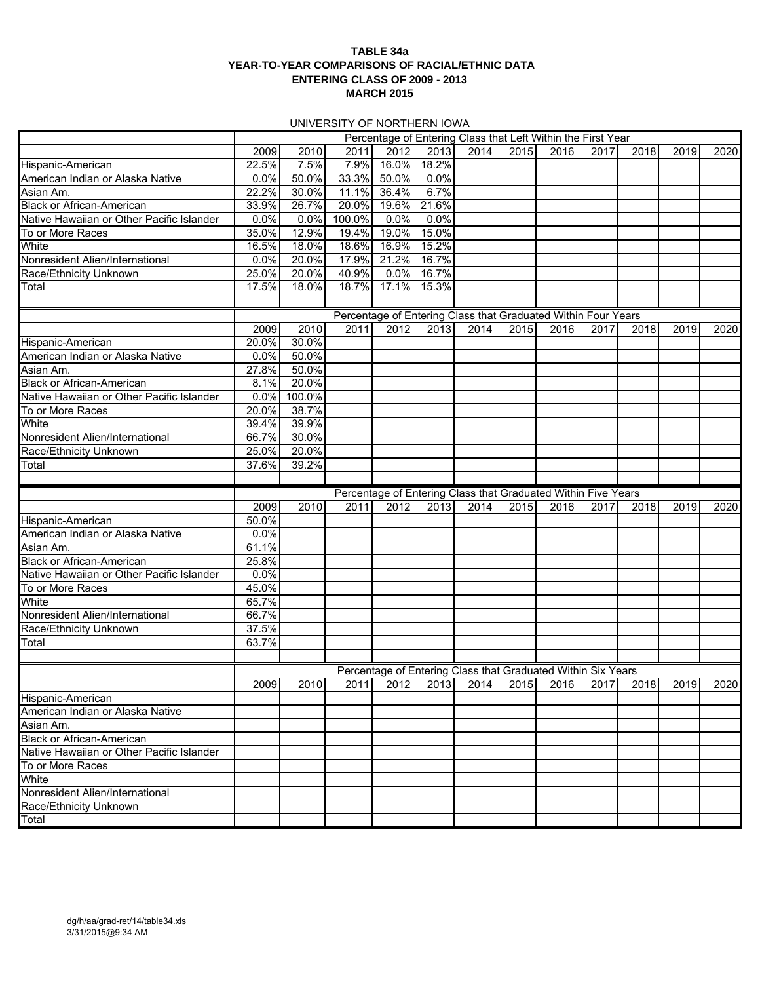### **TABLE 34a YEAR-TO-YEAR COMPARISONS OF RACIAL/ETHNIC DATA ENTERING CLASS OF 2009 - 2013 MARCH 2015**

### UNIVERSITY OF NORTHERN IOWA

|                                           |       |        |        |       | Percentage of Entering Class that Left Within the First Year  |      |      |      |      |                                         |      |      |
|-------------------------------------------|-------|--------|--------|-------|---------------------------------------------------------------|------|------|------|------|-----------------------------------------|------|------|
|                                           | 2009  | 2010   | 2011   | 2012  | 2013                                                          | 2014 | 2015 | 2016 | 2017 | 2018                                    | 2019 | 2020 |
| Hispanic-American                         | 22.5% | 7.5%   | 7.9%   | 16.0% | 18.2%                                                         |      |      |      |      |                                         |      |      |
| American Indian or Alaska Native          | 0.0%  | 50.0%  | 33.3%  | 50.0% | 0.0%                                                          |      |      |      |      |                                         |      |      |
| Asian Am.                                 | 22.2% | 30.0%  | 11.1%  | 36.4% | 6.7%                                                          |      |      |      |      |                                         |      |      |
| <b>Black or African-American</b>          | 33.9% | 26.7%  | 20.0%  | 19.6% | 21.6%                                                         |      |      |      |      |                                         |      |      |
| Native Hawaiian or Other Pacific Islander | 0.0%  | 0.0%   | 100.0% | 0.0%  | 0.0%                                                          |      |      |      |      |                                         |      |      |
| To or More Races                          | 35.0% | 12.9%  | 19.4%  | 19.0% | 15.0%                                                         |      |      |      |      |                                         |      |      |
| White                                     | 16.5% | 18.0%  | 18.6%  | 16.9% | 15.2%                                                         |      |      |      |      |                                         |      |      |
| Nonresident Alien/International           | 0.0%  | 20.0%  | 17.9%  | 21.2% | 16.7%                                                         |      |      |      |      |                                         |      |      |
| Race/Ethnicity Unknown                    | 25.0% | 20.0%  | 40.9%  | 0.0%  | 16.7%                                                         |      |      |      |      |                                         |      |      |
| Total                                     | 17.5% | 18.0%  | 18.7%  | 17.1% | 15.3%                                                         |      |      |      |      |                                         |      |      |
|                                           |       |        |        |       |                                                               |      |      |      |      |                                         |      |      |
|                                           |       |        |        |       | Percentage of Entering Class that Graduated Within Four Years |      |      |      |      |                                         |      |      |
|                                           | 2009  | 2010   | 2011   | 2012  | 2013                                                          | 2014 | 2015 | 2016 | 2017 | 2018                                    | 2019 | 2020 |
| Hispanic-American                         | 20.0% | 30.0%  |        |       |                                                               |      |      |      |      |                                         |      |      |
| American Indian or Alaska Native          | 0.0%  | 50.0%  |        |       |                                                               |      |      |      |      |                                         |      |      |
| Asian Am.                                 | 27.8% | 50.0%  |        |       |                                                               |      |      |      |      |                                         |      |      |
| <b>Black or African-American</b>          | 8.1%  | 20.0%  |        |       |                                                               |      |      |      |      |                                         |      |      |
| Native Hawaiian or Other Pacific Islander | 0.0%  | 100.0% |        |       |                                                               |      |      |      |      |                                         |      |      |
| To or More Races                          | 20.0% | 38.7%  |        |       |                                                               |      |      |      |      |                                         |      |      |
| White                                     | 39.4% | 39.9%  |        |       |                                                               |      |      |      |      |                                         |      |      |
| Nonresident Alien/International           | 66.7% | 30.0%  |        |       |                                                               |      |      |      |      |                                         |      |      |
| Race/Ethnicity Unknown                    | 25.0% | 20.0%  |        |       |                                                               |      |      |      |      |                                         |      |      |
| Total                                     | 37.6% | 39.2%  |        |       |                                                               |      |      |      |      |                                         |      |      |
|                                           |       |        |        |       |                                                               |      |      |      |      |                                         |      |      |
|                                           |       |        |        |       | Percentage of Entering Class that Graduated Within Five Years |      |      |      |      |                                         |      |      |
|                                           | 2009  | 2010   | 2011   | 2012  | 2013                                                          | 2014 | 2015 | 2016 | 2017 | 2018                                    | 2019 | 2020 |
| Hispanic-American                         | 50.0% |        |        |       |                                                               |      |      |      |      |                                         |      |      |
| American Indian or Alaska Native          | 0.0%  |        |        |       |                                                               |      |      |      |      |                                         |      |      |
| Asian Am.                                 | 61.1% |        |        |       |                                                               |      |      |      |      |                                         |      |      |
| <b>Black or African-American</b>          | 25.8% |        |        |       |                                                               |      |      |      |      |                                         |      |      |
| Native Hawaiian or Other Pacific Islander | 0.0%  |        |        |       |                                                               |      |      |      |      |                                         |      |      |
| To or More Races                          | 45.0% |        |        |       |                                                               |      |      |      |      |                                         |      |      |
| White                                     | 65.7% |        |        |       |                                                               |      |      |      |      |                                         |      |      |
| Nonresident Alien/International           | 66.7% |        |        |       |                                                               |      |      |      |      |                                         |      |      |
| Race/Ethnicity Unknown                    | 37.5% |        |        |       |                                                               |      |      |      |      |                                         |      |      |
| Total                                     | 63.7% |        |        |       |                                                               |      |      |      |      |                                         |      |      |
|                                           |       |        |        |       |                                                               |      |      |      |      |                                         |      |      |
|                                           |       |        |        |       | Percentage of Entering Class that Graduated Within Six Years  |      |      |      |      |                                         |      |      |
|                                           | 2009  | 2010   |        |       |                                                               |      |      |      |      | 2011 2012 2013 2014 2015 2016 2017 2018 | 2019 | 2020 |
| Hispanic-American                         |       |        |        |       |                                                               |      |      |      |      |                                         |      |      |
| American Indian or Alaska Native          |       |        |        |       |                                                               |      |      |      |      |                                         |      |      |
| Asian Am.                                 |       |        |        |       |                                                               |      |      |      |      |                                         |      |      |
| <b>Black or African-American</b>          |       |        |        |       |                                                               |      |      |      |      |                                         |      |      |
| Native Hawaiian or Other Pacific Islander |       |        |        |       |                                                               |      |      |      |      |                                         |      |      |
| To or More Races                          |       |        |        |       |                                                               |      |      |      |      |                                         |      |      |
| White                                     |       |        |        |       |                                                               |      |      |      |      |                                         |      |      |
| Nonresident Alien/International           |       |        |        |       |                                                               |      |      |      |      |                                         |      |      |
| Race/Ethnicity Unknown<br>Total           |       |        |        |       |                                                               |      |      |      |      |                                         |      |      |
|                                           |       |        |        |       |                                                               |      |      |      |      |                                         |      |      |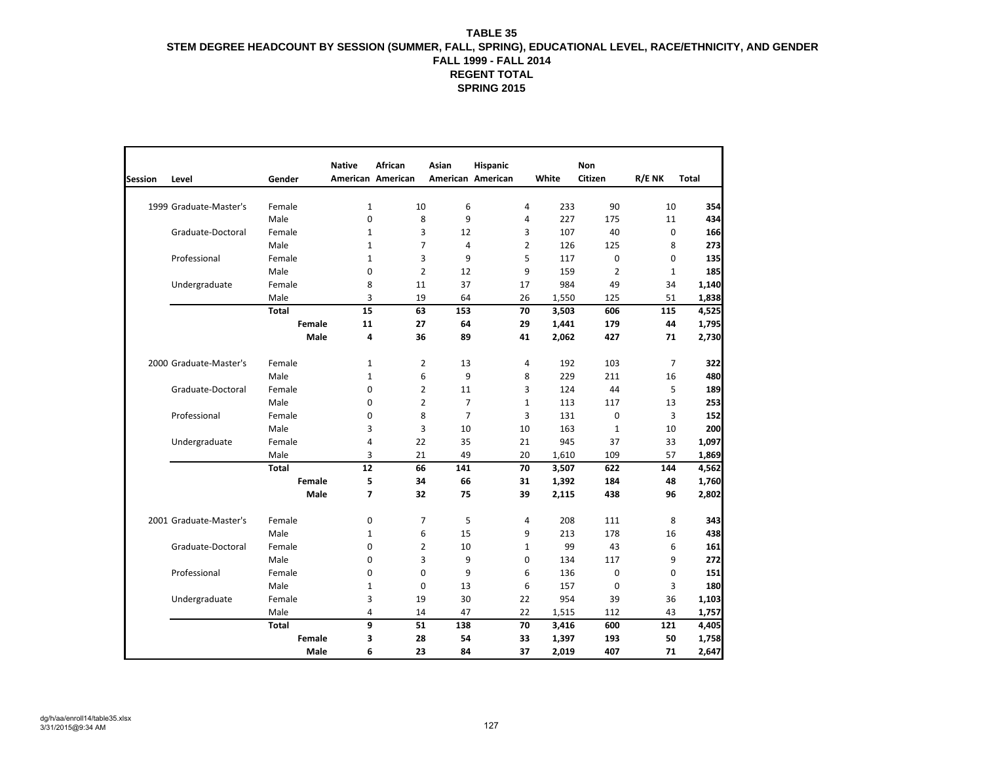|                |                        |               | <b>Native</b> | <b>African</b>    | Asian          | Hispanic          |                       | Non            |                |       |
|----------------|------------------------|---------------|---------------|-------------------|----------------|-------------------|-----------------------|----------------|----------------|-------|
| <b>Session</b> | Level                  | Gender        |               | American American |                | American American | White                 | Citizen        | R/E NK         | Total |
|                | 1999 Graduate-Master's | Female        | $\mathbf{1}$  | 10                | 6              |                   | 4<br>233              | 90             | 10             | 354   |
|                |                        | Male          | 0             | 8                 | 9              |                   | 227<br>4              | 175            | 11             | 434   |
|                | Graduate-Doctoral      | Female        | $\mathbf{1}$  | 3                 | 12             |                   | 3<br>107              | 40             | $\mathbf 0$    | 166   |
|                |                        | Male          | $\mathbf 1$   | $\overline{7}$    | 4              |                   | $\overline{2}$<br>126 | 125            | 8              | 273   |
|                | Professional           | Female        | $\mathbf{1}$  | 3                 | 9              |                   | 5<br>117              | 0              | $\Omega$       | 135   |
|                |                        | Male          | 0             | $\overline{2}$    | 12             |                   | 9<br>159              | $\overline{2}$ | $\mathbf{1}$   | 185   |
|                | Undergraduate          | Female        | 8             | 11                | 37             |                   | 984<br>17             | 49             | 34             | 1,140 |
|                |                        | Male          | 3             | 19                | 64             |                   | 26<br>1,550           | 125            | 51             | 1,838 |
|                |                        | <b>Total</b>  | 15            | 63                | 153            |                   | 70<br>3,503           | 606            | 115            | 4,525 |
|                |                        | <b>Female</b> | 11            | 27                | 64             |                   | 29<br>1,441           | 179            | 44             | 1,795 |
|                |                        | Male          | 4             | 36                | 89             |                   | 41<br>2,062           | 427            | 71             | 2,730 |
|                | 2000 Graduate-Master's | Female        | 1             | $\overline{2}$    | 13             |                   | 192<br>4              | 103            | $\overline{7}$ | 322   |
|                |                        | Male          | $\mathbf{1}$  | 6                 | 9              |                   | 8<br>229              | 211            | 16             | 480   |
|                | Graduate-Doctoral      | Female        | 0             | $\overline{2}$    | 11             |                   | 3<br>124              | 44             | 5              | 189   |
|                |                        | Male          | $\Omega$      | $\overline{2}$    | $\overline{7}$ |                   | 113<br>$\mathbf{1}$   | 117            | 13             | 253   |
|                | Professional           | Female        | 0             | 8                 | $\overline{7}$ |                   | 3<br>131              | 0              | 3              | 152   |
|                |                        | Male          | 3             | 3                 | 10             | 10                | 163                   | $\mathbf{1}$   | 10             | 200   |
|                | Undergraduate          | Female        | 4             | 22                | 35             |                   | 945<br>21             | 37             | 33             | 1,097 |
|                |                        | Male          | 3             | 21                | 49             |                   | 20<br>1,610           | 109            | 57             | 1,869 |
|                |                        | <b>Total</b>  | 12            | 66                | 141            |                   | 70<br>3,507           | 622            | 144            | 4,562 |
|                |                        | Female        | 5             | 34                | 66             |                   | 1,392<br>31           | 184            | 48             | 1,760 |
|                |                        | Male          | 7             | 32                | 75             | 39                | 2,115                 | 438            | 96             | 2,802 |
|                | 2001 Graduate-Master's | Female        | 0             | $\overline{7}$    | 5              |                   | 208<br>4              | 111            | 8              | 343   |
|                |                        | Male          | $\mathbf{1}$  | 6                 | 15             |                   | 9<br>213              | 178            | 16             | 438   |
|                | Graduate-Doctoral      | Female        | $\Omega$      | $\overline{2}$    | 10             |                   | 99<br>$\mathbf{1}$    | 43             | 6              | 161   |
|                |                        | Male          | 0             | 3                 | 9              |                   | $\mathbf 0$<br>134    | 117            | 9              | 272   |
|                | Professional           | Female        | $\Omega$      | $\mathbf 0$       | 9              |                   | 6<br>136              | $\mathbf 0$    | $\Omega$       | 151   |
|                |                        | Male          | $\mathbf{1}$  | $\mathbf 0$       | 13             |                   | 6<br>157              | $\mathbf 0$    | 3              | 180   |
|                | Undergraduate          | Female        | 3             | 19                | 30             |                   | 22<br>954             | 39             | 36             | 1,103 |
|                |                        | Male          | 4             | 14                | 47             |                   | 22<br>1,515           | 112            | 43             | 1,757 |
|                |                        | Total         | 9             | 51                | 138            |                   | 70<br>3,416           | 600            | 121            | 4,405 |
|                |                        | Female        | 3             | 28                | 54             |                   | 33<br>1,397           | 193            | 50             | 1,758 |
|                |                        | <b>Male</b>   | 6             | 23                | 84             |                   | 37<br>2,019           | 407            | 71             | 2,647 |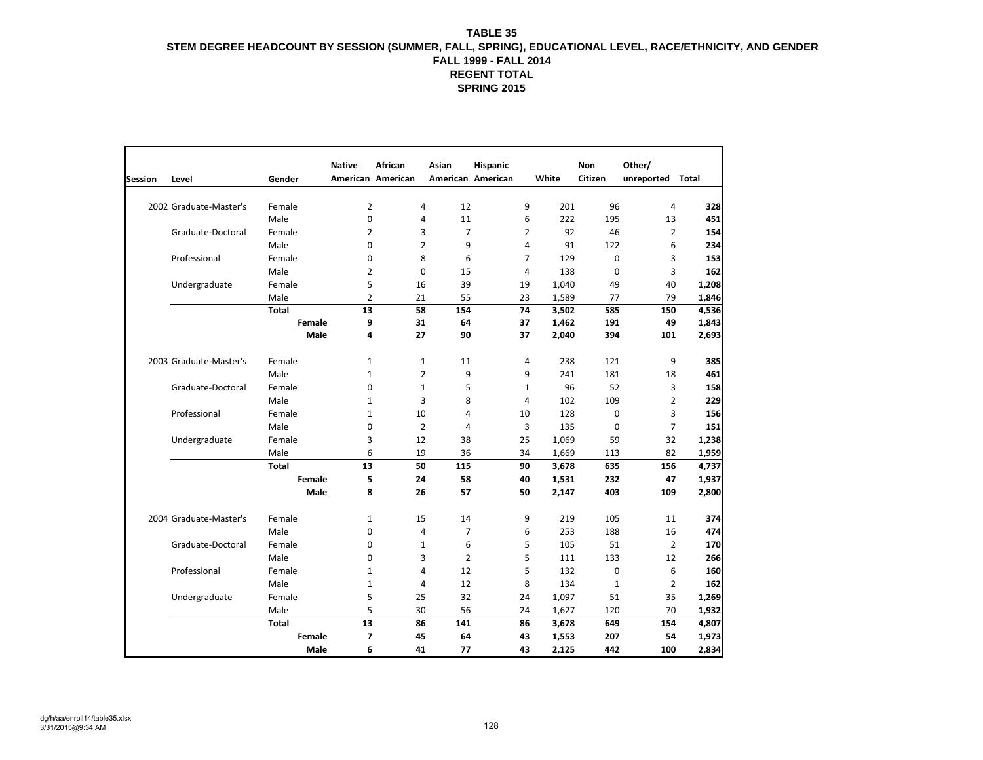|                |                        |              | <b>Native</b>     | African        | Asian             | Hispanic       |       | Non         | Other/           |       |
|----------------|------------------------|--------------|-------------------|----------------|-------------------|----------------|-------|-------------|------------------|-------|
| <b>Session</b> | Level                  | Gender       | American American |                | American American |                | White | Citizen     | unreported Total |       |
|                |                        |              |                   |                |                   |                |       |             |                  |       |
|                | 2002 Graduate-Master's | Female       | 2                 | $\overline{4}$ | 12                | 9              | 201   | 96          | 4                | 328   |
|                |                        | Male         | 0                 | 4              | 11                | 6              | 222   | 195         | 13               | 451   |
|                | Graduate-Doctoral      | Female       | 2                 | 3              | $\overline{7}$    | 2              | 92    | 46          | $\overline{2}$   | 154   |
|                |                        | Male         | $\Omega$          | $\overline{2}$ | 9                 | 4              | 91    | 122         | 6                | 234   |
|                | Professional           | Female       | $\Omega$          | 8              | 6                 | $\overline{7}$ | 129   | $\mathbf 0$ | 3                | 153   |
|                |                        | Male         | 2                 | $\mathbf 0$    | 15                | 4              | 138   | $\mathbf 0$ | 3                | 162   |
|                | Undergraduate          | Female       | 5                 | 16             | 39                | 19             | 1,040 | 49          | 40               | 1,208 |
|                |                        | Male         | $\overline{2}$    | 21             | 55                | 23             | 1,589 | 77          | 79               | 1,846 |
|                |                        | <b>Total</b> | 13                | 58             | 154               | 74             | 3,502 | 585         | 150              | 4,536 |
|                |                        | Female       | 9                 | 31             | 64                | 37             | 1,462 | 191         | 49               | 1,843 |
|                |                        | Male         | 4                 | 27             | 90                | 37             | 2,040 | 394         | 101              | 2,693 |
|                | 2003 Graduate-Master's | Female       | $\mathbf{1}$      | $\mathbf{1}$   | 11                | 4              | 238   | 121         | 9                | 385   |
|                |                        | Male         | $\mathbf{1}$      | $\overline{2}$ | 9                 | 9              | 241   | 181         | 18               | 461   |
|                | Graduate-Doctoral      | Female       | $\Omega$          | $\mathbf 1$    | 5                 | 1              | 96    | 52          | 3                | 158   |
|                |                        | Male         | 1                 | 3              | 8                 | 4              | 102   | 109         | $\overline{2}$   | 229   |
|                | Professional           | Female       | 1                 | 10             | $\overline{4}$    | 10             | 128   | $\mathbf 0$ | 3                | 156   |
|                |                        | Male         | 0                 | $\overline{2}$ | 4                 | 3              | 135   | $\mathbf 0$ | $\overline{7}$   | 151   |
|                | Undergraduate          | Female       | 3                 | 12             | 38                | 25             | 1,069 | 59          | 32               | 1,238 |
|                |                        | Male         | 6                 | 19             | 36                | 34             | 1,669 | 113         | 82               | 1,959 |
|                |                        | <b>Total</b> | 13                | 50             | 115               | 90             | 3,678 | 635         | 156              | 4,737 |
|                |                        | Female       | 5                 | 24             | 58                | 40             | 1,531 | 232         | 47               | 1,937 |
|                |                        | Male         | 8                 | 26             | 57                | 50             | 2,147 | 403         | 109              | 2,800 |
|                | 2004 Graduate-Master's | Female       | $\mathbf{1}$      | 15             | 14                | 9              | 219   | 105         | 11               | 374   |
|                |                        | Male         | 0                 | 4              | 7                 | 6              | 253   | 188         | 16               | 474   |
|                | Graduate-Doctoral      | Female       | $\Omega$          | $1\,$          | 6                 | 5              | 105   | 51          | $\overline{2}$   | 170   |
|                |                        | Male         | $\Omega$          | 3              | $\overline{2}$    | 5              | 111   | 133         | 12               | 266   |
|                | Professional           | Female       | 1                 | 4              | 12                | 5              | 132   | 0           | 6                | 160   |
|                |                        | Male         | $\mathbf{1}$      | 4              | 12                | 8              | 134   | $1\,$       | $\overline{2}$   | 162   |
|                | Undergraduate          | Female       | 5                 | 25             | 32                | 24             | 1,097 | 51          | 35               | 1,269 |
|                |                        | Male         | 5                 | 30             | 56                | 24             | 1,627 | 120         | 70               | 1,932 |
|                |                        | <b>Total</b> | 13                | 86             | 141               | 86             | 3,678 | 649         | 154              | 4,807 |
|                |                        | Female       | $\overline{7}$    | 45             | 64                | 43             | 1,553 | 207         | 54               | 1,973 |
|                |                        | Male         | 6                 | 41             | 77                | 43             | 2,125 | 442         | 100              | 2,834 |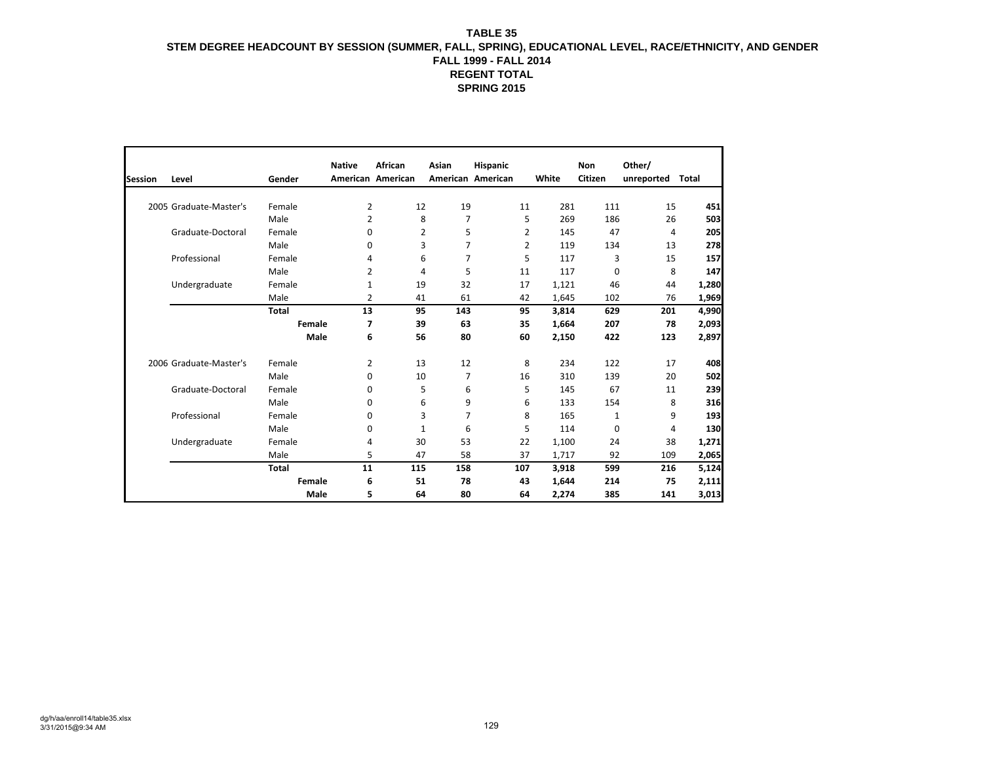|                |                        |              | <b>Native</b> | African           | Asian             | Hispanic |     |       | Non      | Other/           |       |
|----------------|------------------------|--------------|---------------|-------------------|-------------------|----------|-----|-------|----------|------------------|-------|
| <b>Session</b> | Level                  | Gender       |               | American American | American American |          |     | White | Citizen  | unreported Total |       |
|                |                        |              |               |                   |                   |          |     |       |          |                  |       |
|                | 2005 Graduate-Master's | Female       | 2             | 12                | 19                |          | 11  | 281   | 111      | 15               | 451   |
|                |                        | Male         | 2             | 8                 | 7                 |          | 5   | 269   | 186      | 26               | 503   |
|                | Graduate-Doctoral      | Female       | $\Omega$      | 2                 | 5                 |          | 2   | 145   | 47       | 4                | 205   |
|                |                        | Male         | 0             | 3                 | $\overline{7}$    |          | 2   | 119   | 134      | 13               | 278   |
|                | Professional           | Female       | 4             | 6                 | $\overline{7}$    |          | 5   | 117   | 3        | 15               | 157   |
|                |                        | Male         | 2             | 4                 | 5                 |          | 11  | 117   | 0        | 8                | 147   |
|                | Undergraduate          | Female       | 1             | 19                | 32                |          | 17  | 1,121 | 46       | 44               | 1,280 |
|                |                        | Male         | 2             | 41                | 61                |          | 42  | 1,645 | 102      | 76               | 1,969 |
|                |                        | <b>Total</b> | 13            | 95                | 143               |          | 95  | 3,814 | 629      | 201              | 4,990 |
|                |                        | Female       | 7             | 39                | 63                |          | 35  | 1,664 | 207      | 78               | 2,093 |
|                |                        | Male         | 6             | 56                | 80                |          | 60  | 2,150 | 422      | 123              | 2,897 |
|                | 2006 Graduate-Master's | Female       | 2             | 13                | 12                |          | 8   | 234   | 122      | 17               | 408   |
|                |                        | Male         | 0             | 10                | $\overline{7}$    |          | 16  | 310   | 139      | 20               | 502   |
|                | Graduate-Doctoral      | Female       | 0             | 5                 | 6                 |          | 5   | 145   | 67       | 11               | 239   |
|                |                        | Male         | 0             | 6                 | 9                 |          | 6   | 133   | 154      | 8                | 316   |
|                | Professional           | Female       | $\Omega$      | 3                 | $\overline{7}$    |          | 8   | 165   | 1        | 9                | 193   |
|                |                        | Male         | 0             | 1                 | 6                 |          | 5   | 114   | $\Omega$ | 4                | 130   |
|                | Undergraduate          | Female       | 4             | 30                | 53                |          | 22  | 1,100 | 24       | 38               | 1,271 |
|                |                        | Male         | 5             | 47                | 58                |          | 37  | 1,717 | 92       | 109              | 2,065 |
|                |                        | <b>Total</b> | 11            | 115               | 158               |          | 107 | 3,918 | 599      | 216              | 5,124 |
|                |                        | Female       | 6             | 51                | 78                |          | 43  | 1,644 | 214      | 75               | 2,111 |
|                |                        | <b>Male</b>  | 5             | 64                | 80                |          | 64  | 2,274 | 385      | 141              | 3,013 |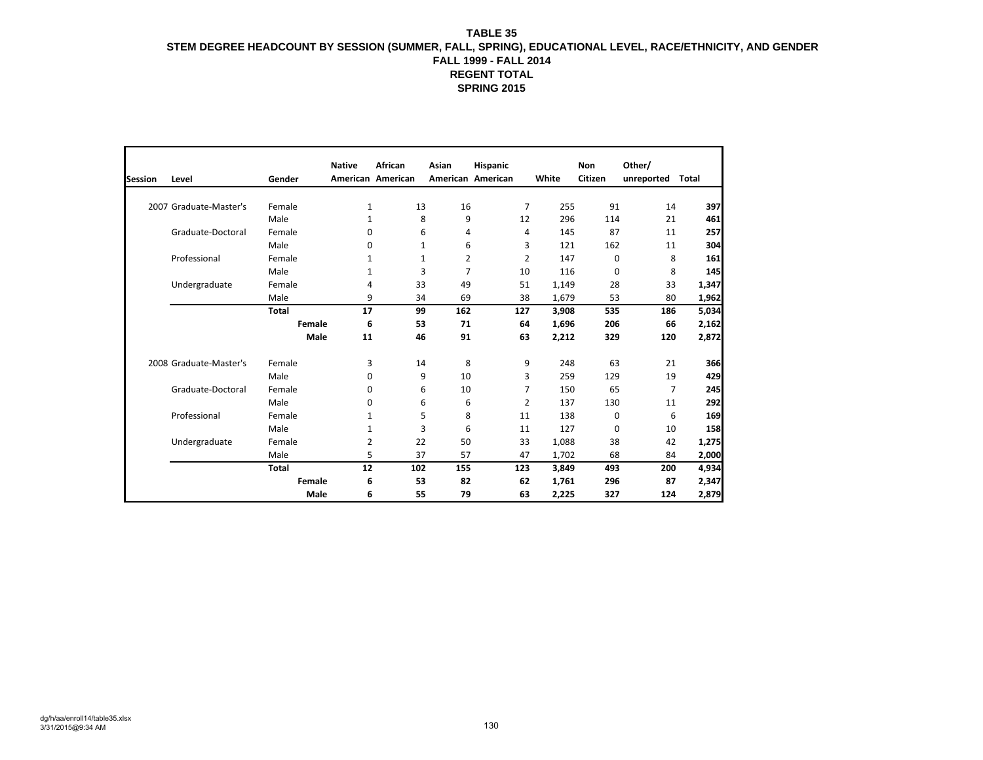|                |                        |               | <b>Native</b> | African           | Asian             | Hispanic       |       | <b>Non</b> | Other/     |       |
|----------------|------------------------|---------------|---------------|-------------------|-------------------|----------------|-------|------------|------------|-------|
| <b>Session</b> | Level                  | Gender        |               | American American | American American |                | White | Citizen    | unreported | Total |
|                |                        |               |               |                   |                   |                |       |            |            |       |
|                | 2007 Graduate-Master's | Female        | 1             | 13                | 16                | $\overline{7}$ | 255   | 91         | 14         | 397   |
|                |                        | Male          | 1             | 8                 | 9                 | 12             | 296   | 114        | 21         | 461   |
|                | Graduate-Doctoral      | Female        | 0             | 6                 | 4                 | 4              | 145   | 87         | 11         | 257   |
|                |                        | Male          | 0             | $\mathbf{1}$      | 6                 | 3              | 121   | 162        | 11         | 304   |
|                | Professional           | Female        | 1             | $\mathbf{1}$      | 2                 | 2              | 147   | 0          | 8          | 161   |
|                |                        | Male          | 1             | 3                 | 7                 | 10             | 116   | 0          | 8          | 145   |
|                | Undergraduate          | Female        | 4             | 33                | 49                | 51             | 1,149 | 28         | 33         | 1,347 |
|                |                        | Male          | 9             | 34                | 69                | 38             | 1,679 | 53         | 80         | 1,962 |
|                |                        | <b>Total</b>  | 17            | 99                | 162               | 127            | 3,908 | 535        | 186        | 5,034 |
|                |                        | <b>Female</b> | 6             | 53                | 71                | 64             | 1,696 | 206        | 66         | 2,162 |
|                |                        | Male          | 11            | 46                | 91                | 63             | 2,212 | 329        | 120        | 2,872 |
|                | 2008 Graduate-Master's | Female        | 3             | 14                | 8                 | 9              | 248   | 63         | 21         | 366   |
|                |                        | Male          | $\Omega$      | 9                 | 10                | 3              | 259   | 129        | 19         | 429   |
|                | Graduate-Doctoral      | Female        | 0             | 6                 | 10                | $\overline{7}$ | 150   | 65         | 7          | 245   |
|                |                        | Male          | 0             | 6                 | 6                 | 2              | 137   | 130        | 11         | 292   |
|                | Professional           | Female        | 1             | 5                 | 8                 | 11             | 138   | 0          | 6          | 169   |
|                |                        | Male          | 1             | 3                 | 6                 | 11             | 127   | 0          | 10         | 158   |
|                | Undergraduate          | Female        | 2             | 22                | 50                | 33             | 1,088 | 38         | 42         | 1,275 |
|                |                        | Male          | 5             | 37                | 57                | 47             | 1,702 | 68         | 84         | 2,000 |
|                |                        | <b>Total</b>  | 12            | 102               | 155               | 123            | 3,849 | 493        | 200        | 4,934 |
|                |                        | Female        | 6             | 53                | 82                | 62             | 1,761 | 296        | 87         | 2,347 |
|                |                        | Male          | 6             | 55                | 79                | 63             | 2,225 | 327        | 124        | 2,879 |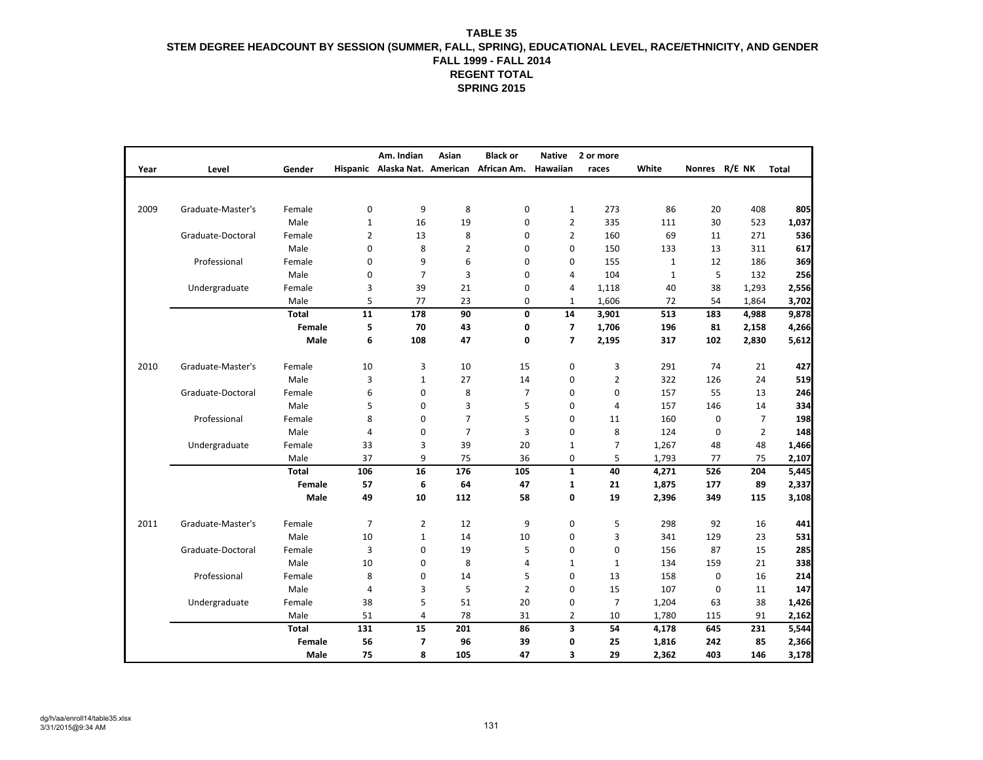|      |                   |               |                | Am. Indian     | Asian          | <b>Black or</b>                           | <b>Native</b>           | 2 or more      |              |             |                |              |
|------|-------------------|---------------|----------------|----------------|----------------|-------------------------------------------|-------------------------|----------------|--------------|-------------|----------------|--------------|
| Year | Level             | Gender        |                |                |                | Hispanic Alaska Nat. American African Am. | Hawaiian                | races          | White        |             | Nonres R/E NK  | <b>Total</b> |
|      |                   |               |                |                |                |                                           |                         |                |              |             |                |              |
|      |                   |               |                |                |                |                                           |                         |                |              |             |                |              |
| 2009 | Graduate-Master's | Female        | $\mathbf 0$    | 9              | 8              | 0                                         | $\mathbf{1}$            | 273            | 86           | 20          | 408            | 805          |
|      |                   | Male          | $\mathbf 1$    | 16             | 19             | 0                                         | $\overline{2}$          | 335            | 111          | 30          | 523            | 1,037        |
|      | Graduate-Doctoral | Female        | $\overline{2}$ | 13             | 8              | 0                                         | $\overline{2}$          | 160            | 69           | 11          | 271            | 536          |
|      |                   | Male          | 0              | 8              | $\overline{2}$ | 0                                         | $\mathbf 0$             | 150            | 133          | 13          | 311            | 617          |
|      | Professional      | Female        | 0              | 9              | 6              | 0                                         | 0                       | 155            | $\mathbf{1}$ | 12          | 186            | 369          |
|      |                   | Male          | 0              | $\overline{7}$ | $\overline{3}$ | 0                                         | 4                       | 104            | $\mathbf{1}$ | 5           | 132            | 256          |
|      | Undergraduate     | Female        | 3              | 39             | 21             | 0                                         | 4                       | 1,118          | 40           | 38          | 1,293          | 2,556        |
|      |                   | Male          | 5              | 77             | 23             | 0                                         | 1                       | 1,606          | 72           | 54          | 1,864          | 3,702        |
|      |                   | <b>Total</b>  | 11             | 178            | 90             | 0                                         | 14                      | 3,901          | 513          | 183         | 4,988          | 9,878        |
|      |                   | <b>Female</b> | 5              | 70             | 43             | 0                                         | $\overline{\mathbf{z}}$ | 1,706          | 196          | 81          | 2,158          | 4,266        |
|      |                   | Male          | 6              | 108            | 47             | 0                                         | 7                       | 2,195          | 317          | 102         | 2,830          | 5,612        |
|      |                   |               |                |                |                |                                           |                         |                |              |             |                |              |
| 2010 | Graduate-Master's | Female        | 10             | 3              | 10             | 15                                        | 0                       | 3              | 291          | 74          | 21             | 427          |
|      |                   | Male          | 3              | $\mathbf{1}$   | 27             | 14                                        | 0                       | $\overline{2}$ | 322          | 126         | 24             | 519          |
|      | Graduate-Doctoral | Female        | 6              | 0              | 8              | $\overline{7}$                            | $\mathbf 0$             | $\mathbf 0$    | 157          | 55          | 13             | 246          |
|      |                   | Male          | 5              | $\mathbf 0$    | $\overline{3}$ | 5                                         | 0                       | $\overline{4}$ | 157          | 146         | 14             | 334          |
|      | Professional      | Female        | 8              | 0              | $\overline{7}$ | 5                                         | 0                       | 11             | 160          | 0           | $\overline{7}$ | 198          |
|      |                   | Male          | $\overline{4}$ | 0              | $\overline{7}$ | 3                                         | 0                       | 8              | 124          | 0           | $\overline{2}$ | 148          |
|      | Undergraduate     | Female        | 33             | 3              | 39             | 20                                        | $\mathbf{1}$            | $\overline{7}$ | 1,267        | 48          | 48             | 1,466        |
|      |                   | Male          | 37             | 9              | 75             | 36                                        | 0                       | 5              | 1,793        | 77          | 75             | 2,107        |
|      |                   | <b>Total</b>  | 106            | 16             | 176            | 105                                       | $\mathbf{1}$            | 40             | 4,271        | 526         | 204            | 5,445        |
|      |                   | Female        | 57             | 6              | 64             | 47                                        | $\mathbf{1}$            | 21             | 1,875        | 177         | 89             | 2,337        |
|      |                   | Male          | 49             | 10             | 112            | 58                                        | 0                       | 19             | 2,396        | 349         | 115            | 3,108        |
| 2011 | Graduate-Master's |               | $\overline{7}$ | $\overline{2}$ |                | 9                                         | 0                       | 5              | 298          | 92          |                |              |
|      |                   | Female        |                |                | 12             |                                           |                         |                |              |             | 16             | 441          |
|      |                   | Male          | 10             | $\mathbf{1}$   | 14             | 10                                        | 0                       | 3              | 341          | 129         | 23             | 531          |
|      | Graduate-Doctoral | Female        | 3              | 0              | 19             | 5                                         | 0                       | $\mathbf 0$    | 156          | 87          | 15             | 285          |
|      |                   | Male          | 10             | 0              | 8              | 4                                         | $\mathbf{1}$            | $\mathbf{1}$   | 134          | 159         | 21             | 338          |
|      | Professional      | Female        | 8              | 0              | 14             | 5                                         | 0                       | 13             | 158          | $\mathbf 0$ | 16             | 214          |
|      |                   | Male          | $\overline{4}$ | 3              | 5              | $\overline{2}$                            | $\mathbf 0$             | 15             | 107          | $\mathbf 0$ | 11             | 147          |
|      | Undergraduate     | Female        | 38             | 5              | 51             | 20                                        | 0                       | $\overline{7}$ | 1,204        | 63          | 38             | 1,426        |
|      |                   | Male          | 51             | 4              | 78             | 31                                        | 2                       | 10             | 1,780        | 115         | 91             | 2,162        |
|      |                   | <b>Total</b>  | 131            | 15             | 201            | 86                                        | 3                       | 54             | 4,178        | 645         | 231            | 5,544        |
|      |                   | Female        | 56             | 7              | 96             | 39                                        | 0                       | 25             | 1,816        | 242         | 85             | 2,366        |
|      |                   | <b>Male</b>   | 75             | 8              | 105            | 47                                        | 3                       | 29             | 2,362        | 403         | 146            | 3,178        |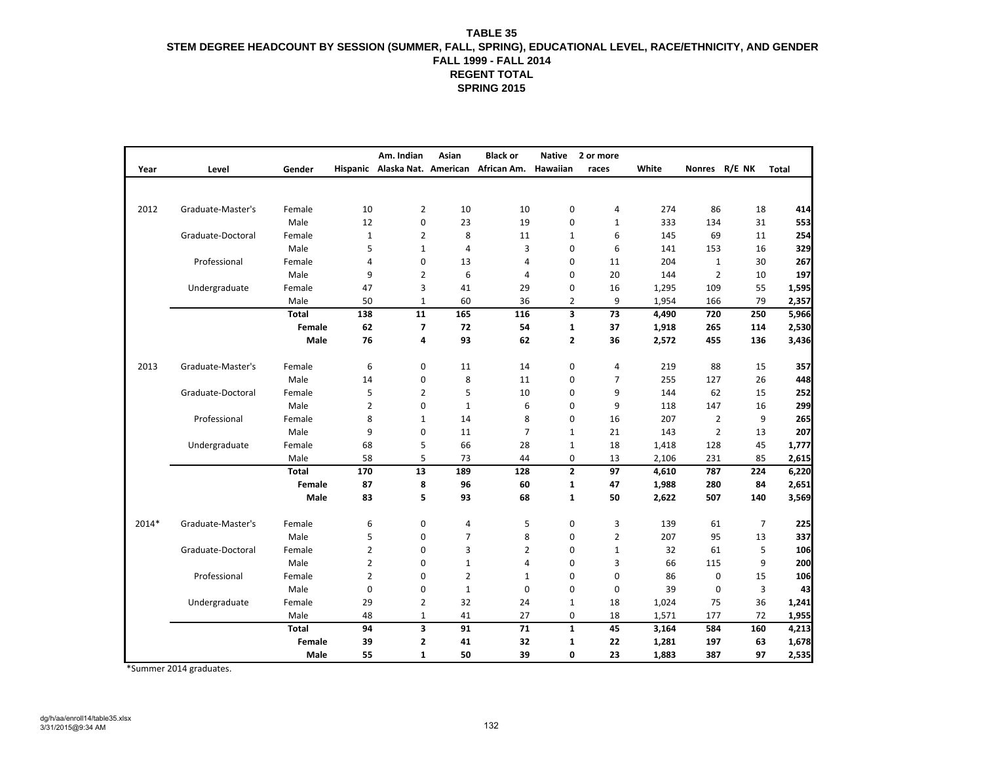|       |                   |              |                | Am. Indian     | Asian          | <b>Black or</b>                                    | <b>Native</b>  | 2 or more      |       |                |                |       |
|-------|-------------------|--------------|----------------|----------------|----------------|----------------------------------------------------|----------------|----------------|-------|----------------|----------------|-------|
| Year  | Level             | Gender       |                |                |                | Hispanic Alaska Nat. American African Am. Hawaiian |                | races          | White | Nonres R/E NK  |                | Total |
|       |                   |              |                |                |                |                                                    |                |                |       |                |                |       |
|       |                   |              |                |                |                |                                                    |                |                |       |                |                |       |
| 2012  | Graduate-Master's | Female       | 10             | $\overline{2}$ | 10             | 10                                                 | 0              | 4              | 274   | 86             | 18             | 414   |
|       |                   | Male         | 12             | $\pmb{0}$      | 23             | 19                                                 | 0              | $\mathbf{1}$   | 333   | 134            | 31             | 553   |
|       | Graduate-Doctoral | Female       | $\mathbf{1}$   | $\overline{2}$ | 8              | 11                                                 | $\mathbf{1}$   | 6              | 145   | 69             | 11             | 254   |
|       |                   | Male         | 5              | $\mathbf{1}$   | $\overline{4}$ | 3                                                  | $\mathbf 0$    | 6              | 141   | 153            | 16             | 329   |
|       | Professional      | Female       | 4              | 0              | 13             | 4                                                  | 0              | 11             | 204   | $\mathbf{1}$   | 30             | 267   |
|       |                   | Male         | 9              | $\overline{2}$ | 6              | 4                                                  | 0              | 20             | 144   | $\overline{2}$ | 10             | 197   |
|       | Undergraduate     | Female       | 47             | 3              | 41             | 29                                                 | 0              | 16             | 1,295 | 109            | 55             | 1,595 |
|       |                   | Male         | 50             | 1              | 60             | 36                                                 | $\overline{2}$ | 9              | 1,954 | 166            | 79             | 2,357 |
|       |                   | <b>Total</b> | 138            | 11             | 165            | 116                                                | 3              | 73             | 4,490 | 720            | 250            | 5,966 |
|       |                   | Female       | 62             | $\overline{7}$ | 72             | 54                                                 | 1              | 37             | 1,918 | 265            | 114            | 2,530 |
|       |                   | Male         | 76             | 4              | 93             | 62                                                 | $\mathbf{2}$   | 36             | 2,572 | 455            | 136            | 3,436 |
|       |                   |              |                |                |                |                                                    |                |                |       |                |                |       |
| 2013  | Graduate-Master's | Female       | 6              | 0              | 11             | 14                                                 | 0              | 4              | 219   | 88             | 15             | 357   |
|       |                   | Male         | 14             | 0              | 8              | 11                                                 | 0              | 7              | 255   | 127            | 26             | 448   |
|       | Graduate-Doctoral | Female       | 5              | $\overline{2}$ | 5              | 10                                                 | 0              | 9              | 144   | 62             | 15             | 252   |
|       |                   | Male         | $\overline{2}$ | 0              | $\mathbf{1}$   | 6                                                  | $\mathbf 0$    | 9              | 118   | 147            | 16             | 299   |
|       | Professional      | Female       | 8              | $\mathbf{1}$   | 14             | 8                                                  | 0              | 16             | 207   | $\overline{2}$ | 9              | 265   |
|       |                   | Male         | 9              | $\mathbf 0$    | 11             | $\overline{7}$                                     | $\mathbf{1}$   | 21             | 143   | $\overline{2}$ | 13             | 207   |
|       | Undergraduate     | Female       | 68             | 5              | 66             | 28                                                 | $\mathbf{1}$   | 18             | 1,418 | 128            | 45             | 1,777 |
|       |                   | Male         | 58             | 5              | 73             | 44                                                 | 0              | 13             | 2,106 | 231            | 85             | 2,615 |
|       |                   | <b>Total</b> | 170            | 13             | 189            | 128                                                | $\mathbf{2}$   | 97             | 4,610 | 787            | 224            | 6,220 |
|       |                   | Female       | 87             | 8              | 96             | 60                                                 | $\mathbf{1}$   | 47             | 1,988 | 280            | 84             | 2,651 |
|       |                   | Male         | 83             | 5              | 93             | 68                                                 | $\mathbf{1}$   | 50             | 2,622 | 507            | 140            | 3,569 |
|       |                   |              |                |                |                |                                                    |                |                |       |                |                |       |
| 2014* | Graduate-Master's | Female       | 6              | $\pmb{0}$      | 4              | 5                                                  | 0              | 3              | 139   | 61             | $\overline{7}$ | 225   |
|       |                   | Male         | 5              | 0              | $\overline{7}$ | 8                                                  | 0              | $\overline{2}$ | 207   | 95             | 13             | 337   |
|       | Graduate-Doctoral | Female       | $\overline{2}$ | 0              | 3              | $\overline{2}$                                     | $\mathbf 0$    | $\mathbf{1}$   | 32    | 61             | 5              | 106   |
|       |                   | Male         | $\overline{2}$ | $\mathbf 0$    | $\mathbf{1}$   | 4                                                  | $\mathbf 0$    | 3              | 66    | 115            | 9              | 200   |
|       | Professional      | Female       | $\overline{2}$ | 0              | $\overline{2}$ | $\mathbf{1}$                                       | 0              | $\mathbf 0$    | 86    | $\pmb{0}$      | 15             | 106   |
|       |                   | Male         | $\mathbf 0$    | 0              | $\mathbf{1}$   | $\mathbf 0$                                        | 0              | $\mathbf 0$    | 39    | $\pmb{0}$      | 3              | 43    |
|       | Undergraduate     | Female       | 29             | $\overline{2}$ | 32             | 24                                                 | $\mathbf{1}$   | 18             | 1,024 | 75             | 36             | 1,241 |
|       |                   | Male         | 48             | $\mathbf{1}$   | 41             | 27                                                 | 0              | 18             | 1,571 | 177            | 72             | 1,955 |
|       |                   | <b>Total</b> | 94             | 3              | 91             | 71                                                 | $\mathbf{1}$   | 45             | 3,164 | 584            | 160            | 4,213 |
|       |                   | Female       | 39             | $\mathbf{2}$   | 41             | 32                                                 | $\mathbf{1}$   | 22             | 1,281 | 197            | 63             | 1,678 |
|       |                   | Male         | 55             | $\mathbf{1}$   | 50             | 39                                                 | 0              | 23             | 1,883 | 387            | 97             | 2,535 |

\*Summer 2014 graduates.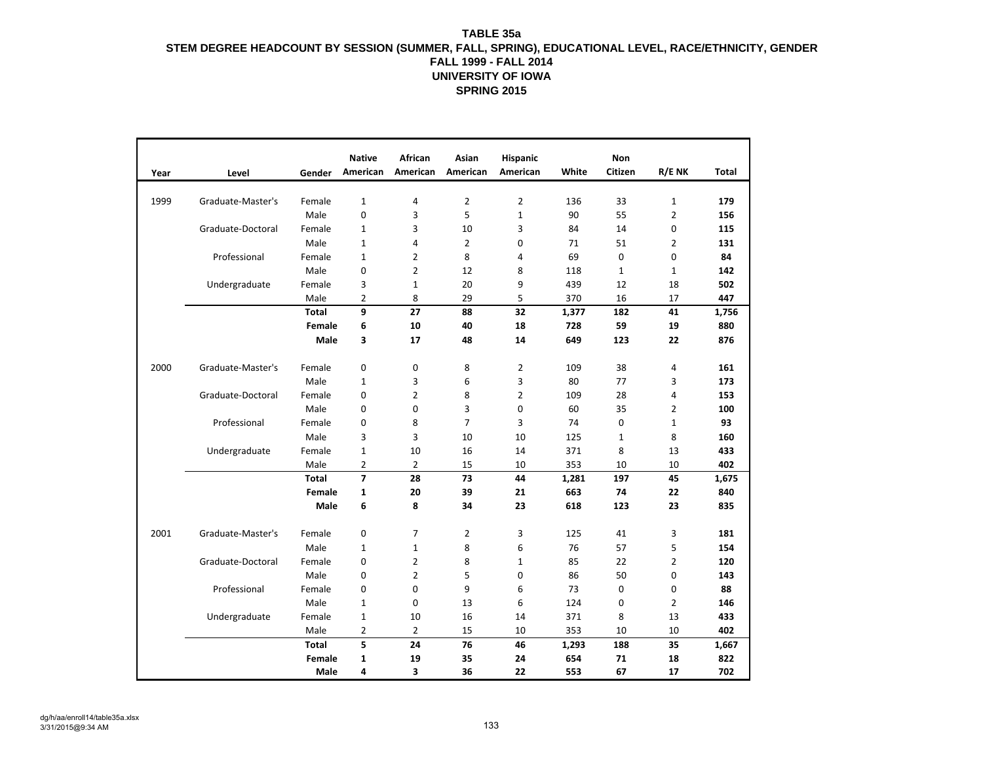|      |                   |              | <b>Native</b>  | <b>African</b> | Asian          | <b>Hispanic</b> |       | Non          |                |              |
|------|-------------------|--------------|----------------|----------------|----------------|-----------------|-------|--------------|----------------|--------------|
| Year | Level             | Gender       | American       | American       | American       | American        | White | Citizen      | R/E NK         | <b>Total</b> |
|      |                   |              |                |                |                |                 |       |              |                |              |
| 1999 | Graduate-Master's | Female       | $\mathbf{1}$   | 4              | $\overline{2}$ | $\overline{2}$  | 136   | 33           | $\mathbf{1}$   | 179          |
|      |                   | Male         | $\mathbf 0$    | 3              | 5              | $\mathbf{1}$    | 90    | 55           | $\overline{2}$ | 156          |
|      | Graduate-Doctoral | Female       | $\mathbf{1}$   | 3              | 10             | 3               | 84    | 14           | 0              | 115          |
|      |                   | Male         | $\mathbf{1}$   | 4              | $\overline{2}$ | 0               | 71    | 51           | $\overline{2}$ | 131          |
|      | Professional      | Female       | $\mathbf{1}$   | $\overline{2}$ | 8              | 4               | 69    | $\mathbf 0$  | 0              | 84           |
|      |                   | Male         | 0              | 2              | 12             | 8               | 118   | $\mathbf{1}$ | $\mathbf{1}$   | 142          |
|      | Undergraduate     | Female       | 3              | $\mathbf{1}$   | 20             | 9               | 439   | 12           | 18             | 502          |
|      |                   | Male         | 2              | 8              | 29             | 5               | 370   | 16           | 17             | 447          |
|      |                   | <b>Total</b> | 9              | 27             | 88             | 32              | 1,377 | 182          | 41             | 1,756        |
|      |                   | Female       | 6              | 10             | 40             | 18              | 728   | 59           | 19             | 880          |
|      |                   | Male         | 3              | 17             | 48             | 14              | 649   | 123          | 22             | 876          |
|      |                   |              |                |                |                |                 |       |              |                |              |
| 2000 | Graduate-Master's | Female       | $\mathbf{0}$   | 0              | 8              | 2               | 109   | 38           | 4              | 161          |
|      |                   | Male         | $\mathbf{1}$   | 3              | 6              | 3               | 80    | 77           | 3              | 173          |
|      | Graduate-Doctoral | Female       | $\mathbf 0$    | $\overline{2}$ | 8              | $\overline{2}$  | 109   | 28           | 4              | 153          |
|      |                   | Male         | 0              | $\mathbf 0$    | 3              | $\mathbf 0$     | 60    | 35           | $\overline{2}$ | 100          |
|      | Professional      | Female       | 0              | 8              | $\overline{7}$ | 3               | 74    | 0            | $\mathbf{1}$   | 93           |
|      |                   | Male         | 3              | 3              | 10             | 10              | 125   | $\mathbf{1}$ | 8              | 160          |
|      | Undergraduate     | Female       | $\mathbf{1}$   | 10             | 16             | 14              | 371   | 8            | 13             | 433          |
|      |                   | Male         | $\overline{2}$ | $\overline{2}$ | 15             | 10              | 353   | 10           | 10             | 402          |
|      |                   | <b>Total</b> | $\overline{7}$ | 28             | 73             | 44              | 1,281 | 197          | 45             | 1,675        |
|      |                   | Female       | $\mathbf{1}$   | 20             | 39             | 21              | 663   | 74           | 22             | 840          |
|      |                   | Male         | 6              | 8              | 34             | 23              | 618   | 123          | 23             | 835          |
|      |                   |              |                |                |                |                 |       |              |                |              |
| 2001 | Graduate-Master's | Female       | $\mathbf 0$    | 7              | 2              | 3               | 125   | 41           | 3              | 181          |
|      |                   | Male         | $\mathbf{1}$   | 1              | 8              | 6               | 76    | 57           | 5              | 154          |
|      | Graduate-Doctoral | Female       | $\mathbf 0$    | $\overline{2}$ | 8              | $\mathbf{1}$    | 85    | 22           | $\overline{2}$ | 120          |
|      |                   | Male         | 0              | $\overline{2}$ | 5              | $\mathbf 0$     | 86    | 50           | 0              | 143          |
|      | Professional      | Female       | 0              | 0              | 9              | 6               | 73    | 0            | 0              | 88           |
|      |                   | Male         | $\mathbf 1$    | $\pmb{0}$      | 13             | 6               | 124   | $\pmb{0}$    | $\overline{2}$ | 146          |
|      | Undergraduate     | Female       | $\mathbf{1}$   | 10             | 16             | 14              | 371   | 8            | 13             | 433          |
|      |                   | Male         | $\overline{2}$ | 2              | 15             | 10              | 353   | 10           | 10             | 402          |
|      |                   | <b>Total</b> | 5              | 24             | 76             | 46              | 1,293 | 188          | 35             | 1,667        |
|      |                   | Female       | $\mathbf{1}$   | 19             | 35             | 24              | 654   | 71           | 18             | 822          |
|      |                   | Male         | 4              | 3              | 36             | 22              | 553   | 67           | 17             | 702          |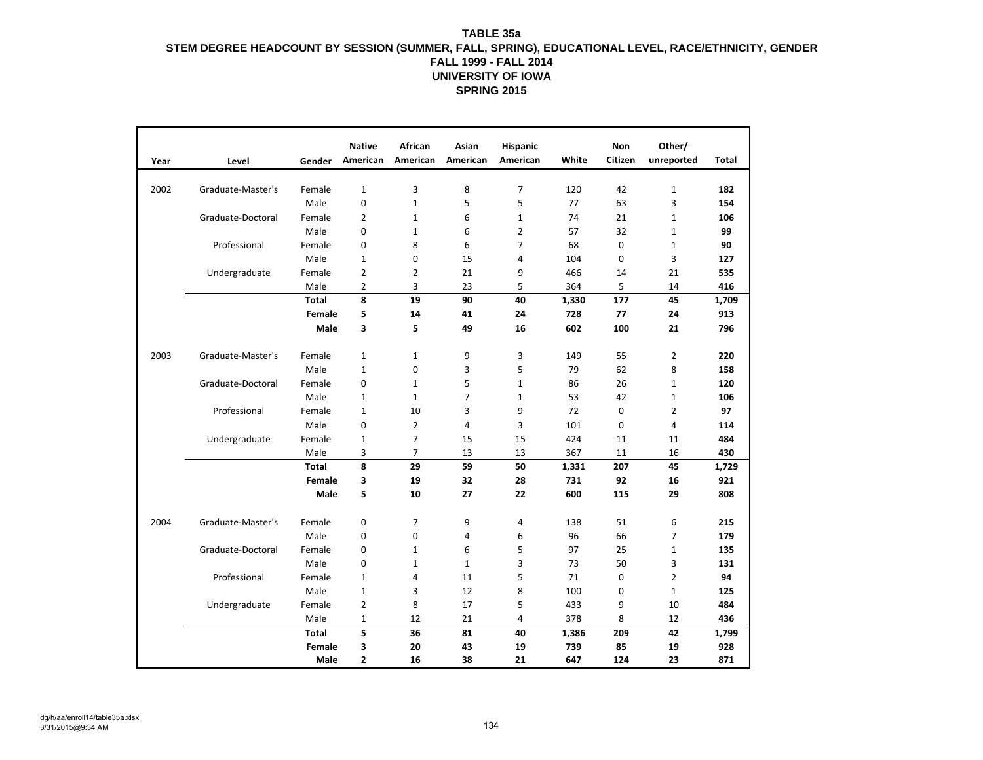| White<br>American<br>American<br>American<br>American<br>Citizen<br>unreported<br><b>Total</b><br>Year<br>Level<br>Gender<br>3<br>8<br>$\overline{7}$<br>$\mathbf 1$<br>2002<br>$\mathbf{1}$<br>120<br>42<br>182<br>Graduate-Master's<br>Female<br>Male<br>$\mathbf 0$<br>$\mathbf{1}$<br>5<br>5<br>77<br>63<br>3<br>154<br>$\mathbf 1$<br>Graduate-Doctoral<br>Female<br>2<br>$\mathbf{1}$<br>6<br>$\mathbf{1}$<br>74<br>21<br>106<br>Male<br>0<br>6<br>$\overline{2}$<br>57<br>32<br>$\mathbf 1$<br>99<br>$\mathbf{1}$<br>Professional<br>Female<br>8<br>6<br>$\overline{7}$<br>68<br>0<br>$\mathbf 1$<br>90<br>0<br>3<br>Male<br>0<br>1<br>15<br>4<br>104<br>0<br>127<br>Female<br>2<br>$\overline{2}$<br>21<br>9<br>466<br>21<br>535<br>Undergraduate<br>14<br>Male<br>2<br>3<br>23<br>5<br>364<br>5<br>14<br>416<br>8<br>19<br><b>Total</b><br>90<br>40<br>177<br>45<br>1,709<br>1,330<br>5<br>14<br>728<br>77<br>Female<br>41<br>24<br>24<br>913<br>Male<br>3<br>5<br>49<br>16<br>602<br>100<br>21<br>796<br>2003<br>Graduate-Master's<br>$\mathbf 1$<br>$\mathbf{1}$<br>9<br>3<br>55<br>$\overline{2}$<br>220<br>Female<br>149<br>5<br>8<br>Male<br>$\mathbf{1}$<br>0<br>3<br>79<br>62<br>158<br>5<br>Graduate-Doctoral<br>Female<br>0<br>86<br>26<br>$\mathbf{1}$<br>120<br>$\mathbf{1}$<br>$\mathbf{1}$<br>Male<br>$\overline{7}$<br>$\mathbf 1$<br>106<br>$\mathbf{1}$<br>$\mathbf{1}$<br>$\mathbf{1}$<br>53<br>42<br>Professional<br>3<br>9<br>0<br>$\overline{2}$<br>97<br>Female<br>$\mathbf{1}$<br>10<br>72<br>$\overline{2}$<br>Male<br>0<br>4<br>3<br>0<br>$\overline{4}$<br>101<br>114<br>$\overline{7}$<br>Female<br>15<br>15<br>424<br>484<br>Undergraduate<br>1<br>11<br>11<br>$\overline{7}$<br>Male<br>367<br>430<br>3<br>13<br>13<br>11<br>16<br>8<br>59<br><b>Total</b><br>29<br>50<br>207<br>45<br>1,729<br>1,331<br>19<br>32<br>28<br>731<br>92<br>921<br>Female<br>3<br>16<br>Male<br>5<br>29<br>10<br>27<br>22<br>600<br>115<br>808<br>2004<br>0<br>$\overline{7}$<br>9<br>4<br>138<br>51<br>6<br>215<br>Graduate-Master's<br>Female<br>96<br>$\overline{7}$<br>Male<br>0<br>6<br>66<br>179<br>0<br>4<br>5<br>97<br>Graduate-Doctoral<br>6<br>25<br>$\mathbf{1}$<br>135<br>Female<br>0<br>$\mathbf{1}$<br>Male<br>3<br>0<br>$\mathbf{1}$<br>$\mathbf{1}$<br>3<br>73<br>50<br>131<br>$\overline{2}$<br>Professional<br>5<br>Female<br>4<br>11<br>71<br>0<br>94<br>1<br>Male<br>3<br>12<br>8<br>100<br>0<br>$\mathbf 1$<br>125<br>$\mathbf{1}$<br>Female<br>2<br>8<br>17<br>433<br>9<br>10<br>484<br>Undergraduate<br>5<br>Male<br>21<br>378<br>8<br>12<br>436<br>1<br>12<br>4<br>5<br><b>Total</b><br>36<br>81<br>40<br>209<br>42<br>1,386<br>1,799<br>Female<br>3<br>20<br>43<br>19<br>739<br>85<br>19<br>928 |  |      | <b>Native</b> | <b>African</b> | Asian | <b>Hispanic</b> |     | Non | Other/ |     |
|-------------------------------------------------------------------------------------------------------------------------------------------------------------------------------------------------------------------------------------------------------------------------------------------------------------------------------------------------------------------------------------------------------------------------------------------------------------------------------------------------------------------------------------------------------------------------------------------------------------------------------------------------------------------------------------------------------------------------------------------------------------------------------------------------------------------------------------------------------------------------------------------------------------------------------------------------------------------------------------------------------------------------------------------------------------------------------------------------------------------------------------------------------------------------------------------------------------------------------------------------------------------------------------------------------------------------------------------------------------------------------------------------------------------------------------------------------------------------------------------------------------------------------------------------------------------------------------------------------------------------------------------------------------------------------------------------------------------------------------------------------------------------------------------------------------------------------------------------------------------------------------------------------------------------------------------------------------------------------------------------------------------------------------------------------------------------------------------------------------------------------------------------------------------------------------------------------------------------------------------------------------------------------------------------------------------------------------------------------------------------------------------------------------------------------------------------------------------------------------------------------------------------------------------------------------------------------------------------------------------------------------------------------------------------------------------------------------------------------------------|--|------|---------------|----------------|-------|-----------------|-----|-----|--------|-----|
|                                                                                                                                                                                                                                                                                                                                                                                                                                                                                                                                                                                                                                                                                                                                                                                                                                                                                                                                                                                                                                                                                                                                                                                                                                                                                                                                                                                                                                                                                                                                                                                                                                                                                                                                                                                                                                                                                                                                                                                                                                                                                                                                                                                                                                                                                                                                                                                                                                                                                                                                                                                                                                                                                                                                           |  |      |               |                |       |                 |     |     |        |     |
|                                                                                                                                                                                                                                                                                                                                                                                                                                                                                                                                                                                                                                                                                                                                                                                                                                                                                                                                                                                                                                                                                                                                                                                                                                                                                                                                                                                                                                                                                                                                                                                                                                                                                                                                                                                                                                                                                                                                                                                                                                                                                                                                                                                                                                                                                                                                                                                                                                                                                                                                                                                                                                                                                                                                           |  |      |               |                |       |                 |     |     |        |     |
|                                                                                                                                                                                                                                                                                                                                                                                                                                                                                                                                                                                                                                                                                                                                                                                                                                                                                                                                                                                                                                                                                                                                                                                                                                                                                                                                                                                                                                                                                                                                                                                                                                                                                                                                                                                                                                                                                                                                                                                                                                                                                                                                                                                                                                                                                                                                                                                                                                                                                                                                                                                                                                                                                                                                           |  |      |               |                |       |                 |     |     |        |     |
|                                                                                                                                                                                                                                                                                                                                                                                                                                                                                                                                                                                                                                                                                                                                                                                                                                                                                                                                                                                                                                                                                                                                                                                                                                                                                                                                                                                                                                                                                                                                                                                                                                                                                                                                                                                                                                                                                                                                                                                                                                                                                                                                                                                                                                                                                                                                                                                                                                                                                                                                                                                                                                                                                                                                           |  |      |               |                |       |                 |     |     |        |     |
|                                                                                                                                                                                                                                                                                                                                                                                                                                                                                                                                                                                                                                                                                                                                                                                                                                                                                                                                                                                                                                                                                                                                                                                                                                                                                                                                                                                                                                                                                                                                                                                                                                                                                                                                                                                                                                                                                                                                                                                                                                                                                                                                                                                                                                                                                                                                                                                                                                                                                                                                                                                                                                                                                                                                           |  |      |               |                |       |                 |     |     |        |     |
|                                                                                                                                                                                                                                                                                                                                                                                                                                                                                                                                                                                                                                                                                                                                                                                                                                                                                                                                                                                                                                                                                                                                                                                                                                                                                                                                                                                                                                                                                                                                                                                                                                                                                                                                                                                                                                                                                                                                                                                                                                                                                                                                                                                                                                                                                                                                                                                                                                                                                                                                                                                                                                                                                                                                           |  |      |               |                |       |                 |     |     |        |     |
|                                                                                                                                                                                                                                                                                                                                                                                                                                                                                                                                                                                                                                                                                                                                                                                                                                                                                                                                                                                                                                                                                                                                                                                                                                                                                                                                                                                                                                                                                                                                                                                                                                                                                                                                                                                                                                                                                                                                                                                                                                                                                                                                                                                                                                                                                                                                                                                                                                                                                                                                                                                                                                                                                                                                           |  |      |               |                |       |                 |     |     |        |     |
|                                                                                                                                                                                                                                                                                                                                                                                                                                                                                                                                                                                                                                                                                                                                                                                                                                                                                                                                                                                                                                                                                                                                                                                                                                                                                                                                                                                                                                                                                                                                                                                                                                                                                                                                                                                                                                                                                                                                                                                                                                                                                                                                                                                                                                                                                                                                                                                                                                                                                                                                                                                                                                                                                                                                           |  |      |               |                |       |                 |     |     |        |     |
|                                                                                                                                                                                                                                                                                                                                                                                                                                                                                                                                                                                                                                                                                                                                                                                                                                                                                                                                                                                                                                                                                                                                                                                                                                                                                                                                                                                                                                                                                                                                                                                                                                                                                                                                                                                                                                                                                                                                                                                                                                                                                                                                                                                                                                                                                                                                                                                                                                                                                                                                                                                                                                                                                                                                           |  |      |               |                |       |                 |     |     |        |     |
|                                                                                                                                                                                                                                                                                                                                                                                                                                                                                                                                                                                                                                                                                                                                                                                                                                                                                                                                                                                                                                                                                                                                                                                                                                                                                                                                                                                                                                                                                                                                                                                                                                                                                                                                                                                                                                                                                                                                                                                                                                                                                                                                                                                                                                                                                                                                                                                                                                                                                                                                                                                                                                                                                                                                           |  |      |               |                |       |                 |     |     |        |     |
|                                                                                                                                                                                                                                                                                                                                                                                                                                                                                                                                                                                                                                                                                                                                                                                                                                                                                                                                                                                                                                                                                                                                                                                                                                                                                                                                                                                                                                                                                                                                                                                                                                                                                                                                                                                                                                                                                                                                                                                                                                                                                                                                                                                                                                                                                                                                                                                                                                                                                                                                                                                                                                                                                                                                           |  |      |               |                |       |                 |     |     |        |     |
|                                                                                                                                                                                                                                                                                                                                                                                                                                                                                                                                                                                                                                                                                                                                                                                                                                                                                                                                                                                                                                                                                                                                                                                                                                                                                                                                                                                                                                                                                                                                                                                                                                                                                                                                                                                                                                                                                                                                                                                                                                                                                                                                                                                                                                                                                                                                                                                                                                                                                                                                                                                                                                                                                                                                           |  |      |               |                |       |                 |     |     |        |     |
|                                                                                                                                                                                                                                                                                                                                                                                                                                                                                                                                                                                                                                                                                                                                                                                                                                                                                                                                                                                                                                                                                                                                                                                                                                                                                                                                                                                                                                                                                                                                                                                                                                                                                                                                                                                                                                                                                                                                                                                                                                                                                                                                                                                                                                                                                                                                                                                                                                                                                                                                                                                                                                                                                                                                           |  |      |               |                |       |                 |     |     |        |     |
|                                                                                                                                                                                                                                                                                                                                                                                                                                                                                                                                                                                                                                                                                                                                                                                                                                                                                                                                                                                                                                                                                                                                                                                                                                                                                                                                                                                                                                                                                                                                                                                                                                                                                                                                                                                                                                                                                                                                                                                                                                                                                                                                                                                                                                                                                                                                                                                                                                                                                                                                                                                                                                                                                                                                           |  |      |               |                |       |                 |     |     |        |     |
|                                                                                                                                                                                                                                                                                                                                                                                                                                                                                                                                                                                                                                                                                                                                                                                                                                                                                                                                                                                                                                                                                                                                                                                                                                                                                                                                                                                                                                                                                                                                                                                                                                                                                                                                                                                                                                                                                                                                                                                                                                                                                                                                                                                                                                                                                                                                                                                                                                                                                                                                                                                                                                                                                                                                           |  |      |               |                |       |                 |     |     |        |     |
|                                                                                                                                                                                                                                                                                                                                                                                                                                                                                                                                                                                                                                                                                                                                                                                                                                                                                                                                                                                                                                                                                                                                                                                                                                                                                                                                                                                                                                                                                                                                                                                                                                                                                                                                                                                                                                                                                                                                                                                                                                                                                                                                                                                                                                                                                                                                                                                                                                                                                                                                                                                                                                                                                                                                           |  |      |               |                |       |                 |     |     |        |     |
|                                                                                                                                                                                                                                                                                                                                                                                                                                                                                                                                                                                                                                                                                                                                                                                                                                                                                                                                                                                                                                                                                                                                                                                                                                                                                                                                                                                                                                                                                                                                                                                                                                                                                                                                                                                                                                                                                                                                                                                                                                                                                                                                                                                                                                                                                                                                                                                                                                                                                                                                                                                                                                                                                                                                           |  |      |               |                |       |                 |     |     |        |     |
|                                                                                                                                                                                                                                                                                                                                                                                                                                                                                                                                                                                                                                                                                                                                                                                                                                                                                                                                                                                                                                                                                                                                                                                                                                                                                                                                                                                                                                                                                                                                                                                                                                                                                                                                                                                                                                                                                                                                                                                                                                                                                                                                                                                                                                                                                                                                                                                                                                                                                                                                                                                                                                                                                                                                           |  |      |               |                |       |                 |     |     |        |     |
|                                                                                                                                                                                                                                                                                                                                                                                                                                                                                                                                                                                                                                                                                                                                                                                                                                                                                                                                                                                                                                                                                                                                                                                                                                                                                                                                                                                                                                                                                                                                                                                                                                                                                                                                                                                                                                                                                                                                                                                                                                                                                                                                                                                                                                                                                                                                                                                                                                                                                                                                                                                                                                                                                                                                           |  |      |               |                |       |                 |     |     |        |     |
|                                                                                                                                                                                                                                                                                                                                                                                                                                                                                                                                                                                                                                                                                                                                                                                                                                                                                                                                                                                                                                                                                                                                                                                                                                                                                                                                                                                                                                                                                                                                                                                                                                                                                                                                                                                                                                                                                                                                                                                                                                                                                                                                                                                                                                                                                                                                                                                                                                                                                                                                                                                                                                                                                                                                           |  |      |               |                |       |                 |     |     |        |     |
|                                                                                                                                                                                                                                                                                                                                                                                                                                                                                                                                                                                                                                                                                                                                                                                                                                                                                                                                                                                                                                                                                                                                                                                                                                                                                                                                                                                                                                                                                                                                                                                                                                                                                                                                                                                                                                                                                                                                                                                                                                                                                                                                                                                                                                                                                                                                                                                                                                                                                                                                                                                                                                                                                                                                           |  |      |               |                |       |                 |     |     |        |     |
|                                                                                                                                                                                                                                                                                                                                                                                                                                                                                                                                                                                                                                                                                                                                                                                                                                                                                                                                                                                                                                                                                                                                                                                                                                                                                                                                                                                                                                                                                                                                                                                                                                                                                                                                                                                                                                                                                                                                                                                                                                                                                                                                                                                                                                                                                                                                                                                                                                                                                                                                                                                                                                                                                                                                           |  |      |               |                |       |                 |     |     |        |     |
|                                                                                                                                                                                                                                                                                                                                                                                                                                                                                                                                                                                                                                                                                                                                                                                                                                                                                                                                                                                                                                                                                                                                                                                                                                                                                                                                                                                                                                                                                                                                                                                                                                                                                                                                                                                                                                                                                                                                                                                                                                                                                                                                                                                                                                                                                                                                                                                                                                                                                                                                                                                                                                                                                                                                           |  |      |               |                |       |                 |     |     |        |     |
|                                                                                                                                                                                                                                                                                                                                                                                                                                                                                                                                                                                                                                                                                                                                                                                                                                                                                                                                                                                                                                                                                                                                                                                                                                                                                                                                                                                                                                                                                                                                                                                                                                                                                                                                                                                                                                                                                                                                                                                                                                                                                                                                                                                                                                                                                                                                                                                                                                                                                                                                                                                                                                                                                                                                           |  |      |               |                |       |                 |     |     |        |     |
|                                                                                                                                                                                                                                                                                                                                                                                                                                                                                                                                                                                                                                                                                                                                                                                                                                                                                                                                                                                                                                                                                                                                                                                                                                                                                                                                                                                                                                                                                                                                                                                                                                                                                                                                                                                                                                                                                                                                                                                                                                                                                                                                                                                                                                                                                                                                                                                                                                                                                                                                                                                                                                                                                                                                           |  |      |               |                |       |                 |     |     |        |     |
|                                                                                                                                                                                                                                                                                                                                                                                                                                                                                                                                                                                                                                                                                                                                                                                                                                                                                                                                                                                                                                                                                                                                                                                                                                                                                                                                                                                                                                                                                                                                                                                                                                                                                                                                                                                                                                                                                                                                                                                                                                                                                                                                                                                                                                                                                                                                                                                                                                                                                                                                                                                                                                                                                                                                           |  |      |               |                |       |                 |     |     |        |     |
|                                                                                                                                                                                                                                                                                                                                                                                                                                                                                                                                                                                                                                                                                                                                                                                                                                                                                                                                                                                                                                                                                                                                                                                                                                                                                                                                                                                                                                                                                                                                                                                                                                                                                                                                                                                                                                                                                                                                                                                                                                                                                                                                                                                                                                                                                                                                                                                                                                                                                                                                                                                                                                                                                                                                           |  |      |               |                |       |                 |     |     |        |     |
|                                                                                                                                                                                                                                                                                                                                                                                                                                                                                                                                                                                                                                                                                                                                                                                                                                                                                                                                                                                                                                                                                                                                                                                                                                                                                                                                                                                                                                                                                                                                                                                                                                                                                                                                                                                                                                                                                                                                                                                                                                                                                                                                                                                                                                                                                                                                                                                                                                                                                                                                                                                                                                                                                                                                           |  |      |               |                |       |                 |     |     |        |     |
|                                                                                                                                                                                                                                                                                                                                                                                                                                                                                                                                                                                                                                                                                                                                                                                                                                                                                                                                                                                                                                                                                                                                                                                                                                                                                                                                                                                                                                                                                                                                                                                                                                                                                                                                                                                                                                                                                                                                                                                                                                                                                                                                                                                                                                                                                                                                                                                                                                                                                                                                                                                                                                                                                                                                           |  |      |               |                |       |                 |     |     |        |     |
|                                                                                                                                                                                                                                                                                                                                                                                                                                                                                                                                                                                                                                                                                                                                                                                                                                                                                                                                                                                                                                                                                                                                                                                                                                                                                                                                                                                                                                                                                                                                                                                                                                                                                                                                                                                                                                                                                                                                                                                                                                                                                                                                                                                                                                                                                                                                                                                                                                                                                                                                                                                                                                                                                                                                           |  |      |               |                |       |                 |     |     |        |     |
|                                                                                                                                                                                                                                                                                                                                                                                                                                                                                                                                                                                                                                                                                                                                                                                                                                                                                                                                                                                                                                                                                                                                                                                                                                                                                                                                                                                                                                                                                                                                                                                                                                                                                                                                                                                                                                                                                                                                                                                                                                                                                                                                                                                                                                                                                                                                                                                                                                                                                                                                                                                                                                                                                                                                           |  |      |               |                |       |                 |     |     |        |     |
|                                                                                                                                                                                                                                                                                                                                                                                                                                                                                                                                                                                                                                                                                                                                                                                                                                                                                                                                                                                                                                                                                                                                                                                                                                                                                                                                                                                                                                                                                                                                                                                                                                                                                                                                                                                                                                                                                                                                                                                                                                                                                                                                                                                                                                                                                                                                                                                                                                                                                                                                                                                                                                                                                                                                           |  |      |               |                |       |                 |     |     |        |     |
|                                                                                                                                                                                                                                                                                                                                                                                                                                                                                                                                                                                                                                                                                                                                                                                                                                                                                                                                                                                                                                                                                                                                                                                                                                                                                                                                                                                                                                                                                                                                                                                                                                                                                                                                                                                                                                                                                                                                                                                                                                                                                                                                                                                                                                                                                                                                                                                                                                                                                                                                                                                                                                                                                                                                           |  |      |               |                |       |                 |     |     |        |     |
|                                                                                                                                                                                                                                                                                                                                                                                                                                                                                                                                                                                                                                                                                                                                                                                                                                                                                                                                                                                                                                                                                                                                                                                                                                                                                                                                                                                                                                                                                                                                                                                                                                                                                                                                                                                                                                                                                                                                                                                                                                                                                                                                                                                                                                                                                                                                                                                                                                                                                                                                                                                                                                                                                                                                           |  |      |               |                |       |                 |     |     |        |     |
|                                                                                                                                                                                                                                                                                                                                                                                                                                                                                                                                                                                                                                                                                                                                                                                                                                                                                                                                                                                                                                                                                                                                                                                                                                                                                                                                                                                                                                                                                                                                                                                                                                                                                                                                                                                                                                                                                                                                                                                                                                                                                                                                                                                                                                                                                                                                                                                                                                                                                                                                                                                                                                                                                                                                           |  |      |               |                |       |                 |     |     |        |     |
|                                                                                                                                                                                                                                                                                                                                                                                                                                                                                                                                                                                                                                                                                                                                                                                                                                                                                                                                                                                                                                                                                                                                                                                                                                                                                                                                                                                                                                                                                                                                                                                                                                                                                                                                                                                                                                                                                                                                                                                                                                                                                                                                                                                                                                                                                                                                                                                                                                                                                                                                                                                                                                                                                                                                           |  |      |               |                |       |                 |     |     |        |     |
|                                                                                                                                                                                                                                                                                                                                                                                                                                                                                                                                                                                                                                                                                                                                                                                                                                                                                                                                                                                                                                                                                                                                                                                                                                                                                                                                                                                                                                                                                                                                                                                                                                                                                                                                                                                                                                                                                                                                                                                                                                                                                                                                                                                                                                                                                                                                                                                                                                                                                                                                                                                                                                                                                                                                           |  | Male | 2             | 16             | 38    | 21              | 647 | 124 | 23     | 871 |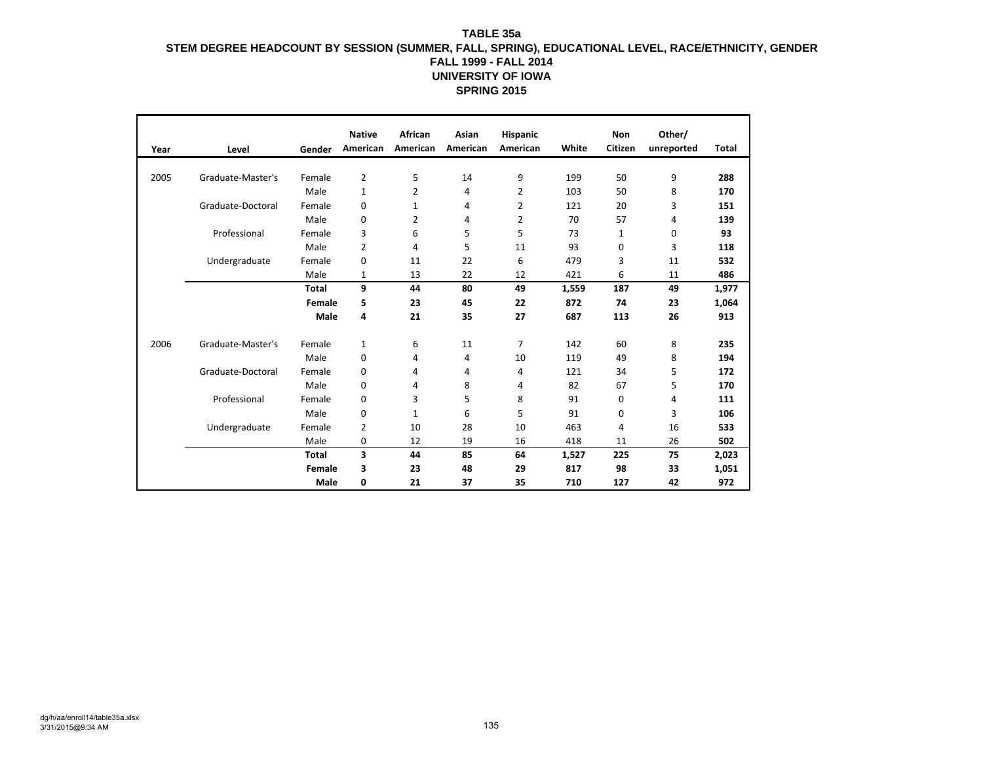|      |                   |              | <b>Native</b>  | African  | Asian    | <b>Hispanic</b> |       | Non          | Other/     |              |
|------|-------------------|--------------|----------------|----------|----------|-----------------|-------|--------------|------------|--------------|
| Year | Level             | Gender       | American       | American | American | American        | White | Citizen      | unreported | <b>Total</b> |
|      |                   |              |                |          |          |                 |       |              |            |              |
| 2005 | Graduate-Master's | Female       | $\overline{2}$ | 5        | 14       | 9               | 199   | 50           | 9          | 288          |
|      |                   | Male         | $\mathbf{1}$   | 2        | 4        | 2               | 103   | 50           | 8          | 170          |
|      | Graduate-Doctoral | Female       | 0              | 1        | 4        | 2               | 121   | 20           | 3          | 151          |
|      |                   | Male         | 0              | 2        | 4        | 2               | 70    | 57           | 4          | 139          |
|      | Professional      | Female       | 3              | 6        | 5        | 5               | 73    | $\mathbf{1}$ | 0          | 93           |
|      |                   | Male         | 2              | 4        | 5        | 11              | 93    | 0            | 3          | 118          |
|      | Undergraduate     | Female       | 0              | 11       | 22       | 6               | 479   | 3            | 11         | 532          |
|      |                   | Male         | 1              | 13       | 22       | 12              | 421   | 6            | 11         | 486          |
|      |                   | <b>Total</b> | 9              | 44       | 80       | 49              | 1,559 | 187          | 49         | 1,977        |
|      |                   | Female       | 5              | 23       | 45       | 22              | 872   | 74           | 23         | 1,064        |
|      |                   | Male         | 4              | 21       | 35       | 27              | 687   | 113          | 26         | 913          |
| 2006 | Graduate-Master's | Female       | $\mathbf{1}$   | 6        | 11       | 7               | 142   | 60           | 8          | 235          |
|      |                   | Male         | 0              | 4        | 4        | 10              | 119   | 49           | 8          | 194          |
|      | Graduate-Doctoral | Female       | 0              | 4        | 4        | 4               | 121   | 34           | 5          | 172          |
|      |                   | Male         | 0              | 4        | 8        | 4               | 82    | 67           | 5          | 170          |
|      | Professional      | Female       | $\mathbf 0$    | 3        | 5        | 8               | 91    | 0            | 4          | 111          |
|      |                   | Male         | 0              | 1        | 6        | 5               | 91    | $\mathbf 0$  | 3          | 106          |
|      | Undergraduate     | Female       | $\overline{2}$ | 10       | 28       | 10              | 463   | 4            | 16         | 533          |
|      |                   | Male         | 0              | 12       | 19       | 16              | 418   | 11           | 26         | 502          |
|      |                   | <b>Total</b> | 3              | 44       | 85       | 64              | 1,527 | 225          | 75         | 2,023        |
|      |                   | Female       | 3              | 23       | 48       | 29              | 817   | 98           | 33         | 1,051        |
|      |                   | Male         | 0              | 21       | 37       | 35              | 710   | 127          | 42         | 972          |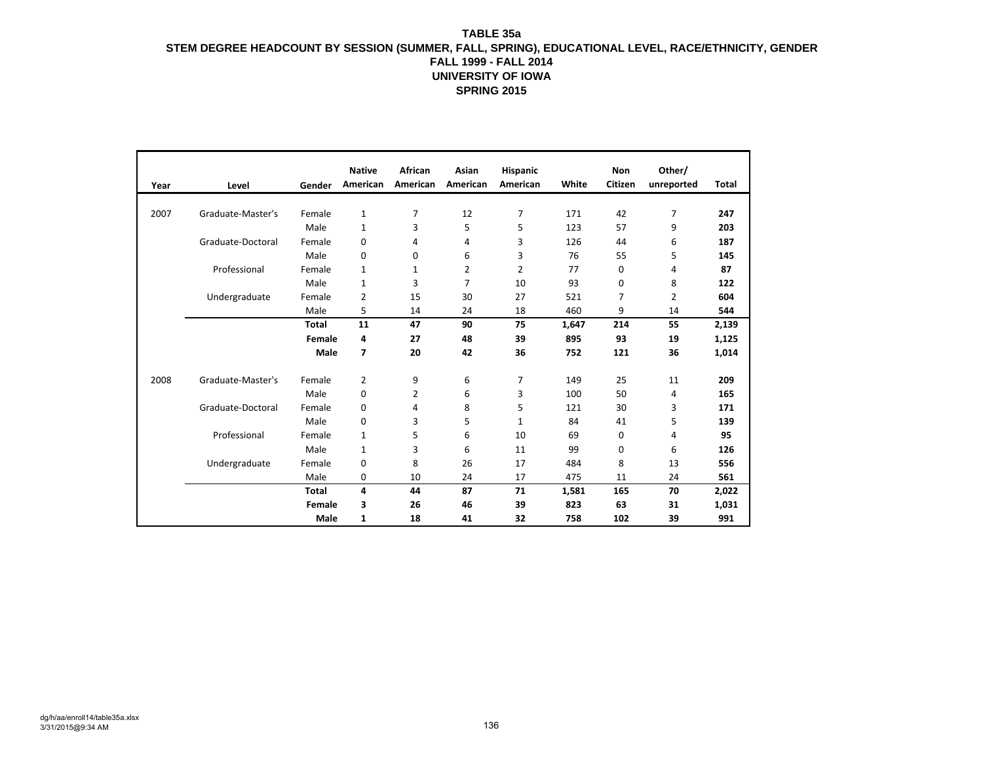|      |                   |              | <b>Native</b>  | African  | Asian    | <b>Hispanic</b> |       | Non     | Other/     |              |
|------|-------------------|--------------|----------------|----------|----------|-----------------|-------|---------|------------|--------------|
| Year | Level             | Gender       | American       | American | American | American        | White | Citizen | unreported | <b>Total</b> |
|      |                   |              |                |          |          |                 |       |         |            |              |
| 2007 | Graduate-Master's | Female       | $\mathbf{1}$   | 7        | 12       | 7               | 171   | 42      | 7          | 247          |
|      |                   | Male         | 1              | 3        | 5        | 5               | 123   | 57      | 9          | 203          |
|      | Graduate-Doctoral | Female       | 0              | 4        | 4        | 3               | 126   | 44      | 6          | 187          |
|      |                   | Male         | 0              | 0        | 6        | 3               | 76    | 55      | 5          | 145          |
|      | Professional      | Female       | 1              | 1        | 2        | 2               | 77    | 0       | 4          | 87           |
|      |                   | Male         | 1              | 3        | 7        | 10              | 93    | 0       | 8          | 122          |
|      | Undergraduate     | Female       | 2              | 15       | 30       | 27              | 521   | 7       | 2          | 604          |
|      |                   | Male         | 5              | 14       | 24       | 18              | 460   | 9       | 14         | 544          |
|      |                   | <b>Total</b> | 11             | 47       | 90       | 75              | 1,647 | 214     | 55         | 2,139        |
|      |                   | Female       | 4              | 27       | 48       | 39              | 895   | 93      | 19         | 1,125        |
|      |                   | Male         | $\overline{7}$ | 20       | 42       | 36              | 752   | 121     | 36         | 1,014        |
|      |                   |              |                |          |          |                 |       |         |            |              |
| 2008 | Graduate-Master's | Female       | 2              | 9        | 6        | 7               | 149   | 25      | 11         | 209          |
|      |                   | Male         | 0              | 2        | 6        | 3               | 100   | 50      | 4          | 165          |
|      | Graduate-Doctoral | Female       | 0              | 4        | 8        | 5               | 121   | 30      | 3          | 171          |
|      |                   | Male         | 0              | 3        | 5        | 1               | 84    | 41      | 5          | 139          |
|      | Professional      | Female       | 1              | 5        | 6        | 10              | 69    | 0       | 4          | 95           |
|      |                   | Male         | 1              | 3        | 6        | 11              | 99    | 0       | 6          | 126          |
|      | Undergraduate     | Female       | 0              | 8        | 26       | 17              | 484   | 8       | 13         | 556          |
|      |                   | Male         | 0              | 10       | 24       | 17              | 475   | 11      | 24         | 561          |
|      |                   | <b>Total</b> | 4              | 44       | 87       | 71              | 1,581 | 165     | 70         | 2,022        |
|      |                   | Female       | 3              | 26       | 46       | 39              | 823   | 63      | 31         | 1,031        |
|      |                   | Male         | 1              | 18       | 41       | 32              | 758   | 102     | 39         | 991          |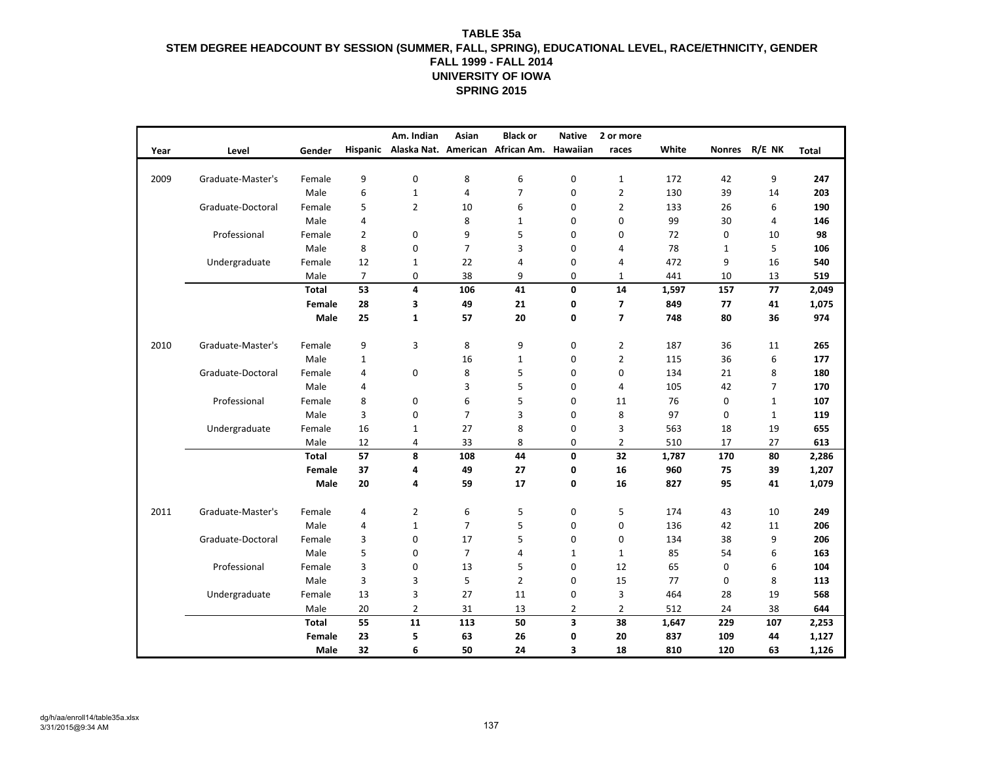|      |                   |              |                 | Am. Indian     | Asian          | <b>Black or</b>                  | <b>Native</b>  | 2 or more      |       |               |                |       |
|------|-------------------|--------------|-----------------|----------------|----------------|----------------------------------|----------------|----------------|-------|---------------|----------------|-------|
| Year | Level             | Gender       | <b>Hispanic</b> |                |                | Alaska Nat. American African Am. | Hawaiian       | races          | White | <b>Nonres</b> | R/E NK         | Total |
|      |                   |              |                 | $\mathbf 0$    |                |                                  |                |                |       |               |                |       |
| 2009 | Graduate-Master's | Female       | 9<br>6          |                | 8              | 6<br>$\overline{7}$              | 0              | $\mathbf{1}$   | 172   | 42            | 9              | 247   |
|      |                   | Male         |                 | $\mathbf{1}$   | $\overline{4}$ |                                  | 0              | $\overline{2}$ | 130   | 39            | 14             | 203   |
|      | Graduate-Doctoral | Female       | 5               | $\overline{2}$ | 10             | 6                                | 0              | $\overline{2}$ | 133   | 26            | 6              | 190   |
|      |                   | Male         | 4               |                | 8              | $\mathbf{1}$                     | $\mathbf 0$    | $\mathbf 0$    | 99    | 30            | 4              | 146   |
|      | Professional      | Female       | $\overline{2}$  | 0              | 9              | 5                                | 0              | 0              | 72    | 0             | 10             | 98    |
|      |                   | Male         | 8               | $\Omega$       | $\overline{7}$ | 3                                | 0              | 4              | 78    | $\mathbf{1}$  | 5              | 106   |
|      | Undergraduate     | Female       | 12              | $\mathbf{1}$   | 22             | 4                                | 0              | 4              | 472   | 9             | 16             | 540   |
|      |                   | Male         | 7               | 0              | 38             | 9                                | 0              | $\mathbf{1}$   | 441   | 10            | 13             | 519   |
|      |                   | <b>Total</b> | 53              | 4              | 106            | 41                               | 0              | 14             | 1,597 | 157           | 77             | 2,049 |
|      |                   | Female       | 28              | 3              | 49             | 21                               | 0              | 7              | 849   | 77            | 41             | 1,075 |
|      |                   | Male         | 25              | $\mathbf{1}$   | 57             | 20                               | 0              | $\overline{7}$ | 748   | 80            | 36             | 974   |
| 2010 | Graduate-Master's | Female       | 9               | 3              | 8              | 9                                | 0              | $\overline{2}$ | 187   | 36            | 11             | 265   |
|      |                   | Male         | 1               |                | 16             | 1                                | 0              | $\overline{2}$ | 115   | 36            | 6              | 177   |
|      | Graduate-Doctoral | Female       | 4               | 0              | 8              | 5                                | 0              | 0              | 134   | 21            | 8              | 180   |
|      |                   | Male         | 4               |                | 3              | 5                                | 0              | 4              | 105   | 42            | $\overline{7}$ | 170   |
|      | Professional      | Female       | 8               | 0              | 6              | 5                                | 0              | 11             | 76    | 0             | $\mathbf{1}$   | 107   |
|      |                   | Male         | 3               | 0              | $\overline{7}$ | 3                                | 0              | 8              | 97    | 0             | $\mathbf{1}$   | 119   |
|      | Undergraduate     | Female       | 16              | $\mathbf{1}$   | 27             | 8                                | 0              | 3              | 563   | 18            | 19             | 655   |
|      |                   | Male         | 12              | 4              | 33             | 8                                | 0              | $\overline{2}$ | 510   | 17            | 27             | 613   |
|      |                   | <b>Total</b> | 57              | 8              | 108            | 44                               | 0              | 32             | 1,787 | 170           | 80             | 2,286 |
|      |                   |              |                 |                |                |                                  |                |                |       |               |                |       |
|      |                   | Female       | 37              | 4              | 49             | 27                               | 0              | 16             | 960   | 75            | 39             | 1,207 |
|      |                   | Male         | 20              | 4              | 59             | 17                               | 0              | 16             | 827   | 95            | 41             | 1,079 |
| 2011 | Graduate-Master's | Female       | 4               | $\overline{2}$ | 6              | 5                                | 0              | 5              | 174   | 43            | 10             | 249   |
|      |                   | Male         | 4               | $\mathbf{1}$   | $\overline{7}$ | 5                                | 0              | $\mathbf 0$    | 136   | 42            | 11             | 206   |
|      | Graduate-Doctoral | Female       | 3               | 0              | 17             | 5                                | 0              | $\mathbf 0$    | 134   | 38            | 9              | 206   |
|      |                   | Male         | 5               | 0              | $\overline{7}$ | 4                                | $\mathbf{1}$   | $\mathbf{1}$   | 85    | 54            | 6              | 163   |
|      | Professional      | Female       | 3               | 0              | 13             | 5                                | 0              | 12             | 65    | 0             | 6              | 104   |
|      |                   | Male         | 3               | 3              | 5              | $\overline{2}$                   | 0              | 15             | 77    | 0             | 8              | 113   |
|      | Undergraduate     | Female       | 13              | 3              | 27             | 11                               | 0              | 3              | 464   | 28            | 19             | 568   |
|      |                   | Male         | 20              | $\overline{2}$ | 31             | 13                               | $\overline{2}$ | $\overline{2}$ | 512   | 24            | 38             | 644   |
|      |                   | <b>Total</b> | 55              | 11             | 113            | 50                               | 3              | 38             | 1,647 | 229           | 107            | 2,253 |
|      |                   | Female       | 23              | 5              | 63             | 26                               | 0              | 20             | 837   | 109           | 44             | 1,127 |
|      |                   | Male         | 32              | 6              | 50             | 24                               | 3              | 18             | 810   | 120           | 63             | 1,126 |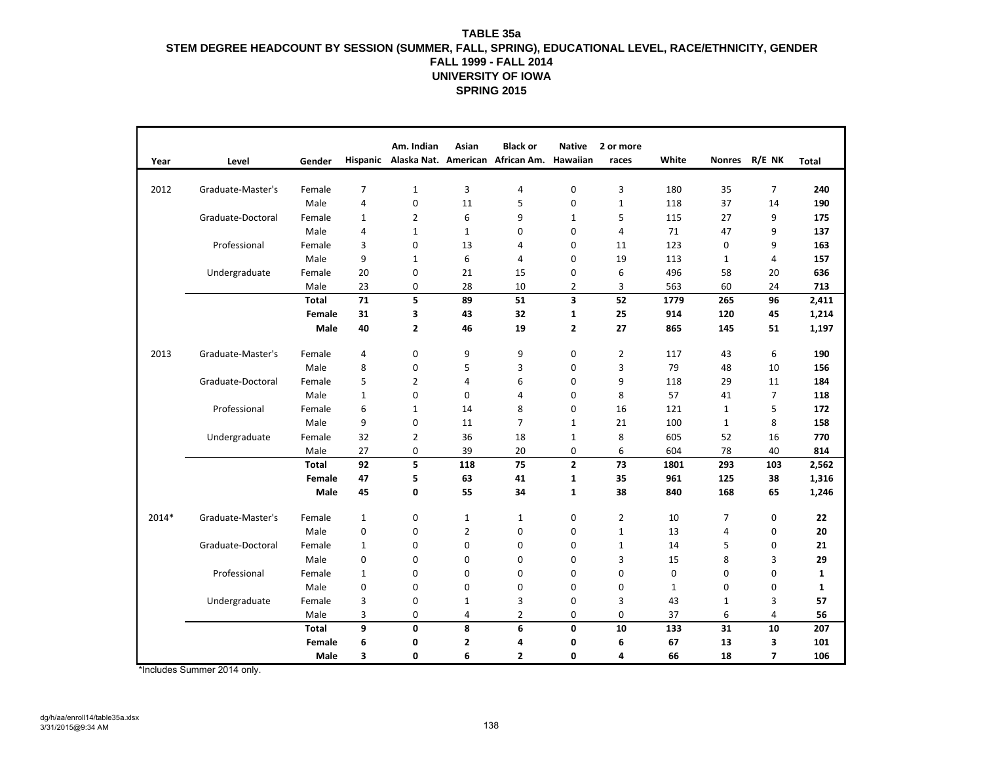| Year  | Level             | Gender |                | Am. Indian              | Asian          | <b>Black or</b><br>Hispanic Alaska Nat. American African Am. | <b>Native</b><br>Hawaiian | 2 or more<br>races | White            | <b>Nonres</b>  | R/E NK         | <b>Total</b> |
|-------|-------------------|--------|----------------|-------------------------|----------------|--------------------------------------------------------------|---------------------------|--------------------|------------------|----------------|----------------|--------------|
|       |                   |        |                |                         |                |                                                              |                           |                    |                  |                |                |              |
| 2012  | Graduate-Master's | Female | 7              | $\mathbf{1}$            | $\mathbf{3}$   | 4                                                            | $\mathbf 0$               | 3                  | 180              | 35             | $\overline{7}$ | 240          |
|       |                   | Male   | $\overline{4}$ | 0                       | 11             | 5                                                            | 0                         | $1\,$              | 118              | 37             | 14             | 190          |
|       | Graduate-Doctoral | Female | $\mathbf{1}$   | $\overline{2}$          | 6              | 9                                                            | $\mathbf{1}$              | 5                  | 115              | 27             | 9              | 175          |
|       |                   | Male   | 4              | $\mathbf{1}$            | $\mathbf{1}$   | 0                                                            | 0                         | 4                  | 71               | 47             | 9              | 137          |
|       | Professional      | Female | 3              | $\mathbf 0$             | 13             | 4                                                            | 0                         | 11                 | 123              | 0              | 9              | 163          |
|       |                   | Male   | 9              | $\mathbf{1}$            | 6              | 4                                                            | 0                         | 19                 | 113              | 1              | 4              | 157          |
|       | Undergraduate     | Female | 20             | $\pmb{0}$               | 21             | 15                                                           | 0                         | 6                  | 496              | 58             | 20             | 636          |
|       |                   | Male   | 23             | 0                       | 28             | 10                                                           | $\overline{2}$            | 3                  | 563              | 60             | 24             | 713          |
|       |                   | Total  | 71             | 5                       | 89             | 51                                                           | $\overline{\mathbf{3}}$   | 52                 | 1779             | 265            | 96             | 2,411        |
|       |                   | Female | 31             | 3                       | 43             | 32                                                           | $\mathbf{1}$              | 25                 | 914              | 120            | 45             | 1,214        |
|       |                   | Male   | 40             | $\overline{\mathbf{2}}$ | 46             | 19                                                           | $\mathbf{z}$              | 27                 | 865              | 145            | 51             |              |
|       |                   |        |                |                         |                |                                                              |                           |                    |                  |                |                | 1,197        |
| 2013  | Graduate-Master's | Female | 4              | 0                       | 9              | 9                                                            | 0                         | $\overline{2}$     | 117              | 43             | 6              | 190          |
|       |                   | Male   | 8              | 0                       | 5              | 3                                                            | $\mathbf 0$               | 3                  | 79               | 48             | 10             | 156          |
|       | Graduate-Doctoral | Female | 5              | $\overline{2}$          | 4              | 6                                                            | 0                         | 9                  | 118              | 29             | 11             | 184          |
|       |                   | Male   | $\mathbf{1}$   | $\mathbf 0$             | $\mathbf 0$    | 4                                                            | 0                         | 8                  | 57               | 41             | $\overline{7}$ | 118          |
|       | Professional      | Female | 6              | $\mathbf{1}$            | 14             | 8                                                            | 0                         | 16                 | 121              | $\mathbf{1}$   | 5              | 172          |
|       |                   | Male   | 9              | $\mathbf 0$             | 11             | $\overline{7}$                                               | $\mathbf{1}$              | 21                 | 100              | 1              | 8              | 158          |
|       | Undergraduate     | Female | 32             | $\overline{2}$          | 36             | 18                                                           | $\mathbf{1}$              | 8                  | 605              | 52             | 16             | 770          |
|       |                   | Male   | 27             | $\mathbf 0$             | 39             | 20                                                           | 0                         | 6                  | 604              | 78             | 40             | 814          |
|       |                   | Total  | 92             | 5                       | 118            | 75                                                           | $\mathbf{2}$              | 73                 | 1801             | 293            | 103            | 2,562        |
|       |                   | Female | 47             | 5                       | 63             | 41                                                           | $\mathbf{1}$              | 35                 | 961              | 125            | 38             | 1,316        |
|       |                   | Male   | 45             | 0                       | 55             | 34                                                           | $\mathbf{1}$              | 38                 | 840              | 168            | 65             | 1,246        |
|       |                   |        |                |                         |                |                                                              |                           |                    |                  |                |                |              |
| 2014* | Graduate-Master's | Female | $\mathbf{1}$   | $\mathbf 0$             | $\mathbf{1}$   | $\mathbf{1}$                                                 | $\mathbf 0$               | $\overline{2}$     | 10               | $\overline{7}$ | $\mathbf 0$    | 22           |
|       |                   | Male   | $\mathbf{0}$   | $\mathbf 0$             | $\overline{2}$ | 0                                                            | 0                         | $\mathbf{1}$       | 13               | $\overline{4}$ | $\mathbf 0$    | 20           |
|       | Graduate-Doctoral | Female | 1              | $\mathbf 0$             | 0              | 0                                                            | 0                         | $\mathbf{1}$       | 14               | 5              | $\mathbf 0$    | 21           |
|       |                   | Male   | 0              | $\mathbf 0$             | $\mathbf 0$    | 0                                                            | 0                         | 3                  | 15               | 8              | 3              | 29           |
|       | Professional      | Female | $\mathbf{1}$   | $\mathbf 0$             | $\mathbf 0$    | 0                                                            | 0                         | 0                  | $\boldsymbol{0}$ | $\mathbf 0$    | $\mathbf 0$    | $\mathbf{1}$ |
|       |                   | Male   | 0              | $\mathbf 0$             | $\mathbf 0$    | $\mathbf 0$                                                  | 0                         | $\mathbf 0$        | 1                | $\mathbf 0$    | $\mathbf 0$    | 1            |
|       | Undergraduate     | Female | 3              | $\mathbf 0$             | 1              | 3                                                            | 0                         | 3                  | 43               | $\mathbf{1}$   | 3              | 57           |
|       |                   | Male   | 3              | $\mathbf 0$             | 4              | $\overline{2}$                                               | 0                         | $\mathbf 0$        | 37               | 6              | 4              | 56           |
|       |                   | Total  | 9              | 0                       | 8              | 6                                                            | 0                         | 10                 | 133              | 31             | 10             | 207          |
|       |                   | Female | 6              | 0                       | 2              | 4                                                            | 0                         | 6                  | 67               | 13             | 3              | 101          |
|       |                   | Male   | 3              | $\mathbf{0}$            | 6              | $\overline{2}$                                               | 0                         | 4                  | 66               | 18             | $\overline{7}$ | 106          |

\*Includes Summer 2014 only.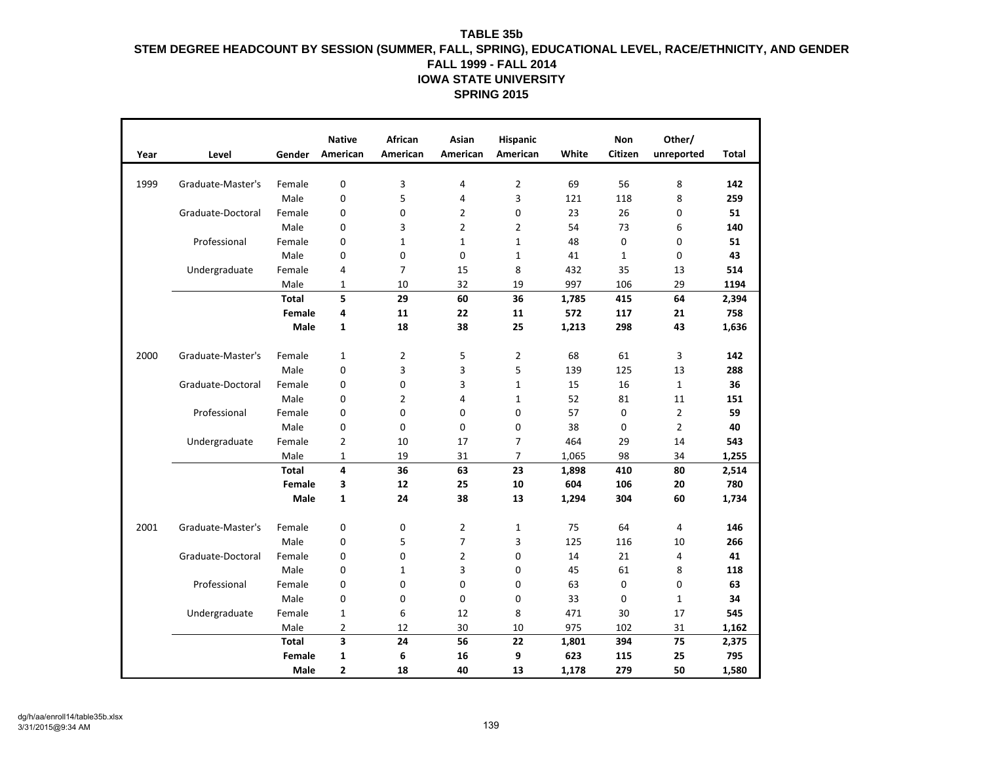| Year | Level             | Gender       | <b>Native</b><br>American | <b>African</b><br>American | <b>Asian</b><br>American | Hispanic<br>American | White | <b>Non</b><br><b>Citizen</b> | Other/<br>unreported | <b>Total</b> |
|------|-------------------|--------------|---------------------------|----------------------------|--------------------------|----------------------|-------|------------------------------|----------------------|--------------|
| 1999 | Graduate-Master's | Female       | 0                         | 3                          | 4                        | $\overline{2}$       | 69    | 56                           | 8                    | 142          |
|      |                   | Male         | 0                         | 5                          | 4                        | 3                    | 121   | 118                          | 8                    | 259          |
|      | Graduate-Doctoral | Female       | 0                         | $\mathbf 0$                | $\overline{2}$           | $\mathbf 0$          | 23    | 26                           | 0                    | 51           |
|      |                   | Male         | 0                         | 3                          | $\overline{2}$           | $\overline{2}$       | 54    | 73                           | 6                    | 140          |
|      | Professional      | Female       | 0                         | $\mathbf{1}$               | $\mathbf 1$              | $\mathbf{1}$         | 48    | 0                            | 0                    | 51           |
|      |                   | Male         | 0                         | $\mathbf 0$                | 0                        | $\mathbf 1$          | 41    | $\mathbf{1}$                 | 0                    | 43           |
|      | Undergraduate     | Female       | 4                         | $\overline{7}$             | 15                       | 8                    | 432   | 35                           | 13                   | 514          |
|      |                   | Male         | $\mathbf{1}$              | 10                         | 32                       | 19                   | 997   | 106                          | 29                   | 1194         |
|      |                   | <b>Total</b> | 5                         | 29                         | 60                       | 36                   | 1,785 | 415                          | 64                   | 2,394        |
|      |                   | Female       | 4                         | 11                         | 22                       | 11                   | 572   | 117                          | 21                   | 758          |
|      |                   | <b>Male</b>  | $\mathbf{1}$              | 18                         | 38                       | 25                   | 1,213 | 298                          | 43                   | 1,636        |
| 2000 | Graduate-Master's | Female       | $\mathbf{1}$              | $\overline{2}$             | 5                        | $\overline{2}$       | 68    | 61                           | 3                    | 142          |
|      |                   | Male         | 0                         | 3                          | 3                        | 5                    | 139   | 125                          | 13                   | 288          |
|      | Graduate-Doctoral | Female       | 0                         | $\mathbf 0$                | 3                        | $\mathbf{1}$         | 15    | 16                           | $\mathbf{1}$         | 36           |
|      |                   | Male         | 0                         | $\overline{2}$             | 4                        | $\mathbf{1}$         | 52    | 81                           | 11                   | 151          |
|      | Professional      | Female       | 0                         | $\mathbf 0$                | 0                        | $\mathbf 0$          | 57    | $\mathbf 0$                  | 2                    | 59           |
|      |                   | Male         | 0                         | $\mathbf 0$                | 0                        | $\mathbf 0$          | 38    | 0                            | $\overline{2}$       | 40           |
|      | Undergraduate     | Female       | 2                         | 10                         | 17                       | 7                    | 464   | 29                           | 14                   | 543          |
|      |                   | Male         | $\mathbf{1}$              | 19                         | 31                       | $\overline{7}$       | 1,065 | 98                           | 34                   | 1,255        |
|      |                   | Total        | 4                         | 36                         | 63                       | 23                   | 1,898 | 410                          | 80                   | 2,514        |
|      |                   | Female       | 3                         | 12                         | 25                       | 10                   | 604   | 106                          | 20                   | 780          |
|      |                   | Male         | $\mathbf{1}$              | 24                         | 38                       | 13                   | 1,294 | 304                          | 60                   | 1,734        |
| 2001 | Graduate-Master's | Female       | 0                         | $\mathbf 0$                | $\overline{2}$           | $\mathbf{1}$         | 75    | 64                           | 4                    | 146          |
|      |                   | Male         | 0                         | 5                          | $\overline{7}$           | 3                    | 125   | 116                          | 10                   | 266          |
|      | Graduate-Doctoral | Female       | 0                         | $\mathbf 0$                | $\overline{2}$           | $\mathbf 0$          | 14    | 21                           | 4                    | 41           |
|      |                   | Male         | 0                         | $\mathbf{1}$               | 3                        | $\Omega$             | 45    | 61                           | 8                    | 118          |
|      | Professional      | Female       | 0                         | $\mathbf 0$                | 0                        | 0                    | 63    | 0                            | 0                    | 63           |
|      |                   | Male         | 0                         | $\mathbf 0$                | 0                        | 0                    | 33    | 0                            | $\mathbf{1}$         | 34           |
|      | Undergraduate     | Female       | $\mathbf{1}$              | 6                          | 12                       | 8                    | 471   | 30                           | 17                   | 545          |
|      |                   | Male         | $\overline{2}$            | 12                         | 30                       | 10                   | 975   | 102                          | 31                   | 1,162        |
|      |                   | <b>Total</b> | 3                         | 24                         | 56                       | 22                   | 1,801 | 394                          | 75                   | 2,375        |
|      |                   | Female       | $\mathbf{1}$              | 6                          | 16                       | 9                    | 623   | 115                          | 25                   | 795          |
|      |                   | Male         | 2                         | 18                         | 40                       | 13                   | 1,178 | 279                          | 50                   | 1,580        |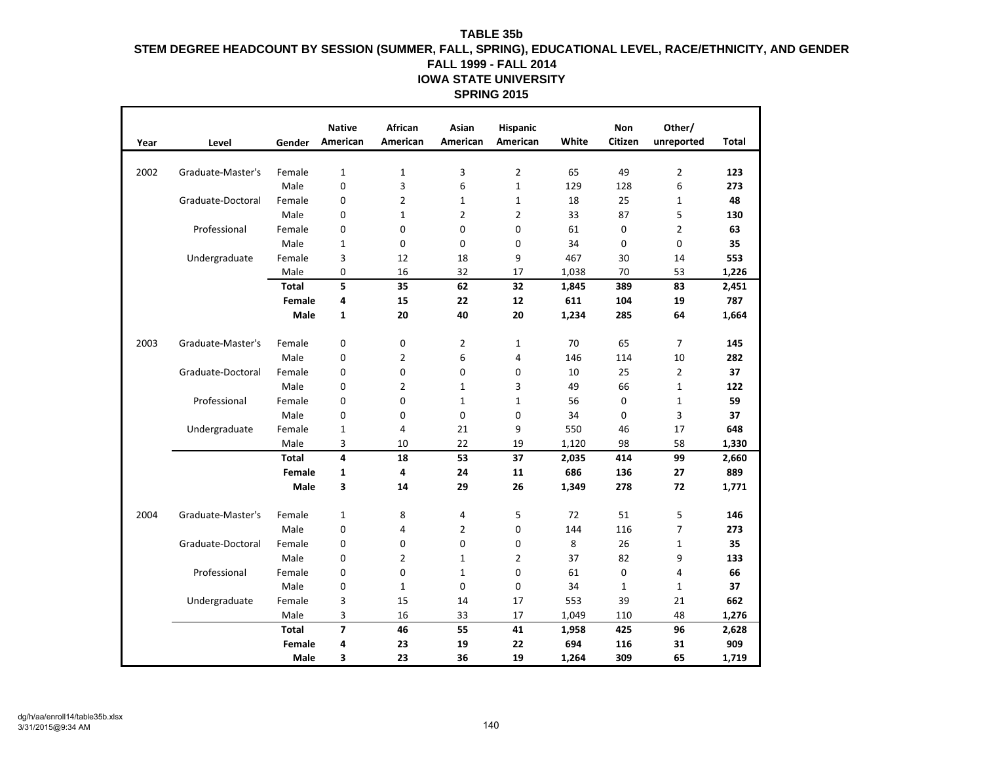| Year | Level             | Gender       | <b>Native</b><br>American | African<br>American | Asian<br>American | Hispanic<br>American | White | Non<br>Citizen | Other/<br>unreported | Total |
|------|-------------------|--------------|---------------------------|---------------------|-------------------|----------------------|-------|----------------|----------------------|-------|
| 2002 | Graduate-Master's | Female       | $\mathbf 1$               | $\mathbf{1}$        | 3                 | 2                    | 65    | 49             | $\overline{2}$       | 123   |
|      |                   | Male         | 0                         | 3                   | 6                 | $\mathbf{1}$         | 129   | 128            | 6                    | 273   |
|      | Graduate-Doctoral | Female       | 0                         | $\overline{2}$      | 1                 | $\mathbf{1}$         | 18    | 25             | $\mathbf{1}$         | 48    |
|      |                   | Male         | 0                         | $\mathbf{1}$        | $\overline{2}$    | $\overline{2}$       | 33    | 87             | 5                    | 130   |
|      | Professional      | Female       | 0                         | 0                   | 0                 | 0                    | 61    | 0              | $\overline{2}$       | 63    |
|      |                   | Male         | 1                         | 0                   | 0                 | 0                    | 34    | 0              | $\mathbf 0$          | 35    |
|      | Undergraduate     | Female       | 3                         | 12                  | 18                | 9                    | 467   | 30             | 14                   | 553   |
|      |                   | Male         | 0                         | 16                  | 32                | 17                   | 1,038 | 70             | 53                   | 1,226 |
|      |                   | <b>Total</b> | 5                         | 35                  | 62                | 32                   | 1,845 | 389            | 83                   | 2,451 |
|      |                   | Female       | 4                         | 15                  | 22                | 12                   | 611   | 104            | 19                   | 787   |
|      |                   | Male         | 1                         | 20                  | 40                | 20                   | 1,234 | 285            | 64                   |       |
|      |                   |              |                           |                     |                   |                      |       |                |                      | 1,664 |
| 2003 | Graduate-Master's | Female       | 0                         | 0                   | 2                 | 1                    | 70    | 65             | 7                    | 145   |
|      |                   | Male         | 0                         | 2                   | 6                 | 4                    | 146   | 114            | 10                   | 282   |
|      | Graduate-Doctoral | Female       | 0                         | 0                   | 0                 | 0                    | 10    | 25             | $\overline{2}$       | 37    |
|      |                   | Male         | 0                         | 2                   | 1                 | 3                    | 49    | 66             | $\mathbf{1}$         | 122   |
|      | Professional      | Female       | 0                         | 0                   | 1                 | $\mathbf{1}$         | 56    | 0              | $\mathbf{1}$         | 59    |
|      |                   | Male         | 0                         | 0                   | 0                 | 0                    | 34    | 0              | 3                    | 37    |
|      | Undergraduate     | Female       | 1                         | 4                   | 21                | 9                    | 550   | 46             | 17                   | 648   |
|      |                   | Male         | 3                         | 10                  | 22                | 19                   | 1,120 | 98             | 58                   | 1,330 |
|      |                   | <b>Total</b> | 4                         | 18                  | 53                | 37                   | 2,035 | 414            | 99                   | 2,660 |
|      |                   | Female       | 1                         | 4                   | 24                | 11                   | 686   | 136            | 27                   | 889   |
|      |                   | Male         | 3                         | 14                  | 29                | 26                   | 1,349 | 278            | 72                   | 1,771 |
|      |                   |              |                           |                     |                   |                      |       |                |                      |       |
| 2004 | Graduate-Master's | Female       | 1                         | 8                   | 4                 | 5                    | 72    | 51             | 5                    | 146   |
|      |                   | Male         | 0                         | 4                   | 2                 | 0                    | 144   | 116            | 7                    | 273   |
|      | Graduate-Doctoral | Female       | 0                         | 0                   | 0                 | 0                    | 8     | 26             | $\mathbf{1}$         | 35    |
|      |                   | Male         | 0                         | $\overline{2}$      | $\mathbf{1}$      | 2                    | 37    | 82             | 9                    | 133   |
|      | Professional      | Female       | 0                         | 0                   | 1                 | 0                    | 61    | 0              | 4                    | 66    |
|      |                   | Male         | 0                         | $\mathbf{1}$        | 0                 | 0                    | 34    | $\mathbf{1}$   | $\mathbf{1}$         | 37    |
|      | Undergraduate     | Female       | 3                         | 15                  | 14                | 17                   | 553   | 39             | 21                   | 662   |
|      |                   | Male         | 3                         | 16                  | 33                | 17                   | 1,049 | 110            | 48                   | 1,276 |
|      |                   | <b>Total</b> | 7                         | 46                  | 55                | 41                   | 1,958 | 425            | 96                   | 2,628 |
|      |                   | Female       | 4                         | 23                  | 19                | 22                   | 694   | 116            | 31                   | 909   |
|      |                   | Male         | 3                         | 23                  | 36                | 19                   | 1,264 | 309            | 65                   | 1,719 |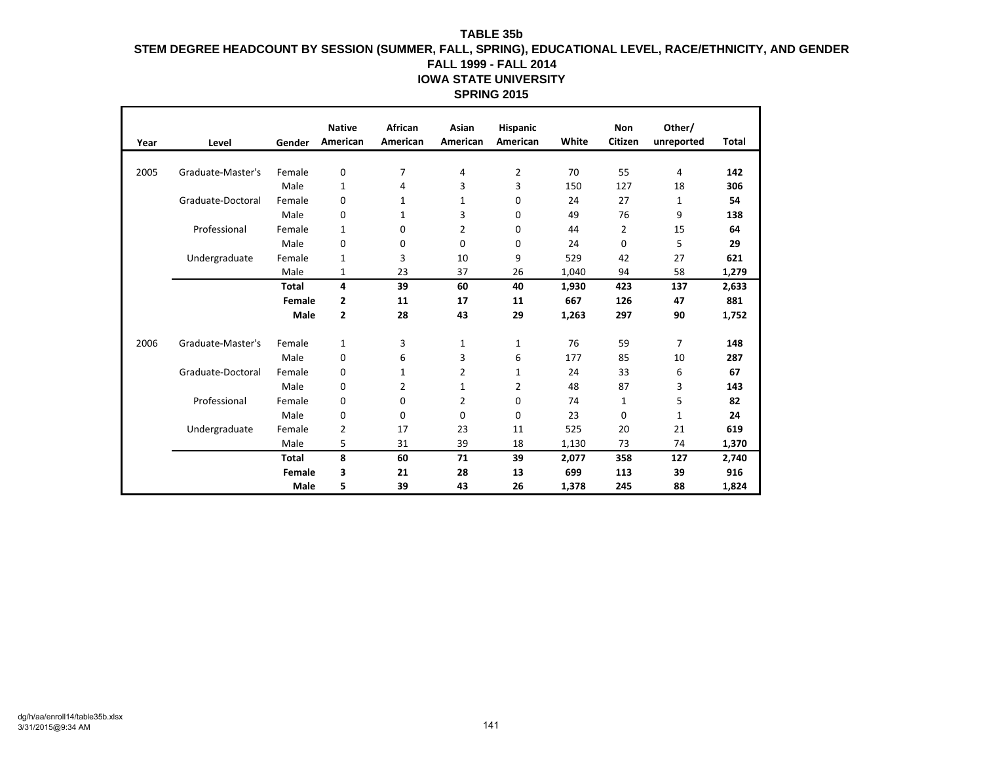| Year | Level             | Gender       | <b>Native</b><br>American | African<br>American | Asian<br>American | <b>Hispanic</b><br>American | White | <b>Non</b><br>Citizen | Other/<br>unreported | Total |
|------|-------------------|--------------|---------------------------|---------------------|-------------------|-----------------------------|-------|-----------------------|----------------------|-------|
|      |                   |              |                           |                     |                   |                             |       |                       |                      |       |
| 2005 | Graduate-Master's | Female       | 0                         | 7                   | 4                 | 2                           | 70    | 55                    | 4                    | 142   |
|      |                   | Male         | 1                         | 4                   | 3                 | 3                           | 150   | 127                   | 18                   | 306   |
|      | Graduate-Doctoral | Female       | 0                         | 1                   | 1                 | 0                           | 24    | 27                    | $\mathbf{1}$         | 54    |
|      |                   | Male         | 0                         | 1                   | 3                 | 0                           | 49    | 76                    | 9                    | 138   |
|      | Professional      | Female       | 1                         | 0                   | 2                 | 0                           | 44    | 2                     | 15                   | 64    |
|      |                   | Male         | 0                         | 0                   | 0                 | 0                           | 24    | 0                     | 5                    | 29    |
|      | Undergraduate     | Female       | 1                         | 3                   | 10                | 9                           | 529   | 42                    | 27                   | 621   |
|      |                   | Male         | 1                         | 23                  | 37                | 26                          | 1,040 | 94                    | 58                   | 1,279 |
|      |                   | <b>Total</b> | 4                         | 39                  | 60                | 40                          | 1,930 | 423                   | 137                  | 2,633 |
|      |                   | Female       | 2                         | 11                  | 17                | 11                          | 667   | 126                   | 47                   | 881   |
|      |                   | Male         | 2                         | 28                  | 43                | 29                          | 1,263 | 297                   | 90                   | 1,752 |
| 2006 | Graduate-Master's | Female       | 1                         | 3                   | 1                 | 1                           | 76    | 59                    | $\overline{7}$       | 148   |
|      |                   | Male         | 0                         | 6                   | 3                 | 6                           | 177   | 85                    | 10                   | 287   |
|      | Graduate-Doctoral | Female       | 0                         | 1                   | 2                 | 1                           | 24    | 33                    | 6                    | 67    |
|      |                   | Male         | 0                         | 2                   | 1                 | 2                           | 48    | 87                    | 3                    | 143   |
|      | Professional      | Female       | 0                         | 0                   | 2                 | 0                           | 74    | 1                     | 5                    | 82    |
|      |                   | Male         | 0                         | 0                   | 0                 | 0                           | 23    | 0                     | $\mathbf{1}$         | 24    |
|      | Undergraduate     | Female       | 2                         | 17                  | 23                | 11                          | 525   | 20                    | 21                   | 619   |
|      |                   | Male         | 5                         | 31                  | 39                | 18                          | 1,130 | 73                    | 74                   | 1,370 |
|      |                   | <b>Total</b> | 8                         | 60                  | 71                | 39                          | 2,077 | 358                   | 127                  | 2,740 |
|      |                   | Female       | 3                         | 21                  | 28                | 13                          | 699   | 113                   | 39                   | 916   |
|      |                   | Male         | 5                         | 39                  | 43                | 26                          | 1,378 | 245                   | 88                   | 1,824 |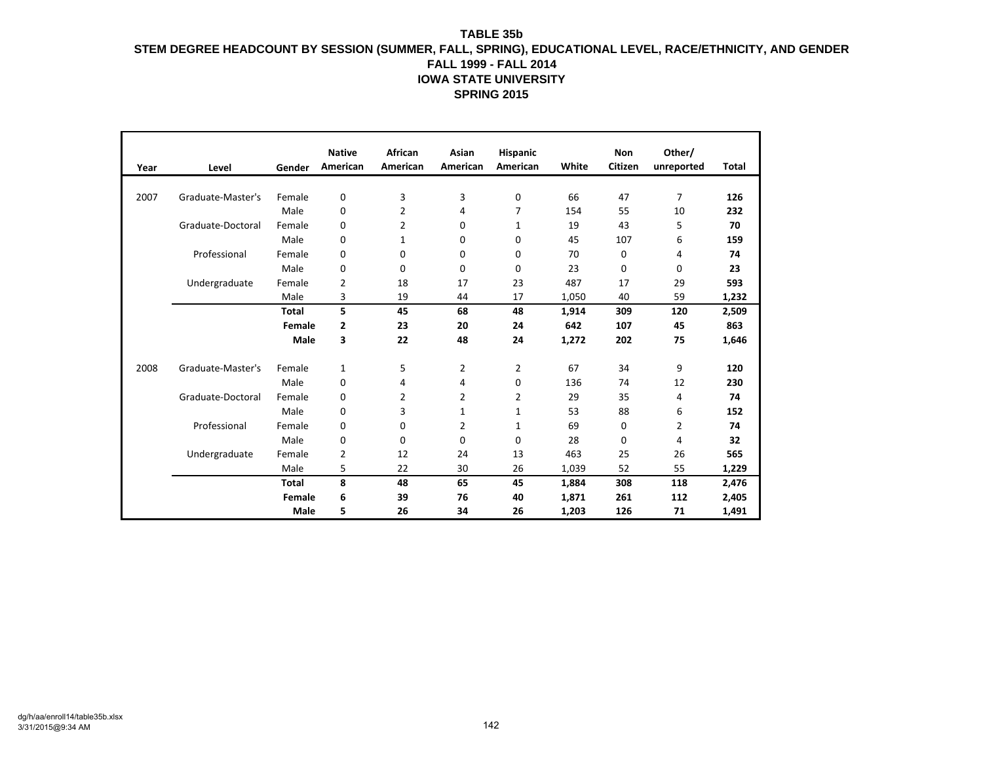| Year | Level             | Gender       | <b>Native</b><br>American | African<br>American | Asian<br>American | Hispanic<br>American | White | <b>Non</b><br>Citizen | Other/<br>unreported | Total |
|------|-------------------|--------------|---------------------------|---------------------|-------------------|----------------------|-------|-----------------------|----------------------|-------|
|      |                   |              |                           |                     |                   |                      |       |                       |                      |       |
| 2007 | Graduate-Master's | Female       | 0                         | 3                   | 3                 | 0                    | 66    | 47                    | $\overline{7}$       | 126   |
|      |                   | Male         | 0                         | $\overline{2}$      | 4                 | 7                    | 154   | 55                    | 10                   | 232   |
|      | Graduate-Doctoral | Female       | 0                         | 2                   | 0                 | 1                    | 19    | 43                    | 5                    | 70    |
|      |                   | Male         | 0                         | 1                   | 0                 | 0                    | 45    | 107                   | 6                    | 159   |
|      | Professional      | Female       | 0                         | 0                   | 0                 | 0                    | 70    | 0                     | 4                    | 74    |
|      |                   | Male         | 0                         | 0                   | 0                 | 0                    | 23    | 0                     | $\mathbf 0$          | 23    |
|      | Undergraduate     | Female       | $\overline{2}$            | 18                  | 17                | 23                   | 487   | 17                    | 29                   | 593   |
|      |                   | Male         | 3                         | 19                  | 44                | 17                   | 1,050 | 40                    | 59                   | 1,232 |
|      |                   | <b>Total</b> | 5                         | 45                  | 68                | 48                   | 1,914 | 309                   | 120                  | 2,509 |
|      |                   | Female       | 2                         | 23                  | 20                | 24                   | 642   | 107                   | 45                   | 863   |
|      |                   | Male         | 3                         | 22                  | 48                | 24                   | 1,272 | 202                   | 75                   | 1,646 |
| 2008 | Graduate-Master's | Female       | 1                         | 5                   | 2                 | 2                    | 67    | 34                    | 9                    | 120   |
|      |                   | Male         | 0                         | 4                   | 4                 | 0                    | 136   | 74                    | 12                   | 230   |
|      | Graduate-Doctoral | Female       | 0                         | 2                   | 2                 | 2                    | 29    | 35                    | 4                    | 74    |
|      |                   | Male         | 0                         | 3                   | $\mathbf{1}$      | 1                    | 53    | 88                    | 6                    | 152   |
|      | Professional      | Female       | 0                         | 0                   | 2                 | 1                    | 69    | 0                     | 2                    | 74    |
|      |                   | Male         | 0                         | 0                   | 0                 | 0                    | 28    | 0                     | 4                    | 32    |
|      | Undergraduate     | Female       | $\overline{2}$            | 12                  | 24                | 13                   | 463   | 25                    | 26                   | 565   |
|      |                   | Male         | 5                         | 22                  | 30                | 26                   | 1,039 | 52                    | 55                   | 1,229 |
|      |                   | <b>Total</b> | 8                         | 48                  | 65                | 45                   | 1,884 | 308                   | 118                  | 2,476 |
|      |                   | Female       | 6                         | 39                  | 76                | 40                   | 1,871 | 261                   | 112                  | 2,405 |
|      |                   | Male         | 5                         | 26                  | 34                | 26                   | 1,203 | 126                   | 71                   | 1,491 |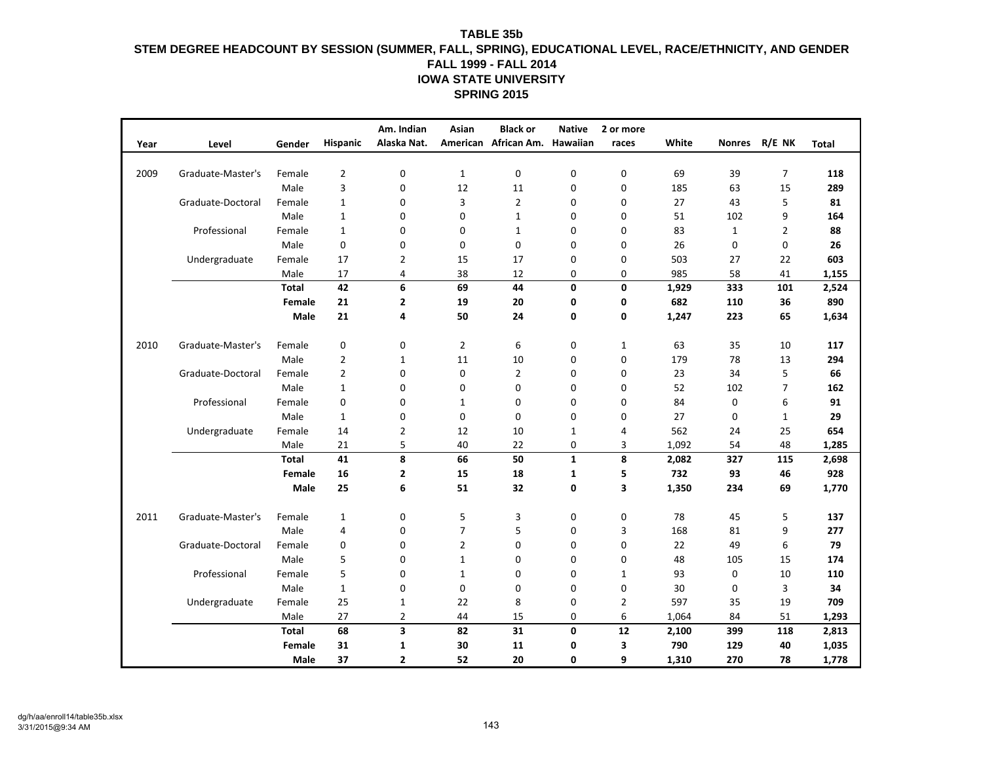|      |                   |              |                  | Am. Indian              | Asian          | <b>Black or</b>               | <b>Native</b> | 2 or more      |       |               |                |              |
|------|-------------------|--------------|------------------|-------------------------|----------------|-------------------------------|---------------|----------------|-------|---------------|----------------|--------------|
| Year | Level             | Gender       | Hispanic         | Alaska Nat.             |                | American African Am. Hawaiian |               | races          | White | <b>Nonres</b> | R/E NK         | <b>Total</b> |
|      |                   |              |                  |                         |                |                               |               |                |       |               |                |              |
| 2009 | Graduate-Master's | Female       | $\overline{2}$   | $\mathbf{0}$            | $\mathbf{1}$   | 0                             | 0             | $\mathbf 0$    | 69    | 39            | $\overline{7}$ | 118          |
|      |                   | Male         | 3                | $\mathbf 0$             | 12             | 11                            | 0             | $\mathbf 0$    | 185   | 63            | 15             | 289          |
|      | Graduate-Doctoral | Female       | $\mathbf{1}$     | $\mathbf 0$             | 3              | $\overline{2}$                | 0             | 0              | 27    | 43            | 5              | 81           |
|      |                   | Male         | $\mathbf{1}$     | $\mathbf 0$             | $\mathbf 0$    | $\mathbf{1}$                  | 0             | 0              | 51    | 102           | 9              | 164          |
|      | Professional      | Female       | $\mathbf{1}$     | 0                       | $\mathbf 0$    | $\mathbf{1}$                  | $\Omega$      | $\mathbf 0$    | 83    | $\mathbf{1}$  | $\overline{2}$ | 88           |
|      |                   | Male         | $\pmb{0}$        | $\mathbf 0$             | $\mathbf 0$    | 0                             | 0             | $\mathbf 0$    | 26    | 0             | 0              | 26           |
|      | Undergraduate     | Female       | 17               | 2                       | 15             | 17                            | 0             | 0              | 503   | 27            | 22             | 603          |
|      |                   | Male         | 17               | 4                       | 38             | 12                            | 0             | 0              | 985   | 58            | 41             | 1,155        |
|      |                   | <b>Total</b> | 42               | 6                       | 69             | 44                            | 0             | 0              | 1,929 | 333           | 101            | 2,524        |
|      |                   | Female       | 21               | $\mathbf{2}$            | 19             | 20                            | 0             | 0              | 682   | 110           | 36             | 890          |
|      |                   | Male         | 21               | 4                       | 50             | 24                            | 0             | 0              | 1,247 | 223           | 65             | 1,634        |
| 2010 | Graduate-Master's | Female       | $\boldsymbol{0}$ | $\mathbf 0$             | $\overline{2}$ | 6                             | 0             | $\mathbf{1}$   | 63    | 35            | 10             | 117          |
|      |                   | Male         | $\overline{2}$   | 1                       | 11             | 10                            | 0             | 0              | 179   | 78            | 13             | 294          |
|      | Graduate-Doctoral | Female       | $\overline{2}$   | 0                       | 0              | $\overline{2}$                | $\mathbf 0$   | $\mathbf 0$    | 23    | 34            | 5              | 66           |
|      |                   | Male         | $\mathbf 1$      | 0                       | $\mathbf 0$    | $\mathbf 0$                   | $\mathbf 0$   | 0              | 52    | 102           | $\overline{7}$ | 162          |
|      | Professional      | Female       | 0                | 0                       | $\mathbf{1}$   | 0                             | 0             | 0              | 84    | 0             | 6              | 91           |
|      |                   | Male         | $\mathbf{1}$     | $\mathbf 0$             | $\mathbf 0$    | 0                             | $\mathbf 0$   | 0              | 27    | 0             | $\mathbf{1}$   | 29           |
|      | Undergraduate     | Female       | 14               | $\overline{2}$          | 12             | 10                            | $\mathbf{1}$  | 4              | 562   | 24            | 25             | 654          |
|      |                   | Male         | 21               | 5                       | 40             | 22                            | 0             | 3              | 1,092 | 54            | 48             | 1,285        |
|      |                   | <b>Total</b> | 41               | 8                       | 66             | 50                            | $\mathbf{1}$  | 8              | 2,082 | 327           | 115            | 2,698        |
|      |                   | Female       | 16               | $\mathbf{2}$            | 15             | 18                            | $\mathbf{1}$  | 5              | 732   | 93            | 46             | 928          |
|      |                   | Male         | 25               | 6                       | 51             | 32                            | 0             | 3              | 1,350 | 234           | 69             | 1,770        |
| 2011 | Graduate-Master's | Female       | $\mathbf{1}$     | $\mathbf 0$             | 5              | 3                             | 0             | $\pmb{0}$      | 78    | 45            | 5              | 137          |
|      |                   | Male         | 4                | $\mathbf 0$             | $\overline{7}$ | 5                             | $\mathbf 0$   | 3              | 168   | 81            | 9              | 277          |
|      | Graduate-Doctoral | Female       | 0                | $\mathbf 0$             | $\overline{2}$ | 0                             | $\mathbf 0$   | 0              | 22    | 49            | 6              | 79           |
|      |                   | Male         | 5                | $\mathbf 0$             | $\mathbf{1}$   | 0                             | $\mathbf 0$   | $\mathbf 0$    | 48    | 105           | 15             | 174          |
|      | Professional      | Female       | 5                | 0                       | $\mathbf{1}$   | 0                             | $\mathbf 0$   | 1              | 93    | 0             | 10             | 110          |
|      |                   | Male         | $\mathbf{1}$     | $\mathbf 0$             | $\mathbf 0$    | 0                             | $\mathbf 0$   | $\mathbf 0$    | 30    | 0             | 3              | 34           |
|      | Undergraduate     | Female       | 25               | $\mathbf{1}$            | 22             | 8                             | 0             | $\overline{2}$ | 597   | 35            | 19             | 709          |
|      |                   | Male         | 27               | $\overline{2}$          | 44             | 15                            | 0             | 6              | 1,064 | 84            | 51             | 1,293        |
|      |                   | <b>Total</b> | 68               | 3                       | 82             | 31                            | $\mathbf 0$   | 12             | 2,100 | 399           | 118            | 2,813        |
|      |                   | Female       | 31               | 1                       | 30             | 11                            | 0             | 3              | 790   | 129           | 40             | 1,035        |
|      |                   | Male         | 37               | $\overline{\mathbf{2}}$ | 52             | 20                            | 0             | 9              | 1,310 | 270           | 78             | 1,778        |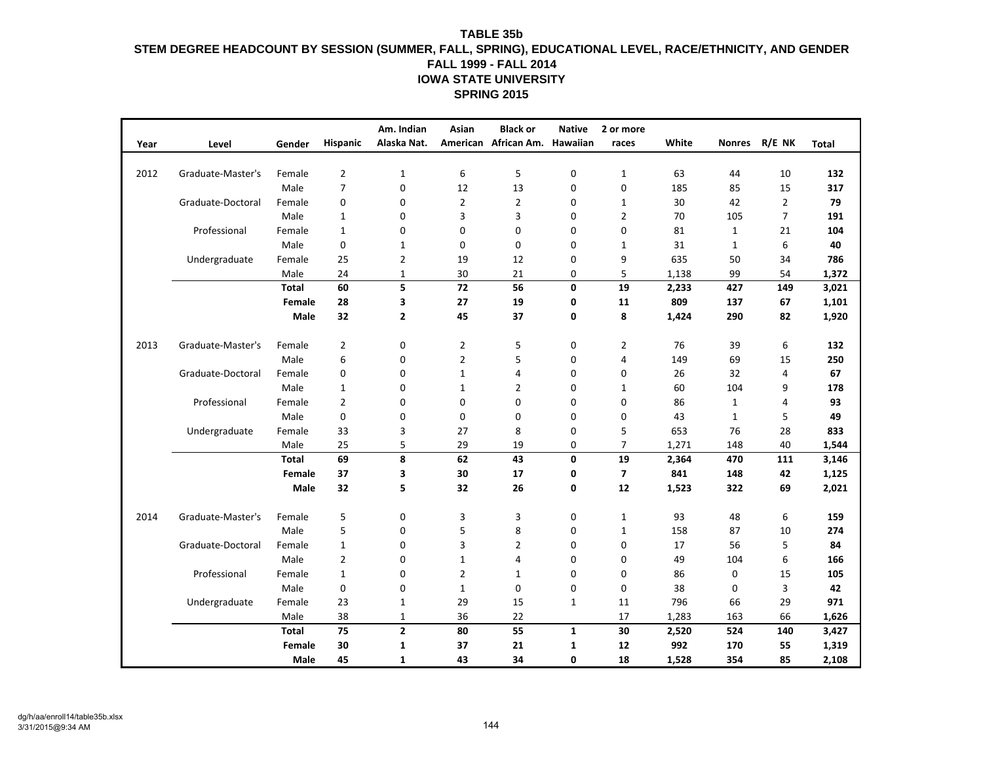|      |                   |              |                | Am. Indian              | Asian          | <b>Black or</b>               | <b>Native</b> | 2 or more               |       |               |                |              |
|------|-------------------|--------------|----------------|-------------------------|----------------|-------------------------------|---------------|-------------------------|-------|---------------|----------------|--------------|
| Year | Level             | Gender       | Hispanic       | Alaska Nat.             |                | American African Am. Hawaiian |               | races                   | White | <b>Nonres</b> | R/E NK         | <b>Total</b> |
|      |                   |              |                |                         |                |                               |               |                         |       |               |                |              |
| 2012 | Graduate-Master's | Female       | $\overline{2}$ | $\mathbf{1}$            | 6              | 5                             | 0             | $\mathbf{1}$            | 63    | 44            | 10             | 132          |
|      |                   | Male         | $\overline{7}$ | $\mathbf 0$             | 12             | 13                            | 0             | $\mathbf 0$             | 185   | 85            | 15             | 317          |
|      | Graduate-Doctoral | Female       | 0              | $\mathbf 0$             | $\overline{2}$ | $\mathbf{2}$                  | $\mathbf 0$   | 1                       | 30    | 42            | $\overline{2}$ | 79           |
|      |                   | Male         | $\mathbf{1}$   | $\mathbf 0$             | 3              | 3                             | $\mathbf 0$   | $\overline{2}$          | 70    | 105           | $\overline{7}$ | 191          |
|      | Professional      | Female       | $\mathbf{1}$   | 0                       | $\mathbf 0$    | $\mathbf 0$                   | $\Omega$      | 0                       | 81    | $\mathbf{1}$  | 21             | 104          |
|      |                   | Male         | $\pmb{0}$      | $\mathbf 1$             | $\mathbf 0$    | 0                             | $\mathbf 0$   | $\mathbf{1}$            | 31    | $\mathbf{1}$  | 6              | 40           |
|      | Undergraduate     | Female       | 25             | 2                       | 19             | 12                            | 0             | 9                       | 635   | 50            | 34             | 786          |
|      |                   | Male         | 24             | 1                       | 30             | 21                            | 0             | 5                       | 1,138 | 99            | 54             | 1,372        |
|      |                   | <b>Total</b> | 60             | 5                       | 72             | 56                            | 0             | 19                      | 2,233 | 427           | 149            | 3,021        |
|      |                   | Female       | 28             | 3                       | 27             | 19                            | 0             | 11                      | 809   | 137           | 67             | 1,101        |
|      |                   | Male         | 32             | $\overline{2}$          | 45             | 37                            | 0             | 8                       | 1,424 | 290           | 82             | 1,920        |
| 2013 | Graduate-Master's | Female       | $\overline{2}$ | $\mathbf 0$             | $\overline{2}$ | 5                             | $\mathbf 0$   | $\overline{2}$          | 76    | 39            | 6              | 132          |
|      |                   | Male         | 6              | $\pmb{0}$               | $\overline{2}$ | 5                             | 0             | $\overline{4}$          | 149   | 69            | 15             | 250          |
|      | Graduate-Doctoral | Female       | 0              | 0                       | $\mathbf{1}$   | $\overline{4}$                | $\mathbf 0$   | 0                       | 26    | 32            | $\overline{4}$ | 67           |
|      |                   | Male         | $\mathbf{1}$   | 0                       | $\mathbf 1$    | $\overline{2}$                | $\mathbf 0$   | $\mathbf{1}$            | 60    | 104           | 9              | 178          |
|      | Professional      | Female       | $\overline{2}$ | 0                       | 0              | 0                             | 0             | 0                       | 86    | $\mathbf{1}$  | $\overline{4}$ | 93           |
|      |                   | Male         | 0              | 0                       | $\mathbf 0$    | $\mathbf 0$                   | $\mathbf 0$   | 0                       | 43    | $\mathbf{1}$  | 5              | 49           |
|      | Undergraduate     | Female       | 33             | 3                       | 27             | 8                             | 0             | 5                       | 653   | 76            | 28             | 833          |
|      |                   | Male         | 25             | 5                       | 29             | 19                            | 0             | $\overline{7}$          | 1,271 | 148           | 40             | 1,544        |
|      |                   | <b>Total</b> | 69             | 8                       | 62             | 43                            | 0             | 19                      | 2,364 | 470           | 111            | 3,146        |
|      |                   | Female       | 37             | 3                       | 30             | 17                            | 0             | $\overline{\mathbf{z}}$ | 841   | 148           | 42             | 1,125        |
|      |                   | Male         | 32             | 5                       | 32             | 26                            | 0             | 12                      | 1,523 | 322           | 69             | 2,021        |
| 2014 | Graduate-Master's | Female       | 5              | $\mathbf 0$             | 3              | 3                             | 0             | $\mathbf{1}$            | 93    | 48            | 6              | 159          |
|      |                   | Male         | 5              | $\mathbf 0$             | 5              | 8                             | $\mathbf 0$   | $\mathbf{1}$            | 158   | 87            | 10             | 274          |
|      | Graduate-Doctoral | Female       | $\mathbf{1}$   | $\mathbf 0$             | 3              | $\overline{2}$                | $\mathbf 0$   | 0                       | 17    | 56            | 5              | 84           |
|      |                   | Male         | $\overline{2}$ | $\mathbf 0$             | $\mathbf{1}$   | 4                             | $\mathbf 0$   | $\mathbf 0$             | 49    | 104           | 6              | 166          |
|      | Professional      | Female       | $\mathbf{1}$   | 0                       | $\overline{2}$ | $\mathbf{1}$                  | $\mathbf 0$   | 0                       | 86    | 0             | 15             | 105          |
|      |                   | Male         | $\pmb{0}$      | $\mathbf 0$             | $\mathbf{1}$   | 0                             | $\mathbf 0$   | $\mathbf 0$             | 38    | 0             | 3              | 42           |
|      | Undergraduate     | Female       | 23             | $\mathbf{1}$            | 29             | 15                            | $\mathbf{1}$  | 11                      | 796   | 66            | 29             | 971          |
|      |                   | Male         | 38             | $\mathbf 1$             | 36             | 22                            |               | 17                      | 1,283 | 163           | 66             | 1,626        |
|      |                   | <b>Total</b> | 75             | $\overline{\mathbf{c}}$ | 80             | 55                            | $\mathbf 1$   | 30                      | 2,520 | 524           | 140            | 3,427        |
|      |                   | Female       | 30             | 1                       | 37             | 21                            | 1             | 12                      | 992   | 170           | 55             | 1,319        |
|      |                   | Male         | 45             | $\mathbf{1}$            | 43             | 34                            | 0             | 18                      | 1,528 | 354           | 85             | 2,108        |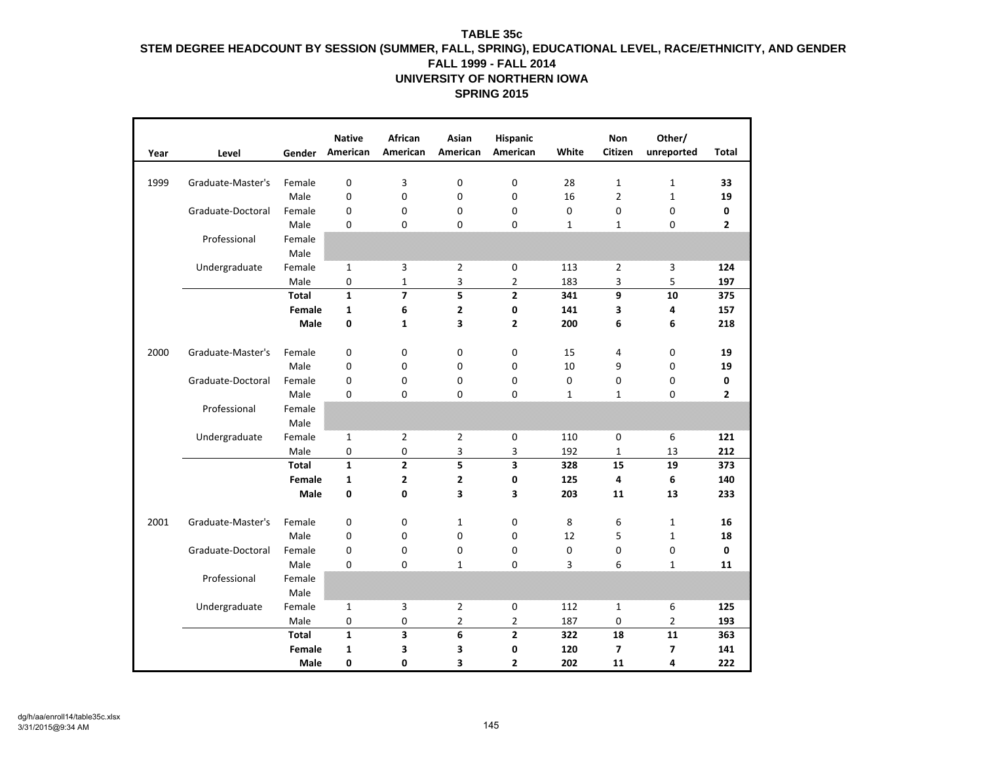| Year | Level             | Gender         | <b>Native</b><br>American | African<br>American | Asian<br>American       | Hispanic<br>American | White        | <b>Non</b><br>Citizen   | Other/<br>unreported         | Total          |
|------|-------------------|----------------|---------------------------|---------------------|-------------------------|----------------------|--------------|-------------------------|------------------------------|----------------|
| 1999 | Graduate-Master's | Female         | 0                         | 3                   | 0                       | 0                    | 28           | $\mathbf{1}$            | $\mathbf{1}$                 | 33             |
|      |                   | Male           | $\mathbf 0$               | $\mathbf 0$         | 0                       | 0                    | 16           | $\overline{2}$          | $\mathbf{1}$                 | 19             |
|      | Graduate-Doctoral | Female         | $\mathbf 0$               | 0                   | 0                       | 0                    | 0            | 0                       | 0                            | 0              |
|      |                   | Male           | 0                         | $\Omega$            | $\Omega$                | $\Omega$             | $\mathbf{1}$ | $\mathbf{1}$            | 0                            | $\overline{2}$ |
|      | Professional      | Female<br>Male |                           |                     |                         |                      |              |                         |                              |                |
|      | Undergraduate     | Female         | $\mathbf{1}$              | 3                   | 2                       | 0                    | 113          | $\overline{2}$          | 3                            | 124            |
|      |                   | Male           | 0                         | $\mathbf{1}$        | 3                       | 2                    | 183          | 3                       | 5                            | 197            |
|      |                   | <b>Total</b>   | $\mathbf{1}$              | $\overline{7}$      | 5                       | $\overline{2}$       | 341          | 9                       | 10                           | 375            |
|      |                   | Female         | 1                         | 6                   | 2                       | 0                    | 141          | 3                       | 4                            | 157            |
|      |                   | Male           | 0                         | $\mathbf{1}$        | 3                       | $\overline{2}$       | 200          | 6                       | 6                            | 218            |
|      |                   |                |                           |                     |                         |                      |              |                         |                              |                |
| 2000 | Graduate-Master's | Female         | 0                         | 0                   | 0                       | 0                    | 15           | 4                       | 0                            | 19             |
|      |                   | Male           | 0                         | 0                   | 0                       | 0                    | 10           | 9                       | 0                            | 19             |
|      | Graduate-Doctoral | Female         | $\mathbf 0$               | $\mathbf 0$         | 0                       | 0                    | $\mathbf 0$  | 0                       | 0                            | 0              |
|      |                   | Male           | $\mathbf 0$               | $\Omega$            | $\Omega$                | $\Omega$             | $\mathbf{1}$ | $\mathbf{1}$            | 0                            | $\overline{2}$ |
|      | Professional      | Female         |                           |                     |                         |                      |              |                         |                              |                |
|      |                   | Male           |                           |                     |                         |                      |              |                         |                              |                |
|      | Undergraduate     | Female         | $\mathbf{1}$              | $\overline{2}$      | 2                       | 0                    | 110          | $\mathbf 0$             | 6                            | 121            |
|      |                   | Male           | 0                         | 0                   | 3                       | 3                    | 192          | $\mathbf{1}$            | 13                           | 212            |
|      |                   | <b>Total</b>   | $\mathbf{1}$              | $\overline{2}$      | 5                       | 3                    | 328          | 15                      | 19                           | 373            |
|      |                   | Female         | $\mathbf{1}$              | $\overline{2}$      | $\overline{\mathbf{2}}$ | 0                    | 125          | 4                       | 6                            | 140            |
|      |                   | Male           | $\mathbf 0$               | $\mathbf{0}$        | 3                       | 3                    | 203          | 11                      | 13                           | 233            |
| 2001 | Graduate-Master's |                |                           |                     |                         |                      |              |                         |                              |                |
|      |                   | Female<br>Male | 0<br>0                    | 0<br>0              | $\mathbf{1}$<br>0       | 0<br>0               | 8<br>12      | 6<br>5                  | $\mathbf{1}$<br>$\mathbf{1}$ | 16<br>18       |
|      | Graduate-Doctoral | Female         | $\mathbf 0$               | $\mathbf 0$         | 0                       | 0                    | 0            | 0                       | 0                            | 0              |
|      |                   | Male           | 0                         | $\mathbf 0$         | $\mathbf{1}$            | 0                    | 3            | 6                       | $\mathbf{1}$                 | 11             |
|      | Professional      | Female         |                           |                     |                         |                      |              |                         |                              |                |
|      |                   | Male           |                           |                     |                         |                      |              |                         |                              |                |
|      | Undergraduate     | Female         | $\mathbf{1}$              | 3                   | 2                       | 0                    | 112          | $\mathbf{1}$            | 6                            | 125            |
|      |                   | Male           | 0                         | $\mathbf 0$         | $\overline{2}$          | $\overline{2}$       | 187          | 0                       | $\overline{2}$               | 193            |
|      |                   | <b>Total</b>   | $\mathbf{1}$              | 3                   | 6                       | $\overline{2}$       | 322          | 18                      | 11                           | 363            |
|      |                   | Female         | 1                         | 3                   | 3                       | 0                    | 120          | $\overline{\mathbf{z}}$ | 7                            | 141            |
|      |                   | Male           | 0                         | 0                   | 3                       | 2                    | 202          | 11                      | 4                            | 222            |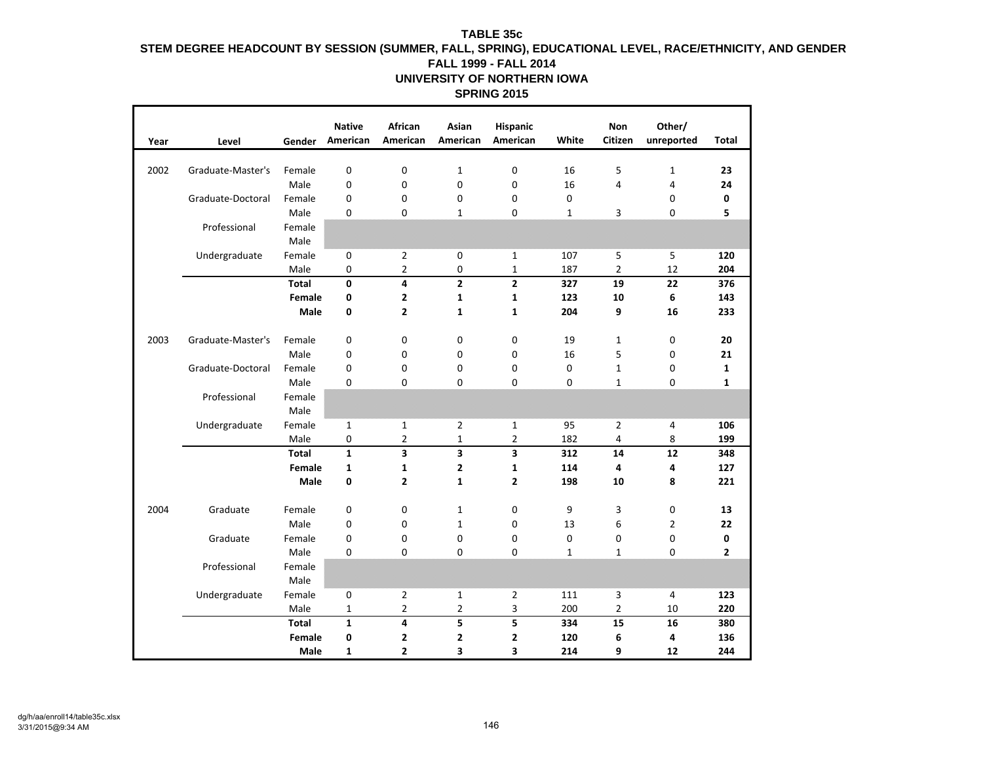| Year | Level             | Gender         | <b>Native</b><br>American | African<br>American     | Asian<br>American       | Hispanic<br>American | White        | <b>Non</b><br>Citizen | Other/<br>unreported | <b>Total</b>   |
|------|-------------------|----------------|---------------------------|-------------------------|-------------------------|----------------------|--------------|-----------------------|----------------------|----------------|
|      |                   |                |                           |                         |                         |                      |              |                       |                      |                |
| 2002 | Graduate-Master's | Female         | $\mathbf 0$               | 0                       | $\mathbf{1}$            | $\mathbf 0$          | 16           | 5                     | $\mathbf{1}$         | 23             |
|      |                   | Male           | $\mathbf 0$               | $\mathbf 0$             | 0                       | $\mathbf 0$          | 16           | 4                     | 4                    | 24             |
|      | Graduate-Doctoral | Female         | 0                         | 0                       | 0                       | $\mathbf 0$          | 0            |                       | 0                    | 0              |
|      |                   | Male           | 0                         | 0                       | $\mathbf{1}$            | 0                    | $\mathbf{1}$ | 3                     | 0                    | 5              |
|      | Professional      | Female         |                           |                         |                         |                      |              |                       |                      |                |
|      |                   | Male           |                           |                         |                         |                      |              |                       |                      |                |
|      | Undergraduate     | Female         | 0                         | $\overline{2}$          | 0                       | $\mathbf{1}$         | 107          | 5                     | 5                    | 120            |
|      |                   | Male           | 0                         | $\overline{2}$          | 0                       | $\mathbf{1}$         | 187          | $\overline{2}$        | 12                   | 204            |
|      |                   | <b>Total</b>   | $\mathbf{0}$              | 4                       | $\overline{\mathbf{c}}$ | $\overline{2}$       | 327          | 19                    | 22                   | 376            |
|      |                   | Female         | 0                         | $\mathbf{2}$            | $\mathbf{1}$            | $\mathbf{1}$         | 123          | 10                    | 6                    | 143            |
|      |                   | Male           | 0                         | $\overline{\mathbf{2}}$ | $\mathbf{1}$            | $\mathbf{1}$         | 204          | 9                     | 16                   | 233            |
|      |                   |                |                           |                         |                         |                      |              |                       |                      |                |
| 2003 | Graduate-Master's | Female         | $\mathbf 0$               | 0                       | 0                       | 0                    | 19           | $\mathbf{1}$          | 0                    | 20             |
|      |                   | Male           | $\mathbf 0$               | 0                       | 0                       | $\mathbf 0$          | 16           | 5                     | 0                    | 21             |
|      | Graduate-Doctoral | Female         | 0                         | 0                       | 0                       | 0                    | 0            | $\mathbf{1}$          | 0                    | $\mathbf{1}$   |
|      |                   | Male           | $\Omega$                  | $\Omega$                | $\Omega$                | 0                    | $\Omega$     | $\mathbf{1}$          | 0                    | 1              |
|      | Professional      | Female<br>Male |                           |                         |                         |                      |              |                       |                      |                |
|      | Undergraduate     | Female         | $\mathbf{1}$              | $\mathbf{1}$            | $\overline{2}$          | $\mathbf{1}$         | 95           | $\overline{2}$        | 4                    | 106            |
|      |                   | Male           | 0                         | $\overline{2}$          | $\mathbf{1}$            | $\overline{2}$       | 182          | $\overline{4}$        | 8                    | 199            |
|      |                   | <b>Total</b>   | $\mathbf{1}$              | 3                       | 3                       | 3                    | 312          | 14                    | 12                   | 348            |
|      |                   | Female         | 1                         | $\mathbf{1}$            | 2                       | $\mathbf{1}$         | 114          | 4                     | 4                    | 127            |
|      |                   | Male           | 0                         | $\overline{2}$          | $\mathbf{1}$            | $\mathbf{2}$         | 198          | 10                    | 8                    | 221            |
|      |                   |                |                           |                         |                         |                      |              |                       |                      |                |
| 2004 | Graduate          | Female         | $\mathbf{0}$              | 0                       | $\mathbf{1}$            | 0                    | 9            | 3                     | 0                    | 13             |
|      |                   | Male           | 0                         | 0                       | $\mathbf{1}$            | $\mathbf 0$          | 13           | 6                     | $\overline{2}$       | 22             |
|      | Graduate          | Female         | 0                         | 0                       | 0                       | 0                    | 0            | 0                     | 0                    | 0              |
|      |                   | Male           | 0                         | $\Omega$                | $\Omega$                | 0                    | $\mathbf{1}$ | $\mathbf{1}$          | 0                    | $\overline{2}$ |
|      | Professional      | Female         |                           |                         |                         |                      |              |                       |                      |                |
|      |                   | Male           |                           |                         |                         |                      |              |                       |                      |                |
|      | Undergraduate     | Female         | 0                         | $\overline{2}$          | $\mathbf 1$             | $\overline{2}$       | 111          | 3                     | 4                    | 123            |
|      |                   | Male           | $\mathbf{1}$              | $\overline{2}$          | $\overline{2}$          | 3                    | 200          | $\overline{2}$        | 10                   | 220            |
|      |                   | <b>Total</b>   | $\mathbf{1}$              | 4                       | 5                       | 5                    | 334          | 15                    | 16                   | 380            |
|      |                   | Female         | 0                         | $\mathbf{2}$            | 2                       | 2                    | 120          | 6                     | 4                    | 136            |
|      |                   | Male           | 1                         | 2                       | 3                       | 3                    | 214          | 9                     | 12                   | 244            |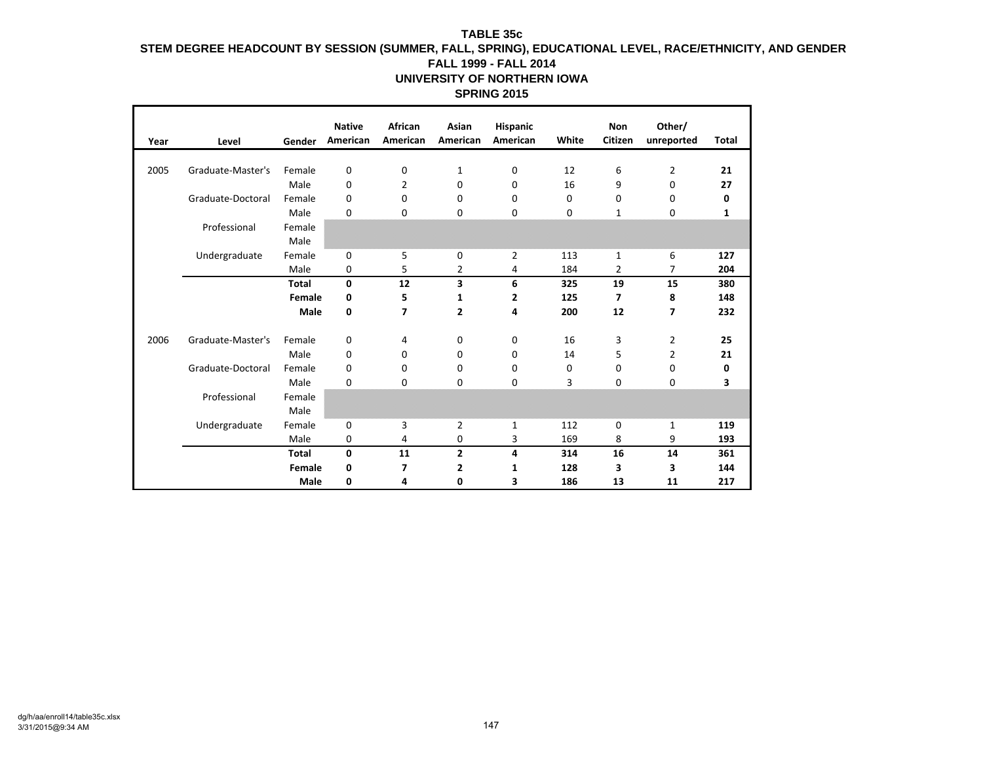| Year | Level             | Gender       | <b>Native</b><br>American | African<br>American | Asian<br>American | Hispanic<br>American | White | Non<br>Citizen           | Other/<br>unreported | Total |
|------|-------------------|--------------|---------------------------|---------------------|-------------------|----------------------|-------|--------------------------|----------------------|-------|
|      |                   |              |                           |                     |                   |                      |       |                          |                      |       |
| 2005 | Graduate-Master's | Female       | 0                         | 0                   | $\mathbf{1}$      | 0                    | 12    | 6                        | $\overline{2}$       | 21    |
|      |                   | Male         | 0                         | $\overline{2}$      | $\mathbf 0$       | 0                    | 16    | 9                        | 0                    | 27    |
|      | Graduate-Doctoral | Female       | 0                         | 0                   | 0                 | 0                    | 0     | 0                        | 0                    | 0     |
|      |                   | Male         | 0                         | 0                   | 0                 | 0                    | 0     | 1                        | 0                    | 1     |
|      | Professional      | Female       |                           |                     |                   |                      |       |                          |                      |       |
|      |                   | Male         |                           |                     |                   |                      |       |                          |                      |       |
|      | Undergraduate     | Female       | 0                         | 5                   | 0                 | $\overline{2}$       | 113   | $\mathbf{1}$             | 6                    | 127   |
|      |                   | Male         | 0                         | 5                   | 2                 | 4                    | 184   | 2                        | 7                    | 204   |
|      |                   | <b>Total</b> | 0                         | 12                  | 3                 | 6                    | 325   | 19                       | 15                   | 380   |
|      |                   | Female       | 0                         | 5                   | 1                 | 2                    | 125   | $\overline{\phantom{a}}$ | 8                    | 148   |
|      |                   | Male         | 0                         | 7                   | $\mathbf{2}$      | 4                    | 200   | 12                       | 7                    | 232   |
|      |                   |              |                           |                     |                   |                      |       |                          |                      |       |
| 2006 | Graduate-Master's | Female       | 0                         | 4                   | 0                 | 0                    | 16    | 3                        | $\overline{2}$       | 25    |
|      |                   | Male         | 0                         | 0                   | 0                 | 0                    | 14    | 5                        | $\overline{2}$       | 21    |
|      | Graduate-Doctoral | Female       | 0                         | 0                   | 0                 | 0                    | 0     | 0                        | 0                    | 0     |
|      |                   | Male         | 0                         | 0                   | 0                 | 0                    | 3     | 0                        | 0                    | 3     |
|      | Professional      | Female       |                           |                     |                   |                      |       |                          |                      |       |
|      |                   | Male         |                           |                     |                   |                      |       |                          |                      |       |
|      | Undergraduate     | Female       | 0                         | 3                   | $\overline{2}$    | 1                    | 112   | 0                        | 1                    | 119   |
|      |                   | Male         | 0                         | 4                   | 0                 | 3                    | 169   | 8                        | 9                    | 193   |
|      |                   | <b>Total</b> | 0                         | 11                  | $\overline{2}$    | 4                    | 314   | 16                       | 14                   | 361   |
|      |                   | Female       | 0                         | 7                   | 2                 | 1                    | 128   | 3                        | 3                    | 144   |
|      |                   | Male         | 0                         | 4                   | 0                 | 3                    | 186   | 13                       | 11                   | 217   |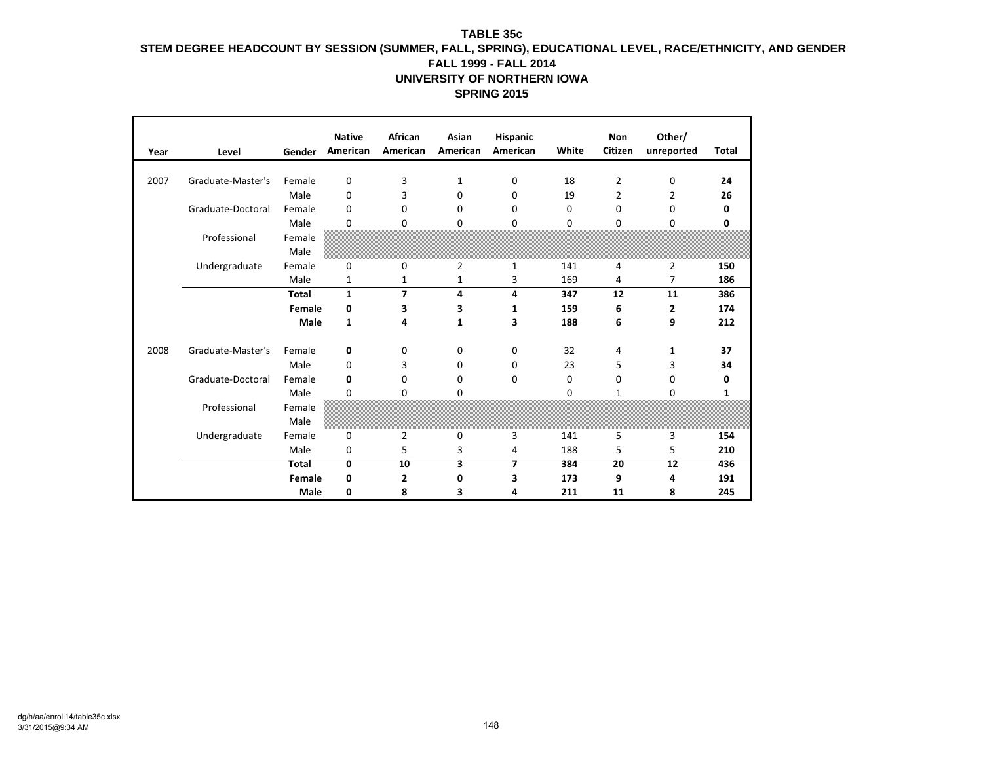|      |                   |              | <b>Native</b> | African        | Asian          | Hispanic       |          | <b>Non</b>     | Other/         |              |
|------|-------------------|--------------|---------------|----------------|----------------|----------------|----------|----------------|----------------|--------------|
| Year | Level             | Gender       | American      | American       | American       | American       | White    | Citizen        | unreported     | <b>Total</b> |
| 2007 | Graduate-Master's | Female       | 0             | 3              | 1              | 0              | 18       | 2              | 0              | 24           |
|      |                   | Male         | 0             | 3              | 0              | 0              | 19       | $\overline{2}$ | $\overline{2}$ | 26           |
|      | Graduate-Doctoral | Female       | 0             | 0              | 0              | 0              | 0        | 0              | 0              | 0            |
|      |                   | Male         | 0             | $\Omega$       | 0              | 0              | $\Omega$ | $\Omega$       | 0              | 0            |
|      | Professional      | Female       |               |                |                |                |          |                |                |              |
|      |                   | Male         |               |                |                |                |          |                |                |              |
|      | Undergraduate     | Female       | 0             | 0              | $\overline{2}$ | $\mathbf{1}$   | 141      | 4              | $\overline{2}$ | 150          |
|      |                   | Male         | 1             | 1              | 1              | 3              | 169      | 4              | 7              | 186          |
|      |                   | <b>Total</b> | $\mathbf{1}$  | $\overline{7}$ | 4              | 4              | 347      | 12             | 11             | 386          |
|      |                   | Female       | 0             | 3              | 3              | 1              | 159      | 6              | $\mathbf{2}$   | 174          |
|      |                   | Male         | $\mathbf{1}$  | 4              | 1              | 3              | 188      | 6              | 9              | 212          |
|      |                   |              |               |                |                |                |          |                |                |              |
| 2008 | Graduate-Master's | Female       | 0             | 0              | 0              | 0              | 32       | 4              | 1              | 37           |
|      |                   | Male         | 0             | 3              | 0              | $\mathbf 0$    | 23       | 5              | 3              | 34           |
|      | Graduate-Doctoral | Female       | 0             | 0              | 0              | $\mathbf 0$    | 0        | 0              | 0              | 0            |
|      |                   | Male         | 0             | 0              | 0              |                | 0        | $\mathbf{1}$   | 0              | $\mathbf{1}$ |
|      | Professional      | Female       |               |                |                |                |          |                |                |              |
|      |                   | Male         |               |                |                |                |          |                |                |              |
|      | Undergraduate     | Female       | 0             | 2              | 0              | 3              | 141      | 5              | 3              | 154          |
|      |                   | Male         | 0             | 5              | 3              | 4              | 188      | 5              | 5              | 210          |
|      |                   | <b>Total</b> | $\mathbf 0$   | 10             | 3              | $\overline{7}$ | 384      | 20             | 12             | 436          |
|      |                   | Female       | 0             | 2              | 0              | 3              | 173      | 9              | 4              | 191          |
|      |                   | Male         | 0             | 8              | 3              | 4              | 211      | 11             | 8              | 245          |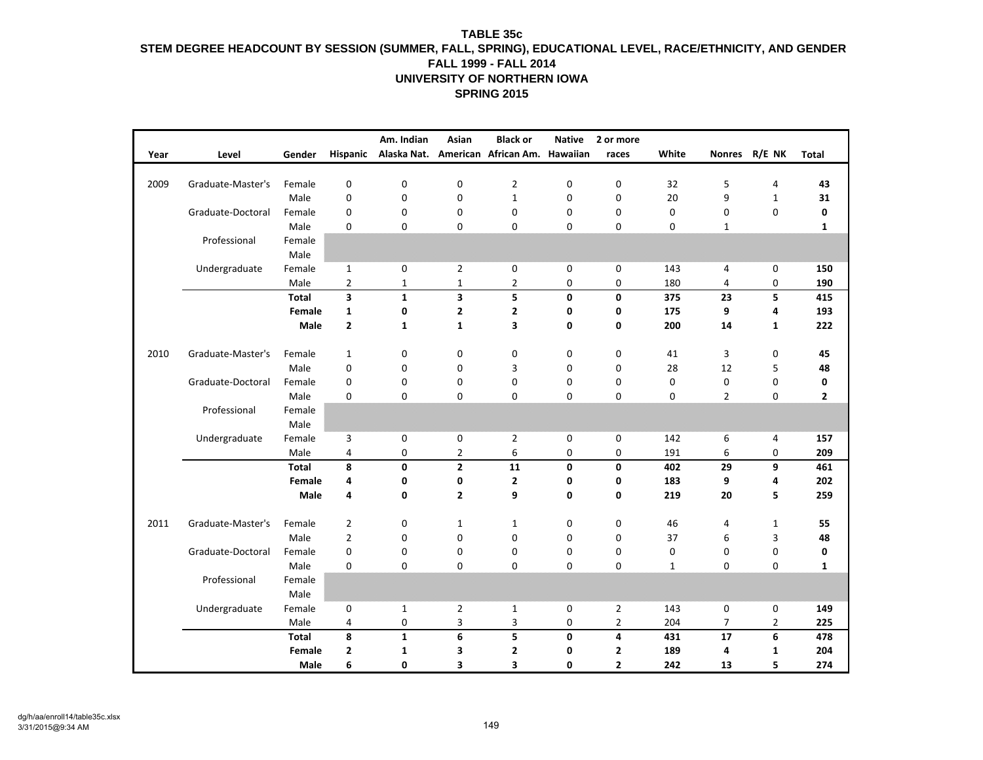| Year | Level             | Gender       | Hispanic                | Am. Indian       | Asian          | <b>Black or</b><br>Alaska Nat. American African Am. | <b>Native</b><br>Hawaiian | 2 or more<br>races | White        |                | Nonres R/E NK  | <b>Total</b> |
|------|-------------------|--------------|-------------------------|------------------|----------------|-----------------------------------------------------|---------------------------|--------------------|--------------|----------------|----------------|--------------|
|      |                   |              |                         |                  |                |                                                     |                           |                    |              |                |                |              |
| 2009 | Graduate-Master's | Female       | $\pmb{0}$               | $\mathbf 0$      | $\pmb{0}$      | $\mathbf 2$                                         | 0                         | 0                  | 32           | 5              | 4              | 43           |
|      |                   | Male         | $\pmb{0}$               | $\mathbf 0$      | $\mathbf 0$    | $\mathbf 1$                                         | $\mathbf 0$               | $\boldsymbol{0}$   | 20           | 9              | $\mathbf 1$    | 31           |
|      | Graduate-Doctoral | Female       | $\mathbf 0$             | $\mathbf 0$      | $\mathbf 0$    | 0                                                   | $\mathbf 0$               | $\mathbf 0$        | $\mathbf 0$  | 0              | $\mathbf 0$    | 0            |
|      |                   | Male         | $\mathbf 0$             | $\mathbf 0$      | 0              | 0                                                   | $\mathbf 0$               | 0                  | 0            | $\mathbf{1}$   |                | $\mathbf{1}$ |
|      | Professional      | Female       |                         |                  |                |                                                     |                           |                    |              |                |                |              |
|      |                   | Male         |                         |                  |                |                                                     |                           |                    |              |                |                |              |
|      | Undergraduate     | Female       | $\mathbf{1}$            | $\mathbf 0$      | $\overline{2}$ | 0                                                   | $\pmb{0}$                 | 0                  | 143          | 4              | $\pmb{0}$      | 150          |
|      |                   | Male         | $\overline{2}$          | 1                | $\mathbf 1$    | 2                                                   | $\mathbf 0$               | 0                  | 180          | 4              | 0              | 190          |
|      |                   | <b>Total</b> | $\overline{\mathbf{3}}$ | $\mathbf{1}$     | 3              | 5                                                   | $\mathbf 0$               | $\mathbf 0$        | 375          | 23             | 5              | 415          |
|      |                   | Female       | $\mathbf{1}$            | 0                | 2              | $\mathbf 2$                                         | 0                         | 0                  | 175          | 9              | 4              | 193          |
|      |                   | Male         | $\mathbf{2}$            | $\mathbf{1}$     | $\mathbf{1}$   | 3                                                   | $\mathbf 0$               | $\mathbf 0$        | 200          | 14             | $\mathbf{1}$   | 222          |
| 2010 | Graduate-Master's | Female       | $\mathbf{1}$            | $\mathbf 0$      | $\mathbf 0$    | 0                                                   | $\mathsf 0$               | 0                  | 41           | 3              | 0              | 45           |
|      |                   | Male         | $\pmb{0}$               | 0                | $\mathbf 0$    | 3                                                   | $\mathbf 0$               | 0                  | 28           | 12             | 5              | 48           |
|      | Graduate-Doctoral | Female       | $\mathbf 0$             | 0                | $\mathbf 0$    | $\pmb{0}$                                           | $\mathbf 0$               | 0                  | 0            | 0              | $\mathbf 0$    | 0            |
|      |                   | Male         | 0                       | $\mathbf 0$      | $\mathbf 0$    | 0                                                   | $\mathbf 0$               | 0                  | 0            | $\overline{2}$ | $\mathbf 0$    | $\mathbf{2}$ |
|      | Professional      | Female       |                         |                  |                |                                                     |                           |                    |              |                |                |              |
|      |                   | Male         |                         |                  |                |                                                     |                           |                    |              |                |                |              |
|      | Undergraduate     | Female       | $\overline{3}$          | $\mathbf 0$      | $\mathbf 0$    | $\overline{2}$                                      | $\mathbf 0$               | $\mathbf 0$        | 142          | 6              | $\overline{4}$ | 157          |
|      |                   | Male         | $\pmb{4}$               | $\pmb{0}$        | $\overline{2}$ | 6                                                   | $\pmb{0}$                 | $\pmb{0}$          | 191          | 6              | 0              | 209          |
|      |                   | <b>Total</b> | 8                       | 0                | $\overline{2}$ | 11                                                  | $\mathbf 0$               | $\mathbf{0}$       | 402          | 29             | 9              | 461          |
|      |                   | Female       | 4                       | 0                | 0              | $\mathbf{2}$                                        | 0                         | $\mathbf 0$        | 183          | 9              | 4              | 202          |
|      |                   | Male         | 4                       | $\mathbf{0}$     | $\mathbf{2}$   | 9                                                   | $\mathbf 0$               | $\mathbf 0$        | 219          | 20             | 5              | 259          |
| 2011 | Graduate-Master's | Female       | $\overline{2}$          | $\mathbf 0$      | $\mathbf{1}$   | $\mathbf{1}$                                        | 0                         | $\mathbf 0$        | 46           | 4              | $\mathbf{1}$   | 55           |
|      |                   | Male         | $\overline{2}$          | 0                | $\mathbf 0$    | $\pmb{0}$                                           | $\mathbf 0$               | $\mathbf 0$        | 37           | 6              | 3              | 48           |
|      | Graduate-Doctoral | Female       | $\mathbf 0$             | $\mathbf 0$      | $\mathbf 0$    | 0                                                   | $\mathbf 0$               | 0                  | 0            | 0              | $\mathbf 0$    | 0            |
|      |                   | Male         | $\mathbf 0$             | $\mathbf 0$      | $\mathbf 0$    | 0                                                   | $\mathbf 0$               | $\Omega$           | $\mathbf{1}$ | 0              | 0              | $\mathbf{1}$ |
|      | Professional      | Female       |                         |                  |                |                                                     |                           |                    |              |                |                |              |
|      |                   | Male         |                         |                  |                |                                                     |                           |                    |              |                |                |              |
|      | Undergraduate     | Female       | 0                       | $\mathbf{1}$     | $\overline{2}$ | $\mathbf{1}$                                        | 0                         | $\overline{2}$     | 143          | 0              | 0              | 149          |
|      |                   | Male         | $\overline{4}$          | $\boldsymbol{0}$ | 3              | 3                                                   | 0                         | $\overline{2}$     | 204          | $\overline{7}$ | $\overline{2}$ | 225          |
|      |                   | <b>Total</b> | 8                       | $\mathbf 1$      | 6              | 5                                                   | $\mathbf 0$               | $\overline{4}$     | 431          | 17             | 6              | 478          |
|      |                   | Female       | $\mathbf{2}$            | 1                | 3              | $\mathbf{2}$                                        | $\mathbf 0$               | $\overline{2}$     | 189          | 4              | $\mathbf{1}$   | 204          |
|      |                   | Male         | 6                       | 0                | 3              | 3                                                   | 0                         | $\mathbf{z}$       | 242          | 13             | 5              | 274          |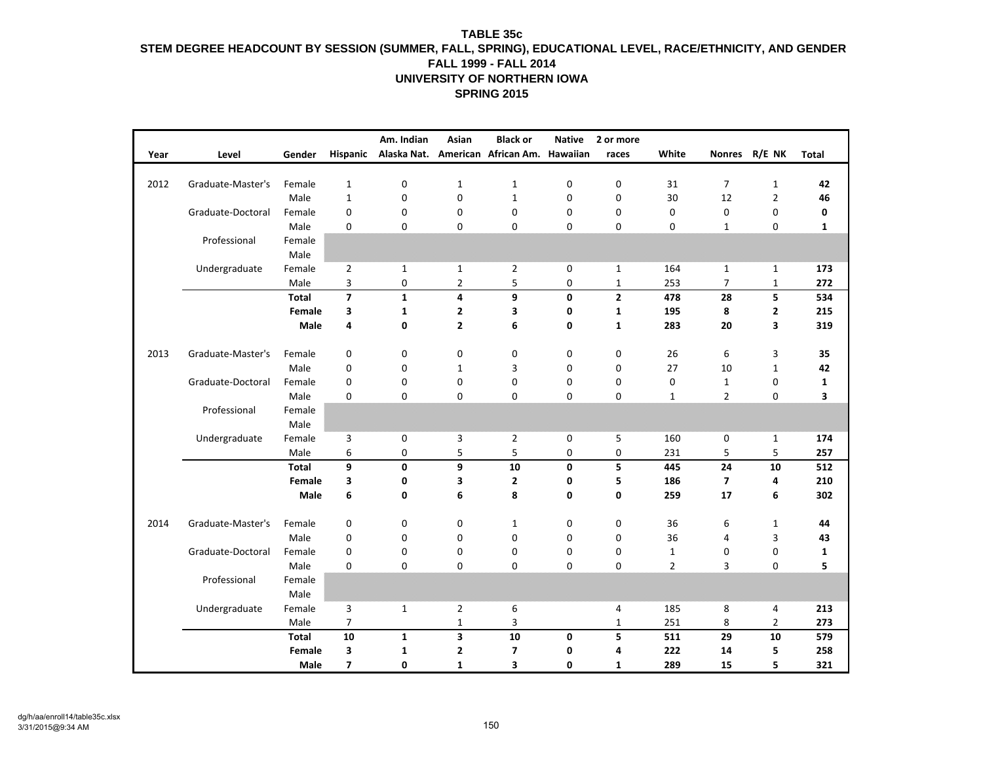|      |                   |                      |                         | Am. Indian   | Asian          | <b>Black or</b>                  | <b>Native</b> | 2 or more    |                |                |                |              |
|------|-------------------|----------------------|-------------------------|--------------|----------------|----------------------------------|---------------|--------------|----------------|----------------|----------------|--------------|
| Year | Level             | Gender               | Hispanic                |              |                | Alaska Nat. American African Am. | Hawaiian      | races        | White          |                | Nonres R/E NK  | <b>Total</b> |
| 2012 | Graduate-Master's | Female               | $\mathbf{1}$            | $\mathbf 0$  | $\mathbf{1}$   | $\mathbf{1}$                     | 0             | 0            | 31             | $\overline{7}$ | $\mathbf{1}$   | 42           |
|      |                   | Male                 | $\mathbf 1$             | $\mathbf 0$  | $\mathbf 0$    | $\mathbf 1$                      | $\mathbf 0$   | $\mathbf 0$  | 30             | 12             | $\overline{2}$ | 46           |
|      |                   |                      |                         |              |                |                                  |               |              |                |                |                |              |
|      | Graduate-Doctoral | Female               | $\mathbf 0$             | $\mathbf 0$  | $\mathbf 0$    | $\mathbf 0$                      | 0             | $\mathbf 0$  | $\mathbf 0$    | 0              | 0              | 0            |
|      |                   | Male                 | $\mathbf 0$             | $\mathbf 0$  | $\mathbf 0$    | 0                                | 0             | 0            | $\mathbf 0$    | $\mathbf{1}$   | 0              | 1            |
|      | Professional      | Female<br>Male       |                         |              |                |                                  |               |              |                |                |                |              |
|      | Undergraduate     | Female               | $\overline{2}$          | $\mathbf 1$  | $\mathbf{1}$   | $\overline{2}$                   | 0             | $\mathbf 1$  | 164            | $\mathbf{1}$   | $\mathbf{1}$   | 173          |
|      |                   | Male                 | 3                       | 0            | 2              | 5                                | 0             | $\mathbf{1}$ | 253            | 7              | $\mathbf{1}$   | 272          |
|      |                   | <b>Total</b>         | $\overline{\mathbf{z}}$ | $\mathbf 1$  | 4              | 9                                | $\mathbf 0$   | $\mathbf{2}$ | 478            | 28             | 5              | 534          |
|      |                   | Female               | 3                       | 1            | 2              | 3                                | 0             | $\mathbf{1}$ | 195            | 8              | 2              | 215          |
|      |                   | Male                 | 4                       | $\mathbf 0$  | $\overline{2}$ | 6                                | 0             | $\mathbf{1}$ | 283            | 20             | 3              | 319          |
|      |                   |                      |                         |              |                |                                  |               |              |                |                |                |              |
| 2013 | Graduate-Master's | Female               | 0                       | $\mathbf 0$  | $\mathbf 0$    | 0                                | 0             | 0            | 26             | 6              | 3              | 35           |
|      |                   | Male                 | $\mathbf 0$             | 0            | $\mathbf{1}$   | 3                                | $\mathbf 0$   | $\mathbf 0$  | 27             | 10             | $\mathbf{1}$   | 42           |
|      | Graduate-Doctoral | Female               | $\pmb{0}$               | $\pmb{0}$    | $\pmb{0}$      | $\pmb{0}$                        | $\pmb{0}$     | $\pmb{0}$    | $\pmb{0}$      | $\mathbf 1$    | 0              | $\mathbf{1}$ |
|      |                   | Male                 | 0                       | $\mathbf 0$  | $\mathbf 0$    | 0                                | $\mathbf 0$   | $\mathbf 0$  | $\mathbf{1}$   | $\overline{2}$ | 0              | 3            |
|      | Professional      | Female               |                         |              |                |                                  |               |              |                |                |                |              |
|      |                   | Male                 |                         |              |                |                                  |               |              |                |                |                |              |
|      | Undergraduate     | Female               | 3                       | $\mathbf 0$  | 3              | $\mathbf 2$                      | $\mathbf 0$   | 5            | 160            | 0              | $\mathbf{1}$   | 174          |
|      |                   | Male                 | 6                       | $\mathbf 0$  | 5              | 5                                | 0             | 0            | 231            | 5              | 5              | 257          |
|      |                   | <b>Total</b>         | 9                       | $\pmb{0}$    | 9              | 10                               | 0             | 5            | 445            | 24             | 10             | 512          |
|      |                   | Female               | 3                       | 0            | 3              | $\mathbf{2}$                     | 0             | 5            | 186            | 7              | 4              | 210          |
|      |                   | Male                 | 6                       | $\mathbf 0$  | 6              | 8                                | 0             | 0            | 259            | 17             | 6              | 302          |
| 2014 | Graduate-Master's | Female               | $\mathbf 0$             | 0            | $\mathbf 0$    | $\mathbf{1}$                     | 0             | 0            | 36             | 6              | $\mathbf{1}$   | 44           |
|      |                   | Male                 | 0                       | 0            | 0              | 0                                | 0             | $\mathbf 0$  | 36             | 4              | 3              | 43           |
|      | Graduate-Doctoral | Female               | 0                       | 0            | $\mathbf 0$    | 0                                | 0             | 0            | $\mathbf{1}$   | 0              | 0              | 1            |
|      |                   | Male                 | 0                       | $\mathbf 0$  | $\mathbf 0$    | 0                                | $\mathbf 0$   | $\mathbf 0$  | $\overline{2}$ | 3              | 0              | 5            |
|      | Professional      | Female               |                         |              |                |                                  |               |              |                |                |                |              |
|      |                   | Male                 |                         |              |                |                                  |               |              |                |                |                |              |
|      |                   | Female               | 3                       | $\mathbf{1}$ | $\overline{2}$ | 6                                |               | 4            | 185            | 8              |                | 213          |
|      | Undergraduate     |                      |                         |              |                |                                  |               |              |                |                | 4              |              |
|      |                   | Male<br><b>Total</b> | $\overline{7}$<br>10    |              | $\mathbf{1}$   | 3<br>10                          |               | $\mathbf{1}$ | 251            | 8              | $\overline{2}$ | 273          |
|      |                   |                      | 3                       | $\mathbf{1}$ | 3              |                                  | 0             | 5            | 511            | 29             | 10             | 579          |
|      |                   | Female               |                         | 1            | $\mathbf{2}$   | 7                                | 0             | 4            | 222            | 14             | 5              | 258          |
|      |                   | Male                 | $\overline{\mathbf{z}}$ | 0            | $\mathbf{1}$   | 3                                | 0             | $\mathbf{1}$ | 289            | 15             | 5              | 321          |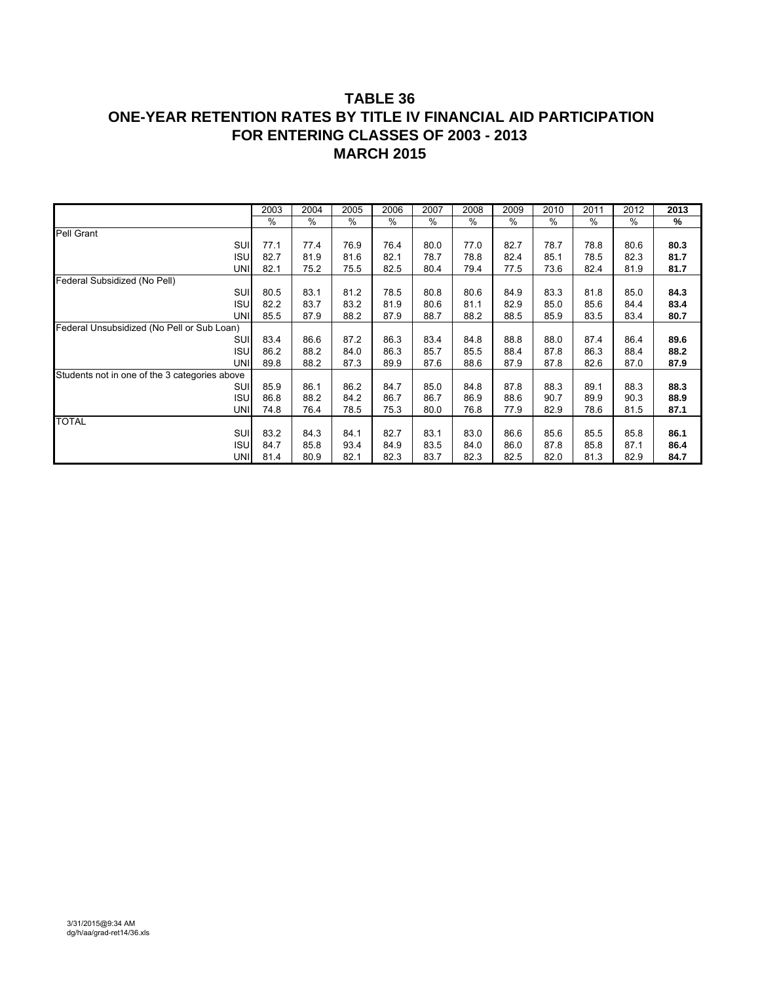# **TABLE 36 ONE-YEAR RETENTION RATES BY TITLE IV FINANCIAL AID PARTICIPATION FOR ENTERING CLASSES OF 2003 - 2013 MARCH 2015**

|                                               | 2003 | 2004 | 2005 | 2006 | 2007 | 2008 | 2009 | 2010 | 2011          | 2012 | 2013 |
|-----------------------------------------------|------|------|------|------|------|------|------|------|---------------|------|------|
|                                               | $\%$ | $\%$ | $\%$ | %    | %    | %    | $\%$ | %    | $\frac{0}{0}$ | $\%$ | %    |
| Pell Grant                                    |      |      |      |      |      |      |      |      |               |      |      |
| SUI                                           | 77.1 | 77.4 | 76.9 | 76.4 | 80.0 | 77.0 | 82.7 | 78.7 | 78.8          | 80.6 | 80.3 |
| <b>ISU</b>                                    | 82.7 | 81.9 | 81.6 | 82.1 | 78.7 | 78.8 | 82.4 | 85.1 | 78.5          | 82.3 | 81.7 |
| <b>UNI</b>                                    | 82.1 | 75.2 | 75.5 | 82.5 | 80.4 | 79.4 | 77.5 | 73.6 | 82.4          | 81.9 | 81.7 |
| Federal Subsidized (No Pell)                  |      |      |      |      |      |      |      |      |               |      |      |
| SUI                                           | 80.5 | 83.1 | 81.2 | 78.5 | 80.8 | 80.6 | 84.9 | 83.3 | 81.8          | 85.0 | 84.3 |
| <b>ISU</b>                                    | 82.2 | 83.7 | 83.2 | 81.9 | 80.6 | 81.1 | 82.9 | 85.0 | 85.6          | 84.4 | 83.4 |
| <b>UNI</b>                                    | 85.5 | 87.9 | 88.2 | 87.9 | 88.7 | 88.2 | 88.5 | 85.9 | 83.5          | 83.4 | 80.7 |
| Federal Unsubsidized (No Pell or Sub Loan)    |      |      |      |      |      |      |      |      |               |      |      |
| SUI                                           | 83.4 | 86.6 | 87.2 | 86.3 | 83.4 | 84.8 | 88.8 | 88.0 | 87.4          | 86.4 | 89.6 |
| <b>ISU</b>                                    | 86.2 | 88.2 | 84.0 | 86.3 | 85.7 | 85.5 | 88.4 | 87.8 | 86.3          | 88.4 | 88.2 |
| <b>UNI</b>                                    | 89.8 | 88.2 | 87.3 | 89.9 | 87.6 | 88.6 | 87.9 | 87.8 | 82.6          | 87.0 | 87.9 |
| Students not in one of the 3 categories above |      |      |      |      |      |      |      |      |               |      |      |
| SUI                                           | 85.9 | 86.1 | 86.2 | 84.7 | 85.0 | 84.8 | 87.8 | 88.3 | 89.1          | 88.3 | 88.3 |
| <b>ISU</b>                                    | 86.8 | 88.2 | 84.2 | 86.7 | 86.7 | 86.9 | 88.6 | 90.7 | 89.9          | 90.3 | 88.9 |
| <b>UNI</b>                                    | 74.8 | 76.4 | 78.5 | 75.3 | 80.0 | 76.8 | 77.9 | 82.9 | 78.6          | 81.5 | 87.1 |
| <b>TOTAL</b>                                  |      |      |      |      |      |      |      |      |               |      |      |
| SUI                                           | 83.2 | 84.3 | 84.1 | 82.7 | 83.1 | 83.0 | 86.6 | 85.6 | 85.5          | 85.8 | 86.1 |
| <b>ISU</b>                                    | 84.7 | 85.8 | 93.4 | 84.9 | 83.5 | 84.0 | 86.0 | 87.8 | 85.8          | 87.1 | 86.4 |
| <b>UNI</b>                                    | 81.4 | 80.9 | 82.1 | 82.3 | 83.7 | 82.3 | 82.5 | 82.0 | 81.3          | 82.9 | 84.7 |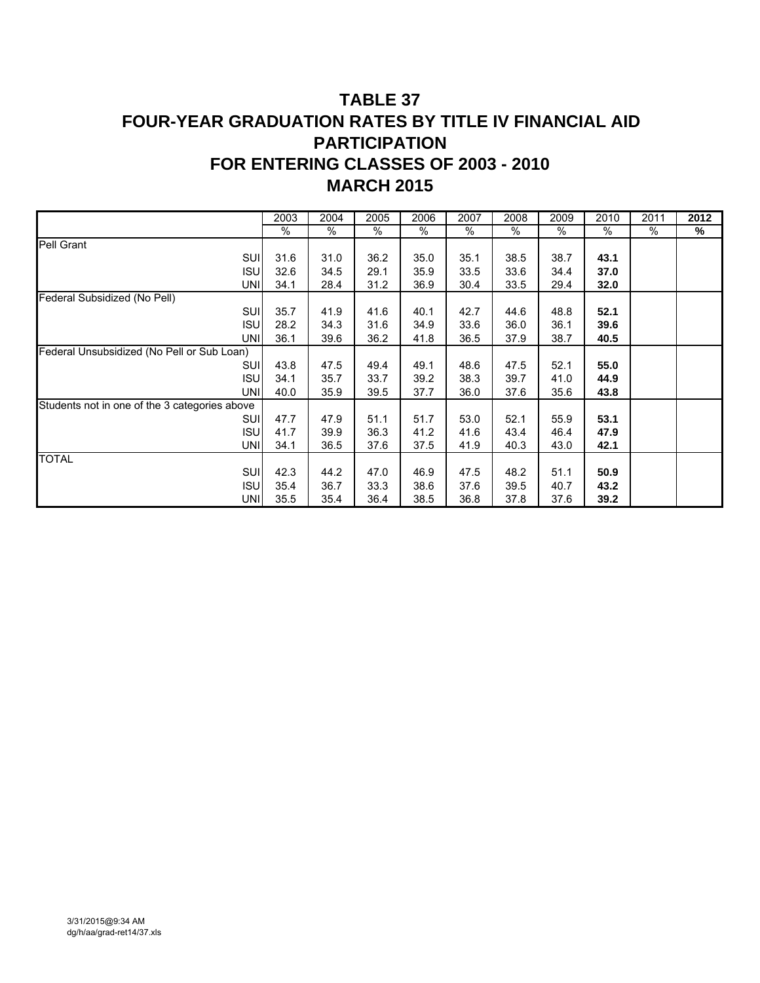# **TABLE 37 FOUR-YEAR GRADUATION RATES BY TITLE IV FINANCIAL AID PARTICIPATION FOR ENTERING CLASSES OF 2003 - 2010 MARCH 2015**

|                                               | 2003 | 2004 | 2005 | 2006 | 2007 | 2008 | 2009 | 2010 | 2011 | 2012 |
|-----------------------------------------------|------|------|------|------|------|------|------|------|------|------|
|                                               | $\%$ | $\%$ | $\%$ | $\%$ | %    | $\%$ | $\%$ | %    | $\%$ | %    |
| <b>Pell Grant</b>                             |      |      |      |      |      |      |      |      |      |      |
| SUI                                           | 31.6 | 31.0 | 36.2 | 35.0 | 35.1 | 38.5 | 38.7 | 43.1 |      |      |
| <b>ISU</b>                                    | 32.6 | 34.5 | 29.1 | 35.9 | 33.5 | 33.6 | 34.4 | 37.0 |      |      |
| <b>UNI</b>                                    | 34.1 | 28.4 | 31.2 | 36.9 | 30.4 | 33.5 | 29.4 | 32.0 |      |      |
| Federal Subsidized (No Pell)                  |      |      |      |      |      |      |      |      |      |      |
| SUI                                           | 35.7 | 41.9 | 41.6 | 40.1 | 42.7 | 44.6 | 48.8 | 52.1 |      |      |
| <b>ISU</b>                                    | 28.2 | 34.3 | 31.6 | 34.9 | 33.6 | 36.0 | 36.1 | 39.6 |      |      |
| <b>UNI</b>                                    | 36.1 | 39.6 | 36.2 | 41.8 | 36.5 | 37.9 | 38.7 | 40.5 |      |      |
| Federal Unsubsidized (No Pell or Sub Loan)    |      |      |      |      |      |      |      |      |      |      |
| SUI                                           | 43.8 | 47.5 | 49.4 | 49.1 | 48.6 | 47.5 | 52.1 | 55.0 |      |      |
| <b>ISU</b>                                    | 34.1 | 35.7 | 33.7 | 39.2 | 38.3 | 39.7 | 41.0 | 44.9 |      |      |
| UNI                                           | 40.0 | 35.9 | 39.5 | 37.7 | 36.0 | 37.6 | 35.6 | 43.8 |      |      |
| Students not in one of the 3 categories above |      |      |      |      |      |      |      |      |      |      |
| SUI                                           | 47.7 | 47.9 | 51.1 | 51.7 | 53.0 | 52.1 | 55.9 | 53.1 |      |      |
| <b>ISU</b>                                    | 41.7 | 39.9 | 36.3 | 41.2 | 41.6 | 43.4 | 46.4 | 47.9 |      |      |
| UNI                                           | 34.1 | 36.5 | 37.6 | 37.5 | 41.9 | 40.3 | 43.0 | 42.1 |      |      |
| <b>TOTAL</b>                                  |      |      |      |      |      |      |      |      |      |      |
| SUI                                           | 42.3 | 44.2 | 47.0 | 46.9 | 47.5 | 48.2 | 51.1 | 50.9 |      |      |
| <b>ISU</b>                                    | 35.4 | 36.7 | 33.3 | 38.6 | 37.6 | 39.5 | 40.7 | 43.2 |      |      |
| UNI                                           | 35.5 | 35.4 | 36.4 | 38.5 | 36.8 | 37.8 | 37.6 | 39.2 |      |      |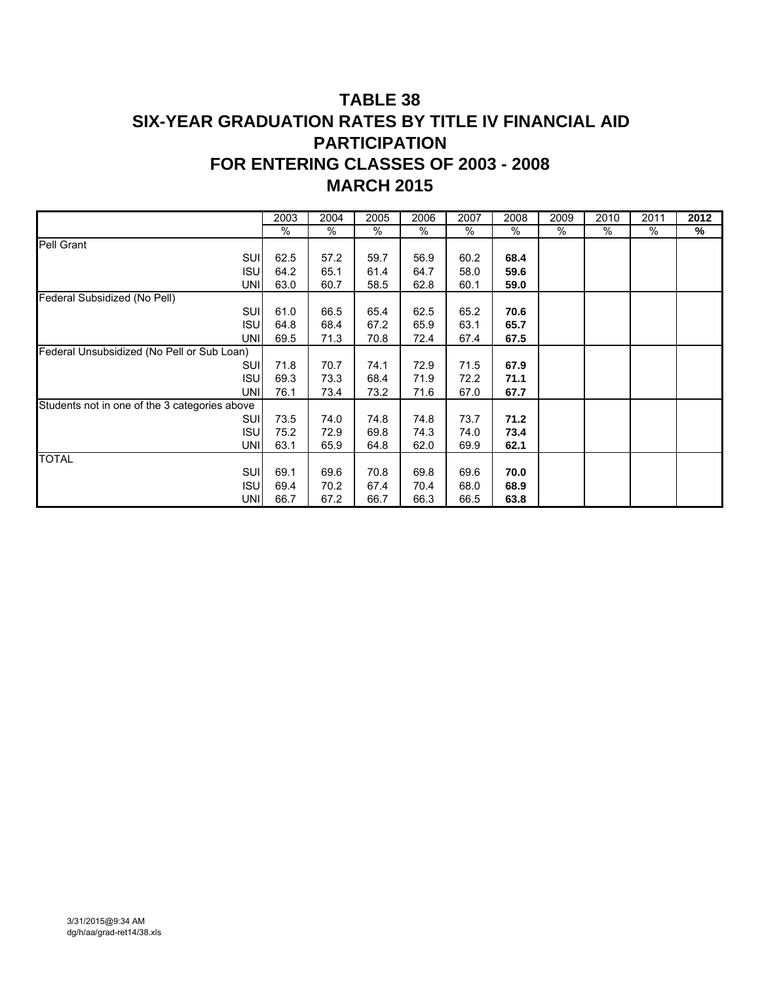# **TABLE 38 SIX-YEAR GRADUATION RATES BY TITLE IV FINANCIAL AID PARTICIPATION FOR ENTERING CLASSES OF 2003 - 2008 MARCH 2015**

|                                               | 2003 | 2004 | 2005 | 2006 | 2007 | 2008 | 2009 | 2010 | 2011 | 2012 |
|-----------------------------------------------|------|------|------|------|------|------|------|------|------|------|
|                                               | $\%$ | $\%$ | $\%$ | %    | $\%$ | $\%$ | $\%$ | $\%$ | %    | %    |
| Pell Grant                                    |      |      |      |      |      |      |      |      |      |      |
| SUI                                           | 62.5 | 57.2 | 59.7 | 56.9 | 60.2 | 68.4 |      |      |      |      |
| <b>ISU</b>                                    | 64.2 | 65.1 | 61.4 | 64.7 | 58.0 | 59.6 |      |      |      |      |
| <b>UNI</b>                                    | 63.0 | 60.7 | 58.5 | 62.8 | 60.1 | 59.0 |      |      |      |      |
| Federal Subsidized (No Pell)                  |      |      |      |      |      |      |      |      |      |      |
| SUI                                           | 61.0 | 66.5 | 65.4 | 62.5 | 65.2 | 70.6 |      |      |      |      |
| ISU                                           | 64.8 | 68.4 | 67.2 | 65.9 | 63.1 | 65.7 |      |      |      |      |
| <b>UNI</b>                                    | 69.5 | 71.3 | 70.8 | 72.4 | 67.4 | 67.5 |      |      |      |      |
| Federal Unsubsidized (No Pell or Sub Loan)    |      |      |      |      |      |      |      |      |      |      |
| SUI                                           | 71.8 | 70.7 | 74.1 | 72.9 | 71.5 | 67.9 |      |      |      |      |
| <b>ISU</b>                                    | 69.3 | 73.3 | 68.4 | 71.9 | 72.2 | 71.1 |      |      |      |      |
| <b>UNI</b>                                    | 76.1 | 73.4 | 73.2 | 71.6 | 67.0 | 67.7 |      |      |      |      |
| Students not in one of the 3 categories above |      |      |      |      |      |      |      |      |      |      |
| SUI                                           | 73.5 | 74.0 | 74.8 | 74.8 | 73.7 | 71.2 |      |      |      |      |
| <b>ISU</b>                                    | 75.2 | 72.9 | 69.8 | 74.3 | 74.0 | 73.4 |      |      |      |      |
| <b>UNI</b>                                    | 63.1 | 65.9 | 64.8 | 62.0 | 69.9 | 62.1 |      |      |      |      |
| <b>TOTAL</b>                                  |      |      |      |      |      |      |      |      |      |      |
| SUI                                           | 69.1 | 69.6 | 70.8 | 69.8 | 69.6 | 70.0 |      |      |      |      |
| <b>ISU</b>                                    | 69.4 | 70.2 | 67.4 | 70.4 | 68.0 | 68.9 |      |      |      |      |
| UNI                                           | 66.7 | 67.2 | 66.7 | 66.3 | 66.5 | 63.8 |      |      |      |      |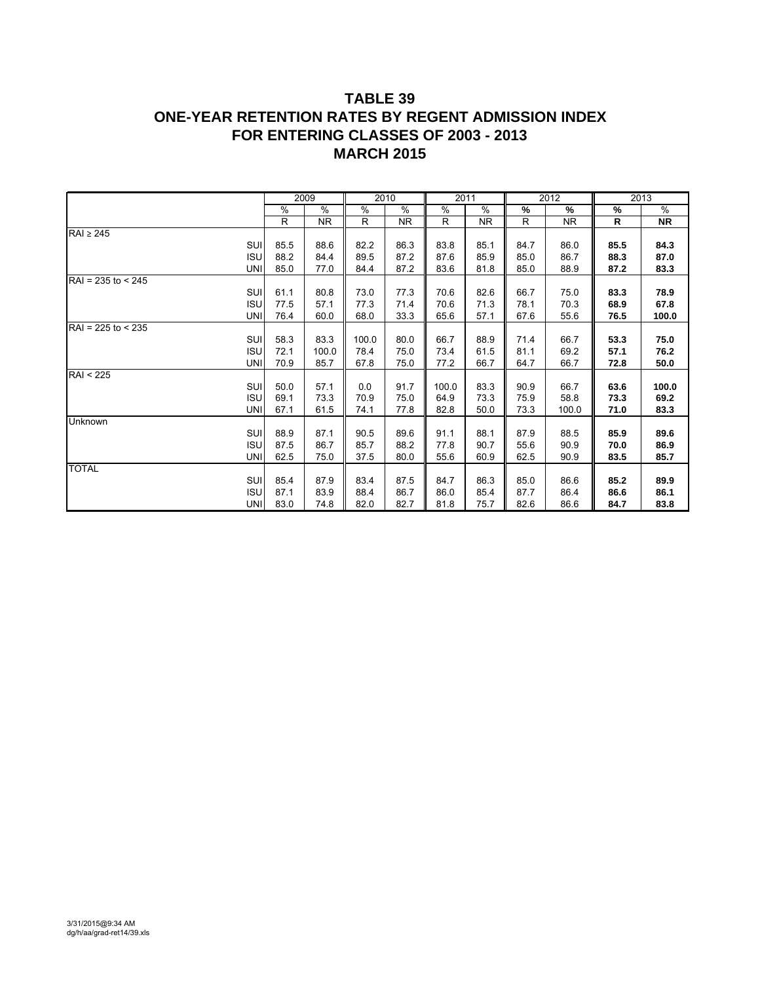# **TABLE 39 ONE-YEAR RETENTION RATES BY REGENT ADMISSION INDEX FOR ENTERING CLASSES OF 2003 - 2013 MARCH 2015**

|                      |      | 2009      |       | 2010          | 2011  |           |              | $\overline{20}12$ |      | 2013      |
|----------------------|------|-----------|-------|---------------|-------|-----------|--------------|-------------------|------|-----------|
|                      | $\%$ | %         | %     | $\frac{0}{0}$ | $\%$  | %         | %            | %                 | $\%$ | $\%$      |
|                      | R    | <b>NR</b> | R.    | NR.           | R     | <b>NR</b> | $\mathsf{R}$ | <b>NR</b>         | R    | <b>NR</b> |
| RAI ≥ 245            |      |           |       |               |       |           |              |                   |      |           |
| SUI                  | 85.5 | 88.6      | 82.2  | 86.3          | 83.8  | 85.1      | 84.7         | 86.0              | 85.5 | 84.3      |
| <b>ISU</b>           | 88.2 | 84.4      | 89.5  | 87.2          | 87.6  | 85.9      | 85.0         | 86.7              | 88.3 | 87.0      |
| <b>UNI</b>           | 85.0 | 77.0      | 84.4  | 87.2          | 83.6  | 81.8      | 85.0         | 88.9              | 87.2 | 83.3      |
| $RAI = 235$ to < 245 |      |           |       |               |       |           |              |                   |      |           |
| SUI                  | 61.1 | 80.8      | 73.0  | 77.3          | 70.6  | 82.6      | 66.7         | 75.0              | 83.3 | 78.9      |
| <b>ISU</b>           | 77.5 | 57.1      | 77.3  | 71.4          | 70.6  | 71.3      | 78.1         | 70.3              | 68.9 | 67.8      |
| <b>UNI</b>           | 76.4 | 60.0      | 68.0  | 33.3          | 65.6  | 57.1      | 67.6         | 55.6              | 76.5 | 100.0     |
| $RAI = 225$ to < 235 |      |           |       |               |       |           |              |                   |      |           |
| SUI                  | 58.3 | 83.3      | 100.0 | 80.0          | 66.7  | 88.9      | 71.4         | 66.7              | 53.3 | 75.0      |
| <b>ISU</b>           | 72.1 | 100.0     | 78.4  | 75.0          | 73.4  | 61.5      | 81.1         | 69.2              | 57.1 | 76.2      |
| <b>UNI</b>           | 70.9 | 85.7      | 67.8  | 75.0          | 77.2  | 66.7      | 64.7         | 66.7              | 72.8 | 50.0      |
| <b>RAI &lt; 225</b>  |      |           |       |               |       |           |              |                   |      |           |
| SUI                  | 50.0 | 57.1      | 0.0   | 91.7          | 100.0 | 83.3      | 90.9         | 66.7              | 63.6 | 100.0     |
| <b>ISU</b>           | 69.1 | 73.3      | 70.9  | 75.0          | 64.9  | 73.3      | 75.9         | 58.8              | 73.3 | 69.2      |
| <b>UNI</b>           | 67.1 | 61.5      | 74.1  | 77.8          | 82.8  | 50.0      | 73.3         | 100.0             | 71.0 | 83.3      |
| Unknown              |      |           |       |               |       |           |              |                   |      |           |
| SUI                  | 88.9 | 87.1      | 90.5  | 89.6          | 91.1  | 88.1      | 87.9         | 88.5              | 85.9 | 89.6      |
| <b>ISU</b>           | 87.5 | 86.7      | 85.7  | 88.2          | 77.8  | 90.7      | 55.6         | 90.9              | 70.0 | 86.9      |
| UNI                  | 62.5 | 75.0      | 37.5  | 80.0          | 55.6  | 60.9      | 62.5         | 90.9              | 83.5 | 85.7      |
| <b>TOTAL</b>         |      |           |       |               |       |           |              |                   |      |           |
| SUI                  | 85.4 | 87.9      | 83.4  | 87.5          | 84.7  | 86.3      | 85.0         | 86.6              | 85.2 | 89.9      |
| <b>ISU</b>           | 87.1 | 83.9      | 88.4  | 86.7          | 86.0  | 85.4      | 87.7         | 86.4              | 86.6 | 86.1      |
| UNI                  | 83.0 | 74.8      | 82.0  | 82.7          | 81.8  | 75.7      | 82.6         | 86.6              | 84.7 | 83.8      |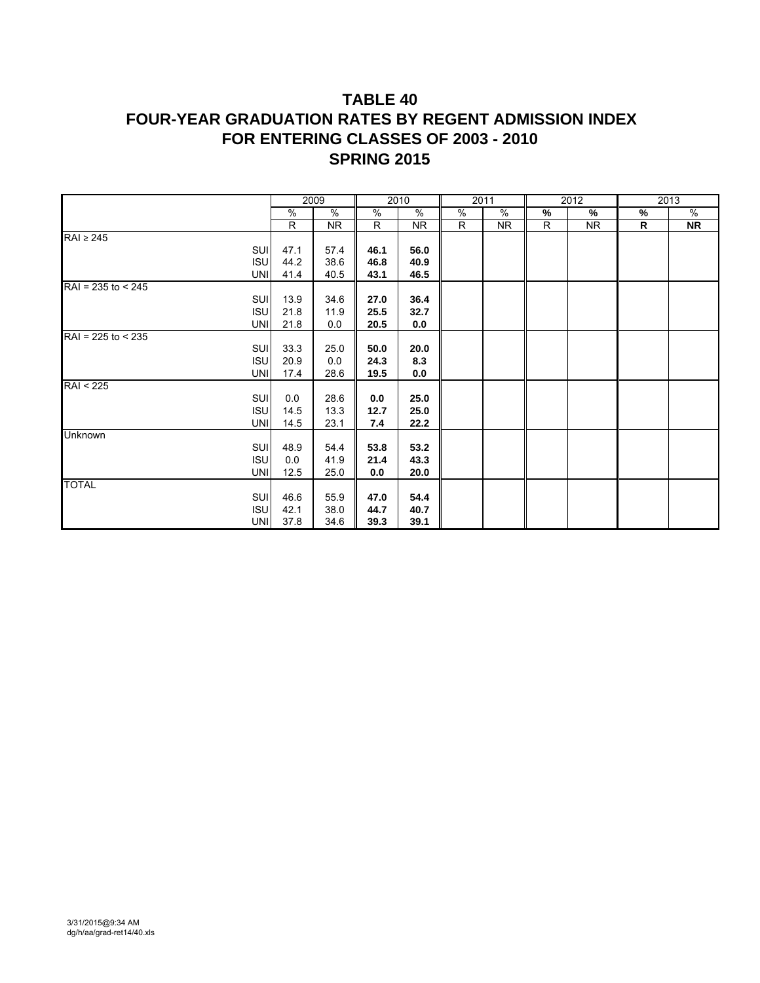# **TABLE 40 FOUR-YEAR GRADUATION RATES BY REGENT ADMISSION INDEX FOR ENTERING CLASSES OF 2003 - 2010 SPRING 2015**

|                      |      | 2009      |      | 2010          |   | 2011          |      | 2012      |   | 2013      |
|----------------------|------|-----------|------|---------------|---|---------------|------|-----------|---|-----------|
|                      | $\%$ | $\%$      | %    | $\frac{9}{6}$ | % | $\frac{9}{6}$ | $\%$ | %         | % | $\%$      |
|                      | R    | <b>NR</b> | R.   | NR.           | R | NR.           | R    | <b>NR</b> | R | <b>NR</b> |
| $RAI \geq 245$       |      |           |      |               |   |               |      |           |   |           |
| SUI                  | 47.1 | 57.4      | 46.1 | 56.0          |   |               |      |           |   |           |
| <b>ISU</b>           | 44.2 | 38.6      | 46.8 | 40.9          |   |               |      |           |   |           |
| <b>UNI</b>           | 41.4 | 40.5      | 43.1 | 46.5          |   |               |      |           |   |           |
| $RAI = 235$ to < 245 |      |           |      |               |   |               |      |           |   |           |
| <b>SUI</b>           | 13.9 | 34.6      | 27.0 | 36.4          |   |               |      |           |   |           |
| <b>ISU</b>           | 21.8 | 11.9      | 25.5 | 32.7          |   |               |      |           |   |           |
| <b>UNI</b>           | 21.8 | 0.0       | 20.5 | 0.0           |   |               |      |           |   |           |
| $RAI = 225$ to < 235 |      |           |      |               |   |               |      |           |   |           |
| <b>SUI</b>           | 33.3 | 25.0      | 50.0 | 20.0          |   |               |      |           |   |           |
| <b>ISU</b>           | 20.9 | 0.0       | 24.3 | 8.3           |   |               |      |           |   |           |
| <b>UNI</b>           | 17.4 | 28.6      | 19.5 | 0.0           |   |               |      |           |   |           |
| <b>RAI &lt; 225</b>  |      |           |      |               |   |               |      |           |   |           |
| <b>SUI</b>           | 0.0  | 28.6      | 0.0  | 25.0          |   |               |      |           |   |           |
| <b>ISU</b>           | 14.5 | 13.3      | 12.7 | 25.0          |   |               |      |           |   |           |
| <b>UNI</b>           | 14.5 | 23.1      | 7.4  | 22.2          |   |               |      |           |   |           |
| <b>Unknown</b>       |      |           |      |               |   |               |      |           |   |           |
| <b>SUI</b>           | 48.9 | 54.4      | 53.8 | 53.2          |   |               |      |           |   |           |
| <b>ISU</b>           | 0.0  | 41.9      | 21.4 | 43.3          |   |               |      |           |   |           |
| <b>UNI</b>           | 12.5 | 25.0      | 0.0  | 20.0          |   |               |      |           |   |           |
| <b>TOTAL</b>         |      |           |      |               |   |               |      |           |   |           |
| <b>SUI</b>           | 46.6 | 55.9      | 47.0 | 54.4          |   |               |      |           |   |           |
| <b>ISU</b>           | 42.1 | 38.0      | 44.7 | 40.7          |   |               |      |           |   |           |
| <b>UNI</b>           | 37.8 | 34.6      | 39.3 | 39.1          |   |               |      |           |   |           |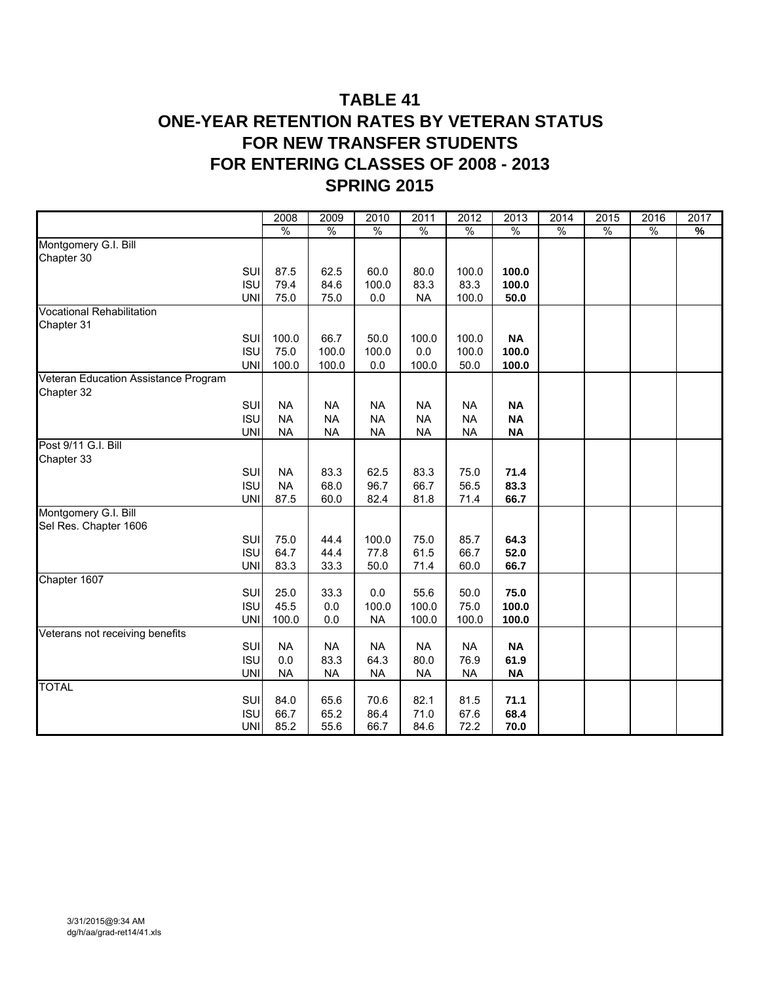# **TABLE 41 ONE-YEAR RETENTION RATES BY VETERAN STATUS FOR NEW TRANSFER STUDENTS FOR ENTERING CLASSES OF 2008 - 2013 SPRING 2015**

|                                      |            | 2008          | 2009          | 2010          | 2011          | 2012          | 2013          | 2014          | 2015          | 2016          | 2017 |
|--------------------------------------|------------|---------------|---------------|---------------|---------------|---------------|---------------|---------------|---------------|---------------|------|
|                                      |            | $\frac{0}{0}$ | $\frac{0}{0}$ | $\frac{0}{0}$ | $\frac{0}{6}$ | $\frac{0}{6}$ | $\frac{0}{0}$ | $\frac{0}{6}$ | $\frac{0}{0}$ | $\frac{0}{0}$ | %    |
| Montgomery G.I. Bill                 |            |               |               |               |               |               |               |               |               |               |      |
| Chapter 30                           |            |               |               |               |               |               |               |               |               |               |      |
|                                      | SUI        | 87.5          | 62.5          | 60.0          | 80.0          | 100.0         | 100.0         |               |               |               |      |
|                                      | <b>ISU</b> | 79.4          | 84.6          | 100.0         | 83.3          | 83.3          | 100.0         |               |               |               |      |
|                                      | <b>UNI</b> | 75.0          | 75.0          | 0.0           | <b>NA</b>     | 100.0         | 50.0          |               |               |               |      |
| <b>Vocational Rehabilitation</b>     |            |               |               |               |               |               |               |               |               |               |      |
| Chapter 31                           |            |               |               |               |               |               |               |               |               |               |      |
|                                      | SUI        | 100.0         | 66.7          | 50.0          | 100.0         | 100.0         | <b>NA</b>     |               |               |               |      |
|                                      | <b>ISU</b> | 75.0          | 100.0         | 100.0         | 0.0           | 100.0         | 100.0         |               |               |               |      |
|                                      | UNI        | 100.0         | 100.0         | 0.0           | 100.0         | 50.0          | 100.0         |               |               |               |      |
| Veteran Education Assistance Program |            |               |               |               |               |               |               |               |               |               |      |
| Chapter 32                           |            |               |               |               |               |               |               |               |               |               |      |
|                                      | SUI        | <b>NA</b>     | <b>NA</b>     | <b>NA</b>     | <b>NA</b>     | <b>NA</b>     | <b>NA</b>     |               |               |               |      |
|                                      | <b>ISU</b> | <b>NA</b>     | <b>NA</b>     | <b>NA</b>     | <b>NA</b>     | <b>NA</b>     | <b>NA</b>     |               |               |               |      |
|                                      | <b>UNI</b> | <b>NA</b>     | <b>NA</b>     | <b>NA</b>     | <b>NA</b>     | <b>NA</b>     | <b>NA</b>     |               |               |               |      |
| Post 9/11 G.I. Bill                  |            |               |               |               |               |               |               |               |               |               |      |
| Chapter 33                           |            |               |               |               |               |               |               |               |               |               |      |
|                                      | SUI        | <b>NA</b>     | 83.3          | 62.5          | 83.3          | 75.0          | 71.4          |               |               |               |      |
|                                      | <b>ISU</b> | <b>NA</b>     | 68.0          | 96.7          | 66.7          | 56.5          | 83.3          |               |               |               |      |
|                                      | <b>UNI</b> | 87.5          | 60.0          | 82.4          | 81.8          | 71.4          | 66.7          |               |               |               |      |
| Montgomery G.I. Bill                 |            |               |               |               |               |               |               |               |               |               |      |
| Sel Res. Chapter 1606                |            |               |               |               |               |               |               |               |               |               |      |
|                                      | SUI        | 75.0          | 44.4          | 100.0         | 75.0          | 85.7          | 64.3          |               |               |               |      |
|                                      | <b>ISU</b> | 64.7          | 44.4          | 77.8          | 61.5          | 66.7          | 52.0          |               |               |               |      |
|                                      | <b>UNI</b> | 83.3          | 33.3          | 50.0          | 71.4          | 60.0          | 66.7          |               |               |               |      |
| Chapter 1607                         |            |               |               |               |               |               |               |               |               |               |      |
|                                      | SUI        | 25.0          | 33.3          | 0.0           | 55.6          | 50.0          | 75.0          |               |               |               |      |
|                                      | <b>ISU</b> | 45.5          | 0.0           | 100.0         | 100.0         | 75.0          | 100.0         |               |               |               |      |
|                                      | <b>UNI</b> | 100.0         | 0.0           | <b>NA</b>     | 100.0         | 100.0         | 100.0         |               |               |               |      |
| Veterans not receiving benefits      |            |               |               |               |               |               |               |               |               |               |      |
|                                      | SUI        | <b>NA</b>     | <b>NA</b>     | <b>NA</b>     | <b>NA</b>     | <b>NA</b>     | <b>NA</b>     |               |               |               |      |
|                                      | <b>ISU</b> | 0.0           | 83.3          | 64.3          | 80.0          | 76.9          | 61.9          |               |               |               |      |
|                                      | <b>UNI</b> | <b>NA</b>     | <b>NA</b>     | <b>NA</b>     | <b>NA</b>     | <b>NA</b>     | <b>NA</b>     |               |               |               |      |
| <b>TOTAL</b>                         |            |               |               |               |               |               |               |               |               |               |      |
|                                      | SUI        | 84.0          | 65.6          | 70.6          | 82.1          | 81.5          | 71.1          |               |               |               |      |
|                                      | <b>ISU</b> | 66.7          | 65.2          | 86.4          | 71.0          | 67.6          | 68.4          |               |               |               |      |
|                                      | <b>UNI</b> | 85.2          | 55.6          | 66.7          | 84.6          | 72.2          | 70.0          |               |               |               |      |